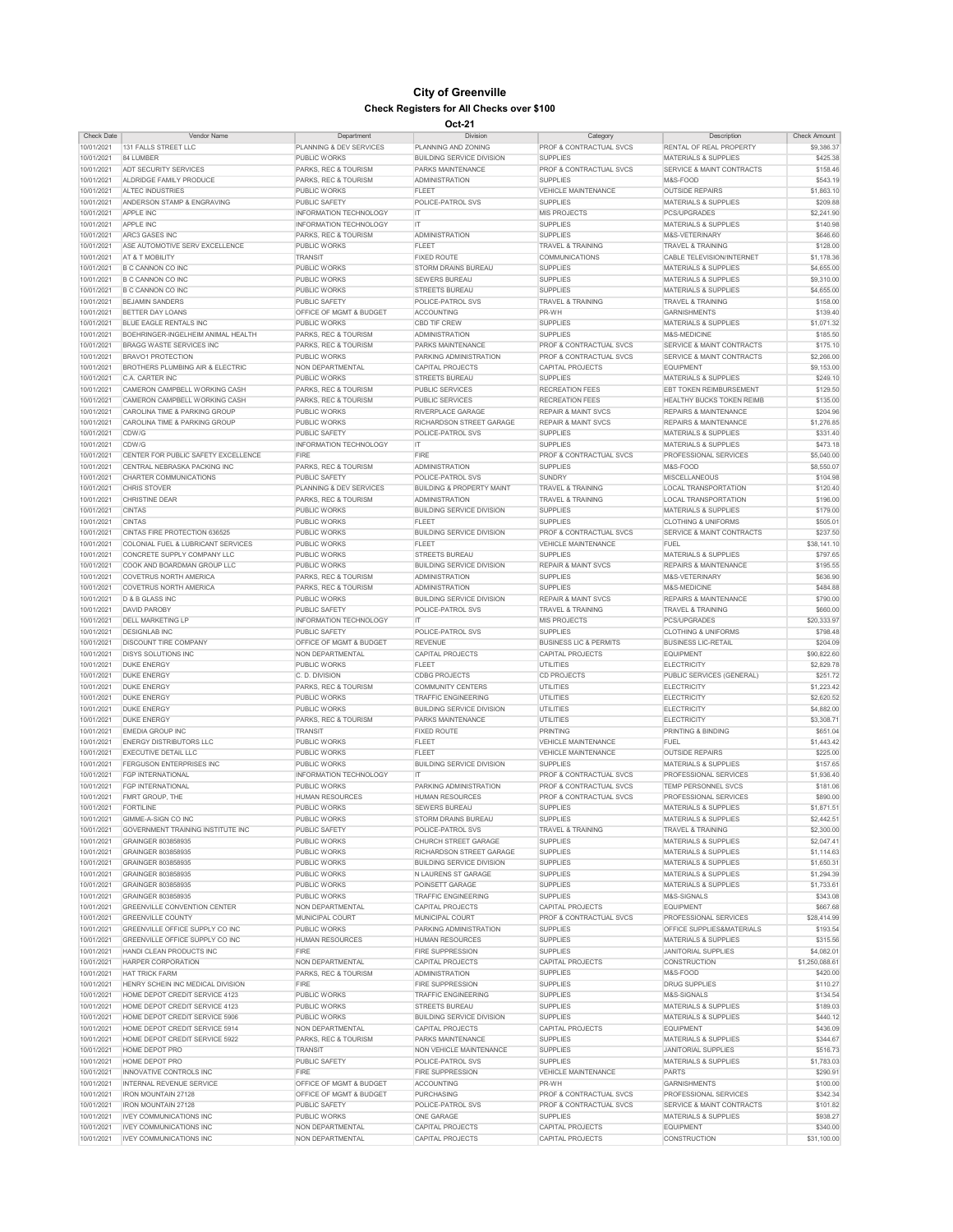| <b>Check Date</b> | <b>Vendor Name</b>                            | Department                         | <b>Division</b>                      | Category                           | Description                          | <b>Check Amount</b> |
|-------------------|-----------------------------------------------|------------------------------------|--------------------------------------|------------------------------------|--------------------------------------|---------------------|
| 10/01/2021        | 131 FALLS STREET LLC                          | <b>PLANNING &amp; DEV SERVICES</b> | PLANNING AND ZONING                  | <b>PROF &amp; CONTRACTUAL SVCS</b> | <b>RENTAL OF REAL PROPERTY</b>       | \$9,386.37          |
| 10/01/2021        | 84 LUMBER                                     | <b>PUBLIC WORKS</b>                | <b>BUILDING SERVICE DIVISION</b>     | <b>SUPPLIES</b>                    | <b>MATERIALS &amp; SUPPLIES</b>      | \$425.38            |
| 10/01/2021        | <b>ADT SECURITY SERVICES</b>                  | <b>PARKS, REC &amp; TOURISM</b>    | <b>PARKS MAINTENANCE</b>             | <b>PROF &amp; CONTRACTUAL SVCS</b> | <b>SERVICE &amp; MAINT CONTRACTS</b> | \$158.46            |
| 10/01/2021        | ALDRIDGE FAMILY PRODUCE                       | <b>PARKS, REC &amp; TOURISM</b>    | <b>ADMINISTRATION</b>                | <b>SUPPLIES</b>                    | M&S-FOOD                             | \$543.19            |
|                   |                                               |                                    |                                      |                                    |                                      |                     |
| 10/01/2021        | <b>ALTEC INDUSTRIES</b>                       | <b>PUBLIC WORKS</b>                | <b>FLEET</b>                         | <b>VEHICLE MAINTENANCE</b>         | <b>OUTSIDE REPAIRS</b>               | \$1,863.10          |
| 10/01/2021        | ANDERSON STAMP & ENGRAVING                    | <b>PUBLIC SAFETY</b>               | POLICE-PATROL SVS                    | <b>SUPPLIES</b>                    | <b>MATERIALS &amp; SUPPLIES</b>      | \$209.88            |
| 10/01/2021        | <b>APPLE INC</b>                              | <b>INFORMATION TECHNOLOGY</b>      | IT.                                  | <b>MIS PROJECTS</b>                | <b>PCS/UPGRADES</b>                  | \$2,241.90          |
| 10/01/2021        | <b>APPLE INC</b>                              | <b>INFORMATION TECHNOLOGY</b>      | IT.                                  | <b>SUPPLIES</b>                    | <b>MATERIALS &amp; SUPPLIES</b>      | \$140.98            |
| 10/01/2021        | ARC3 GASES INC                                | <b>PARKS, REC &amp; TOURISM</b>    | <b>ADMINISTRATION</b>                | <b>SUPPLIES</b>                    | M&S-VETERINARY                       | \$646.60            |
| 10/01/2021        | ASE AUTOMOTIVE SERV EXCELLENCE                | <b>PUBLIC WORKS</b>                | <b>FLEET</b>                         | <b>TRAVEL &amp; TRAINING</b>       | <b>TRAVEL &amp; TRAINING</b>         | \$128.00            |
| 10/01/2021        | <b>AT &amp; T MOBILITY</b>                    | <b>TRANSIT</b>                     | <b>FIXED ROUTE</b>                   | <b>COMMUNICATIONS</b>              | <b>CABLE TELEVISION/INTERNET</b>     | \$1,178.36          |
| 10/01/2021        | <b>B C CANNON CO INC</b>                      | <b>PUBLIC WORKS</b>                | <b>STORM DRAINS BUREAU</b>           | <b>SUPPLIES</b>                    | <b>MATERIALS &amp; SUPPLIES</b>      | \$4,655.00          |
| 10/01/2021        | <b>B C CANNON CO INC</b>                      | <b>PUBLIC WORKS</b>                | <b>SEWERS BUREAU</b>                 | <b>SUPPLIES</b>                    | <b>MATERIALS &amp; SUPPLIES</b>      | \$9,310.00          |
| 10/01/2021        | <b>B C CANNON CO INC</b>                      | <b>PUBLIC WORKS</b>                | <b>STREETS BUREAU</b>                | <b>SUPPLIES</b>                    | <b>MATERIALS &amp; SUPPLIES</b>      | \$4,655.00          |
| 10/01/2021        | <b>BEJAMIN SANDERS</b>                        | <b>PUBLIC SAFETY</b>               | POLICE-PATROL SVS                    | <b>TRAVEL &amp; TRAINING</b>       | <b>TRAVEL &amp; TRAINING</b>         | \$158.00            |
| 10/01/2021        | <b>BETTER DAY LOANS</b>                       | <b>OFFICE OF MGMT &amp; BUDGET</b> | ACCOUNTING                           | PR-WH                              | <b>GARNISHMENTS</b>                  | \$139.40            |
| 10/01/2021        | <b>BLUE EAGLE RENTALS INC</b>                 | <b>PUBLIC WORKS</b>                | <b>CBD TIF CREW</b>                  | <b>SUPPLIES</b>                    | <b>MATERIALS &amp; SUPPLIES</b>      | \$1,071.32          |
| 10/01/2021        | BOEHRINGER-INGELHEIM ANIMAL HEALTH            | PARKS, REC & TOURISM               | <b>ADMINISTRATION</b>                | <b>SUPPLIES</b>                    | M&S-MEDICINE                         | \$185.50            |
| 10/01/2021        | <b>BRAGG WASTE SERVICES INC</b>               | <b>PARKS, REC &amp; TOURISM</b>    | <b>PARKS MAINTENANCE</b>             | <b>PROF &amp; CONTRACTUAL SVCS</b> | SERVICE & MAINT CONTRACTS            | \$175.10            |
|                   |                                               |                                    |                                      |                                    |                                      |                     |
| 10/01/2021        | <b>BRAVO1 PROTECTION</b>                      | <b>PUBLIC WORKS</b>                | <b>PARKING ADMINISTRATION</b>        | <b>PROF &amp; CONTRACTUAL SVCS</b> | SERVICE & MAINT CONTRACTS            | \$2,266.00          |
| 10/01/2021        | <b>BROTHERS PLUMBING AIR &amp; ELECTRIC</b>   | NON DEPARTMENTAL                   | <b>CAPITAL PROJECTS</b>              | <b>CAPITAL PROJECTS</b>            | <b>EQUIPMENT</b>                     | \$9,153.00          |
| 10/01/2021        | C.A. CARTER INC                               | <b>PUBLIC WORKS</b>                | <b>STREETS BUREAU</b>                | <b>SUPPLIES</b>                    | <b>MATERIALS &amp; SUPPLIES</b>      | \$249.10            |
| 10/01/2021        | CAMERON CAMPBELL WORKING CASH                 | <b>PARKS, REC &amp; TOURISM</b>    | <b>PUBLIC SERVICES</b>               | <b>RECREATION FEES</b>             | <b>EBT TOKEN REIMBURSEMENT</b>       | \$129.50            |
| 10/01/2021        | CAMERON CAMPBELL WORKING CASH                 | <b>PARKS, REC &amp; TOURISM</b>    | <b>PUBLIC SERVICES</b>               | <b>RECREATION FEES</b>             | <b>HEALTHY BUCKS TOKEN REIMB</b>     | \$135.00            |
| 10/01/2021        | <b>CAROLINA TIME &amp; PARKING GROUP</b>      | <b>PUBLIC WORKS</b>                | <b>RIVERPLACE GARAGE</b>             | <b>REPAIR &amp; MAINT SVCS</b>     | <b>REPAIRS &amp; MAINTENANCE</b>     | \$204.96            |
| 10/01/2021        | <b>CAROLINA TIME &amp; PARKING GROUP</b>      | <b>PUBLIC WORKS</b>                | <b>RICHARDSON STREET GARAGE</b>      | <b>REPAIR &amp; MAINT SVCS</b>     | <b>REPAIRS &amp; MAINTENANCE</b>     | \$1,276.85          |
| 10/01/2021        | CDW/G                                         | <b>PUBLIC SAFETY</b>               | <b>POLICE-PATROL SVS</b>             | <b>SUPPLIES</b>                    | <b>MATERIALS &amp; SUPPLIES</b>      | \$331.40            |
| 10/01/2021        | CDW/G                                         | <b>INFORMATION TECHNOLOGY</b>      | IT                                   | <b>SUPPLIES</b>                    | <b>MATERIALS &amp; SUPPLIES</b>      | \$473.18            |
| 10/01/2021        | <b>CENTER FOR PUBLIC SAFETY EXCELLENCE</b>    | <b>FIRE</b>                        | <b>FIRE</b>                          | <b>PROF &amp; CONTRACTUAL SVCS</b> | PROFESSIONAL SERVICES                | \$5,040.00          |
| 10/01/2021        | CENTRAL NEBRASKA PACKING INC                  | PARKS, REC & TOURISM               | <b>ADMINISTRATION</b>                | <b>SUPPLIES</b>                    | M&S-FOOD                             | \$8,550.07          |
| 10/01/2021        | <b>CHARTER COMMUNICATIONS</b>                 | <b>PUBLIC SAFETY</b>               | POLICE-PATROL SVS                    | <b>SUNDRY</b>                      | <b>MISCELLANEOUS</b>                 | \$104.98            |
| 10/01/2021        | <b>CHRIS STOVER</b>                           | <b>PLANNING &amp; DEV SERVICES</b> | <b>BUILDING &amp; PROPERTY MAINT</b> | <b>TRAVEL &amp; TRAINING</b>       | <b>LOCAL TRANSPORTATION</b>          | \$120.40            |
| 10/01/2021        | <b>CHRISTINE DEAR</b>                         | <b>PARKS, REC &amp; TOURISM</b>    | <b>ADMINISTRATION</b>                | <b>TRAVEL &amp; TRAINING</b>       | <b>LOCAL TRANSPORTATION</b>          | \$196.00            |
|                   |                                               |                                    |                                      | <b>SUPPLIES</b>                    |                                      |                     |
| 10/01/2021        | <b>CINTAS</b>                                 | <b>PUBLIC WORKS</b>                | <b>BUILDING SERVICE DIVISION</b>     |                                    | <b>MATERIALS &amp; SUPPLIES</b>      | \$179.00            |
| 10/01/2021        | <b>CINTAS</b>                                 | <b>PUBLIC WORKS</b>                | <b>FLEET</b>                         | <b>SUPPLIES</b>                    | <b>CLOTHING &amp; UNIFORMS</b>       | \$505.01            |
| 10/01/2021        | <b>CINTAS FIRE PROTECTION 636525</b>          | <b>PUBLIC WORKS</b>                | <b>BUILDING SERVICE DIVISION</b>     | <b>PROF &amp; CONTRACTUAL SVCS</b> | <b>SERVICE &amp; MAINT CONTRACTS</b> | \$237.50            |
| 10/01/2021        | <b>COLONIAL FUEL &amp; LUBRICANT SERVICES</b> | <b>PUBLIC WORKS</b>                | <b>FLEET</b>                         | <b>VEHICLE MAINTENANCE</b>         | <b>FUEL</b>                          | \$38,141.10         |
| 10/01/2021        | CONCRETE SUPPLY COMPANY LLC                   | <b>PUBLIC WORKS</b>                | <b>STREETS BUREAU</b>                | <b>SUPPLIES</b>                    | <b>MATERIALS &amp; SUPPLIES</b>      | \$797.65            |
| 10/01/2021        | <b>COOK AND BOARDMAN GROUP LLC</b>            | <b>PUBLIC WORKS</b>                | <b>BUILDING SERVICE DIVISION</b>     | <b>REPAIR &amp; MAINT SVCS</b>     | <b>REPAIRS &amp; MAINTENANCE</b>     | \$195.55            |
| 10/01/2021        | <b>COVETRUS NORTH AMERICA</b>                 | <b>PARKS, REC &amp; TOURISM</b>    | <b>ADMINISTRATION</b>                | <b>SUPPLIES</b>                    | M&S-VETERINARY                       | \$636.90            |
| 10/01/2021        | <b>COVETRUS NORTH AMERICA</b>                 | PARKS, REC & TOURISM               | <b>ADMINISTRATION</b>                | <b>SUPPLIES</b>                    | M&S-MEDICINE                         | \$484.88            |
| 10/01/2021        | D & B GLASS INC                               | <b>PUBLIC WORKS</b>                | <b>BUILDING SERVICE DIVISION</b>     | <b>REPAIR &amp; MAINT SVCS</b>     | <b>REPAIRS &amp; MAINTENANCE</b>     | \$790.00            |
| 10/01/2021        | <b>DAVID PAROBY</b>                           | <b>PUBLIC SAFETY</b>               | POLICE-PATROL SVS                    | <b>TRAVEL &amp; TRAINING</b>       | <b>TRAVEL &amp; TRAINING</b>         | \$660.00            |
| 10/01/2021        | <b>DELL MARKETING LP</b>                      | <b>INFORMATION TECHNOLOGY</b>      | IT.                                  | <b>MIS PROJECTS</b>                | PCS/UPGRADES                         | \$20,333.97         |
| 10/01/2021        | <b>DESIGNLAB INC</b>                          | <b>PUBLIC SAFETY</b>               | POLICE-PATROL SVS                    | <b>SUPPLIES</b>                    | <b>CLOTHING &amp; UNIFORMS</b>       | \$798.48            |
| 10/01/2021        | <b>DISCOUNT TIRE COMPANY</b>                  | <b>OFFICE OF MGMT &amp; BUDGET</b> | <b>REVENUE</b>                       | <b>BUSINESS LIC &amp; PERMITS</b>  | <b>BUSINESS LIC-RETAIL</b>           | \$204.09            |
| 10/01/2021        | <b>DISYS SOLUTIONS INC</b>                    | NON DEPARTMENTAL                   | CAPITAL PROJECTS                     | <b>CAPITAL PROJECTS</b>            | <b>EQUIPMENT</b>                     | \$90,822.60         |
| 10/01/2021        | <b>DUKE ENERGY</b>                            | <b>PUBLIC WORKS</b>                | <b>FLEET</b>                         | <b>UTILITIES</b>                   | <b>ELECTRICITY</b>                   | \$2,829.78          |
|                   |                                               |                                    |                                      |                                    |                                      |                     |
| 10/01/2021        | <b>DUKE ENERGY</b>                            | C. D. DIVISION                     | <b>CDBG PROJECTS</b>                 | <b>CD PROJECTS</b>                 | PUBLIC SERVICES (GENERAL)            | \$251.72            |
| 10/01/2021        | <b>DUKE ENERGY</b>                            | PARKS, REC & TOURISM               | <b>COMMUNITY CENTERS</b>             | <b>UTILITIES</b>                   | <b>ELECTRICITY</b>                   | \$1,223.42          |
| 10/01/2021        | <b>DUKE ENERGY</b>                            | <b>PUBLIC WORKS</b>                | <b>TRAFFIC ENGINEERING</b>           | <b>UTILITIES</b>                   | <b>ELECTRICITY</b>                   | \$2,620.52          |
| 10/01/2021        | <b>DUKE ENERGY</b>                            | <b>PUBLIC WORKS</b>                | <b>BUILDING SERVICE DIVISION</b>     | <b>UTILITIES</b>                   | <b>ELECTRICITY</b>                   | \$4,882.00          |
| 10/01/2021        | <b>DUKE ENERGY</b>                            | PARKS, REC & TOURISM               | <b>PARKS MAINTENANCE</b>             | UTILITIES                          | <b>ELECTRICITY</b>                   | \$3,308.71          |
| 10/01/2021        | <b>EMEDIA GROUP INC</b>                       | <b>TRANSIT</b>                     | <b>FIXED ROUTE</b>                   | <b>PRINTING</b>                    | <b>PRINTING &amp; BINDING</b>        | \$651.04            |
| 10/01/2021        | <b>ENERGY DISTRIBUTORS LLC</b>                | <b>PUBLIC WORKS</b>                | <b>FLEET</b>                         | <b>VEHICLE MAINTENANCE</b>         | <b>FUEL</b>                          | \$1,443.42          |
| 10/01/2021        | <b>EXECUTIVE DETAIL LLC</b>                   | <b>PUBLIC WORKS</b>                | <b>FLEET</b>                         | <b>VEHICLE MAINTENANCE</b>         | <b>OUTSIDE REPAIRS</b>               | \$225.00            |
| 10/01/2021        | <b>FERGUSON ENTERPRISES INC</b>               | <b>PUBLIC WORKS</b>                | <b>BUILDING SERVICE DIVISION</b>     | <b>SUPPLIES</b>                    | <b>MATERIALS &amp; SUPPLIES</b>      | \$157.65            |
| 10/01/2021        | <b>FGP INTERNATIONAL</b>                      | <b>INFORMATION TECHNOLOGY</b>      | IT.                                  | <b>PROF &amp; CONTRACTUAL SVCS</b> | <b>PROFESSIONAL SERVICES</b>         | \$1,936.40          |
| 10/01/2021        | <b>FGP INTERNATIONAL</b>                      | <b>PUBLIC WORKS</b>                | <b>PARKING ADMINISTRATION</b>        | <b>PROF &amp; CONTRACTUAL SVCS</b> | <b>TEMP PERSONNEL SVCS</b>           | \$181.06            |
| 10/01/2021        | FMRT GROUP, THE                               | <b>HUMAN RESOURCES</b>             | <b>HUMAN RESOURCES</b>               | <b>PROF &amp; CONTRACTUAL SVCS</b> | <b>PROFESSIONAL SERVICES</b>         | \$890.00            |
| 10/01/2021        | <b>FORTILINE</b>                              | <b>PUBLIC WORKS</b>                | <b>SEWERS BUREAU</b>                 | <b>SUPPLIES</b>                    | <b>MATERIALS &amp; SUPPLIES</b>      | \$1,871.51          |
| 10/01/2021        | GIMME-A-SIGN CO INC                           | <b>PUBLIC WORKS</b>                | <b>STORM DRAINS BUREAU</b>           | <b>SUPPLIES</b>                    | <b>MATERIALS &amp; SUPPLIES</b>      | \$2,442.51          |
| 10/01/2021        | <b>GOVERNMENT TRAINING INSTITUTE INC</b>      | <b>PUBLIC SAFETY</b>               | <b>POLICE-PATROL SVS</b>             | <b>TRAVEL &amp; TRAINING</b>       | <b>TRAVEL &amp; TRAINING</b>         | \$2,300.00          |
| 10/01/2021        | <b>GRAINGER 803858935</b>                     | <b>PUBLIC WORKS</b>                | <b>CHURCH STREET GARAGE</b>          | <b>SUPPLIES</b>                    | <b>MATERIALS &amp; SUPPLIES</b>      | \$2,047.41          |
|                   |                                               |                                    |                                      |                                    |                                      |                     |
| 10/01/2021        | GRAINGER 803858935                            | <b>PUBLIC WORKS</b>                | <b>RICHARDSON STREET GARAGE</b>      | <b>SUPPLIES</b>                    | <b>MATERIALS &amp; SUPPLIES</b>      | \$1,114.63          |
| 10/01/2021        | GRAINGER 803858935                            | <b>PUBLIC WORKS</b>                | <b>BUILDING SERVICE DIVISION</b>     | <b>SUPPLIES</b>                    | <b>MATERIALS &amp; SUPPLIES</b>      | \$1,650.31          |
| 10/01/2021        | <b>GRAINGER 803858935</b>                     | <b>PUBLIC WORKS</b>                | N LAURENS ST GARAGE                  | <b>SUPPLIES</b>                    | <b>MATERIALS &amp; SUPPLIES</b>      | \$1,294.39          |
| 10/01/2021        | <b>GRAINGER 803858935</b>                     | <b>PUBLIC WORKS</b>                | <b>POINSETT GARAGE</b>               | <b>SUPPLIES</b>                    | <b>MATERIALS &amp; SUPPLIES</b>      | \$1,733.61          |
| 10/01/2021        | <b>GRAINGER 803858935</b>                     | <b>PUBLIC WORKS</b>                | <b>TRAFFIC ENGINEERING</b>           | <b>SUPPLIES</b>                    | M&S-SIGNALS                          | \$343.08            |
| 10/01/2021        | <b>GREENVILLE CONVENTION CENTER</b>           | NON DEPARTMENTAL                   | <b>CAPITAL PROJECTS</b>              | <b>CAPITAL PROJECTS</b>            | <b>EQUIPMENT</b>                     | \$667.68            |
| 10/01/2021        | <b>GREENVILLE COUNTY</b>                      | <b>MUNICIPAL COURT</b>             | <b>MUNICIPAL COURT</b>               | <b>PROF &amp; CONTRACTUAL SVCS</b> | <b>PROFESSIONAL SERVICES</b>         | \$28,414.99         |
| 10/01/2021        | GREENVILLE OFFICE SUPPLY CO INC               | <b>PUBLIC WORKS</b>                | PARKING ADMINISTRATION               | <b>SUPPLIES</b>                    | <b>OFFICE SUPPLIES&amp;MATERIALS</b> | \$193.54            |
| 10/01/2021        | GREENVILLE OFFICE SUPPLY CO INC               | <b>HUMAN RESOURCES</b>             | <b>HUMAN RESOURCES</b>               | <b>SUPPLIES</b>                    | <b>MATERIALS &amp; SUPPLIES</b>      | \$315.56            |
| 10/01/2021        | HANDI CLEAN PRODUCTS INC                      | <b>FIRE</b>                        | <b>FIRE SUPPRESSION</b>              | <b>SUPPLIES</b>                    | <b>JANITORIAL SUPPLIES</b>           | \$4,082.01          |
| 10/01/2021        | <b>HARPER CORPORATION</b>                     | NON DEPARTMENTAL                   | <b>CAPITAL PROJECTS</b>              | <b>CAPITAL PROJECTS</b>            | <b>CONSTRUCTION</b>                  | \$1,250,088.61      |
| 10/01/2021        | <b>HAT TRICK FARM</b>                         | <b>PARKS, REC &amp; TOURISM</b>    | <b>ADMINISTRATION</b>                | <b>SUPPLIES</b>                    | M&S-FOOD                             | \$420.00            |
| 10/01/2021        | HENRY SCHEIN INC MEDICAL DIVISION             | <b>FIRE</b>                        | <b>FIRE SUPPRESSION</b>              | <b>SUPPLIES</b>                    | <b>DRUG SUPPLIES</b>                 | \$110.27            |
| 10/01/2021        | <b>HOME DEPOT CREDIT SERVICE 4123</b>         | <b>PUBLIC WORKS</b>                | <b>TRAFFIC ENGINEERING</b>           | <b>SUPPLIES</b>                    | M&S-SIGNALS                          | \$134.54            |
| 10/01/2021        | <b>HOME DEPOT CREDIT SERVICE 4123</b>         | <b>PUBLIC WORKS</b>                | <b>STREETS BUREAU</b>                | <b>SUPPLIES</b>                    | <b>MATERIALS &amp; SUPPLIES</b>      | \$189.03            |
| 10/01/2021        | HOME DEPOT CREDIT SERVICE 5906                | <b>PUBLIC WORKS</b>                | <b>BUILDING SERVICE DIVISION</b>     | <b>SUPPLIES</b>                    | <b>MATERIALS &amp; SUPPLIES</b>      | \$440.12            |
| 10/01/2021        | <b>HOME DEPOT CREDIT SERVICE 5914</b>         | NON DEPARTMENTAL                   | <b>CAPITAL PROJECTS</b>              | <b>CAPITAL PROJECTS</b>            | <b>EQUIPMENT</b>                     | \$436.09            |
|                   |                                               |                                    |                                      |                                    |                                      |                     |
| 10/01/2021        | HOME DEPOT CREDIT SERVICE 5922                | PARKS, REC & TOURISM               | <b>PARKS MAINTENANCE</b>             | <b>SUPPLIES</b>                    | <b>MATERIALS &amp; SUPPLIES</b>      | \$344.67            |
| 10/01/2021        | <b>HOME DEPOT PRO</b>                         | <b>TRANSIT</b>                     | NON VEHICLE MAINTENANCE              | <b>SUPPLIES</b>                    | <b>JANITORIAL SUPPLIES</b>           | \$516.73            |
| 10/01/2021        | <b>HOME DEPOT PRO</b>                         | <b>PUBLIC SAFETY</b>               | POLICE-PATROL SVS                    | <b>SUPPLIES</b>                    | <b>MATERIALS &amp; SUPPLIES</b>      | \$1,783.03          |
| 10/01/2021        | <b>INNOVATIVE CONTROLS INC</b>                | <b>FIRE</b>                        | <b>FIRE SUPPRESSION</b>              | <b>VEHICLE MAINTENANCE</b>         | <b>PARTS</b>                         | \$290.91            |
| 10/01/2021        | <b>INTERNAL REVENUE SERVICE</b>               | <b>OFFICE OF MGMT &amp; BUDGET</b> | <b>ACCOUNTING</b>                    | PR-WH                              | <b>GARNISHMENTS</b>                  | \$100.00            |
| 10/01/2021        | <b>IRON MOUNTAIN 27128</b>                    | <b>OFFICE OF MGMT &amp; BUDGET</b> | <b>PURCHASING</b>                    | <b>PROF &amp; CONTRACTUAL SVCS</b> | <b>PROFESSIONAL SERVICES</b>         | \$342.34            |
| 10/01/2021        | <b>IRON MOUNTAIN 27128</b>                    | <b>PUBLIC SAFETY</b>               | POLICE-PATROL SVS                    | <b>PROF &amp; CONTRACTUAL SVCS</b> | <b>SERVICE &amp; MAINT CONTRACTS</b> | \$101.82            |
| 10/01/2021        | <b>IVEY COMMUNICATIONS INC</b>                | <b>PUBLIC WORKS</b>                | <b>ONE GARAGE</b>                    | <b>SUPPLIES</b>                    | <b>MATERIALS &amp; SUPPLIES</b>      | \$938.27            |
| 10/01/2021        | <b>IVEY COMMUNICATIONS INC</b>                | NON DEPARTMENTAL                   | CAPITAL PROJECTS                     | <b>CAPITAL PROJECTS</b>            | <b>EQUIPMENT</b>                     | \$340.00            |
| 10/01/2021        | <b>IVEY COMMUNICATIONS INC</b>                | NON DEPARTMENTAL                   | <b>CAPITAL PROJECTS</b>              | <b>CAPITAL PROJECTS</b>            | <b>CONSTRUCTION</b>                  | \$31,100.00         |
|                   |                                               |                                    |                                      |                                    |                                      |                     |

## **City of Greenville Check Registers for All Checks over \$100**

**Oct-21**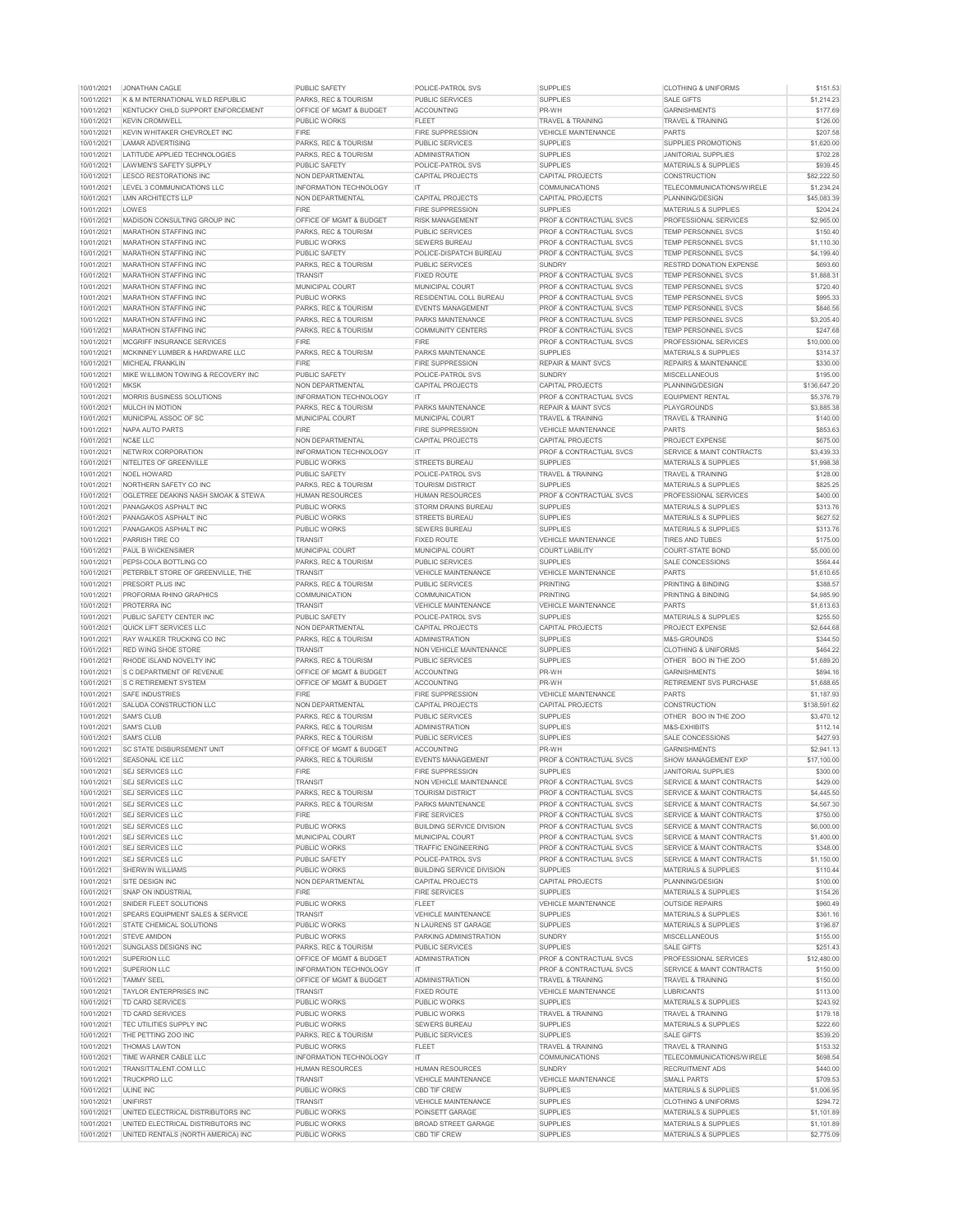| <b>PUBLIC SAFETY</b><br>POLICE-PATROL SVS<br><b>SUPPLIES</b><br><b>CLOTHING &amp; UNIFORMS</b><br>10/01/2021<br><b>JONATHAN CAGLE</b><br><b>SUPPLIES</b><br>10/01/2021<br>K & M INTERNATIONAL WILD REPUBLIC<br>PARKS, REC & TOURISM<br><b>PUBLIC SERVICES</b><br><b>SALE GIFTS</b><br>10/01/2021<br>KENTUCKY CHILD SUPPORT ENFORCEMENT<br><b>OFFICE OF MGMT &amp; BUDGET</b><br><b>ACCOUNTING</b><br>PR-WH<br><b>GARNISHMENTS</b><br>10/01/2021<br><b>KEVIN CROMWELL</b><br><b>FLEET</b><br><b>TRAVEL &amp; TRAINING</b><br><b>PUBLIC WORKS</b><br><b>TRAVEL &amp; TRAINING</b><br>10/01/2021<br>KEVIN WHITAKER CHEVROLET INC<br><b>FIRE</b><br><b>FIRE SUPPRESSION</b><br><b>VEHICLE MAINTENANCE</b><br><b>PARTS</b><br>10/01/2021<br>PARKS, REC & TOURISM<br><b>SUPPLIES</b><br><b>SUPPLIES PROMOTIONS</b><br><b>LAMAR ADVERTISING</b><br><b>PUBLIC SERVICES</b><br>10/01/2021<br>LATITUDE APPLIED TECHNOLOGIES<br><b>PARKS, REC &amp; TOURISM</b><br><b>ADMINISTRATION</b><br><b>SUPPLIES</b><br><b>JANITORIAL SUPPLIES</b><br>10/01/2021<br>LAWMEN'S SAFETY SUPPLY<br><b>PUBLIC SAFETY</b><br><b>POLICE-PATROL SVS</b><br><b>SUPPLIES</b><br><b>MATERIALS &amp; SUPPLIES</b><br>10/01/2021<br>LESCO RESTORATIONS INC<br>NON DEPARTMENTAL<br><b>CAPITAL PROJECTS</b><br><b>CAPITAL PROJECTS</b><br><b>CONSTRUCTION</b><br>10/01/2021<br>LEVEL 3 COMMUNICATIONS LLC<br><b>INFORMATION TECHNOLOGY</b><br><b>COMMUNICATIONS</b><br><b>TELECOMMUNICATIONS/WIRELE</b><br>IT.<br>10/01/2021<br><b>LMN ARCHITECTS LLP</b><br><b>NON DEPARTMENTAL</b><br><b>CAPITAL PROJECTS</b><br><b>CAPITAL PROJECTS</b><br>PLANNING/DESIGN<br>10/01/2021<br>LOWES<br><b>FIRE</b><br><b>FIRE SUPPRESSION</b><br><b>SUPPLIES</b><br><b>MATERIALS &amp; SUPPLIES</b><br>10/01/2021<br><b>MADISON CONSULTING GROUP INC</b><br><b>OFFICE OF MGMT &amp; BUDGET</b><br><b>RISK MANAGEMENT</b><br><b>PROF &amp; CONTRACTUAL SVCS</b><br><b>PROFESSIONAL SERVICES</b><br>10/01/2021<br><b>MARATHON STAFFING INC</b><br><b>PARKS, REC &amp; TOURISM</b><br><b>PUBLIC SERVICES</b><br><b>PROF &amp; CONTRACTUAL SVCS</b><br><b>TEMP PERSONNEL SVCS</b><br>10/01/2021<br><b>MARATHON STAFFING INC</b><br><b>PUBLIC WORKS</b><br><b>SEWERS BUREAU</b><br><b>PROF &amp; CONTRACTUAL SVCS</b><br><b>TEMP PERSONNEL SVCS</b><br>10/01/2021<br><b>PUBLIC SAFETY</b><br>POLICE-DISPATCH BUREAU<br><b>PROF &amp; CONTRACTUAL SVCS</b><br><b>TEMP PERSONNEL SVCS</b><br><b>MARATHON STAFFING INC</b><br>10/01/2021<br><b>MARATHON STAFFING INC</b><br>PARKS, REC & TOURISM<br><b>PUBLIC SERVICES</b><br><b>SUNDRY</b><br><b>RESTRD DONATION EXPENSE</b><br>10/01/2021<br><b>TRANSIT</b><br><b>FIXED ROUTE</b><br><b>PROF &amp; CONTRACTUAL SVCS</b><br><b>TEMP PERSONNEL SVCS</b><br>MARATHON STAFFING INC<br>10/01/2021<br>MARATHON STAFFING INC<br><b>MUNICIPAL COURT</b><br><b>MUNICIPAL COURT</b><br><b>PROF &amp; CONTRACTUAL SVCS</b><br>TEMP PERSONNEL SVCS<br>10/01/2021<br><b>PUBLIC WORKS</b><br><b>RESIDENTIAL COLL BUREAU</b><br><b>PROF &amp; CONTRACTUAL SVCS</b><br><b>TEMP PERSONNEL SVCS</b><br>MARATHON STAFFING INC<br>10/01/2021<br><b>MARATHON STAFFING INC</b><br>PARKS, REC & TOURISM<br><b>EVENTS MANAGEMENT</b><br><b>PROF &amp; CONTRACTUAL SVCS</b><br><b>TEMP PERSONNEL SVCS</b><br>10/01/2021<br><b>MARATHON STAFFING INC</b><br><b>PARKS, REC &amp; TOURISM</b><br><b>PARKS MAINTENANCE</b><br><b>PROF &amp; CONTRACTUAL SVCS</b><br><b>TEMP PERSONNEL SVCS</b><br>10/01/2021<br><b>MARATHON STAFFING INC</b><br><b>PARKS, REC &amp; TOURISM</b><br><b>COMMUNITY CENTERS</b><br><b>PROF &amp; CONTRACTUAL SVCS</b><br><b>TEMP PERSONNEL SVCS</b><br>10/01/2021<br><b>FIRE</b><br><b>FIRE</b><br><b>PROF &amp; CONTRACTUAL SVCS</b><br><b>MCGRIFF INSURANCE SERVICES</b><br><b>PROFESSIONAL SERVICES</b><br>10/01/2021<br>MCKINNEY LUMBER & HARDWARE LLC<br><b>PARKS, REC &amp; TOURISM</b><br><b>PARKS MAINTENANCE</b><br><b>SUPPLIES</b><br><b>MATERIALS &amp; SUPPLIES</b><br>10/01/2021<br><b>FIRE</b><br><b>FIRE SUPPRESSION</b><br><b>MICHEAL FRANKLIN</b><br><b>REPAIR &amp; MAINT SVCS</b><br><b>REPAIRS &amp; MAINTENANCE</b><br>10/01/2021<br>MIKE WILLIMON TOWING & RECOVERY INC<br><b>PUBLIC SAFETY</b><br>POLICE-PATROL SVS<br><b>SUNDRY</b><br><b>MISCELLANEOUS</b><br>10/01/2021<br><b>MKSK</b><br><b>NON DEPARTMENTAL</b><br><b>CAPITAL PROJECTS</b><br><b>CAPITAL PROJECTS</b><br>PLANNING/DESIGN<br>10/01/2021<br><b>MORRIS BUSINESS SOLUTIONS</b><br><b>INFORMATION TECHNOLOGY</b><br>IT.<br><b>PROF &amp; CONTRACTUAL SVCS</b><br><b>EQUIPMENT RENTAL</b><br>10/01/2021<br><b>PARKS MAINTENANCE</b><br><b>MULCH IN MOTION</b><br>PARKS, REC & TOURISM<br><b>REPAIR &amp; MAINT SVCS</b><br><b>PLAYGROUNDS</b><br>10/01/2021<br>MUNICIPAL ASSOC OF SC<br><b>MUNICIPAL COURT</b><br><b>MUNICIPAL COURT</b><br><b>TRAVEL &amp; TRAINING</b><br><b>TRAVEL &amp; TRAINING</b><br>10/01/2021<br><b>FIRE</b><br><b>PARTS</b><br>NAPA AUTO PARTS<br><b>FIRE SUPPRESSION</b><br><b>VEHICLE MAINTENANCE</b><br><b>CAPITAL PROJECTS</b><br>PROJECT EXPENSE<br>10/01/2021<br>NC&E LLC<br><b>NON DEPARTMENTAL</b><br><b>CAPITAL PROJECTS</b><br>NETWRIX CORPORATION<br><b>INFORMATION TECHNOLOGY</b><br><b>PROF &amp; CONTRACTUAL SVCS</b><br><b>SERVICE &amp; MAINT CONTRACTS</b><br>10/01/2021<br>IT.<br>10/01/2021<br><b>NITELITES OF GREENVILLE</b><br><b>PUBLIC WORKS</b><br><b>STREETS BUREAU</b><br><b>SUPPLIES</b><br><b>MATERIALS &amp; SUPPLIES</b><br>10/01/2021<br><b>TRAVEL &amp; TRAINING</b><br><b>NOEL HOWARD</b><br>PUBLIC SAFETY<br><b>POLICE-PATROL SVS</b><br><b>TRAVEL &amp; TRAINING</b><br>10/01/2021<br>NORTHERN SAFETY CO INC<br><b>PARKS, REC &amp; TOURISM</b><br><b>SUPPLIES</b><br><b>MATERIALS &amp; SUPPLIES</b><br><b>TOURISM DISTRICT</b><br>10/01/2021<br><b>HUMAN RESOURCES</b><br><b>PROF &amp; CONTRACTUAL SVCS</b><br><b>PROFESSIONAL SERVICES</b><br>OGLETREE DEAKINS NASH SMOAK & STEWA<br><b>HUMAN RESOURCES</b><br><b>SUPPLIES</b><br>10/01/2021<br>PANAGAKOS ASPHALT INC<br>PUBLIC WORKS<br><b>STORM DRAINS BUREAU</b><br><b>MATERIALS &amp; SUPPLIES</b><br>10/01/2021<br><b>PUBLIC WORKS</b><br>PANAGAKOS ASPHALT INC<br><b>STREETS BUREAU</b><br><b>SUPPLIES</b><br><b>MATERIALS &amp; SUPPLIES</b><br>10/01/2021<br><b>PUBLIC WORKS</b><br><b>SUPPLIES</b><br>PANAGAKOS ASPHALT INC<br><b>SEWERS BUREAU</b><br><b>MATERIALS &amp; SUPPLIES</b><br>10/01/2021<br>PARRISH TIRE CO<br><b>FIXED ROUTE</b><br><b>VEHICLE MAINTENANCE</b><br><b>TIRES AND TUBES</b><br><b>TRANSIT</b><br>10/01/2021<br><b>PAUL B WICKENSIMER</b><br><b>MUNICIPAL COURT</b><br><b>MUNICIPAL COURT</b><br><b>COURT LIABILITY</b><br><b>COURT-STATE BOND</b><br>10/01/2021<br>PEPSI-COLA BOTTLING CO<br>PARKS, REC & TOURISM<br><b>PUBLIC SERVICES</b><br><b>SUPPLIES</b><br>SALE CONCESSIONS<br>10/01/2021<br><b>PARTS</b><br>PETERBILT STORE OF GREENVILLE, THE<br><b>TRANSIT</b><br><b>VEHICLE MAINTENANCE</b><br><b>VEHICLE MAINTENANCE</b><br>10/01/2021<br>PARKS, REC & TOURISM<br><b>PUBLIC SERVICES</b><br><b>PRINTING</b><br><b>PRINTING &amp; BINDING</b><br>PRESORT PLUS INC<br>10/01/2021<br>PROFORMA RHINO GRAPHICS<br><b>COMMUNICATION</b><br><b>COMMUNICATION</b><br><b>PRINTING</b><br><b>PRINTING &amp; BINDING</b><br><b>PARTS</b><br>10/01/2021<br><b>PROTERRA INC</b><br><b>TRANSIT</b><br><b>VEHICLE MAINTENANCE</b><br><b>VEHICLE MAINTENANCE</b><br>10/01/2021<br>PUBLIC SAFETY CENTER INC<br>PUBLIC SAFETY<br><b>POLICE-PATROL SVS</b><br><b>SUPPLIES</b><br><b>MATERIALS &amp; SUPPLIES</b><br>10/01/2021<br>QUICK LIFT SERVICES LLC<br><b>NON DEPARTMENTAL</b><br><b>CAPITAL PROJECTS</b><br><b>CAPITAL PROJECTS</b><br><b>PROJECT EXPENSE</b><br><b>SUPPLIES</b><br>10/01/2021<br><b>RAY WALKER TRUCKING CO INC</b><br><b>PARKS, REC &amp; TOURISM</b><br><b>ADMINISTRATION</b><br>M&S-GROUNDS<br>10/01/2021<br><b>SUPPLIES</b><br><b>CLOTHING &amp; UNIFORMS</b><br><b>RED WING SHOE STORE</b><br><b>TRANSIT</b><br><b>NON VEHICLE MAINTENANCE</b><br>10/01/2021<br>PARKS, REC & TOURISM<br><b>PUBLIC SERVICES</b><br><b>SUPPLIES</b><br>OTHER BOO IN THE ZOO<br>RHODE ISLAND NOVELTY INC<br>PR-WH<br>10/01/2021<br><b>S C DEPARTMENT OF REVENUE</b><br><b>OFFICE OF MGMT &amp; BUDGET</b><br><b>ACCOUNTING</b><br><b>GARNISHMENTS</b><br>PR-WH<br>10/01/2021<br><b>IS C RETIREMENT SYSTEM</b><br><b>OFFICE OF MGMT &amp; BUDGET</b><br><b>ACCOUNTING</b><br><b>RETIREMENT SVS PURCHASE</b><br>10/01/2021<br><b>FIRE SUPPRESSION</b><br><b>PARTS</b><br><b>SAFE INDUSTRIES</b><br><b>FIRE</b><br><b>VEHICLE MAINTENANCE</b><br>10/01/2021<br><b>SALUDA CONSTRUCTION LLC</b><br><b>NON DEPARTMENTAL</b><br><b>CAPITAL PROJECTS</b><br><b>CAPITAL PROJECTS</b><br><b>CONSTRUCTION</b><br>10/01/2021<br><b>SAM'S CLUB</b><br><b>SUPPLIES</b><br>OTHER BOO IN THE ZOO<br>PARKS, REC & TOURISM<br><b>PUBLIC SERVICES</b><br>10/01/2021<br><b>SUPPLIES</b><br><b>SAM'S CLUB</b><br><b>PARKS, REC &amp; TOURISM</b><br><b>ADMINISTRATION</b><br>M&S-EXHIBITS<br>10/01/2021<br><b>SAM'S CLUB</b><br><b>SUPPLIES</b><br>PARKS, REC & TOURISM<br><b>PUBLIC SERVICES</b><br>SALE CONCESSIONS<br>10/01/2021<br><b>SC STATE DISBURSEMENT UNIT</b><br><b>OFFICE OF MGMT &amp; BUDGET</b><br>PR-WH<br><b>GARNISHMENTS</b><br><b>ACCOUNTING</b><br>10/01/2021<br><b>SEASONAL ICE LLC</b><br><b>EVENTS MANAGEMENT</b><br><b>PROF &amp; CONTRACTUAL SVCS</b><br><b>PARKS, REC &amp; TOURISM</b><br><b>SHOW MANAGEMENT EXP</b><br><b>FIRE</b><br><b>FIRE SUPPRESSION</b><br><b>SUPPLIES</b><br>10/01/2021<br><b>SEJ SERVICES LLC</b><br><b>JANITORIAL SUPPLIES</b><br>10/01/2021<br><b>SEJ SERVICES LLC</b><br><b>TRANSIT</b><br><b>NON VEHICLE MAINTENANCE</b><br><b>PROF &amp; CONTRACTUAL SVCS</b><br><b>SERVICE &amp; MAINT CONTRACTS</b><br>10/01/2021<br><b>SEJ SERVICES LLC</b><br>PARKS, REC & TOURISM<br><b>TOURISM DISTRICT</b><br><b>PROF &amp; CONTRACTUAL SVCS</b><br><b>SERVICE &amp; MAINT CONTRACTS</b><br><b>PROF &amp; CONTRACTUAL SVCS</b><br>10/01/2021 SEJ SERVICES LLC<br>PARKS, REC & TOURISM<br><b>PARKS MAINTENANCE</b><br><b>SERVICE &amp; MAINT CONTRACTS</b><br><b>FIRE</b><br><b>FIRE SERVICES</b><br>10/01/2021<br><b>SEJ SERVICES LLC</b><br><b>PROF &amp; CONTRACTUAL SVCS</b><br><b>SERVICE &amp; MAINT CONTRACTS</b><br>10/01/2021<br><b>SEJ SERVICES LLC</b><br><b>PUBLIC WORKS</b><br><b>BUILDING SERVICE DIVISION</b><br><b>PROF &amp; CONTRACTUAL SVCS</b><br><b>SERVICE &amp; MAINT CONTRACTS</b><br>10/01/2021<br><b>SEJ SERVICES LLC</b><br><b>MUNICIPAL COURT</b><br><b>MUNICIPAL COURT</b><br><b>PROF &amp; CONTRACTUAL SVCS</b><br>SERVICE & MAINT CONTRACTS<br>10/01/2021<br><b>SEJ SERVICES LLC</b><br>PUBLIC WORKS<br><b>TRAFFIC ENGINEERING</b><br><b>PROF &amp; CONTRACTUAL SVCS</b><br><b>SERVICE &amp; MAINT CONTRACTS</b><br>10/01/2021<br>PUBLIC SAFETY<br><b>SEJ SERVICES LLC</b><br>POLICE-PATROL SVS<br><b>PROF &amp; CONTRACTUAL SVCS</b><br><b>SERVICE &amp; MAINT CONTRACTS</b><br>10/01/2021<br><b>SHERWIN WILLIAMS</b><br><b>PUBLIC WORKS</b><br><b>BUILDING SERVICE DIVISION</b><br><b>SUPPLIES</b><br><b>MATERIALS &amp; SUPPLIES</b><br>10/01/2021<br><b>CAPITAL PROJECTS</b><br>SITE DESIGN INC<br><b>NON DEPARTMENTAL</b><br><b>CAPITAL PROJECTS</b><br>PLANNING/DESIGN<br>10/01/2021<br><b>FIRE</b><br><b>SUPPLIES</b><br><b>SNAP ON INDUSTRIAL</b><br><b>FIRE SERVICES</b><br><b>MATERIALS &amp; SUPPLIES</b><br>10/01/2021<br><b>PUBLIC WORKS</b><br><b>SNIDER FLEET SOLUTIONS</b><br><b>FLEET</b><br><b>VEHICLE MAINTENANCE</b><br><b>OUTSIDE REPAIRS</b> | \$151.53<br>\$1,214.23<br>\$177.69<br>\$126.00<br>\$207.58<br>\$1,620.00<br>\$702.28 |
|---------------------------------------------------------------------------------------------------------------------------------------------------------------------------------------------------------------------------------------------------------------------------------------------------------------------------------------------------------------------------------------------------------------------------------------------------------------------------------------------------------------------------------------------------------------------------------------------------------------------------------------------------------------------------------------------------------------------------------------------------------------------------------------------------------------------------------------------------------------------------------------------------------------------------------------------------------------------------------------------------------------------------------------------------------------------------------------------------------------------------------------------------------------------------------------------------------------------------------------------------------------------------------------------------------------------------------------------------------------------------------------------------------------------------------------------------------------------------------------------------------------------------------------------------------------------------------------------------------------------------------------------------------------------------------------------------------------------------------------------------------------------------------------------------------------------------------------------------------------------------------------------------------------------------------------------------------------------------------------------------------------------------------------------------------------------------------------------------------------------------------------------------------------------------------------------------------------------------------------------------------------------------------------------------------------------------------------------------------------------------------------------------------------------------------------------------------------------------------------------------------------------------------------------------------------------------------------------------------------------------------------------------------------------------------------------------------------------------------------------------------------------------------------------------------------------------------------------------------------------------------------------------------------------------------------------------------------------------------------------------------------------------------------------------------------------------------------------------------------------------------------------------------------------------------------------------------------------------------------------------------------------------------------------------------------------------------------------------------------------------------------------------------------------------------------------------------------------------------------------------------------------------------------------------------------------------------------------------------------------------------------------------------------------------------------------------------------------------------------------------------------------------------------------------------------------------------------------------------------------------------------------------------------------------------------------------------------------------------------------------------------------------------------------------------------------------------------------------------------------------------------------------------------------------------------------------------------------------------------------------------------------------------------------------------------------------------------------------------------------------------------------------------------------------------------------------------------------------------------------------------------------------------------------------------------------------------------------------------------------------------------------------------------------------------------------------------------------------------------------------------------------------------------------------------------------------------------------------------------------------------------------------------------------------------------------------------------------------------------------------------------------------------------------------------------------------------------------------------------------------------------------------------------------------------------------------------------------------------------------------------------------------------------------------------------------------------------------------------------------------------------------------------------------------------------------------------------------------------------------------------------------------------------------------------------------------------------------------------------------------------------------------------------------------------------------------------------------------------------------------------------------------------------------------------------------------------------------------------------------------------------------------------------------------------------------------------------------------------------------------------------------------------------------------------------------------------------------------------------------------------------------------------------------------------------------------------------------------------------------------------------------------------------------------------------------------------------------------------------------------------------------------------------------------------------------------------------------------------------------------------------------------------------------------------------------------------------------------------------------------------------------------------------------------------------------------------------------------------------------------------------------------------------------------------------------------------------------------------------------------------------------------------------------------------------------------------------------------------------------------------------------------------------------------------------------------------------------------------------------------------------------------------------------------------------------------------------------------------------------------------------------------------------------------------------------------------------------------------------------------------------------------------------------------------------------------------------------------------------------------------------------------------------------------------------------------------------------------------------------------------------------------------------------------------------------------------------------------------------------------------------------------------------------------------------------------------------------------------------------------------------------------------------------------------------------------------------------------------------------------------------------------------------------------------------------------------------------------------------------------------------------------------------------------------------------------------------------------------------------------------------------------------------------------------------------------------------------------------------------------------------------------------------------------------------------------------------------------------------------------------------------------------------------------------------------------------------------------------------------------------------------------------------------------------------------------------------------------------------------------------------------------------------------------------------------------------------------------------------------------------------------------------------------------------------------------------------------------------------------------------------------------------------------------------------------------------------------------------------------------------------------------------------------------------------------------------------------------------------------------------------------------------------------------------------------------------------------------------------------------------------------------------------------------------------------------------------------------------------------------------------------------------------------------------------------------------------------------------------------------------------------------------------------------------------------------------------------------------------------------------------------------------------------------------------------------------------------------------------------------------------------------------------------------------------------------------------------------------------------------------------------------------------------------------------------------------------------------------------------------------------------------------------------------------------------------------------------------------------------------------------------------------------------------------------------------------------------------------------------------------------------------------------------------------------------------------------------------------------------------------------------------------------------------------------------------------------------------------------------------------------------------------------------------------------------------------------------------------------------------------------------------------------------------------------------------------------------------------------------------------------------------------------------------------------------------------------------------------------------------------------------------------------------------------------------------------------------------------------------------------------------------------------------------------------------------------------------------------------------------------------------------------------------------------------------------------------------------------------------------------------------------------------------------------------------------------------------------------------------------------------------------------------------------------------|--------------------------------------------------------------------------------------|
|                                                                                                                                                                                                                                                                                                                                                                                                                                                                                                                                                                                                                                                                                                                                                                                                                                                                                                                                                                                                                                                                                                                                                                                                                                                                                                                                                                                                                                                                                                                                                                                                                                                                                                                                                                                                                                                                                                                                                                                                                                                                                                                                                                                                                                                                                                                                                                                                                                                                                                                                                                                                                                                                                                                                                                                                                                                                                                                                                                                                                                                                                                                                                                                                                                                                                                                                                                                                                                                                                                                                                                                                                                                                                                                                                                                                                                                                                                                                                                                                                                                                                                                                                                                                                                                                                                                                                                                                                                                                                                                                                                                                                                                                                                                                                                                                                                                                                                                                                                                                                                                                                                                                                                                                                                                                                                                                                                                                                                                                                                                                                                                                                                                                                                                                                                                                                                                                                                                                                                                                                                                                                                                                                                                                                                                                                                                                                                                                                                                                                                                                                                                                                                                                                                                                                                                                                                                                                                                                                                                                                                                                                                                                                                                                                                                                                                                                                                                                                                                                                                                                                                                                                                                                                                                                                                                                                                                                                                                                                                                                                                                                                                                                                                                                                                                                                                                                                                                                                                                                                                                                                                                                                                                                                                                                                                                                                                                                                                                                                                                                                                                                                                                                                                                                                                                                                                                                                                                                                                                                                                                                                                                                                                                                                                                                                                                                                                                                                                                                                                                                                                                                                                                                                                                                                                                                                                                                                                                                                                                                                                                                                                                                                                                                                                                                                                                                                                                                                                                                                                                                                                                                                                                                                                                                                                                                                                                                                                                                                                                                                                                                                               |                                                                                      |
|                                                                                                                                                                                                                                                                                                                                                                                                                                                                                                                                                                                                                                                                                                                                                                                                                                                                                                                                                                                                                                                                                                                                                                                                                                                                                                                                                                                                                                                                                                                                                                                                                                                                                                                                                                                                                                                                                                                                                                                                                                                                                                                                                                                                                                                                                                                                                                                                                                                                                                                                                                                                                                                                                                                                                                                                                                                                                                                                                                                                                                                                                                                                                                                                                                                                                                                                                                                                                                                                                                                                                                                                                                                                                                                                                                                                                                                                                                                                                                                                                                                                                                                                                                                                                                                                                                                                                                                                                                                                                                                                                                                                                                                                                                                                                                                                                                                                                                                                                                                                                                                                                                                                                                                                                                                                                                                                                                                                                                                                                                                                                                                                                                                                                                                                                                                                                                                                                                                                                                                                                                                                                                                                                                                                                                                                                                                                                                                                                                                                                                                                                                                                                                                                                                                                                                                                                                                                                                                                                                                                                                                                                                                                                                                                                                                                                                                                                                                                                                                                                                                                                                                                                                                                                                                                                                                                                                                                                                                                                                                                                                                                                                                                                                                                                                                                                                                                                                                                                                                                                                                                                                                                                                                                                                                                                                                                                                                                                                                                                                                                                                                                                                                                                                                                                                                                                                                                                                                                                                                                                                                                                                                                                                                                                                                                                                                                                                                                                                                                                                                                                                                                                                                                                                                                                                                                                                                                                                                                                                                                                                                                                                                                                                                                                                                                                                                                                                                                                                                                                                                                                                                                                                                                                                                                                                                                                                                                                                                                                                                                                                                                                               |                                                                                      |
|                                                                                                                                                                                                                                                                                                                                                                                                                                                                                                                                                                                                                                                                                                                                                                                                                                                                                                                                                                                                                                                                                                                                                                                                                                                                                                                                                                                                                                                                                                                                                                                                                                                                                                                                                                                                                                                                                                                                                                                                                                                                                                                                                                                                                                                                                                                                                                                                                                                                                                                                                                                                                                                                                                                                                                                                                                                                                                                                                                                                                                                                                                                                                                                                                                                                                                                                                                                                                                                                                                                                                                                                                                                                                                                                                                                                                                                                                                                                                                                                                                                                                                                                                                                                                                                                                                                                                                                                                                                                                                                                                                                                                                                                                                                                                                                                                                                                                                                                                                                                                                                                                                                                                                                                                                                                                                                                                                                                                                                                                                                                                                                                                                                                                                                                                                                                                                                                                                                                                                                                                                                                                                                                                                                                                                                                                                                                                                                                                                                                                                                                                                                                                                                                                                                                                                                                                                                                                                                                                                                                                                                                                                                                                                                                                                                                                                                                                                                                                                                                                                                                                                                                                                                                                                                                                                                                                                                                                                                                                                                                                                                                                                                                                                                                                                                                                                                                                                                                                                                                                                                                                                                                                                                                                                                                                                                                                                                                                                                                                                                                                                                                                                                                                                                                                                                                                                                                                                                                                                                                                                                                                                                                                                                                                                                                                                                                                                                                                                                                                                                                                                                                                                                                                                                                                                                                                                                                                                                                                                                                                                                                                                                                                                                                                                                                                                                                                                                                                                                                                                                                                                                                                                                                                                                                                                                                                                                                                                                                                                                                                                                                                               |                                                                                      |
|                                                                                                                                                                                                                                                                                                                                                                                                                                                                                                                                                                                                                                                                                                                                                                                                                                                                                                                                                                                                                                                                                                                                                                                                                                                                                                                                                                                                                                                                                                                                                                                                                                                                                                                                                                                                                                                                                                                                                                                                                                                                                                                                                                                                                                                                                                                                                                                                                                                                                                                                                                                                                                                                                                                                                                                                                                                                                                                                                                                                                                                                                                                                                                                                                                                                                                                                                                                                                                                                                                                                                                                                                                                                                                                                                                                                                                                                                                                                                                                                                                                                                                                                                                                                                                                                                                                                                                                                                                                                                                                                                                                                                                                                                                                                                                                                                                                                                                                                                                                                                                                                                                                                                                                                                                                                                                                                                                                                                                                                                                                                                                                                                                                                                                                                                                                                                                                                                                                                                                                                                                                                                                                                                                                                                                                                                                                                                                                                                                                                                                                                                                                                                                                                                                                                                                                                                                                                                                                                                                                                                                                                                                                                                                                                                                                                                                                                                                                                                                                                                                                                                                                                                                                                                                                                                                                                                                                                                                                                                                                                                                                                                                                                                                                                                                                                                                                                                                                                                                                                                                                                                                                                                                                                                                                                                                                                                                                                                                                                                                                                                                                                                                                                                                                                                                                                                                                                                                                                                                                                                                                                                                                                                                                                                                                                                                                                                                                                                                                                                                                                                                                                                                                                                                                                                                                                                                                                                                                                                                                                                                                                                                                                                                                                                                                                                                                                                                                                                                                                                                                                                                                                                                                                                                                                                                                                                                                                                                                                                                                                                                                                                               |                                                                                      |
|                                                                                                                                                                                                                                                                                                                                                                                                                                                                                                                                                                                                                                                                                                                                                                                                                                                                                                                                                                                                                                                                                                                                                                                                                                                                                                                                                                                                                                                                                                                                                                                                                                                                                                                                                                                                                                                                                                                                                                                                                                                                                                                                                                                                                                                                                                                                                                                                                                                                                                                                                                                                                                                                                                                                                                                                                                                                                                                                                                                                                                                                                                                                                                                                                                                                                                                                                                                                                                                                                                                                                                                                                                                                                                                                                                                                                                                                                                                                                                                                                                                                                                                                                                                                                                                                                                                                                                                                                                                                                                                                                                                                                                                                                                                                                                                                                                                                                                                                                                                                                                                                                                                                                                                                                                                                                                                                                                                                                                                                                                                                                                                                                                                                                                                                                                                                                                                                                                                                                                                                                                                                                                                                                                                                                                                                                                                                                                                                                                                                                                                                                                                                                                                                                                                                                                                                                                                                                                                                                                                                                                                                                                                                                                                                                                                                                                                                                                                                                                                                                                                                                                                                                                                                                                                                                                                                                                                                                                                                                                                                                                                                                                                                                                                                                                                                                                                                                                                                                                                                                                                                                                                                                                                                                                                                                                                                                                                                                                                                                                                                                                                                                                                                                                                                                                                                                                                                                                                                                                                                                                                                                                                                                                                                                                                                                                                                                                                                                                                                                                                                                                                                                                                                                                                                                                                                                                                                                                                                                                                                                                                                                                                                                                                                                                                                                                                                                                                                                                                                                                                                                                                                                                                                                                                                                                                                                                                                                                                                                                                                                                                                                               |                                                                                      |
|                                                                                                                                                                                                                                                                                                                                                                                                                                                                                                                                                                                                                                                                                                                                                                                                                                                                                                                                                                                                                                                                                                                                                                                                                                                                                                                                                                                                                                                                                                                                                                                                                                                                                                                                                                                                                                                                                                                                                                                                                                                                                                                                                                                                                                                                                                                                                                                                                                                                                                                                                                                                                                                                                                                                                                                                                                                                                                                                                                                                                                                                                                                                                                                                                                                                                                                                                                                                                                                                                                                                                                                                                                                                                                                                                                                                                                                                                                                                                                                                                                                                                                                                                                                                                                                                                                                                                                                                                                                                                                                                                                                                                                                                                                                                                                                                                                                                                                                                                                                                                                                                                                                                                                                                                                                                                                                                                                                                                                                                                                                                                                                                                                                                                                                                                                                                                                                                                                                                                                                                                                                                                                                                                                                                                                                                                                                                                                                                                                                                                                                                                                                                                                                                                                                                                                                                                                                                                                                                                                                                                                                                                                                                                                                                                                                                                                                                                                                                                                                                                                                                                                                                                                                                                                                                                                                                                                                                                                                                                                                                                                                                                                                                                                                                                                                                                                                                                                                                                                                                                                                                                                                                                                                                                                                                                                                                                                                                                                                                                                                                                                                                                                                                                                                                                                                                                                                                                                                                                                                                                                                                                                                                                                                                                                                                                                                                                                                                                                                                                                                                                                                                                                                                                                                                                                                                                                                                                                                                                                                                                                                                                                                                                                                                                                                                                                                                                                                                                                                                                                                                                                                                                                                                                                                                                                                                                                                                                                                                                                                                                                                                                               |                                                                                      |
|                                                                                                                                                                                                                                                                                                                                                                                                                                                                                                                                                                                                                                                                                                                                                                                                                                                                                                                                                                                                                                                                                                                                                                                                                                                                                                                                                                                                                                                                                                                                                                                                                                                                                                                                                                                                                                                                                                                                                                                                                                                                                                                                                                                                                                                                                                                                                                                                                                                                                                                                                                                                                                                                                                                                                                                                                                                                                                                                                                                                                                                                                                                                                                                                                                                                                                                                                                                                                                                                                                                                                                                                                                                                                                                                                                                                                                                                                                                                                                                                                                                                                                                                                                                                                                                                                                                                                                                                                                                                                                                                                                                                                                                                                                                                                                                                                                                                                                                                                                                                                                                                                                                                                                                                                                                                                                                                                                                                                                                                                                                                                                                                                                                                                                                                                                                                                                                                                                                                                                                                                                                                                                                                                                                                                                                                                                                                                                                                                                                                                                                                                                                                                                                                                                                                                                                                                                                                                                                                                                                                                                                                                                                                                                                                                                                                                                                                                                                                                                                                                                                                                                                                                                                                                                                                                                                                                                                                                                                                                                                                                                                                                                                                                                                                                                                                                                                                                                                                                                                                                                                                                                                                                                                                                                                                                                                                                                                                                                                                                                                                                                                                                                                                                                                                                                                                                                                                                                                                                                                                                                                                                                                                                                                                                                                                                                                                                                                                                                                                                                                                                                                                                                                                                                                                                                                                                                                                                                                                                                                                                                                                                                                                                                                                                                                                                                                                                                                                                                                                                                                                                                                                                                                                                                                                                                                                                                                                                                                                                                                                                                                                                               |                                                                                      |
|                                                                                                                                                                                                                                                                                                                                                                                                                                                                                                                                                                                                                                                                                                                                                                                                                                                                                                                                                                                                                                                                                                                                                                                                                                                                                                                                                                                                                                                                                                                                                                                                                                                                                                                                                                                                                                                                                                                                                                                                                                                                                                                                                                                                                                                                                                                                                                                                                                                                                                                                                                                                                                                                                                                                                                                                                                                                                                                                                                                                                                                                                                                                                                                                                                                                                                                                                                                                                                                                                                                                                                                                                                                                                                                                                                                                                                                                                                                                                                                                                                                                                                                                                                                                                                                                                                                                                                                                                                                                                                                                                                                                                                                                                                                                                                                                                                                                                                                                                                                                                                                                                                                                                                                                                                                                                                                                                                                                                                                                                                                                                                                                                                                                                                                                                                                                                                                                                                                                                                                                                                                                                                                                                                                                                                                                                                                                                                                                                                                                                                                                                                                                                                                                                                                                                                                                                                                                                                                                                                                                                                                                                                                                                                                                                                                                                                                                                                                                                                                                                                                                                                                                                                                                                                                                                                                                                                                                                                                                                                                                                                                                                                                                                                                                                                                                                                                                                                                                                                                                                                                                                                                                                                                                                                                                                                                                                                                                                                                                                                                                                                                                                                                                                                                                                                                                                                                                                                                                                                                                                                                                                                                                                                                                                                                                                                                                                                                                                                                                                                                                                                                                                                                                                                                                                                                                                                                                                                                                                                                                                                                                                                                                                                                                                                                                                                                                                                                                                                                                                                                                                                                                                                                                                                                                                                                                                                                                                                                                                                                                                                                                                               | \$939.45                                                                             |
|                                                                                                                                                                                                                                                                                                                                                                                                                                                                                                                                                                                                                                                                                                                                                                                                                                                                                                                                                                                                                                                                                                                                                                                                                                                                                                                                                                                                                                                                                                                                                                                                                                                                                                                                                                                                                                                                                                                                                                                                                                                                                                                                                                                                                                                                                                                                                                                                                                                                                                                                                                                                                                                                                                                                                                                                                                                                                                                                                                                                                                                                                                                                                                                                                                                                                                                                                                                                                                                                                                                                                                                                                                                                                                                                                                                                                                                                                                                                                                                                                                                                                                                                                                                                                                                                                                                                                                                                                                                                                                                                                                                                                                                                                                                                                                                                                                                                                                                                                                                                                                                                                                                                                                                                                                                                                                                                                                                                                                                                                                                                                                                                                                                                                                                                                                                                                                                                                                                                                                                                                                                                                                                                                                                                                                                                                                                                                                                                                                                                                                                                                                                                                                                                                                                                                                                                                                                                                                                                                                                                                                                                                                                                                                                                                                                                                                                                                                                                                                                                                                                                                                                                                                                                                                                                                                                                                                                                                                                                                                                                                                                                                                                                                                                                                                                                                                                                                                                                                                                                                                                                                                                                                                                                                                                                                                                                                                                                                                                                                                                                                                                                                                                                                                                                                                                                                                                                                                                                                                                                                                                                                                                                                                                                                                                                                                                                                                                                                                                                                                                                                                                                                                                                                                                                                                                                                                                                                                                                                                                                                                                                                                                                                                                                                                                                                                                                                                                                                                                                                                                                                                                                                                                                                                                                                                                                                                                                                                                                                                                                                                                                                               |                                                                                      |
|                                                                                                                                                                                                                                                                                                                                                                                                                                                                                                                                                                                                                                                                                                                                                                                                                                                                                                                                                                                                                                                                                                                                                                                                                                                                                                                                                                                                                                                                                                                                                                                                                                                                                                                                                                                                                                                                                                                                                                                                                                                                                                                                                                                                                                                                                                                                                                                                                                                                                                                                                                                                                                                                                                                                                                                                                                                                                                                                                                                                                                                                                                                                                                                                                                                                                                                                                                                                                                                                                                                                                                                                                                                                                                                                                                                                                                                                                                                                                                                                                                                                                                                                                                                                                                                                                                                                                                                                                                                                                                                                                                                                                                                                                                                                                                                                                                                                                                                                                                                                                                                                                                                                                                                                                                                                                                                                                                                                                                                                                                                                                                                                                                                                                                                                                                                                                                                                                                                                                                                                                                                                                                                                                                                                                                                                                                                                                                                                                                                                                                                                                                                                                                                                                                                                                                                                                                                                                                                                                                                                                                                                                                                                                                                                                                                                                                                                                                                                                                                                                                                                                                                                                                                                                                                                                                                                                                                                                                                                                                                                                                                                                                                                                                                                                                                                                                                                                                                                                                                                                                                                                                                                                                                                                                                                                                                                                                                                                                                                                                                                                                                                                                                                                                                                                                                                                                                                                                                                                                                                                                                                                                                                                                                                                                                                                                                                                                                                                                                                                                                                                                                                                                                                                                                                                                                                                                                                                                                                                                                                                                                                                                                                                                                                                                                                                                                                                                                                                                                                                                                                                                                                                                                                                                                                                                                                                                                                                                                                                                                                                                                                                               | \$82,222.50                                                                          |
|                                                                                                                                                                                                                                                                                                                                                                                                                                                                                                                                                                                                                                                                                                                                                                                                                                                                                                                                                                                                                                                                                                                                                                                                                                                                                                                                                                                                                                                                                                                                                                                                                                                                                                                                                                                                                                                                                                                                                                                                                                                                                                                                                                                                                                                                                                                                                                                                                                                                                                                                                                                                                                                                                                                                                                                                                                                                                                                                                                                                                                                                                                                                                                                                                                                                                                                                                                                                                                                                                                                                                                                                                                                                                                                                                                                                                                                                                                                                                                                                                                                                                                                                                                                                                                                                                                                                                                                                                                                                                                                                                                                                                                                                                                                                                                                                                                                                                                                                                                                                                                                                                                                                                                                                                                                                                                                                                                                                                                                                                                                                                                                                                                                                                                                                                                                                                                                                                                                                                                                                                                                                                                                                                                                                                                                                                                                                                                                                                                                                                                                                                                                                                                                                                                                                                                                                                                                                                                                                                                                                                                                                                                                                                                                                                                                                                                                                                                                                                                                                                                                                                                                                                                                                                                                                                                                                                                                                                                                                                                                                                                                                                                                                                                                                                                                                                                                                                                                                                                                                                                                                                                                                                                                                                                                                                                                                                                                                                                                                                                                                                                                                                                                                                                                                                                                                                                                                                                                                                                                                                                                                                                                                                                                                                                                                                                                                                                                                                                                                                                                                                                                                                                                                                                                                                                                                                                                                                                                                                                                                                                                                                                                                                                                                                                                                                                                                                                                                                                                                                                                                                                                                                                                                                                                                                                                                                                                                                                                                                                                                                                                                                               | \$1,234.24                                                                           |
|                                                                                                                                                                                                                                                                                                                                                                                                                                                                                                                                                                                                                                                                                                                                                                                                                                                                                                                                                                                                                                                                                                                                                                                                                                                                                                                                                                                                                                                                                                                                                                                                                                                                                                                                                                                                                                                                                                                                                                                                                                                                                                                                                                                                                                                                                                                                                                                                                                                                                                                                                                                                                                                                                                                                                                                                                                                                                                                                                                                                                                                                                                                                                                                                                                                                                                                                                                                                                                                                                                                                                                                                                                                                                                                                                                                                                                                                                                                                                                                                                                                                                                                                                                                                                                                                                                                                                                                                                                                                                                                                                                                                                                                                                                                                                                                                                                                                                                                                                                                                                                                                                                                                                                                                                                                                                                                                                                                                                                                                                                                                                                                                                                                                                                                                                                                                                                                                                                                                                                                                                                                                                                                                                                                                                                                                                                                                                                                                                                                                                                                                                                                                                                                                                                                                                                                                                                                                                                                                                                                                                                                                                                                                                                                                                                                                                                                                                                                                                                                                                                                                                                                                                                                                                                                                                                                                                                                                                                                                                                                                                                                                                                                                                                                                                                                                                                                                                                                                                                                                                                                                                                                                                                                                                                                                                                                                                                                                                                                                                                                                                                                                                                                                                                                                                                                                                                                                                                                                                                                                                                                                                                                                                                                                                                                                                                                                                                                                                                                                                                                                                                                                                                                                                                                                                                                                                                                                                                                                                                                                                                                                                                                                                                                                                                                                                                                                                                                                                                                                                                                                                                                                                                                                                                                                                                                                                                                                                                                                                                                                                                                                                               | \$45,083.39                                                                          |
|                                                                                                                                                                                                                                                                                                                                                                                                                                                                                                                                                                                                                                                                                                                                                                                                                                                                                                                                                                                                                                                                                                                                                                                                                                                                                                                                                                                                                                                                                                                                                                                                                                                                                                                                                                                                                                                                                                                                                                                                                                                                                                                                                                                                                                                                                                                                                                                                                                                                                                                                                                                                                                                                                                                                                                                                                                                                                                                                                                                                                                                                                                                                                                                                                                                                                                                                                                                                                                                                                                                                                                                                                                                                                                                                                                                                                                                                                                                                                                                                                                                                                                                                                                                                                                                                                                                                                                                                                                                                                                                                                                                                                                                                                                                                                                                                                                                                                                                                                                                                                                                                                                                                                                                                                                                                                                                                                                                                                                                                                                                                                                                                                                                                                                                                                                                                                                                                                                                                                                                                                                                                                                                                                                                                                                                                                                                                                                                                                                                                                                                                                                                                                                                                                                                                                                                                                                                                                                                                                                                                                                                                                                                                                                                                                                                                                                                                                                                                                                                                                                                                                                                                                                                                                                                                                                                                                                                                                                                                                                                                                                                                                                                                                                                                                                                                                                                                                                                                                                                                                                                                                                                                                                                                                                                                                                                                                                                                                                                                                                                                                                                                                                                                                                                                                                                                                                                                                                                                                                                                                                                                                                                                                                                                                                                                                                                                                                                                                                                                                                                                                                                                                                                                                                                                                                                                                                                                                                                                                                                                                                                                                                                                                                                                                                                                                                                                                                                                                                                                                                                                                                                                                                                                                                                                                                                                                                                                                                                                                                                                                                                                                               | \$204.24                                                                             |
|                                                                                                                                                                                                                                                                                                                                                                                                                                                                                                                                                                                                                                                                                                                                                                                                                                                                                                                                                                                                                                                                                                                                                                                                                                                                                                                                                                                                                                                                                                                                                                                                                                                                                                                                                                                                                                                                                                                                                                                                                                                                                                                                                                                                                                                                                                                                                                                                                                                                                                                                                                                                                                                                                                                                                                                                                                                                                                                                                                                                                                                                                                                                                                                                                                                                                                                                                                                                                                                                                                                                                                                                                                                                                                                                                                                                                                                                                                                                                                                                                                                                                                                                                                                                                                                                                                                                                                                                                                                                                                                                                                                                                                                                                                                                                                                                                                                                                                                                                                                                                                                                                                                                                                                                                                                                                                                                                                                                                                                                                                                                                                                                                                                                                                                                                                                                                                                                                                                                                                                                                                                                                                                                                                                                                                                                                                                                                                                                                                                                                                                                                                                                                                                                                                                                                                                                                                                                                                                                                                                                                                                                                                                                                                                                                                                                                                                                                                                                                                                                                                                                                                                                                                                                                                                                                                                                                                                                                                                                                                                                                                                                                                                                                                                                                                                                                                                                                                                                                                                                                                                                                                                                                                                                                                                                                                                                                                                                                                                                                                                                                                                                                                                                                                                                                                                                                                                                                                                                                                                                                                                                                                                                                                                                                                                                                                                                                                                                                                                                                                                                                                                                                                                                                                                                                                                                                                                                                                                                                                                                                                                                                                                                                                                                                                                                                                                                                                                                                                                                                                                                                                                                                                                                                                                                                                                                                                                                                                                                                                                                                                                                                               | \$2,965.00                                                                           |
|                                                                                                                                                                                                                                                                                                                                                                                                                                                                                                                                                                                                                                                                                                                                                                                                                                                                                                                                                                                                                                                                                                                                                                                                                                                                                                                                                                                                                                                                                                                                                                                                                                                                                                                                                                                                                                                                                                                                                                                                                                                                                                                                                                                                                                                                                                                                                                                                                                                                                                                                                                                                                                                                                                                                                                                                                                                                                                                                                                                                                                                                                                                                                                                                                                                                                                                                                                                                                                                                                                                                                                                                                                                                                                                                                                                                                                                                                                                                                                                                                                                                                                                                                                                                                                                                                                                                                                                                                                                                                                                                                                                                                                                                                                                                                                                                                                                                                                                                                                                                                                                                                                                                                                                                                                                                                                                                                                                                                                                                                                                                                                                                                                                                                                                                                                                                                                                                                                                                                                                                                                                                                                                                                                                                                                                                                                                                                                                                                                                                                                                                                                                                                                                                                                                                                                                                                                                                                                                                                                                                                                                                                                                                                                                                                                                                                                                                                                                                                                                                                                                                                                                                                                                                                                                                                                                                                                                                                                                                                                                                                                                                                                                                                                                                                                                                                                                                                                                                                                                                                                                                                                                                                                                                                                                                                                                                                                                                                                                                                                                                                                                                                                                                                                                                                                                                                                                                                                                                                                                                                                                                                                                                                                                                                                                                                                                                                                                                                                                                                                                                                                                                                                                                                                                                                                                                                                                                                                                                                                                                                                                                                                                                                                                                                                                                                                                                                                                                                                                                                                                                                                                                                                                                                                                                                                                                                                                                                                                                                                                                                                                                                               |                                                                                      |
|                                                                                                                                                                                                                                                                                                                                                                                                                                                                                                                                                                                                                                                                                                                                                                                                                                                                                                                                                                                                                                                                                                                                                                                                                                                                                                                                                                                                                                                                                                                                                                                                                                                                                                                                                                                                                                                                                                                                                                                                                                                                                                                                                                                                                                                                                                                                                                                                                                                                                                                                                                                                                                                                                                                                                                                                                                                                                                                                                                                                                                                                                                                                                                                                                                                                                                                                                                                                                                                                                                                                                                                                                                                                                                                                                                                                                                                                                                                                                                                                                                                                                                                                                                                                                                                                                                                                                                                                                                                                                                                                                                                                                                                                                                                                                                                                                                                                                                                                                                                                                                                                                                                                                                                                                                                                                                                                                                                                                                                                                                                                                                                                                                                                                                                                                                                                                                                                                                                                                                                                                                                                                                                                                                                                                                                                                                                                                                                                                                                                                                                                                                                                                                                                                                                                                                                                                                                                                                                                                                                                                                                                                                                                                                                                                                                                                                                                                                                                                                                                                                                                                                                                                                                                                                                                                                                                                                                                                                                                                                                                                                                                                                                                                                                                                                                                                                                                                                                                                                                                                                                                                                                                                                                                                                                                                                                                                                                                                                                                                                                                                                                                                                                                                                                                                                                                                                                                                                                                                                                                                                                                                                                                                                                                                                                                                                                                                                                                                                                                                                                                                                                                                                                                                                                                                                                                                                                                                                                                                                                                                                                                                                                                                                                                                                                                                                                                                                                                                                                                                                                                                                                                                                                                                                                                                                                                                                                                                                                                                                                                                                                                                               | \$150.40                                                                             |
|                                                                                                                                                                                                                                                                                                                                                                                                                                                                                                                                                                                                                                                                                                                                                                                                                                                                                                                                                                                                                                                                                                                                                                                                                                                                                                                                                                                                                                                                                                                                                                                                                                                                                                                                                                                                                                                                                                                                                                                                                                                                                                                                                                                                                                                                                                                                                                                                                                                                                                                                                                                                                                                                                                                                                                                                                                                                                                                                                                                                                                                                                                                                                                                                                                                                                                                                                                                                                                                                                                                                                                                                                                                                                                                                                                                                                                                                                                                                                                                                                                                                                                                                                                                                                                                                                                                                                                                                                                                                                                                                                                                                                                                                                                                                                                                                                                                                                                                                                                                                                                                                                                                                                                                                                                                                                                                                                                                                                                                                                                                                                                                                                                                                                                                                                                                                                                                                                                                                                                                                                                                                                                                                                                                                                                                                                                                                                                                                                                                                                                                                                                                                                                                                                                                                                                                                                                                                                                                                                                                                                                                                                                                                                                                                                                                                                                                                                                                                                                                                                                                                                                                                                                                                                                                                                                                                                                                                                                                                                                                                                                                                                                                                                                                                                                                                                                                                                                                                                                                                                                                                                                                                                                                                                                                                                                                                                                                                                                                                                                                                                                                                                                                                                                                                                                                                                                                                                                                                                                                                                                                                                                                                                                                                                                                                                                                                                                                                                                                                                                                                                                                                                                                                                                                                                                                                                                                                                                                                                                                                                                                                                                                                                                                                                                                                                                                                                                                                                                                                                                                                                                                                                                                                                                                                                                                                                                                                                                                                                                                                                                                                                               | \$1,110.30                                                                           |
|                                                                                                                                                                                                                                                                                                                                                                                                                                                                                                                                                                                                                                                                                                                                                                                                                                                                                                                                                                                                                                                                                                                                                                                                                                                                                                                                                                                                                                                                                                                                                                                                                                                                                                                                                                                                                                                                                                                                                                                                                                                                                                                                                                                                                                                                                                                                                                                                                                                                                                                                                                                                                                                                                                                                                                                                                                                                                                                                                                                                                                                                                                                                                                                                                                                                                                                                                                                                                                                                                                                                                                                                                                                                                                                                                                                                                                                                                                                                                                                                                                                                                                                                                                                                                                                                                                                                                                                                                                                                                                                                                                                                                                                                                                                                                                                                                                                                                                                                                                                                                                                                                                                                                                                                                                                                                                                                                                                                                                                                                                                                                                                                                                                                                                                                                                                                                                                                                                                                                                                                                                                                                                                                                                                                                                                                                                                                                                                                                                                                                                                                                                                                                                                                                                                                                                                                                                                                                                                                                                                                                                                                                                                                                                                                                                                                                                                                                                                                                                                                                                                                                                                                                                                                                                                                                                                                                                                                                                                                                                                                                                                                                                                                                                                                                                                                                                                                                                                                                                                                                                                                                                                                                                                                                                                                                                                                                                                                                                                                                                                                                                                                                                                                                                                                                                                                                                                                                                                                                                                                                                                                                                                                                                                                                                                                                                                                                                                                                                                                                                                                                                                                                                                                                                                                                                                                                                                                                                                                                                                                                                                                                                                                                                                                                                                                                                                                                                                                                                                                                                                                                                                                                                                                                                                                                                                                                                                                                                                                                                                                                                                                                               | \$4,199.40                                                                           |
|                                                                                                                                                                                                                                                                                                                                                                                                                                                                                                                                                                                                                                                                                                                                                                                                                                                                                                                                                                                                                                                                                                                                                                                                                                                                                                                                                                                                                                                                                                                                                                                                                                                                                                                                                                                                                                                                                                                                                                                                                                                                                                                                                                                                                                                                                                                                                                                                                                                                                                                                                                                                                                                                                                                                                                                                                                                                                                                                                                                                                                                                                                                                                                                                                                                                                                                                                                                                                                                                                                                                                                                                                                                                                                                                                                                                                                                                                                                                                                                                                                                                                                                                                                                                                                                                                                                                                                                                                                                                                                                                                                                                                                                                                                                                                                                                                                                                                                                                                                                                                                                                                                                                                                                                                                                                                                                                                                                                                                                                                                                                                                                                                                                                                                                                                                                                                                                                                                                                                                                                                                                                                                                                                                                                                                                                                                                                                                                                                                                                                                                                                                                                                                                                                                                                                                                                                                                                                                                                                                                                                                                                                                                                                                                                                                                                                                                                                                                                                                                                                                                                                                                                                                                                                                                                                                                                                                                                                                                                                                                                                                                                                                                                                                                                                                                                                                                                                                                                                                                                                                                                                                                                                                                                                                                                                                                                                                                                                                                                                                                                                                                                                                                                                                                                                                                                                                                                                                                                                                                                                                                                                                                                                                                                                                                                                                                                                                                                                                                                                                                                                                                                                                                                                                                                                                                                                                                                                                                                                                                                                                                                                                                                                                                                                                                                                                                                                                                                                                                                                                                                                                                                                                                                                                                                                                                                                                                                                                                                                                                                                                                                                               | \$693.60                                                                             |
|                                                                                                                                                                                                                                                                                                                                                                                                                                                                                                                                                                                                                                                                                                                                                                                                                                                                                                                                                                                                                                                                                                                                                                                                                                                                                                                                                                                                                                                                                                                                                                                                                                                                                                                                                                                                                                                                                                                                                                                                                                                                                                                                                                                                                                                                                                                                                                                                                                                                                                                                                                                                                                                                                                                                                                                                                                                                                                                                                                                                                                                                                                                                                                                                                                                                                                                                                                                                                                                                                                                                                                                                                                                                                                                                                                                                                                                                                                                                                                                                                                                                                                                                                                                                                                                                                                                                                                                                                                                                                                                                                                                                                                                                                                                                                                                                                                                                                                                                                                                                                                                                                                                                                                                                                                                                                                                                                                                                                                                                                                                                                                                                                                                                                                                                                                                                                                                                                                                                                                                                                                                                                                                                                                                                                                                                                                                                                                                                                                                                                                                                                                                                                                                                                                                                                                                                                                                                                                                                                                                                                                                                                                                                                                                                                                                                                                                                                                                                                                                                                                                                                                                                                                                                                                                                                                                                                                                                                                                                                                                                                                                                                                                                                                                                                                                                                                                                                                                                                                                                                                                                                                                                                                                                                                                                                                                                                                                                                                                                                                                                                                                                                                                                                                                                                                                                                                                                                                                                                                                                                                                                                                                                                                                                                                                                                                                                                                                                                                                                                                                                                                                                                                                                                                                                                                                                                                                                                                                                                                                                                                                                                                                                                                                                                                                                                                                                                                                                                                                                                                                                                                                                                                                                                                                                                                                                                                                                                                                                                                                                                                                                                               | \$1,888.31                                                                           |
|                                                                                                                                                                                                                                                                                                                                                                                                                                                                                                                                                                                                                                                                                                                                                                                                                                                                                                                                                                                                                                                                                                                                                                                                                                                                                                                                                                                                                                                                                                                                                                                                                                                                                                                                                                                                                                                                                                                                                                                                                                                                                                                                                                                                                                                                                                                                                                                                                                                                                                                                                                                                                                                                                                                                                                                                                                                                                                                                                                                                                                                                                                                                                                                                                                                                                                                                                                                                                                                                                                                                                                                                                                                                                                                                                                                                                                                                                                                                                                                                                                                                                                                                                                                                                                                                                                                                                                                                                                                                                                                                                                                                                                                                                                                                                                                                                                                                                                                                                                                                                                                                                                                                                                                                                                                                                                                                                                                                                                                                                                                                                                                                                                                                                                                                                                                                                                                                                                                                                                                                                                                                                                                                                                                                                                                                                                                                                                                                                                                                                                                                                                                                                                                                                                                                                                                                                                                                                                                                                                                                                                                                                                                                                                                                                                                                                                                                                                                                                                                                                                                                                                                                                                                                                                                                                                                                                                                                                                                                                                                                                                                                                                                                                                                                                                                                                                                                                                                                                                                                                                                                                                                                                                                                                                                                                                                                                                                                                                                                                                                                                                                                                                                                                                                                                                                                                                                                                                                                                                                                                                                                                                                                                                                                                                                                                                                                                                                                                                                                                                                                                                                                                                                                                                                                                                                                                                                                                                                                                                                                                                                                                                                                                                                                                                                                                                                                                                                                                                                                                                                                                                                                                                                                                                                                                                                                                                                                                                                                                                                                                                                                                               | \$720.40                                                                             |
|                                                                                                                                                                                                                                                                                                                                                                                                                                                                                                                                                                                                                                                                                                                                                                                                                                                                                                                                                                                                                                                                                                                                                                                                                                                                                                                                                                                                                                                                                                                                                                                                                                                                                                                                                                                                                                                                                                                                                                                                                                                                                                                                                                                                                                                                                                                                                                                                                                                                                                                                                                                                                                                                                                                                                                                                                                                                                                                                                                                                                                                                                                                                                                                                                                                                                                                                                                                                                                                                                                                                                                                                                                                                                                                                                                                                                                                                                                                                                                                                                                                                                                                                                                                                                                                                                                                                                                                                                                                                                                                                                                                                                                                                                                                                                                                                                                                                                                                                                                                                                                                                                                                                                                                                                                                                                                                                                                                                                                                                                                                                                                                                                                                                                                                                                                                                                                                                                                                                                                                                                                                                                                                                                                                                                                                                                                                                                                                                                                                                                                                                                                                                                                                                                                                                                                                                                                                                                                                                                                                                                                                                                                                                                                                                                                                                                                                                                                                                                                                                                                                                                                                                                                                                                                                                                                                                                                                                                                                                                                                                                                                                                                                                                                                                                                                                                                                                                                                                                                                                                                                                                                                                                                                                                                                                                                                                                                                                                                                                                                                                                                                                                                                                                                                                                                                                                                                                                                                                                                                                                                                                                                                                                                                                                                                                                                                                                                                                                                                                                                                                                                                                                                                                                                                                                                                                                                                                                                                                                                                                                                                                                                                                                                                                                                                                                                                                                                                                                                                                                                                                                                                                                                                                                                                                                                                                                                                                                                                                                                                                                                                                                               |                                                                                      |
|                                                                                                                                                                                                                                                                                                                                                                                                                                                                                                                                                                                                                                                                                                                                                                                                                                                                                                                                                                                                                                                                                                                                                                                                                                                                                                                                                                                                                                                                                                                                                                                                                                                                                                                                                                                                                                                                                                                                                                                                                                                                                                                                                                                                                                                                                                                                                                                                                                                                                                                                                                                                                                                                                                                                                                                                                                                                                                                                                                                                                                                                                                                                                                                                                                                                                                                                                                                                                                                                                                                                                                                                                                                                                                                                                                                                                                                                                                                                                                                                                                                                                                                                                                                                                                                                                                                                                                                                                                                                                                                                                                                                                                                                                                                                                                                                                                                                                                                                                                                                                                                                                                                                                                                                                                                                                                                                                                                                                                                                                                                                                                                                                                                                                                                                                                                                                                                                                                                                                                                                                                                                                                                                                                                                                                                                                                                                                                                                                                                                                                                                                                                                                                                                                                                                                                                                                                                                                                                                                                                                                                                                                                                                                                                                                                                                                                                                                                                                                                                                                                                                                                                                                                                                                                                                                                                                                                                                                                                                                                                                                                                                                                                                                                                                                                                                                                                                                                                                                                                                                                                                                                                                                                                                                                                                                                                                                                                                                                                                                                                                                                                                                                                                                                                                                                                                                                                                                                                                                                                                                                                                                                                                                                                                                                                                                                                                                                                                                                                                                                                                                                                                                                                                                                                                                                                                                                                                                                                                                                                                                                                                                                                                                                                                                                                                                                                                                                                                                                                                                                                                                                                                                                                                                                                                                                                                                                                                                                                                                                                                                                                                                               | \$995.33                                                                             |
|                                                                                                                                                                                                                                                                                                                                                                                                                                                                                                                                                                                                                                                                                                                                                                                                                                                                                                                                                                                                                                                                                                                                                                                                                                                                                                                                                                                                                                                                                                                                                                                                                                                                                                                                                                                                                                                                                                                                                                                                                                                                                                                                                                                                                                                                                                                                                                                                                                                                                                                                                                                                                                                                                                                                                                                                                                                                                                                                                                                                                                                                                                                                                                                                                                                                                                                                                                                                                                                                                                                                                                                                                                                                                                                                                                                                                                                                                                                                                                                                                                                                                                                                                                                                                                                                                                                                                                                                                                                                                                                                                                                                                                                                                                                                                                                                                                                                                                                                                                                                                                                                                                                                                                                                                                                                                                                                                                                                                                                                                                                                                                                                                                                                                                                                                                                                                                                                                                                                                                                                                                                                                                                                                                                                                                                                                                                                                                                                                                                                                                                                                                                                                                                                                                                                                                                                                                                                                                                                                                                                                                                                                                                                                                                                                                                                                                                                                                                                                                                                                                                                                                                                                                                                                                                                                                                                                                                                                                                                                                                                                                                                                                                                                                                                                                                                                                                                                                                                                                                                                                                                                                                                                                                                                                                                                                                                                                                                                                                                                                                                                                                                                                                                                                                                                                                                                                                                                                                                                                                                                                                                                                                                                                                                                                                                                                                                                                                                                                                                                                                                                                                                                                                                                                                                                                                                                                                                                                                                                                                                                                                                                                                                                                                                                                                                                                                                                                                                                                                                                                                                                                                                                                                                                                                                                                                                                                                                                                                                                                                                                                                                                               | \$846.56                                                                             |
|                                                                                                                                                                                                                                                                                                                                                                                                                                                                                                                                                                                                                                                                                                                                                                                                                                                                                                                                                                                                                                                                                                                                                                                                                                                                                                                                                                                                                                                                                                                                                                                                                                                                                                                                                                                                                                                                                                                                                                                                                                                                                                                                                                                                                                                                                                                                                                                                                                                                                                                                                                                                                                                                                                                                                                                                                                                                                                                                                                                                                                                                                                                                                                                                                                                                                                                                                                                                                                                                                                                                                                                                                                                                                                                                                                                                                                                                                                                                                                                                                                                                                                                                                                                                                                                                                                                                                                                                                                                                                                                                                                                                                                                                                                                                                                                                                                                                                                                                                                                                                                                                                                                                                                                                                                                                                                                                                                                                                                                                                                                                                                                                                                                                                                                                                                                                                                                                                                                                                                                                                                                                                                                                                                                                                                                                                                                                                                                                                                                                                                                                                                                                                                                                                                                                                                                                                                                                                                                                                                                                                                                                                                                                                                                                                                                                                                                                                                                                                                                                                                                                                                                                                                                                                                                                                                                                                                                                                                                                                                                                                                                                                                                                                                                                                                                                                                                                                                                                                                                                                                                                                                                                                                                                                                                                                                                                                                                                                                                                                                                                                                                                                                                                                                                                                                                                                                                                                                                                                                                                                                                                                                                                                                                                                                                                                                                                                                                                                                                                                                                                                                                                                                                                                                                                                                                                                                                                                                                                                                                                                                                                                                                                                                                                                                                                                                                                                                                                                                                                                                                                                                                                                                                                                                                                                                                                                                                                                                                                                                                                                                                                                               | \$3,205.40                                                                           |
|                                                                                                                                                                                                                                                                                                                                                                                                                                                                                                                                                                                                                                                                                                                                                                                                                                                                                                                                                                                                                                                                                                                                                                                                                                                                                                                                                                                                                                                                                                                                                                                                                                                                                                                                                                                                                                                                                                                                                                                                                                                                                                                                                                                                                                                                                                                                                                                                                                                                                                                                                                                                                                                                                                                                                                                                                                                                                                                                                                                                                                                                                                                                                                                                                                                                                                                                                                                                                                                                                                                                                                                                                                                                                                                                                                                                                                                                                                                                                                                                                                                                                                                                                                                                                                                                                                                                                                                                                                                                                                                                                                                                                                                                                                                                                                                                                                                                                                                                                                                                                                                                                                                                                                                                                                                                                                                                                                                                                                                                                                                                                                                                                                                                                                                                                                                                                                                                                                                                                                                                                                                                                                                                                                                                                                                                                                                                                                                                                                                                                                                                                                                                                                                                                                                                                                                                                                                                                                                                                                                                                                                                                                                                                                                                                                                                                                                                                                                                                                                                                                                                                                                                                                                                                                                                                                                                                                                                                                                                                                                                                                                                                                                                                                                                                                                                                                                                                                                                                                                                                                                                                                                                                                                                                                                                                                                                                                                                                                                                                                                                                                                                                                                                                                                                                                                                                                                                                                                                                                                                                                                                                                                                                                                                                                                                                                                                                                                                                                                                                                                                                                                                                                                                                                                                                                                                                                                                                                                                                                                                                                                                                                                                                                                                                                                                                                                                                                                                                                                                                                                                                                                                                                                                                                                                                                                                                                                                                                                                                                                                                                                                                               | \$247.68                                                                             |
|                                                                                                                                                                                                                                                                                                                                                                                                                                                                                                                                                                                                                                                                                                                                                                                                                                                                                                                                                                                                                                                                                                                                                                                                                                                                                                                                                                                                                                                                                                                                                                                                                                                                                                                                                                                                                                                                                                                                                                                                                                                                                                                                                                                                                                                                                                                                                                                                                                                                                                                                                                                                                                                                                                                                                                                                                                                                                                                                                                                                                                                                                                                                                                                                                                                                                                                                                                                                                                                                                                                                                                                                                                                                                                                                                                                                                                                                                                                                                                                                                                                                                                                                                                                                                                                                                                                                                                                                                                                                                                                                                                                                                                                                                                                                                                                                                                                                                                                                                                                                                                                                                                                                                                                                                                                                                                                                                                                                                                                                                                                                                                                                                                                                                                                                                                                                                                                                                                                                                                                                                                                                                                                                                                                                                                                                                                                                                                                                                                                                                                                                                                                                                                                                                                                                                                                                                                                                                                                                                                                                                                                                                                                                                                                                                                                                                                                                                                                                                                                                                                                                                                                                                                                                                                                                                                                                                                                                                                                                                                                                                                                                                                                                                                                                                                                                                                                                                                                                                                                                                                                                                                                                                                                                                                                                                                                                                                                                                                                                                                                                                                                                                                                                                                                                                                                                                                                                                                                                                                                                                                                                                                                                                                                                                                                                                                                                                                                                                                                                                                                                                                                                                                                                                                                                                                                                                                                                                                                                                                                                                                                                                                                                                                                                                                                                                                                                                                                                                                                                                                                                                                                                                                                                                                                                                                                                                                                                                                                                                                                                                                                                                               | \$10,000.00                                                                          |
|                                                                                                                                                                                                                                                                                                                                                                                                                                                                                                                                                                                                                                                                                                                                                                                                                                                                                                                                                                                                                                                                                                                                                                                                                                                                                                                                                                                                                                                                                                                                                                                                                                                                                                                                                                                                                                                                                                                                                                                                                                                                                                                                                                                                                                                                                                                                                                                                                                                                                                                                                                                                                                                                                                                                                                                                                                                                                                                                                                                                                                                                                                                                                                                                                                                                                                                                                                                                                                                                                                                                                                                                                                                                                                                                                                                                                                                                                                                                                                                                                                                                                                                                                                                                                                                                                                                                                                                                                                                                                                                                                                                                                                                                                                                                                                                                                                                                                                                                                                                                                                                                                                                                                                                                                                                                                                                                                                                                                                                                                                                                                                                                                                                                                                                                                                                                                                                                                                                                                                                                                                                                                                                                                                                                                                                                                                                                                                                                                                                                                                                                                                                                                                                                                                                                                                                                                                                                                                                                                                                                                                                                                                                                                                                                                                                                                                                                                                                                                                                                                                                                                                                                                                                                                                                                                                                                                                                                                                                                                                                                                                                                                                                                                                                                                                                                                                                                                                                                                                                                                                                                                                                                                                                                                                                                                                                                                                                                                                                                                                                                                                                                                                                                                                                                                                                                                                                                                                                                                                                                                                                                                                                                                                                                                                                                                                                                                                                                                                                                                                                                                                                                                                                                                                                                                                                                                                                                                                                                                                                                                                                                                                                                                                                                                                                                                                                                                                                                                                                                                                                                                                                                                                                                                                                                                                                                                                                                                                                                                                                                                                                                                               | \$314.37                                                                             |
|                                                                                                                                                                                                                                                                                                                                                                                                                                                                                                                                                                                                                                                                                                                                                                                                                                                                                                                                                                                                                                                                                                                                                                                                                                                                                                                                                                                                                                                                                                                                                                                                                                                                                                                                                                                                                                                                                                                                                                                                                                                                                                                                                                                                                                                                                                                                                                                                                                                                                                                                                                                                                                                                                                                                                                                                                                                                                                                                                                                                                                                                                                                                                                                                                                                                                                                                                                                                                                                                                                                                                                                                                                                                                                                                                                                                                                                                                                                                                                                                                                                                                                                                                                                                                                                                                                                                                                                                                                                                                                                                                                                                                                                                                                                                                                                                                                                                                                                                                                                                                                                                                                                                                                                                                                                                                                                                                                                                                                                                                                                                                                                                                                                                                                                                                                                                                                                                                                                                                                                                                                                                                                                                                                                                                                                                                                                                                                                                                                                                                                                                                                                                                                                                                                                                                                                                                                                                                                                                                                                                                                                                                                                                                                                                                                                                                                                                                                                                                                                                                                                                                                                                                                                                                                                                                                                                                                                                                                                                                                                                                                                                                                                                                                                                                                                                                                                                                                                                                                                                                                                                                                                                                                                                                                                                                                                                                                                                                                                                                                                                                                                                                                                                                                                                                                                                                                                                                                                                                                                                                                                                                                                                                                                                                                                                                                                                                                                                                                                                                                                                                                                                                                                                                                                                                                                                                                                                                                                                                                                                                                                                                                                                                                                                                                                                                                                                                                                                                                                                                                                                                                                                                                                                                                                                                                                                                                                                                                                                                                                                                                                                                               |                                                                                      |
|                                                                                                                                                                                                                                                                                                                                                                                                                                                                                                                                                                                                                                                                                                                                                                                                                                                                                                                                                                                                                                                                                                                                                                                                                                                                                                                                                                                                                                                                                                                                                                                                                                                                                                                                                                                                                                                                                                                                                                                                                                                                                                                                                                                                                                                                                                                                                                                                                                                                                                                                                                                                                                                                                                                                                                                                                                                                                                                                                                                                                                                                                                                                                                                                                                                                                                                                                                                                                                                                                                                                                                                                                                                                                                                                                                                                                                                                                                                                                                                                                                                                                                                                                                                                                                                                                                                                                                                                                                                                                                                                                                                                                                                                                                                                                                                                                                                                                                                                                                                                                                                                                                                                                                                                                                                                                                                                                                                                                                                                                                                                                                                                                                                                                                                                                                                                                                                                                                                                                                                                                                                                                                                                                                                                                                                                                                                                                                                                                                                                                                                                                                                                                                                                                                                                                                                                                                                                                                                                                                                                                                                                                                                                                                                                                                                                                                                                                                                                                                                                                                                                                                                                                                                                                                                                                                                                                                                                                                                                                                                                                                                                                                                                                                                                                                                                                                                                                                                                                                                                                                                                                                                                                                                                                                                                                                                                                                                                                                                                                                                                                                                                                                                                                                                                                                                                                                                                                                                                                                                                                                                                                                                                                                                                                                                                                                                                                                                                                                                                                                                                                                                                                                                                                                                                                                                                                                                                                                                                                                                                                                                                                                                                                                                                                                                                                                                                                                                                                                                                                                                                                                                                                                                                                                                                                                                                                                                                                                                                                                                                                                                                                               | \$330.00                                                                             |
|                                                                                                                                                                                                                                                                                                                                                                                                                                                                                                                                                                                                                                                                                                                                                                                                                                                                                                                                                                                                                                                                                                                                                                                                                                                                                                                                                                                                                                                                                                                                                                                                                                                                                                                                                                                                                                                                                                                                                                                                                                                                                                                                                                                                                                                                                                                                                                                                                                                                                                                                                                                                                                                                                                                                                                                                                                                                                                                                                                                                                                                                                                                                                                                                                                                                                                                                                                                                                                                                                                                                                                                                                                                                                                                                                                                                                                                                                                                                                                                                                                                                                                                                                                                                                                                                                                                                                                                                                                                                                                                                                                                                                                                                                                                                                                                                                                                                                                                                                                                                                                                                                                                                                                                                                                                                                                                                                                                                                                                                                                                                                                                                                                                                                                                                                                                                                                                                                                                                                                                                                                                                                                                                                                                                                                                                                                                                                                                                                                                                                                                                                                                                                                                                                                                                                                                                                                                                                                                                                                                                                                                                                                                                                                                                                                                                                                                                                                                                                                                                                                                                                                                                                                                                                                                                                                                                                                                                                                                                                                                                                                                                                                                                                                                                                                                                                                                                                                                                                                                                                                                                                                                                                                                                                                                                                                                                                                                                                                                                                                                                                                                                                                                                                                                                                                                                                                                                                                                                                                                                                                                                                                                                                                                                                                                                                                                                                                                                                                                                                                                                                                                                                                                                                                                                                                                                                                                                                                                                                                                                                                                                                                                                                                                                                                                                                                                                                                                                                                                                                                                                                                                                                                                                                                                                                                                                                                                                                                                                                                                                                                                                                               | \$195.00                                                                             |
|                                                                                                                                                                                                                                                                                                                                                                                                                                                                                                                                                                                                                                                                                                                                                                                                                                                                                                                                                                                                                                                                                                                                                                                                                                                                                                                                                                                                                                                                                                                                                                                                                                                                                                                                                                                                                                                                                                                                                                                                                                                                                                                                                                                                                                                                                                                                                                                                                                                                                                                                                                                                                                                                                                                                                                                                                                                                                                                                                                                                                                                                                                                                                                                                                                                                                                                                                                                                                                                                                                                                                                                                                                                                                                                                                                                                                                                                                                                                                                                                                                                                                                                                                                                                                                                                                                                                                                                                                                                                                                                                                                                                                                                                                                                                                                                                                                                                                                                                                                                                                                                                                                                                                                                                                                                                                                                                                                                                                                                                                                                                                                                                                                                                                                                                                                                                                                                                                                                                                                                                                                                                                                                                                                                                                                                                                                                                                                                                                                                                                                                                                                                                                                                                                                                                                                                                                                                                                                                                                                                                                                                                                                                                                                                                                                                                                                                                                                                                                                                                                                                                                                                                                                                                                                                                                                                                                                                                                                                                                                                                                                                                                                                                                                                                                                                                                                                                                                                                                                                                                                                                                                                                                                                                                                                                                                                                                                                                                                                                                                                                                                                                                                                                                                                                                                                                                                                                                                                                                                                                                                                                                                                                                                                                                                                                                                                                                                                                                                                                                                                                                                                                                                                                                                                                                                                                                                                                                                                                                                                                                                                                                                                                                                                                                                                                                                                                                                                                                                                                                                                                                                                                                                                                                                                                                                                                                                                                                                                                                                                                                                                                                               | \$136,647.20                                                                         |
|                                                                                                                                                                                                                                                                                                                                                                                                                                                                                                                                                                                                                                                                                                                                                                                                                                                                                                                                                                                                                                                                                                                                                                                                                                                                                                                                                                                                                                                                                                                                                                                                                                                                                                                                                                                                                                                                                                                                                                                                                                                                                                                                                                                                                                                                                                                                                                                                                                                                                                                                                                                                                                                                                                                                                                                                                                                                                                                                                                                                                                                                                                                                                                                                                                                                                                                                                                                                                                                                                                                                                                                                                                                                                                                                                                                                                                                                                                                                                                                                                                                                                                                                                                                                                                                                                                                                                                                                                                                                                                                                                                                                                                                                                                                                                                                                                                                                                                                                                                                                                                                                                                                                                                                                                                                                                                                                                                                                                                                                                                                                                                                                                                                                                                                                                                                                                                                                                                                                                                                                                                                                                                                                                                                                                                                                                                                                                                                                                                                                                                                                                                                                                                                                                                                                                                                                                                                                                                                                                                                                                                                                                                                                                                                                                                                                                                                                                                                                                                                                                                                                                                                                                                                                                                                                                                                                                                                                                                                                                                                                                                                                                                                                                                                                                                                                                                                                                                                                                                                                                                                                                                                                                                                                                                                                                                                                                                                                                                                                                                                                                                                                                                                                                                                                                                                                                                                                                                                                                                                                                                                                                                                                                                                                                                                                                                                                                                                                                                                                                                                                                                                                                                                                                                                                                                                                                                                                                                                                                                                                                                                                                                                                                                                                                                                                                                                                                                                                                                                                                                                                                                                                                                                                                                                                                                                                                                                                                                                                                                                                                                                                                               | \$5,376.79                                                                           |
|                                                                                                                                                                                                                                                                                                                                                                                                                                                                                                                                                                                                                                                                                                                                                                                                                                                                                                                                                                                                                                                                                                                                                                                                                                                                                                                                                                                                                                                                                                                                                                                                                                                                                                                                                                                                                                                                                                                                                                                                                                                                                                                                                                                                                                                                                                                                                                                                                                                                                                                                                                                                                                                                                                                                                                                                                                                                                                                                                                                                                                                                                                                                                                                                                                                                                                                                                                                                                                                                                                                                                                                                                                                                                                                                                                                                                                                                                                                                                                                                                                                                                                                                                                                                                                                                                                                                                                                                                                                                                                                                                                                                                                                                                                                                                                                                                                                                                                                                                                                                                                                                                                                                                                                                                                                                                                                                                                                                                                                                                                                                                                                                                                                                                                                                                                                                                                                                                                                                                                                                                                                                                                                                                                                                                                                                                                                                                                                                                                                                                                                                                                                                                                                                                                                                                                                                                                                                                                                                                                                                                                                                                                                                                                                                                                                                                                                                                                                                                                                                                                                                                                                                                                                                                                                                                                                                                                                                                                                                                                                                                                                                                                                                                                                                                                                                                                                                                                                                                                                                                                                                                                                                                                                                                                                                                                                                                                                                                                                                                                                                                                                                                                                                                                                                                                                                                                                                                                                                                                                                                                                                                                                                                                                                                                                                                                                                                                                                                                                                                                                                                                                                                                                                                                                                                                                                                                                                                                                                                                                                                                                                                                                                                                                                                                                                                                                                                                                                                                                                                                                                                                                                                                                                                                                                                                                                                                                                                                                                                                                                                                                                                               | \$3,885.38                                                                           |
|                                                                                                                                                                                                                                                                                                                                                                                                                                                                                                                                                                                                                                                                                                                                                                                                                                                                                                                                                                                                                                                                                                                                                                                                                                                                                                                                                                                                                                                                                                                                                                                                                                                                                                                                                                                                                                                                                                                                                                                                                                                                                                                                                                                                                                                                                                                                                                                                                                                                                                                                                                                                                                                                                                                                                                                                                                                                                                                                                                                                                                                                                                                                                                                                                                                                                                                                                                                                                                                                                                                                                                                                                                                                                                                                                                                                                                                                                                                                                                                                                                                                                                                                                                                                                                                                                                                                                                                                                                                                                                                                                                                                                                                                                                                                                                                                                                                                                                                                                                                                                                                                                                                                                                                                                                                                                                                                                                                                                                                                                                                                                                                                                                                                                                                                                                                                                                                                                                                                                                                                                                                                                                                                                                                                                                                                                                                                                                                                                                                                                                                                                                                                                                                                                                                                                                                                                                                                                                                                                                                                                                                                                                                                                                                                                                                                                                                                                                                                                                                                                                                                                                                                                                                                                                                                                                                                                                                                                                                                                                                                                                                                                                                                                                                                                                                                                                                                                                                                                                                                                                                                                                                                                                                                                                                                                                                                                                                                                                                                                                                                                                                                                                                                                                                                                                                                                                                                                                                                                                                                                                                                                                                                                                                                                                                                                                                                                                                                                                                                                                                                                                                                                                                                                                                                                                                                                                                                                                                                                                                                                                                                                                                                                                                                                                                                                                                                                                                                                                                                                                                                                                                                                                                                                                                                                                                                                                                                                                                                                                                                                                                                                               |                                                                                      |
|                                                                                                                                                                                                                                                                                                                                                                                                                                                                                                                                                                                                                                                                                                                                                                                                                                                                                                                                                                                                                                                                                                                                                                                                                                                                                                                                                                                                                                                                                                                                                                                                                                                                                                                                                                                                                                                                                                                                                                                                                                                                                                                                                                                                                                                                                                                                                                                                                                                                                                                                                                                                                                                                                                                                                                                                                                                                                                                                                                                                                                                                                                                                                                                                                                                                                                                                                                                                                                                                                                                                                                                                                                                                                                                                                                                                                                                                                                                                                                                                                                                                                                                                                                                                                                                                                                                                                                                                                                                                                                                                                                                                                                                                                                                                                                                                                                                                                                                                                                                                                                                                                                                                                                                                                                                                                                                                                                                                                                                                                                                                                                                                                                                                                                                                                                                                                                                                                                                                                                                                                                                                                                                                                                                                                                                                                                                                                                                                                                                                                                                                                                                                                                                                                                                                                                                                                                                                                                                                                                                                                                                                                                                                                                                                                                                                                                                                                                                                                                                                                                                                                                                                                                                                                                                                                                                                                                                                                                                                                                                                                                                                                                                                                                                                                                                                                                                                                                                                                                                                                                                                                                                                                                                                                                                                                                                                                                                                                                                                                                                                                                                                                                                                                                                                                                                                                                                                                                                                                                                                                                                                                                                                                                                                                                                                                                                                                                                                                                                                                                                                                                                                                                                                                                                                                                                                                                                                                                                                                                                                                                                                                                                                                                                                                                                                                                                                                                                                                                                                                                                                                                                                                                                                                                                                                                                                                                                                                                                                                                                                                                                                                               | \$140.00                                                                             |
|                                                                                                                                                                                                                                                                                                                                                                                                                                                                                                                                                                                                                                                                                                                                                                                                                                                                                                                                                                                                                                                                                                                                                                                                                                                                                                                                                                                                                                                                                                                                                                                                                                                                                                                                                                                                                                                                                                                                                                                                                                                                                                                                                                                                                                                                                                                                                                                                                                                                                                                                                                                                                                                                                                                                                                                                                                                                                                                                                                                                                                                                                                                                                                                                                                                                                                                                                                                                                                                                                                                                                                                                                                                                                                                                                                                                                                                                                                                                                                                                                                                                                                                                                                                                                                                                                                                                                                                                                                                                                                                                                                                                                                                                                                                                                                                                                                                                                                                                                                                                                                                                                                                                                                                                                                                                                                                                                                                                                                                                                                                                                                                                                                                                                                                                                                                                                                                                                                                                                                                                                                                                                                                                                                                                                                                                                                                                                                                                                                                                                                                                                                                                                                                                                                                                                                                                                                                                                                                                                                                                                                                                                                                                                                                                                                                                                                                                                                                                                                                                                                                                                                                                                                                                                                                                                                                                                                                                                                                                                                                                                                                                                                                                                                                                                                                                                                                                                                                                                                                                                                                                                                                                                                                                                                                                                                                                                                                                                                                                                                                                                                                                                                                                                                                                                                                                                                                                                                                                                                                                                                                                                                                                                                                                                                                                                                                                                                                                                                                                                                                                                                                                                                                                                                                                                                                                                                                                                                                                                                                                                                                                                                                                                                                                                                                                                                                                                                                                                                                                                                                                                                                                                                                                                                                                                                                                                                                                                                                                                                                                                                                                                               | \$853.63                                                                             |
|                                                                                                                                                                                                                                                                                                                                                                                                                                                                                                                                                                                                                                                                                                                                                                                                                                                                                                                                                                                                                                                                                                                                                                                                                                                                                                                                                                                                                                                                                                                                                                                                                                                                                                                                                                                                                                                                                                                                                                                                                                                                                                                                                                                                                                                                                                                                                                                                                                                                                                                                                                                                                                                                                                                                                                                                                                                                                                                                                                                                                                                                                                                                                                                                                                                                                                                                                                                                                                                                                                                                                                                                                                                                                                                                                                                                                                                                                                                                                                                                                                                                                                                                                                                                                                                                                                                                                                                                                                                                                                                                                                                                                                                                                                                                                                                                                                                                                                                                                                                                                                                                                                                                                                                                                                                                                                                                                                                                                                                                                                                                                                                                                                                                                                                                                                                                                                                                                                                                                                                                                                                                                                                                                                                                                                                                                                                                                                                                                                                                                                                                                                                                                                                                                                                                                                                                                                                                                                                                                                                                                                                                                                                                                                                                                                                                                                                                                                                                                                                                                                                                                                                                                                                                                                                                                                                                                                                                                                                                                                                                                                                                                                                                                                                                                                                                                                                                                                                                                                                                                                                                                                                                                                                                                                                                                                                                                                                                                                                                                                                                                                                                                                                                                                                                                                                                                                                                                                                                                                                                                                                                                                                                                                                                                                                                                                                                                                                                                                                                                                                                                                                                                                                                                                                                                                                                                                                                                                                                                                                                                                                                                                                                                                                                                                                                                                                                                                                                                                                                                                                                                                                                                                                                                                                                                                                                                                                                                                                                                                                                                                                                                               | \$675.00                                                                             |
|                                                                                                                                                                                                                                                                                                                                                                                                                                                                                                                                                                                                                                                                                                                                                                                                                                                                                                                                                                                                                                                                                                                                                                                                                                                                                                                                                                                                                                                                                                                                                                                                                                                                                                                                                                                                                                                                                                                                                                                                                                                                                                                                                                                                                                                                                                                                                                                                                                                                                                                                                                                                                                                                                                                                                                                                                                                                                                                                                                                                                                                                                                                                                                                                                                                                                                                                                                                                                                                                                                                                                                                                                                                                                                                                                                                                                                                                                                                                                                                                                                                                                                                                                                                                                                                                                                                                                                                                                                                                                                                                                                                                                                                                                                                                                                                                                                                                                                                                                                                                                                                                                                                                                                                                                                                                                                                                                                                                                                                                                                                                                                                                                                                                                                                                                                                                                                                                                                                                                                                                                                                                                                                                                                                                                                                                                                                                                                                                                                                                                                                                                                                                                                                                                                                                                                                                                                                                                                                                                                                                                                                                                                                                                                                                                                                                                                                                                                                                                                                                                                                                                                                                                                                                                                                                                                                                                                                                                                                                                                                                                                                                                                                                                                                                                                                                                                                                                                                                                                                                                                                                                                                                                                                                                                                                                                                                                                                                                                                                                                                                                                                                                                                                                                                                                                                                                                                                                                                                                                                                                                                                                                                                                                                                                                                                                                                                                                                                                                                                                                                                                                                                                                                                                                                                                                                                                                                                                                                                                                                                                                                                                                                                                                                                                                                                                                                                                                                                                                                                                                                                                                                                                                                                                                                                                                                                                                                                                                                                                                                                                                                                                               | \$3,439.33                                                                           |
|                                                                                                                                                                                                                                                                                                                                                                                                                                                                                                                                                                                                                                                                                                                                                                                                                                                                                                                                                                                                                                                                                                                                                                                                                                                                                                                                                                                                                                                                                                                                                                                                                                                                                                                                                                                                                                                                                                                                                                                                                                                                                                                                                                                                                                                                                                                                                                                                                                                                                                                                                                                                                                                                                                                                                                                                                                                                                                                                                                                                                                                                                                                                                                                                                                                                                                                                                                                                                                                                                                                                                                                                                                                                                                                                                                                                                                                                                                                                                                                                                                                                                                                                                                                                                                                                                                                                                                                                                                                                                                                                                                                                                                                                                                                                                                                                                                                                                                                                                                                                                                                                                                                                                                                                                                                                                                                                                                                                                                                                                                                                                                                                                                                                                                                                                                                                                                                                                                                                                                                                                                                                                                                                                                                                                                                                                                                                                                                                                                                                                                                                                                                                                                                                                                                                                                                                                                                                                                                                                                                                                                                                                                                                                                                                                                                                                                                                                                                                                                                                                                                                                                                                                                                                                                                                                                                                                                                                                                                                                                                                                                                                                                                                                                                                                                                                                                                                                                                                                                                                                                                                                                                                                                                                                                                                                                                                                                                                                                                                                                                                                                                                                                                                                                                                                                                                                                                                                                                                                                                                                                                                                                                                                                                                                                                                                                                                                                                                                                                                                                                                                                                                                                                                                                                                                                                                                                                                                                                                                                                                                                                                                                                                                                                                                                                                                                                                                                                                                                                                                                                                                                                                                                                                                                                                                                                                                                                                                                                                                                                                                                                                                               | \$1,998.38                                                                           |
|                                                                                                                                                                                                                                                                                                                                                                                                                                                                                                                                                                                                                                                                                                                                                                                                                                                                                                                                                                                                                                                                                                                                                                                                                                                                                                                                                                                                                                                                                                                                                                                                                                                                                                                                                                                                                                                                                                                                                                                                                                                                                                                                                                                                                                                                                                                                                                                                                                                                                                                                                                                                                                                                                                                                                                                                                                                                                                                                                                                                                                                                                                                                                                                                                                                                                                                                                                                                                                                                                                                                                                                                                                                                                                                                                                                                                                                                                                                                                                                                                                                                                                                                                                                                                                                                                                                                                                                                                                                                                                                                                                                                                                                                                                                                                                                                                                                                                                                                                                                                                                                                                                                                                                                                                                                                                                                                                                                                                                                                                                                                                                                                                                                                                                                                                                                                                                                                                                                                                                                                                                                                                                                                                                                                                                                                                                                                                                                                                                                                                                                                                                                                                                                                                                                                                                                                                                                                                                                                                                                                                                                                                                                                                                                                                                                                                                                                                                                                                                                                                                                                                                                                                                                                                                                                                                                                                                                                                                                                                                                                                                                                                                                                                                                                                                                                                                                                                                                                                                                                                                                                                                                                                                                                                                                                                                                                                                                                                                                                                                                                                                                                                                                                                                                                                                                                                                                                                                                                                                                                                                                                                                                                                                                                                                                                                                                                                                                                                                                                                                                                                                                                                                                                                                                                                                                                                                                                                                                                                                                                                                                                                                                                                                                                                                                                                                                                                                                                                                                                                                                                                                                                                                                                                                                                                                                                                                                                                                                                                                                                                                                                                               | \$128.00                                                                             |
|                                                                                                                                                                                                                                                                                                                                                                                                                                                                                                                                                                                                                                                                                                                                                                                                                                                                                                                                                                                                                                                                                                                                                                                                                                                                                                                                                                                                                                                                                                                                                                                                                                                                                                                                                                                                                                                                                                                                                                                                                                                                                                                                                                                                                                                                                                                                                                                                                                                                                                                                                                                                                                                                                                                                                                                                                                                                                                                                                                                                                                                                                                                                                                                                                                                                                                                                                                                                                                                                                                                                                                                                                                                                                                                                                                                                                                                                                                                                                                                                                                                                                                                                                                                                                                                                                                                                                                                                                                                                                                                                                                                                                                                                                                                                                                                                                                                                                                                                                                                                                                                                                                                                                                                                                                                                                                                                                                                                                                                                                                                                                                                                                                                                                                                                                                                                                                                                                                                                                                                                                                                                                                                                                                                                                                                                                                                                                                                                                                                                                                                                                                                                                                                                                                                                                                                                                                                                                                                                                                                                                                                                                                                                                                                                                                                                                                                                                                                                                                                                                                                                                                                                                                                                                                                                                                                                                                                                                                                                                                                                                                                                                                                                                                                                                                                                                                                                                                                                                                                                                                                                                                                                                                                                                                                                                                                                                                                                                                                                                                                                                                                                                                                                                                                                                                                                                                                                                                                                                                                                                                                                                                                                                                                                                                                                                                                                                                                                                                                                                                                                                                                                                                                                                                                                                                                                                                                                                                                                                                                                                                                                                                                                                                                                                                                                                                                                                                                                                                                                                                                                                                                                                                                                                                                                                                                                                                                                                                                                                                                                                                                                                               |                                                                                      |
|                                                                                                                                                                                                                                                                                                                                                                                                                                                                                                                                                                                                                                                                                                                                                                                                                                                                                                                                                                                                                                                                                                                                                                                                                                                                                                                                                                                                                                                                                                                                                                                                                                                                                                                                                                                                                                                                                                                                                                                                                                                                                                                                                                                                                                                                                                                                                                                                                                                                                                                                                                                                                                                                                                                                                                                                                                                                                                                                                                                                                                                                                                                                                                                                                                                                                                                                                                                                                                                                                                                                                                                                                                                                                                                                                                                                                                                                                                                                                                                                                                                                                                                                                                                                                                                                                                                                                                                                                                                                                                                                                                                                                                                                                                                                                                                                                                                                                                                                                                                                                                                                                                                                                                                                                                                                                                                                                                                                                                                                                                                                                                                                                                                                                                                                                                                                                                                                                                                                                                                                                                                                                                                                                                                                                                                                                                                                                                                                                                                                                                                                                                                                                                                                                                                                                                                                                                                                                                                                                                                                                                                                                                                                                                                                                                                                                                                                                                                                                                                                                                                                                                                                                                                                                                                                                                                                                                                                                                                                                                                                                                                                                                                                                                                                                                                                                                                                                                                                                                                                                                                                                                                                                                                                                                                                                                                                                                                                                                                                                                                                                                                                                                                                                                                                                                                                                                                                                                                                                                                                                                                                                                                                                                                                                                                                                                                                                                                                                                                                                                                                                                                                                                                                                                                                                                                                                                                                                                                                                                                                                                                                                                                                                                                                                                                                                                                                                                                                                                                                                                                                                                                                                                                                                                                                                                                                                                                                                                                                                                                                                                                                                               | \$825.25                                                                             |
|                                                                                                                                                                                                                                                                                                                                                                                                                                                                                                                                                                                                                                                                                                                                                                                                                                                                                                                                                                                                                                                                                                                                                                                                                                                                                                                                                                                                                                                                                                                                                                                                                                                                                                                                                                                                                                                                                                                                                                                                                                                                                                                                                                                                                                                                                                                                                                                                                                                                                                                                                                                                                                                                                                                                                                                                                                                                                                                                                                                                                                                                                                                                                                                                                                                                                                                                                                                                                                                                                                                                                                                                                                                                                                                                                                                                                                                                                                                                                                                                                                                                                                                                                                                                                                                                                                                                                                                                                                                                                                                                                                                                                                                                                                                                                                                                                                                                                                                                                                                                                                                                                                                                                                                                                                                                                                                                                                                                                                                                                                                                                                                                                                                                                                                                                                                                                                                                                                                                                                                                                                                                                                                                                                                                                                                                                                                                                                                                                                                                                                                                                                                                                                                                                                                                                                                                                                                                                                                                                                                                                                                                                                                                                                                                                                                                                                                                                                                                                                                                                                                                                                                                                                                                                                                                                                                                                                                                                                                                                                                                                                                                                                                                                                                                                                                                                                                                                                                                                                                                                                                                                                                                                                                                                                                                                                                                                                                                                                                                                                                                                                                                                                                                                                                                                                                                                                                                                                                                                                                                                                                                                                                                                                                                                                                                                                                                                                                                                                                                                                                                                                                                                                                                                                                                                                                                                                                                                                                                                                                                                                                                                                                                                                                                                                                                                                                                                                                                                                                                                                                                                                                                                                                                                                                                                                                                                                                                                                                                                                                                                                                                                               | \$400.00                                                                             |
|                                                                                                                                                                                                                                                                                                                                                                                                                                                                                                                                                                                                                                                                                                                                                                                                                                                                                                                                                                                                                                                                                                                                                                                                                                                                                                                                                                                                                                                                                                                                                                                                                                                                                                                                                                                                                                                                                                                                                                                                                                                                                                                                                                                                                                                                                                                                                                                                                                                                                                                                                                                                                                                                                                                                                                                                                                                                                                                                                                                                                                                                                                                                                                                                                                                                                                                                                                                                                                                                                                                                                                                                                                                                                                                                                                                                                                                                                                                                                                                                                                                                                                                                                                                                                                                                                                                                                                                                                                                                                                                                                                                                                                                                                                                                                                                                                                                                                                                                                                                                                                                                                                                                                                                                                                                                                                                                                                                                                                                                                                                                                                                                                                                                                                                                                                                                                                                                                                                                                                                                                                                                                                                                                                                                                                                                                                                                                                                                                                                                                                                                                                                                                                                                                                                                                                                                                                                                                                                                                                                                                                                                                                                                                                                                                                                                                                                                                                                                                                                                                                                                                                                                                                                                                                                                                                                                                                                                                                                                                                                                                                                                                                                                                                                                                                                                                                                                                                                                                                                                                                                                                                                                                                                                                                                                                                                                                                                                                                                                                                                                                                                                                                                                                                                                                                                                                                                                                                                                                                                                                                                                                                                                                                                                                                                                                                                                                                                                                                                                                                                                                                                                                                                                                                                                                                                                                                                                                                                                                                                                                                                                                                                                                                                                                                                                                                                                                                                                                                                                                                                                                                                                                                                                                                                                                                                                                                                                                                                                                                                                                                                                                               | \$313.76                                                                             |
|                                                                                                                                                                                                                                                                                                                                                                                                                                                                                                                                                                                                                                                                                                                                                                                                                                                                                                                                                                                                                                                                                                                                                                                                                                                                                                                                                                                                                                                                                                                                                                                                                                                                                                                                                                                                                                                                                                                                                                                                                                                                                                                                                                                                                                                                                                                                                                                                                                                                                                                                                                                                                                                                                                                                                                                                                                                                                                                                                                                                                                                                                                                                                                                                                                                                                                                                                                                                                                                                                                                                                                                                                                                                                                                                                                                                                                                                                                                                                                                                                                                                                                                                                                                                                                                                                                                                                                                                                                                                                                                                                                                                                                                                                                                                                                                                                                                                                                                                                                                                                                                                                                                                                                                                                                                                                                                                                                                                                                                                                                                                                                                                                                                                                                                                                                                                                                                                                                                                                                                                                                                                                                                                                                                                                                                                                                                                                                                                                                                                                                                                                                                                                                                                                                                                                                                                                                                                                                                                                                                                                                                                                                                                                                                                                                                                                                                                                                                                                                                                                                                                                                                                                                                                                                                                                                                                                                                                                                                                                                                                                                                                                                                                                                                                                                                                                                                                                                                                                                                                                                                                                                                                                                                                                                                                                                                                                                                                                                                                                                                                                                                                                                                                                                                                                                                                                                                                                                                                                                                                                                                                                                                                                                                                                                                                                                                                                                                                                                                                                                                                                                                                                                                                                                                                                                                                                                                                                                                                                                                                                                                                                                                                                                                                                                                                                                                                                                                                                                                                                                                                                                                                                                                                                                                                                                                                                                                                                                                                                                                                                                                                                               | \$627.52                                                                             |
|                                                                                                                                                                                                                                                                                                                                                                                                                                                                                                                                                                                                                                                                                                                                                                                                                                                                                                                                                                                                                                                                                                                                                                                                                                                                                                                                                                                                                                                                                                                                                                                                                                                                                                                                                                                                                                                                                                                                                                                                                                                                                                                                                                                                                                                                                                                                                                                                                                                                                                                                                                                                                                                                                                                                                                                                                                                                                                                                                                                                                                                                                                                                                                                                                                                                                                                                                                                                                                                                                                                                                                                                                                                                                                                                                                                                                                                                                                                                                                                                                                                                                                                                                                                                                                                                                                                                                                                                                                                                                                                                                                                                                                                                                                                                                                                                                                                                                                                                                                                                                                                                                                                                                                                                                                                                                                                                                                                                                                                                                                                                                                                                                                                                                                                                                                                                                                                                                                                                                                                                                                                                                                                                                                                                                                                                                                                                                                                                                                                                                                                                                                                                                                                                                                                                                                                                                                                                                                                                                                                                                                                                                                                                                                                                                                                                                                                                                                                                                                                                                                                                                                                                                                                                                                                                                                                                                                                                                                                                                                                                                                                                                                                                                                                                                                                                                                                                                                                                                                                                                                                                                                                                                                                                                                                                                                                                                                                                                                                                                                                                                                                                                                                                                                                                                                                                                                                                                                                                                                                                                                                                                                                                                                                                                                                                                                                                                                                                                                                                                                                                                                                                                                                                                                                                                                                                                                                                                                                                                                                                                                                                                                                                                                                                                                                                                                                                                                                                                                                                                                                                                                                                                                                                                                                                                                                                                                                                                                                                                                                                                                                                                               | \$313.76                                                                             |
|                                                                                                                                                                                                                                                                                                                                                                                                                                                                                                                                                                                                                                                                                                                                                                                                                                                                                                                                                                                                                                                                                                                                                                                                                                                                                                                                                                                                                                                                                                                                                                                                                                                                                                                                                                                                                                                                                                                                                                                                                                                                                                                                                                                                                                                                                                                                                                                                                                                                                                                                                                                                                                                                                                                                                                                                                                                                                                                                                                                                                                                                                                                                                                                                                                                                                                                                                                                                                                                                                                                                                                                                                                                                                                                                                                                                                                                                                                                                                                                                                                                                                                                                                                                                                                                                                                                                                                                                                                                                                                                                                                                                                                                                                                                                                                                                                                                                                                                                                                                                                                                                                                                                                                                                                                                                                                                                                                                                                                                                                                                                                                                                                                                                                                                                                                                                                                                                                                                                                                                                                                                                                                                                                                                                                                                                                                                                                                                                                                                                                                                                                                                                                                                                                                                                                                                                                                                                                                                                                                                                                                                                                                                                                                                                                                                                                                                                                                                                                                                                                                                                                                                                                                                                                                                                                                                                                                                                                                                                                                                                                                                                                                                                                                                                                                                                                                                                                                                                                                                                                                                                                                                                                                                                                                                                                                                                                                                                                                                                                                                                                                                                                                                                                                                                                                                                                                                                                                                                                                                                                                                                                                                                                                                                                                                                                                                                                                                                                                                                                                                                                                                                                                                                                                                                                                                                                                                                                                                                                                                                                                                                                                                                                                                                                                                                                                                                                                                                                                                                                                                                                                                                                                                                                                                                                                                                                                                                                                                                                                                                                                                                                               | \$175.00                                                                             |
|                                                                                                                                                                                                                                                                                                                                                                                                                                                                                                                                                                                                                                                                                                                                                                                                                                                                                                                                                                                                                                                                                                                                                                                                                                                                                                                                                                                                                                                                                                                                                                                                                                                                                                                                                                                                                                                                                                                                                                                                                                                                                                                                                                                                                                                                                                                                                                                                                                                                                                                                                                                                                                                                                                                                                                                                                                                                                                                                                                                                                                                                                                                                                                                                                                                                                                                                                                                                                                                                                                                                                                                                                                                                                                                                                                                                                                                                                                                                                                                                                                                                                                                                                                                                                                                                                                                                                                                                                                                                                                                                                                                                                                                                                                                                                                                                                                                                                                                                                                                                                                                                                                                                                                                                                                                                                                                                                                                                                                                                                                                                                                                                                                                                                                                                                                                                                                                                                                                                                                                                                                                                                                                                                                                                                                                                                                                                                                                                                                                                                                                                                                                                                                                                                                                                                                                                                                                                                                                                                                                                                                                                                                                                                                                                                                                                                                                                                                                                                                                                                                                                                                                                                                                                                                                                                                                                                                                                                                                                                                                                                                                                                                                                                                                                                                                                                                                                                                                                                                                                                                                                                                                                                                                                                                                                                                                                                                                                                                                                                                                                                                                                                                                                                                                                                                                                                                                                                                                                                                                                                                                                                                                                                                                                                                                                                                                                                                                                                                                                                                                                                                                                                                                                                                                                                                                                                                                                                                                                                                                                                                                                                                                                                                                                                                                                                                                                                                                                                                                                                                                                                                                                                                                                                                                                                                                                                                                                                                                                                                                                                                                                                               |                                                                                      |
|                                                                                                                                                                                                                                                                                                                                                                                                                                                                                                                                                                                                                                                                                                                                                                                                                                                                                                                                                                                                                                                                                                                                                                                                                                                                                                                                                                                                                                                                                                                                                                                                                                                                                                                                                                                                                                                                                                                                                                                                                                                                                                                                                                                                                                                                                                                                                                                                                                                                                                                                                                                                                                                                                                                                                                                                                                                                                                                                                                                                                                                                                                                                                                                                                                                                                                                                                                                                                                                                                                                                                                                                                                                                                                                                                                                                                                                                                                                                                                                                                                                                                                                                                                                                                                                                                                                                                                                                                                                                                                                                                                                                                                                                                                                                                                                                                                                                                                                                                                                                                                                                                                                                                                                                                                                                                                                                                                                                                                                                                                                                                                                                                                                                                                                                                                                                                                                                                                                                                                                                                                                                                                                                                                                                                                                                                                                                                                                                                                                                                                                                                                                                                                                                                                                                                                                                                                                                                                                                                                                                                                                                                                                                                                                                                                                                                                                                                                                                                                                                                                                                                                                                                                                                                                                                                                                                                                                                                                                                                                                                                                                                                                                                                                                                                                                                                                                                                                                                                                                                                                                                                                                                                                                                                                                                                                                                                                                                                                                                                                                                                                                                                                                                                                                                                                                                                                                                                                                                                                                                                                                                                                                                                                                                                                                                                                                                                                                                                                                                                                                                                                                                                                                                                                                                                                                                                                                                                                                                                                                                                                                                                                                                                                                                                                                                                                                                                                                                                                                                                                                                                                                                                                                                                                                                                                                                                                                                                                                                                                                                                                                                                               | \$5,000.00                                                                           |
|                                                                                                                                                                                                                                                                                                                                                                                                                                                                                                                                                                                                                                                                                                                                                                                                                                                                                                                                                                                                                                                                                                                                                                                                                                                                                                                                                                                                                                                                                                                                                                                                                                                                                                                                                                                                                                                                                                                                                                                                                                                                                                                                                                                                                                                                                                                                                                                                                                                                                                                                                                                                                                                                                                                                                                                                                                                                                                                                                                                                                                                                                                                                                                                                                                                                                                                                                                                                                                                                                                                                                                                                                                                                                                                                                                                                                                                                                                                                                                                                                                                                                                                                                                                                                                                                                                                                                                                                                                                                                                                                                                                                                                                                                                                                                                                                                                                                                                                                                                                                                                                                                                                                                                                                                                                                                                                                                                                                                                                                                                                                                                                                                                                                                                                                                                                                                                                                                                                                                                                                                                                                                                                                                                                                                                                                                                                                                                                                                                                                                                                                                                                                                                                                                                                                                                                                                                                                                                                                                                                                                                                                                                                                                                                                                                                                                                                                                                                                                                                                                                                                                                                                                                                                                                                                                                                                                                                                                                                                                                                                                                                                                                                                                                                                                                                                                                                                                                                                                                                                                                                                                                                                                                                                                                                                                                                                                                                                                                                                                                                                                                                                                                                                                                                                                                                                                                                                                                                                                                                                                                                                                                                                                                                                                                                                                                                                                                                                                                                                                                                                                                                                                                                                                                                                                                                                                                                                                                                                                                                                                                                                                                                                                                                                                                                                                                                                                                                                                                                                                                                                                                                                                                                                                                                                                                                                                                                                                                                                                                                                                                                                                               | \$564.44                                                                             |
|                                                                                                                                                                                                                                                                                                                                                                                                                                                                                                                                                                                                                                                                                                                                                                                                                                                                                                                                                                                                                                                                                                                                                                                                                                                                                                                                                                                                                                                                                                                                                                                                                                                                                                                                                                                                                                                                                                                                                                                                                                                                                                                                                                                                                                                                                                                                                                                                                                                                                                                                                                                                                                                                                                                                                                                                                                                                                                                                                                                                                                                                                                                                                                                                                                                                                                                                                                                                                                                                                                                                                                                                                                                                                                                                                                                                                                                                                                                                                                                                                                                                                                                                                                                                                                                                                                                                                                                                                                                                                                                                                                                                                                                                                                                                                                                                                                                                                                                                                                                                                                                                                                                                                                                                                                                                                                                                                                                                                                                                                                                                                                                                                                                                                                                                                                                                                                                                                                                                                                                                                                                                                                                                                                                                                                                                                                                                                                                                                                                                                                                                                                                                                                                                                                                                                                                                                                                                                                                                                                                                                                                                                                                                                                                                                                                                                                                                                                                                                                                                                                                                                                                                                                                                                                                                                                                                                                                                                                                                                                                                                                                                                                                                                                                                                                                                                                                                                                                                                                                                                                                                                                                                                                                                                                                                                                                                                                                                                                                                                                                                                                                                                                                                                                                                                                                                                                                                                                                                                                                                                                                                                                                                                                                                                                                                                                                                                                                                                                                                                                                                                                                                                                                                                                                                                                                                                                                                                                                                                                                                                                                                                                                                                                                                                                                                                                                                                                                                                                                                                                                                                                                                                                                                                                                                                                                                                                                                                                                                                                                                                                                                                               | \$1,610.65                                                                           |
|                                                                                                                                                                                                                                                                                                                                                                                                                                                                                                                                                                                                                                                                                                                                                                                                                                                                                                                                                                                                                                                                                                                                                                                                                                                                                                                                                                                                                                                                                                                                                                                                                                                                                                                                                                                                                                                                                                                                                                                                                                                                                                                                                                                                                                                                                                                                                                                                                                                                                                                                                                                                                                                                                                                                                                                                                                                                                                                                                                                                                                                                                                                                                                                                                                                                                                                                                                                                                                                                                                                                                                                                                                                                                                                                                                                                                                                                                                                                                                                                                                                                                                                                                                                                                                                                                                                                                                                                                                                                                                                                                                                                                                                                                                                                                                                                                                                                                                                                                                                                                                                                                                                                                                                                                                                                                                                                                                                                                                                                                                                                                                                                                                                                                                                                                                                                                                                                                                                                                                                                                                                                                                                                                                                                                                                                                                                                                                                                                                                                                                                                                                                                                                                                                                                                                                                                                                                                                                                                                                                                                                                                                                                                                                                                                                                                                                                                                                                                                                                                                                                                                                                                                                                                                                                                                                                                                                                                                                                                                                                                                                                                                                                                                                                                                                                                                                                                                                                                                                                                                                                                                                                                                                                                                                                                                                                                                                                                                                                                                                                                                                                                                                                                                                                                                                                                                                                                                                                                                                                                                                                                                                                                                                                                                                                                                                                                                                                                                                                                                                                                                                                                                                                                                                                                                                                                                                                                                                                                                                                                                                                                                                                                                                                                                                                                                                                                                                                                                                                                                                                                                                                                                                                                                                                                                                                                                                                                                                                                                                                                                                                                                               | \$388.57                                                                             |
|                                                                                                                                                                                                                                                                                                                                                                                                                                                                                                                                                                                                                                                                                                                                                                                                                                                                                                                                                                                                                                                                                                                                                                                                                                                                                                                                                                                                                                                                                                                                                                                                                                                                                                                                                                                                                                                                                                                                                                                                                                                                                                                                                                                                                                                                                                                                                                                                                                                                                                                                                                                                                                                                                                                                                                                                                                                                                                                                                                                                                                                                                                                                                                                                                                                                                                                                                                                                                                                                                                                                                                                                                                                                                                                                                                                                                                                                                                                                                                                                                                                                                                                                                                                                                                                                                                                                                                                                                                                                                                                                                                                                                                                                                                                                                                                                                                                                                                                                                                                                                                                                                                                                                                                                                                                                                                                                                                                                                                                                                                                                                                                                                                                                                                                                                                                                                                                                                                                                                                                                                                                                                                                                                                                                                                                                                                                                                                                                                                                                                                                                                                                                                                                                                                                                                                                                                                                                                                                                                                                                                                                                                                                                                                                                                                                                                                                                                                                                                                                                                                                                                                                                                                                                                                                                                                                                                                                                                                                                                                                                                                                                                                                                                                                                                                                                                                                                                                                                                                                                                                                                                                                                                                                                                                                                                                                                                                                                                                                                                                                                                                                                                                                                                                                                                                                                                                                                                                                                                                                                                                                                                                                                                                                                                                                                                                                                                                                                                                                                                                                                                                                                                                                                                                                                                                                                                                                                                                                                                                                                                                                                                                                                                                                                                                                                                                                                                                                                                                                                                                                                                                                                                                                                                                                                                                                                                                                                                                                                                                                                                                                                                               | \$4,985.90                                                                           |
|                                                                                                                                                                                                                                                                                                                                                                                                                                                                                                                                                                                                                                                                                                                                                                                                                                                                                                                                                                                                                                                                                                                                                                                                                                                                                                                                                                                                                                                                                                                                                                                                                                                                                                                                                                                                                                                                                                                                                                                                                                                                                                                                                                                                                                                                                                                                                                                                                                                                                                                                                                                                                                                                                                                                                                                                                                                                                                                                                                                                                                                                                                                                                                                                                                                                                                                                                                                                                                                                                                                                                                                                                                                                                                                                                                                                                                                                                                                                                                                                                                                                                                                                                                                                                                                                                                                                                                                                                                                                                                                                                                                                                                                                                                                                                                                                                                                                                                                                                                                                                                                                                                                                                                                                                                                                                                                                                                                                                                                                                                                                                                                                                                                                                                                                                                                                                                                                                                                                                                                                                                                                                                                                                                                                                                                                                                                                                                                                                                                                                                                                                                                                                                                                                                                                                                                                                                                                                                                                                                                                                                                                                                                                                                                                                                                                                                                                                                                                                                                                                                                                                                                                                                                                                                                                                                                                                                                                                                                                                                                                                                                                                                                                                                                                                                                                                                                                                                                                                                                                                                                                                                                                                                                                                                                                                                                                                                                                                                                                                                                                                                                                                                                                                                                                                                                                                                                                                                                                                                                                                                                                                                                                                                                                                                                                                                                                                                                                                                                                                                                                                                                                                                                                                                                                                                                                                                                                                                                                                                                                                                                                                                                                                                                                                                                                                                                                                                                                                                                                                                                                                                                                                                                                                                                                                                                                                                                                                                                                                                                                                                                                                               |                                                                                      |
|                                                                                                                                                                                                                                                                                                                                                                                                                                                                                                                                                                                                                                                                                                                                                                                                                                                                                                                                                                                                                                                                                                                                                                                                                                                                                                                                                                                                                                                                                                                                                                                                                                                                                                                                                                                                                                                                                                                                                                                                                                                                                                                                                                                                                                                                                                                                                                                                                                                                                                                                                                                                                                                                                                                                                                                                                                                                                                                                                                                                                                                                                                                                                                                                                                                                                                                                                                                                                                                                                                                                                                                                                                                                                                                                                                                                                                                                                                                                                                                                                                                                                                                                                                                                                                                                                                                                                                                                                                                                                                                                                                                                                                                                                                                                                                                                                                                                                                                                                                                                                                                                                                                                                                                                                                                                                                                                                                                                                                                                                                                                                                                                                                                                                                                                                                                                                                                                                                                                                                                                                                                                                                                                                                                                                                                                                                                                                                                                                                                                                                                                                                                                                                                                                                                                                                                                                                                                                                                                                                                                                                                                                                                                                                                                                                                                                                                                                                                                                                                                                                                                                                                                                                                                                                                                                                                                                                                                                                                                                                                                                                                                                                                                                                                                                                                                                                                                                                                                                                                                                                                                                                                                                                                                                                                                                                                                                                                                                                                                                                                                                                                                                                                                                                                                                                                                                                                                                                                                                                                                                                                                                                                                                                                                                                                                                                                                                                                                                                                                                                                                                                                                                                                                                                                                                                                                                                                                                                                                                                                                                                                                                                                                                                                                                                                                                                                                                                                                                                                                                                                                                                                                                                                                                                                                                                                                                                                                                                                                                                                                                                                                                               | \$1,613.63                                                                           |
|                                                                                                                                                                                                                                                                                                                                                                                                                                                                                                                                                                                                                                                                                                                                                                                                                                                                                                                                                                                                                                                                                                                                                                                                                                                                                                                                                                                                                                                                                                                                                                                                                                                                                                                                                                                                                                                                                                                                                                                                                                                                                                                                                                                                                                                                                                                                                                                                                                                                                                                                                                                                                                                                                                                                                                                                                                                                                                                                                                                                                                                                                                                                                                                                                                                                                                                                                                                                                                                                                                                                                                                                                                                                                                                                                                                                                                                                                                                                                                                                                                                                                                                                                                                                                                                                                                                                                                                                                                                                                                                                                                                                                                                                                                                                                                                                                                                                                                                                                                                                                                                                                                                                                                                                                                                                                                                                                                                                                                                                                                                                                                                                                                                                                                                                                                                                                                                                                                                                                                                                                                                                                                                                                                                                                                                                                                                                                                                                                                                                                                                                                                                                                                                                                                                                                                                                                                                                                                                                                                                                                                                                                                                                                                                                                                                                                                                                                                                                                                                                                                                                                                                                                                                                                                                                                                                                                                                                                                                                                                                                                                                                                                                                                                                                                                                                                                                                                                                                                                                                                                                                                                                                                                                                                                                                                                                                                                                                                                                                                                                                                                                                                                                                                                                                                                                                                                                                                                                                                                                                                                                                                                                                                                                                                                                                                                                                                                                                                                                                                                                                                                                                                                                                                                                                                                                                                                                                                                                                                                                                                                                                                                                                                                                                                                                                                                                                                                                                                                                                                                                                                                                                                                                                                                                                                                                                                                                                                                                                                                                                                                                                                               | \$255.50                                                                             |
|                                                                                                                                                                                                                                                                                                                                                                                                                                                                                                                                                                                                                                                                                                                                                                                                                                                                                                                                                                                                                                                                                                                                                                                                                                                                                                                                                                                                                                                                                                                                                                                                                                                                                                                                                                                                                                                                                                                                                                                                                                                                                                                                                                                                                                                                                                                                                                                                                                                                                                                                                                                                                                                                                                                                                                                                                                                                                                                                                                                                                                                                                                                                                                                                                                                                                                                                                                                                                                                                                                                                                                                                                                                                                                                                                                                                                                                                                                                                                                                                                                                                                                                                                                                                                                                                                                                                                                                                                                                                                                                                                                                                                                                                                                                                                                                                                                                                                                                                                                                                                                                                                                                                                                                                                                                                                                                                                                                                                                                                                                                                                                                                                                                                                                                                                                                                                                                                                                                                                                                                                                                                                                                                                                                                                                                                                                                                                                                                                                                                                                                                                                                                                                                                                                                                                                                                                                                                                                                                                                                                                                                                                                                                                                                                                                                                                                                                                                                                                                                                                                                                                                                                                                                                                                                                                                                                                                                                                                                                                                                                                                                                                                                                                                                                                                                                                                                                                                                                                                                                                                                                                                                                                                                                                                                                                                                                                                                                                                                                                                                                                                                                                                                                                                                                                                                                                                                                                                                                                                                                                                                                                                                                                                                                                                                                                                                                                                                                                                                                                                                                                                                                                                                                                                                                                                                                                                                                                                                                                                                                                                                                                                                                                                                                                                                                                                                                                                                                                                                                                                                                                                                                                                                                                                                                                                                                                                                                                                                                                                                                                                                                                               | \$2,644.68                                                                           |
|                                                                                                                                                                                                                                                                                                                                                                                                                                                                                                                                                                                                                                                                                                                                                                                                                                                                                                                                                                                                                                                                                                                                                                                                                                                                                                                                                                                                                                                                                                                                                                                                                                                                                                                                                                                                                                                                                                                                                                                                                                                                                                                                                                                                                                                                                                                                                                                                                                                                                                                                                                                                                                                                                                                                                                                                                                                                                                                                                                                                                                                                                                                                                                                                                                                                                                                                                                                                                                                                                                                                                                                                                                                                                                                                                                                                                                                                                                                                                                                                                                                                                                                                                                                                                                                                                                                                                                                                                                                                                                                                                                                                                                                                                                                                                                                                                                                                                                                                                                                                                                                                                                                                                                                                                                                                                                                                                                                                                                                                                                                                                                                                                                                                                                                                                                                                                                                                                                                                                                                                                                                                                                                                                                                                                                                                                                                                                                                                                                                                                                                                                                                                                                                                                                                                                                                                                                                                                                                                                                                                                                                                                                                                                                                                                                                                                                                                                                                                                                                                                                                                                                                                                                                                                                                                                                                                                                                                                                                                                                                                                                                                                                                                                                                                                                                                                                                                                                                                                                                                                                                                                                                                                                                                                                                                                                                                                                                                                                                                                                                                                                                                                                                                                                                                                                                                                                                                                                                                                                                                                                                                                                                                                                                                                                                                                                                                                                                                                                                                                                                                                                                                                                                                                                                                                                                                                                                                                                                                                                                                                                                                                                                                                                                                                                                                                                                                                                                                                                                                                                                                                                                                                                                                                                                                                                                                                                                                                                                                                                                                                                                                                               | \$344.50                                                                             |
|                                                                                                                                                                                                                                                                                                                                                                                                                                                                                                                                                                                                                                                                                                                                                                                                                                                                                                                                                                                                                                                                                                                                                                                                                                                                                                                                                                                                                                                                                                                                                                                                                                                                                                                                                                                                                                                                                                                                                                                                                                                                                                                                                                                                                                                                                                                                                                                                                                                                                                                                                                                                                                                                                                                                                                                                                                                                                                                                                                                                                                                                                                                                                                                                                                                                                                                                                                                                                                                                                                                                                                                                                                                                                                                                                                                                                                                                                                                                                                                                                                                                                                                                                                                                                                                                                                                                                                                                                                                                                                                                                                                                                                                                                                                                                                                                                                                                                                                                                                                                                                                                                                                                                                                                                                                                                                                                                                                                                                                                                                                                                                                                                                                                                                                                                                                                                                                                                                                                                                                                                                                                                                                                                                                                                                                                                                                                                                                                                                                                                                                                                                                                                                                                                                                                                                                                                                                                                                                                                                                                                                                                                                                                                                                                                                                                                                                                                                                                                                                                                                                                                                                                                                                                                                                                                                                                                                                                                                                                                                                                                                                                                                                                                                                                                                                                                                                                                                                                                                                                                                                                                                                                                                                                                                                                                                                                                                                                                                                                                                                                                                                                                                                                                                                                                                                                                                                                                                                                                                                                                                                                                                                                                                                                                                                                                                                                                                                                                                                                                                                                                                                                                                                                                                                                                                                                                                                                                                                                                                                                                                                                                                                                                                                                                                                                                                                                                                                                                                                                                                                                                                                                                                                                                                                                                                                                                                                                                                                                                                                                                                                                                               | \$464.22                                                                             |
|                                                                                                                                                                                                                                                                                                                                                                                                                                                                                                                                                                                                                                                                                                                                                                                                                                                                                                                                                                                                                                                                                                                                                                                                                                                                                                                                                                                                                                                                                                                                                                                                                                                                                                                                                                                                                                                                                                                                                                                                                                                                                                                                                                                                                                                                                                                                                                                                                                                                                                                                                                                                                                                                                                                                                                                                                                                                                                                                                                                                                                                                                                                                                                                                                                                                                                                                                                                                                                                                                                                                                                                                                                                                                                                                                                                                                                                                                                                                                                                                                                                                                                                                                                                                                                                                                                                                                                                                                                                                                                                                                                                                                                                                                                                                                                                                                                                                                                                                                                                                                                                                                                                                                                                                                                                                                                                                                                                                                                                                                                                                                                                                                                                                                                                                                                                                                                                                                                                                                                                                                                                                                                                                                                                                                                                                                                                                                                                                                                                                                                                                                                                                                                                                                                                                                                                                                                                                                                                                                                                                                                                                                                                                                                                                                                                                                                                                                                                                                                                                                                                                                                                                                                                                                                                                                                                                                                                                                                                                                                                                                                                                                                                                                                                                                                                                                                                                                                                                                                                                                                                                                                                                                                                                                                                                                                                                                                                                                                                                                                                                                                                                                                                                                                                                                                                                                                                                                                                                                                                                                                                                                                                                                                                                                                                                                                                                                                                                                                                                                                                                                                                                                                                                                                                                                                                                                                                                                                                                                                                                                                                                                                                                                                                                                                                                                                                                                                                                                                                                                                                                                                                                                                                                                                                                                                                                                                                                                                                                                                                                                                                                                               | \$1,689.20                                                                           |
|                                                                                                                                                                                                                                                                                                                                                                                                                                                                                                                                                                                                                                                                                                                                                                                                                                                                                                                                                                                                                                                                                                                                                                                                                                                                                                                                                                                                                                                                                                                                                                                                                                                                                                                                                                                                                                                                                                                                                                                                                                                                                                                                                                                                                                                                                                                                                                                                                                                                                                                                                                                                                                                                                                                                                                                                                                                                                                                                                                                                                                                                                                                                                                                                                                                                                                                                                                                                                                                                                                                                                                                                                                                                                                                                                                                                                                                                                                                                                                                                                                                                                                                                                                                                                                                                                                                                                                                                                                                                                                                                                                                                                                                                                                                                                                                                                                                                                                                                                                                                                                                                                                                                                                                                                                                                                                                                                                                                                                                                                                                                                                                                                                                                                                                                                                                                                                                                                                                                                                                                                                                                                                                                                                                                                                                                                                                                                                                                                                                                                                                                                                                                                                                                                                                                                                                                                                                                                                                                                                                                                                                                                                                                                                                                                                                                                                                                                                                                                                                                                                                                                                                                                                                                                                                                                                                                                                                                                                                                                                                                                                                                                                                                                                                                                                                                                                                                                                                                                                                                                                                                                                                                                                                                                                                                                                                                                                                                                                                                                                                                                                                                                                                                                                                                                                                                                                                                                                                                                                                                                                                                                                                                                                                                                                                                                                                                                                                                                                                                                                                                                                                                                                                                                                                                                                                                                                                                                                                                                                                                                                                                                                                                                                                                                                                                                                                                                                                                                                                                                                                                                                                                                                                                                                                                                                                                                                                                                                                                                                                                                                                                                               |                                                                                      |
|                                                                                                                                                                                                                                                                                                                                                                                                                                                                                                                                                                                                                                                                                                                                                                                                                                                                                                                                                                                                                                                                                                                                                                                                                                                                                                                                                                                                                                                                                                                                                                                                                                                                                                                                                                                                                                                                                                                                                                                                                                                                                                                                                                                                                                                                                                                                                                                                                                                                                                                                                                                                                                                                                                                                                                                                                                                                                                                                                                                                                                                                                                                                                                                                                                                                                                                                                                                                                                                                                                                                                                                                                                                                                                                                                                                                                                                                                                                                                                                                                                                                                                                                                                                                                                                                                                                                                                                                                                                                                                                                                                                                                                                                                                                                                                                                                                                                                                                                                                                                                                                                                                                                                                                                                                                                                                                                                                                                                                                                                                                                                                                                                                                                                                                                                                                                                                                                                                                                                                                                                                                                                                                                                                                                                                                                                                                                                                                                                                                                                                                                                                                                                                                                                                                                                                                                                                                                                                                                                                                                                                                                                                                                                                                                                                                                                                                                                                                                                                                                                                                                                                                                                                                                                                                                                                                                                                                                                                                                                                                                                                                                                                                                                                                                                                                                                                                                                                                                                                                                                                                                                                                                                                                                                                                                                                                                                                                                                                                                                                                                                                                                                                                                                                                                                                                                                                                                                                                                                                                                                                                                                                                                                                                                                                                                                                                                                                                                                                                                                                                                                                                                                                                                                                                                                                                                                                                                                                                                                                                                                                                                                                                                                                                                                                                                                                                                                                                                                                                                                                                                                                                                                                                                                                                                                                                                                                                                                                                                                                                                                                                                                               | \$894.16                                                                             |
|                                                                                                                                                                                                                                                                                                                                                                                                                                                                                                                                                                                                                                                                                                                                                                                                                                                                                                                                                                                                                                                                                                                                                                                                                                                                                                                                                                                                                                                                                                                                                                                                                                                                                                                                                                                                                                                                                                                                                                                                                                                                                                                                                                                                                                                                                                                                                                                                                                                                                                                                                                                                                                                                                                                                                                                                                                                                                                                                                                                                                                                                                                                                                                                                                                                                                                                                                                                                                                                                                                                                                                                                                                                                                                                                                                                                                                                                                                                                                                                                                                                                                                                                                                                                                                                                                                                                                                                                                                                                                                                                                                                                                                                                                                                                                                                                                                                                                                                                                                                                                                                                                                                                                                                                                                                                                                                                                                                                                                                                                                                                                                                                                                                                                                                                                                                                                                                                                                                                                                                                                                                                                                                                                                                                                                                                                                                                                                                                                                                                                                                                                                                                                                                                                                                                                                                                                                                                                                                                                                                                                                                                                                                                                                                                                                                                                                                                                                                                                                                                                                                                                                                                                                                                                                                                                                                                                                                                                                                                                                                                                                                                                                                                                                                                                                                                                                                                                                                                                                                                                                                                                                                                                                                                                                                                                                                                                                                                                                                                                                                                                                                                                                                                                                                                                                                                                                                                                                                                                                                                                                                                                                                                                                                                                                                                                                                                                                                                                                                                                                                                                                                                                                                                                                                                                                                                                                                                                                                                                                                                                                                                                                                                                                                                                                                                                                                                                                                                                                                                                                                                                                                                                                                                                                                                                                                                                                                                                                                                                                                                                                                                                               | \$1,688.65                                                                           |
|                                                                                                                                                                                                                                                                                                                                                                                                                                                                                                                                                                                                                                                                                                                                                                                                                                                                                                                                                                                                                                                                                                                                                                                                                                                                                                                                                                                                                                                                                                                                                                                                                                                                                                                                                                                                                                                                                                                                                                                                                                                                                                                                                                                                                                                                                                                                                                                                                                                                                                                                                                                                                                                                                                                                                                                                                                                                                                                                                                                                                                                                                                                                                                                                                                                                                                                                                                                                                                                                                                                                                                                                                                                                                                                                                                                                                                                                                                                                                                                                                                                                                                                                                                                                                                                                                                                                                                                                                                                                                                                                                                                                                                                                                                                                                                                                                                                                                                                                                                                                                                                                                                                                                                                                                                                                                                                                                                                                                                                                                                                                                                                                                                                                                                                                                                                                                                                                                                                                                                                                                                                                                                                                                                                                                                                                                                                                                                                                                                                                                                                                                                                                                                                                                                                                                                                                                                                                                                                                                                                                                                                                                                                                                                                                                                                                                                                                                                                                                                                                                                                                                                                                                                                                                                                                                                                                                                                                                                                                                                                                                                                                                                                                                                                                                                                                                                                                                                                                                                                                                                                                                                                                                                                                                                                                                                                                                                                                                                                                                                                                                                                                                                                                                                                                                                                                                                                                                                                                                                                                                                                                                                                                                                                                                                                                                                                                                                                                                                                                                                                                                                                                                                                                                                                                                                                                                                                                                                                                                                                                                                                                                                                                                                                                                                                                                                                                                                                                                                                                                                                                                                                                                                                                                                                                                                                                                                                                                                                                                                                                                                                                                               | \$1,187.93                                                                           |
|                                                                                                                                                                                                                                                                                                                                                                                                                                                                                                                                                                                                                                                                                                                                                                                                                                                                                                                                                                                                                                                                                                                                                                                                                                                                                                                                                                                                                                                                                                                                                                                                                                                                                                                                                                                                                                                                                                                                                                                                                                                                                                                                                                                                                                                                                                                                                                                                                                                                                                                                                                                                                                                                                                                                                                                                                                                                                                                                                                                                                                                                                                                                                                                                                                                                                                                                                                                                                                                                                                                                                                                                                                                                                                                                                                                                                                                                                                                                                                                                                                                                                                                                                                                                                                                                                                                                                                                                                                                                                                                                                                                                                                                                                                                                                                                                                                                                                                                                                                                                                                                                                                                                                                                                                                                                                                                                                                                                                                                                                                                                                                                                                                                                                                                                                                                                                                                                                                                                                                                                                                                                                                                                                                                                                                                                                                                                                                                                                                                                                                                                                                                                                                                                                                                                                                                                                                                                                                                                                                                                                                                                                                                                                                                                                                                                                                                                                                                                                                                                                                                                                                                                                                                                                                                                                                                                                                                                                                                                                                                                                                                                                                                                                                                                                                                                                                                                                                                                                                                                                                                                                                                                                                                                                                                                                                                                                                                                                                                                                                                                                                                                                                                                                                                                                                                                                                                                                                                                                                                                                                                                                                                                                                                                                                                                                                                                                                                                                                                                                                                                                                                                                                                                                                                                                                                                                                                                                                                                                                                                                                                                                                                                                                                                                                                                                                                                                                                                                                                                                                                                                                                                                                                                                                                                                                                                                                                                                                                                                                                                                                                                                               | \$138,591.62                                                                         |
|                                                                                                                                                                                                                                                                                                                                                                                                                                                                                                                                                                                                                                                                                                                                                                                                                                                                                                                                                                                                                                                                                                                                                                                                                                                                                                                                                                                                                                                                                                                                                                                                                                                                                                                                                                                                                                                                                                                                                                                                                                                                                                                                                                                                                                                                                                                                                                                                                                                                                                                                                                                                                                                                                                                                                                                                                                                                                                                                                                                                                                                                                                                                                                                                                                                                                                                                                                                                                                                                                                                                                                                                                                                                                                                                                                                                                                                                                                                                                                                                                                                                                                                                                                                                                                                                                                                                                                                                                                                                                                                                                                                                                                                                                                                                                                                                                                                                                                                                                                                                                                                                                                                                                                                                                                                                                                                                                                                                                                                                                                                                                                                                                                                                                                                                                                                                                                                                                                                                                                                                                                                                                                                                                                                                                                                                                                                                                                                                                                                                                                                                                                                                                                                                                                                                                                                                                                                                                                                                                                                                                                                                                                                                                                                                                                                                                                                                                                                                                                                                                                                                                                                                                                                                                                                                                                                                                                                                                                                                                                                                                                                                                                                                                                                                                                                                                                                                                                                                                                                                                                                                                                                                                                                                                                                                                                                                                                                                                                                                                                                                                                                                                                                                                                                                                                                                                                                                                                                                                                                                                                                                                                                                                                                                                                                                                                                                                                                                                                                                                                                                                                                                                                                                                                                                                                                                                                                                                                                                                                                                                                                                                                                                                                                                                                                                                                                                                                                                                                                                                                                                                                                                                                                                                                                                                                                                                                                                                                                                                                                                                                                                                               | \$3,470.12                                                                           |
|                                                                                                                                                                                                                                                                                                                                                                                                                                                                                                                                                                                                                                                                                                                                                                                                                                                                                                                                                                                                                                                                                                                                                                                                                                                                                                                                                                                                                                                                                                                                                                                                                                                                                                                                                                                                                                                                                                                                                                                                                                                                                                                                                                                                                                                                                                                                                                                                                                                                                                                                                                                                                                                                                                                                                                                                                                                                                                                                                                                                                                                                                                                                                                                                                                                                                                                                                                                                                                                                                                                                                                                                                                                                                                                                                                                                                                                                                                                                                                                                                                                                                                                                                                                                                                                                                                                                                                                                                                                                                                                                                                                                                                                                                                                                                                                                                                                                                                                                                                                                                                                                                                                                                                                                                                                                                                                                                                                                                                                                                                                                                                                                                                                                                                                                                                                                                                                                                                                                                                                                                                                                                                                                                                                                                                                                                                                                                                                                                                                                                                                                                                                                                                                                                                                                                                                                                                                                                                                                                                                                                                                                                                                                                                                                                                                                                                                                                                                                                                                                                                                                                                                                                                                                                                                                                                                                                                                                                                                                                                                                                                                                                                                                                                                                                                                                                                                                                                                                                                                                                                                                                                                                                                                                                                                                                                                                                                                                                                                                                                                                                                                                                                                                                                                                                                                                                                                                                                                                                                                                                                                                                                                                                                                                                                                                                                                                                                                                                                                                                                                                                                                                                                                                                                                                                                                                                                                                                                                                                                                                                                                                                                                                                                                                                                                                                                                                                                                                                                                                                                                                                                                                                                                                                                                                                                                                                                                                                                                                                                                                                                                                                               | \$112.14                                                                             |
|                                                                                                                                                                                                                                                                                                                                                                                                                                                                                                                                                                                                                                                                                                                                                                                                                                                                                                                                                                                                                                                                                                                                                                                                                                                                                                                                                                                                                                                                                                                                                                                                                                                                                                                                                                                                                                                                                                                                                                                                                                                                                                                                                                                                                                                                                                                                                                                                                                                                                                                                                                                                                                                                                                                                                                                                                                                                                                                                                                                                                                                                                                                                                                                                                                                                                                                                                                                                                                                                                                                                                                                                                                                                                                                                                                                                                                                                                                                                                                                                                                                                                                                                                                                                                                                                                                                                                                                                                                                                                                                                                                                                                                                                                                                                                                                                                                                                                                                                                                                                                                                                                                                                                                                                                                                                                                                                                                                                                                                                                                                                                                                                                                                                                                                                                                                                                                                                                                                                                                                                                                                                                                                                                                                                                                                                                                                                                                                                                                                                                                                                                                                                                                                                                                                                                                                                                                                                                                                                                                                                                                                                                                                                                                                                                                                                                                                                                                                                                                                                                                                                                                                                                                                                                                                                                                                                                                                                                                                                                                                                                                                                                                                                                                                                                                                                                                                                                                                                                                                                                                                                                                                                                                                                                                                                                                                                                                                                                                                                                                                                                                                                                                                                                                                                                                                                                                                                                                                                                                                                                                                                                                                                                                                                                                                                                                                                                                                                                                                                                                                                                                                                                                                                                                                                                                                                                                                                                                                                                                                                                                                                                                                                                                                                                                                                                                                                                                                                                                                                                                                                                                                                                                                                                                                                                                                                                                                                                                                                                                                                                                                                                               |                                                                                      |
|                                                                                                                                                                                                                                                                                                                                                                                                                                                                                                                                                                                                                                                                                                                                                                                                                                                                                                                                                                                                                                                                                                                                                                                                                                                                                                                                                                                                                                                                                                                                                                                                                                                                                                                                                                                                                                                                                                                                                                                                                                                                                                                                                                                                                                                                                                                                                                                                                                                                                                                                                                                                                                                                                                                                                                                                                                                                                                                                                                                                                                                                                                                                                                                                                                                                                                                                                                                                                                                                                                                                                                                                                                                                                                                                                                                                                                                                                                                                                                                                                                                                                                                                                                                                                                                                                                                                                                                                                                                                                                                                                                                                                                                                                                                                                                                                                                                                                                                                                                                                                                                                                                                                                                                                                                                                                                                                                                                                                                                                                                                                                                                                                                                                                                                                                                                                                                                                                                                                                                                                                                                                                                                                                                                                                                                                                                                                                                                                                                                                                                                                                                                                                                                                                                                                                                                                                                                                                                                                                                                                                                                                                                                                                                                                                                                                                                                                                                                                                                                                                                                                                                                                                                                                                                                                                                                                                                                                                                                                                                                                                                                                                                                                                                                                                                                                                                                                                                                                                                                                                                                                                                                                                                                                                                                                                                                                                                                                                                                                                                                                                                                                                                                                                                                                                                                                                                                                                                                                                                                                                                                                                                                                                                                                                                                                                                                                                                                                                                                                                                                                                                                                                                                                                                                                                                                                                                                                                                                                                                                                                                                                                                                                                                                                                                                                                                                                                                                                                                                                                                                                                                                                                                                                                                                                                                                                                                                                                                                                                                                                                                                                                               | \$427.93                                                                             |
|                                                                                                                                                                                                                                                                                                                                                                                                                                                                                                                                                                                                                                                                                                                                                                                                                                                                                                                                                                                                                                                                                                                                                                                                                                                                                                                                                                                                                                                                                                                                                                                                                                                                                                                                                                                                                                                                                                                                                                                                                                                                                                                                                                                                                                                                                                                                                                                                                                                                                                                                                                                                                                                                                                                                                                                                                                                                                                                                                                                                                                                                                                                                                                                                                                                                                                                                                                                                                                                                                                                                                                                                                                                                                                                                                                                                                                                                                                                                                                                                                                                                                                                                                                                                                                                                                                                                                                                                                                                                                                                                                                                                                                                                                                                                                                                                                                                                                                                                                                                                                                                                                                                                                                                                                                                                                                                                                                                                                                                                                                                                                                                                                                                                                                                                                                                                                                                                                                                                                                                                                                                                                                                                                                                                                                                                                                                                                                                                                                                                                                                                                                                                                                                                                                                                                                                                                                                                                                                                                                                                                                                                                                                                                                                                                                                                                                                                                                                                                                                                                                                                                                                                                                                                                                                                                                                                                                                                                                                                                                                                                                                                                                                                                                                                                                                                                                                                                                                                                                                                                                                                                                                                                                                                                                                                                                                                                                                                                                                                                                                                                                                                                                                                                                                                                                                                                                                                                                                                                                                                                                                                                                                                                                                                                                                                                                                                                                                                                                                                                                                                                                                                                                                                                                                                                                                                                                                                                                                                                                                                                                                                                                                                                                                                                                                                                                                                                                                                                                                                                                                                                                                                                                                                                                                                                                                                                                                                                                                                                                                                                                                                                               | \$2,941.13                                                                           |
|                                                                                                                                                                                                                                                                                                                                                                                                                                                                                                                                                                                                                                                                                                                                                                                                                                                                                                                                                                                                                                                                                                                                                                                                                                                                                                                                                                                                                                                                                                                                                                                                                                                                                                                                                                                                                                                                                                                                                                                                                                                                                                                                                                                                                                                                                                                                                                                                                                                                                                                                                                                                                                                                                                                                                                                                                                                                                                                                                                                                                                                                                                                                                                                                                                                                                                                                                                                                                                                                                                                                                                                                                                                                                                                                                                                                                                                                                                                                                                                                                                                                                                                                                                                                                                                                                                                                                                                                                                                                                                                                                                                                                                                                                                                                                                                                                                                                                                                                                                                                                                                                                                                                                                                                                                                                                                                                                                                                                                                                                                                                                                                                                                                                                                                                                                                                                                                                                                                                                                                                                                                                                                                                                                                                                                                                                                                                                                                                                                                                                                                                                                                                                                                                                                                                                                                                                                                                                                                                                                                                                                                                                                                                                                                                                                                                                                                                                                                                                                                                                                                                                                                                                                                                                                                                                                                                                                                                                                                                                                                                                                                                                                                                                                                                                                                                                                                                                                                                                                                                                                                                                                                                                                                                                                                                                                                                                                                                                                                                                                                                                                                                                                                                                                                                                                                                                                                                                                                                                                                                                                                                                                                                                                                                                                                                                                                                                                                                                                                                                                                                                                                                                                                                                                                                                                                                                                                                                                                                                                                                                                                                                                                                                                                                                                                                                                                                                                                                                                                                                                                                                                                                                                                                                                                                                                                                                                                                                                                                                                                                                                                                                               | \$17,100.00                                                                          |
|                                                                                                                                                                                                                                                                                                                                                                                                                                                                                                                                                                                                                                                                                                                                                                                                                                                                                                                                                                                                                                                                                                                                                                                                                                                                                                                                                                                                                                                                                                                                                                                                                                                                                                                                                                                                                                                                                                                                                                                                                                                                                                                                                                                                                                                                                                                                                                                                                                                                                                                                                                                                                                                                                                                                                                                                                                                                                                                                                                                                                                                                                                                                                                                                                                                                                                                                                                                                                                                                                                                                                                                                                                                                                                                                                                                                                                                                                                                                                                                                                                                                                                                                                                                                                                                                                                                                                                                                                                                                                                                                                                                                                                                                                                                                                                                                                                                                                                                                                                                                                                                                                                                                                                                                                                                                                                                                                                                                                                                                                                                                                                                                                                                                                                                                                                                                                                                                                                                                                                                                                                                                                                                                                                                                                                                                                                                                                                                                                                                                                                                                                                                                                                                                                                                                                                                                                                                                                                                                                                                                                                                                                                                                                                                                                                                                                                                                                                                                                                                                                                                                                                                                                                                                                                                                                                                                                                                                                                                                                                                                                                                                                                                                                                                                                                                                                                                                                                                                                                                                                                                                                                                                                                                                                                                                                                                                                                                                                                                                                                                                                                                                                                                                                                                                                                                                                                                                                                                                                                                                                                                                                                                                                                                                                                                                                                                                                                                                                                                                                                                                                                                                                                                                                                                                                                                                                                                                                                                                                                                                                                                                                                                                                                                                                                                                                                                                                                                                                                                                                                                                                                                                                                                                                                                                                                                                                                                                                                                                                                                                                                                                                               | \$300.00                                                                             |
|                                                                                                                                                                                                                                                                                                                                                                                                                                                                                                                                                                                                                                                                                                                                                                                                                                                                                                                                                                                                                                                                                                                                                                                                                                                                                                                                                                                                                                                                                                                                                                                                                                                                                                                                                                                                                                                                                                                                                                                                                                                                                                                                                                                                                                                                                                                                                                                                                                                                                                                                                                                                                                                                                                                                                                                                                                                                                                                                                                                                                                                                                                                                                                                                                                                                                                                                                                                                                                                                                                                                                                                                                                                                                                                                                                                                                                                                                                                                                                                                                                                                                                                                                                                                                                                                                                                                                                                                                                                                                                                                                                                                                                                                                                                                                                                                                                                                                                                                                                                                                                                                                                                                                                                                                                                                                                                                                                                                                                                                                                                                                                                                                                                                                                                                                                                                                                                                                                                                                                                                                                                                                                                                                                                                                                                                                                                                                                                                                                                                                                                                                                                                                                                                                                                                                                                                                                                                                                                                                                                                                                                                                                                                                                                                                                                                                                                                                                                                                                                                                                                                                                                                                                                                                                                                                                                                                                                                                                                                                                                                                                                                                                                                                                                                                                                                                                                                                                                                                                                                                                                                                                                                                                                                                                                                                                                                                                                                                                                                                                                                                                                                                                                                                                                                                                                                                                                                                                                                                                                                                                                                                                                                                                                                                                                                                                                                                                                                                                                                                                                                                                                                                                                                                                                                                                                                                                                                                                                                                                                                                                                                                                                                                                                                                                                                                                                                                                                                                                                                                                                                                                                                                                                                                                                                                                                                                                                                                                                                                                                                                                                                                               | \$429.00                                                                             |
|                                                                                                                                                                                                                                                                                                                                                                                                                                                                                                                                                                                                                                                                                                                                                                                                                                                                                                                                                                                                                                                                                                                                                                                                                                                                                                                                                                                                                                                                                                                                                                                                                                                                                                                                                                                                                                                                                                                                                                                                                                                                                                                                                                                                                                                                                                                                                                                                                                                                                                                                                                                                                                                                                                                                                                                                                                                                                                                                                                                                                                                                                                                                                                                                                                                                                                                                                                                                                                                                                                                                                                                                                                                                                                                                                                                                                                                                                                                                                                                                                                                                                                                                                                                                                                                                                                                                                                                                                                                                                                                                                                                                                                                                                                                                                                                                                                                                                                                                                                                                                                                                                                                                                                                                                                                                                                                                                                                                                                                                                                                                                                                                                                                                                                                                                                                                                                                                                                                                                                                                                                                                                                                                                                                                                                                                                                                                                                                                                                                                                                                                                                                                                                                                                                                                                                                                                                                                                                                                                                                                                                                                                                                                                                                                                                                                                                                                                                                                                                                                                                                                                                                                                                                                                                                                                                                                                                                                                                                                                                                                                                                                                                                                                                                                                                                                                                                                                                                                                                                                                                                                                                                                                                                                                                                                                                                                                                                                                                                                                                                                                                                                                                                                                                                                                                                                                                                                                                                                                                                                                                                                                                                                                                                                                                                                                                                                                                                                                                                                                                                                                                                                                                                                                                                                                                                                                                                                                                                                                                                                                                                                                                                                                                                                                                                                                                                                                                                                                                                                                                                                                                                                                                                                                                                                                                                                                                                                                                                                                                                                                                                                                               |                                                                                      |
|                                                                                                                                                                                                                                                                                                                                                                                                                                                                                                                                                                                                                                                                                                                                                                                                                                                                                                                                                                                                                                                                                                                                                                                                                                                                                                                                                                                                                                                                                                                                                                                                                                                                                                                                                                                                                                                                                                                                                                                                                                                                                                                                                                                                                                                                                                                                                                                                                                                                                                                                                                                                                                                                                                                                                                                                                                                                                                                                                                                                                                                                                                                                                                                                                                                                                                                                                                                                                                                                                                                                                                                                                                                                                                                                                                                                                                                                                                                                                                                                                                                                                                                                                                                                                                                                                                                                                                                                                                                                                                                                                                                                                                                                                                                                                                                                                                                                                                                                                                                                                                                                                                                                                                                                                                                                                                                                                                                                                                                                                                                                                                                                                                                                                                                                                                                                                                                                                                                                                                                                                                                                                                                                                                                                                                                                                                                                                                                                                                                                                                                                                                                                                                                                                                                                                                                                                                                                                                                                                                                                                                                                                                                                                                                                                                                                                                                                                                                                                                                                                                                                                                                                                                                                                                                                                                                                                                                                                                                                                                                                                                                                                                                                                                                                                                                                                                                                                                                                                                                                                                                                                                                                                                                                                                                                                                                                                                                                                                                                                                                                                                                                                                                                                                                                                                                                                                                                                                                                                                                                                                                                                                                                                                                                                                                                                                                                                                                                                                                                                                                                                                                                                                                                                                                                                                                                                                                                                                                                                                                                                                                                                                                                                                                                                                                                                                                                                                                                                                                                                                                                                                                                                                                                                                                                                                                                                                                                                                                                                                                                                                                                                               | \$4,445.50                                                                           |
|                                                                                                                                                                                                                                                                                                                                                                                                                                                                                                                                                                                                                                                                                                                                                                                                                                                                                                                                                                                                                                                                                                                                                                                                                                                                                                                                                                                                                                                                                                                                                                                                                                                                                                                                                                                                                                                                                                                                                                                                                                                                                                                                                                                                                                                                                                                                                                                                                                                                                                                                                                                                                                                                                                                                                                                                                                                                                                                                                                                                                                                                                                                                                                                                                                                                                                                                                                                                                                                                                                                                                                                                                                                                                                                                                                                                                                                                                                                                                                                                                                                                                                                                                                                                                                                                                                                                                                                                                                                                                                                                                                                                                                                                                                                                                                                                                                                                                                                                                                                                                                                                                                                                                                                                                                                                                                                                                                                                                                                                                                                                                                                                                                                                                                                                                                                                                                                                                                                                                                                                                                                                                                                                                                                                                                                                                                                                                                                                                                                                                                                                                                                                                                                                                                                                                                                                                                                                                                                                                                                                                                                                                                                                                                                                                                                                                                                                                                                                                                                                                                                                                                                                                                                                                                                                                                                                                                                                                                                                                                                                                                                                                                                                                                                                                                                                                                                                                                                                                                                                                                                                                                                                                                                                                                                                                                                                                                                                                                                                                                                                                                                                                                                                                                                                                                                                                                                                                                                                                                                                                                                                                                                                                                                                                                                                                                                                                                                                                                                                                                                                                                                                                                                                                                                                                                                                                                                                                                                                                                                                                                                                                                                                                                                                                                                                                                                                                                                                                                                                                                                                                                                                                                                                                                                                                                                                                                                                                                                                                                                                                                                                                               | \$4,567.30                                                                           |
|                                                                                                                                                                                                                                                                                                                                                                                                                                                                                                                                                                                                                                                                                                                                                                                                                                                                                                                                                                                                                                                                                                                                                                                                                                                                                                                                                                                                                                                                                                                                                                                                                                                                                                                                                                                                                                                                                                                                                                                                                                                                                                                                                                                                                                                                                                                                                                                                                                                                                                                                                                                                                                                                                                                                                                                                                                                                                                                                                                                                                                                                                                                                                                                                                                                                                                                                                                                                                                                                                                                                                                                                                                                                                                                                                                                                                                                                                                                                                                                                                                                                                                                                                                                                                                                                                                                                                                                                                                                                                                                                                                                                                                                                                                                                                                                                                                                                                                                                                                                                                                                                                                                                                                                                                                                                                                                                                                                                                                                                                                                                                                                                                                                                                                                                                                                                                                                                                                                                                                                                                                                                                                                                                                                                                                                                                                                                                                                                                                                                                                                                                                                                                                                                                                                                                                                                                                                                                                                                                                                                                                                                                                                                                                                                                                                                                                                                                                                                                                                                                                                                                                                                                                                                                                                                                                                                                                                                                                                                                                                                                                                                                                                                                                                                                                                                                                                                                                                                                                                                                                                                                                                                                                                                                                                                                                                                                                                                                                                                                                                                                                                                                                                                                                                                                                                                                                                                                                                                                                                                                                                                                                                                                                                                                                                                                                                                                                                                                                                                                                                                                                                                                                                                                                                                                                                                                                                                                                                                                                                                                                                                                                                                                                                                                                                                                                                                                                                                                                                                                                                                                                                                                                                                                                                                                                                                                                                                                                                                                                                                                                                                                               | \$750.00                                                                             |
|                                                                                                                                                                                                                                                                                                                                                                                                                                                                                                                                                                                                                                                                                                                                                                                                                                                                                                                                                                                                                                                                                                                                                                                                                                                                                                                                                                                                                                                                                                                                                                                                                                                                                                                                                                                                                                                                                                                                                                                                                                                                                                                                                                                                                                                                                                                                                                                                                                                                                                                                                                                                                                                                                                                                                                                                                                                                                                                                                                                                                                                                                                                                                                                                                                                                                                                                                                                                                                                                                                                                                                                                                                                                                                                                                                                                                                                                                                                                                                                                                                                                                                                                                                                                                                                                                                                                                                                                                                                                                                                                                                                                                                                                                                                                                                                                                                                                                                                                                                                                                                                                                                                                                                                                                                                                                                                                                                                                                                                                                                                                                                                                                                                                                                                                                                                                                                                                                                                                                                                                                                                                                                                                                                                                                                                                                                                                                                                                                                                                                                                                                                                                                                                                                                                                                                                                                                                                                                                                                                                                                                                                                                                                                                                                                                                                                                                                                                                                                                                                                                                                                                                                                                                                                                                                                                                                                                                                                                                                                                                                                                                                                                                                                                                                                                                                                                                                                                                                                                                                                                                                                                                                                                                                                                                                                                                                                                                                                                                                                                                                                                                                                                                                                                                                                                                                                                                                                                                                                                                                                                                                                                                                                                                                                                                                                                                                                                                                                                                                                                                                                                                                                                                                                                                                                                                                                                                                                                                                                                                                                                                                                                                                                                                                                                                                                                                                                                                                                                                                                                                                                                                                                                                                                                                                                                                                                                                                                                                                                                                                                                                                                               | \$6,000.00                                                                           |
|                                                                                                                                                                                                                                                                                                                                                                                                                                                                                                                                                                                                                                                                                                                                                                                                                                                                                                                                                                                                                                                                                                                                                                                                                                                                                                                                                                                                                                                                                                                                                                                                                                                                                                                                                                                                                                                                                                                                                                                                                                                                                                                                                                                                                                                                                                                                                                                                                                                                                                                                                                                                                                                                                                                                                                                                                                                                                                                                                                                                                                                                                                                                                                                                                                                                                                                                                                                                                                                                                                                                                                                                                                                                                                                                                                                                                                                                                                                                                                                                                                                                                                                                                                                                                                                                                                                                                                                                                                                                                                                                                                                                                                                                                                                                                                                                                                                                                                                                                                                                                                                                                                                                                                                                                                                                                                                                                                                                                                                                                                                                                                                                                                                                                                                                                                                                                                                                                                                                                                                                                                                                                                                                                                                                                                                                                                                                                                                                                                                                                                                                                                                                                                                                                                                                                                                                                                                                                                                                                                                                                                                                                                                                                                                                                                                                                                                                                                                                                                                                                                                                                                                                                                                                                                                                                                                                                                                                                                                                                                                                                                                                                                                                                                                                                                                                                                                                                                                                                                                                                                                                                                                                                                                                                                                                                                                                                                                                                                                                                                                                                                                                                                                                                                                                                                                                                                                                                                                                                                                                                                                                                                                                                                                                                                                                                                                                                                                                                                                                                                                                                                                                                                                                                                                                                                                                                                                                                                                                                                                                                                                                                                                                                                                                                                                                                                                                                                                                                                                                                                                                                                                                                                                                                                                                                                                                                                                                                                                                                                                                                                                                                               | \$1,400.00                                                                           |
|                                                                                                                                                                                                                                                                                                                                                                                                                                                                                                                                                                                                                                                                                                                                                                                                                                                                                                                                                                                                                                                                                                                                                                                                                                                                                                                                                                                                                                                                                                                                                                                                                                                                                                                                                                                                                                                                                                                                                                                                                                                                                                                                                                                                                                                                                                                                                                                                                                                                                                                                                                                                                                                                                                                                                                                                                                                                                                                                                                                                                                                                                                                                                                                                                                                                                                                                                                                                                                                                                                                                                                                                                                                                                                                                                                                                                                                                                                                                                                                                                                                                                                                                                                                                                                                                                                                                                                                                                                                                                                                                                                                                                                                                                                                                                                                                                                                                                                                                                                                                                                                                                                                                                                                                                                                                                                                                                                                                                                                                                                                                                                                                                                                                                                                                                                                                                                                                                                                                                                                                                                                                                                                                                                                                                                                                                                                                                                                                                                                                                                                                                                                                                                                                                                                                                                                                                                                                                                                                                                                                                                                                                                                                                                                                                                                                                                                                                                                                                                                                                                                                                                                                                                                                                                                                                                                                                                                                                                                                                                                                                                                                                                                                                                                                                                                                                                                                                                                                                                                                                                                                                                                                                                                                                                                                                                                                                                                                                                                                                                                                                                                                                                                                                                                                                                                                                                                                                                                                                                                                                                                                                                                                                                                                                                                                                                                                                                                                                                                                                                                                                                                                                                                                                                                                                                                                                                                                                                                                                                                                                                                                                                                                                                                                                                                                                                                                                                                                                                                                                                                                                                                                                                                                                                                                                                                                                                                                                                                                                                                                                                                                                               | \$348.00                                                                             |
|                                                                                                                                                                                                                                                                                                                                                                                                                                                                                                                                                                                                                                                                                                                                                                                                                                                                                                                                                                                                                                                                                                                                                                                                                                                                                                                                                                                                                                                                                                                                                                                                                                                                                                                                                                                                                                                                                                                                                                                                                                                                                                                                                                                                                                                                                                                                                                                                                                                                                                                                                                                                                                                                                                                                                                                                                                                                                                                                                                                                                                                                                                                                                                                                                                                                                                                                                                                                                                                                                                                                                                                                                                                                                                                                                                                                                                                                                                                                                                                                                                                                                                                                                                                                                                                                                                                                                                                                                                                                                                                                                                                                                                                                                                                                                                                                                                                                                                                                                                                                                                                                                                                                                                                                                                                                                                                                                                                                                                                                                                                                                                                                                                                                                                                                                                                                                                                                                                                                                                                                                                                                                                                                                                                                                                                                                                                                                                                                                                                                                                                                                                                                                                                                                                                                                                                                                                                                                                                                                                                                                                                                                                                                                                                                                                                                                                                                                                                                                                                                                                                                                                                                                                                                                                                                                                                                                                                                                                                                                                                                                                                                                                                                                                                                                                                                                                                                                                                                                                                                                                                                                                                                                                                                                                                                                                                                                                                                                                                                                                                                                                                                                                                                                                                                                                                                                                                                                                                                                                                                                                                                                                                                                                                                                                                                                                                                                                                                                                                                                                                                                                                                                                                                                                                                                                                                                                                                                                                                                                                                                                                                                                                                                                                                                                                                                                                                                                                                                                                                                                                                                                                                                                                                                                                                                                                                                                                                                                                                                                                                                                                                                               | \$1,150.00                                                                           |
|                                                                                                                                                                                                                                                                                                                                                                                                                                                                                                                                                                                                                                                                                                                                                                                                                                                                                                                                                                                                                                                                                                                                                                                                                                                                                                                                                                                                                                                                                                                                                                                                                                                                                                                                                                                                                                                                                                                                                                                                                                                                                                                                                                                                                                                                                                                                                                                                                                                                                                                                                                                                                                                                                                                                                                                                                                                                                                                                                                                                                                                                                                                                                                                                                                                                                                                                                                                                                                                                                                                                                                                                                                                                                                                                                                                                                                                                                                                                                                                                                                                                                                                                                                                                                                                                                                                                                                                                                                                                                                                                                                                                                                                                                                                                                                                                                                                                                                                                                                                                                                                                                                                                                                                                                                                                                                                                                                                                                                                                                                                                                                                                                                                                                                                                                                                                                                                                                                                                                                                                                                                                                                                                                                                                                                                                                                                                                                                                                                                                                                                                                                                                                                                                                                                                                                                                                                                                                                                                                                                                                                                                                                                                                                                                                                                                                                                                                                                                                                                                                                                                                                                                                                                                                                                                                                                                                                                                                                                                                                                                                                                                                                                                                                                                                                                                                                                                                                                                                                                                                                                                                                                                                                                                                                                                                                                                                                                                                                                                                                                                                                                                                                                                                                                                                                                                                                                                                                                                                                                                                                                                                                                                                                                                                                                                                                                                                                                                                                                                                                                                                                                                                                                                                                                                                                                                                                                                                                                                                                                                                                                                                                                                                                                                                                                                                                                                                                                                                                                                                                                                                                                                                                                                                                                                                                                                                                                                                                                                                                                                                                                                                               |                                                                                      |
|                                                                                                                                                                                                                                                                                                                                                                                                                                                                                                                                                                                                                                                                                                                                                                                                                                                                                                                                                                                                                                                                                                                                                                                                                                                                                                                                                                                                                                                                                                                                                                                                                                                                                                                                                                                                                                                                                                                                                                                                                                                                                                                                                                                                                                                                                                                                                                                                                                                                                                                                                                                                                                                                                                                                                                                                                                                                                                                                                                                                                                                                                                                                                                                                                                                                                                                                                                                                                                                                                                                                                                                                                                                                                                                                                                                                                                                                                                                                                                                                                                                                                                                                                                                                                                                                                                                                                                                                                                                                                                                                                                                                                                                                                                                                                                                                                                                                                                                                                                                                                                                                                                                                                                                                                                                                                                                                                                                                                                                                                                                                                                                                                                                                                                                                                                                                                                                                                                                                                                                                                                                                                                                                                                                                                                                                                                                                                                                                                                                                                                                                                                                                                                                                                                                                                                                                                                                                                                                                                                                                                                                                                                                                                                                                                                                                                                                                                                                                                                                                                                                                                                                                                                                                                                                                                                                                                                                                                                                                                                                                                                                                                                                                                                                                                                                                                                                                                                                                                                                                                                                                                                                                                                                                                                                                                                                                                                                                                                                                                                                                                                                                                                                                                                                                                                                                                                                                                                                                                                                                                                                                                                                                                                                                                                                                                                                                                                                                                                                                                                                                                                                                                                                                                                                                                                                                                                                                                                                                                                                                                                                                                                                                                                                                                                                                                                                                                                                                                                                                                                                                                                                                                                                                                                                                                                                                                                                                                                                                                                                                                                                                                               | \$110.44                                                                             |
|                                                                                                                                                                                                                                                                                                                                                                                                                                                                                                                                                                                                                                                                                                                                                                                                                                                                                                                                                                                                                                                                                                                                                                                                                                                                                                                                                                                                                                                                                                                                                                                                                                                                                                                                                                                                                                                                                                                                                                                                                                                                                                                                                                                                                                                                                                                                                                                                                                                                                                                                                                                                                                                                                                                                                                                                                                                                                                                                                                                                                                                                                                                                                                                                                                                                                                                                                                                                                                                                                                                                                                                                                                                                                                                                                                                                                                                                                                                                                                                                                                                                                                                                                                                                                                                                                                                                                                                                                                                                                                                                                                                                                                                                                                                                                                                                                                                                                                                                                                                                                                                                                                                                                                                                                                                                                                                                                                                                                                                                                                                                                                                                                                                                                                                                                                                                                                                                                                                                                                                                                                                                                                                                                                                                                                                                                                                                                                                                                                                                                                                                                                                                                                                                                                                                                                                                                                                                                                                                                                                                                                                                                                                                                                                                                                                                                                                                                                                                                                                                                                                                                                                                                                                                                                                                                                                                                                                                                                                                                                                                                                                                                                                                                                                                                                                                                                                                                                                                                                                                                                                                                                                                                                                                                                                                                                                                                                                                                                                                                                                                                                                                                                                                                                                                                                                                                                                                                                                                                                                                                                                                                                                                                                                                                                                                                                                                                                                                                                                                                                                                                                                                                                                                                                                                                                                                                                                                                                                                                                                                                                                                                                                                                                                                                                                                                                                                                                                                                                                                                                                                                                                                                                                                                                                                                                                                                                                                                                                                                                                                                                                                                               | \$100.00                                                                             |
|                                                                                                                                                                                                                                                                                                                                                                                                                                                                                                                                                                                                                                                                                                                                                                                                                                                                                                                                                                                                                                                                                                                                                                                                                                                                                                                                                                                                                                                                                                                                                                                                                                                                                                                                                                                                                                                                                                                                                                                                                                                                                                                                                                                                                                                                                                                                                                                                                                                                                                                                                                                                                                                                                                                                                                                                                                                                                                                                                                                                                                                                                                                                                                                                                                                                                                                                                                                                                                                                                                                                                                                                                                                                                                                                                                                                                                                                                                                                                                                                                                                                                                                                                                                                                                                                                                                                                                                                                                                                                                                                                                                                                                                                                                                                                                                                                                                                                                                                                                                                                                                                                                                                                                                                                                                                                                                                                                                                                                                                                                                                                                                                                                                                                                                                                                                                                                                                                                                                                                                                                                                                                                                                                                                                                                                                                                                                                                                                                                                                                                                                                                                                                                                                                                                                                                                                                                                                                                                                                                                                                                                                                                                                                                                                                                                                                                                                                                                                                                                                                                                                                                                                                                                                                                                                                                                                                                                                                                                                                                                                                                                                                                                                                                                                                                                                                                                                                                                                                                                                                                                                                                                                                                                                                                                                                                                                                                                                                                                                                                                                                                                                                                                                                                                                                                                                                                                                                                                                                                                                                                                                                                                                                                                                                                                                                                                                                                                                                                                                                                                                                                                                                                                                                                                                                                                                                                                                                                                                                                                                                                                                                                                                                                                                                                                                                                                                                                                                                                                                                                                                                                                                                                                                                                                                                                                                                                                                                                                                                                                                                                                                                               | \$154.26                                                                             |
|                                                                                                                                                                                                                                                                                                                                                                                                                                                                                                                                                                                                                                                                                                                                                                                                                                                                                                                                                                                                                                                                                                                                                                                                                                                                                                                                                                                                                                                                                                                                                                                                                                                                                                                                                                                                                                                                                                                                                                                                                                                                                                                                                                                                                                                                                                                                                                                                                                                                                                                                                                                                                                                                                                                                                                                                                                                                                                                                                                                                                                                                                                                                                                                                                                                                                                                                                                                                                                                                                                                                                                                                                                                                                                                                                                                                                                                                                                                                                                                                                                                                                                                                                                                                                                                                                                                                                                                                                                                                                                                                                                                                                                                                                                                                                                                                                                                                                                                                                                                                                                                                                                                                                                                                                                                                                                                                                                                                                                                                                                                                                                                                                                                                                                                                                                                                                                                                                                                                                                                                                                                                                                                                                                                                                                                                                                                                                                                                                                                                                                                                                                                                                                                                                                                                                                                                                                                                                                                                                                                                                                                                                                                                                                                                                                                                                                                                                                                                                                                                                                                                                                                                                                                                                                                                                                                                                                                                                                                                                                                                                                                                                                                                                                                                                                                                                                                                                                                                                                                                                                                                                                                                                                                                                                                                                                                                                                                                                                                                                                                                                                                                                                                                                                                                                                                                                                                                                                                                                                                                                                                                                                                                                                                                                                                                                                                                                                                                                                                                                                                                                                                                                                                                                                                                                                                                                                                                                                                                                                                                                                                                                                                                                                                                                                                                                                                                                                                                                                                                                                                                                                                                                                                                                                                                                                                                                                                                                                                                                                                                                                                                                               | \$960.49                                                                             |
| 10/01/2021<br>SPEARS EQUIPMENT SALES & SERVICE<br><b>TRANSIT</b><br><b>VEHICLE MAINTENANCE</b><br><b>SUPPLIES</b><br><b>MATERIALS &amp; SUPPLIES</b>                                                                                                                                                                                                                                                                                                                                                                                                                                                                                                                                                                                                                                                                                                                                                                                                                                                                                                                                                                                                                                                                                                                                                                                                                                                                                                                                                                                                                                                                                                                                                                                                                                                                                                                                                                                                                                                                                                                                                                                                                                                                                                                                                                                                                                                                                                                                                                                                                                                                                                                                                                                                                                                                                                                                                                                                                                                                                                                                                                                                                                                                                                                                                                                                                                                                                                                                                                                                                                                                                                                                                                                                                                                                                                                                                                                                                                                                                                                                                                                                                                                                                                                                                                                                                                                                                                                                                                                                                                                                                                                                                                                                                                                                                                                                                                                                                                                                                                                                                                                                                                                                                                                                                                                                                                                                                                                                                                                                                                                                                                                                                                                                                                                                                                                                                                                                                                                                                                                                                                                                                                                                                                                                                                                                                                                                                                                                                                                                                                                                                                                                                                                                                                                                                                                                                                                                                                                                                                                                                                                                                                                                                                                                                                                                                                                                                                                                                                                                                                                                                                                                                                                                                                                                                                                                                                                                                                                                                                                                                                                                                                                                                                                                                                                                                                                                                                                                                                                                                                                                                                                                                                                                                                                                                                                                                                                                                                                                                                                                                                                                                                                                                                                                                                                                                                                                                                                                                                                                                                                                                                                                                                                                                                                                                                                                                                                                                                                                                                                                                                                                                                                                                                                                                                                                                                                                                                                                                                                                                                                                                                                                                                                                                                                                                                                                                                                                                                                                                                                                                                                                                                                                                                                                                                                                                                                                                                                                                                                                          | \$361.16                                                                             |
|                                                                                                                                                                                                                                                                                                                                                                                                                                                                                                                                                                                                                                                                                                                                                                                                                                                                                                                                                                                                                                                                                                                                                                                                                                                                                                                                                                                                                                                                                                                                                                                                                                                                                                                                                                                                                                                                                                                                                                                                                                                                                                                                                                                                                                                                                                                                                                                                                                                                                                                                                                                                                                                                                                                                                                                                                                                                                                                                                                                                                                                                                                                                                                                                                                                                                                                                                                                                                                                                                                                                                                                                                                                                                                                                                                                                                                                                                                                                                                                                                                                                                                                                                                                                                                                                                                                                                                                                                                                                                                                                                                                                                                                                                                                                                                                                                                                                                                                                                                                                                                                                                                                                                                                                                                                                                                                                                                                                                                                                                                                                                                                                                                                                                                                                                                                                                                                                                                                                                                                                                                                                                                                                                                                                                                                                                                                                                                                                                                                                                                                                                                                                                                                                                                                                                                                                                                                                                                                                                                                                                                                                                                                                                                                                                                                                                                                                                                                                                                                                                                                                                                                                                                                                                                                                                                                                                                                                                                                                                                                                                                                                                                                                                                                                                                                                                                                                                                                                                                                                                                                                                                                                                                                                                                                                                                                                                                                                                                                                                                                                                                                                                                                                                                                                                                                                                                                                                                                                                                                                                                                                                                                                                                                                                                                                                                                                                                                                                                                                                                                                                                                                                                                                                                                                                                                                                                                                                                                                                                                                                                                                                                                                                                                                                                                                                                                                                                                                                                                                                                                                                                                                                                                                                                                                                                                                                                                                                                                                                                                                                                                                                               |                                                                                      |
| 10/01/2021<br><b>PUBLIC WORKS</b><br><b>SUPPLIES</b><br><b>STATE CHEMICAL SOLUTIONS</b><br>N LAURENS ST GARAGE<br><b>MATERIALS &amp; SUPPLIES</b>                                                                                                                                                                                                                                                                                                                                                                                                                                                                                                                                                                                                                                                                                                                                                                                                                                                                                                                                                                                                                                                                                                                                                                                                                                                                                                                                                                                                                                                                                                                                                                                                                                                                                                                                                                                                                                                                                                                                                                                                                                                                                                                                                                                                                                                                                                                                                                                                                                                                                                                                                                                                                                                                                                                                                                                                                                                                                                                                                                                                                                                                                                                                                                                                                                                                                                                                                                                                                                                                                                                                                                                                                                                                                                                                                                                                                                                                                                                                                                                                                                                                                                                                                                                                                                                                                                                                                                                                                                                                                                                                                                                                                                                                                                                                                                                                                                                                                                                                                                                                                                                                                                                                                                                                                                                                                                                                                                                                                                                                                                                                                                                                                                                                                                                                                                                                                                                                                                                                                                                                                                                                                                                                                                                                                                                                                                                                                                                                                                                                                                                                                                                                                                                                                                                                                                                                                                                                                                                                                                                                                                                                                                                                                                                                                                                                                                                                                                                                                                                                                                                                                                                                                                                                                                                                                                                                                                                                                                                                                                                                                                                                                                                                                                                                                                                                                                                                                                                                                                                                                                                                                                                                                                                                                                                                                                                                                                                                                                                                                                                                                                                                                                                                                                                                                                                                                                                                                                                                                                                                                                                                                                                                                                                                                                                                                                                                                                                                                                                                                                                                                                                                                                                                                                                                                                                                                                                                                                                                                                                                                                                                                                                                                                                                                                                                                                                                                                                                                                                                                                                                                                                                                                                                                                                                                                                                                                                                                                                                             | \$196.87                                                                             |
| 10/01/2021<br><b>PUBLIC WORKS</b><br><b>SUNDRY</b><br><b>STEVE AMIDON</b><br>PARKING ADMINISTRATION<br><b>MISCELLANEOUS</b>                                                                                                                                                                                                                                                                                                                                                                                                                                                                                                                                                                                                                                                                                                                                                                                                                                                                                                                                                                                                                                                                                                                                                                                                                                                                                                                                                                                                                                                                                                                                                                                                                                                                                                                                                                                                                                                                                                                                                                                                                                                                                                                                                                                                                                                                                                                                                                                                                                                                                                                                                                                                                                                                                                                                                                                                                                                                                                                                                                                                                                                                                                                                                                                                                                                                                                                                                                                                                                                                                                                                                                                                                                                                                                                                                                                                                                                                                                                                                                                                                                                                                                                                                                                                                                                                                                                                                                                                                                                                                                                                                                                                                                                                                                                                                                                                                                                                                                                                                                                                                                                                                                                                                                                                                                                                                                                                                                                                                                                                                                                                                                                                                                                                                                                                                                                                                                                                                                                                                                                                                                                                                                                                                                                                                                                                                                                                                                                                                                                                                                                                                                                                                                                                                                                                                                                                                                                                                                                                                                                                                                                                                                                                                                                                                                                                                                                                                                                                                                                                                                                                                                                                                                                                                                                                                                                                                                                                                                                                                                                                                                                                                                                                                                                                                                                                                                                                                                                                                                                                                                                                                                                                                                                                                                                                                                                                                                                                                                                                                                                                                                                                                                                                                                                                                                                                                                                                                                                                                                                                                                                                                                                                                                                                                                                                                                                                                                                                                                                                                                                                                                                                                                                                                                                                                                                                                                                                                                                                                                                                                                                                                                                                                                                                                                                                                                                                                                                                                                                                                                                                                                                                                                                                                                                                                                                                                                                                                                                                                                   | \$155.00                                                                             |
| 10/01/2021<br><b>SUNGLASS DESIGNS INC</b><br>PARKS, REC & TOURISM<br><b>PUBLIC SERVICES</b><br><b>SUPPLIES</b><br><b>SALE GIFTS</b>                                                                                                                                                                                                                                                                                                                                                                                                                                                                                                                                                                                                                                                                                                                                                                                                                                                                                                                                                                                                                                                                                                                                                                                                                                                                                                                                                                                                                                                                                                                                                                                                                                                                                                                                                                                                                                                                                                                                                                                                                                                                                                                                                                                                                                                                                                                                                                                                                                                                                                                                                                                                                                                                                                                                                                                                                                                                                                                                                                                                                                                                                                                                                                                                                                                                                                                                                                                                                                                                                                                                                                                                                                                                                                                                                                                                                                                                                                                                                                                                                                                                                                                                                                                                                                                                                                                                                                                                                                                                                                                                                                                                                                                                                                                                                                                                                                                                                                                                                                                                                                                                                                                                                                                                                                                                                                                                                                                                                                                                                                                                                                                                                                                                                                                                                                                                                                                                                                                                                                                                                                                                                                                                                                                                                                                                                                                                                                                                                                                                                                                                                                                                                                                                                                                                                                                                                                                                                                                                                                                                                                                                                                                                                                                                                                                                                                                                                                                                                                                                                                                                                                                                                                                                                                                                                                                                                                                                                                                                                                                                                                                                                                                                                                                                                                                                                                                                                                                                                                                                                                                                                                                                                                                                                                                                                                                                                                                                                                                                                                                                                                                                                                                                                                                                                                                                                                                                                                                                                                                                                                                                                                                                                                                                                                                                                                                                                                                                                                                                                                                                                                                                                                                                                                                                                                                                                                                                                                                                                                                                                                                                                                                                                                                                                                                                                                                                                                                                                                                                                                                                                                                                                                                                                                                                                                                                                                                                                                                                                           | \$251.43                                                                             |
| 10/01/2021<br><b>SUPERION LLC</b><br>OFFICE OF MGMT & BUDGET<br><b>ADMINISTRATION</b><br><b>PROF &amp; CONTRACTUAL SVCS</b><br><b>PROFESSIONAL SERVICES</b>                                                                                                                                                                                                                                                                                                                                                                                                                                                                                                                                                                                                                                                                                                                                                                                                                                                                                                                                                                                                                                                                                                                                                                                                                                                                                                                                                                                                                                                                                                                                                                                                                                                                                                                                                                                                                                                                                                                                                                                                                                                                                                                                                                                                                                                                                                                                                                                                                                                                                                                                                                                                                                                                                                                                                                                                                                                                                                                                                                                                                                                                                                                                                                                                                                                                                                                                                                                                                                                                                                                                                                                                                                                                                                                                                                                                                                                                                                                                                                                                                                                                                                                                                                                                                                                                                                                                                                                                                                                                                                                                                                                                                                                                                                                                                                                                                                                                                                                                                                                                                                                                                                                                                                                                                                                                                                                                                                                                                                                                                                                                                                                                                                                                                                                                                                                                                                                                                                                                                                                                                                                                                                                                                                                                                                                                                                                                                                                                                                                                                                                                                                                                                                                                                                                                                                                                                                                                                                                                                                                                                                                                                                                                                                                                                                                                                                                                                                                                                                                                                                                                                                                                                                                                                                                                                                                                                                                                                                                                                                                                                                                                                                                                                                                                                                                                                                                                                                                                                                                                                                                                                                                                                                                                                                                                                                                                                                                                                                                                                                                                                                                                                                                                                                                                                                                                                                                                                                                                                                                                                                                                                                                                                                                                                                                                                                                                                                                                                                                                                                                                                                                                                                                                                                                                                                                                                                                                                                                                                                                                                                                                                                                                                                                                                                                                                                                                                                                                                                                                                                                                                                                                                                                                                                                                                                                                                                                                                                                                   | \$12,480.00                                                                          |
| 10/01/2021<br><b>SUPERION LLC</b><br><b>INFORMATION TECHNOLOGY</b><br>IT.<br><b>PROF &amp; CONTRACTUAL SVCS</b><br><b>SERVICE &amp; MAINT CONTRACTS</b>                                                                                                                                                                                                                                                                                                                                                                                                                                                                                                                                                                                                                                                                                                                                                                                                                                                                                                                                                                                                                                                                                                                                                                                                                                                                                                                                                                                                                                                                                                                                                                                                                                                                                                                                                                                                                                                                                                                                                                                                                                                                                                                                                                                                                                                                                                                                                                                                                                                                                                                                                                                                                                                                                                                                                                                                                                                                                                                                                                                                                                                                                                                                                                                                                                                                                                                                                                                                                                                                                                                                                                                                                                                                                                                                                                                                                                                                                                                                                                                                                                                                                                                                                                                                                                                                                                                                                                                                                                                                                                                                                                                                                                                                                                                                                                                                                                                                                                                                                                                                                                                                                                                                                                                                                                                                                                                                                                                                                                                                                                                                                                                                                                                                                                                                                                                                                                                                                                                                                                                                                                                                                                                                                                                                                                                                                                                                                                                                                                                                                                                                                                                                                                                                                                                                                                                                                                                                                                                                                                                                                                                                                                                                                                                                                                                                                                                                                                                                                                                                                                                                                                                                                                                                                                                                                                                                                                                                                                                                                                                                                                                                                                                                                                                                                                                                                                                                                                                                                                                                                                                                                                                                                                                                                                                                                                                                                                                                                                                                                                                                                                                                                                                                                                                                                                                                                                                                                                                                                                                                                                                                                                                                                                                                                                                                                                                                                                                                                                                                                                                                                                                                                                                                                                                                                                                                                                                                                                                                                                                                                                                                                                                                                                                                                                                                                                                                                                                                                                                                                                                                                                                                                                                                                                                                                                                                                                                                                                                                       | \$150.00                                                                             |
| 10/01/2021<br><b>TAMMY SEEL</b><br><b>ADMINISTRATION</b><br><b>OFFICE OF MGMT &amp; BUDGET</b><br><b>TRAVEL &amp; TRAINING</b><br><b>TRAVEL &amp; TRAINING</b>                                                                                                                                                                                                                                                                                                                                                                                                                                                                                                                                                                                                                                                                                                                                                                                                                                                                                                                                                                                                                                                                                                                                                                                                                                                                                                                                                                                                                                                                                                                                                                                                                                                                                                                                                                                                                                                                                                                                                                                                                                                                                                                                                                                                                                                                                                                                                                                                                                                                                                                                                                                                                                                                                                                                                                                                                                                                                                                                                                                                                                                                                                                                                                                                                                                                                                                                                                                                                                                                                                                                                                                                                                                                                                                                                                                                                                                                                                                                                                                                                                                                                                                                                                                                                                                                                                                                                                                                                                                                                                                                                                                                                                                                                                                                                                                                                                                                                                                                                                                                                                                                                                                                                                                                                                                                                                                                                                                                                                                                                                                                                                                                                                                                                                                                                                                                                                                                                                                                                                                                                                                                                                                                                                                                                                                                                                                                                                                                                                                                                                                                                                                                                                                                                                                                                                                                                                                                                                                                                                                                                                                                                                                                                                                                                                                                                                                                                                                                                                                                                                                                                                                                                                                                                                                                                                                                                                                                                                                                                                                                                                                                                                                                                                                                                                                                                                                                                                                                                                                                                                                                                                                                                                                                                                                                                                                                                                                                                                                                                                                                                                                                                                                                                                                                                                                                                                                                                                                                                                                                                                                                                                                                                                                                                                                                                                                                                                                                                                                                                                                                                                                                                                                                                                                                                                                                                                                                                                                                                                                                                                                                                                                                                                                                                                                                                                                                                                                                                                                                                                                                                                                                                                                                                                                                                                                                                                                                                                                                | \$150.00                                                                             |
|                                                                                                                                                                                                                                                                                                                                                                                                                                                                                                                                                                                                                                                                                                                                                                                                                                                                                                                                                                                                                                                                                                                                                                                                                                                                                                                                                                                                                                                                                                                                                                                                                                                                                                                                                                                                                                                                                                                                                                                                                                                                                                                                                                                                                                                                                                                                                                                                                                                                                                                                                                                                                                                                                                                                                                                                                                                                                                                                                                                                                                                                                                                                                                                                                                                                                                                                                                                                                                                                                                                                                                                                                                                                                                                                                                                                                                                                                                                                                                                                                                                                                                                                                                                                                                                                                                                                                                                                                                                                                                                                                                                                                                                                                                                                                                                                                                                                                                                                                                                                                                                                                                                                                                                                                                                                                                                                                                                                                                                                                                                                                                                                                                                                                                                                                                                                                                                                                                                                                                                                                                                                                                                                                                                                                                                                                                                                                                                                                                                                                                                                                                                                                                                                                                                                                                                                                                                                                                                                                                                                                                                                                                                                                                                                                                                                                                                                                                                                                                                                                                                                                                                                                                                                                                                                                                                                                                                                                                                                                                                                                                                                                                                                                                                                                                                                                                                                                                                                                                                                                                                                                                                                                                                                                                                                                                                                                                                                                                                                                                                                                                                                                                                                                                                                                                                                                                                                                                                                                                                                                                                                                                                                                                                                                                                                                                                                                                                                                                                                                                                                                                                                                                                                                                                                                                                                                                                                                                                                                                                                                                                                                                                                                                                                                                                                                                                                                                                                                                                                                                                                                                                                                                                                                                                                                                                                                                                                                                                                                                                                                                                                                               |                                                                                      |
| 10/01/2021<br><b>TAYLOR ENTERPRISES INC</b><br><b>TRANSIT</b><br><b>FIXED ROUTE</b><br><b>LUBRICANTS</b><br><b>VEHICLE MAINTENANCE</b>                                                                                                                                                                                                                                                                                                                                                                                                                                                                                                                                                                                                                                                                                                                                                                                                                                                                                                                                                                                                                                                                                                                                                                                                                                                                                                                                                                                                                                                                                                                                                                                                                                                                                                                                                                                                                                                                                                                                                                                                                                                                                                                                                                                                                                                                                                                                                                                                                                                                                                                                                                                                                                                                                                                                                                                                                                                                                                                                                                                                                                                                                                                                                                                                                                                                                                                                                                                                                                                                                                                                                                                                                                                                                                                                                                                                                                                                                                                                                                                                                                                                                                                                                                                                                                                                                                                                                                                                                                                                                                                                                                                                                                                                                                                                                                                                                                                                                                                                                                                                                                                                                                                                                                                                                                                                                                                                                                                                                                                                                                                                                                                                                                                                                                                                                                                                                                                                                                                                                                                                                                                                                                                                                                                                                                                                                                                                                                                                                                                                                                                                                                                                                                                                                                                                                                                                                                                                                                                                                                                                                                                                                                                                                                                                                                                                                                                                                                                                                                                                                                                                                                                                                                                                                                                                                                                                                                                                                                                                                                                                                                                                                                                                                                                                                                                                                                                                                                                                                                                                                                                                                                                                                                                                                                                                                                                                                                                                                                                                                                                                                                                                                                                                                                                                                                                                                                                                                                                                                                                                                                                                                                                                                                                                                                                                                                                                                                                                                                                                                                                                                                                                                                                                                                                                                                                                                                                                                                                                                                                                                                                                                                                                                                                                                                                                                                                                                                                                                                                                                                                                                                                                                                                                                                                                                                                                                                                                                                                                                        | \$113.00                                                                             |
| 10/01/2021<br><b>PUBLIC WORKS</b><br>PUBLIC WORKS<br><b>SUPPLIES</b><br><b>MATERIALS &amp; SUPPLIES</b><br><b>TD CARD SERVICES</b>                                                                                                                                                                                                                                                                                                                                                                                                                                                                                                                                                                                                                                                                                                                                                                                                                                                                                                                                                                                                                                                                                                                                                                                                                                                                                                                                                                                                                                                                                                                                                                                                                                                                                                                                                                                                                                                                                                                                                                                                                                                                                                                                                                                                                                                                                                                                                                                                                                                                                                                                                                                                                                                                                                                                                                                                                                                                                                                                                                                                                                                                                                                                                                                                                                                                                                                                                                                                                                                                                                                                                                                                                                                                                                                                                                                                                                                                                                                                                                                                                                                                                                                                                                                                                                                                                                                                                                                                                                                                                                                                                                                                                                                                                                                                                                                                                                                                                                                                                                                                                                                                                                                                                                                                                                                                                                                                                                                                                                                                                                                                                                                                                                                                                                                                                                                                                                                                                                                                                                                                                                                                                                                                                                                                                                                                                                                                                                                                                                                                                                                                                                                                                                                                                                                                                                                                                                                                                                                                                                                                                                                                                                                                                                                                                                                                                                                                                                                                                                                                                                                                                                                                                                                                                                                                                                                                                                                                                                                                                                                                                                                                                                                                                                                                                                                                                                                                                                                                                                                                                                                                                                                                                                                                                                                                                                                                                                                                                                                                                                                                                                                                                                                                                                                                                                                                                                                                                                                                                                                                                                                                                                                                                                                                                                                                                                                                                                                                                                                                                                                                                                                                                                                                                                                                                                                                                                                                                                                                                                                                                                                                                                                                                                                                                                                                                                                                                                                                                                                                                                                                                                                                                                                                                                                                                                                                                                                                                                                                                            | \$243.92                                                                             |
| 10/01/2021<br><b>TD CARD SERVICES</b><br><b>PUBLIC WORKS</b><br><b>PUBLIC WORKS</b><br><b>TRAVEL &amp; TRAINING</b><br><b>TRAVEL &amp; TRAINING</b>                                                                                                                                                                                                                                                                                                                                                                                                                                                                                                                                                                                                                                                                                                                                                                                                                                                                                                                                                                                                                                                                                                                                                                                                                                                                                                                                                                                                                                                                                                                                                                                                                                                                                                                                                                                                                                                                                                                                                                                                                                                                                                                                                                                                                                                                                                                                                                                                                                                                                                                                                                                                                                                                                                                                                                                                                                                                                                                                                                                                                                                                                                                                                                                                                                                                                                                                                                                                                                                                                                                                                                                                                                                                                                                                                                                                                                                                                                                                                                                                                                                                                                                                                                                                                                                                                                                                                                                                                                                                                                                                                                                                                                                                                                                                                                                                                                                                                                                                                                                                                                                                                                                                                                                                                                                                                                                                                                                                                                                                                                                                                                                                                                                                                                                                                                                                                                                                                                                                                                                                                                                                                                                                                                                                                                                                                                                                                                                                                                                                                                                                                                                                                                                                                                                                                                                                                                                                                                                                                                                                                                                                                                                                                                                                                                                                                                                                                                                                                                                                                                                                                                                                                                                                                                                                                                                                                                                                                                                                                                                                                                                                                                                                                                                                                                                                                                                                                                                                                                                                                                                                                                                                                                                                                                                                                                                                                                                                                                                                                                                                                                                                                                                                                                                                                                                                                                                                                                                                                                                                                                                                                                                                                                                                                                                                                                                                                                                                                                                                                                                                                                                                                                                                                                                                                                                                                                                                                                                                                                                                                                                                                                                                                                                                                                                                                                                                                                                                                                                                                                                                                                                                                                                                                                                                                                                                                                                                                                                                           | \$179.18                                                                             |
| 10/01/2021<br><b>SUPPLIES</b><br><b>TEC UTILITIES SUPPLY INC</b><br><b>PUBLIC WORKS</b><br><b>SEWERS BUREAU</b><br><b>MATERIALS &amp; SUPPLIES</b>                                                                                                                                                                                                                                                                                                                                                                                                                                                                                                                                                                                                                                                                                                                                                                                                                                                                                                                                                                                                                                                                                                                                                                                                                                                                                                                                                                                                                                                                                                                                                                                                                                                                                                                                                                                                                                                                                                                                                                                                                                                                                                                                                                                                                                                                                                                                                                                                                                                                                                                                                                                                                                                                                                                                                                                                                                                                                                                                                                                                                                                                                                                                                                                                                                                                                                                                                                                                                                                                                                                                                                                                                                                                                                                                                                                                                                                                                                                                                                                                                                                                                                                                                                                                                                                                                                                                                                                                                                                                                                                                                                                                                                                                                                                                                                                                                                                                                                                                                                                                                                                                                                                                                                                                                                                                                                                                                                                                                                                                                                                                                                                                                                                                                                                                                                                                                                                                                                                                                                                                                                                                                                                                                                                                                                                                                                                                                                                                                                                                                                                                                                                                                                                                                                                                                                                                                                                                                                                                                                                                                                                                                                                                                                                                                                                                                                                                                                                                                                                                                                                                                                                                                                                                                                                                                                                                                                                                                                                                                                                                                                                                                                                                                                                                                                                                                                                                                                                                                                                                                                                                                                                                                                                                                                                                                                                                                                                                                                                                                                                                                                                                                                                                                                                                                                                                                                                                                                                                                                                                                                                                                                                                                                                                                                                                                                                                                                                                                                                                                                                                                                                                                                                                                                                                                                                                                                                                                                                                                                                                                                                                                                                                                                                                                                                                                                                                                                                                                                                                                                                                                                                                                                                                                                                                                                                                                                                                                                                                            | \$222.60                                                                             |
| <b>SUPPLIES</b><br>10/01/2021<br>THE PETTING ZOO INC<br>PARKS, REC & TOURISM<br><b>PUBLIC SERVICES</b><br><b>SALE GIFTS</b>                                                                                                                                                                                                                                                                                                                                                                                                                                                                                                                                                                                                                                                                                                                                                                                                                                                                                                                                                                                                                                                                                                                                                                                                                                                                                                                                                                                                                                                                                                                                                                                                                                                                                                                                                                                                                                                                                                                                                                                                                                                                                                                                                                                                                                                                                                                                                                                                                                                                                                                                                                                                                                                                                                                                                                                                                                                                                                                                                                                                                                                                                                                                                                                                                                                                                                                                                                                                                                                                                                                                                                                                                                                                                                                                                                                                                                                                                                                                                                                                                                                                                                                                                                                                                                                                                                                                                                                                                                                                                                                                                                                                                                                                                                                                                                                                                                                                                                                                                                                                                                                                                                                                                                                                                                                                                                                                                                                                                                                                                                                                                                                                                                                                                                                                                                                                                                                                                                                                                                                                                                                                                                                                                                                                                                                                                                                                                                                                                                                                                                                                                                                                                                                                                                                                                                                                                                                                                                                                                                                                                                                                                                                                                                                                                                                                                                                                                                                                                                                                                                                                                                                                                                                                                                                                                                                                                                                                                                                                                                                                                                                                                                                                                                                                                                                                                                                                                                                                                                                                                                                                                                                                                                                                                                                                                                                                                                                                                                                                                                                                                                                                                                                                                                                                                                                                                                                                                                                                                                                                                                                                                                                                                                                                                                                                                                                                                                                                                                                                                                                                                                                                                                                                                                                                                                                                                                                                                                                                                                                                                                                                                                                                                                                                                                                                                                                                                                                                                                                                                                                                                                                                                                                                                                                                                                                                                                                                                                                                                                   | \$539.20                                                                             |
| 10/01/2021<br><b>FLEET</b><br><b>TRAVEL &amp; TRAINING</b><br><b>TRAVEL &amp; TRAINING</b><br>THOMAS LAWTON<br><b>PUBLIC WORKS</b>                                                                                                                                                                                                                                                                                                                                                                                                                                                                                                                                                                                                                                                                                                                                                                                                                                                                                                                                                                                                                                                                                                                                                                                                                                                                                                                                                                                                                                                                                                                                                                                                                                                                                                                                                                                                                                                                                                                                                                                                                                                                                                                                                                                                                                                                                                                                                                                                                                                                                                                                                                                                                                                                                                                                                                                                                                                                                                                                                                                                                                                                                                                                                                                                                                                                                                                                                                                                                                                                                                                                                                                                                                                                                                                                                                                                                                                                                                                                                                                                                                                                                                                                                                                                                                                                                                                                                                                                                                                                                                                                                                                                                                                                                                                                                                                                                                                                                                                                                                                                                                                                                                                                                                                                                                                                                                                                                                                                                                                                                                                                                                                                                                                                                                                                                                                                                                                                                                                                                                                                                                                                                                                                                                                                                                                                                                                                                                                                                                                                                                                                                                                                                                                                                                                                                                                                                                                                                                                                                                                                                                                                                                                                                                                                                                                                                                                                                                                                                                                                                                                                                                                                                                                                                                                                                                                                                                                                                                                                                                                                                                                                                                                                                                                                                                                                                                                                                                                                                                                                                                                                                                                                                                                                                                                                                                                                                                                                                                                                                                                                                                                                                                                                                                                                                                                                                                                                                                                                                                                                                                                                                                                                                                                                                                                                                                                                                                                                                                                                                                                                                                                                                                                                                                                                                                                                                                                                                                                                                                                                                                                                                                                                                                                                                                                                                                                                                                                                                                                                                                                                                                                                                                                                                                                                                                                                                                                                                                                                                            | \$153.32                                                                             |
|                                                                                                                                                                                                                                                                                                                                                                                                                                                                                                                                                                                                                                                                                                                                                                                                                                                                                                                                                                                                                                                                                                                                                                                                                                                                                                                                                                                                                                                                                                                                                                                                                                                                                                                                                                                                                                                                                                                                                                                                                                                                                                                                                                                                                                                                                                                                                                                                                                                                                                                                                                                                                                                                                                                                                                                                                                                                                                                                                                                                                                                                                                                                                                                                                                                                                                                                                                                                                                                                                                                                                                                                                                                                                                                                                                                                                                                                                                                                                                                                                                                                                                                                                                                                                                                                                                                                                                                                                                                                                                                                                                                                                                                                                                                                                                                                                                                                                                                                                                                                                                                                                                                                                                                                                                                                                                                                                                                                                                                                                                                                                                                                                                                                                                                                                                                                                                                                                                                                                                                                                                                                                                                                                                                                                                                                                                                                                                                                                                                                                                                                                                                                                                                                                                                                                                                                                                                                                                                                                                                                                                                                                                                                                                                                                                                                                                                                                                                                                                                                                                                                                                                                                                                                                                                                                                                                                                                                                                                                                                                                                                                                                                                                                                                                                                                                                                                                                                                                                                                                                                                                                                                                                                                                                                                                                                                                                                                                                                                                                                                                                                                                                                                                                                                                                                                                                                                                                                                                                                                                                                                                                                                                                                                                                                                                                                                                                                                                                                                                                                                                                                                                                                                                                                                                                                                                                                                                                                                                                                                                                                                                                                                                                                                                                                                                                                                                                                                                                                                                                                                                                                                                                                                                                                                                                                                                                                                                                                                                                                                                                                                                                               |                                                                                      |
| 10/01/2021<br>TIME WARNER CABLE LLC<br><b>INFORMATION TECHNOLOGY</b><br>IT.<br><b>COMMUNICATIONS</b><br><b>TELECOMMUNICATIONS/WIRELE</b>                                                                                                                                                                                                                                                                                                                                                                                                                                                                                                                                                                                                                                                                                                                                                                                                                                                                                                                                                                                                                                                                                                                                                                                                                                                                                                                                                                                                                                                                                                                                                                                                                                                                                                                                                                                                                                                                                                                                                                                                                                                                                                                                                                                                                                                                                                                                                                                                                                                                                                                                                                                                                                                                                                                                                                                                                                                                                                                                                                                                                                                                                                                                                                                                                                                                                                                                                                                                                                                                                                                                                                                                                                                                                                                                                                                                                                                                                                                                                                                                                                                                                                                                                                                                                                                                                                                                                                                                                                                                                                                                                                                                                                                                                                                                                                                                                                                                                                                                                                                                                                                                                                                                                                                                                                                                                                                                                                                                                                                                                                                                                                                                                                                                                                                                                                                                                                                                                                                                                                                                                                                                                                                                                                                                                                                                                                                                                                                                                                                                                                                                                                                                                                                                                                                                                                                                                                                                                                                                                                                                                                                                                                                                                                                                                                                                                                                                                                                                                                                                                                                                                                                                                                                                                                                                                                                                                                                                                                                                                                                                                                                                                                                                                                                                                                                                                                                                                                                                                                                                                                                                                                                                                                                                                                                                                                                                                                                                                                                                                                                                                                                                                                                                                                                                                                                                                                                                                                                                                                                                                                                                                                                                                                                                                                                                                                                                                                                                                                                                                                                                                                                                                                                                                                                                                                                                                                                                                                                                                                                                                                                                                                                                                                                                                                                                                                                                                                                                                                                                                                                                                                                                                                                                                                                                                                                                                                                                                                                                                      | \$698.54                                                                             |
| 10/01/2021<br><b>HUMAN RESOURCES</b><br>TRANSITTALENT.COM LLC<br><b>HUMAN RESOURCES</b><br><b>SUNDRY</b><br><b>RECRUITMENT ADS</b>                                                                                                                                                                                                                                                                                                                                                                                                                                                                                                                                                                                                                                                                                                                                                                                                                                                                                                                                                                                                                                                                                                                                                                                                                                                                                                                                                                                                                                                                                                                                                                                                                                                                                                                                                                                                                                                                                                                                                                                                                                                                                                                                                                                                                                                                                                                                                                                                                                                                                                                                                                                                                                                                                                                                                                                                                                                                                                                                                                                                                                                                                                                                                                                                                                                                                                                                                                                                                                                                                                                                                                                                                                                                                                                                                                                                                                                                                                                                                                                                                                                                                                                                                                                                                                                                                                                                                                                                                                                                                                                                                                                                                                                                                                                                                                                                                                                                                                                                                                                                                                                                                                                                                                                                                                                                                                                                                                                                                                                                                                                                                                                                                                                                                                                                                                                                                                                                                                                                                                                                                                                                                                                                                                                                                                                                                                                                                                                                                                                                                                                                                                                                                                                                                                                                                                                                                                                                                                                                                                                                                                                                                                                                                                                                                                                                                                                                                                                                                                                                                                                                                                                                                                                                                                                                                                                                                                                                                                                                                                                                                                                                                                                                                                                                                                                                                                                                                                                                                                                                                                                                                                                                                                                                                                                                                                                                                                                                                                                                                                                                                                                                                                                                                                                                                                                                                                                                                                                                                                                                                                                                                                                                                                                                                                                                                                                                                                                                                                                                                                                                                                                                                                                                                                                                                                                                                                                                                                                                                                                                                                                                                                                                                                                                                                                                                                                                                                                                                                                                                                                                                                                                                                                                                                                                                                                                                                                                                                                                                            | \$440.00                                                                             |
| 10/01/2021<br><b>TRUCKPRO LLC</b><br><b>TRANSIT</b><br><b>VEHICLE MAINTENANCE</b><br><b>VEHICLE MAINTENANCE</b><br><b>SMALL PARTS</b>                                                                                                                                                                                                                                                                                                                                                                                                                                                                                                                                                                                                                                                                                                                                                                                                                                                                                                                                                                                                                                                                                                                                                                                                                                                                                                                                                                                                                                                                                                                                                                                                                                                                                                                                                                                                                                                                                                                                                                                                                                                                                                                                                                                                                                                                                                                                                                                                                                                                                                                                                                                                                                                                                                                                                                                                                                                                                                                                                                                                                                                                                                                                                                                                                                                                                                                                                                                                                                                                                                                                                                                                                                                                                                                                                                                                                                                                                                                                                                                                                                                                                                                                                                                                                                                                                                                                                                                                                                                                                                                                                                                                                                                                                                                                                                                                                                                                                                                                                                                                                                                                                                                                                                                                                                                                                                                                                                                                                                                                                                                                                                                                                                                                                                                                                                                                                                                                                                                                                                                                                                                                                                                                                                                                                                                                                                                                                                                                                                                                                                                                                                                                                                                                                                                                                                                                                                                                                                                                                                                                                                                                                                                                                                                                                                                                                                                                                                                                                                                                                                                                                                                                                                                                                                                                                                                                                                                                                                                                                                                                                                                                                                                                                                                                                                                                                                                                                                                                                                                                                                                                                                                                                                                                                                                                                                                                                                                                                                                                                                                                                                                                                                                                                                                                                                                                                                                                                                                                                                                                                                                                                                                                                                                                                                                                                                                                                                                                                                                                                                                                                                                                                                                                                                                                                                                                                                                                                                                                                                                                                                                                                                                                                                                                                                                                                                                                                                                                                                                                                                                                                                                                                                                                                                                                                                                                                                                                                                                                                         | \$709.53                                                                             |
| 10/01/2021<br>ULINE INC<br><b>PUBLIC WORKS</b><br><b>SUPPLIES</b><br><b>CBD TIF CREW</b><br><b>MATERIALS &amp; SUPPLIES</b>                                                                                                                                                                                                                                                                                                                                                                                                                                                                                                                                                                                                                                                                                                                                                                                                                                                                                                                                                                                                                                                                                                                                                                                                                                                                                                                                                                                                                                                                                                                                                                                                                                                                                                                                                                                                                                                                                                                                                                                                                                                                                                                                                                                                                                                                                                                                                                                                                                                                                                                                                                                                                                                                                                                                                                                                                                                                                                                                                                                                                                                                                                                                                                                                                                                                                                                                                                                                                                                                                                                                                                                                                                                                                                                                                                                                                                                                                                                                                                                                                                                                                                                                                                                                                                                                                                                                                                                                                                                                                                                                                                                                                                                                                                                                                                                                                                                                                                                                                                                                                                                                                                                                                                                                                                                                                                                                                                                                                                                                                                                                                                                                                                                                                                                                                                                                                                                                                                                                                                                                                                                                                                                                                                                                                                                                                                                                                                                                                                                                                                                                                                                                                                                                                                                                                                                                                                                                                                                                                                                                                                                                                                                                                                                                                                                                                                                                                                                                                                                                                                                                                                                                                                                                                                                                                                                                                                                                                                                                                                                                                                                                                                                                                                                                                                                                                                                                                                                                                                                                                                                                                                                                                                                                                                                                                                                                                                                                                                                                                                                                                                                                                                                                                                                                                                                                                                                                                                                                                                                                                                                                                                                                                                                                                                                                                                                                                                                                                                                                                                                                                                                                                                                                                                                                                                                                                                                                                                                                                                                                                                                                                                                                                                                                                                                                                                                                                                                                                                                                                                                                                                                                                                                                                                                                                                                                                                                                                                                                                                   | \$1,006.95                                                                           |
| 10/01/2021<br><b>UNIFIRST</b><br><b>TRANSIT</b><br><b>SUPPLIES</b>                                                                                                                                                                                                                                                                                                                                                                                                                                                                                                                                                                                                                                                                                                                                                                                                                                                                                                                                                                                                                                                                                                                                                                                                                                                                                                                                                                                                                                                                                                                                                                                                                                                                                                                                                                                                                                                                                                                                                                                                                                                                                                                                                                                                                                                                                                                                                                                                                                                                                                                                                                                                                                                                                                                                                                                                                                                                                                                                                                                                                                                                                                                                                                                                                                                                                                                                                                                                                                                                                                                                                                                                                                                                                                                                                                                                                                                                                                                                                                                                                                                                                                                                                                                                                                                                                                                                                                                                                                                                                                                                                                                                                                                                                                                                                                                                                                                                                                                                                                                                                                                                                                                                                                                                                                                                                                                                                                                                                                                                                                                                                                                                                                                                                                                                                                                                                                                                                                                                                                                                                                                                                                                                                                                                                                                                                                                                                                                                                                                                                                                                                                                                                                                                                                                                                                                                                                                                                                                                                                                                                                                                                                                                                                                                                                                                                                                                                                                                                                                                                                                                                                                                                                                                                                                                                                                                                                                                                                                                                                                                                                                                                                                                                                                                                                                                                                                                                                                                                                                                                                                                                                                                                                                                                                                                                                                                                                                                                                                                                                                                                                                                                                                                                                                                                                                                                                                                                                                                                                                                                                                                                                                                                                                                                                                                                                                                                                                                                                                                                                                                                                                                                                                                                                                                                                                                                                                                                                                                                                                                                                                                                                                                                                                                                                                                                                                                                                                                                                                                                                                                                                                                                                                                                                                                                                                                                                                                                                                                                                                                                            | \$294.72                                                                             |
| <b>VEHICLE MAINTENANCE</b><br><b>CLOTHING &amp; UNIFORMS</b>                                                                                                                                                                                                                                                                                                                                                                                                                                                                                                                                                                                                                                                                                                                                                                                                                                                                                                                                                                                                                                                                                                                                                                                                                                                                                                                                                                                                                                                                                                                                                                                                                                                                                                                                                                                                                                                                                                                                                                                                                                                                                                                                                                                                                                                                                                                                                                                                                                                                                                                                                                                                                                                                                                                                                                                                                                                                                                                                                                                                                                                                                                                                                                                                                                                                                                                                                                                                                                                                                                                                                                                                                                                                                                                                                                                                                                                                                                                                                                                                                                                                                                                                                                                                                                                                                                                                                                                                                                                                                                                                                                                                                                                                                                                                                                                                                                                                                                                                                                                                                                                                                                                                                                                                                                                                                                                                                                                                                                                                                                                                                                                                                                                                                                                                                                                                                                                                                                                                                                                                                                                                                                                                                                                                                                                                                                                                                                                                                                                                                                                                                                                                                                                                                                                                                                                                                                                                                                                                                                                                                                                                                                                                                                                                                                                                                                                                                                                                                                                                                                                                                                                                                                                                                                                                                                                                                                                                                                                                                                                                                                                                                                                                                                                                                                                                                                                                                                                                                                                                                                                                                                                                                                                                                                                                                                                                                                                                                                                                                                                                                                                                                                                                                                                                                                                                                                                                                                                                                                                                                                                                                                                                                                                                                                                                                                                                                                                                                                                                                                                                                                                                                                                                                                                                                                                                                                                                                                                                                                                                                                                                                                                                                                                                                                                                                                                                                                                                                                                                                                                                                                                                                                                                                                                                                                                                                                                                                                                                                                                                                                  |                                                                                      |
| 10/01/2021<br>UNITED ELECTRICAL DISTRIBUTORS INC<br>PUBLIC WORKS<br>POINSETT GARAGE<br><b>SUPPLIES</b><br><b>MATERIALS &amp; SUPPLIES</b>                                                                                                                                                                                                                                                                                                                                                                                                                                                                                                                                                                                                                                                                                                                                                                                                                                                                                                                                                                                                                                                                                                                                                                                                                                                                                                                                                                                                                                                                                                                                                                                                                                                                                                                                                                                                                                                                                                                                                                                                                                                                                                                                                                                                                                                                                                                                                                                                                                                                                                                                                                                                                                                                                                                                                                                                                                                                                                                                                                                                                                                                                                                                                                                                                                                                                                                                                                                                                                                                                                                                                                                                                                                                                                                                                                                                                                                                                                                                                                                                                                                                                                                                                                                                                                                                                                                                                                                                                                                                                                                                                                                                                                                                                                                                                                                                                                                                                                                                                                                                                                                                                                                                                                                                                                                                                                                                                                                                                                                                                                                                                                                                                                                                                                                                                                                                                                                                                                                                                                                                                                                                                                                                                                                                                                                                                                                                                                                                                                                                                                                                                                                                                                                                                                                                                                                                                                                                                                                                                                                                                                                                                                                                                                                                                                                                                                                                                                                                                                                                                                                                                                                                                                                                                                                                                                                                                                                                                                                                                                                                                                                                                                                                                                                                                                                                                                                                                                                                                                                                                                                                                                                                                                                                                                                                                                                                                                                                                                                                                                                                                                                                                                                                                                                                                                                                                                                                                                                                                                                                                                                                                                                                                                                                                                                                                                                                                                                                                                                                                                                                                                                                                                                                                                                                                                                                                                                                                                                                                                                                                                                                                                                                                                                                                                                                                                                                                                                                                                                                                                                                                                                                                                                                                                                                                                                                                                                                                                                                                     | \$1,101.89                                                                           |
| 10/01/2021<br><b>SUPPLIES</b><br>UNITED ELECTRICAL DISTRIBUTORS INC<br>PUBLIC WORKS<br><b>BROAD STREET GARAGE</b><br><b>MATERIALS &amp; SUPPLIES</b>                                                                                                                                                                                                                                                                                                                                                                                                                                                                                                                                                                                                                                                                                                                                                                                                                                                                                                                                                                                                                                                                                                                                                                                                                                                                                                                                                                                                                                                                                                                                                                                                                                                                                                                                                                                                                                                                                                                                                                                                                                                                                                                                                                                                                                                                                                                                                                                                                                                                                                                                                                                                                                                                                                                                                                                                                                                                                                                                                                                                                                                                                                                                                                                                                                                                                                                                                                                                                                                                                                                                                                                                                                                                                                                                                                                                                                                                                                                                                                                                                                                                                                                                                                                                                                                                                                                                                                                                                                                                                                                                                                                                                                                                                                                                                                                                                                                                                                                                                                                                                                                                                                                                                                                                                                                                                                                                                                                                                                                                                                                                                                                                                                                                                                                                                                                                                                                                                                                                                                                                                                                                                                                                                                                                                                                                                                                                                                                                                                                                                                                                                                                                                                                                                                                                                                                                                                                                                                                                                                                                                                                                                                                                                                                                                                                                                                                                                                                                                                                                                                                                                                                                                                                                                                                                                                                                                                                                                                                                                                                                                                                                                                                                                                                                                                                                                                                                                                                                                                                                                                                                                                                                                                                                                                                                                                                                                                                                                                                                                                                                                                                                                                                                                                                                                                                                                                                                                                                                                                                                                                                                                                                                                                                                                                                                                                                                                                                                                                                                                                                                                                                                                                                                                                                                                                                                                                                                                                                                                                                                                                                                                                                                                                                                                                                                                                                                                                                                                                                                                                                                                                                                                                                                                                                                                                                                                                                                                                                                          | \$1,101.89                                                                           |
| 10/01/2021<br>UNITED RENTALS (NORTH AMERICA) INC<br><b>PUBLIC WORKS</b><br><b>CBD TIF CREW</b><br><b>SUPPLIES</b><br><b>MATERIALS &amp; SUPPLIES</b>                                                                                                                                                                                                                                                                                                                                                                                                                                                                                                                                                                                                                                                                                                                                                                                                                                                                                                                                                                                                                                                                                                                                                                                                                                                                                                                                                                                                                                                                                                                                                                                                                                                                                                                                                                                                                                                                                                                                                                                                                                                                                                                                                                                                                                                                                                                                                                                                                                                                                                                                                                                                                                                                                                                                                                                                                                                                                                                                                                                                                                                                                                                                                                                                                                                                                                                                                                                                                                                                                                                                                                                                                                                                                                                                                                                                                                                                                                                                                                                                                                                                                                                                                                                                                                                                                                                                                                                                                                                                                                                                                                                                                                                                                                                                                                                                                                                                                                                                                                                                                                                                                                                                                                                                                                                                                                                                                                                                                                                                                                                                                                                                                                                                                                                                                                                                                                                                                                                                                                                                                                                                                                                                                                                                                                                                                                                                                                                                                                                                                                                                                                                                                                                                                                                                                                                                                                                                                                                                                                                                                                                                                                                                                                                                                                                                                                                                                                                                                                                                                                                                                                                                                                                                                                                                                                                                                                                                                                                                                                                                                                                                                                                                                                                                                                                                                                                                                                                                                                                                                                                                                                                                                                                                                                                                                                                                                                                                                                                                                                                                                                                                                                                                                                                                                                                                                                                                                                                                                                                                                                                                                                                                                                                                                                                                                                                                                                                                                                                                                                                                                                                                                                                                                                                                                                                                                                                                                                                                                                                                                                                                                                                                                                                                                                                                                                                                                                                                                                                                                                                                                                                                                                                                                                                                                                                                                                                                                                                                          | \$2,775.09                                                                           |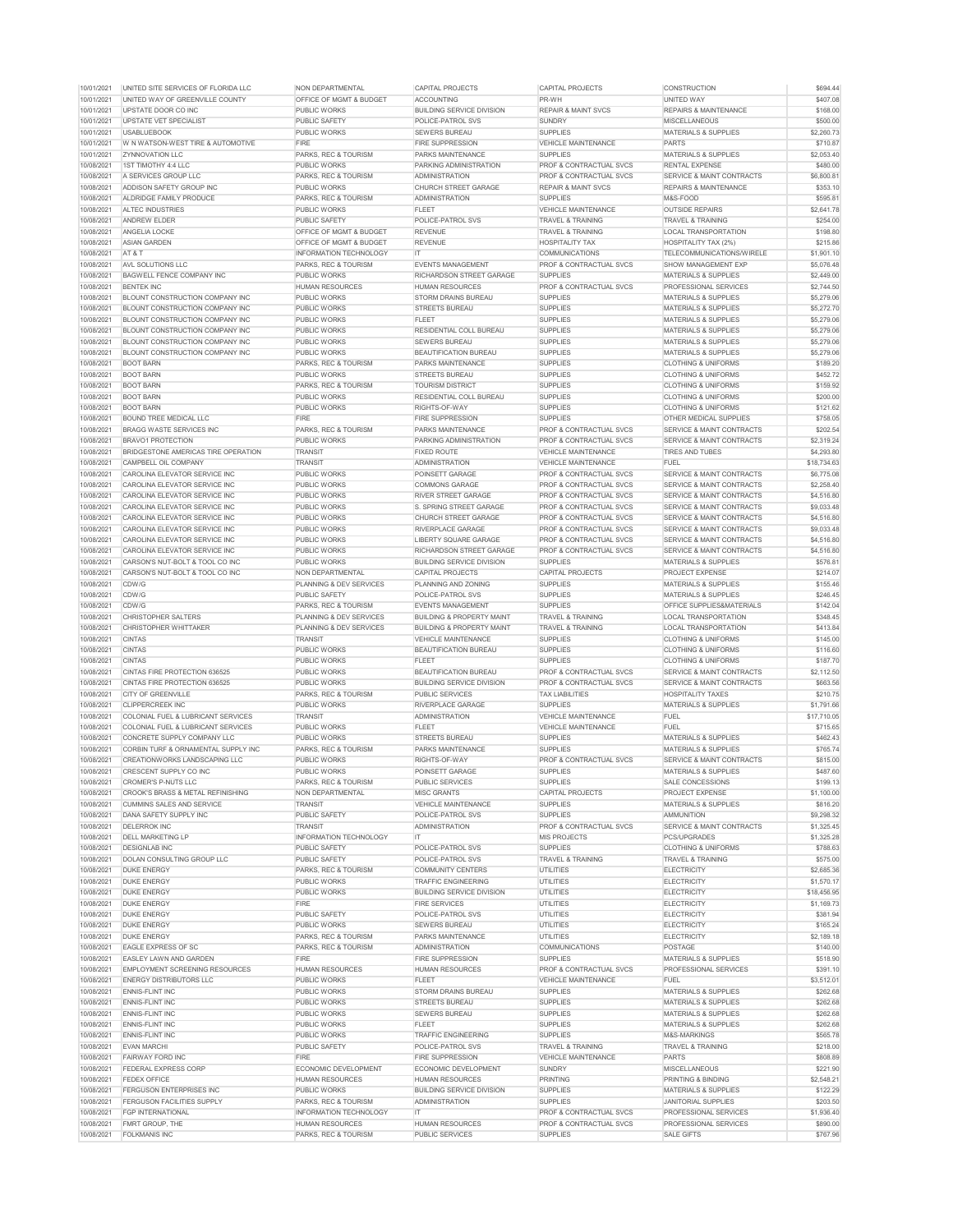| 10/01/2021 | UNITED SITE SERVICES OF FLORIDA LLC           | <b>NON DEPARTMENTAL</b>            | <b>CAPITAL PROJECTS</b>              | <b>CAPITAL PROJECTS</b>            | <b>CONSTRUCTION</b>                  | \$694.44    |
|------------|-----------------------------------------------|------------------------------------|--------------------------------------|------------------------------------|--------------------------------------|-------------|
| 10/01/2021 | UNITED WAY OF GREENVILLE COUNTY               | <b>OFFICE OF MGMT &amp; BUDGET</b> | <b>ACCOUNTING</b>                    | PR-WH                              | UNITED WAY                           | \$407.08    |
| 10/01/2021 | UPSTATE DOOR CO INC                           | <b>PUBLIC WORKS</b>                | <b>BUILDING SERVICE DIVISION</b>     | <b>REPAIR &amp; MAINT SVCS</b>     | <b>REPAIRS &amp; MAINTENANCE</b>     | \$168.00    |
|            |                                               |                                    |                                      |                                    |                                      |             |
| 10/01/2021 | UPSTATE VET SPECIALIST                        | PUBLIC SAFETY                      | POLICE-PATROL SVS                    | <b>SUNDRY</b>                      | <b>MISCELLANEOUS</b>                 | \$500.00    |
| 10/01/2021 | <b>USABLUEBOOK</b>                            | <b>PUBLIC WORKS</b>                | <b>SEWERS BUREAU</b>                 | <b>SUPPLIES</b>                    | <b>MATERIALS &amp; SUPPLIES</b>      | \$2,260.73  |
| 10/01/2021 | W N WATSON-WEST TIRE & AUTOMOTIVE             | <b>FIRE</b>                        | <b>FIRE SUPPRESSION</b>              | <b>VEHICLE MAINTENANCE</b>         | <b>PARTS</b>                         | \$710.87    |
| 10/01/2021 | <b>IZYNNOVATION LLC</b>                       | <b>PARKS, REC &amp; TOURISM</b>    | <b>PARKS MAINTENANCE</b>             | <b>SUPPLIES</b>                    | <b>MATERIALS &amp; SUPPLIES</b>      | \$2,053.40  |
| 10/08/2021 | 1ST TIMOTHY 4:4 LLC                           | <b>PUBLIC WORKS</b>                | PARKING ADMINISTRATION               | <b>PROF &amp; CONTRACTUAL SVCS</b> | <b>RENTAL EXPENSE</b>                | \$480.00    |
| 10/08/2021 | A SERVICES GROUP LLC                          | <b>PARKS, REC &amp; TOURISM</b>    | <b>ADMINISTRATION</b>                | <b>PROF &amp; CONTRACTUAL SVCS</b> | SERVICE & MAINT CONTRACTS            | \$6,800.81  |
|            |                                               |                                    |                                      |                                    |                                      |             |
| 10/08/2021 | ADDISON SAFETY GROUP INC                      | <b>PUBLIC WORKS</b>                | <b>CHURCH STREET GARAGE</b>          | <b>REPAIR &amp; MAINT SVCS</b>     | <b>REPAIRS &amp; MAINTENANCE</b>     | \$353.10    |
| 10/08/2021 | ALDRIDGE FAMILY PRODUCE                       | <b>PARKS, REC &amp; TOURISM</b>    | <b>ADMINISTRATION</b>                | <b>SUPPLIES</b>                    | M&S-FOOD                             | \$595.81    |
| 10/08/2021 | <b>ALTEC INDUSTRIES</b>                       | <b>PUBLIC WORKS</b>                | <b>FLEET</b>                         | <b>VEHICLE MAINTENANCE</b>         | <b>OUTSIDE REPAIRS</b>               | \$2,641.78  |
| 10/08/2021 | <b>ANDREW ELDER</b>                           | PUBLIC SAFETY                      | POLICE-PATROL SVS                    | <b>TRAVEL &amp; TRAINING</b>       | <b>TRAVEL &amp; TRAINING</b>         | \$254.00    |
| 10/08/2021 | <b>ANGELIA LOCKE</b>                          | <b>OFFICE OF MGMT &amp; BUDGET</b> | <b>REVENUE</b>                       | <b>TRAVEL &amp; TRAINING</b>       | <b>LOCAL TRANSPORTATION</b>          | \$198.80    |
| 10/08/2021 | <b>ASIAN GARDEN</b>                           | <b>OFFICE OF MGMT &amp; BUDGET</b> | <b>REVENUE</b>                       | <b>HOSPITALITY TAX</b>             | <b>HOSPITALITY TAX (2%)</b>          | \$215.86    |
|            |                                               |                                    |                                      |                                    |                                      |             |
| 10/08/2021 | AT&T                                          | <b>INFORMATION TECHNOLOGY</b>      | IT.                                  | <b>COMMUNICATIONS</b>              | TELECOMMUNICATIONS/WIRELE            | \$1,901.10  |
| 10/08/2021 | <b>AVL SOLUTIONS LLC</b>                      | <b>PARKS, REC &amp; TOURISM</b>    | <b>EVENTS MANAGEMENT</b>             | <b>PROF &amp; CONTRACTUAL SVCS</b> | SHOW MANAGEMENT EXP                  | \$5,076.48  |
| 10/08/2021 | BAGWELL FENCE COMPANY INC                     | <b>PUBLIC WORKS</b>                | <b>RICHARDSON STREET GARAGE</b>      | <b>SUPPLIES</b>                    | <b>MATERIALS &amp; SUPPLIES</b>      | \$2,449.00  |
| 10/08/2021 | <b>BENTEK INC</b>                             | <b>HUMAN RESOURCES</b>             | <b>HUMAN RESOURCES</b>               | <b>PROF &amp; CONTRACTUAL SVCS</b> | <b>PROFESSIONAL SERVICES</b>         | \$2,744.50  |
| 10/08/2021 | <b>BLOUNT CONSTRUCTION COMPANY INC</b>        | <b>PUBLIC WORKS</b>                | <b>STORM DRAINS BUREAU</b>           | <b>SUPPLIES</b>                    | <b>MATERIALS &amp; SUPPLIES</b>      | \$5,279.06  |
| 10/08/2021 | BLOUNT CONSTRUCTION COMPANY INC               | <b>PUBLIC WORKS</b>                | <b>STREETS BUREAU</b>                | <b>SUPPLIES</b>                    | <b>MATERIALS &amp; SUPPLIES</b>      | \$5,272.70  |
|            |                                               |                                    |                                      |                                    |                                      |             |
| 10/08/2021 | BLOUNT CONSTRUCTION COMPANY INC               | <b>PUBLIC WORKS</b>                | <b>FLEET</b>                         | <b>SUPPLIES</b>                    | <b>MATERIALS &amp; SUPPLIES</b>      | \$5,279.06  |
| 10/08/2021 | BLOUNT CONSTRUCTION COMPANY INC               | <b>PUBLIC WORKS</b>                | <b>RESIDENTIAL COLL BUREAU</b>       | <b>SUPPLIES</b>                    | <b>MATERIALS &amp; SUPPLIES</b>      | \$5,279.06  |
| 10/08/2021 | <b>BLOUNT CONSTRUCTION COMPANY INC</b>        | <b>PUBLIC WORKS</b>                | <b>SEWERS BUREAU</b>                 | <b>SUPPLIES</b>                    | <b>MATERIALS &amp; SUPPLIES</b>      | \$5,279.06  |
| 10/08/2021 | <b>BLOUNT CONSTRUCTION COMPANY INC</b>        | <b>PUBLIC WORKS</b>                | <b>BEAUTIFICATION BUREAU</b>         | <b>SUPPLIES</b>                    | <b>MATERIALS &amp; SUPPLIES</b>      | \$5,279.06  |
| 10/08/2021 | <b>BOOT BARN</b>                              | <b>PARKS, REC &amp; TOURISM</b>    | <b>PARKS MAINTENANCE</b>             | <b>SUPPLIES</b>                    | <b>CLOTHING &amp; UNIFORMS</b>       | \$189.20    |
|            |                                               |                                    |                                      |                                    |                                      |             |
| 10/08/2021 | <b>BOOT BARN</b>                              | <b>PUBLIC WORKS</b>                | <b>STREETS BUREAU</b>                | <b>SUPPLIES</b>                    | <b>CLOTHING &amp; UNIFORMS</b>       | \$452.72    |
| 10/08/2021 | <b>BOOT BARN</b>                              | <b>PARKS, REC &amp; TOURISM</b>    | <b>TOURISM DISTRICT</b>              | <b>SUPPLIES</b>                    | <b>CLOTHING &amp; UNIFORMS</b>       | \$159.92    |
| 10/08/2021 | <b>BOOT BARN</b>                              | <b>PUBLIC WORKS</b>                | <b>RESIDENTIAL COLL BUREAU</b>       | <b>SUPPLIES</b>                    | <b>CLOTHING &amp; UNIFORMS</b>       | \$200.00    |
| 10/08/2021 | <b>BOOT BARN</b>                              | <b>PUBLIC WORKS</b>                | RIGHTS-OF-WAY                        | <b>SUPPLIES</b>                    | <b>CLOTHING &amp; UNIFORMS</b>       | \$121.62    |
| 10/08/2021 | <b>BOUND TREE MEDICAL LLC</b>                 | <b>FIRE</b>                        | <b>FIRE SUPPRESSION</b>              | <b>SUPPLIES</b>                    | <b>OTHER MEDICAL SUPPLIES</b>        | \$758.05    |
| 10/08/2021 | <b>BRAGG WASTE SERVICES INC</b>               | <b>PARKS, REC &amp; TOURISM</b>    | PARKS MAINTENANCE                    | <b>PROF &amp; CONTRACTUAL SVCS</b> | SERVICE & MAINT CONTRACTS            | \$202.54    |
|            |                                               |                                    |                                      |                                    |                                      |             |
| 10/08/2021 | <b>BRAVO1 PROTECTION</b>                      | <b>PUBLIC WORKS</b>                | PARKING ADMINISTRATION               | PROF & CONTRACTUAL SVCS            | SERVICE & MAINT CONTRACTS            | \$2,319.24  |
| 10/08/2021 | BRIDGESTONE AMERICAS TIRE OPERATION           | <b>TRANSIT</b>                     | <b>FIXED ROUTE</b>                   | <b>VEHICLE MAINTENANCE</b>         | <b>TIRES AND TUBES</b>               | \$4,293.80  |
| 10/08/2021 | CAMPBELL OIL COMPANY                          | <b>TRANSIT</b>                     | <b>ADMINISTRATION</b>                | <b>VEHICLE MAINTENANCE</b>         | <b>FUEL</b>                          | \$18,734.63 |
| 10/08/2021 | CAROLINA ELEVATOR SERVICE INC                 | PUBLIC WORKS                       | <b>POINSETT GARAGE</b>               | <b>PROF &amp; CONTRACTUAL SVCS</b> | <b>SERVICE &amp; MAINT CONTRACTS</b> | \$6,775.08  |
| 10/08/2021 | CAROLINA ELEVATOR SERVICE INC                 | <b>PUBLIC WORKS</b>                | <b>COMMONS GARAGE</b>                | <b>PROF &amp; CONTRACTUAL SVCS</b> | SERVICE & MAINT CONTRACTS            | \$2,258.40  |
| 10/08/2021 | CAROLINA ELEVATOR SERVICE INC                 | <b>PUBLIC WORKS</b>                | <b>RIVER STREET GARAGE</b>           | <b>PROF &amp; CONTRACTUAL SVCS</b> | SERVICE & MAINT CONTRACTS            | \$4,516.80  |
|            |                                               |                                    |                                      |                                    |                                      |             |
| 10/08/2021 | CAROLINA ELEVATOR SERVICE INC                 | <b>PUBLIC WORKS</b>                | S. SPRING STREET GARAGE              | <b>PROF &amp; CONTRACTUAL SVCS</b> | SERVICE & MAINT CONTRACTS            | \$9,033.48  |
| 10/08/2021 | CAROLINA ELEVATOR SERVICE INC                 | <b>PUBLIC WORKS</b>                | <b>CHURCH STREET GARAGE</b>          | <b>PROF &amp; CONTRACTUAL SVCS</b> | <b>SERVICE &amp; MAINT CONTRACTS</b> | \$4,516.80  |
| 10/08/2021 | CAROLINA ELEVATOR SERVICE INC                 | <b>PUBLIC WORKS</b>                | <b>RIVERPLACE GARAGE</b>             | <b>PROF &amp; CONTRACTUAL SVCS</b> | SERVICE & MAINT CONTRACTS            | \$9,033.48  |
| 10/08/2021 | CAROLINA ELEVATOR SERVICE INC                 | <b>PUBLIC WORKS</b>                | LIBERTY SQUARE GARAGE                | <b>PROF &amp; CONTRACTUAL SVCS</b> | <b>SERVICE &amp; MAINT CONTRACTS</b> | \$4,516.80  |
| 10/08/2021 | CAROLINA ELEVATOR SERVICE INC                 | <b>PUBLIC WORKS</b>                | <b>RICHARDSON STREET GARAGE</b>      | <b>PROF &amp; CONTRACTUAL SVCS</b> | SERVICE & MAINT CONTRACTS            | \$4,516.80  |
|            |                                               |                                    |                                      |                                    |                                      |             |
| 10/08/2021 | CARSON'S NUT-BOLT & TOOL CO INC               | <b>PUBLIC WORKS</b>                | <b>BUILDING SERVICE DIVISION</b>     | <b>SUPPLIES</b>                    | <b>MATERIALS &amp; SUPPLIES</b>      | \$576.81    |
| 10/08/2021 | CARSON'S NUT-BOLT & TOOL CO INC               | <b>NON DEPARTMENTAL</b>            | <b>CAPITAL PROJECTS</b>              | <b>CAPITAL PROJECTS</b>            | <b>PROJECT EXPENSE</b>               | \$214.07    |
| 10/08/2021 | CDW/G                                         | <b>PLANNING &amp; DEV SERVICES</b> | PLANNING AND ZONING                  | <b>SUPPLIES</b>                    | <b>MATERIALS &amp; SUPPLIES</b>      | \$155.46    |
| 10/08/2021 | CDW/G                                         | <b>PUBLIC SAFETY</b>               | <b>POLICE-PATROL SVS</b>             | <b>SUPPLIES</b>                    | <b>MATERIALS &amp; SUPPLIES</b>      | \$246.45    |
| 10/08/2021 | CDW/G                                         | <b>PARKS, REC &amp; TOURISM</b>    | <b>EVENTS MANAGEMENT</b>             | <b>SUPPLIES</b>                    | <b>OFFICE SUPPLIES&amp;MATERIALS</b> | \$142.04    |
| 10/08/2021 | <b>CHRISTOPHER SALTERS</b>                    | <b>PLANNING &amp; DEV SERVICES</b> | <b>BUILDING &amp; PROPERTY MAINT</b> | <b>TRAVEL &amp; TRAINING</b>       | <b>LOCAL TRANSPORTATION</b>          | \$348.45    |
|            |                                               |                                    |                                      |                                    |                                      |             |
| 10/08/2021 | <b>CHRISTOPHER WHITTAKER</b>                  | <b>PLANNING &amp; DEV SERVICES</b> | <b>BUILDING &amp; PROPERTY MAINT</b> | <b>TRAVEL &amp; TRAINING</b>       | <b>LOCAL TRANSPORTATION</b>          | \$413.84    |
| 10/08/2021 | <b>CINTAS</b>                                 | <b>TRANSIT</b>                     | <b>VEHICLE MAINTENANCE</b>           | <b>SUPPLIES</b>                    | <b>CLOTHING &amp; UNIFORMS</b>       | \$145.00    |
| 10/08/2021 | <b>CINTAS</b>                                 | <b>PUBLIC WORKS</b>                | <b>BEAUTIFICATION BUREAU</b>         | <b>SUPPLIES</b>                    | <b>CLOTHING &amp; UNIFORMS</b>       | \$116.60    |
| 10/08/2021 | <b>CINTAS</b>                                 | <b>PUBLIC WORKS</b>                | <b>FLEET</b>                         | <b>SUPPLIES</b>                    | <b>CLOTHING &amp; UNIFORMS</b>       | \$187.70    |
| 10/08/2021 | <b>CINTAS FIRE PROTECTION 636525</b>          | <b>PUBLIC WORKS</b>                | <b>BEAUTIFICATION BUREAU</b>         | <b>PROF &amp; CONTRACTUAL SVCS</b> | SERVICE & MAINT CONTRACTS            | \$2,112.50  |
| 10/08/2021 | <b>CINTAS FIRE PROTECTION 636525</b>          | <b>PUBLIC WORKS</b>                | <b>BUILDING SERVICE DIVISION</b>     | <b>PROF &amp; CONTRACTUAL SVCS</b> | <b>SERVICE &amp; MAINT CONTRACTS</b> | \$663.56    |
|            |                                               |                                    |                                      |                                    |                                      |             |
| 10/08/2021 | <b>CITY OF GREENVILLE</b>                     | <b>PARKS, REC &amp; TOURISM</b>    | <b>PUBLIC SERVICES</b>               | <b>TAX LIABILITIES</b>             | <b>HOSPITALITY TAXES</b>             | \$210.75    |
| 10/08/2021 | <b>CLIPPERCREEK INC</b>                       | <b>PUBLIC WORKS</b>                | <b>RIVERPLACE GARAGE</b>             | <b>SUPPLIES</b>                    | <b>MATERIALS &amp; SUPPLIES</b>      | \$1,791.66  |
| 10/08/2021 | <b>COLONIAL FUEL &amp; LUBRICANT SERVICES</b> | <b>TRANSIT</b>                     | <b>ADMINISTRATION</b>                | <b>VEHICLE MAINTENANCE</b>         | <b>FUEL</b>                          | \$17,710.05 |
| 10/08/2021 | COLONIAL FUEL & LUBRICANT SERVICES            | <b>PUBLIC WORKS</b>                | <b>FLEET</b>                         | <b>VEHICLE MAINTENANCE</b>         | <b>FUEL</b>                          | \$715.65    |
| 10/08/2021 | CONCRETE SUPPLY COMPANY LLC                   | <b>PUBLIC WORKS</b>                | <b>STREETS BUREAU</b>                | <b>SUPPLIES</b>                    | <b>MATERIALS &amp; SUPPLIES</b>      | \$462.43    |
| 10/08/2021 | CORBIN TURF & ORNAMENTAL SUPPLY INC           | PARKS, REC & TOURISM               | <b>PARKS MAINTENANCE</b>             | <b>SUPPLIES</b>                    | <b>MATERIALS &amp; SUPPLIES</b>      | \$765.74    |
|            |                                               |                                    |                                      |                                    |                                      |             |
| 10/08/2021 | CREATIONWORKS LANDSCAPING LLC                 | <b>PUBLIC WORKS</b>                | RIGHTS-OF-WAY                        | <b>PROF &amp; CONTRACTUAL SVCS</b> | <b>SERVICE &amp; MAINT CONTRACTS</b> | \$815.00    |
| 10/08/2021 | <b>CRESCENT SUPPLY CO INC</b>                 | <b>PUBLIC WORKS</b>                | <b>POINSETT GARAGE</b>               | <b>SUPPLIES</b>                    | <b>MATERIALS &amp; SUPPLIES</b>      | \$487.60    |
| 10/08/2021 | <b>CROMER'S P-NUTS LLC</b>                    | <b>PARKS, REC &amp; TOURISM</b>    | <b>PUBLIC SERVICES</b>               | <b>SUPPLIES</b>                    | <b>SALE CONCESSIONS</b>              | \$199.13    |
| 10/08/2021 | <b>CROOK'S BRASS &amp; METAL REFINISHING</b>  | <b>NON DEPARTMENTAL</b>            | <b>MISC GRANTS</b>                   | <b>CAPITAL PROJECTS</b>            | <b>PROJECT EXPENSE</b>               | \$1,100.00  |
| 10/08/2021 | <b>CUMMINS SALES AND SERVICE</b>              | <b>TRANSIT</b>                     | <b>VEHICLE MAINTENANCE</b>           | <b>SUPPLIES</b>                    | <b>MATERIALS &amp; SUPPLIES</b>      | \$816.20    |
| 10/08/2021 | <b>DANA SAFETY SUPPLY INC</b>                 | PUBLIC SAFETY                      | <b>POLICE-PATROL SVS</b>             | <b>SUPPLIES</b>                    | <b>AMMUNITION</b>                    | \$9,298.32  |
| 10/08/2021 | <b>DELERROK INC</b>                           | <b>TRANSIT</b>                     | <b>ADMINISTRATION</b>                | <b>PROF &amp; CONTRACTUAL SVCS</b> | SERVICE & MAINT CONTRACTS            | \$1,325.45  |
| 10/08/2021 | <b>DELL MARKETING LP</b>                      | <b>INFORMATION TECHNOLOGY</b>      | IT.                                  | <b>MIS PROJECTS</b>                | PCS/UPGRADES                         | \$1,325.28  |
|            |                                               |                                    |                                      |                                    |                                      |             |
| 10/08/2021 | <b>DESIGNLAB INC</b>                          | PUBLIC SAFETY                      | POLICE-PATROL SVS                    |                                    | <b>CLOTHING &amp; UNIFORMS</b>       | \$788.63    |
| 10/08/2021 | <b>DOLAN CONSULTING GROUP LLC</b>             | <b>PUBLIC SAFETY</b>               |                                      | <b>SUPPLIES</b>                    |                                      |             |
| 10/08/2021 |                                               |                                    | <b>POLICE-PATROL SVS</b>             | <b>TRAVEL &amp; TRAINING</b>       | <b>TRAVEL &amp; TRAINING</b>         | \$575.00    |
| 10/08/2021 | <b>DUKE ENERGY</b>                            | PARKS, REC & TOURISM               | <b>COMMUNITY CENTERS</b>             | <b>UTILITIES</b>                   | <b>ELECTRICITY</b>                   | \$2,685.36  |
|            | <b>DUKE ENERGY</b>                            | <b>PUBLIC WORKS</b>                | <b>TRAFFIC ENGINEERING</b>           | <b>UTILITIES</b>                   | <b>ELECTRICITY</b>                   | \$1,570.17  |
|            |                                               | <b>PUBLIC WORKS</b>                |                                      |                                    |                                      |             |
| 10/08/2021 | <b>DUKE ENERGY</b>                            |                                    | <b>BUILDING SERVICE DIVISION</b>     | <b>UTILITIES</b>                   | <b>ELECTRICITY</b>                   | \$18,456.95 |
| 10/08/2021 | <b>DUKE ENERGY</b>                            | <b>FIRE</b>                        | <b>FIRE SERVICES</b>                 | <b>UTILITIES</b>                   | <b>ELECTRICITY</b>                   | \$1,169.73  |
| 10/08/2021 | <b>DUKE ENERGY</b>                            | PUBLIC SAFETY                      | POLICE-PATROL SVS                    | UTILITIES                          | <b>ELECTRICITY</b>                   | \$381.94    |
| 10/08/2021 | <b>DUKE ENERGY</b>                            | PUBLIC WORKS                       | <b>SEWERS BUREAU</b>                 | <b>UTILITIES</b>                   | <b>ELECTRICITY</b>                   | \$165.24    |
| 10/08/2021 | <b>DUKE ENERGY</b>                            | <b>PARKS, REC &amp; TOURISM</b>    | <b>PARKS MAINTENANCE</b>             | <b>UTILITIES</b>                   | <b>ELECTRICITY</b>                   | \$2,189.18  |
| 10/08/2021 | EAGLE EXPRESS OF SC                           | <b>PARKS, REC &amp; TOURISM</b>    | <b>ADMINISTRATION</b>                | <b>COMMUNICATIONS</b>              | POSTAGE                              | \$140.00    |
|            |                                               | <b>FIRE</b>                        |                                      |                                    |                                      |             |
| 10/08/2021 | <b>EASLEY LAWN AND GARDEN</b>                 |                                    | <b>FIRE SUPPRESSION</b>              | <b>SUPPLIES</b>                    | <b>MATERIALS &amp; SUPPLIES</b>      | \$518.90    |
| 10/08/2021 | <b>EMPLOYMENT SCREENING RESOURCES</b>         | <b>HUMAN RESOURCES</b>             | <b>HUMAN RESOURCES</b>               | <b>PROF &amp; CONTRACTUAL SVCS</b> | <b>PROFESSIONAL SERVICES</b>         | \$391.10    |
| 10/08/2021 | <b>ENERGY DISTRIBUTORS LLC</b>                | <b>PUBLIC WORKS</b>                | <b>FLEET</b>                         | <b>VEHICLE MAINTENANCE</b>         | <b>FUEL</b>                          | \$3,512.01  |
| 10/08/2021 | <b>ENNIS-FLINT INC</b>                        | <b>PUBLIC WORKS</b>                | <b>STORM DRAINS BUREAU</b>           | <b>SUPPLIES</b>                    | <b>MATERIALS &amp; SUPPLIES</b>      | \$262.68    |
| 10/08/2021 | <b>ENNIS-FLINT INC</b>                        | <b>PUBLIC WORKS</b>                | <b>STREETS BUREAU</b>                | <b>SUPPLIES</b>                    | <b>MATERIALS &amp; SUPPLIES</b>      | \$262.68    |
| 10/08/2021 | <b>ENNIS-FLINT INC</b>                        | <b>PUBLIC WORKS</b>                | <b>SEWERS BUREAU</b>                 | <b>SUPPLIES</b>                    | <b>MATERIALS &amp; SUPPLIES</b>      | \$262.68    |
|            |                                               |                                    |                                      |                                    |                                      |             |
| 10/08/2021 | ENNIS-FLINT INC                               | <b>PUBLIC WORKS</b>                | <b>FLEET</b>                         | <b>SUPPLIES</b>                    | <b>MATERIALS &amp; SUPPLIES</b>      | \$262.68    |
| 10/08/2021 | <b>ENNIS-FLINT INC</b>                        | <b>PUBLIC WORKS</b>                | <b>TRAFFIC ENGINEERING</b>           | <b>SUPPLIES</b>                    | M&S-MARKINGS                         | \$565.78    |
| 10/08/2021 | <b>EVAN MARCHI</b>                            | PUBLIC SAFETY                      | POLICE-PATROL SVS                    | <b>TRAVEL &amp; TRAINING</b>       | <b>TRAVEL &amp; TRAINING</b>         | \$218.00    |
| 10/08/2021 | <b>FAIRWAY FORD INC</b>                       | <b>FIRE</b>                        | <b>FIRE SUPPRESSION</b>              | <b>VEHICLE MAINTENANCE</b>         | <b>PARTS</b>                         | \$808.89    |
| 10/08/2021 | <b>FEDERAL EXPRESS CORP</b>                   | ECONOMIC DEVELOPMENT               | ECONOMIC DEVELOPMENT                 | <b>SUNDRY</b>                      | <b>MISCELLANEOUS</b>                 | \$221.90    |
|            | <b>FEDEX OFFICE</b>                           | <b>HUMAN RESOURCES</b>             | <b>HUMAN RESOURCES</b>               | <b>PRINTING</b>                    | <b>PRINTING &amp; BINDING</b>        |             |
| 10/08/2021 |                                               |                                    |                                      |                                    |                                      | \$2,548.21  |
| 10/08/2021 | <b>FERGUSON ENTERPRISES INC</b>               | <b>PUBLIC WORKS</b>                | <b>BUILDING SERVICE DIVISION</b>     | <b>SUPPLIES</b>                    | <b>MATERIALS &amp; SUPPLIES</b>      | \$122.29    |
| 10/08/2021 | <b>FERGUSON FACILITIES SUPPLY</b>             | <b>PARKS, REC &amp; TOURISM</b>    | <b>ADMINISTRATION</b>                | <b>SUPPLIES</b>                    | <b>JANITORIAL SUPPLIES</b>           | \$203.50    |
| 10/08/2021 | <b>FGP INTERNATIONAL</b>                      | <b>INFORMATION TECHNOLOGY</b>      | IT.                                  | <b>PROF &amp; CONTRACTUAL SVCS</b> | PROFESSIONAL SERVICES                | \$1,936.40  |
| 10/08/2021 | <b>FMRT GROUP, THE</b>                        | <b>HUMAN RESOURCES</b>             | <b>HUMAN RESOURCES</b>               | <b>PROF &amp; CONTRACTUAL SVCS</b> | PROFESSIONAL SERVICES                | \$890.00    |
| 10/08/2021 | <b>FOLKMANIS INC</b>                          | PARKS, REC & TOURISM               | <b>PUBLIC SERVICES</b>               | <b>SUPPLIES</b>                    | <b>SALE GIFTS</b>                    | \$767.96    |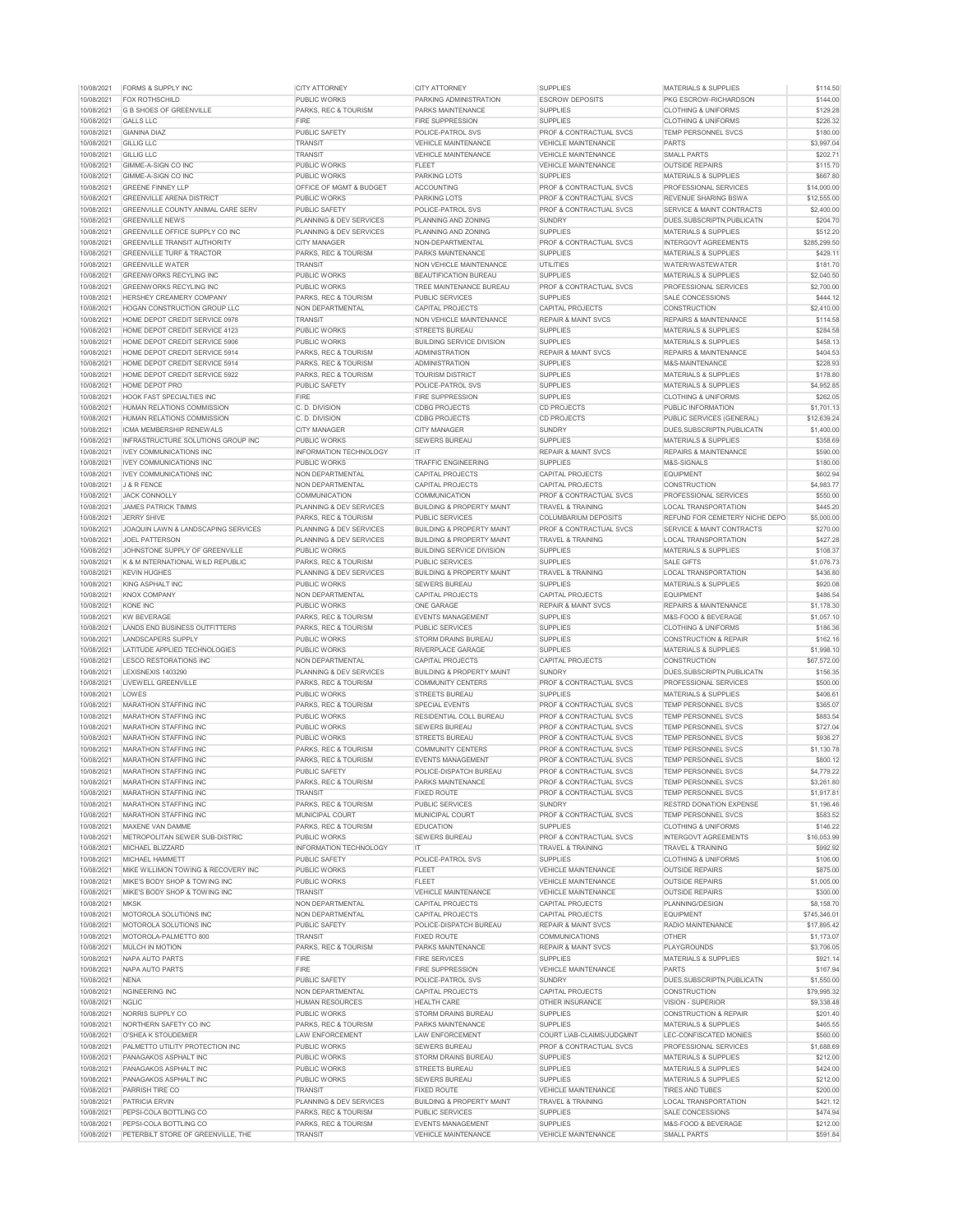| 10/08/2021                                                                                                                                                                                       | FORMS & SUPPLY INC                             | <b>CITY ATTORNEY</b>               | <b>CITY ATTORNEY</b>                 | <b>SUPPLIES</b>                    | MATERIALS & SUPPLIES                 | \$114.50     |
|--------------------------------------------------------------------------------------------------------------------------------------------------------------------------------------------------|------------------------------------------------|------------------------------------|--------------------------------------|------------------------------------|--------------------------------------|--------------|
| 10/08/2021                                                                                                                                                                                       | <b>FOX ROTHSCHILD</b>                          | <b>PUBLIC WORKS</b>                | <b>PARKING ADMINISTRATION</b>        | <b>ESCROW DEPOSITS</b>             | PKG ESCROW-RICHARDSON                | \$144.00     |
| 10/08/2021                                                                                                                                                                                       | <b>G B SHOES OF GREENVILLE</b>                 | PARKS, REC & TOURISM               | <b>PARKS MAINTENANCE</b>             | <b>SUPPLIES</b>                    | <b>CLOTHING &amp; UNIFORMS</b>       | \$129.28     |
| 10/08/2021                                                                                                                                                                                       | <b>GALLS LLC</b>                               | <b>FIRE</b>                        | <b>FIRE SUPPRESSION</b>              | <b>SUPPLIES</b>                    | <b>CLOTHING &amp; UNIFORMS</b>       | \$226.32     |
| 10/08/2021                                                                                                                                                                                       | <b>GIANINA DIAZ</b>                            | PUBLIC SAFETY                      | <b>POLICE-PATROL SVS</b>             | <b>PROF &amp; CONTRACTUAL SVCS</b> | <b>TEMP PERSONNEL SVCS</b>           | \$180.00     |
| 10/08/2021                                                                                                                                                                                       | <b>GILLIG LLC</b>                              | <b>TRANSIT</b>                     | <b>VEHICLE MAINTENANCE</b>           | <b>VEHICLE MAINTENANCE</b>         | <b>PARTS</b>                         | \$3,997.04   |
| 10/08/2021                                                                                                                                                                                       | <b>GILLIG LLC</b>                              | <b>TRANSIT</b>                     | <b>VEHICLE MAINTENANCE</b>           | <b>VEHICLE MAINTENANCE</b>         | <b>SMALL PARTS</b>                   | \$202.71     |
| 10/08/2021                                                                                                                                                                                       | <b>GIMME-A-SIGN CO INC</b>                     | <b>PUBLIC WORKS</b>                | <b>FLEET</b>                         | <b>VEHICLE MAINTENANCE</b>         | <b>OUTSIDE REPAIRS</b>               | \$115.70     |
| 10/08/2021                                                                                                                                                                                       | <b>GIMME-A-SIGN CO INC</b>                     | <b>PUBLIC WORKS</b>                | <b>PARKING LOTS</b>                  | <b>SUPPLIES</b>                    | <b>MATERIALS &amp; SUPPLIES</b>      | \$667.80     |
| 10/08/2021                                                                                                                                                                                       | <b>GREENE FINNEY LLP</b>                       | <b>OFFICE OF MGMT &amp; BUDGET</b> | <b>ACCOUNTING</b>                    | <b>PROF &amp; CONTRACTUAL SVCS</b> | <b>PROFESSIONAL SERVICES</b>         | \$14,000.00  |
| 10/08/2021                                                                                                                                                                                       | <b>GREENVILLE ARENA DISTRICT</b>               | <b>PUBLIC WORKS</b>                | <b>PARKING LOTS</b>                  | <b>PROF &amp; CONTRACTUAL SVCS</b> | REVENUE SHARING BSWA                 | \$12,555.00  |
| 10/08/2021                                                                                                                                                                                       | <b>GREENVILLE COUNTY ANIMAL CARE SERV</b>      | <b>PUBLIC SAFETY</b>               | <b>POLICE-PATROL SVS</b>             | <b>PROF &amp; CONTRACTUAL SVCS</b> | SERVICE & MAINT CONTRACTS            | \$2,400.00   |
| 10/08/2021                                                                                                                                                                                       | <b>GREENVILLE NEWS</b>                         | <b>PLANNING &amp; DEV SERVICES</b> | PLANNING AND ZONING                  | <b>SUNDRY</b>                      | DUES, SUBSCRIPTN, PUBLICATN          | \$204.70     |
| 10/08/2021                                                                                                                                                                                       | <b>GREENVILLE OFFICE SUPPLY CO INC</b>         | PLANNING & DEV SERVICES            | PLANNING AND ZONING                  | <b>SUPPLIES</b>                    | <b>MATERIALS &amp; SUPPLIES</b>      | \$512.20     |
| 10/08/2021                                                                                                                                                                                       | <b>GREENVILLE TRANSIT AUTHORITY</b>            | <b>CITY MANAGER</b>                | NON-DEPARTMENTAL                     | <b>PROF &amp; CONTRACTUAL SVCS</b> | <b>INTERGOVT AGREEMENTS</b>          | \$285,299.50 |
| 10/08/2021                                                                                                                                                                                       | <b>GREENVILLE TURF &amp; TRACTOR</b>           | <b>PARKS, REC &amp; TOURISM</b>    | <b>PARKS MAINTENANCE</b>             | <b>SUPPLIES</b>                    | <b>MATERIALS &amp; SUPPLIES</b>      | \$429.11     |
| 10/08/2021                                                                                                                                                                                       | <b>GREENVILLE WATER</b>                        | <b>TRANSIT</b>                     | NON VEHICLE MAINTENANCE              | <b>UTILITIES</b>                   | <b>WATER/WASTEWATER</b>              | \$181.70     |
| 10/08/2021                                                                                                                                                                                       | <b>GREENWORKS RECYLING INC</b>                 | <b>PUBLIC WORKS</b>                | <b>BEAUTIFICATION BUREAU</b>         | <b>SUPPLIES</b>                    | <b>MATERIALS &amp; SUPPLIES</b>      | \$2,040.50   |
| 10/08/2021                                                                                                                                                                                       | <b>GREENWORKS RECYLING INC</b>                 | <b>PUBLIC WORKS</b>                | TREE MAINTENANCE BUREAU              | <b>PROF &amp; CONTRACTUAL SVCS</b> | <b>PROFESSIONAL SERVICES</b>         | \$2,700.00   |
| 10/08/2021                                                                                                                                                                                       | <b>HERSHEY CREAMERY COMPANY</b>                | PARKS, REC & TOURISM               | <b>PUBLIC SERVICES</b>               | <b>SUPPLIES</b>                    | SALE CONCESSIONS                     | \$444.12     |
| 10/08/2021                                                                                                                                                                                       | <b>HOGAN CONSTRUCTION GROUP LLC</b>            | <b>NON DEPARTMENTAL</b>            | <b>CAPITAL PROJECTS</b>              | <b>CAPITAL PROJECTS</b>            | <b>CONSTRUCTION</b>                  | \$2,410.00   |
| 10/08/2021                                                                                                                                                                                       | HOME DEPOT CREDIT SERVICE 0978                 | <b>TRANSIT</b>                     | NON VEHICLE MAINTENANCE              | <b>REPAIR &amp; MAINT SVCS</b>     | <b>REPAIRS &amp; MAINTENANCE</b>     | \$114.58     |
| 10/08/2021                                                                                                                                                                                       | <b>HOME DEPOT CREDIT SERVICE 4123</b>          | <b>PUBLIC WORKS</b>                | <b>STREETS BUREAU</b>                | <b>SUPPLIES</b>                    | <b>MATERIALS &amp; SUPPLIES</b>      | \$284.58     |
| 10/08/2021                                                                                                                                                                                       | HOME DEPOT CREDIT SERVICE 5906                 | <b>PUBLIC WORKS</b>                | <b>BUILDING SERVICE DIVISION</b>     | <b>SUPPLIES</b>                    | <b>MATERIALS &amp; SUPPLIES</b>      | \$458.13     |
| 10/08/2021                                                                                                                                                                                       | HOME DEPOT CREDIT SERVICE 5914                 | PARKS, REC & TOURISM               | <b>ADMINISTRATION</b>                | <b>REPAIR &amp; MAINT SVCS</b>     | <b>REPAIRS &amp; MAINTENANCE</b>     | \$404.53     |
| 10/08/2021                                                                                                                                                                                       | HOME DEPOT CREDIT SERVICE 5914                 | PARKS, REC & TOURISM               | <b>ADMINISTRATION</b>                | <b>SUPPLIES</b>                    | M&S-MAINTENANCE                      | \$228.93     |
| 10/08/2021                                                                                                                                                                                       | HOME DEPOT CREDIT SERVICE 5922                 | PARKS, REC & TOURISM               | <b>TOURISM DISTRICT</b>              | <b>SUPPLIES</b>                    | <b>MATERIALS &amp; SUPPLIES</b>      | \$178.80     |
| 10/08/2021                                                                                                                                                                                       | <b>HOME DEPOT PRO</b>                          | <b>PUBLIC SAFETY</b>               | POLICE-PATROL SVS                    | <b>SUPPLIES</b>                    | <b>MATERIALS &amp; SUPPLIES</b>      | \$4,952.85   |
| 10/08/2021                                                                                                                                                                                       | <b>HOOK FAST SPECIALTIES INC</b>               | <b>FIRE</b>                        | <b>FIRE SUPPRESSION</b>              | <b>SUPPLIES</b>                    | <b>CLOTHING &amp; UNIFORMS</b>       | \$262.05     |
| 10/08/2021                                                                                                                                                                                       | <b>HUMAN RELATIONS COMMISSION</b>              | C. D. DIVISION                     | <b>CDBG PROJECTS</b>                 | <b>CD PROJECTS</b>                 | PUBLIC INFORMATION                   | \$1,701.13   |
| 10/08/2021                                                                                                                                                                                       | <b>HUMAN RELATIONS COMMISSION</b>              | C. D. DIVISION                     | <b>CDBG PROJECTS</b>                 | <b>CD PROJECTS</b>                 | PUBLIC SERVICES (GENERAL)            | \$12,639.24  |
| 10/08/2021                                                                                                                                                                                       | <b>ICMA MEMBERSHIP RENEWALS</b>                | <b>CITY MANAGER</b>                | <b>CITY MANAGER</b>                  | <b>SUNDRY</b>                      | DUES, SUBSCRIPTN, PUBLICATN          | \$1,400.00   |
| 10/08/2021                                                                                                                                                                                       | INFRASTRUCTURE SOLUTIONS GROUP INC             | <b>PUBLIC WORKS</b>                | <b>SEWERS BUREAU</b>                 | <b>SUPPLIES</b>                    | <b>MATERIALS &amp; SUPPLIES</b>      | \$358.69     |
| 10/08/2021                                                                                                                                                                                       | <b>IVEY COMMUNICATIONS INC.</b>                | <b>INFORMATION TECHNOLOGY</b>      | IT.                                  | <b>REPAIR &amp; MAINT SVCS</b>     | <b>REPAIRS &amp; MAINTENANCE</b>     | \$590.00     |
| 10/08/2021                                                                                                                                                                                       | <b>IVEY COMMUNICATIONS INC</b>                 | <b>PUBLIC WORKS</b>                | <b>TRAFFIC ENGINEERING</b>           | <b>SUPPLIES</b>                    | M&S-SIGNALS                          | \$180.00     |
| 10/08/2021                                                                                                                                                                                       | <b>IVEY COMMUNICATIONS INC</b>                 | NON DEPARTMENTAL                   | <b>CAPITAL PROJECTS</b>              | <b>CAPITAL PROJECTS</b>            | <b>EQUIPMENT</b>                     | \$602.94     |
| 10/08/2021                                                                                                                                                                                       | J & R FENCE                                    | <b>NON DEPARTMENTAL</b>            | <b>CAPITAL PROJECTS</b>              | <b>CAPITAL PROJECTS</b>            | <b>CONSTRUCTION</b>                  | \$4,983.77   |
| 10/08/2021                                                                                                                                                                                       | <b>JACK CONNOLLY</b>                           | <b>COMMUNICATION</b>               | <b>COMMUNICATION</b>                 | <b>PROF &amp; CONTRACTUAL SVCS</b> | <b>PROFESSIONAL SERVICES</b>         | \$550.00     |
| 10/08/2021                                                                                                                                                                                       | <b>JAMES PATRICK TIMMS</b>                     | <b>PLANNING &amp; DEV SERVICES</b> | <b>BUILDING &amp; PROPERTY MAINT</b> | <b>TRAVEL &amp; TRAINING</b>       | LOCAL TRANSPORTATION                 | \$445.20     |
| 10/08/2021                                                                                                                                                                                       | <b>JERRY SHIVE</b>                             | PARKS, REC & TOURISM               | <b>PUBLIC SERVICES</b>               | <b>COLUMBARIUM DEPOSITS</b>        | REFUND FOR CEMETERY NICHE DEPO       | \$5,000.00   |
| 10/08/2021                                                                                                                                                                                       | <b>JOAQUIN LAWN &amp; LANDSCAPING SERVICES</b> | PLANNING & DEV SERVICES            | <b>BUILDING &amp; PROPERTY MAINT</b> | <b>PROF &amp; CONTRACTUAL SVCS</b> | <b>SERVICE &amp; MAINT CONTRACTS</b> | \$270.00     |
| 10/08/2021                                                                                                                                                                                       | <b>JOEL PATTERSON</b>                          | <b>PLANNING &amp; DEV SERVICES</b> | <b>BUILDING &amp; PROPERTY MAINT</b> | <b>TRAVEL &amp; TRAINING</b>       | <b>LOCAL TRANSPORTATION</b>          | \$427.28     |
| 10/08/2021                                                                                                                                                                                       | JOHNSTONE SUPPLY OF GREENVILLE                 | <b>PUBLIC WORKS</b>                | <b>BUILDING SERVICE DIVISION</b>     | <b>SUPPLIES</b>                    | <b>MATERIALS &amp; SUPPLIES</b>      | \$108.37     |
| 10/08/2021                                                                                                                                                                                       | K & M INTERNATIONAL WILD REPUBLIC              | PARKS, REC & TOURISM               | <b>PUBLIC SERVICES</b>               | <b>SUPPLIES</b>                    | <b>SALE GIFTS</b>                    | \$1,076.73   |
| 10/08/2021                                                                                                                                                                                       | <b>KEVIN HUGHES</b>                            | <b>PLANNING &amp; DEV SERVICES</b> | <b>BUILDING &amp; PROPERTY MAINT</b> | <b>TRAVEL &amp; TRAINING</b>       | <b>LOCAL TRANSPORTATION</b>          | \$436.80     |
| 10/08/2021                                                                                                                                                                                       | KING ASPHALT INC                               | <b>PUBLIC WORKS</b>                | <b>SEWERS BUREAU</b>                 | <b>SUPPLIES</b>                    | <b>MATERIALS &amp; SUPPLIES</b>      | \$920.08     |
| 10/08/2021                                                                                                                                                                                       | <b>KNOX COMPANY</b>                            | NON DEPARTMENTAL                   | <b>CAPITAL PROJECTS</b>              | <b>CAPITAL PROJECTS</b>            | <b>EQUIPMENT</b>                     | \$486.54     |
| 10/08/2021                                                                                                                                                                                       | KONE INC                                       | <b>PUBLIC WORKS</b>                | <b>ONE GARAGE</b>                    | <b>REPAIR &amp; MAINT SVCS</b>     | <b>REPAIRS &amp; MAINTENANCE</b>     | \$1,178.30   |
| 10/08/2021                                                                                                                                                                                       | <b>KW BEVERAGE</b>                             | <b>PARKS, REC &amp; TOURISM</b>    | <b>EVENTS MANAGEMENT</b>             | <b>SUPPLIES</b>                    | M&S-FOOD & BEVERAGE                  | \$1,057.10   |
| 10/08/2021                                                                                                                                                                                       | LANDS END BUSINESS OUTFITTERS                  | PARKS, REC & TOURISM               | <b>PUBLIC SERVICES</b>               | <b>SUPPLIES</b>                    | <b>CLOTHING &amp; UNIFORMS</b>       | \$186.36     |
| 10/08/2021                                                                                                                                                                                       | LANDSCAPERS SUPPLY                             | <b>PUBLIC WORKS</b>                | <b>STORM DRAINS BUREAU</b>           | <b>SUPPLIES</b>                    | <b>CONSTRUCTION &amp; REPAIR</b>     | \$162.16     |
| 10/08/2021                                                                                                                                                                                       | LATITUDE APPLIED TECHNOLOGIES                  | <b>PUBLIC WORKS</b>                | RIVERPLACE GARAGE                    | <b>SUPPLIES</b>                    | <b>MATERIALS &amp; SUPPLIES</b>      | \$1,998.10   |
| 10/08/2021                                                                                                                                                                                       | LESCO RESTORATIONS INC                         | NON DEPARTMENTAL                   | <b>CAPITAL PROJECTS</b>              | <b>CAPITAL PROJECTS</b>            | <b>CONSTRUCTION</b>                  | \$67,572.00  |
| 10/08/2021                                                                                                                                                                                       | LEXISNEXIS 1403290                             | <b>PLANNING &amp; DEV SERVICES</b> | <b>BUILDING &amp; PROPERTY MAINT</b> | <b>SUNDRY</b>                      | DUES, SUBSCRIPTN, PUBLICATN          | \$156.35     |
| 10/08/2021                                                                                                                                                                                       | LIVEWELL GREENVILLE                            | <b>PARKS, REC &amp; TOURISM</b>    | <b>COMMUNITY CENTERS</b>             | <b>PROF &amp; CONTRACTUAL SVCS</b> | <b>PROFESSIONAL SERVICES</b>         | \$500.00     |
| 10/08/2021                                                                                                                                                                                       | LOWES                                          | <b>PUBLIC WORKS</b>                | <b>STREETS BUREAU</b>                | <b>SUPPLIES</b>                    | <b>MATERIALS &amp; SUPPLIES</b>      | \$406.61     |
| 10/08/2021                                                                                                                                                                                       | <b>MARATHON STAFFING INC</b>                   | <b>PARKS, REC &amp; TOURISM</b>    | <b>SPECIAL EVENTS</b>                | <b>PROF &amp; CONTRACTUAL SVCS</b> | <b>TEMP PERSONNEL SVCS</b>           | \$365.07     |
| 10/08/2021                                                                                                                                                                                       | <b>MARATHON STAFFING INC</b>                   | <b>PUBLIC WORKS</b>                | <b>RESIDENTIAL COLL BUREAU</b>       | <b>PROF &amp; CONTRACTUAL SVCS</b> | <b>TEMP PERSONNEL SVCS</b>           | \$883.54     |
| 10/08/2021                                                                                                                                                                                       | <b>MARATHON STAFFING INC</b>                   | <b>PUBLIC WORKS</b>                | <b>SEWERS BUREAU</b>                 | <b>PROF &amp; CONTRACTUAL SVCS</b> | <b>TEMP PERSONNEL SVCS</b>           | \$727.04     |
| 10/08/2021                                                                                                                                                                                       | <b>MARATHON STAFFING INC</b>                   | <b>PUBLIC WORKS</b>                | <b>STREETS BUREAU</b>                | <b>PROF &amp; CONTRACTUAL SVCS</b> | <b>TEMP PERSONNEL SVCS</b>           | \$936.27     |
| 10/08/2021                                                                                                                                                                                       | <b>MARATHON STAFFING INC</b>                   | <b>PARKS, REC &amp; TOURISM</b>    | <b>COMMUNITY CENTERS</b>             | <b>PROF &amp; CONTRACTUAL SVCS</b> | <b>TEMP PERSONNEL SVCS</b>           | \$1,130.78   |
| 10/08/2021                                                                                                                                                                                       | <b>MARATHON STAFFING INC</b>                   | PARKS, REC & TOURISM               | <b>EVENTS MANAGEMENT</b>             | <b>PROF &amp; CONTRACTUAL SVCS</b> | <b>TEMP PERSONNEL SVCS</b>           | \$800.12     |
| 10/08/2021                                                                                                                                                                                       | <b>MARATHON STAFFING INC</b>                   | <b>PUBLIC SAFETY</b>               | POLICE-DISPATCH BUREAU               | <b>PROF &amp; CONTRACTUAL SVCS</b> | <b>TEMP PERSONNEL SVCS</b>           | \$4,779.22   |
| 10/08/2021                                                                                                                                                                                       | <b>MARATHON STAFFING INC</b>                   | PARKS, REC & TOURISM               | <b>PARKS MAINTENANCE</b>             | <b>PROF &amp; CONTRACTUAL SVCS</b> | <b>TEMP PERSONNEL SVCS</b>           | \$3,261.80   |
| 10/08/2021                                                                                                                                                                                       | <b>MARATHON STAFFING INC</b>                   | <b>TRANSIT</b>                     | <b>FIXED ROUTE</b>                   | <b>PROF &amp; CONTRACTUAL SVCS</b> | TEMP PERSONNEL SVCS                  | \$1,917.81   |
| 10/08/2021                                                                                                                                                                                       | <b>MARATHON STAFFING INC</b>                   | PARKS, REC & TOURISM               | <b>PUBLIC SERVICES</b>               | <b>SUNDRY</b>                      | <b>RESTRD DONATION EXPENSE</b>       | \$1,196.46   |
| 10/08/2021                                                                                                                                                                                       | <b>MARATHON STAFFING INC</b>                   | <b>MUNICIPAL COURT</b>             | <b>MUNICIPAL COURT</b>               | <b>PROF &amp; CONTRACTUAL SVCS</b> | <b>TEMP PERSONNEL SVCS</b>           | \$583.52     |
| 10/08/2021                                                                                                                                                                                       | <b>MAXENE VAN DAMME</b>                        | <b>PARKS, REC &amp; TOURISM</b>    | <b>EDUCATION</b>                     | <b>SUPPLIES</b>                    | <b>CLOTHING &amp; UNIFORMS</b>       | \$146.22     |
| 10/08/2021                                                                                                                                                                                       | METROPOLITAN SEWER SUB-DISTRIC                 | <b>PUBLIC WORKS</b>                | <b>SEWERS BUREAU</b>                 | <b>PROF &amp; CONTRACTUAL SVCS</b> | <b>INTERGOVT AGREEMENTS</b>          | \$16,053.99  |
| 10/08/2021                                                                                                                                                                                       | MICHAEL BLIZZARD                               | <b>INFORMATION TECHNOLOGY</b>      | IT                                   | <b>TRAVEL &amp; TRAINING</b>       | <b>TRAVEL &amp; TRAINING</b>         | \$992.92     |
| 10/08/2021                                                                                                                                                                                       | <b>MICHAEL HAMMETT</b>                         | <b>PUBLIC SAFETY</b>               | <b>POLICE-PATROL SVS</b>             | <b>SUPPLIES</b>                    | <b>CLOTHING &amp; UNIFORMS</b>       | \$106.00     |
| 10/08/2021                                                                                                                                                                                       | MIKE WILLIMON TOWING & RECOVERY INC            | PUBLIC WORKS                       | <b>FLEET</b>                         | <b>VEHICLE MAINTENANCE</b>         | <b>OUTSIDE REPAIRS</b>               | \$875.00     |
| 10/08/2021                                                                                                                                                                                       | MIKE'S BODY SHOP & TOWING INC                  | <b>PUBLIC WORKS</b>                | <b>FLEET</b>                         | <b>VEHICLE MAINTENANCE</b>         | <b>OUTSIDE REPAIRS</b>               | \$1,005.00   |
| 10/08/2021                                                                                                                                                                                       | MIKE'S BODY SHOP & TOWING INC                  | <b>TRANSIT</b>                     | <b>VEHICLE MAINTENANCE</b>           | <b>VEHICLE MAINTENANCE</b>         | <b>OUTSIDE REPAIRS</b>               | \$300.00     |
| 10/08/2021                                                                                                                                                                                       | <b>MKSK</b>                                    | <b>NON DEPARTMENTAL</b>            | <b>CAPITAL PROJECTS</b>              | <b>CAPITAL PROJECTS</b>            | PLANNING/DESIGN                      | \$8,158.70   |
| 10/08/2021                                                                                                                                                                                       | <b>MOTOROLA SOLUTIONS INC</b>                  | <b>NON DEPARTMENTAL</b>            | <b>CAPITAL PROJECTS</b>              | <b>CAPITAL PROJECTS</b>            | <b>EQUIPMENT</b>                     | \$745,346.01 |
| 10/08/2021                                                                                                                                                                                       | <b>MOTOROLA SOLUTIONS INC</b>                  | <b>PUBLIC SAFETY</b>               | POLICE-DISPATCH BUREAU               | <b>REPAIR &amp; MAINT SVCS</b>     | RADIO MAINTENANCE                    | \$17,895.42  |
| 10/08/2021                                                                                                                                                                                       |                                                | <b>TRANSIT</b>                     | <b>FIXED ROUTE</b>                   | <b>COMMUNICATIONS</b>              | <b>OTHER</b>                         | \$1,173.07   |
|                                                                                                                                                                                                  | MOTOROLA-PALMETTO 800                          |                                    |                                      |                                    |                                      | \$3,706.05   |
|                                                                                                                                                                                                  | <b>MULCH IN MOTION</b>                         | <b>PARKS, REC &amp; TOURISM</b>    | <b>PARKS MAINTENANCE</b>             | <b>REPAIR &amp; MAINT SVCS</b>     | <b>PLAYGROUNDS</b>                   |              |
|                                                                                                                                                                                                  | NAPA AUTO PARTS                                | <b>FIRE</b>                        | <b>FIRE SERVICES</b>                 | <b>SUPPLIES</b>                    | <b>MATERIALS &amp; SUPPLIES</b>      | \$921.14     |
|                                                                                                                                                                                                  | NAPA AUTO PARTS                                | <b>FIRE</b>                        | <b>FIRE SUPPRESSION</b>              | <b>VEHICLE MAINTENANCE</b>         | <b>PARTS</b>                         | \$167.94     |
|                                                                                                                                                                                                  | <b>NENA</b>                                    | PUBLIC SAFETY                      | POLICE-PATROL SVS                    | <b>SUNDRY</b>                      | DUES.SUBSCRIPTN.PUBLICATN            | \$1,550.00   |
| 10/08/2021                                                                                                                                                                                       | <b>NGINEERING INC</b>                          | <b>NON DEPARTMENTAL</b>            | <b>CAPITAL PROJECTS</b>              | <b>CAPITAL PROJECTS</b>            | <b>CONSTRUCTION</b>                  | \$79,995.32  |
|                                                                                                                                                                                                  | <b>NGLIC</b>                                   | <b>HUMAN RESOURCES</b>             | <b>HEALTH CARE</b>                   | <b>OTHER INSURANCE</b>             | <b>VISION - SUPERIOR</b>             | \$9,338.48   |
|                                                                                                                                                                                                  | NORRIS SUPPLY CO                               | <b>PUBLIC WORKS</b>                | <b>STORM DRAINS BUREAU</b>           | <b>SUPPLIES</b>                    | <b>CONSTRUCTION &amp; REPAIR</b>     | \$201.40     |
|                                                                                                                                                                                                  | NORTHERN SAFETY CO INC                         | <b>PARKS, REC &amp; TOURISM</b>    | <b>PARKS MAINTENANCE</b>             | <b>SUPPLIES</b>                    | <b>MATERIALS &amp; SUPPLIES</b>      | \$465.55     |
|                                                                                                                                                                                                  | O'SHEA K STOUDEMIER                            | LAW ENFORCEMENT                    | <b>LAW ENFORCEMENT</b>               | <b>COURT LIAB-CLAIMS/JUDGMNT</b>   | LEC-CONFISCATED MONIES               | \$560.00     |
|                                                                                                                                                                                                  | PALMETTO UTILITY PROTECTION INC                | <b>PUBLIC WORKS</b>                | <b>SEWERS BUREAU</b>                 | <b>PROF &amp; CONTRACTUAL SVCS</b> | PROFESSIONAL SERVICES                | \$1,688.69   |
|                                                                                                                                                                                                  | PANAGAKOS ASPHALT INC                          | <b>PUBLIC WORKS</b>                | <b>STORM DRAINS BUREAU</b>           | <b>SUPPLIES</b>                    | <b>MATERIALS &amp; SUPPLIES</b>      | \$212.00     |
|                                                                                                                                                                                                  | <b>PANAGAKOS ASPHALT INC</b>                   | <b>PUBLIC WORKS</b>                | <b>STREETS BUREAU</b>                | <b>SUPPLIES</b>                    | <b>MATERIALS &amp; SUPPLIES</b>      | \$424.00     |
|                                                                                                                                                                                                  | PANAGAKOS ASPHALT INC                          | <b>PUBLIC WORKS</b>                | <b>SEWERS BUREAU</b>                 | <b>SUPPLIES</b>                    | <b>MATERIALS &amp; SUPPLIES</b>      | \$212.00     |
| 10/08/2021<br>10/08/2021                                                                                                                                                                         | <b>PARRISH TIRE CO</b>                         | <b>TRANSIT</b>                     | <b>FIXED ROUTE</b>                   | <b>VEHICLE MAINTENANCE</b>         | <b>TIRES AND TUBES</b>               | \$200.00     |
|                                                                                                                                                                                                  | <b>PATRICIA ERVIN</b>                          | <b>PLANNING &amp; DEV SERVICES</b> | <b>BUILDING &amp; PROPERTY MAINT</b> | <b>TRAVEL &amp; TRAINING</b>       | <b>LOCAL TRANSPORTATION</b>          | \$421.12     |
|                                                                                                                                                                                                  | PEPSI-COLA BOTTLING CO                         | <b>PARKS, REC &amp; TOURISM</b>    | <b>PUBLIC SERVICES</b>               | <b>SUPPLIES</b>                    | SALE CONCESSIONS                     | \$474.94     |
| 10/08/2021<br>10/08/2021<br>10/08/2021<br>10/08/2021<br>10/08/2021<br>10/08/2021<br>10/08/2021<br>10/08/2021<br>10/08/2021<br>10/08/2021<br>10/08/2021<br>10/08/2021<br>10/08/2021<br>10/08/2021 | <b>PEPSI-COLA BOTTLING CO</b>                  | PARKS, REC & TOURISM               | <b>EVENTS MANAGEMENT</b>             | <b>SUPPLIES</b>                    | M&S-FOOD & BEVERAGE                  | \$212.00     |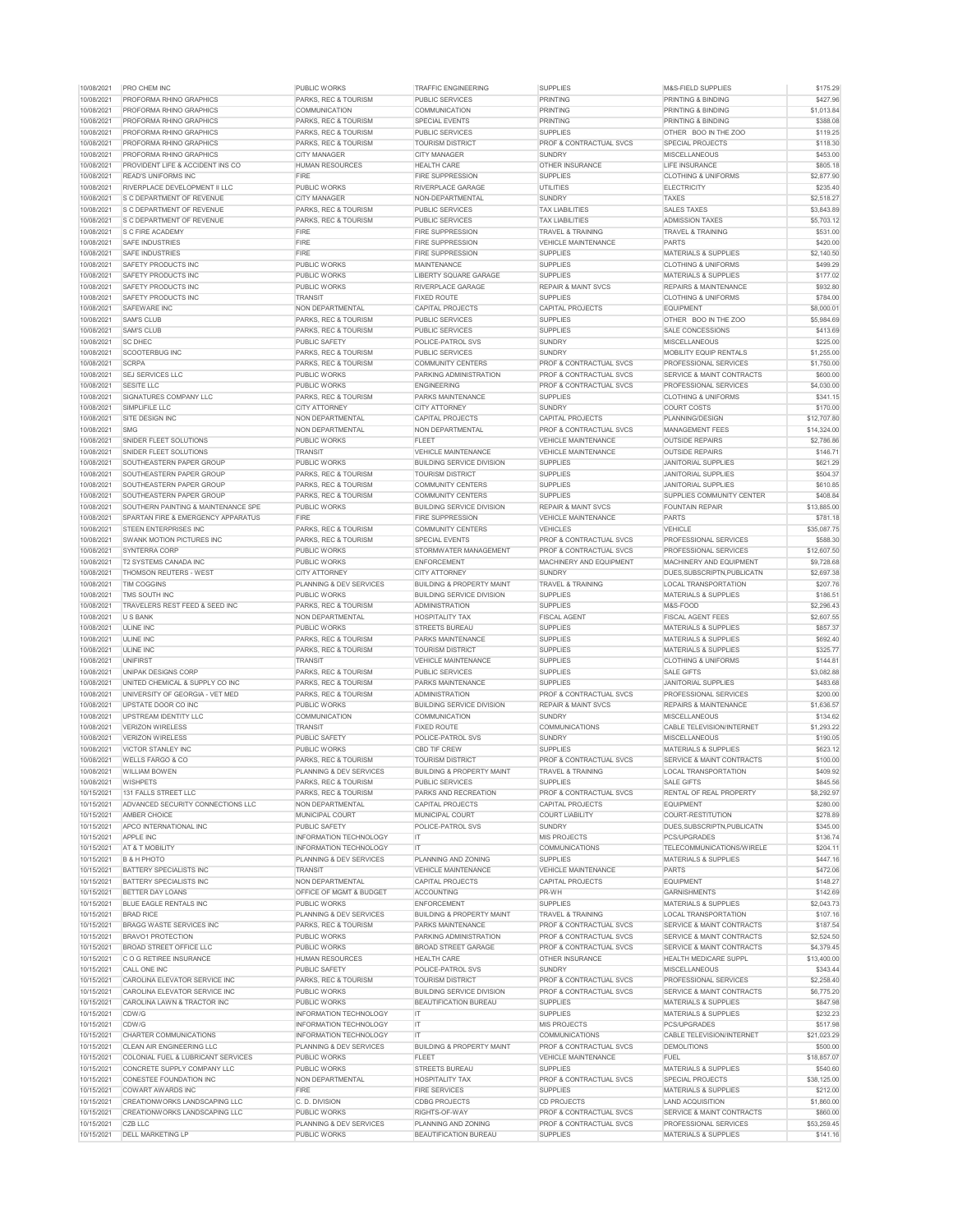| 10/08/2021 | <b>PRO CHEM INC</b>                           | PUBLIC WORKS                       | <b>TRAFFIC ENGINEERING</b>           | <b>SUPPLIES</b>                    | M&S-FIELD SUPPLIES                   | \$175.29    |
|------------|-----------------------------------------------|------------------------------------|--------------------------------------|------------------------------------|--------------------------------------|-------------|
| 10/08/2021 | <b>PROFORMA RHINO GRAPHICS</b>                | <b>PARKS, REC &amp; TOURISM</b>    | <b>PUBLIC SERVICES</b>               | <b>PRINTING</b>                    | <b>PRINTING &amp; BINDING</b>        | \$427.96    |
| 10/08/2021 | <b>PROFORMA RHINO GRAPHICS</b>                | <b>COMMUNICATION</b>               | <b>COMMUNICATION</b>                 | <b>PRINTING</b>                    | PRINTING & BINDING                   | \$1,013.84  |
| 10/08/2021 | <b>PROFORMA RHINO GRAPHICS</b>                | <b>PARKS, REC &amp; TOURISM</b>    | <b>SPECIAL EVENTS</b>                | <b>PRINTING</b>                    | <b>PRINTING &amp; BINDING</b>        | \$388.08    |
| 10/08/2021 | <b>PROFORMA RHINO GRAPHICS</b>                | <b>PARKS, REC &amp; TOURISM</b>    | <b>PUBLIC SERVICES</b>               | <b>SUPPLIES</b>                    | OTHER BOO IN THE ZOO                 | \$119.25    |
| 10/08/2021 | <b>PROFORMA RHINO GRAPHICS</b>                | <b>PARKS, REC &amp; TOURISM</b>    | <b>TOURISM DISTRICT</b>              | <b>PROF &amp; CONTRACTUAL SVCS</b> | <b>SPECIAL PROJECTS</b>              | \$118.30    |
| 10/08/2021 | <b>PROFORMA RHINO GRAPHICS</b>                | <b>CITY MANAGER</b>                | <b>CITY MANAGER</b>                  | <b>SUNDRY</b>                      | <b>MISCELLANEOUS</b>                 | \$453.00    |
| 10/08/2021 | <b>PROVIDENT LIFE &amp; ACCIDENT INS CO</b>   | <b>HUMAN RESOURCES</b>             | <b>HEALTH CARE</b>                   | <b>OTHER INSURANCE</b>             | LIFE INSURANCE                       | \$805.18    |
| 10/08/2021 | <b>READ'S UNIFORMS INC</b>                    | <b>FIRE</b>                        | <b>FIRE SUPPRESSION</b>              | <b>SUPPLIES</b>                    | <b>CLOTHING &amp; UNIFORMS</b>       | \$2,877.90  |
| 10/08/2021 | <b>RIVERPLACE DEVELOPMENT II LLC</b>          | <b>PUBLIC WORKS</b>                | RIVERPLACE GARAGE                    | <b>UTILITIES</b>                   | <b>ELECTRICITY</b>                   | \$235.40    |
| 10/08/2021 | <b>IS C DEPARTMENT OF REVENUE</b>             | <b>CITY MANAGER</b>                | NON-DEPARTMENTAL                     | <b>SUNDRY</b>                      | <b>TAXES</b>                         | \$2,518.27  |
| 10/08/2021 | <b>IS C DEPARTMENT OF REVENUE</b>             | PARKS, REC & TOURISM               | <b>PUBLIC SERVICES</b>               | <b>TAX LIABILITIES</b>             | <b>SALES TAXES</b>                   | \$3,843.89  |
| 10/08/2021 | <b>S C DEPARTMENT OF REVENUE</b>              | <b>PARKS, REC &amp; TOURISM</b>    | <b>PUBLIC SERVICES</b>               | <b>TAX LIABILITIES</b>             | <b>ADMISSION TAXES</b>               | \$5,703.12  |
| 10/08/2021 | IS C FIRE ACADEMY                             | <b>FIRE</b>                        | <b>FIRE SUPPRESSION</b>              | <b>TRAVEL &amp; TRAINING</b>       | <b>TRAVEL &amp; TRAINING</b>         | \$531.00    |
| 10/08/2021 | <b>SAFE INDUSTRIES</b>                        | <b>FIRE</b>                        | <b>FIRE SUPPRESSION</b>              | <b>VEHICLE MAINTENANCE</b>         | <b>PARTS</b>                         | \$420.00    |
| 10/08/2021 | <b>SAFE INDUSTRIES</b>                        | <b>FIRE</b>                        | <b>FIRE SUPPRESSION</b>              | <b>SUPPLIES</b>                    | <b>MATERIALS &amp; SUPPLIES</b>      | \$2,140.50  |
| 10/08/2021 | SAFETY PRODUCTS INC                           | <b>PUBLIC WORKS</b>                | <b>MAINTENANCE</b>                   | <b>SUPPLIES</b>                    | <b>CLOTHING &amp; UNIFORMS</b>       | \$499.29    |
| 10/08/2021 | SAFETY PRODUCTS INC                           | <b>PUBLIC WORKS</b>                | LIBERTY SQUARE GARAGE                | <b>SUPPLIES</b>                    | <b>MATERIALS &amp; SUPPLIES</b>      | \$177.02    |
| 10/08/2021 | <b>SAFETY PRODUCTS INC</b>                    | PUBLIC WORKS                       | <b>RIVERPLACE GARAGE</b>             | <b>REPAIR &amp; MAINT SVCS</b>     | <b>REPAIRS &amp; MAINTENANCE</b>     | \$932.80    |
| 10/08/2021 | SAFETY PRODUCTS INC                           | <b>TRANSIT</b>                     | <b>FIXED ROUTE</b>                   | <b>SUPPLIES</b>                    | <b>CLOTHING &amp; UNIFORMS</b>       | \$784.00    |
| 10/08/2021 | SAFEWARE INC                                  | <b>NON DEPARTMENTAL</b>            | <b>CAPITAL PROJECTS</b>              | <b>CAPITAL PROJECTS</b>            | <b>EQUIPMENT</b>                     | \$8,000.01  |
| 10/08/2021 | <b>SAM'S CLUB</b>                             | <b>PARKS, REC &amp; TOURISM</b>    | <b>PUBLIC SERVICES</b>               | <b>SUPPLIES</b>                    | OTHER BOO IN THE ZOO                 | \$5,984.69  |
| 10/08/2021 | <b>SAM'S CLUB</b>                             | PARKS, REC & TOURISM               | <b>PUBLIC SERVICES</b>               | <b>SUPPLIES</b>                    | SALE CONCESSIONS                     | \$413.69    |
| 10/08/2021 | <b>SC DHEC</b>                                | <b>PUBLIC SAFETY</b>               | <b>POLICE-PATROL SVS</b>             | <b>SUNDRY</b>                      | <b>MISCELLANEOUS</b>                 | \$225.00    |
| 10/08/2021 | <b>SCOOTERBUG INC</b>                         | <b>PARKS, REC &amp; TOURISM</b>    | <b>PUBLIC SERVICES</b>               | <b>SUNDRY</b>                      | <b>MOBILITY EQUIP RENTALS</b>        | \$1,255.00  |
| 10/08/2021 | <b>SCRPA</b>                                  | <b>PARKS, REC &amp; TOURISM</b>    | <b>COMMUNITY CENTERS</b>             | <b>PROF &amp; CONTRACTUAL SVCS</b> | <b>PROFESSIONAL SERVICES</b>         | \$1,750.00  |
| 10/08/2021 | <b>SEJ SERVICES LLC</b>                       | <b>PUBLIC WORKS</b>                | <b>PARKING ADMINISTRATION</b>        | <b>PROF &amp; CONTRACTUAL SVCS</b> | SERVICE & MAINT CONTRACTS            | \$600.00    |
| 10/08/2021 | <b>SESITE LLC</b>                             | PUBLIC WORKS                       | <b>ENGINEERING</b>                   | <b>PROF &amp; CONTRACTUAL SVCS</b> | <b>PROFESSIONAL SERVICES</b>         | \$4,030.00  |
| 10/08/2021 | SIGNATURES COMPANY LLC                        | <b>PARKS, REC &amp; TOURISM</b>    | <b>PARKS MAINTENANCE</b>             | <b>SUPPLIES</b>                    | <b>CLOTHING &amp; UNIFORMS</b>       | \$341.15    |
| 10/08/2021 | SIMPLIFILE LLC                                | <b>CITY ATTORNEY</b>               | <b>CITY ATTORNEY</b>                 | <b>SUNDRY</b>                      | <b>COURT COSTS</b>                   | \$170.00    |
| 10/08/2021 | <b>SITE DESIGN INC</b>                        | <b>NON DEPARTMENTAL</b>            | <b>CAPITAL PROJECTS</b>              | <b>CAPITAL PROJECTS</b>            | <b>PLANNING/DESIGN</b>               | \$12,707.80 |
| 10/08/2021 | <b>SMG</b>                                    | <b>NON DEPARTMENTAL</b>            | NON DEPARTMENTAL                     | <b>PROF &amp; CONTRACTUAL SVCS</b> | <b>MANAGEMENT FEES</b>               | \$14,324.00 |
| 10/08/2021 | SNIDER FLEET SOLUTIONS                        | PUBLIC WORKS                       | <b>FLEET</b>                         | VEHICLE MAINTENANCE                | <b>OUTSIDE REPAIRS</b>               | \$2,786.86  |
| 10/08/2021 | SNIDER FLEET SOLUTIONS                        | <b>TRANSIT</b>                     | <b>VEHICLE MAINTENANCE</b>           | <b>VEHICLE MAINTENANCE</b>         | <b>OUTSIDE REPAIRS</b>               | \$146.71    |
| 10/08/2021 | SOUTHEASTERN PAPER GROUP                      | PUBLIC WORKS                       | <b>BUILDING SERVICE DIVISION</b>     | <b>SUPPLIES</b>                    | <b>JANITORIAL SUPPLIES</b>           | \$621.29    |
| 10/08/2021 | SOUTHEASTERN PAPER GROUP                      | <b>PARKS, REC &amp; TOURISM</b>    | <b>TOURISM DISTRICT</b>              | <b>SUPPLIES</b>                    | <b>JANITORIAL SUPPLIES</b>           | \$504.37    |
| 10/08/2021 | <b>SOUTHEASTERN PAPER GROUP</b>               | PARKS, REC & TOURISM               | <b>COMMUNITY CENTERS</b>             | <b>SUPPLIES</b>                    | <b>JANITORIAL SUPPLIES</b>           | \$610.85    |
| 10/08/2021 | <b>SOUTHEASTERN PAPER GROUP</b>               | <b>PARKS, REC &amp; TOURISM</b>    | <b>COMMUNITY CENTERS</b>             | <b>SUPPLIES</b>                    | SUPPLIES COMMUNITY CENTER            | \$408.84    |
| 10/08/2021 | SOUTHERN PAINTING & MAINTENANCE SPE           | PUBLIC WORKS                       | <b>BUILDING SERVICE DIVISION</b>     | <b>REPAIR &amp; MAINT SVCS</b>     | <b>FOUNTAIN REPAIR</b>               | \$13,885.00 |
| 10/08/2021 | SPARTAN FIRE & EMERGENCY APPARATUS            | <b>FIRE</b>                        | <b>FIRE SUPPRESSION</b>              | <b>VEHICLE MAINTENANCE</b>         | <b>PARTS</b>                         | \$781.18    |
| 10/08/2021 | <b>STEEN ENTERPRISES INC</b>                  | PARKS, REC & TOURISM               | <b>COMMUNITY CENTERS</b>             | <b>VEHICLES</b>                    | <b>VEHICLE</b>                       | \$35,087.75 |
| 10/08/2021 | <b>SWANK MOTION PICTURES INC</b>              | PARKS, REC & TOURISM               | <b>SPECIAL EVENTS</b>                | <b>PROF &amp; CONTRACTUAL SVCS</b> | PROFESSIONAL SERVICES                | \$588.30    |
| 10/08/2021 | <b>SYNTERRA CORP</b>                          | <b>PUBLIC WORKS</b>                | STORMWATER MANAGEMENT                | <b>PROF &amp; CONTRACTUAL SVCS</b> | <b>PROFESSIONAL SERVICES</b>         | \$12,607.50 |
| 10/08/2021 | <b>T2 SYSTEMS CANADA INC</b>                  | <b>PUBLIC WORKS</b>                | <b>ENFORCEMENT</b>                   | MACHINERY AND EQUIPMENT            | MACHINERY AND EQUIPMENT              | \$9,728.68  |
| 10/08/2021 | <b>THOMSON REUTERS - WEST</b>                 | <b>CITY ATTORNEY</b>               | <b>CITY ATTORNEY</b>                 | <b>SUNDRY</b>                      | DUES, SUBSCRIPTN, PUBLICATN          | \$2,697.38  |
| 10/08/2021 | <b>TIM COGGINS</b>                            | PLANNING & DEV SERVICES            | <b>BUILDING &amp; PROPERTY MAINT</b> | <b>TRAVEL &amp; TRAINING</b>       | <b>LOCAL TRANSPORTATION</b>          | \$207.76    |
| 10/08/2021 | TMS SOUTH INC                                 | PUBLIC WORKS                       | <b>BUILDING SERVICE DIVISION</b>     | <b>SUPPLIES</b>                    | <b>MATERIALS &amp; SUPPLIES</b>      | \$186.51    |
| 10/08/2021 | TRAVELERS REST FEED & SEED INC                | PARKS, REC & TOURISM               | <b>ADMINISTRATION</b>                | <b>SUPPLIES</b>                    | M&S-FOOD                             | \$2,296.43  |
| 10/08/2021 | <b>U S BANK</b>                               | <b>NON DEPARTMENTAL</b>            | <b>HOSPITALITY TAX</b>               | <b>FISCAL AGENT</b>                | <b>FISCAL AGENT FEES</b>             | \$2,607.55  |
| 10/08/2021 | <b>ULINE INC</b>                              | <b>PUBLIC WORKS</b>                | <b>STREETS BUREAU</b>                | <b>SUPPLIES</b>                    | <b>MATERIALS &amp; SUPPLIES</b>      | \$857.37    |
| 10/08/2021 | <b>ULINE INC</b>                              | <b>PARKS, REC &amp; TOURISM</b>    | <b>PARKS MAINTENANCE</b>             | <b>SUPPLIES</b>                    | <b>MATERIALS &amp; SUPPLIES</b>      | \$692.40    |
| 10/08/2021 | <b>ULINE INC</b>                              | PARKS, REC & TOURISM               | <b>TOURISM DISTRICT</b>              | <b>SUPPLIES</b>                    | <b>MATERIALS &amp; SUPPLIES</b>      | \$325.77    |
| 10/08/2021 | <b>IUNIFIRST</b>                              | <b>TRANSIT</b>                     | <b>VEHICLE MAINTENANCE</b>           | <b>SUPPLIES</b>                    | <b>CLOTHING &amp; UNIFORMS</b>       | \$144.81    |
| 10/08/2021 | UNIPAK DESIGNS CORP                           | PARKS, REC & TOURISM               | <b>PUBLIC SERVICES</b>               | <b>SUPPLIES</b>                    | <b>SALE GIFTS</b>                    | \$3,082.88  |
| 10/08/2021 | UNITED CHEMICAL & SUPPLY CO INC               | <b>PARKS, REC &amp; TOURISM</b>    | PARKS MAINTENANCE                    | <b>SUPPLIES</b>                    | JANITORIAL SUPPLIES                  | \$483.68    |
| 10/08/2021 | UNIVERSITY OF GEORGIA - VET MED               | <b>PARKS, REC &amp; TOURISM</b>    | ADMINISTRATION                       | <b>PROF &amp; CONTRACTUAL SVCS</b> | <b>PROFESSIONAL SERVICES</b>         | \$200.00    |
| 10/08/2021 | UPSTATE DOOR CO INC                           | PUBLIC WORKS                       | <b>BUILDING SERVICE DIVISION</b>     | <b>REPAIR &amp; MAINT SVCS</b>     | <b>REPAIRS &amp; MAINTENANCE</b>     | \$1,636.57  |
| 10/08/2021 | UPSTREAM IDENTITY LLC                         | <b>COMMUNICATION</b>               | <b>COMMUNICATION</b>                 | <b>SUNDRY</b>                      | <b>MISCELLANEOUS</b>                 | \$134.62    |
| 10/08/2021 | <b>VERIZON WIRELESS</b>                       | <b>TRANSIT</b>                     | <b>FIXED ROUTE</b>                   | <b>COMMUNICATIONS</b>              | CABLE TELEVISION/INTERNET            | \$1,293.22  |
| 10/08/2021 | VERIZON WIRELESS                              | <b>PUBLIC SAFETY</b>               | POLICE-PATROL SVS                    | <b>SUNDRY</b>                      | <b>MISCELLANEOUS</b>                 | \$190.05    |
| 10/08/2021 | VICTOR STANLEY INC                            | <b>PUBLIC WORKS</b>                | <b>CBD TIF CREW</b>                  | <b>SUPPLIES</b>                    | <b>MATERIALS &amp; SUPPLIES</b>      | \$623.12    |
| 10/08/2021 | WELLS FARGO & CO                              | <b>PARKS, REC &amp; TOURISM</b>    | <b>TOURISM DISTRICT</b>              | <b>PROF &amp; CONTRACTUAL SVCS</b> | <b>SERVICE &amp; MAINT CONTRACTS</b> | \$100.00    |
| 10/08/2021 | <b>WILLIAM BOWEN</b>                          | <b>PLANNING &amp; DEV SERVICES</b> | <b>BUILDING &amp; PROPERTY MAINT</b> | <b>TRAVEL &amp; TRAINING</b>       | <b>LOCAL TRANSPORTATION</b>          | \$409.92    |
| 10/08/2021 | <b>WISHPETS</b>                               | <b>PARKS, REC &amp; TOURISM</b>    | <b>PUBLIC SERVICES</b>               | <b>SUPPLIES</b>                    | <b>SALE GIFTS</b>                    | \$845.56    |
| 10/15/2021 | 131 FALLS STREET LLC                          | PARKS, REC & TOURISM               | <b>PARKS AND RECREATION</b>          | <b>PROF &amp; CONTRACTUAL SVCS</b> | <b>RENTAL OF REAL PROPERTY</b>       | \$8,292.97  |
| 10/15/2021 | ADVANCED SECURITY CONNECTIONS LLC             | NON DEPARTMENTAL                   | <b>CAPITAL PROJECTS</b>              | <b>CAPITAL PROJECTS</b>            | <b>EQUIPMENT</b>                     | \$280.00    |
| 10/15/2021 | AMBER CHOICE                                  | MUNICIPAL COURT                    | MUNICIPAL COURT                      | <b>COURT LIABILITY</b>             | COURT-RESTITUTION                    | \$278.89    |
| 10/15/2021 | <b>APCO INTERNATIONAL INC</b>                 | PUBLIC SAFETY                      | <b>POLICE-PATROL SVS</b>             | <b>SUNDRY</b>                      | DUES, SUBSCRIPTN, PUBLICATN          | \$345.00    |
| 10/15/2021 | <b>APPLE INC</b>                              | <b>INFORMATION TECHNOLOGY</b>      | IT.                                  | <b>MIS PROJECTS</b>                | <b>PCS/UPGRADES</b>                  | \$136.74    |
| 10/15/2021 | AT & T MOBILITY                               | <b>INFORMATION TECHNOLOGY</b>      | IT.                                  | <b>COMMUNICATIONS</b>              | <b>TELECOMMUNICATIONS/WIRELE</b>     | \$204.11    |
| 10/15/2021 | <b>B &amp; H PHOTO</b>                        | <b>PLANNING &amp; DEV SERVICES</b> | PLANNING AND ZONING                  | <b>SUPPLIES</b>                    | <b>MATERIALS &amp; SUPPLIES</b>      | \$447.16    |
| 10/15/2021 | <b>BATTERY SPECIALISTS INC</b>                | <b>TRANSIT</b>                     | <b>VEHICLE MAINTENANCE</b>           | <b>VEHICLE MAINTENANCE</b>         | <b>PARTS</b>                         | \$472.06    |
| 10/15/2021 | <b>BATTERY SPECIALISTS INC</b>                | <b>NON DEPARTMENTAL</b>            | <b>CAPITAL PROJECTS</b>              | <b>CAPITAL PROJECTS</b>            | <b>EQUIPMENT</b>                     | \$148.27    |
| 10/15/2021 |                                               |                                    |                                      |                                    | <b>GARNISHMENTS</b>                  |             |
|            | <b>BETTER DAY LOANS</b>                       | <b>OFFICE OF MGMT &amp; BUDGET</b> | <b>ACCOUNTING</b>                    | PR-WH                              |                                      | \$142.69    |
| 10/15/2021 | <b>BLUE EAGLE RENTALS INC</b>                 | PUBLIC WORKS                       | <b>ENFORCEMENT</b>                   | <b>SUPPLIES</b>                    | <b>MATERIALS &amp; SUPPLIES</b>      | \$2,043.73  |
| 10/15/2021 | <b>BRAD RICE</b>                              | <b>PLANNING &amp; DEV SERVICES</b> | <b>BUILDING &amp; PROPERTY MAINT</b> | <b>TRAVEL &amp; TRAINING</b>       | <b>LOCAL TRANSPORTATION</b>          | \$107.16    |
| 10/15/2021 | <b>BRAGG WASTE SERVICES INC</b>               | <b>PARKS, REC &amp; TOURISM</b>    | <b>PARKS MAINTENANCE</b>             | <b>PROF &amp; CONTRACTUAL SVCS</b> | <b>SERVICE &amp; MAINT CONTRACTS</b> | \$187.54    |
| 10/15/2021 | <b>BRAVO1 PROTECTION</b>                      | PUBLIC WORKS                       | PARKING ADMINISTRATION               | <b>PROF &amp; CONTRACTUAL SVCS</b> | <b>SERVICE &amp; MAINT CONTRACTS</b> | \$2,524.50  |
| 10/15/2021 | <b>BROAD STREET OFFICE LLC</b>                | PUBLIC WORKS                       | <b>BROAD STREET GARAGE</b>           | <b>PROF &amp; CONTRACTUAL SVCS</b> | SERVICE & MAINT CONTRACTS            | \$4,379.45  |
| 10/15/2021 | <b>CO G RETIREE INSURANCE</b>                 | <b>HUMAN RESOURCES</b>             | <b>HEALTH CARE</b>                   | <b>OTHER INSURANCE</b>             | <b>HEALTH MEDICARE SUPPL</b>         | \$13,400.00 |
| 10/15/2021 | <b>CALL ONE INC</b>                           | <b>PUBLIC SAFETY</b>               | <b>POLICE-PATROL SVS</b>             | <b>SUNDRY</b>                      | <b>MISCELLANEOUS</b>                 | \$343.44    |
| 10/15/2021 | <b>CAROLINA ELEVATOR SERVICE INC</b>          | PARKS, REC & TOURISM               | <b>TOURISM DISTRICT</b>              | <b>PROF &amp; CONTRACTUAL SVCS</b> | <b>PROFESSIONAL SERVICES</b>         | \$2,258.40  |
| 10/15/2021 | CAROLINA ELEVATOR SERVICE INC                 | PUBLIC WORKS                       | <b>BUILDING SERVICE DIVISION</b>     | <b>PROF &amp; CONTRACTUAL SVCS</b> | SERVICE & MAINT CONTRACTS            | \$6,775.20  |
| 10/15/2021 | CAROLINA LAWN & TRACTOR INC                   | PUBLIC WORKS                       | <b>BEAUTIFICATION BUREAU</b>         | <b>SUPPLIES</b>                    | <b>MATERIALS &amp; SUPPLIES</b>      | \$847.98    |
| 10/15/2021 | CDW/G                                         | <b>INFORMATION TECHNOLOGY</b>      | IT.                                  | <b>SUPPLIES</b>                    | <b>MATERIALS &amp; SUPPLIES</b>      | \$232.23    |
| 10/15/2021 | CDW/G                                         | <b>INFORMATION TECHNOLOGY</b>      | IT.                                  | MIS PROJECTS                       | <b>PCS/UPGRADES</b>                  | \$517.98    |
| 10/15/2021 | CHARTER COMMUNICATIONS                        | <b>INFORMATION TECHNOLOGY</b>      | IT.                                  | <b>COMMUNICATIONS</b>              | <b>CABLE TELEVISION/INTERNET</b>     | \$21,023.29 |
| 10/15/2021 | <b>CLEAN AIR ENGINEERING LLC</b>              | <b>PLANNING &amp; DEV SERVICES</b> | <b>BUILDING &amp; PROPERTY MAINT</b> | <b>PROF &amp; CONTRACTUAL SVCS</b> | <b>DEMOLITIONS</b>                   | \$500.00    |
| 10/15/2021 | <b>COLONIAL FUEL &amp; LUBRICANT SERVICES</b> | PUBLIC WORKS                       | <b>FLEET</b>                         | <b>VEHICLE MAINTENANCE</b>         | <b>FUEL</b>                          | \$18,857.07 |
| 10/15/2021 | CONCRETE SUPPLY COMPANY LLC                   | PUBLIC WORKS                       | <b>STREETS BUREAU</b>                | <b>SUPPLIES</b>                    | <b>MATERIALS &amp; SUPPLIES</b>      | \$540.60    |
| 10/15/2021 | CONESTEE FOUNDATION INC                       | <b>NON DEPARTMENTAL</b>            | <b>HOSPITALITY TAX</b>               | <b>PROF &amp; CONTRACTUAL SVCS</b> | <b>SPECIAL PROJECTS</b>              | \$38,125.00 |
| 10/15/2021 | COWART AWARDS INC                             | <b>FIRE</b>                        | <b>FIRE SERVICES</b>                 | <b>SUPPLIES</b>                    | <b>MATERIALS &amp; SUPPLIES</b>      | \$212.00    |
| 10/15/2021 | <b>CREATIONWORKS LANDSCAPING LLC</b>          | C. D. DIVISION                     | <b>CDBG PROJECTS</b>                 | <b>CD PROJECTS</b>                 | <b>LAND ACQUISITION</b>              | \$1,860.00  |
| 10/15/2021 | CREATIONWORKS LANDSCAPING LLC                 | PUBLIC WORKS                       | RIGHTS-OF-WAY                        | <b>PROF &amp; CONTRACTUAL SVCS</b> | SERVICE & MAINT CONTRACTS            | \$860.00    |
| 10/15/2021 | CZB LLC                                       | <b>PLANNING &amp; DEV SERVICES</b> | PLANNING AND ZONING                  | <b>PROF &amp; CONTRACTUAL SVCS</b> | <b>PROFESSIONAL SERVICES</b>         | \$53,259.45 |
| 10/15/2021 | <b>DELL MARKETING LP</b>                      | PUBLIC WORKS                       | <b>BEAUTIFICATION BUREAU</b>         | <b>SUPPLIES</b>                    | <b>MATERIALS &amp; SUPPLIES</b>      | \$141.16    |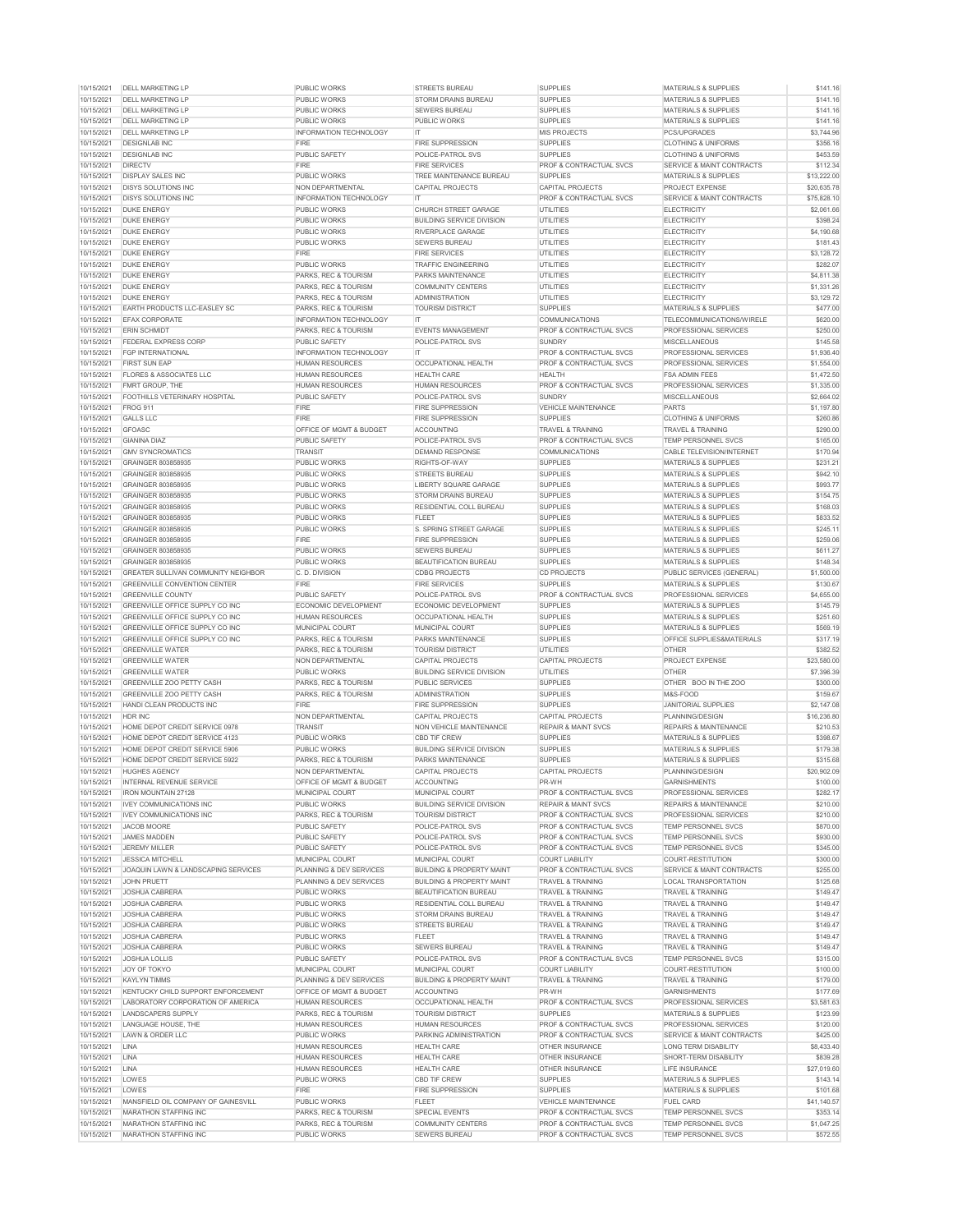| 10/15/2021               | <b>IDELL MARKETING LP</b>                                    | PUBLIC WORKS                         | <b>STREETS BUREAU</b>                            | <b>SUPPLIES</b>                                                          | <b>MATERIALS &amp; SUPPLIES</b>                          | \$141.16               |
|--------------------------|--------------------------------------------------------------|--------------------------------------|--------------------------------------------------|--------------------------------------------------------------------------|----------------------------------------------------------|------------------------|
| 10/15/2021               | <b>DELL MARKETING LP</b>                                     | <b>PUBLIC WORKS</b>                  | <b>STORM DRAINS BUREAU</b>                       | <b>SUPPLIES</b>                                                          | <b>MATERIALS &amp; SUPPLIES</b>                          | \$141.16               |
| 10/15/2021               | <b>DELL MARKETING LP</b>                                     | <b>PUBLIC WORKS</b>                  | <b>SEWERS BUREAU</b>                             | <b>SUPPLIES</b>                                                          | <b>MATERIALS &amp; SUPPLIES</b>                          | \$141.16               |
| 10/15/2021               | <b>DELL MARKETING LP</b>                                     | PUBLIC WORKS                         | <b>PUBLIC WORKS</b>                              | <b>SUPPLIES</b>                                                          | <b>MATERIALS &amp; SUPPLIES</b>                          | \$141.16               |
|                          |                                                              |                                      |                                                  |                                                                          |                                                          |                        |
| 10/15/2021               | <b>DELL MARKETING LP</b>                                     | <b>INFORMATION TECHNOLOGY</b>        | IT.                                              | <b>MIS PROJECTS</b>                                                      | PCS/UPGRADES                                             | \$3,744.96             |
| 10/15/2021               | <b>DESIGNLAB INC</b>                                         | <b>FIRE</b>                          | <b>FIRE SUPPRESSION</b>                          | <b>SUPPLIES</b>                                                          | <b>CLOTHING &amp; UNIFORMS</b>                           | \$356.16               |
| 10/15/2021               | <b>DESIGNLAB INC</b>                                         | <b>PUBLIC SAFETY</b>                 | POLICE-PATROL SVS                                | <b>SUPPLIES</b>                                                          | <b>CLOTHING &amp; UNIFORMS</b>                           | \$453.59               |
| 10/15/2021               | <b>DIRECTV</b>                                               | <b>FIRE</b>                          | <b>FIRE SERVICES</b>                             | <b>PROF &amp; CONTRACTUAL SVCS</b>                                       | SERVICE & MAINT CONTRACTS                                | \$112.34               |
| 10/15/2021               | <b>DISPLAY SALES INC</b>                                     | PUBLIC WORKS                         | <b>TREE MAINTENANCE BUREAU</b>                   | <b>SUPPLIES</b>                                                          | <b>MATERIALS &amp; SUPPLIES</b>                          | \$13,222.00            |
| 10/15/2021               | <b>DISYS SOLUTIONS INC</b>                                   | <b>NON DEPARTMENTAL</b>              | <b>CAPITAL PROJECTS</b>                          | <b>CAPITAL PROJECTS</b>                                                  | <b>PROJECT EXPENSE</b>                                   | \$20,635.78            |
| 10/15/2021               | <b>DISYS SOLUTIONS INC</b>                                   | <b>INFORMATION TECHNOLOGY</b>        | IT.                                              | <b>PROF &amp; CONTRACTUAL SVCS</b>                                       | <b>SERVICE &amp; MAINT CONTRACTS</b>                     | \$75,828.10            |
| 10/15/2021               | <b>DUKE ENERGY</b>                                           | PUBLIC WORKS                         | <b>CHURCH STREET GARAGE</b>                      | <b>UTILITIES</b>                                                         | <b>ELECTRICITY</b>                                       | \$2,061.66             |
| 10/15/2021               | <b>DUKE ENERGY</b>                                           | <b>PUBLIC WORKS</b>                  | <b>BUILDING SERVICE DIVISION</b>                 | UTILITIES                                                                | <b>ELECTRICITY</b>                                       | \$398.24               |
| 10/15/2021               | <b>DUKE ENERGY</b>                                           | PUBLIC WORKS                         | <b>RIVERPLACE GARAGE</b>                         | <b>UTILITIES</b>                                                         | <b>ELECTRICITY</b>                                       | \$4,190.68             |
| 10/15/2021               | <b>DUKE ENERGY</b>                                           | <b>PUBLIC WORKS</b>                  | <b>SEWERS BUREAU</b>                             | <b>UTILITIES</b>                                                         | <b>ELECTRICITY</b>                                       | \$181.43               |
|                          |                                                              |                                      |                                                  |                                                                          |                                                          |                        |
| 10/15/2021               | <b>DUKE ENERGY</b>                                           | <b>FIRE</b>                          | <b>FIRE SERVICES</b>                             | <b>UTILITIES</b>                                                         | <b>ELECTRICITY</b>                                       | \$3,128.72             |
| 10/15/2021               | <b>DUKE ENERGY</b>                                           | PUBLIC WORKS                         | <b>TRAFFIC ENGINEERING</b>                       | <b>UTILITIES</b>                                                         | <b>ELECTRICITY</b>                                       | \$282.07               |
| 10/15/2021               | <b>DUKE ENERGY</b>                                           | <b>PARKS, REC &amp; TOURISM</b>      | <b>PARKS MAINTENANCE</b>                         | <b>UTILITIES</b>                                                         | <b>ELECTRICITY</b>                                       | \$4,811.38             |
| 10/15/2021               | <b>DUKE ENERGY</b>                                           | <b>PARKS, REC &amp; TOURISM</b>      | <b>COMMUNITY CENTERS</b>                         | <b>UTILITIES</b>                                                         | <b>ELECTRICITY</b>                                       | \$1,331.26             |
| 10/15/2021               | <b>DUKE ENERGY</b>                                           | <b>PARKS, REC &amp; TOURISM</b>      | <b>ADMINISTRATION</b>                            | <b>UTILITIES</b>                                                         | <b>ELECTRICITY</b>                                       | \$3,129.72             |
| 10/15/2021               | <b>EARTH PRODUCTS LLC-EASLEY SC</b>                          | <b>PARKS, REC &amp; TOURISM</b>      | <b>TOURISM DISTRICT</b>                          | <b>SUPPLIES</b>                                                          | <b>MATERIALS &amp; SUPPLIES</b>                          | \$477.00               |
| 10/15/2021               | <b>EFAX CORPORATE</b>                                        | <b>INFORMATION TECHNOLOGY</b>        | IT.                                              | <b>COMMUNICATIONS</b>                                                    | <b>TELECOMMUNICATIONS/WIRELE</b>                         | \$620.00               |
| 10/15/2021               | <b>ERIN SCHMIDT</b>                                          | <b>PARKS, REC &amp; TOURISM</b>      | <b>EVENTS MANAGEMENT</b>                         | <b>PROF &amp; CONTRACTUAL SVCS</b>                                       | <b>PROFESSIONAL SERVICES</b>                             | \$250.00               |
|                          |                                                              |                                      |                                                  |                                                                          |                                                          |                        |
| 10/15/2021               | <b>FEDERAL EXPRESS CORP</b>                                  | <b>PUBLIC SAFETY</b>                 | <b>POLICE-PATROL SVS</b>                         | <b>SUNDRY</b>                                                            | <b>MISCELLANEOUS</b>                                     | \$145.58               |
| 10/15/2021               | <b>FGP INTERNATIONAL</b>                                     | <b>INFORMATION TECHNOLOGY</b>        | IT.                                              | <b>PROF &amp; CONTRACTUAL SVCS</b>                                       | <b>PROFESSIONAL SERVICES</b>                             | \$1,936.40             |
| 10/15/2021               | <b>FIRST SUN EAP</b>                                         | <b>HUMAN RESOURCES</b>               | <b>OCCUPATIONAL HEALTH</b>                       | <b>PROF &amp; CONTRACTUAL SVCS</b>                                       | <b>PROFESSIONAL SERVICES</b>                             | \$1,554.00             |
| 10/15/2021               | <b>FLORES &amp; ASSOCIATES LLC</b>                           | <b>HUMAN RESOURCES</b>               | <b>HEALTH CARE</b>                               | <b>HEALTH</b>                                                            | <b>FSA ADMIN FEES</b>                                    | \$1,472.50             |
| 10/15/2021               | <b>FMRT GROUP, THE</b>                                       | <b>HUMAN RESOURCES</b>               | <b>HUMAN RESOURCES</b>                           | <b>PROF &amp; CONTRACTUAL SVCS</b>                                       | <b>PROFESSIONAL SERVICES</b>                             | \$1,335.00             |
| 10/15/2021               | <b>FOOTHILLS VETERINARY HOSPITAL</b>                         | <b>PUBLIC SAFETY</b>                 | <b>POLICE-PATROL SVS</b>                         | <b>SUNDRY</b>                                                            | <b>MISCELLANEOUS</b>                                     | \$2,664.02             |
| 10/15/2021               | <b>FROG 911</b>                                              | <b>FIRE</b>                          | <b>FIRE SUPPRESSION</b>                          | <b>VEHICLE MAINTENANCE</b>                                               | <b>PARTS</b>                                             | \$1,197.80             |
| 10/15/2021               | <b>GALLS LLC</b>                                             | <b>FIRE</b>                          | <b>FIRE SUPPRESSION</b>                          | <b>SUPPLIES</b>                                                          | <b>CLOTHING &amp; UNIFORMS</b>                           | \$260.86               |
| 10/15/2021               | <b>GFOASC</b>                                                | <b>OFFICE OF MGMT &amp; BUDGET</b>   | <b>ACCOUNTING</b>                                | <b>TRAVEL &amp; TRAINING</b>                                             | <b>TRAVEL &amp; TRAINING</b>                             | \$290.00               |
|                          |                                                              |                                      |                                                  |                                                                          |                                                          |                        |
| 10/15/2021               | <b>GIANINA DIAZ</b>                                          | PUBLIC SAFETY                        | POLICE-PATROL SVS                                | <b>PROF &amp; CONTRACTUAL SVCS</b>                                       | <b>TEMP PERSONNEL SVCS</b>                               | \$165.00               |
| 10/15/2021               | <b>GMV SYNCROMATICS</b>                                      | <b>TRANSIT</b>                       | <b>DEMAND RESPONSE</b>                           | <b>COMMUNICATIONS</b>                                                    | CABLE TELEVISION/INTERNET                                | \$170.94               |
| 10/15/2021               | <b>GRAINGER 803858935</b>                                    | <b>PUBLIC WORKS</b>                  | RIGHTS-OF-WAY                                    | <b>SUPPLIES</b>                                                          | <b>MATERIALS &amp; SUPPLIES</b>                          | \$231.21               |
| 10/15/2021               | <b>GRAINGER 803858935</b>                                    | PUBLIC WORKS                         | <b>STREETS BUREAU</b>                            | <b>SUPPLIES</b>                                                          | <b>MATERIALS &amp; SUPPLIES</b>                          | \$942.10               |
| 10/15/2021               | <b>GRAINGER 803858935</b>                                    | PUBLIC WORKS                         | LIBERTY SQUARE GARAGE                            | <b>SUPPLIES</b>                                                          | <b>MATERIALS &amp; SUPPLIES</b>                          | \$993.77               |
| 10/15/2021               | <b>GRAINGER 803858935</b>                                    | PUBLIC WORKS                         | <b>STORM DRAINS BUREAU</b>                       | <b>SUPPLIES</b>                                                          | <b>MATERIALS &amp; SUPPLIES</b>                          | \$154.75               |
| 10/15/2021               | <b>GRAINGER 803858935</b>                                    | PUBLIC WORKS                         | <b>RESIDENTIAL COLL BUREAU</b>                   | <b>SUPPLIES</b>                                                          | <b>MATERIALS &amp; SUPPLIES</b>                          | \$168.03               |
| 10/15/2021               | <b>GRAINGER 803858935</b>                                    | PUBLIC WORKS                         | <b>FLEET</b>                                     | <b>SUPPLIES</b>                                                          | <b>MATERIALS &amp; SUPPLIES</b>                          | \$833.52               |
|                          |                                                              |                                      |                                                  |                                                                          |                                                          |                        |
| 10/15/2021               | <b>GRAINGER 803858935</b>                                    | <b>PUBLIC WORKS</b>                  | S. SPRING STREET GARAGE                          | <b>SUPPLIES</b>                                                          | <b>MATERIALS &amp; SUPPLIES</b>                          | \$245.11               |
| 10/15/2021               | <b>GRAINGER 803858935</b>                                    | <b>FIRE</b>                          | <b>FIRE SUPPRESSION</b>                          | <b>SUPPLIES</b>                                                          | <b>MATERIALS &amp; SUPPLIES</b>                          | \$259.06               |
| 10/15/2021               | <b>GRAINGER 803858935</b>                                    | <b>PUBLIC WORKS</b>                  | <b>SEWERS BUREAU</b>                             | <b>SUPPLIES</b>                                                          | <b>MATERIALS &amp; SUPPLIES</b>                          | \$611.27               |
| 10/15/2021               | <b>GRAINGER 803858935</b>                                    | <b>PUBLIC WORKS</b>                  | <b>BEAUTIFICATION BUREAU</b>                     | <b>SUPPLIES</b>                                                          | <b>MATERIALS &amp; SUPPLIES</b>                          | \$148.34               |
| 10/15/2021               | <b>GREATER SULLIVAN COMMUNITY NEIGHBOR</b>                   | C. D. DIVISION                       | <b>CDBG PROJECTS</b>                             | <b>CD PROJECTS</b>                                                       | <b>PUBLIC SERVICES (GENERAL)</b>                         | \$1,500.00             |
| 10/15/2021               | <b>GREENVILLE CONVENTION CENTER</b>                          | <b>FIRE</b>                          | <b>FIRE SERVICES</b>                             | <b>SUPPLIES</b>                                                          | <b>MATERIALS &amp; SUPPLIES</b>                          | \$130.67               |
| 10/15/2021               | <b>GREENVILLE COUNTY</b>                                     | PUBLIC SAFETY                        | <b>POLICE-PATROL SVS</b>                         | <b>PROF &amp; CONTRACTUAL SVCS</b>                                       | <b>PROFESSIONAL SERVICES</b>                             | \$4,655.00             |
| 10/15/2021               | GREENVILLE OFFICE SUPPLY CO INC                              | <b>ECONOMIC DEVELOPMENT</b>          | ECONOMIC DEVELOPMENT                             | <b>SUPPLIES</b>                                                          | <b>MATERIALS &amp; SUPPLIES</b>                          | \$145.79               |
|                          |                                                              |                                      |                                                  |                                                                          |                                                          |                        |
| 10/15/2021               | <b>GREENVILLE OFFICE SUPPLY CO INC</b>                       | <b>HUMAN RESOURCES</b>               | OCCUPATIONAL HEALTH                              | <b>SUPPLIES</b>                                                          | <b>MATERIALS &amp; SUPPLIES</b>                          | \$251.60               |
| 10/15/2021               | <b>GREENVILLE OFFICE SUPPLY CO INC</b>                       | <b>MUNICIPAL COURT</b>               | MUNICIPAL COURT                                  | <b>SUPPLIES</b>                                                          | <b>MATERIALS &amp; SUPPLIES</b>                          | \$569.19               |
| 10/15/2021               | <b>GREENVILLE OFFICE SUPPLY CO INC</b>                       | <b>PARKS, REC &amp; TOURISM</b>      | <b>PARKS MAINTENANCE</b>                         | <b>SUPPLIES</b>                                                          | <b>OFFICE SUPPLIES&amp;MATERIALS</b>                     | \$317.19               |
| 10/15/2021               | <b>GREENVILLE WATER</b>                                      | <b>PARKS, REC &amp; TOURISM</b>      | <b>TOURISM DISTRICT</b>                          | <b>UTILITIES</b>                                                         | <b>OTHER</b>                                             | \$382.52               |
| 10/15/2021               | <b>GREENVILLE WATER</b>                                      | <b>NON DEPARTMENTAL</b>              | <b>CAPITAL PROJECTS</b>                          | <b>CAPITAL PROJECTS</b>                                                  | <b>PROJECT EXPENSE</b>                                   | \$23,580.00            |
| 10/15/2021               | <b>GREENVILLE WATER</b>                                      | PUBLIC WORKS                         | <b>BUILDING SERVICE DIVISION</b>                 | <b>UTILITIES</b>                                                         | <b>OTHER</b>                                             | \$7,396.39             |
| 10/15/2021               | <b>GREENVILLE ZOO PETTY CASH</b>                             | <b>PARKS, REC &amp; TOURISM</b>      | <b>PUBLIC SERVICES</b>                           | <b>SUPPLIES</b>                                                          | OTHER BOO IN THE ZOO                                     | \$300.00               |
| 10/15/2021               | <b>GREENVILLE ZOO PETTY CASH</b>                             | PARKS, REC & TOURISM                 | <b>ADMINISTRATION</b>                            | <b>SUPPLIES</b>                                                          | M&S-FOOD                                                 | \$159.67               |
| 10/15/2021               | HANDI CLEAN PRODUCTS INC                                     | <b>FIRE</b>                          | <b>FIRE SUPPRESSION</b>                          | <b>SUPPLIES</b>                                                          | JANITORIAL SUPPLIES                                      | \$2,147.08             |
|                          |                                                              |                                      |                                                  |                                                                          |                                                          |                        |
| 10/15/2021               | <b>HDR INC</b>                                               | <b>NON DEPARTMENTAL</b>              | <b>CAPITAL PROJECTS</b>                          | <b>CAPITAL PROJECTS</b>                                                  | PLANNING/DESIGN                                          | \$16,236.80            |
| 10/15/2021               | HOME DEPOT CREDIT SERVICE 0978                               | <b>TRANSIT</b>                       | NON VEHICLE MAINTENANCE                          | <b>REPAIR &amp; MAINT SVCS</b>                                           | <b>REPAIRS &amp; MAINTENANCE</b>                         | \$210.53               |
| 10/15/2021               | <b>HOME DEPOT CREDIT SERVICE 4123</b>                        | <b>PUBLIC WORKS</b>                  | <b>CBD TIF CREW</b>                              | <b>SUPPLIES</b>                                                          | <b>MATERIALS &amp; SUPPLIES</b>                          | \$398.67               |
| 10/15/2021               | HOME DEPOT CREDIT SERVICE 5906                               | <b>PUBLIC WORKS</b>                  | <b>BUILDING SERVICE DIVISION</b>                 | <b>SUPPLIES</b>                                                          | <b>MATERIALS &amp; SUPPLIES</b>                          | \$179.38               |
| 10/15/2021               | HOME DEPOT CREDIT SERVICE 5922                               | <b>PARKS, REC &amp; TOURISM</b>      | <b>PARKS MAINTENANCE</b>                         | <b>SUPPLIES</b>                                                          | <b>MATERIALS &amp; SUPPLIES</b>                          | \$315.68               |
| 10/15/2021               | <b>HUGHES AGENCY</b>                                         | NON DEPARTMENTAL                     | CAPITAL PROJECTS                                 | <b>CAPITAL PROJECTS</b>                                                  | PLANNING/DESIGN                                          | \$20,902.09            |
| 10/15/2021               | INTERNAL REVENUE SERVICE                                     | <b>OFFICE OF MGMT &amp; BUDGET</b>   | <b>ACCOUNTING</b>                                | PR-WH                                                                    | <b>GARNISHMENTS</b>                                      | \$100.00               |
| 10/15/2021               | <b>IRON MOUNTAIN 27128</b>                                   | <b>MUNICIPAL COURT</b>               | <b>MUNICIPAL COURT</b>                           | <b>PROF &amp; CONTRACTUAL SVCS</b>                                       | PROFESSIONAL SERVICES                                    | \$282.17               |
| 10/15/2021               | <b>IVEY COMMUNICATIONS INC</b>                               | PUBLIC WORKS                         | <b>BUILDING SERVICE DIVISION</b>                 | <b>REPAIR &amp; MAINT SVCS</b>                                           | <b>REPAIRS &amp; MAINTENANCE</b>                         | \$210.00               |
|                          | <b>IVEY COMMUNICATIONS INC</b>                               | PARKS, REC & TOURISM                 | <b>TOURISM DISTRICT</b>                          | <b>PROF &amp; CONTRACTUAL SVCS</b>                                       | <b>PROFESSIONAL SERVICES</b>                             | \$210.00               |
| 10/15/2021               |                                                              |                                      |                                                  |                                                                          |                                                          |                        |
| 10/15/2021               | <b>JACOB MOORE</b>                                           | PUBLIC SAFETY                        | POLICE-PATROL SVS                                | <b>PROF &amp; CONTRACTUAL SVCS</b>                                       | <b>TEMP PERSONNEL SVCS</b>                               | \$870.00               |
| 10/15/2021               | <b>JAMES MADDEN</b>                                          | <b>PUBLIC SAFETY</b>                 | POLICE-PATROL SVS                                | <b>PROF &amp; CONTRACTUAL SVCS</b>                                       | <b>TEMP PERSONNEL SVCS</b>                               | \$930.00               |
| 10/15/2021               | <b>JEREMY MILLER</b>                                         | PUBLIC SAFETY                        | <b>POLICE-PATROL SVS</b>                         | <b>PROF &amp; CONTRACTUAL SVCS</b>                                       | <b>TEMP PERSONNEL SVCS</b>                               | \$345.00               |
| 10/15/2021               | <b>JESSICA MITCHELL</b>                                      | <b>MUNICIPAL COURT</b>               | MUNICIPAL COURT                                  | <b>COURT LIABILITY</b>                                                   | COURT-RESTITUTION                                        | \$300.00               |
| 10/15/2021               | <b>JOAQUIN LAWN &amp; LANDSCAPING SERVICES</b>               | PLANNING & DEV SERVICES              | <b>BUILDING &amp; PROPERTY MAINT</b>             | <b>PROF &amp; CONTRACTUAL SVCS</b>                                       | <b>SERVICE &amp; MAINT CONTRACTS</b>                     | \$255.00               |
| 10/15/2021               | <b>JOHN PRUETT</b>                                           | PLANNING & DEV SERVICES              | <b>BUILDING &amp; PROPERTY MAINT</b>             | <b>TRAVEL &amp; TRAINING</b>                                             | <b>LOCAL TRANSPORTATION</b>                              | \$125.68               |
| 10/15/2021               | <b>JOSHUA CABRERA</b>                                        | PUBLIC WORKS                         | <b>BEAUTIFICATION BUREAU</b>                     | <b>TRAVEL &amp; TRAINING</b>                                             | <b>TRAVEL &amp; TRAINING</b>                             | \$149.47               |
| 10/15/2021               | <b>JOSHUA CABRERA</b>                                        | PUBLIC WORKS                         | RESIDENTIAL COLL BUREAU                          | <b>TRAVEL &amp; TRAINING</b>                                             | <b>TRAVEL &amp; TRAINING</b>                             | \$149.47               |
| 10/15/2021               | <b>JOSHUA CABRERA</b>                                        | PUBLIC WORKS                         | <b>STORM DRAINS BUREAU</b>                       | <b>TRAVEL &amp; TRAINING</b>                                             | <b>TRAVEL &amp; TRAINING</b>                             | \$149.47               |
| 10/15/2021               | <b>JOSHUA CABRERA</b>                                        | PUBLIC WORKS                         | <b>STREETS BUREAU</b>                            | <b>TRAVEL &amp; TRAINING</b>                                             | <b>TRAVEL &amp; TRAINING</b>                             |                        |
|                          |                                                              |                                      |                                                  |                                                                          |                                                          | \$149.47               |
| 10/15/2021               | <b>JOSHUA CABRERA</b>                                        | <b>PUBLIC WORKS</b>                  | <b>FLEET</b>                                     | <b>TRAVEL &amp; TRAINING</b>                                             | <b>TRAVEL &amp; TRAINING</b>                             | \$149.47               |
| 10/15/2021               | <b>JOSHUA CABRERA</b>                                        | PUBLIC WORKS                         | <b>SEWERS BUREAU</b>                             | TRAVEL & TRAINING                                                        | <b>TRAVEL &amp; TRAINING</b>                             | \$149.47               |
| 10/15/2021               | <b>JOSHUA LOLLIS</b>                                         | <b>PUBLIC SAFETY</b>                 | POLICE-PATROL SVS                                | <b>PROF &amp; CONTRACTUAL SVCS</b>                                       | <b>TEMP PERSONNEL SVCS</b>                               | \$315.00               |
| 10/15/2021               | JOY OF TOKYO                                                 | <b>MUNICIPAL COURT</b>               | <b>MUNICIPAL COURT</b>                           | <b>COURT LIABILITY</b>                                                   | COURT-RESTITUTION                                        | \$100.00               |
| 10/15/2021               | <b>KAYLYN TIMMS</b>                                          | PLANNING & DEV SERVICES              | <b>BUILDING &amp; PROPERTY MAINT</b>             | <b>TRAVEL &amp; TRAINING</b>                                             | <b>TRAVEL &amp; TRAINING</b>                             | \$179.00               |
|                          |                                                              |                                      | <b>ACCOUNTING</b>                                | PR-WH                                                                    | <b>GARNISHMENTS</b>                                      | \$177.69               |
| 10/15/2021               | <b>KENTUCKY CHILD SUPPORT ENFORCEMENT</b>                    | <b>OFFICE OF MGMT &amp; BUDGET</b>   |                                                  |                                                                          |                                                          |                        |
| 10/15/2021               | LABORATORY CORPORATION OF AMERICA                            | <b>HUMAN RESOURCES</b>               | <b>OCCUPATIONAL HEALTH</b>                       | <b>PROF &amp; CONTRACTUAL SVCS</b>                                       | PROFESSIONAL SERVICES                                    |                        |
|                          |                                                              |                                      |                                                  |                                                                          |                                                          | \$3,581.63             |
| 10/15/2021               | LANDSCAPERS SUPPLY                                           | PARKS, REC & TOURISM                 | <b>TOURISM DISTRICT</b>                          | <b>SUPPLIES</b>                                                          | <b>MATERIALS &amp; SUPPLIES</b>                          | \$123.99               |
| 10/15/2021               | LANGUAGE HOUSE, THE                                          | <b>HUMAN RESOURCES</b>               | <b>HUMAN RESOURCES</b>                           | <b>PROF &amp; CONTRACTUAL SVCS</b>                                       | <b>PROFESSIONAL SERVICES</b>                             | \$120.00               |
| 10/15/2021               | LAWN & ORDER LLC                                             | PUBLIC WORKS                         | PARKING ADMINISTRATION                           | <b>PROF &amp; CONTRACTUAL SVCS</b>                                       | SERVICE & MAINT CONTRACTS                                | \$425.00               |
| 10/15/2021               | LINA                                                         | <b>HUMAN RESOURCES</b>               | <b>HEALTH CARE</b>                               | <b>OTHER INSURANCE</b>                                                   | <b>LONG TERM DISABILITY</b>                              | \$8,433.40             |
| 10/15/2021               | <b>LINA</b>                                                  | <b>HUMAN RESOURCES</b>               | <b>HEALTH CARE</b>                               | <b>OTHER INSURANCE</b>                                                   | SHORT-TERM DISABILITY                                    | \$839.28               |
| 10/15/2021               | LINA                                                         | <b>HUMAN RESOURCES</b>               | <b>HEALTH CARE</b>                               | <b>OTHER INSURANCE</b>                                                   | LIFE INSURANCE                                           | \$27,019.60            |
| 10/15/2021               | LOWES                                                        | PUBLIC WORKS                         | <b>CBD TIF CREW</b>                              | <b>SUPPLIES</b>                                                          | <b>MATERIALS &amp; SUPPLIES</b>                          | \$143.14               |
| 10/15/2021               | LOWES                                                        | <b>FIRE</b>                          | <b>FIRE SUPPRESSION</b>                          | <b>SUPPLIES</b>                                                          | <b>MATERIALS &amp; SUPPLIES</b>                          |                        |
|                          |                                                              |                                      |                                                  |                                                                          |                                                          | \$101.68               |
| 10/15/2021               | MANSFIELD OIL COMPANY OF GAINESVILL                          | <b>PUBLIC WORKS</b>                  | <b>FLEET</b>                                     | <b>VEHICLE MAINTENANCE</b>                                               | <b>FUEL CARD</b>                                         | \$41,140.57            |
| 10/15/2021               | <b>IMARATHON STAFFING INC</b>                                | <b>PARKS, REC &amp; TOURISM</b>      | <b>SPECIAL EVENTS</b>                            | <b>PROF &amp; CONTRACTUAL SVCS</b>                                       | <b>TEMP PERSONNEL SVCS</b>                               | \$353.14               |
| 10/15/2021<br>10/15/2021 | <b>MARATHON STAFFING INC</b><br><b>MARATHON STAFFING INC</b> | PARKS, REC & TOURISM<br>PUBLIC WORKS | <b>COMMUNITY CENTERS</b><br><b>SEWERS BUREAU</b> | <b>PROF &amp; CONTRACTUAL SVCS</b><br><b>PROF &amp; CONTRACTUAL SVCS</b> | <b>TEMP PERSONNEL SVCS</b><br><b>TEMP PERSONNEL SVCS</b> | \$1,047.25<br>\$572.55 |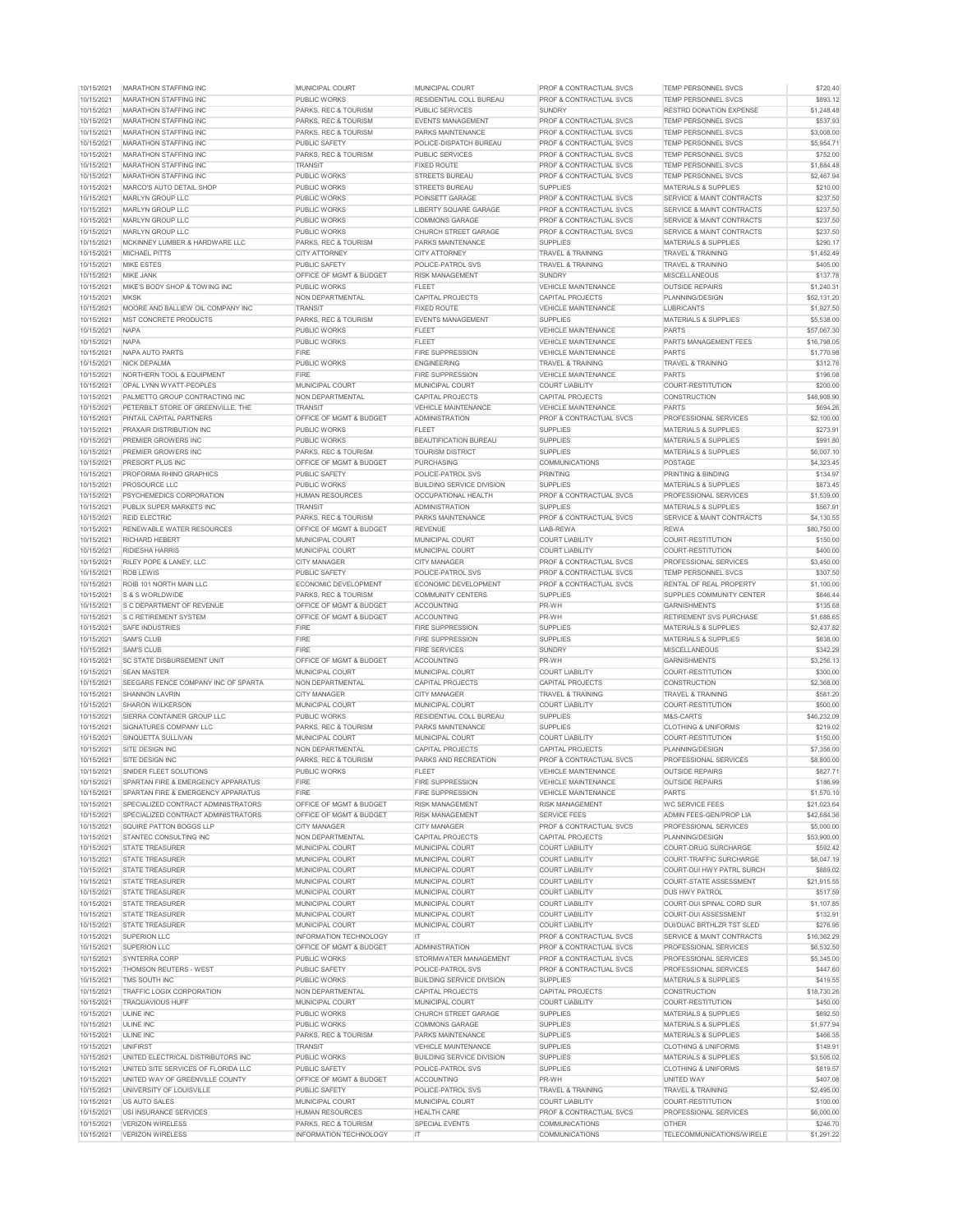| 10/15/2021               | <b>MARATHON STAFFING INC</b>                  | <b>MUNICIPAL COURT</b>                                    | <b>MUNICIPAL COURT</b>           | <b>PROF &amp; CONTRACTUAL SVCS</b>             | <b>TEMP PERSONNEL SVCS</b>                | \$720.40               |
|--------------------------|-----------------------------------------------|-----------------------------------------------------------|----------------------------------|------------------------------------------------|-------------------------------------------|------------------------|
| 10/15/2021               | <b>MARATHON STAFFING INC</b>                  | <b>PUBLIC WORKS</b>                                       | <b>RESIDENTIAL COLL BUREAU</b>   | <b>PROF &amp; CONTRACTUAL SVCS</b>             | <b>TEMP PERSONNEL SVCS</b>                | \$893.12               |
| 10/15/2021               | <b>MARATHON STAFFING INC</b>                  | <b>PARKS, REC &amp; TOURISM</b>                           | <b>PUBLIC SERVICES</b>           | <b>SUNDRY</b>                                  | <b>RESTRD DONATION EXPENSE</b>            | \$1,248.48             |
| 10/15/2021               | <b>MARATHON STAFFING INC</b>                  | <b>PARKS, REC &amp; TOURISM</b>                           | <b>EVENTS MANAGEMENT</b>         | <b>PROF &amp; CONTRACTUAL SVCS</b>             | <b>TEMP PERSONNEL SVCS</b>                | \$537.93               |
| 10/15/2021               | <b>MARATHON STAFFING INC</b>                  | <b>PARKS, REC &amp; TOURISM</b>                           | <b>PARKS MAINTENANCE</b>         | <b>PROF &amp; CONTRACTUAL SVCS</b>             | <b>TEMP PERSONNEL SVCS</b>                | \$3,008.00             |
| 10/15/2021               | <b>MARATHON STAFFING INC</b>                  | <b>PUBLIC SAFETY</b>                                      | POLICE-DISPATCH BUREAU           | <b>PROF &amp; CONTRACTUAL SVCS</b>             | <b>TEMP PERSONNEL SVCS</b>                | \$5,954.71             |
| 10/15/2021               | <b>MARATHON STAFFING INC</b>                  | PARKS, REC & TOURISM                                      | <b>PUBLIC SERVICES</b>           | <b>PROF &amp; CONTRACTUAL SVCS</b>             | <b>TEMP PERSONNEL SVCS</b>                | \$752.00               |
| 10/15/2021               | <b>MARATHON STAFFING INC</b>                  | <b>TRANSIT</b>                                            | <b>FIXED ROUTE</b>               | <b>PROF &amp; CONTRACTUAL SVCS</b>             | <b>TEMP PERSONNEL SVCS</b>                | \$1,884.48             |
| 10/15/2021               | <b>MARATHON STAFFING INC</b>                  | <b>PUBLIC WORKS</b>                                       | <b>STREETS BUREAU</b>            | <b>PROF &amp; CONTRACTUAL SVCS</b>             | <b>TEMP PERSONNEL SVCS</b>                | \$2,467.94             |
| 10/15/2021               |                                               |                                                           |                                  |                                                |                                           |                        |
|                          | MARCO'S AUTO DETAIL SHOP                      | <b>PUBLIC WORKS</b>                                       | <b>STREETS BUREAU</b>            | <b>SUPPLIES</b>                                | <b>MATERIALS &amp; SUPPLIES</b>           | \$210.00               |
| 10/15/2021               | <b>MARLYN GROUP LLC</b>                       | <b>PUBLIC WORKS</b>                                       | <b>POINSETT GARAGE</b>           | <b>PROF &amp; CONTRACTUAL SVCS</b>             | <b>SERVICE &amp; MAINT CONTRACTS</b>      | \$237.50               |
| 10/15/2021               | <b>MARLYN GROUP LLC</b>                       | <b>PUBLIC WORKS</b>                                       | LIBERTY SQUARE GARAGE            | <b>PROF &amp; CONTRACTUAL SVCS</b>             | SERVICE & MAINT CONTRACTS                 | \$237.50               |
| 10/15/2021               | MARLYN GROUP LLC                              | <b>PUBLIC WORKS</b>                                       | <b>COMMONS GARAGE</b>            | <b>PROF &amp; CONTRACTUAL SVCS</b>             | <b>SERVICE &amp; MAINT CONTRACTS</b>      | \$237.50               |
| 10/15/2021               | <b>MARLYN GROUP LLC</b>                       | <b>PUBLIC WORKS</b>                                       | <b>CHURCH STREET GARAGE</b>      | <b>PROF &amp; CONTRACTUAL SVCS</b>             | SERVICE & MAINT CONTRACTS                 | \$237.50               |
| 10/15/2021               | MCKINNEY LUMBER & HARDWARE LLC                | PARKS, REC & TOURISM                                      | <b>PARKS MAINTENANCE</b>         | <b>SUPPLIES</b>                                | <b>MATERIALS &amp; SUPPLIES</b>           | \$290.17               |
| 10/15/2021               | <b>MICHAEL PITTS</b>                          | <b>CITY ATTORNEY</b>                                      | <b>CITY ATTORNEY</b>             | <b>TRAVEL &amp; TRAINING</b>                   | <b>TRAVEL &amp; TRAINING</b>              | \$1,452.49             |
| 10/15/2021               | <b>MIKE ESTES</b>                             | <b>PUBLIC SAFETY</b>                                      | <b>POLICE-PATROL SVS</b>         | <b>TRAVEL &amp; TRAINING</b>                   | <b>TRAVEL &amp; TRAINING</b>              | \$405.00               |
| 10/15/2021               | <b>MIKE JANK</b>                              | <b>OFFICE OF MGMT &amp; BUDGET</b>                        | <b>RISK MANAGEMENT</b>           | <b>SUNDRY</b>                                  | <b>MISCELLANEOUS</b>                      | \$137.78               |
| 10/15/2021               | MIKE'S BODY SHOP & TOWING INC                 | <b>PUBLIC WORKS</b>                                       | <b>FLEET</b>                     | <b>VEHICLE MAINTENANCE</b>                     | <b>OUTSIDE REPAIRS</b>                    | \$1,240.31             |
| 10/15/2021               | <b>MKSK</b>                                   | NON DEPARTMENTAL                                          | <b>CAPITAL PROJECTS</b>          | <b>CAPITAL PROJECTS</b>                        | PLANNING/DESIGN                           | \$52,131.20            |
| 10/15/2021               | MOORE AND BALLIEW OIL COMPANY INC             | <b>TRANSIT</b>                                            | <b>FIXED ROUTE</b>               | <b>VEHICLE MAINTENANCE</b>                     | <b>LUBRICANTS</b>                         | \$1,927.50             |
| 10/15/2021               | <b>MST CONCRETE PRODUCTS</b>                  | <b>PARKS, REC &amp; TOURISM</b>                           | <b>EVENTS MANAGEMENT</b>         | <b>SUPPLIES</b>                                | <b>MATERIALS &amp; SUPPLIES</b>           | \$5,538.00             |
| 10/15/2021               | <b>NAPA</b>                                   | <b>PUBLIC WORKS</b>                                       | <b>FLEET</b>                     | <b>VEHICLE MAINTENANCE</b>                     | <b>PARTS</b>                              | \$57,067.30            |
| 10/15/2021               | <b>NAPA</b>                                   | <b>PUBLIC WORKS</b>                                       | <b>FLEET</b>                     | <b>VEHICLE MAINTENANCE</b>                     | <b>PARTS MANAGEMENT FEES</b>              | \$16,798.05            |
| 10/15/2021               | NAPA AUTO PARTS                               | <b>FIRE</b>                                               | <b>FIRE SUPPRESSION</b>          | <b>VEHICLE MAINTENANCE</b>                     | <b>PARTS</b>                              | \$1,770.98             |
| 10/15/2021               | <b>NICK DEPALMA</b>                           | <b>PUBLIC WORKS</b>                                       | <b>ENGINEERING</b>               | <b>TRAVEL &amp; TRAINING</b>                   | <b>TRAVEL &amp; TRAINING</b>              | \$312.76               |
|                          |                                               |                                                           |                                  |                                                |                                           |                        |
| 10/15/2021               | NORTHERN TOOL & EQUIPMENT                     | <b>FIRE</b>                                               | <b>FIRE SUPPRESSION</b>          | <b>VEHICLE MAINTENANCE</b>                     | <b>PARTS</b>                              | \$196.08               |
| 10/15/2021               | <b>OPAL LYNN WYATT-PEOPLES</b>                | MUNICIPAL COURT                                           | <b>MUNICIPAL COURT</b>           | <b>COURT LIABILITY</b>                         | <b>COURT-RESTITUTION</b>                  | \$200.00               |
| 10/15/2021               | <b>PALMETTO GROUP CONTRACTING INC</b>         | NON DEPARTMENTAL                                          | CAPITAL PROJECTS                 | <b>CAPITAL PROJECTS</b>                        | <b>CONSTRUCTION</b>                       | \$48,908.90            |
| 10/15/2021               | PETERBILT STORE OF GREENVILLE. THE            | <b>TRANSIT</b>                                            | <b>VEHICLE MAINTENANCE</b>       | <b>VEHICLE MAINTENANCE</b>                     | <b>PARTS</b>                              | \$694.26               |
| 10/15/2021               | <b>PINTAIL CAPITAL PARTNERS</b>               | <b>OFFICE OF MGMT &amp; BUDGET</b>                        | <b>ADMINISTRATION</b>            | <b>PROF &amp; CONTRACTUAL SVCS</b>             | PROFESSIONAL SERVICES                     | \$2,100.00             |
| 10/15/2021               | <b>PRAXAIR DISTRIBUTION INC</b>               | <b>PUBLIC WORKS</b>                                       | <b>FLEET</b>                     | <b>SUPPLIES</b>                                | <b>MATERIALS &amp; SUPPLIES</b>           | \$273.91               |
| 10/15/2021               | <b>PREMIER GROWERS INC</b>                    | <b>PUBLIC WORKS</b>                                       | <b>BEAUTIFICATION BUREAU</b>     | <b>SUPPLIES</b>                                | <b>MATERIALS &amp; SUPPLIES</b>           | \$991.80               |
| 10/15/2021               | <b>PREMIER GROWERS INC</b>                    | <b>PARKS, REC &amp; TOURISM</b>                           | <b>TOURISM DISTRICT</b>          | <b>SUPPLIES</b>                                | <b>MATERIALS &amp; SUPPLIES</b>           | \$6,007.10             |
| 10/15/2021               | <b>PRESORT PLUS INC</b>                       | <b>OFFICE OF MGMT &amp; BUDGET</b>                        | <b>PURCHASING</b>                | <b>COMMUNICATIONS</b>                          | <b>POSTAGE</b>                            | \$4,323.45             |
| 10/15/2021               | <b>PROFORMA RHINO GRAPHICS</b>                | <b>PUBLIC SAFETY</b>                                      | <b>POLICE-PATROL SVS</b>         | <b>PRINTING</b>                                | <b>PRINTING &amp; BINDING</b>             | \$134.97               |
| 10/15/2021               | <b>PROSOURCE LLC</b>                          | <b>PUBLIC WORKS</b>                                       | <b>BUILDING SERVICE DIVISION</b> | <b>SUPPLIES</b>                                | <b>MATERIALS &amp; SUPPLIES</b>           | \$873.45               |
| 10/15/2021               | <b>PSYCHEMEDICS CORPORATION</b>               | <b>HUMAN RESOURCES</b>                                    | <b>OCCUPATIONAL HEALTH</b>       | <b>PROF &amp; CONTRACTUAL SVCS</b>             | <b>PROFESSIONAL SERVICES</b>              | \$1,539.00             |
| 10/15/2021               | <b>PUBLIX SUPER MARKETS INC</b>               | <b>TRANSIT</b>                                            | <b>ADMINISTRATION</b>            | <b>SUPPLIES</b>                                | <b>MATERIALS &amp; SUPPLIES</b>           | \$567.91               |
| 10/15/2021               | <b>REID ELECTRIC</b>                          | <b>PARKS, REC &amp; TOURISM</b>                           | <b>PARKS MAINTENANCE</b>         | <b>PROF &amp; CONTRACTUAL SVCS</b>             | SERVICE & MAINT CONTRACTS                 | \$4,130.55             |
| 10/15/2021               | <b>RENEWABLE WATER RESOURCES</b>              | <b>OFFICE OF MGMT &amp; BUDGET</b>                        | <b>REVENUE</b>                   | LIAB-REWA                                      | <b>REWA</b>                               | \$80,750.00            |
| 10/15/2021               | <b>RICHARD HEBERT</b>                         | MUNICIPAL COURT                                           | <b>MUNICIPAL COURT</b>           | <b>COURT LIABILITY</b>                         | <b>COURT-RESTITUTION</b>                  | \$150.00               |
| 10/15/2021               | RIDIESHA HARRIS                               | MUNICIPAL COURT                                           | <b>MUNICIPAL COURT</b>           | <b>COURT LIABILITY</b>                         | <b>COURT-RESTITUTION</b>                  | \$400.00               |
|                          |                                               |                                                           |                                  |                                                |                                           |                        |
| 10/15/2021               | <b>RILEY POPE &amp; LANEY. LLC</b>            | <b>CITY MANAGER</b>                                       | <b>CITY MANAGER</b>              | <b>PROF &amp; CONTRACTUAL SVCS</b>             | <b>PROFESSIONAL SERVICES</b>              | \$3,450.00             |
| 10/15/2021               | <b>ROB LEWIS</b>                              | <b>PUBLIC SAFETY</b>                                      | <b>POLICE-PATROL SVS</b>         | <b>PROF &amp; CONTRACTUAL SVCS</b>             | <b>TEMP PERSONNEL SVCS</b>                | \$307.50               |
| 10/15/2021               | ROIB 101 NORTH MAIN LLC                       | ECONOMIC DEVELOPMENT                                      | ECONOMIC DEVELOPMENT             | <b>PROF &amp; CONTRACTUAL SVCS</b>             | RENTAL OF REAL PROPERTY                   | \$1,100.00             |
| 10/15/2021               | <b>S &amp; S WORLDWIDE</b>                    | <b>PARKS, REC &amp; TOURISM</b>                           | <b>COMMUNITY CENTERS</b>         | <b>SUPPLIES</b>                                | SUPPLIES COMMUNITY CENTER                 | \$846.44               |
| 10/15/2021               | <b>S C DEPARTMENT OF REVENUE</b>              | <b>OFFICE OF MGMT &amp; BUDGET</b>                        | <b>ACCOUNTING</b>                | PR-WH                                          | <b>GARNISHMENTS</b>                       | \$135.68               |
| 10/15/2021               | <b>S C RETIREMENT SYSTEM</b>                  | <b>OFFICE OF MGMT &amp; BUDGET</b>                        | <b>ACCOUNTING</b>                | PR-WH                                          | <b>RETIREMENT SVS PURCHASE</b>            | \$1,688.65             |
| 10/15/2021               | <b>SAFE INDUSTRIES</b>                        | <b>FIRE</b>                                               | <b>FIRE SUPPRESSION</b>          | <b>SUPPLIES</b>                                | <b>MATERIALS &amp; SUPPLIES</b>           | \$2,437.82             |
| 10/15/2021               | <b>SAM'S CLUB</b>                             | <b>FIRE</b>                                               | <b>FIRE SUPPRESSION</b>          | <b>SUPPLIES</b>                                | <b>MATERIALS &amp; SUPPLIES</b>           | \$838.00               |
| 10/15/2021               | <b>SAM'S CLUB</b>                             | <b>FIRE</b>                                               | <b>FIRE SERVICES</b>             | <b>SUNDRY</b>                                  | <b>MISCELLANEOUS</b>                      | \$342.29               |
| 10/15/2021               | <b>SC STATE DISBURSEMENT UNIT</b>             | <b>OFFICE OF MGMT &amp; BUDGET</b>                        | <b>ACCOUNTING</b>                | PR-WH                                          | <b>GARNISHMENTS</b>                       | \$3,256.13             |
| 10/15/2021               | <b>SEAN MASTER</b>                            | <b>MUNICIPAL COURT</b>                                    | <b>MUNICIPAL COURT</b>           | <b>COURT LIABILITY</b>                         | <b>COURT-RESTITUTION</b>                  | \$300.00               |
| 10/15/2021               | <b>SEEGARS FENCE COMPANY INC OF SPARTA</b>    | NON DEPARTMENTAL                                          | <b>CAPITAL PROJECTS</b>          | <b>CAPITAL PROJECTS</b>                        | <b>CONSTRUCTION</b>                       | \$2,368.00             |
| 10/15/2021               | <b>SHANNON LAVRIN</b>                         | <b>CITY MANAGER</b>                                       | <b>CITY MANAGER</b>              | <b>TRAVEL &amp; TRAINING</b>                   | <b>TRAVEL &amp; TRAINING</b>              | \$581.20               |
| 10/15/2021               | <b>SHARON WILKERSON</b>                       | MUNICIPAL COURT                                           | <b>MUNICIPAL COURT</b>           | <b>COURT LIABILITY</b>                         | <b>COURT-RESTITUTION</b>                  | \$500.00               |
| 10/15/2021               | <b>ISIERRA CONTAINER GROUP LLC</b>            | <b>PUBLIC WORKS</b>                                       | RESIDENTIAL COLL BUREAU          | <b>SUPPLIES</b>                                | M&S-CARTS                                 | \$46,232.09            |
| 10/15/2021               | SIGNATURES COMPANY LLC                        | <b>PARKS, REC &amp; TOURISM</b>                           | <b>PARKS MAINTENANCE</b>         | <b>SUPPLIES</b>                                | <b>CLOTHING &amp; UNIFORMS</b>            | \$219.02               |
| 10/15/2021               | SINQUETTA SULLIVAN                            | MUNICIPAL COURT                                           | <b>MUNICIPAL COURT</b>           | <b>COURT LIABILITY</b>                         | COURT-RESTITUTION                         | \$150.00               |
|                          |                                               |                                                           |                                  |                                                |                                           |                        |
| 10/15/2021               | <b>SITE DESIGN INC</b>                        | NON DEPARTMENTAL                                          | CAPITAL PROJECTS                 | CAPITAL PROJECTS                               | PLANNING/DESIGN                           | \$7,356.00             |
| 10/15/2021               | SITE DESIGN INC                               | <b>PARKS, REC &amp; TOURISM</b>                           | <b>PARKS AND RECREATION</b>      | <b>PROF &amp; CONTRACTUAL SVCS</b>             | <b>PROFESSIONAL SERVICES</b>              | \$8,800.00             |
| 10/15/2021               | SNIDER FLEET SOLUTIONS                        | <b>PUBLIC WORKS</b>                                       | <b>FLEET</b>                     | <b>VEHICLE MAINTENANCE</b>                     | <b>OUTSIDE REPAIRS</b>                    | \$827.71               |
| 10/15/2021               | <b>SPARTAN FIRE &amp; EMERGENCY APPARATUS</b> | <b>FIRE</b>                                               | <b>FIRE SUPPRESSION</b>          | <b>VEHICLE MAINTENANCE</b>                     | <b>OUTSIDE REPAIRS</b>                    | \$186.99               |
| 10/15/2021               | <b>SPARTAN FIRE &amp; EMERGENCY APPARATUS</b> | <b>FIRE</b>                                               | <b>FIRE SUPPRESSION</b>          | <b>VEHICLE MAINTENANCE</b>                     | <b>PARTS</b>                              | \$1,570.10             |
| 10/15/2021               | <b>SPECIALIZED CONTRACT ADMINISTRATORS</b>    | <b>OFFICE OF MGMT &amp; BUDGET</b>                        | <b>RISK MANAGEMENT</b>           | <b>RISK MANAGEMENT</b>                         | <b>IWC SERVICE FEES</b>                   | \$21,023.64            |
| 10/15/2021               | <b>SPECIALIZED CONTRACT ADMINISTRATORS</b>    | <b>OFFICE OF MGMT &amp; BUDGET</b>                        | <b>RISK MANAGEMENT</b>           | <b>SERVICE FEES</b>                            | ADMIN FEES-GEN/PROP LIA                   | \$42,684.36            |
| 10/15/2021               | SQUIRE PATTON BOGGS LLP                       | <b>CITY MANAGER</b>                                       | <b>CITY MANAGER</b>              | <b>PROF &amp; CONTRACTUAL SVCS</b>             | <b>PROFESSIONAL SERVICES</b>              | \$5,000.00             |
| 10/15/2021               | <b>STANTEC CONSULTING INC</b>                 | <b>NON DEPARTMENTAL</b>                                   | <b>CAPITAL PROJECTS</b>          | <b>CAPITAL PROJECTS</b>                        | PLANNING/DESIGN                           | \$53,900.00            |
| 10/15/2021               | <b>STATE TREASURER</b>                        | MUNICIPAL COURT                                           | <b>MUNICIPAL COURT</b>           | <b>COURT LIABILITY</b>                         | <b>COURT-DRUG SURCHARGE</b>               | \$592.42               |
| 10/15/2021               | <b>STATE TREASURER</b>                        | MUNICIPAL COURT                                           | <b>MUNICIPAL COURT</b>           | <b>COURT LIABILITY</b>                         | <b>COURT-TRAFFIC SURCHARGE</b>            | \$8,047.19             |
| 10/15/2021               |                                               |                                                           |                                  |                                                | <b>COURT-DUI HWY PATRL SURCH</b>          | \$889.02               |
|                          | <b>STATE TREASURER</b>                        | MUNICIPAL COURT                                           | <b>MUNICIPAL COURT</b>           | <b>COURT LIABILITY</b>                         |                                           |                        |
| 10/15/2021               | <b>STATE TREASURER</b>                        | MUNICIPAL COURT                                           | <b>MUNICIPAL COURT</b>           | <b>COURT LIABILITY</b>                         | COURT-STATE ASSESSMENT                    | \$21,915.55            |
| 10/15/2021               | <b>STATE TREASURER</b>                        | MUNICIPAL COURT                                           | <b>MUNICIPAL COURT</b>           | <b>COURT LIABILITY</b>                         | <b>DUS HWY PATROL</b>                     | \$517.59               |
| 10/15/2021               | <b>STATE TREASURER</b>                        | MUNICIPAL COURT                                           | <b>MUNICIPAL COURT</b>           | <b>COURT LIABILITY</b>                         | COURT-DUI SPINAL CORD SUR                 | \$1,107.85             |
| 10/15/2021               | <b>STATE TREASURER</b>                        | MUNICIPAL COURT                                           | <b>MUNICIPAL COURT</b>           | <b>COURT LIABILITY</b>                         | <b>COURT-DUI ASSESSMENT</b>               |                        |
| 10/15/2021               | <b>STATE TREASURER</b>                        | <b>MUNICIPAL COURT</b>                                    | <b>MUNICIPAL COURT</b>           | <b>COURT LIABILITY</b>                         | DUI/DUAC BRTHLZR TST SLED                 | \$132.91               |
|                          |                                               |                                                           |                                  |                                                | SERVICE & MAINT CONTRACTS                 | \$276.95               |
| 10/15/2021               | <b>SUPERION LLC</b>                           | <b>INFORMATION TECHNOLOGY</b>                             | IT                               | <b>PROF &amp; CONTRACTUAL SVCS</b>             |                                           | \$16,362.29            |
| 10/15/2021               | <b>SUPERION LLC</b>                           | <b>OFFICE OF MGMT &amp; BUDGET</b>                        | <b>ADMINISTRATION</b>            | <b>PROF &amp; CONTRACTUAL SVCS</b>             | <b>PROFESSIONAL SERVICES</b>              | \$6,532.50             |
| 10/15/2021               | <b>SYNTERRA CORP</b>                          | <b>PUBLIC WORKS</b>                                       | <b>STORMWATER MANAGEMENT</b>     | <b>PROF &amp; CONTRACTUAL SVCS</b>             | <b>PROFESSIONAL SERVICES</b>              | \$5,345.00             |
| 10/15/2021               | THOMSON REUTERS - WEST                        | <b>PUBLIC SAFETY</b>                                      | <b>POLICE-PATROL SVS</b>         | <b>PROF &amp; CONTRACTUAL SVCS</b>             | <b>PROFESSIONAL SERVICES</b>              | \$447.60               |
| 10/15/2021               | TMS SOUTH INC                                 | <b>PUBLIC WORKS</b>                                       | <b>BUILDING SERVICE DIVISION</b> | <b>SUPPLIES</b>                                | <b>MATERIALS &amp; SUPPLIES</b>           | \$419.55               |
| 10/15/2021               | TRAFFIC LOGIX CORPORATION                     | NON DEPARTMENTAL                                          | <b>CAPITAL PROJECTS</b>          | <b>CAPITAL PROJECTS</b>                        | <b>CONSTRUCTION</b>                       | \$18,730.26            |
| 10/15/2021               | <b>TRAQUAVIOUS HUFF</b>                       | <b>MUNICIPAL COURT</b>                                    | <b>MUNICIPAL COURT</b>           | <b>COURT LIABILITY</b>                         | COURT-RESTITUTION                         | \$450.00               |
| 10/15/2021               | ULINE INC                                     | <b>PUBLIC WORKS</b>                                       | <b>CHURCH STREET GARAGE</b>      | <b>SUPPLIES</b>                                | <b>MATERIALS &amp; SUPPLIES</b>           | \$892.50               |
| 10/15/2021               | ULINE INC                                     | <b>PUBLIC WORKS</b>                                       | <b>COMMONS GARAGE</b>            | <b>SUPPLIES</b>                                | <b>MATERIALS &amp; SUPPLIES</b>           | \$1,977.94             |
| 10/15/2021               | ULINE INC                                     | PARKS, REC & TOURISM                                      | <b>PARKS MAINTENANCE</b>         | <b>SUPPLIES</b>                                | <b>MATERIALS &amp; SUPPLIES</b>           | \$466.35               |
| 10/15/2021               | <b>UNIFIRST</b>                               | <b>TRANSIT</b>                                            | <b>VEHICLE MAINTENANCE</b>       | <b>SUPPLIES</b>                                | <b>CLOTHING &amp; UNIFORMS</b>            | \$149.91               |
| 10/15/2021               | UNITED ELECTRICAL DISTRIBUTORS INC            | <b>PUBLIC WORKS</b>                                       | <b>BUILDING SERVICE DIVISION</b> | <b>SUPPLIES</b>                                | <b>MATERIALS &amp; SUPPLIES</b>           | \$3,505.02             |
| 10/15/2021               | UNITED SITE SERVICES OF FLORIDA LLC           | <b>PUBLIC SAFETY</b>                                      | <b>POLICE-PATROL SVS</b>         | <b>SUPPLIES</b>                                | <b>CLOTHING &amp; UNIFORMS</b>            | \$819.57               |
| 10/15/2021               | UNITED WAY OF GREENVILLE COUNTY               | <b>OFFICE OF MGMT &amp; BUDGET</b>                        | <b>ACCOUNTING</b>                | PR-WH                                          | UNITED WAY                                | \$407.08               |
| 10/15/2021               | UNIVERSITY OF LOUISVILLE                      | <b>PUBLIC SAFETY</b>                                      | <b>POLICE-PATROL SVS</b>         | <b>TRAVEL &amp; TRAINING</b>                   | <b>TRAVEL &amp; TRAINING</b>              | \$2,495.00             |
| 10/15/2021               | US AUTO SALES                                 | <b>MUNICIPAL COURT</b>                                    | <b>MUNICIPAL COURT</b>           | <b>COURT LIABILITY</b>                         | <b>COURT-RESTITUTION</b>                  |                        |
|                          |                                               |                                                           |                                  |                                                |                                           | \$100.00               |
| 10/15/2021               | USI INSURANCE SERVICES                        | <b>HUMAN RESOURCES</b>                                    | <b>HEALTH CARE</b>               | <b>PROF &amp; CONTRACTUAL SVCS</b>             | <b>PROFESSIONAL SERVICES</b>              | \$6,000.00             |
| 10/15/2021<br>10/15/2021 | VERIZON WIRELESS<br>VERIZON WIRELESS          | <b>PARKS, REC &amp; TOURISM</b><br>INFORMATION TECHNOLOGY | <b>SPECIAL EVENTS</b><br>IT.     | <b>COMMUNICATIONS</b><br><b>COMMUNICATIONS</b> | <b>OTHER</b><br>TELECOMMUNICATIONS/WIRELE | \$246.70<br>\$1,291.22 |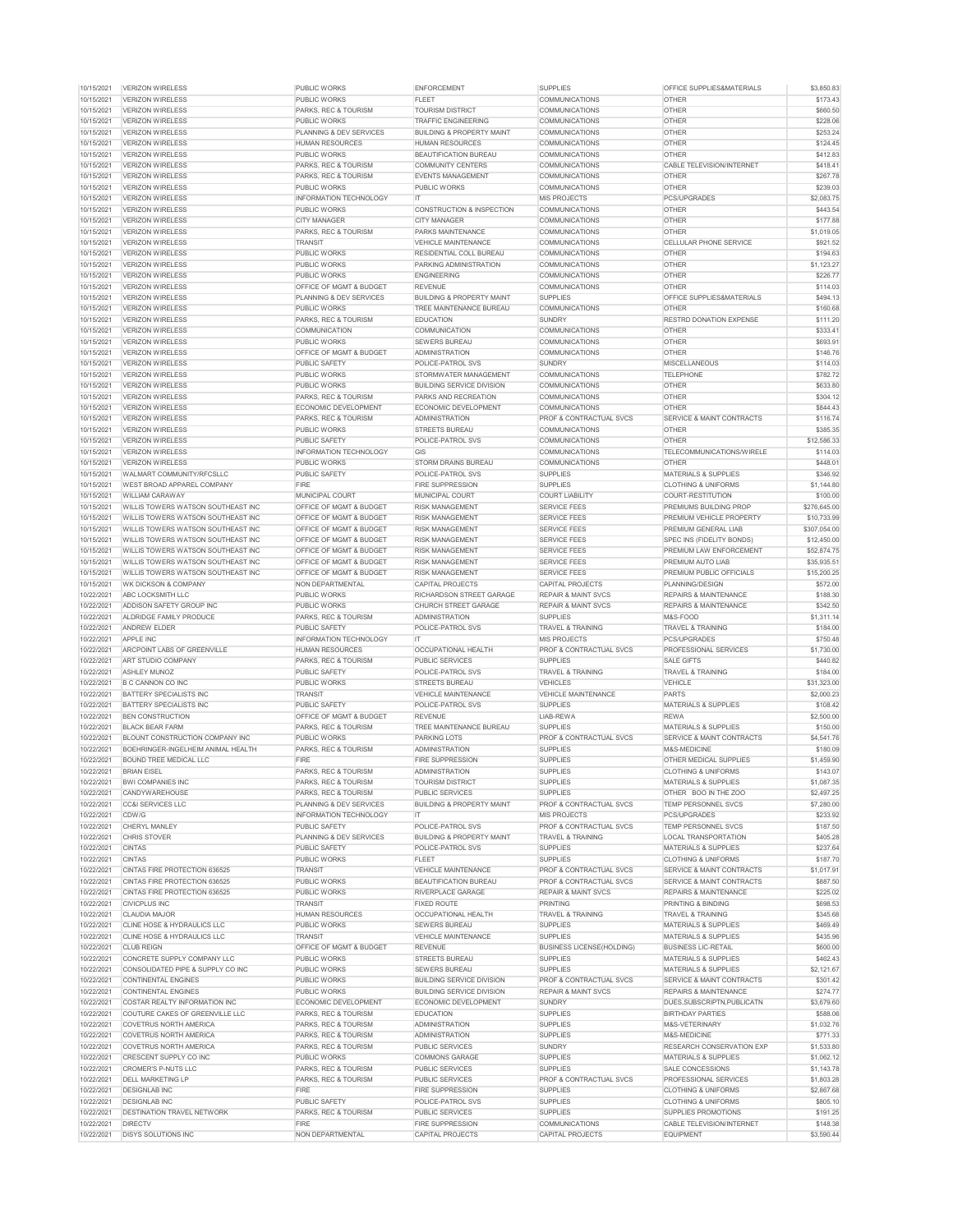| 10/15/2021               | VERIZON WIRELESS                             | <b>PUBLIC WORKS</b>                | <b>ENFORCEMENT</b>                                 | <b>SUPPLIES</b>                           | <b>OFFICE SUPPLIES&amp;MATERIALS</b>                 | \$3,850.83             |
|--------------------------|----------------------------------------------|------------------------------------|----------------------------------------------------|-------------------------------------------|------------------------------------------------------|------------------------|
| 10/15/2021               | <b>VERIZON WIRELESS</b>                      | <b>PUBLIC WORKS</b>                | <b>FLEET</b>                                       | <b>COMMUNICATIONS</b>                     | <b>OTHER</b>                                         | \$173.43               |
| 10/15/2021               | <b>VERIZON WIRELESS</b>                      | <b>PARKS, REC &amp; TOURISM</b>    | <b>TOURISM DISTRICT</b>                            | <b>COMMUNICATIONS</b>                     | <b>OTHER</b>                                         | \$660.50               |
| 10/15/2021               | VERIZON WIRELESS                             | <b>PUBLIC WORKS</b>                | <b>TRAFFIC ENGINEERING</b>                         | <b>COMMUNICATIONS</b>                     | <b>OTHER</b>                                         | \$228.06               |
| 10/15/2021               |                                              | <b>PLANNING &amp; DEV SERVICES</b> | <b>BUILDING &amp; PROPERTY MAINT</b>               | <b>COMMUNICATIONS</b>                     | <b>OTHER</b>                                         | \$253.24               |
|                          | <b>VERIZON WIRELESS</b>                      |                                    |                                                    |                                           |                                                      |                        |
| 10/15/2021               | <b>VERIZON WIRELESS</b>                      | <b>HUMAN RESOURCES</b>             | <b>HUMAN RESOURCES</b>                             | <b>COMMUNICATIONS</b>                     | <b>OTHER</b>                                         | \$124.45               |
| 10/15/2021               | <b>VERIZON WIRELESS</b>                      | <b>PUBLIC WORKS</b>                | <b>BEAUTIFICATION BUREAU</b>                       | <b>COMMUNICATIONS</b>                     | <b>OTHER</b>                                         | \$412.83               |
| 10/15/2021               | <b>VERIZON WIRELESS</b>                      | PARKS, REC & TOURISM               | <b>COMMUNITY CENTERS</b>                           | <b>COMMUNICATIONS</b>                     | <b>CABLE TELEVISION/INTERNET</b>                     | \$418.41               |
| 10/15/2021               | <b>VERIZON WIRELESS</b>                      | <b>PARKS, REC &amp; TOURISM</b>    | <b>EVENTS MANAGEMENT</b>                           | <b>COMMUNICATIONS</b>                     | <b>OTHER</b>                                         | \$267.78               |
| 10/15/2021               | <b>VERIZON WIRELESS</b>                      | <b>PUBLIC WORKS</b>                | <b>PUBLIC WORKS</b>                                | <b>COMMUNICATIONS</b>                     | <b>OTHER</b>                                         | \$239.03               |
| 10/15/2021               | <b>VERIZON WIRELESS</b>                      | <b>INFORMATION TECHNOLOGY</b>      | IT.                                                |                                           | <b>PCS/UPGRADES</b>                                  | \$2,083.75             |
|                          |                                              |                                    |                                                    | <b>MIS PROJECTS</b>                       |                                                      |                        |
| 10/15/2021               | <b>VERIZON WIRELESS</b>                      | <b>PUBLIC WORKS</b>                | <b>CONSTRUCTION &amp; INSPECTION</b>               | <b>COMMUNICATIONS</b>                     | <b>OTHER</b>                                         | \$443.54               |
| 10/15/2021               | <b>VERIZON WIRELESS</b>                      | <b>CITY MANAGER</b>                | <b>CITY MANAGER</b>                                | <b>COMMUNICATIONS</b>                     | <b>OTHER</b>                                         | \$177.88               |
| 10/15/2021               | <b>VERIZON WIRELESS</b>                      | <b>PARKS, REC &amp; TOURISM</b>    | <b>PARKS MAINTENANCE</b>                           | <b>COMMUNICATIONS</b>                     | <b>OTHER</b>                                         | \$1,019.05             |
| 10/15/2021               | <b>VERIZON WIRELESS</b>                      | <b>TRANSIT</b>                     | <b>VEHICLE MAINTENANCE</b>                         | <b>COMMUNICATIONS</b>                     | CELLULAR PHONE SERVICE                               | \$921.52               |
| 10/15/2021               | <b>VERIZON WIRELESS</b>                      | <b>PUBLIC WORKS</b>                | RESIDENTIAL COLL BUREAU                            | <b>COMMUNICATIONS</b>                     | <b>OTHER</b>                                         | \$194.63               |
|                          |                                              |                                    |                                                    |                                           |                                                      |                        |
| 10/15/2021               | <b>VERIZON WIRELESS</b>                      | <b>PUBLIC WORKS</b>                | PARKING ADMINISTRATION                             | <b>COMMUNICATIONS</b>                     | <b>OTHER</b>                                         | \$1,123.27             |
| 10/15/2021               | <b>VERIZON WIRELESS</b>                      | <b>PUBLIC WORKS</b>                | <b>ENGINEERING</b>                                 | <b>COMMUNICATIONS</b>                     | <b>OTHER</b>                                         | \$226.77               |
| 10/15/2021               | <b>VERIZON WIRELESS</b>                      | <b>OFFICE OF MGMT &amp; BUDGET</b> | <b>REVENUE</b>                                     | <b>COMMUNICATIONS</b>                     | <b>OTHER</b>                                         | \$114.03               |
| 10/15/2021               | <b>VERIZON WIRELESS</b>                      | <b>PLANNING &amp; DEV SERVICES</b> | <b>BUILDING &amp; PROPERTY MAINT</b>               | <b>SUPPLIES</b>                           | <b>OFFICE SUPPLIES&amp;MATERIALS</b>                 | \$494.13               |
| 10/15/2021               | <b>VERIZON WIRELESS</b>                      | <b>PUBLIC WORKS</b>                | TREE MAINTENANCE BUREAU                            | <b>COMMUNICATIONS</b>                     | <b>OTHER</b>                                         | \$160.68               |
| 10/15/2021               | <b>VERIZON WIRELESS</b>                      | <b>PARKS, REC &amp; TOURISM</b>    | <b>EDUCATION</b>                                   | <b>SUNDRY</b>                             | <b>RESTRD DONATION EXPENSE</b>                       | \$111.20               |
|                          |                                              |                                    |                                                    |                                           |                                                      |                        |
| 10/15/2021               | <b>VERIZON WIRELESS</b>                      | <b>COMMUNICATION</b>               | <b>COMMUNICATION</b>                               | <b>COMMUNICATIONS</b>                     | <b>OTHER</b>                                         | \$333.41               |
| 10/15/2021               | <b>VERIZON WIRELESS</b>                      | <b>PUBLIC WORKS</b>                | <b>SEWERS BUREAU</b>                               | <b>COMMUNICATIONS</b>                     | <b>OTHER</b>                                         | \$693.91               |
| 10/15/2021               | <b>VERIZON WIRELESS</b>                      | <b>OFFICE OF MGMT &amp; BUDGET</b> | <b>ADMINISTRATION</b>                              | <b>COMMUNICATIONS</b>                     | <b>OTHER</b>                                         | \$146.76               |
| 10/15/2021               | <b>VERIZON WIRELESS</b>                      | <b>PUBLIC SAFETY</b>               | POLICE-PATROL SVS                                  | <b>SUNDRY</b>                             | <b>MISCELLANEOUS</b>                                 | \$114.03               |
| 10/15/2021               | <b>VERIZON WIRELESS</b>                      | <b>PUBLIC WORKS</b>                | STORMWATER MANAGEMENT                              | <b>COMMUNICATIONS</b>                     | <b>TELEPHONE</b>                                     | \$782.72               |
|                          |                                              |                                    |                                                    |                                           |                                                      |                        |
| 10/15/2021               | <b>VERIZON WIRELESS</b>                      | <b>PUBLIC WORKS</b>                | <b>BUILDING SERVICE DIVISION</b>                   | <b>COMMUNICATIONS</b>                     | <b>OTHER</b>                                         | \$633.80               |
| 10/15/2021               | <b>VERIZON WIRELESS</b>                      | <b>PARKS, REC &amp; TOURISM</b>    | <b>PARKS AND RECREATION</b>                        | <b>COMMUNICATIONS</b>                     | <b>OTHER</b>                                         | \$304.12               |
| 10/15/2021               | <b>VERIZON WIRELESS</b>                      | <b>ECONOMIC DEVELOPMENT</b>        | <b>ECONOMIC DEVELOPMENT</b>                        | <b>COMMUNICATIONS</b>                     | <b>OTHER</b>                                         | \$844.43               |
| 10/15/2021               | <b>VERIZON WIRELESS</b>                      | <b>PARKS, REC &amp; TOURISM</b>    | <b>ADMINISTRATION</b>                              | <b>PROF &amp; CONTRACTUAL SVCS</b>        | <b>SERVICE &amp; MAINT CONTRACTS</b>                 | \$116.74               |
| 10/15/2021               | <b>VERIZON WIRELESS</b>                      | <b>PUBLIC WORKS</b>                | <b>STREETS BUREAU</b>                              | <b>COMMUNICATIONS</b>                     | <b>OTHER</b>                                         | \$385.35               |
| 10/15/2021               | <b>VERIZON WIRELESS</b>                      | <b>PUBLIC SAFETY</b>               | POLICE-PATROL SVS                                  | <b>COMMUNICATIONS</b>                     | <b>OTHER</b>                                         | \$12,586.33            |
|                          |                                              |                                    |                                                    |                                           |                                                      |                        |
| 10/15/2021               | <b>VERIZON WIRELESS</b>                      | <b>INFORMATION TECHNOLOGY</b>      | <b>GIS</b>                                         | <b>COMMUNICATIONS</b>                     | TELECOMMUNICATIONS/WIRELE                            | \$114.03               |
| 10/15/2021               | <b>VERIZON WIRELESS</b>                      | <b>PUBLIC WORKS</b>                | <b>STORM DRAINS BUREAU</b>                         | <b>COMMUNICATIONS</b>                     | <b>OTHER</b>                                         | \$448.01               |
| 10/15/2021               | <b>WALMART COMMUNITY/RFCSLLC</b>             | <b>PUBLIC SAFETY</b>               | POLICE-PATROL SVS                                  | <b>SUPPLIES</b>                           | <b>MATERIALS &amp; SUPPLIES</b>                      | \$346.92               |
| 10/15/2021               | <b>WEST BROAD APPAREL COMPANY</b>            | <b>FIRE</b>                        | <b>FIRE SUPPRESSION</b>                            | <b>SUPPLIES</b>                           | <b>CLOTHING &amp; UNIFORMS</b>                       | \$1,144.80             |
| 10/15/2021               | <b>WILLIAM CARAWAY</b>                       | <b>MUNICIPAL COURT</b>             | MUNICIPAL COURT                                    | <b>COURT LIABILITY</b>                    | COURT-RESTITUTION                                    | \$100.00               |
|                          |                                              |                                    | <b>RISK MANAGEMENT</b>                             |                                           |                                                      |                        |
| 10/15/2021               | WILLIS TOWERS WATSON SOUTHEAST INC           | <b>OFFICE OF MGMT &amp; BUDGET</b> |                                                    | <b>SERVICE FEES</b>                       | <b>PREMIUMS BUILDING PROP</b>                        | \$276,645.00           |
| 10/15/2021               | <b>WILLIS TOWERS WATSON SOUTHEAST INC</b>    | <b>OFFICE OF MGMT &amp; BUDGET</b> | <b>RISK MANAGEMENT</b>                             | <b>SERVICE FEES</b>                       | <b>PREMIUM VEHICLE PROPERTY</b>                      | \$10,733.99            |
| 10/15/2021               | <b>WILLIS TOWERS WATSON SOUTHEAST INC</b>    | <b>OFFICE OF MGMT &amp; BUDGET</b> | <b>RISK MANAGEMENT</b>                             | <b>SERVICE FEES</b>                       | PREMIUM GENERAL LIAB                                 | \$307,054.00           |
| 10/15/2021               | WILLIS TOWERS WATSON SOUTHEAST INC           | <b>OFFICE OF MGMT &amp; BUDGET</b> | <b>RISK MANAGEMENT</b>                             | <b>SERVICE FEES</b>                       | SPEC INS (FIDELITY BONDS)                            | \$12,450.00            |
| 10/15/2021               | <b>WILLIS TOWERS WATSON SOUTHEAST INC</b>    | <b>OFFICE OF MGMT &amp; BUDGET</b> | <b>RISK MANAGEMENT</b>                             | <b>SERVICE FEES</b>                       | <b>PREMIUM LAW ENFORCEMENT</b>                       | \$52,874.75            |
| 10/15/2021               | <b>WILLIS TOWERS WATSON SOUTHEAST INC</b>    | <b>OFFICE OF MGMT &amp; BUDGET</b> | <b>RISK MANAGEMENT</b>                             | <b>SERVICE FEES</b>                       | <b>PREMIUM AUTO LIAB</b>                             | \$35,935.51            |
|                          |                                              |                                    |                                                    |                                           |                                                      |                        |
| 10/15/2021               | <b>IWILLIS TOWERS WATSON SOUTHEAST INC</b>   | <b>OFFICE OF MGMT &amp; BUDGET</b> | <b>RISK MANAGEMENT</b>                             | <b>SERVICE FEES</b>                       | <b>PREMIUM PUBLIC OFFICIALS</b>                      | \$15,200.25            |
| 10/15/2021               | WK DICKSON & COMPANY                         | <b>NON DEPARTMENTAL</b>            | <b>CAPITAL PROJECTS</b>                            | <b>CAPITAL PROJECTS</b>                   | PLANNING/DESIGN                                      | \$572.00               |
| 10/22/2021               | ABC LOCKSMITH LLC                            | <b>PUBLIC WORKS</b>                | <b>RICHARDSON STREET GARAGE</b>                    | <b>REPAIR &amp; MAINT SVCS</b>            | <b>REPAIRS &amp; MAINTENANCE</b>                     | \$188.30               |
| 10/22/2021               | <b>ADDISON SAFETY GROUP INC</b>              | <b>PUBLIC WORKS</b>                | <b>CHURCH STREET GARAGE</b>                        | REPAIR & MAINT SVCS                       | <b>REPAIRS &amp; MAINTENANCE</b>                     | \$342.50               |
|                          |                                              |                                    |                                                    |                                           |                                                      |                        |
|                          |                                              |                                    |                                                    |                                           |                                                      |                        |
| 10/22/2021               | ALDRIDGE FAMILY PRODUCE                      | PARKS, REC & TOURISM               | <b>ADMINISTRATION</b>                              | <b>SUPPLIES</b>                           | M&S-FOOD                                             | \$1,311.14             |
| 10/22/2021               | <b>ANDREW ELDER</b>                          | <b>PUBLIC SAFETY</b>               | <b>POLICE-PATROL SVS</b>                           | <b>TRAVEL &amp; TRAINING</b>              | <b>TRAVEL &amp; TRAINING</b>                         | \$184.00               |
| 10/22/2021               | <b>APPLE INC</b>                             | <b>INFORMATION TECHNOLOGY</b>      | IT.                                                | <b>MIS PROJECTS</b>                       | PCS/UPGRADES                                         | \$750.48               |
| 10/22/2021               | ARCPOINT LABS OF GREENVILLE                  | <b>HUMAN RESOURCES</b>             | <b>OCCUPATIONAL HEALTH</b>                         | <b>PROF &amp; CONTRACTUAL SVCS</b>        | <b>PROFESSIONAL SERVICES</b>                         | \$1,730.00             |
| 10/22/2021               | ART STUDIO COMPANY                           | <b>PARKS, REC &amp; TOURISM</b>    | <b>PUBLIC SERVICES</b>                             | <b>SUPPLIES</b>                           | <b>SALE GIFTS</b>                                    | \$440.82               |
| 10/22/2021               | <b>ASHLEY MUNOZ</b>                          | <b>PUBLIC SAFETY</b>               | <b>POLICE-PATROL SVS</b>                           | <b>TRAVEL &amp; TRAINING</b>              | <b>TRAVEL &amp; TRAINING</b>                         | \$184.00               |
|                          |                                              |                                    |                                                    |                                           |                                                      |                        |
| 10/22/2021               | <b>B C CANNON CO INC</b>                     | <b>PUBLIC WORKS</b>                | <b>STREETS BUREAU</b>                              | <b>VEHICLES</b>                           | <b>VEHICLE</b>                                       | \$31,323.00            |
| 10/22/2021               | <b>BATTERY SPECIALISTS INC</b>               | <b>TRANSIT</b>                     | <b>VEHICLE MAINTENANCE</b>                         | <b>VEHICLE MAINTENANCE</b>                | <b>PARTS</b>                                         | \$2,000.23             |
| 10/22/2021               | <b>BATTERY SPECIALISTS INC</b>               | <b>PUBLIC SAFETY</b>               | <b>POLICE-PATROL SVS</b>                           | <b>SUPPLIES</b>                           | <b>MATERIALS &amp; SUPPLIES</b>                      | \$108.42               |
| 10/22/2021               | <b>BEN CONSTRUCTION</b>                      | <b>OFFICE OF MGMT &amp; BUDGET</b> | <b>REVENUE</b>                                     | LIAB-REWA                                 | <b>REWA</b>                                          | \$2,500.00             |
| 10/22/2021               | <b>BLACK BEAR FARM</b>                       | <b>PARKS, REC &amp; TOURISM</b>    | TREE MAINTENANCE BUREAU                            | <b>SUPPLIES</b>                           | <b>MATERIALS &amp; SUPPLIES</b>                      | \$150.00               |
| 10/22/2021               | BLOUNT CONSTRUCTION COMPANY INC              | <b>PUBLIC WORKS</b>                | <b>PARKING LOTS</b>                                | <b>PROF &amp; CONTRACTUAL SVCS</b>        | SERVICE & MAINT CONTRACTS                            | \$4,541.76             |
|                          |                                              |                                    |                                                    |                                           |                                                      |                        |
| 10/22/2021               | BOEHRINGER-INGELHEIM ANIMAL HEALTH           | <b>PARKS, REC &amp; TOURISM</b>    | <b>ADMINISTRATION</b>                              | <b>SUPPLIES</b>                           | M&S-MEDICINE                                         | \$180.09               |
| 10/22/2021               | BOUND TREE MEDICAL LLC                       | <b>FIRE</b>                        | <b>FIRE SUPPRESSION</b>                            | <b>SUPPLIES</b>                           | <b>OTHER MEDICAL SUPPLIES</b>                        | \$1,459.90             |
| 10/22/2021               | <b>BRIAN EISEL</b>                           | <b>PARKS, REC &amp; TOURISM</b>    | <b>ADMINISTRATION</b>                              | <b>SUPPLIES</b>                           | <b>CLOTHING &amp; UNIFORMS</b>                       | \$143.07               |
| 10/22/2021               | <b>BWI COMPANIES INC</b>                     | PARKS, REC & TOURISM               | <b>TOURISM DISTRICT</b>                            | <b>SUPPLIES</b>                           | <b>MATERIALS &amp; SUPPLIES</b>                      | \$1,087.35             |
| 10/22/2021               | <b>CANDYWAREHOUSE</b>                        | PARKS, REC & TOURISM               | <b>PUBLIC SERVICES</b>                             | <b>SUPPLIES</b>                           | OTHER BOO IN THE ZOO                                 | \$2,497.25             |
| 10/22/2021               | <b>CC&amp;I SERVICES LLC</b>                 | <b>PLANNING &amp; DEV SERVICES</b> | <b>BUILDING &amp; PROPERTY MAINT</b>               | <b>PROF &amp; CONTRACTUAL SVCS</b>        | <b>TEMP PERSONNEL SVCS</b>                           | \$7,280.00             |
|                          |                                              |                                    |                                                    |                                           |                                                      |                        |
| 10/22/2021               | CDW/G                                        | <b>INFORMATION TECHNOLOGY</b>      | IT.                                                | <b>MIS PROJECTS</b>                       | PCS/UPGRADES                                         | \$233.92               |
| 10/22/2021               | <b>CHERYL MANLEY</b>                         | <b>PUBLIC SAFETY</b>               | <b>POLICE-PATROL SVS</b>                           | <b>PROF &amp; CONTRACTUAL SVCS</b>        | <b>TEMP PERSONNEL SVCS</b>                           | \$187.50               |
| 10/22/2021               | <b>CHRIS STOVER</b>                          | <b>PLANNING &amp; DEV SERVICES</b> | <b>BUILDING &amp; PROPERTY MAINT</b>               | <b>TRAVEL &amp; TRAINING</b>              | <b>LOCAL TRANSPORTATION</b>                          | \$405.28               |
| 10/22/2021               | <b>CINTAS</b>                                | <b>PUBLIC SAFETY</b>               | <b>POLICE-PATROL SVS</b>                           | <b>SUPPLIES</b>                           | <b>IMATERIALS &amp; SUPPLIES</b>                     | \$237.64               |
| 10/22/2021               | <b>CINTAS</b>                                | <b>PUBLIC WORKS</b>                | <b>FLEET</b>                                       | <b>SUPPLIES</b>                           | <b>CLOTHING &amp; UNIFORMS</b>                       | \$187.70               |
| 10/22/2021               | <b>CINTAS FIRE PROTECTION 636525</b>         | <b>TRANSIT</b>                     | <b>VEHICLE MAINTENANCE</b>                         | <b>PROF &amp; CONTRACTUAL SVCS</b>        | SERVICE & MAINT CONTRACTS                            | \$1,017.91             |
|                          |                                              |                                    |                                                    |                                           |                                                      |                        |
| 10/22/2021               | <b>CINTAS FIRE PROTECTION 636525</b>         | <b>PUBLIC WORKS</b>                | <b>BEAUTIFICATION BUREAU</b>                       | <b>PROF &amp; CONTRACTUAL SVCS</b>        | SERVICE & MAINT CONTRACTS                            | \$887.50               |
| 10/22/2021               | <b>CINTAS FIRE PROTECTION 636525</b>         | <b>PUBLIC WORKS</b>                | <b>RIVERPLACE GARAGE</b>                           | <b>REPAIR &amp; MAINT SVCS</b>            | <b>REPAIRS &amp; MAINTENANCE</b>                     | \$225.02               |
| 10/22/2021               | <b>CIVICPLUS INC</b>                         | <b>TRANSIT</b>                     | <b>FIXED ROUTE</b>                                 | PRINTING                                  | <b>PRINTING &amp; BINDING</b>                        | \$698.53               |
| 10/22/2021               | <b>CLAUDIA MAJOR</b>                         | <b>HUMAN RESOURCES</b>             | OCCUPATIONAL HEALTH                                | <b>TRAVEL &amp; TRAINING</b>              | <b>TRAVEL &amp; TRAINING</b>                         | \$345.68               |
| 10/22/2021               | <b>CLINE HOSE &amp; HYDRAULICS LLC</b>       | <b>PUBLIC WORKS</b>                | <b>SEWERS BUREAU</b>                               | <b>SUPPLIES</b>                           | <b>MATERIALS &amp; SUPPLIES</b>                      | \$469.49               |
|                          | <b>CLINE HOSE &amp; HYDRAULICS LLC</b>       | <b>TRANSIT</b>                     | <b>VEHICLE MAINTENANCE</b>                         |                                           |                                                      |                        |
| 10/22/2021               |                                              |                                    |                                                    | <b>SUPPLIES</b>                           | <b>MATERIALS &amp; SUPPLIES</b>                      | \$435.96               |
| 10/22/2021               | <b>CLUB REIGN</b>                            | <b>OFFICE OF MGMT &amp; BUDGET</b> | <b>REVENUE</b>                                     | <b>BUSINESS LICENSE(HOLDING)</b>          | <b>BUSINESS LIC-RETAIL</b>                           | \$600.00               |
| 10/22/2021               | CONCRETE SUPPLY COMPANY LLC                  | <b>PUBLIC WORKS</b>                | <b>STREETS BUREAU</b>                              | <b>SUPPLIES</b>                           | <b>MATERIALS &amp; SUPPLIES</b>                      | \$462.43               |
| 10/22/2021               | CONSOLIDATED PIPE & SUPPLY CO INC            | <b>PUBLIC WORKS</b>                | <b>SEWERS BUREAU</b>                               | <b>SUPPLIES</b>                           | <b>IMATERIALS &amp; SUPPLIES</b>                     | \$2,121.67             |
| 10/22/2021               | <b>CONTINENTAL ENGINES</b>                   | <b>PUBLIC WORKS</b>                | <b>BUILDING SERVICE DIVISION</b>                   | <b>PROF &amp; CONTRACTUAL SVCS</b>        | SERVICE & MAINT CONTRACTS                            | \$301.42               |
| 10/22/2021               | <b>CONTINENTAL ENGINES</b>                   | <b>PUBLIC WORKS</b>                | <b>BUILDING SERVICE DIVISION</b>                   | <b>REPAIR &amp; MAINT SVCS</b>            | <b>REPAIRS &amp; MAINTENANCE</b>                     | \$274.77               |
|                          |                                              |                                    |                                                    |                                           |                                                      |                        |
| 10/22/2021               | <b>COSTAR REALTY INFORMATION INC</b>         | <b>ECONOMIC DEVELOPMENT</b>        | ECONOMIC DEVELOPMENT                               | <b>SUNDRY</b>                             | DUES.SUBSCRIPTN.PUBLICATN                            | \$3,679.60             |
| 10/22/2021               | COUTURE CAKES OF GREENVILLE LLC              | <b>PARKS, REC &amp; TOURISM</b>    | <b>EDUCATION</b>                                   | <b>SUPPLIES</b>                           | <b>BIRTHDAY PARTIES</b>                              | \$588.06               |
| 10/22/2021               | <b>COVETRUS NORTH AMERICA</b>                | <b>PARKS, REC &amp; TOURISM</b>    | <b>ADMINISTRATION</b>                              | <b>SUPPLIES</b>                           | M&S-VETERINARY                                       | \$1,032.76             |
| 10/22/2021               | <b>COVETRUS NORTH AMERICA</b>                | <b>PARKS, REC &amp; TOURISM</b>    | <b>ADMINISTRATION</b>                              | <b>SUPPLIES</b>                           | M&S-MEDICINE                                         | \$771.33               |
| 10/22/2021               | <b>COVETRUS NORTH AMERICA</b>                | <b>PARKS, REC &amp; TOURISM</b>    | <b>PUBLIC SERVICES</b>                             | <b>SUNDRY</b>                             | <b>RESEARCH CONSERVATION EXP</b>                     | \$1,533.80             |
| 10/22/2021               | <b>CRESCENT SUPPLY CO INC</b>                | <b>PUBLIC WORKS</b>                | <b>COMMONS GARAGE</b>                              | <b>SUPPLIES</b>                           | <b>MATERIALS &amp; SUPPLIES</b>                      | \$1,062.12             |
|                          |                                              |                                    |                                                    |                                           |                                                      |                        |
| 10/22/2021               | <b>CROMER'S P-NUTS LLC</b>                   | <b>PARKS, REC &amp; TOURISM</b>    | <b>PUBLIC SERVICES</b>                             | <b>SUPPLIES</b>                           | SALE CONCESSIONS                                     | \$1,143.78             |
| 10/22/2021               | <b>DELL MARKETING LP</b>                     | <b>PARKS, REC &amp; TOURISM</b>    | <b>PUBLIC SERVICES</b>                             | <b>PROF &amp; CONTRACTUAL SVCS</b>        | <b>PROFESSIONAL SERVICES</b>                         | \$1,803.28             |
| 10/22/2021               | <b>DESIGNLAB INC</b>                         | <b>FIRE</b>                        | <b>FIRE SUPPRESSION</b>                            | <b>SUPPLIES</b>                           | <b>CLOTHING &amp; UNIFORMS</b>                       | \$2,867.68             |
| 10/22/2021               | <b>DESIGNLAB INC</b>                         | <b>PUBLIC SAFETY</b>               | POLICE-PATROL SVS                                  | <b>SUPPLIES</b>                           | <b>CLOTHING &amp; UNIFORMS</b>                       | \$805.10               |
| 10/22/2021               | <b>DESTINATION TRAVEL NETWORK</b>            | <b>PARKS, REC &amp; TOURISM</b>    | <b>PUBLIC SERVICES</b>                             | <b>SUPPLIES</b>                           | SUPPLIES PROMOTIONS                                  | \$191.25               |
|                          |                                              | <b>FIRE</b>                        |                                                    |                                           |                                                      |                        |
| 10/22/2021<br>10/22/2021 | <b>DIRECTV</b><br><b>DISYS SOLUTIONS INC</b> | <b>NON DEPARTMENTAL</b>            | <b>FIRE SUPPRESSION</b><br><b>CAPITAL PROJECTS</b> | <b>COMMUNICATIONS</b><br>CAPITAL PROJECTS | <b>CABLE TELEVISION/INTERNET</b><br><b>EQUIPMENT</b> | \$148.38<br>\$3,590.44 |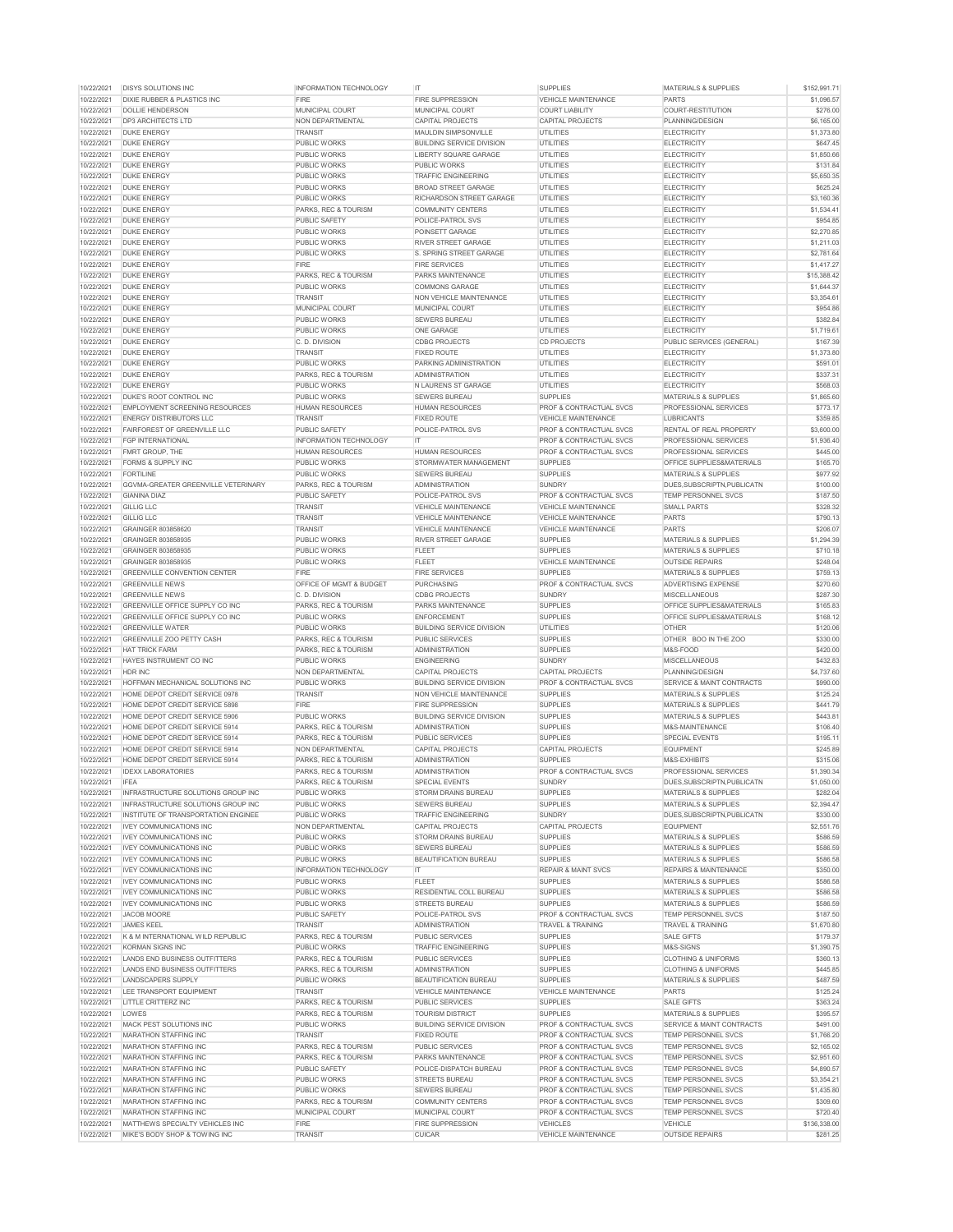| 10/22/2021 | <b>DISYS SOLUTIONS INC</b>                 | <b>INFORMATION TECHNOLOGY</b>      | IT.                              | <b>SUPPLIES</b>                    | <b>MATERIALS &amp; SUPPLIES</b>      | \$152,991.71 |
|------------|--------------------------------------------|------------------------------------|----------------------------------|------------------------------------|--------------------------------------|--------------|
| 10/22/2021 | <b>DIXIE RUBBER &amp; PLASTICS INC</b>     | <b>FIRE</b>                        | <b>FIRE SUPPRESSION</b>          | <b>VEHICLE MAINTENANCE</b>         | <b>PARTS</b>                         | \$1,096.57   |
| 10/22/2021 | <b>DOLLIE HENDERSON</b>                    | <b>MUNICIPAL COURT</b>             | <b>MUNICIPAL COURT</b>           | <b>COURT LIABILITY</b>             | COURT-RESTITUTION                    | \$276.00     |
| 10/22/2021 | <b>DP3 ARCHITECTS LTD</b>                  | NON DEPARTMENTAL                   | <b>CAPITAL PROJECTS</b>          | <b>CAPITAL PROJECTS</b>            | PLANNING/DESIGN                      | \$6,165.00   |
| 10/22/2021 | <b>DUKE ENERGY</b>                         | <b>TRANSIT</b>                     | MAULDIN SIMPSONVILLE             | <b>UTILITIES</b>                   | <b>ELECTRICITY</b>                   | \$1,373.80   |
| 10/22/2021 | <b>DUKE ENERGY</b>                         | <b>PUBLIC WORKS</b>                | <b>BUILDING SERVICE DIVISION</b> | <b>UTILITIES</b>                   | <b>ELECTRICITY</b>                   | \$647.45     |
| 10/22/2021 | <b>DUKE ENERGY</b>                         | <b>PUBLIC WORKS</b>                | LIBERTY SQUARE GARAGE            | <b>UTILITIES</b>                   | <b>ELECTRICITY</b>                   | \$1,850.66   |
| 10/22/2021 | <b>DUKE ENERGY</b>                         | <b>PUBLIC WORKS</b>                | <b>PUBLIC WORKS</b>              | <b>UTILITIES</b>                   | <b>ELECTRICITY</b>                   | \$131.84     |
| 10/22/2021 | <b>DUKE ENERGY</b>                         | <b>PUBLIC WORKS</b>                | <b>TRAFFIC ENGINEERING</b>       | <b>UTILITIES</b>                   | <b>ELECTRICITY</b>                   | \$5,650.35   |
| 10/22/2021 | <b>DUKE ENERGY</b>                         | <b>PUBLIC WORKS</b>                | <b>BROAD STREET GARAGE</b>       | <b>UTILITIES</b>                   | <b>ELECTRICITY</b>                   | \$625.24     |
| 10/22/2021 | <b>DUKE ENERGY</b>                         | <b>PUBLIC WORKS</b>                | <b>RICHARDSON STREET GARAGE</b>  | <b>UTILITIES</b>                   | <b>ELECTRICITY</b>                   | \$3,160.36   |
| 10/22/2021 | <b>DUKE ENERGY</b>                         | <b>PARKS, REC &amp; TOURISM</b>    | <b>COMMUNITY CENTERS</b>         | <b>UTILITIES</b>                   | <b>ELECTRICITY</b>                   | \$1,534.41   |
| 10/22/2021 | <b>DUKE ENERGY</b>                         | <b>PUBLIC SAFETY</b>               | POLICE-PATROL SVS                | <b>UTILITIES</b>                   | <b>ELECTRICITY</b>                   | \$954.85     |
| 10/22/2021 | <b>DUKE ENERGY</b>                         | <b>PUBLIC WORKS</b>                | POINSETT GARAGE                  | <b>UTILITIES</b>                   | <b>ELECTRICITY</b>                   | \$2,270.85   |
| 10/22/2021 | <b>DUKE ENERGY</b>                         | <b>PUBLIC WORKS</b>                | <b>RIVER STREET GARAGE</b>       | <b>UTILITIES</b>                   | <b>ELECTRICITY</b>                   | \$1,211.03   |
| 10/22/2021 | <b>DUKE ENERGY</b>                         | <b>PUBLIC WORKS</b>                | <b>S. SPRING STREET GARAGE</b>   | <b>UTILITIES</b>                   | <b>ELECTRICITY</b>                   | \$2,781.64   |
| 10/22/2021 | <b>DUKE ENERGY</b>                         | <b>FIRE</b>                        | <b>FIRE SERVICES</b>             | <b>UTILITIES</b>                   | <b>ELECTRICITY</b>                   | \$1,417.27   |
| 10/22/2021 | <b>DUKE ENERGY</b>                         | <b>PARKS, REC &amp; TOURISM</b>    | <b>PARKS MAINTENANCE</b>         | <b>UTILITIES</b>                   | <b>ELECTRICITY</b>                   | \$15,388.42  |
| 10/22/2021 | <b>DUKE ENERGY</b>                         | <b>PUBLIC WORKS</b>                | <b>COMMONS GARAGE</b>            | <b>UTILITIES</b>                   | <b>ELECTRICITY</b>                   | \$1,644.37   |
| 10/22/2021 | <b>DUKE ENERGY</b>                         | <b>TRANSIT</b>                     | <b>NON VEHICLE MAINTENANCE</b>   | <b>UTILITIES</b>                   | <b>ELECTRICITY</b>                   | \$3,354.61   |
| 10/22/2021 | <b>DUKE ENERGY</b>                         | <b>MUNICIPAL COURT</b>             | <b>MUNICIPAL COURT</b>           | UTILITIES                          | <b>ELECTRICITY</b>                   | \$954.86     |
| 10/22/2021 | <b>DUKE ENERGY</b>                         | <b>PUBLIC WORKS</b>                | <b>SEWERS BUREAU</b>             | <b>UTILITIES</b>                   | <b>ELECTRICITY</b>                   | \$382.84     |
| 10/22/2021 | <b>DUKE ENERGY</b>                         | <b>PUBLIC WORKS</b>                | <b>ONE GARAGE</b>                | <b>UTILITIES</b>                   | <b>ELECTRICITY</b>                   | \$1,719.61   |
| 10/22/2021 | <b>DUKE ENERGY</b>                         | C. D. DIVISION                     | <b>CDBG PROJECTS</b>             | <b>CD PROJECTS</b>                 | <b>PUBLIC SERVICES (GENERAL)</b>     | \$167.39     |
| 10/22/2021 | <b>DUKE ENERGY</b>                         | <b>TRANSIT</b>                     | <b>FIXED ROUTE</b>               | <b>UTILITIES</b>                   | <b>ELECTRICITY</b>                   | \$1,373.80   |
| 10/22/2021 | <b>DUKE ENERGY</b>                         | <b>PUBLIC WORKS</b>                | PARKING ADMINISTRATION           | <b>UTILITIES</b>                   | <b>ELECTRICITY</b>                   | \$591.01     |
| 10/22/2021 | <b>DUKE ENERGY</b>                         | <b>PARKS, REC &amp; TOURISM</b>    | <b>ADMINISTRATION</b>            | <b>UTILITIES</b>                   | <b>ELECTRICITY</b>                   | \$337.31     |
| 10/22/2021 | <b>DUKE ENERGY</b>                         | <b>PUBLIC WORKS</b>                | N LAURENS ST GARAGE              | UTILITIES                          | <b>ELECTRICITY</b>                   | \$568.03     |
| 10/22/2021 | DUKE'S ROOT CONTROL INC                    | <b>PUBLIC WORKS</b>                | <b>SEWERS BUREAU</b>             | <b>SUPPLIES</b>                    | <b>MATERIALS &amp; SUPPLIES</b>      | \$1,865.60   |
| 10/22/2021 | <b>EMPLOYMENT SCREENING RESOURCES</b>      | <b>HUMAN RESOURCES</b>             | <b>HUMAN RESOURCES</b>           | <b>PROF &amp; CONTRACTUAL SVCS</b> | PROFESSIONAL SERVICES                | \$773.17     |
| 10/22/2021 | <b>ENERGY DISTRIBUTORS LLC</b>             | <b>TRANSIT</b>                     | <b>FIXED ROUTE</b>               | <b>VEHICLE MAINTENANCE</b>         | <b>LUBRICANTS</b>                    | \$359.85     |
| 10/22/2021 | <b>FAIRFOREST OF GREENVILLE LLC</b>        | <b>PUBLIC SAFETY</b>               | <b>POLICE-PATROL SVS</b>         | <b>PROF &amp; CONTRACTUAL SVCS</b> | <b>RENTAL OF REAL PROPERTY</b>       | \$3,600.00   |
| 10/22/2021 | <b>FGP INTERNATIONAL</b>                   | <b>INFORMATION TECHNOLOGY</b>      | IT.                              | PROF & CONTRACTUAL SVCS            | PROFESSIONAL SERVICES                | \$1,936.40   |
| 10/22/2021 | <b>FMRT GROUP, THE</b>                     | <b>HUMAN RESOURCES</b>             | <b>HUMAN RESOURCES</b>           | <b>PROF &amp; CONTRACTUAL SVCS</b> | PROFESSIONAL SERVICES                | \$445.00     |
| 10/22/2021 | <b>FORMS &amp; SUPPLY INC</b>              | <b>PUBLIC WORKS</b>                | STORMWATER MANAGEMENT            | <b>SUPPLIES</b>                    | <b>OFFICE SUPPLIES&amp;MATERIALS</b> | \$165.70     |
| 10/22/2021 | <b>FORTILINE</b>                           | <b>PUBLIC WORKS</b>                | <b>SEWERS BUREAU</b>             | <b>SUPPLIES</b>                    | <b>MATERIALS &amp; SUPPLIES</b>      | \$977.92     |
| 10/22/2021 | <b>GGVMA-GREATER GREENVILLE VETERINARY</b> | <b>PARKS, REC &amp; TOURISM</b>    | <b>ADMINISTRATION</b>            | <b>SUNDRY</b>                      | DUES.SUBSCRIPTN.PUBLICATN            | \$100.00     |
| 10/22/2021 | <b>GIANINA DIAZ</b>                        | <b>PUBLIC SAFETY</b>               | <b>POLICE-PATROL SVS</b>         | <b>PROF &amp; CONTRACTUAL SVCS</b> | <b>TEMP PERSONNEL SVCS</b>           | \$187.50     |
| 10/22/2021 | <b>GILLIG LLC</b>                          | <b>TRANSIT</b>                     | <b>VEHICLE MAINTENANCE</b>       | <b>VEHICLE MAINTENANCE</b>         | <b>SMALL PARTS</b>                   | \$328.32     |
| 10/22/2021 | <b>GILLIG LLC</b>                          | <b>TRANSIT</b>                     | <b>VEHICLE MAINTENANCE</b>       | <b>VEHICLE MAINTENANCE</b>         | <b>PARTS</b>                         | \$790.13     |
| 10/22/2021 | <b>GRAINGER 803858620</b>                  | <b>TRANSIT</b>                     | <b>VEHICLE MAINTENANCE</b>       | <b>VEHICLE MAINTENANCE</b>         | <b>PARTS</b>                         | \$206.07     |
| 10/22/2021 | <b>GRAINGER 803858935</b>                  | <b>PUBLIC WORKS</b>                | <b>RIVER STREET GARAGE</b>       | <b>SUPPLIES</b>                    | <b>MATERIALS &amp; SUPPLIES</b>      | \$1,294.39   |
| 10/22/2021 | <b>GRAINGER 803858935</b>                  | <b>PUBLIC WORKS</b>                | <b>FLEET</b>                     | <b>SUPPLIES</b>                    | <b>MATERIALS &amp; SUPPLIES</b>      | \$710.18     |
| 10/22/2021 | <b>GRAINGER 803858935</b>                  | <b>PUBLIC WORKS</b>                | <b>FLEET</b>                     | <b>VEHICLE MAINTENANCE</b>         | <b>OUTSIDE REPAIRS</b>               | \$248.04     |
| 10/22/2021 | <b>GREENVILLE CONVENTION CENTER</b>        | <b>FIRE</b>                        | <b>FIRE SERVICES</b>             | <b>SUPPLIES</b>                    | <b>MATERIALS &amp; SUPPLIES</b>      | \$759.13     |
| 10/22/2021 | <b>GREENVILLE NEWS</b>                     | <b>OFFICE OF MGMT &amp; BUDGET</b> | <b>PURCHASING</b>                | <b>PROF &amp; CONTRACTUAL SVCS</b> | <b>ADVERTISING EXPENSE</b>           | \$270.60     |
| 10/22/2021 | <b>GREENVILLE NEWS</b>                     | C. D. DIVISION                     | <b>CDBG PROJECTS</b>             | <b>SUNDRY</b>                      | <b>MISCELLANEOUS</b>                 | \$287.30     |
| 10/22/2021 | <b>GREENVILLE OFFICE SUPPLY CO INC</b>     | <b>PARKS, REC &amp; TOURISM</b>    | <b>PARKS MAINTENANCE</b>         | <b>SUPPLIES</b>                    | <b>OFFICE SUPPLIES&amp;MATERIALS</b> | \$165.83     |
| 10/22/2021 | <b>GREENVILLE OFFICE SUPPLY CO INC</b>     | <b>PUBLIC WORKS</b>                | <b>ENFORCEMENT</b>               | <b>SUPPLIES</b>                    | <b>OFFICE SUPPLIES&amp;MATERIALS</b> | \$168.12     |
| 10/22/2021 | <b>GREENVILLE WATER</b>                    | <b>PUBLIC WORKS</b>                | <b>BUILDING SERVICE DIVISION</b> | <b>UTILITIES</b>                   | <b>OTHER</b>                         | \$120.06     |
| 10/22/2021 | <b>GREENVILLE ZOO PETTY CASH</b>           | <b>PARKS, REC &amp; TOURISM</b>    | <b>PUBLIC SERVICES</b>           | <b>SUPPLIES</b>                    | OTHER BOO IN THE ZOO                 | \$330.00     |
| 10/22/2021 | <b>HAT TRICK FARM</b>                      | <b>PARKS, REC &amp; TOURISM</b>    | <b>ADMINISTRATION</b>            | <b>SUPPLIES</b>                    | M&S-FOOD                             | \$420.00     |
| 10/22/2021 | HAYES INSTRUMENT CO INC                    | <b>PUBLIC WORKS</b>                | <b>ENGINEERING</b>               | <b>SUNDRY</b>                      | <b>MISCELLANEOUS</b>                 | \$432.83     |
| 10/22/2021 | <b>HDR INC</b>                             | NON DEPARTMENTAL                   | <b>CAPITAL PROJECTS</b>          | <b>CAPITAL PROJECTS</b>            | PLANNING/DESIGN                      | \$4,737.60   |
| 10/22/2021 | HOFFMAN MECHANICAL SOLUTIONS INC           | <b>PUBLIC WORKS</b>                | <b>BUILDING SERVICE DIVISION</b> | <b>PROF &amp; CONTRACTUAL SVCS</b> | <b>SERVICE &amp; MAINT CONTRACTS</b> | \$990.00     |
| 10/22/2021 | <b>HOME DEPOT CREDIT SERVICE 0978</b>      | <b>TRANSIT</b>                     | <b>NON VEHICLE MAINTENANCE</b>   | <b>SUPPLIES</b>                    | <b>MATERIALS &amp; SUPPLIES</b>      | \$125.24     |
| 10/22/2021 | <b>HOME DEPOT CREDIT SERVICE 5898</b>      | <b>FIRE</b>                        | <b>FIRE SUPPRESSION</b>          | <b>SUPPLIES</b>                    | <b>MATERIALS &amp; SUPPLIES</b>      | \$441.79     |
| 10/22/2021 | <b>HOME DEPOT CREDIT SERVICE 5906</b>      | <b>PUBLIC WORKS</b>                | <b>BUILDING SERVICE DIVISION</b> | <b>SUPPLIES</b>                    | <b>MATERIALS &amp; SUPPLIES</b>      | \$443.81     |
| 10/22/2021 | <b>HOME DEPOT CREDIT SERVICE 5914</b>      | <b>PARKS, REC &amp; TOURISM</b>    | <b>ADMINISTRATION</b>            | <b>SUPPLIES</b>                    | M&S-MAINTENANCE                      | \$106.40     |
| 10/22/2021 | <b>HOME DEPOT CREDIT SERVICE 5914</b>      | <b>PARKS, REC &amp; TOURISM</b>    | <b>PUBLIC SERVICES</b>           | <b>SUPPLIES</b>                    | <b>SPECIAL EVENTS</b>                | \$195.11     |
| 10/22/2021 | HOME DEPOT CREDIT SERVICE 5914             | NON DEPARTMENTAL                   | <b>CAPITAL PROJECTS</b>          | <b>CAPITAL PROJECTS</b>            | <b>EQUIPMENT</b>                     | \$245.89     |
| 10/22/2021 | HOME DEPOT CREDIT SERVICE 5914             | <b>PARKS, REC &amp; TOURISM</b>    | <b>ADMINISTRATION</b>            | <b>SUPPLIES</b>                    | M&S-EXHIBITS                         | \$315.06     |
| 10/22/2021 | <b>IDEXX LABORATORIES</b>                  | <b>PARKS, REC &amp; TOURISM</b>    | <b>ADMINISTRATION</b>            | <b>PROF &amp; CONTRACTUAL SVCS</b> | <b>PROFESSIONAL SERVICES</b>         | \$1,390.34   |
| 10/22/2021 | <b>IFEA</b>                                | <b>PARKS, REC &amp; TOURISM</b>    | <b>SPECIAL EVENTS</b>            | <b>SUNDRY</b>                      | DUES, SUBSCRIPTN, PUBLICATN          | \$1,050.00   |
| 10/22/2021 | INFRASTRUCTURE SOLUTIONS GROUP INC         | <b>PUBLIC WORKS</b>                | <b>STORM DRAINS BUREAU</b>       | <b>SUPPLIES</b>                    | <b>MATERIALS &amp; SUPPLIES</b>      | \$282.04     |
| 10/22/2021 | INFRASTRUCTURE SOLUTIONS GROUP INC         | <b>PUBLIC WORKS</b>                | <b>SEWERS BUREAU</b>             | <b>SUPPLIES</b>                    | <b>MATERIALS &amp; SUPPLIES</b>      | \$2,394.47   |
| 10/22/2021 | INSTITUTE OF TRANSPORTATION ENGINEE        | <b>PUBLIC WORKS</b>                | <b>TRAFFIC ENGINEERING</b>       | <b>SUNDRY</b>                      | DUES, SUBSCRIPTN, PUBLICATN          | \$330.00     |
| 10/22/2021 | <b>IVEY COMMUNICATIONS INC</b>             | NON DEPARTMENTAL                   | <b>CAPITAL PROJECTS</b>          | <b>CAPITAL PROJECTS</b>            | <b>EQUIPMENT</b>                     | \$2,551.76   |
| 10/22/2021 | <b>IVEY COMMUNICATIONS INC</b>             | <b>PUBLIC WORKS</b>                | <b>STORM DRAINS BUREAU</b>       | <b>SUPPLIES</b>                    | <b>MATERIALS &amp; SUPPLIES</b>      | \$586.59     |
| 10/22/2021 | <b>IVEY COMMUNICATIONS INC</b>             | <b>PUBLIC WORKS</b>                | <b>SEWERS BUREAU</b>             | <b>SUPPLIES</b>                    | <b>MATERIALS &amp; SUPPLIES</b>      | \$586.59     |
| 10/22/2021 | <b>IVEY COMMUNICATIONS INC</b>             | <b>PUBLIC WORKS</b>                | <b>BEAUTIFICATION BUREAU</b>     | <b>SUPPLIES</b>                    | <b>MATERIALS &amp; SUPPLIES</b>      | \$586.58     |
| 10/22/2021 | <b>IVEY COMMUNICATIONS INC</b>             | <b>INFORMATION TECHNOLOGY</b>      | IT.                              | <b>REPAIR &amp; MAINT SVCS</b>     | <b>REPAIRS &amp; MAINTENANCE</b>     | \$350.00     |
| 10/22/2021 | <b>IVEY COMMUNICATIONS INC</b>             | <b>PUBLIC WORKS</b>                | <b>FLEET</b>                     | <b>SUPPLIES</b>                    | <b>MATERIALS &amp; SUPPLIES</b>      | \$586.58     |
| 10/22/2021 | <b>IVEY COMMUNICATIONS INC</b>             | <b>PUBLIC WORKS</b>                | <b>RESIDENTIAL COLL BUREAU</b>   | <b>SUPPLIES</b>                    | <b>MATERIALS &amp; SUPPLIES</b>      | \$586.58     |
| 10/22/2021 | <b>IVEY COMMUNICATIONS INC</b>             | <b>PUBLIC WORKS</b>                | <b>STREETS BUREAU</b>            | <b>SUPPLIES</b>                    | <b>MATERIALS &amp; SUPPLIES</b>      | \$586.59     |
| 10/22/2021 | <b>JACOB MOORE</b>                         | PUBLIC SAFETY                      | <b>POLICE-PATROL SVS</b>         | <b>PROF &amp; CONTRACTUAL SVCS</b> | <b>TEMP PERSONNEL SVCS</b>           | \$187.50     |
| 10/22/2021 | <b>JAMES KEEL</b>                          | <b>TRANSIT</b>                     | <b>ADMINISTRATION</b>            | <b>TRAVEL &amp; TRAINING</b>       | <b>TRAVEL &amp; TRAINING</b>         | \$1,670.80   |
| 10/22/2021 | K & M INTERNATIONAL WILD REPUBLIC          | <b>PARKS, REC &amp; TOURISM</b>    | <b>PUBLIC SERVICES</b>           | <b>SUPPLIES</b>                    | <b>SALE GIFTS</b>                    | \$179.37     |
| 10/22/2021 | KORMAN SIGNS INC                           | <b>PUBLIC WORKS</b>                | <b>TRAFFIC ENGINEERING</b>       | <b>SUPPLIES</b>                    | M&S-SIGNS                            | \$1,390.75   |
| 10/22/2021 | LANDS END BUSINESS OUTFITTERS              | <b>PARKS, REC &amp; TOURISM</b>    | <b>PUBLIC SERVICES</b>           | <b>SUPPLIES</b>                    | <b>CLOTHING &amp; UNIFORMS</b>       | \$360.13     |
| 10/22/2021 | LANDS END BUSINESS OUTFITTERS              | PARKS, REC & TOURISM               | <b>ADMINISTRATION</b>            | <b>SUPPLIES</b>                    | <b>CLOTHING &amp; UNIFORMS</b>       | \$445.85     |
| 10/22/2021 | <b>LANDSCAPERS SUPPLY</b>                  | <b>PUBLIC WORKS</b>                | <b>BEAUTIFICATION BUREAU</b>     | <b>SUPPLIES</b>                    | <b>MATERIALS &amp; SUPPLIES</b>      | \$487.59     |
| 10/22/2021 | LEE TRANSPORT EQUIPMENT                    | <b>TRANSIT</b>                     | <b>VEHICLE MAINTENANCE</b>       | <b>VEHICLE MAINTENANCE</b>         | <b>PARTS</b>                         | \$125.24     |
| 10/22/2021 | LITTLE CRITTERZ INC                        | <b>PARKS, REC &amp; TOURISM</b>    | <b>PUBLIC SERVICES</b>           | <b>SUPPLIES</b>                    | <b>SALE GIFTS</b>                    | \$363.24     |
| 10/22/2021 | LOWES                                      | <b>PARKS, REC &amp; TOURISM</b>    | <b>TOURISM DISTRICT</b>          | <b>SUPPLIES</b>                    | <b>MATERIALS &amp; SUPPLIES</b>      | \$395.57     |
| 10/22/2021 | <b>MACK PEST SOLUTIONS INC</b>             | <b>PUBLIC WORKS</b>                | <b>BUILDING SERVICE DIVISION</b> | <b>PROF &amp; CONTRACTUAL SVCS</b> | <b>SERVICE &amp; MAINT CONTRACTS</b> | \$491.00     |
| 10/22/2021 | <b>MARATHON STAFFING INC</b>               | <b>TRANSIT</b>                     | <b>FIXED ROUTE</b>               | <b>PROF &amp; CONTRACTUAL SVCS</b> | <b>TEMP PERSONNEL SVCS</b>           | \$1,766.20   |
| 10/22/2021 | <b>MARATHON STAFFING INC</b>               | <b>PARKS, REC &amp; TOURISM</b>    | <b>PUBLIC SERVICES</b>           | <b>PROF &amp; CONTRACTUAL SVCS</b> | <b>TEMP PERSONNEL SVCS</b>           | \$2,165.02   |
| 10/22/2021 | <b>MARATHON STAFFING INC</b>               | <b>PARKS, REC &amp; TOURISM</b>    | <b>PARKS MAINTENANCE</b>         | <b>PROF &amp; CONTRACTUAL SVCS</b> | <b>TEMP PERSONNEL SVCS</b>           | \$2,951.60   |
| 10/22/2021 | <b>MARATHON STAFFING INC</b>               | PUBLIC SAFETY                      | <b>POLICE-DISPATCH BUREAU</b>    | <b>PROF &amp; CONTRACTUAL SVCS</b> | <b>TEMP PERSONNEL SVCS</b>           | \$4,890.57   |
| 10/22/2021 | <b>MARATHON STAFFING INC</b>               | <b>PUBLIC WORKS</b>                | <b>STREETS BUREAU</b>            | <b>PROF &amp; CONTRACTUAL SVCS</b> | <b>TEMP PERSONNEL SVCS</b>           | \$3,354.21   |
| 10/22/2021 | <b>MARATHON STAFFING INC</b>               | <b>PUBLIC WORKS</b>                | <b>SEWERS BUREAU</b>             | <b>PROF &amp; CONTRACTUAL SVCS</b> | <b>TEMP PERSONNEL SVCS</b>           | \$1,435.80   |
| 10/22/2021 | <b>MARATHON STAFFING INC</b>               | <b>PARKS, REC &amp; TOURISM</b>    | <b>COMMUNITY CENTERS</b>         | <b>PROF &amp; CONTRACTUAL SVCS</b> | <b>TEMP PERSONNEL SVCS</b>           | \$309.60     |
| 10/22/2021 | <b>MARATHON STAFFING INC</b>               | <b>MUNICIPAL COURT</b>             | <b>MUNICIPAL COURT</b>           | <b>PROF &amp; CONTRACTUAL SVCS</b> | <b>TEMP PERSONNEL SVCS</b>           | \$720.40     |
| 10/22/2021 | MATTHEWS SPECIALTY VEHICLES INC            | <b>FIRE</b>                        | <b>FIRE SUPPRESSION</b>          | <b>VEHICLES</b>                    | <b>VEHICLE</b>                       | \$136,338.00 |
| 10/22/2021 | MIKE'S BODY SHOP & TOWING INC              | <b>TRANSIT</b>                     | <b>CUICAR</b>                    | <b>VEHICLE MAINTENANCE</b>         | <b>OUTSIDE REPAIRS</b>               | \$281.25     |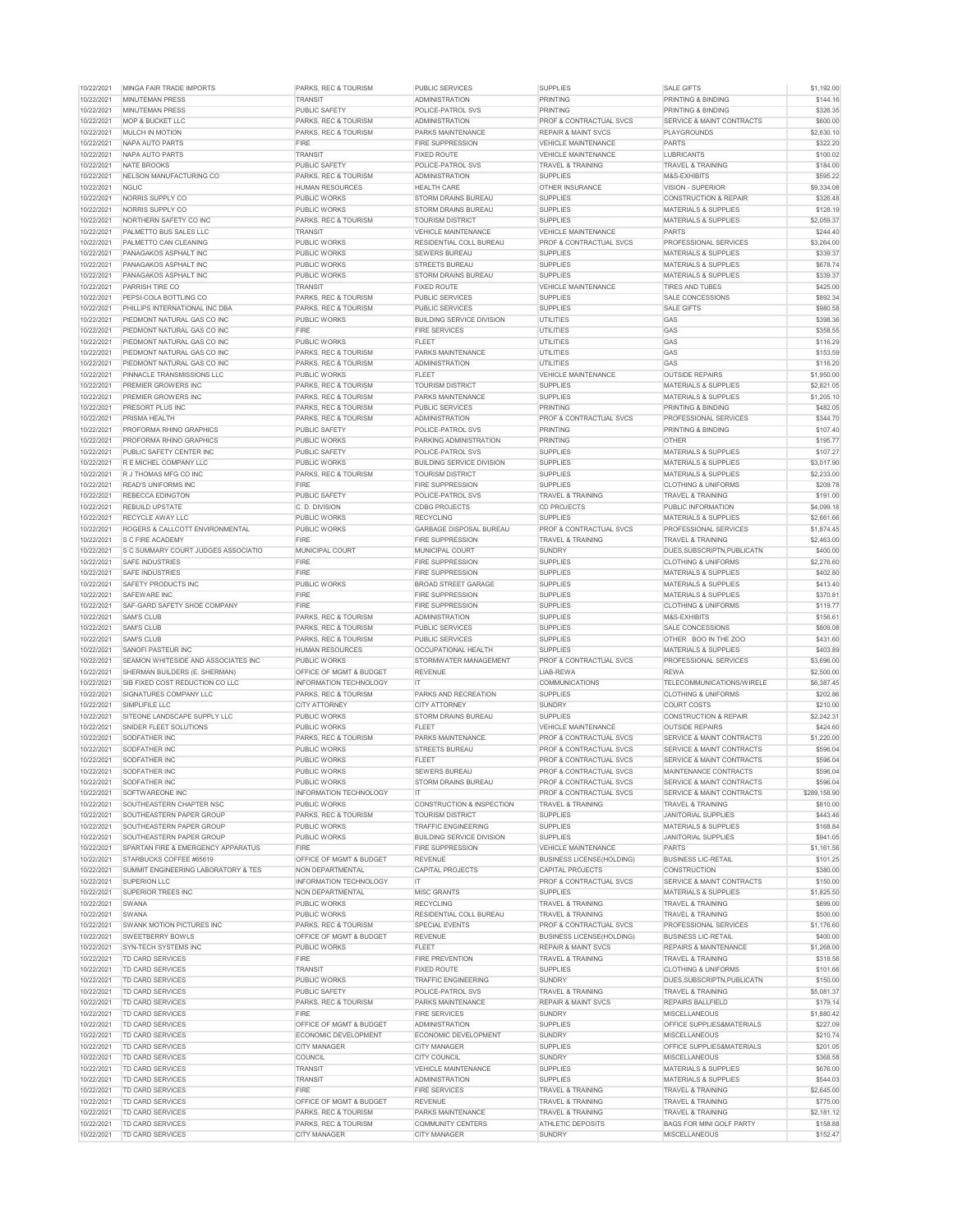|                          | MINGA FAIR TRADE IMPORTS                           | <b>PARKS, REC &amp; TOURISM</b>             | <b>PUBLIC SERVICES</b>                          | <b>SUPPLIES</b>                    | <b>SALE GIFTS</b>                                       | \$1,192.00           |
|--------------------------|----------------------------------------------------|---------------------------------------------|-------------------------------------------------|------------------------------------|---------------------------------------------------------|----------------------|
| 10/22/2021               | <b>MINUTEMAN PRESS</b>                             | <b>TRANSIT</b>                              | <b>ADMINISTRATION</b>                           | <b>PRINTING</b>                    | <b>PRINTING &amp; BINDING</b>                           | \$144.16             |
| 10/22/2021               | <b>MINUTEMAN PRESS</b>                             | PUBLIC SAFETY                               | POLICE-PATROL SVS                               | <b>PRINTING</b>                    | <b>PRINTING &amp; BINDING</b>                           | \$326.35             |
| 10/22/2021               | <b>MOP &amp; BUCKET LLC</b>                        | <b>PARKS, REC &amp; TOURISM</b>             | ADMINISTRATION                                  | <b>PROF &amp; CONTRACTUAL SVCS</b> | SERVICE & MAINT CONTRACTS                               | \$600.00             |
| 10/22/2021               | <b>MULCH IN MOTION</b>                             |                                             |                                                 |                                    |                                                         |                      |
|                          |                                                    | <b>PARKS, REC &amp; TOURISM</b>             | <b>PARKS MAINTENANCE</b>                        | <b>REPAIR &amp; MAINT SVCS</b>     | <b>PLAYGROUNDS</b>                                      | \$2,630.10           |
| 10/22/2021               | NAPA AUTO PARTS                                    | <b>FIRE</b>                                 | <b>FIRE SUPPRESSION</b>                         | <b>VEHICLE MAINTENANCE</b>         | <b>PARTS</b>                                            | \$322.20             |
| 10/22/2021               | INAPA AUTO PARTS                                   | <b>TRANSIT</b>                              | <b>FIXED ROUTE</b>                              | <b>VEHICLE MAINTENANCE</b>         | <b>LUBRICANTS</b>                                       | \$100.02             |
| 10/22/2021               | NATE BROOKS                                        | PUBLIC SAFETY                               | POLICE-PATROL SVS                               | <b>TRAVEL &amp; TRAINING</b>       | <b>TRAVEL &amp; TRAINING</b>                            | \$184.00             |
| 10/22/2021               | NELSON MANUFACTURING CO                            | <b>PARKS, REC &amp; TOURISM</b>             | <b>ADMINISTRATION</b>                           | <b>SUPPLIES</b>                    | M&S-EXHIBITS                                            | \$595.22             |
| 10/22/2021               | <b>NGLIC</b>                                       | <b>HUMAN RESOURCES</b>                      | <b>HEALTH CARE</b>                              | <b>OTHER INSURANCE</b>             | <b>VISION - SUPERIOR</b>                                | \$9,334.08           |
|                          |                                                    |                                             |                                                 |                                    |                                                         |                      |
| 10/22/2021               | NORRIS SUPPLY CO                                   | <b>PUBLIC WORKS</b>                         | <b>STORM DRAINS BUREAU</b>                      | <b>SUPPLIES</b>                    | <b>CONSTRUCTION &amp; REPAIR</b>                        | \$326.48             |
| 10/22/2021               | NORRIS SUPPLY CO                                   | <b>PUBLIC WORKS</b>                         | <b>STORM DRAINS BUREAU</b>                      | <b>SUPPLIES</b>                    | <b>MATERIALS &amp; SUPPLIES</b>                         | \$128.19             |
| 10/22/2021               | NORTHERN SAFETY CO INC                             | <b>PARKS, REC &amp; TOURISM</b>             | <b>TOURISM DISTRICT</b>                         | <b>SUPPLIES</b>                    | <b>MATERIALS &amp; SUPPLIES</b>                         | \$2,059.37           |
| 10/22/2021               | <b>PALMETTO BUS SALES LLC</b>                      | <b>TRANSIT</b>                              | <b>VEHICLE MAINTENANCE</b>                      | <b>VEHICLE MAINTENANCE</b>         | <b>PARTS</b>                                            | \$244.40             |
| 10/22/2021               | <b>PALMETTO CAN CLEANING</b>                       | <b>PUBLIC WORKS</b>                         | <b>RESIDENTIAL COLL BUREAU</b>                  | <b>PROF &amp; CONTRACTUAL SVCS</b> | <b>PROFESSIONAL SERVICES</b>                            | \$3,264.00           |
| 10/22/2021               | PANAGAKOS ASPHALT INC                              | <b>PUBLIC WORKS</b>                         | <b>SEWERS BUREAU</b>                            | <b>SUPPLIES</b>                    | <b>MATERIALS &amp; SUPPLIES</b>                         | \$339.37             |
|                          |                                                    |                                             |                                                 |                                    |                                                         |                      |
| 10/22/2021               | PANAGAKOS ASPHALT INC                              | <b>PUBLIC WORKS</b>                         | <b>STREETS BUREAU</b>                           | <b>SUPPLIES</b>                    | <b>MATERIALS &amp; SUPPLIES</b>                         | \$678.74             |
| 10/22/2021               | <b>PANAGAKOS ASPHALT INC</b>                       | <b>PUBLIC WORKS</b>                         | <b>STORM DRAINS BUREAU</b>                      | <b>SUPPLIES</b>                    | <b>MATERIALS &amp; SUPPLIES</b>                         | \$339.37             |
| 10/22/2021               | <b>PARRISH TIRE CO</b>                             | <b>TRANSIT</b>                              | <b>FIXED ROUTE</b>                              | <b>VEHICLE MAINTENANCE</b>         | <b>TIRES AND TUBES</b>                                  | \$425.00             |
| 10/22/2021               | PEPSI-COLA BOTTLING CO                             | <b>PARKS, REC &amp; TOURISM</b>             | <b>PUBLIC SERVICES</b>                          | <b>SUPPLIES</b>                    | SALE CONCESSIONS                                        | \$892.34             |
| 10/22/2021               | PHILLIPS INTERNATIONAL INC DBA                     | <b>PARKS, REC &amp; TOURISM</b>             | <b>PUBLIC SERVICES</b>                          | <b>SUPPLIES</b>                    | <b>SALE GIFTS</b>                                       | \$980.58             |
| 10/22/2021               | <b>PIEDMONT NATURAL GAS CO INC</b>                 | <b>PUBLIC WORKS</b>                         | <b>BUILDING SERVICE DIVISION</b>                | <b>UTILITIES</b>                   | <b>GAS</b>                                              | \$398.36             |
|                          |                                                    |                                             |                                                 |                                    |                                                         |                      |
| 10/22/2021               | <b>PIEDMONT NATURAL GAS CO INC</b>                 | <b>FIRE</b>                                 | <b>FIRE SERVICES</b>                            | <b>UTILITIES</b>                   | <b>GAS</b>                                              | \$358.55             |
| 10/22/2021               | PIEDMONT NATURAL GAS CO INC                        | <b>PUBLIC WORKS</b>                         | <b>FLEET</b>                                    | <b>UTILITIES</b>                   | <b>GAS</b>                                              | \$116.29             |
| 10/22/2021               | PIEDMONT NATURAL GAS CO INC                        | <b>PARKS, REC &amp; TOURISM</b>             | <b>PARKS MAINTENANCE</b>                        | <b>UTILITIES</b>                   | <b>GAS</b>                                              | \$153.59             |
| 10/22/2021               | <b>PIEDMONT NATURAL GAS CO INC</b>                 | <b>PARKS, REC &amp; TOURISM</b>             | ADMINISTRATION                                  | <b>UTILITIES</b>                   | <b>GAS</b>                                              | \$116.20             |
| 10/22/2021               | PINNACLE TRANSMISSIONS LLC                         | <b>PUBLIC WORKS</b>                         | <b>FLEET</b>                                    | <b>VEHICLE MAINTENANCE</b>         | <b>OUTSIDE REPAIRS</b>                                  | \$1,950.00           |
|                          |                                                    |                                             |                                                 |                                    |                                                         |                      |
| 10/22/2021               | <b>PREMIER GROWERS INC</b>                         | <b>PARKS, REC &amp; TOURISM</b>             | <b>TOURISM DISTRICT</b>                         | <b>SUPPLIES</b>                    | <b>MATERIALS &amp; SUPPLIES</b>                         | \$2,821.05           |
| 10/22/2021               | <b>PREMIER GROWERS INC</b>                         | <b>PARKS, REC &amp; TOURISM</b>             | <b>PARKS MAINTENANCE</b>                        | <b>SUPPLIES</b>                    | <b>MATERIALS &amp; SUPPLIES</b>                         | \$1,205.10           |
| 10/22/2021               | <b>PRESORT PLUS INC</b>                            | <b>PARKS, REC &amp; TOURISM</b>             | <b>PUBLIC SERVICES</b>                          | <b>PRINTING</b>                    | <b>PRINTING &amp; BINDING</b>                           | \$482.05             |
| 10/22/2021               | PRISMA HEALTH                                      | <b>PARKS, REC &amp; TOURISM</b>             | <b>ADMINISTRATION</b>                           | <b>PROF &amp; CONTRACTUAL SVCS</b> | <b>PROFESSIONAL SERVICES</b>                            | \$344.70             |
| 10/22/2021               | <b>PROFORMA RHINO GRAPHICS</b>                     | PUBLIC SAFETY                               | <b>POLICE-PATROL SVS</b>                        | <b>PRINTING</b>                    | <b>PRINTING &amp; BINDING</b>                           | \$107.40             |
| 10/22/2021               | <b>PROFORMA RHINO GRAPHICS</b>                     | <b>PUBLIC WORKS</b>                         | PARKING ADMINISTRATION                          | <b>PRINTING</b>                    | <b>OTHER</b>                                            | \$195.77             |
|                          |                                                    |                                             |                                                 |                                    |                                                         |                      |
| 10/22/2021               | PUBLIC SAFETY CENTER INC                           | <b>PUBLIC SAFETY</b>                        | <b>POLICE-PATROL SVS</b>                        | <b>SUPPLIES</b>                    | <b>MATERIALS &amp; SUPPLIES</b>                         | \$107.27             |
| 10/22/2021               | <b>IR E MICHEL COMPANY LLC</b>                     | <b>PUBLIC WORKS</b>                         | <b>BUILDING SERVICE DIVISION</b>                | <b>SUPPLIES</b>                    | <b>MATERIALS &amp; SUPPLIES</b>                         | \$3,017.90           |
| 10/22/2021               | R J THOMAS MFG CO INC                              | <b>PARKS, REC &amp; TOURISM</b>             | <b>TOURISM DISTRICT</b>                         | <b>SUPPLIES</b>                    | <b>MATERIALS &amp; SUPPLIES</b>                         | \$2,233.00           |
| 10/22/2021               | <b>READ'S UNIFORMS INC</b>                         | <b>FIRE</b>                                 | <b>FIRE SUPPRESSION</b>                         | <b>SUPPLIES</b>                    | <b>CLOTHING &amp; UNIFORMS</b>                          | \$209.78             |
| 10/22/2021               | <b>REBECCA EDINGTON</b>                            | <b>PUBLIC SAFETY</b>                        | POLICE-PATROL SVS                               | <b>TRAVEL &amp; TRAINING</b>       | <b>TRAVEL &amp; TRAINING</b>                            | \$191.00             |
|                          |                                                    |                                             |                                                 |                                    |                                                         |                      |
| 10/22/2021               | <b>REBUILD UPSTATE</b>                             | C. D. DIVISION                              | <b>CDBG PROJECTS</b>                            | <b>CD PROJECTS</b>                 | PUBLIC INFORMATION                                      | \$4,099.18           |
| 10/22/2021               | RECYCLE AWAY LLC                                   | <b>PUBLIC WORKS</b>                         | <b>RECYCLING</b>                                | <b>SUPPLIES</b>                    | <b>MATERIALS &amp; SUPPLIES</b>                         | \$2,661.66           |
| 10/22/2021               | ROGERS & CALLCOTT ENVIRONMENTAL                    | <b>PUBLIC WORKS</b>                         | <b>GARBAGE DISPOSAL BUREAU</b>                  | <b>PROF &amp; CONTRACTUAL SVCS</b> | PROFESSIONAL SERVICES                                   | \$1,874.45           |
| 10/22/2021               | <b>S C FIRE ACADEMY</b>                            | <b>FIRE</b>                                 | <b>FIRE SUPPRESSION</b>                         | <b>TRAVEL &amp; TRAINING</b>       | <b>TRAVEL &amp; TRAINING</b>                            | \$2,463.00           |
| 10/22/2021               | <b>S C SUMMARY COURT JUDGES ASSOCIATIO</b>         | <b>MUNICIPAL COURT</b>                      | <b>MUNICIPAL COURT</b>                          | <b>SUNDRY</b>                      | DUES, SUBSCRIPTN, PUBLICATN                             | \$400.00             |
| 10/22/2021               | <b>SAFE INDUSTRIES</b>                             | <b>FIRE</b>                                 | <b>FIRE SUPPRESSION</b>                         | <b>SUPPLIES</b>                    | <b>CLOTHING &amp; UNIFORMS</b>                          | \$2,276.60           |
|                          |                                                    |                                             |                                                 |                                    |                                                         |                      |
| 10/22/2021               | <b>SAFE INDUSTRIES</b>                             | <b>FIRE</b>                                 | <b>FIRE SUPPRESSION</b>                         | <b>SUPPLIES</b>                    | <b>MATERIALS &amp; SUPPLIES</b>                         | \$402.80             |
| 10/22/2021               | SAFETY PRODUCTS INC                                | <b>PUBLIC WORKS</b>                         | <b>BROAD STREET GARAGE</b>                      | <b>SUPPLIES</b>                    | <b>MATERIALS &amp; SUPPLIES</b>                         | \$413.40             |
| 10/22/2021               | SAFEWARE INC                                       | <b>FIRE</b>                                 | <b>FIRE SUPPRESSION</b>                         | <b>SUPPLIES</b>                    | <b>MATERIALS &amp; SUPPLIES</b>                         | \$370.81             |
| 10/22/2021               | <b>SAF-GARD SAFETY SHOE COMPANY</b>                | <b>FIRE</b>                                 | <b>FIRE SUPPRESSION</b>                         | <b>SUPPLIES</b>                    | <b>CLOTHING &amp; UNIFORMS</b>                          | \$119.77             |
| 10/22/2021               | <b>SAM'S CLUB</b>                                  | <b>PARKS, REC &amp; TOURISM</b>             | <b>ADMINISTRATION</b>                           | <b>SUPPLIES</b>                    | M&S-EXHIBITS                                            | \$156.61             |
|                          |                                                    |                                             |                                                 | <b>SUPPLIES</b>                    |                                                         |                      |
| 10/22/2021               | <b>SAM'S CLUB</b>                                  | PARKS, REC & TOURISM                        | <b>PUBLIC SERVICES</b>                          |                                    | SALE CONCESSIONS                                        | \$809.08             |
| 10/22/2021               | <b>SAM'S CLUB</b>                                  | <b>PARKS, REC &amp; TOURISM</b>             | <b>PUBLIC SERVICES</b>                          | <b>SUPPLIES</b>                    | OTHER BOO IN THE ZOO                                    | \$431.60             |
| 10/22/2021               | <b>SANOFI PASTEUR INC</b>                          | <b>HUMAN RESOURCES</b>                      | OCCUPATIONAL HEALTH                             | <b>SUPPLIES</b>                    | <b>MATERIALS &amp; SUPPLIES</b>                         | \$403.89             |
| 10/22/2021               | <b>SEAMON WHITESIDE AND ASSOCIATES INC</b>         | <b>PUBLIC WORKS</b>                         | STORMWATER MANAGEMENT                           | <b>PROF &amp; CONTRACTUAL SVCS</b> | <b>PROFESSIONAL SERVICES</b>                            | \$3,696.00           |
| 10/22/2021               | SHERMAN BUILDERS (E. SHERMAN)                      | <b>OFFICE OF MGMT &amp; BUDGET</b>          | <b>REVENUE</b>                                  | LIAB-REWA                          | <b>REWA</b>                                             | \$2,500.00           |
| 10/22/2021               | SIB FIXED COST REDUCTION CO LLC                    | <b>INFORMATION TECHNOLOGY</b>               | <b>IT</b>                                       | <b>COMMUNICATIONS</b>              | TELECOMMUNICATIONS/WIRELE                               | \$6,387.45           |
|                          |                                                    |                                             |                                                 |                                    |                                                         |                      |
| 10/22/2021               | <b>SIGNATURES COMPANY LLC</b>                      | <b>PARKS, REC &amp; TOURISM</b>             | <b>PARKS AND RECREATION</b>                     | <b>SUPPLIES</b>                    | <b>CLOTHING &amp; UNIFORMS</b>                          | \$202.86             |
| 10/22/2021               | SIMPLIFILE LLC                                     | <b>CITY ATTORNEY</b>                        | <b>CITY ATTORNEY</b>                            |                                    |                                                         |                      |
| 10/22/2021               |                                                    |                                             |                                                 | <b>SUNDRY</b>                      | <b>COURT COSTS</b>                                      | \$210.00             |
|                          | SITEONE LANDSCAPE SUPPLY LLC                       | <b>PUBLIC WORKS</b>                         | <b>STORM DRAINS BUREAU</b>                      | <b>SUPPLIES</b>                    | <b>CONSTRUCTION &amp; REPAIR</b>                        | \$2,242.31           |
| 10/22/2021               | <b>SNIDER FLEET SOLUTIONS</b>                      | <b>PUBLIC WORKS</b>                         | <b>FLEET</b>                                    | <b>VEHICLE MAINTENANCE</b>         | <b>OUTSIDE REPAIRS</b>                                  | \$424.60             |
|                          |                                                    |                                             |                                                 |                                    |                                                         |                      |
| 10/22/2021               | <b>SODFATHER INC</b>                               | <b>PARKS, REC &amp; TOURISM</b>             | <b>PARKS MAINTENANCE</b>                        | <b>PROF &amp; CONTRACTUAL SVCS</b> | SERVICE & MAINT CONTRACTS                               | \$1,220.00           |
| 10/22/2021               | SODFATHER INC                                      | <b>PUBLIC WORKS</b>                         | <b>STREETS BUREAU</b>                           | <b>PROF &amp; CONTRACTUAL SVCS</b> | <b>SERVICE &amp; MAINT CONTRACTS</b>                    | \$596.04             |
| 10/22/2021               | SODFATHER INC                                      | <b>PUBLIC WORKS</b>                         | <b>FLEET</b>                                    | <b>PROF &amp; CONTRACTUAL SVCS</b> | <b>SERVICE &amp; MAINT CONTRACTS</b>                    | \$596.04             |
| 10/22/2021               | <b>SODFATHER INC</b>                               | <b>PUBLIC WORKS</b>                         | <b>SEWERS BUREAU</b>                            | <b>PROF &amp; CONTRACTUAL SVCS</b> | MAINTENANCE CONTRACTS                                   | \$596.04             |
| 10/22/2021               | <b>SODFATHER INC</b>                               | <b>PUBLIC WORKS</b>                         | <b>STORM DRAINS BUREAU</b>                      | <b>PROF &amp; CONTRACTUAL SVCS</b> | <b>SERVICE &amp; MAINT CONTRACTS</b>                    | \$596.04             |
| 10/22/2021               | SOFTWAREONE INC                                    | <b>INFORMATION TECHNOLOGY</b>               | IT.                                             | <b>PROF &amp; CONTRACTUAL SVCS</b> | <b>SERVICE &amp; MAINT CONTRACTS</b>                    | \$289,158.90         |
|                          | <b>SOUTHEASTERN CHAPTER NSC</b>                    |                                             |                                                 |                                    |                                                         |                      |
| 10/22/2021               |                                                    | <b>PUBLIC WORKS</b>                         | CONSTRUCTION & INSPECTION                       | <b>TRAVEL &amp; TRAINING</b>       | <b>TRAVEL &amp; TRAINING</b>                            | \$810.00             |
| 10/22/2021               | SOUTHEASTERN PAPER GROUP                           | <b>PARKS, REC &amp; TOURISM</b>             | <b>TOURISM DISTRICT</b>                         | <b>SUPPLIES</b>                    | <b>JANITORIAL SUPPLIES</b>                              | \$443.46             |
| 10/22/2021               | SOUTHEASTERN PAPER GROUP                           | PUBLIC WORKS                                | <b>TRAFFIC ENGINEERING</b>                      | <b>SUPPLIES</b>                    | <b>MATERIALS &amp; SUPPLIES</b>                         | \$168.84             |
| 10/22/2021               | SOUTHEASTERN PAPER GROUP                           | <b>PUBLIC WORKS</b>                         | <b>BUILDING SERVICE DIVISION</b>                | <b>SUPPLIES</b>                    | <b>JANITORIAL SUPPLIES</b>                              | \$941.05             |
| 10/22/2021               | <b>SPARTAN FIRE &amp; EMERGENCY APPARATUS</b>      | <b>FIRE</b>                                 | <b>FIRE SUPPRESSION</b>                         | <b>VEHICLE MAINTENANCE</b>         | <b>PARTS</b>                                            | \$1,161.56           |
| 10/22/2021               | STARBUCKS COFFEE #65619                            | <b>OFFICE OF MGMT &amp; BUDGET</b>          | <b>REVENUE</b>                                  | <b>BUSINESS LICENSE(HOLDING)</b>   | <b>BUSINESS LIC-RETAIL</b>                              | \$101.25             |
|                          |                                                    |                                             | <b>CAPITAL PROJECTS</b>                         |                                    |                                                         |                      |
| 10/22/2021               | SUMMIT ENGINEERING LABORATORY & TES                | <b>NON DEPARTMENTAL</b>                     |                                                 | <b>CAPITAL PROJECTS</b>            | <b>CONSTRUCTION</b>                                     | \$380.00             |
| 10/22/2021               | <b>SUPERION LLC</b>                                | <b>INFORMATION TECHNOLOGY</b>               | IT.                                             | <b>PROF &amp; CONTRACTUAL SVCS</b> | <b>SERVICE &amp; MAINT CONTRACTS</b>                    | \$150.00             |
| 10/22/2021               | <b>SUPERIOR TREES INC</b>                          | NON DEPARTMENTAL                            | <b>MISC GRANTS</b>                              | <b>SUPPLIES</b>                    | <b>MATERIALS &amp; SUPPLIES</b>                         | \$1,825.50           |
| 10/22/2021               | <b>SWANA</b>                                       | <b>PUBLIC WORKS</b>                         | <b>RECYCLING</b>                                | <b>TRAVEL &amp; TRAINING</b>       | <b>TRAVEL &amp; TRAINING</b>                            | \$899.00             |
| 10/22/2021               | <b>SWANA</b>                                       | <b>PUBLIC WORKS</b>                         | <b>RESIDENTIAL COLL BUREAU</b>                  | <b>TRAVEL &amp; TRAINING</b>       | <b>TRAVEL &amp; TRAINING</b>                            | \$500.00             |
| 10/22/2021               | <b>SWANK MOTION PICTURES INC</b>                   | PARKS, REC & TOURISM                        | <b>SPECIAL EVENTS</b>                           | <b>PROF &amp; CONTRACTUAL SVCS</b> | <b>PROFESSIONAL SERVICES</b>                            | \$1,176.60           |
|                          |                                                    |                                             |                                                 |                                    |                                                         |                      |
| 10/22/2021               | <b>SWEETBERRY BOWLS</b>                            | <b>OFFICE OF MGMT &amp; BUDGET</b>          | <b>REVENUE</b>                                  | <b>BUSINESS LICENSE(HOLDING)</b>   | <b>BUSINESS LIC-RETAIL</b>                              | \$400.00             |
| 10/22/2021               | <b>SYN-TECH SYSTEMS INC</b>                        | <b>PUBLIC WORKS</b>                         | <b>FLEET</b>                                    | <b>REPAIR &amp; MAINT SVCS</b>     | <b>REPAIRS &amp; MAINTENANCE</b>                        | \$1,268.00           |
| 10/22/2021               | <b>TD CARD SERVICES</b>                            | <b>FIRE</b>                                 | <b>FIRE PREVENTION</b>                          | <b>TRAVEL &amp; TRAINING</b>       | <b>TRAVEL &amp; TRAINING</b>                            | \$318.56             |
| 10/22/2021               | <b>TD CARD SERVICES</b>                            | <b>TRANSIT</b>                              | <b>FIXED ROUTE</b>                              | <b>SUPPLIES</b>                    | <b>CLOTHING &amp; UNIFORMS</b>                          | \$101.66             |
| 10/22/2021               | <b>TD CARD SERVICES</b>                            | <b>PUBLIC WORKS</b>                         | <b>TRAFFIC ENGINEERING</b>                      | <b>SUNDRY</b>                      | DUES, SUBSCRIPTN, PUBLICATN                             | \$150.00             |
|                          |                                                    |                                             |                                                 | <b>TRAVEL &amp; TRAINING</b>       | <b>TRAVEL &amp; TRAINING</b>                            |                      |
| 10/22/2021               | <b>TD CARD SERVICES</b>                            | PUBLIC SAFETY                               | POLICE-PATROL SVS                               |                                    |                                                         | \$5,081.37           |
| 10/22/2021               | <b>TD CARD SERVICES</b>                            | <b>PARKS, REC &amp; TOURISM</b>             | <b>PARKS MAINTENANCE</b>                        | <b>REPAIR &amp; MAINT SVCS</b>     | <b>REPAIRS BALLFIELD</b>                                | \$179.14             |
| 10/22/2021               | <b>TD CARD SERVICES</b>                            | <b>FIRE</b>                                 | <b>FIRE SERVICES</b>                            | <b>SUNDRY</b>                      | <b>MISCELLANEOUS</b>                                    | \$1,880.42           |
| 10/22/2021               | TD CARD SERVICES                                   | <b>OFFICE OF MGMT &amp; BUDGET</b>          | <b>ADMINISTRATION</b>                           | <b>SUPPLIES</b>                    | <b>OFFICE SUPPLIES&amp;MATERIALS</b>                    | \$227.09             |
| 10/22/2021               | <b>TD CARD SERVICES</b>                            | ECONOMIC DEVELOPMENT                        | ECONOMIC DEVELOPMENT                            | <b>SUNDRY</b>                      | <b>MISCELLANEOUS</b>                                    | \$210.74             |
| 10/22/2021               | <b>TD CARD SERVICES</b>                            | <b>CITY MANAGER</b>                         | <b>CITY MANAGER</b>                             | <b>SUPPLIES</b>                    | <b>OFFICE SUPPLIES&amp;MATERIALS</b>                    | \$201.05             |
|                          |                                                    |                                             |                                                 |                                    |                                                         |                      |
| 10/22/2021               | <b>TD CARD SERVICES</b>                            | <b>COUNCIL</b>                              | <b>CITY COUNCIL</b>                             | SUNDRY                             | <b>MISCELLANEOUS</b>                                    | \$368.58             |
| 10/22/2021               | TD CARD SERVICES                                   | <b>TRANSIT</b>                              | <b>VEHICLE MAINTENANCE</b>                      | <b>SUPPLIES</b>                    | <b>MATERIALS &amp; SUPPLIES</b>                         | \$676.00             |
| 10/22/2021               | <b>TD CARD SERVICES</b>                            | <b>TRANSIT</b>                              | <b>ADMINISTRATION</b>                           | <b>SUPPLIES</b>                    | <b>MATERIALS &amp; SUPPLIES</b>                         | \$544.03             |
| 10/22/2021               | TD CARD SERVICES                                   | <b>FIRE</b>                                 | <b>FIRE SERVICES</b>                            | <b>TRAVEL &amp; TRAINING</b>       | <b>TRAVEL &amp; TRAINING</b>                            | \$2,645.00           |
| 10/22/2021               | <b>TD CARD SERVICES</b>                            | <b>OFFICE OF MGMT &amp; BUDGET</b>          | <b>REVENUE</b>                                  | <b>TRAVEL &amp; TRAINING</b>       | <b>TRAVEL &amp; TRAINING</b>                            | \$775.00             |
|                          |                                                    |                                             |                                                 |                                    |                                                         |                      |
| 10/22/2021               | TD CARD SERVICES                                   | PARKS, REC & TOURISM                        | <b>PARKS MAINTENANCE</b>                        | <b>TRAVEL &amp; TRAINING</b>       | <b>TRAVEL &amp; TRAINING</b>                            | \$2,181.12           |
| 10/22/2021<br>10/22/2021 | <b>TD CARD SERVICES</b><br><b>TD CARD SERVICES</b> | PARKS, REC & TOURISM<br><b>CITY MANAGER</b> | <b>COMMUNITY CENTERS</b><br><b>CITY MANAGER</b> | <b>ATHLETIC DEPOSITS</b><br>SUNDRY | <b>BAGS FOR MINI GOLF PARTY</b><br><b>MISCELLANEOUS</b> | \$158.88<br>\$152.47 |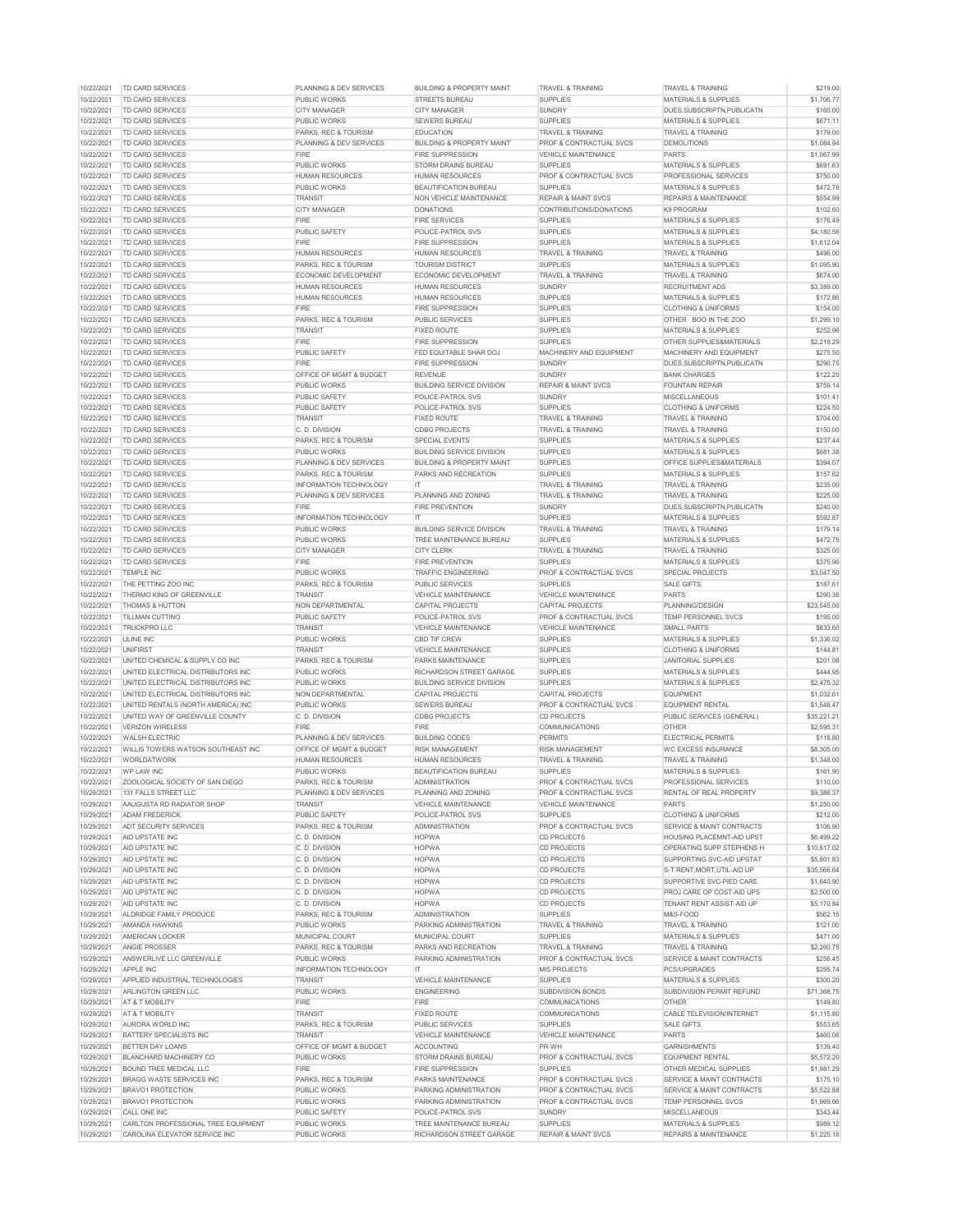| 10/22/2021               | <b>TD CARD SERVICES</b>                                                     | PLANNING & DEV SERVICES                    | <b>BUILDING &amp; PROPERTY MAINT</b>                       | <b>TRAVEL &amp; TRAINING</b>                      | <b>TRAVEL &amp; TRAINING</b>                                        | \$219.00               |
|--------------------------|-----------------------------------------------------------------------------|--------------------------------------------|------------------------------------------------------------|---------------------------------------------------|---------------------------------------------------------------------|------------------------|
| 10/22/2021               | <b>TD CARD SERVICES</b>                                                     | <b>PUBLIC WORKS</b>                        | <b>STREETS BUREAU</b>                                      | <b>SUPPLIES</b>                                   | <b>MATERIALS &amp; SUPPLIES</b>                                     | \$1,706.77             |
| 10/22/2021               | TD CARD SERVICES                                                            | <b>CITY MANAGER</b>                        | <b>CITY MANAGER</b>                                        | SUNDRY                                            | DUES, SUBSCRIPTN, PUBLICATN                                         | \$160.00               |
| 10/22/2021               | TD CARD SERVICES                                                            | <b>PUBLIC WORKS</b>                        | <b>SEWERS BUREAU</b>                                       | <b>SUPPLIES</b>                                   | <b>MATERIALS &amp; SUPPLIES</b>                                     | \$671.11               |
| 10/22/2021               | TD CARD SERVICES                                                            | <b>PARKS, REC &amp; TOURISM</b>            | <b>EDUCATION</b>                                           | <b>TRAVEL &amp; TRAINING</b>                      | <b>TRAVEL &amp; TRAINING</b>                                        | \$179.00               |
|                          |                                                                             |                                            |                                                            |                                                   |                                                                     |                        |
| 10/22/2021               | <b>TD CARD SERVICES</b>                                                     | <b>PLANNING &amp; DEV SERVICES</b>         | <b>BUILDING &amp; PROPERTY MAINT</b>                       | <b>PROF &amp; CONTRACTUAL SVCS</b>                | <b>DEMOLITIONS</b>                                                  | \$1,084.94             |
| 10/22/2021               | TD CARD SERVICES                                                            | <b>FIRE</b>                                | <b>FIRE SUPPRESSION</b>                                    | <b>VEHICLE MAINTENANCE</b>                        | <b>PARTS</b>                                                        | \$1,067.99             |
| 10/22/2021               | TD CARD SERVICES                                                            | <b>PUBLIC WORKS</b>                        | <b>STORM DRAINS BUREAU</b>                                 | <b>SUPPLIES</b>                                   | <b>MATERIALS &amp; SUPPLIES</b>                                     | \$691.63               |
| 10/22/2021               | <b>TD CARD SERVICES</b>                                                     | <b>HUMAN RESOURCES</b>                     | <b>HUMAN RESOURCES</b>                                     | <b>PROF &amp; CONTRACTUAL SVCS</b>                | <b>PROFESSIONAL SERVICES</b>                                        | \$750.00               |
| 10/22/2021               | TD CARD SERVICES                                                            | <b>PUBLIC WORKS</b>                        | <b>BEAUTIFICATION BUREAU</b>                               | <b>SUPPLIES</b>                                   | <b>MATERIALS &amp; SUPPLIES</b>                                     | \$472.76               |
| 10/22/2021               | <b>TD CARD SERVICES</b>                                                     | <b>TRANSIT</b>                             | NON VEHICLE MAINTENANCE                                    | <b>REPAIR &amp; MAINT SVCS</b>                    | <b>REPAIRS &amp; MAINTENANCE</b>                                    | \$554.99               |
| 10/22/2021               | TD CARD SERVICES                                                            | <b>CITY MANAGER</b>                        | <b>DONATIONS</b>                                           | CONTRIBUTIONS/DONATIONS                           | K9 PROGRAM                                                          | \$102.60               |
| 10/22/2021               | <b>TD CARD SERVICES</b>                                                     | <b>FIRE</b>                                | <b>FIRE SERVICES</b>                                       | <b>SUPPLIES</b>                                   | <b>MATERIALS &amp; SUPPLIES</b>                                     | \$176.49               |
|                          |                                                                             |                                            |                                                            |                                                   |                                                                     |                        |
| 10/22/2021               | TD CARD SERVICES                                                            | <b>PUBLIC SAFETY</b>                       | POLICE-PATROL SVS                                          | <b>SUPPLIES</b>                                   | <b>MATERIALS &amp; SUPPLIES</b>                                     | \$4,180.56             |
| 10/22/2021               | TD CARD SERVICES                                                            | <b>FIRE</b>                                | <b>FIRE SUPPRESSION</b>                                    | <b>SUPPLIES</b>                                   | <b>MATERIALS &amp; SUPPLIES</b>                                     | \$1,612.04             |
| 10/22/2021               | TD CARD SERVICES                                                            | <b>HUMAN RESOURCES</b>                     | <b>HUMAN RESOURCES</b>                                     | <b>TRAVEL &amp; TRAINING</b>                      | <b>TRAVEL &amp; TRAINING</b>                                        | \$496.00               |
| 10/22/2021               | <b>TD CARD SERVICES</b>                                                     | <b>PARKS, REC &amp; TOURISM</b>            | <b>TOURISM DISTRICT</b>                                    | <b>SUPPLIES</b>                                   | <b>MATERIALS &amp; SUPPLIES</b>                                     | \$1,095.90             |
| 10/22/2021               | TD CARD SERVICES                                                            | ECONOMIC DEVELOPMENT                       | ECONOMIC DEVELOPMENT                                       | <b>TRAVEL &amp; TRAINING</b>                      | <b>TRAVEL &amp; TRAINING</b>                                        | \$674.00               |
| 10/22/2021               | TD CARD SERVICES                                                            | <b>HUMAN RESOURCES</b>                     | <b>HUMAN RESOURCES</b>                                     | <b>SUNDRY</b>                                     | <b>RECRUITMENT ADS</b>                                              | \$3,389.00             |
| 10/22/2021               | <b>TD CARD SERVICES</b>                                                     | <b>HUMAN RESOURCES</b>                     | <b>HUMAN RESOURCES</b>                                     | <b>SUPPLIES</b>                                   | <b>MATERIALS &amp; SUPPLIES</b>                                     | \$172.86               |
| 10/22/2021               | <b>TD CARD SERVICES</b>                                                     | <b>FIRE</b>                                | <b>FIRE SUPPRESSION</b>                                    | <b>SUPPLIES</b>                                   | <b>CLOTHING &amp; UNIFORMS</b>                                      | \$154.00               |
| 10/22/2021               | TD CARD SERVICES                                                            | <b>PARKS, REC &amp; TOURISM</b>            | <b>PUBLIC SERVICES</b>                                     | <b>SUPPLIES</b>                                   | OTHER BOO IN THE ZOO                                                | \$1,299.10             |
|                          |                                                                             |                                            |                                                            |                                                   |                                                                     |                        |
| 10/22/2021               | TD CARD SERVICES                                                            | <b>TRANSIT</b>                             | <b>FIXED ROUTE</b>                                         | <b>SUPPLIES</b>                                   | <b>MATERIALS &amp; SUPPLIES</b>                                     | \$252.96               |
| 10/22/2021               | <b>TD CARD SERVICES</b>                                                     | <b>FIRE</b>                                | <b>FIRE SUPPRESSION</b>                                    | <b>SUPPLIES</b>                                   | <b>OTHER SUPPLIES&amp;MATERIALS</b>                                 | \$2,219.29             |
| 10/22/2021               | TD CARD SERVICES                                                            | <b>PUBLIC SAFETY</b>                       | FED EQUITABLE SHAR DOJ                                     | MACHINERY AND EQUIPMENT                           | MACHINERY AND EQUIPMENT                                             | \$275.50               |
| 10/22/2021               | <b>TD CARD SERVICES</b>                                                     | <b>FIRE</b>                                | <b>FIRE SUPPRESSION</b>                                    | <b>SUNDRY</b>                                     | DUES, SUBSCRIPTN, PUBLICATN                                         | \$290.75               |
| 10/22/2021               | TD CARD SERVICES                                                            | <b>OFFICE OF MGMT &amp; BUDGET</b>         | <b>REVENUE</b>                                             | <b>SUNDRY</b>                                     | <b>BANK CHARGES</b>                                                 | \$122.20               |
| 10/22/2021               | <b>TD CARD SERVICES</b>                                                     | <b>PUBLIC WORKS</b>                        | <b>BUILDING SERVICE DIVISION</b>                           | <b>REPAIR &amp; MAINT SVCS</b>                    | <b>FOUNTAIN REPAIR</b>                                              | \$759.14               |
| 10/22/2021               | TD CARD SERVICES                                                            | <b>PUBLIC SAFETY</b>                       | <b>POLICE-PATROL SVS</b>                                   | <b>SUNDRY</b>                                     | <b>MISCELLANEOUS</b>                                                | \$101.41               |
| 10/22/2021               | TD CARD SERVICES                                                            | <b>PUBLIC SAFETY</b>                       | POLICE-PATROL SVS                                          | <b>SUPPLIES</b>                                   | <b>CLOTHING &amp; UNIFORMS</b>                                      | \$224.50               |
| 10/22/2021               | TD CARD SERVICES                                                            | <b>TRANSIT</b>                             | <b>FIXED ROUTE</b>                                         | <b>TRAVEL &amp; TRAINING</b>                      | <b>TRAVEL &amp; TRAINING</b>                                        | \$704.00               |
|                          |                                                                             |                                            |                                                            |                                                   |                                                                     |                        |
| 10/22/2021               | TD CARD SERVICES                                                            | C. D. DIVISION                             | <b>CDBG PROJECTS</b>                                       | <b>TRAVEL &amp; TRAINING</b>                      | <b>TRAVEL &amp; TRAINING</b>                                        | \$150.00               |
| 10/22/2021               | <b>TD CARD SERVICES</b>                                                     | <b>PARKS, REC &amp; TOURISM</b>            | <b>SPECIAL EVENTS</b>                                      | <b>SUPPLIES</b>                                   | <b>MATERIALS &amp; SUPPLIES</b>                                     | \$237.44               |
| 10/22/2021               | <b>TD CARD SERVICES</b>                                                     | <b>PUBLIC WORKS</b>                        | <b>BUILDING SERVICE DIVISION</b>                           | <b>SUPPLIES</b>                                   | <b>MATERIALS &amp; SUPPLIES</b>                                     | \$681.38               |
| 10/22/2021               | <b>TD CARD SERVICES</b>                                                     | <b>PLANNING &amp; DEV SERVICES</b>         | <b>BUILDING &amp; PROPERTY MAINT</b>                       | <b>SUPPLIES</b>                                   | <b>OFFICE SUPPLIES&amp;MATERIALS</b>                                | \$394.07               |
| 10/22/2021               | <b>TD CARD SERVICES</b>                                                     | PARKS, REC & TOURISM                       | PARKS AND RECREATION                                       | <b>SUPPLIES</b>                                   | <b>MATERIALS &amp; SUPPLIES</b>                                     | \$157.62               |
| 10/22/2021               | <b>TD CARD SERVICES</b>                                                     | <b>INFORMATION TECHNOLOGY</b>              | IT.                                                        | <b>TRAVEL &amp; TRAINING</b>                      | <b>TRAVEL &amp; TRAINING</b>                                        | \$235.00               |
| 10/22/2021               | <b>TD CARD SERVICES</b>                                                     | PLANNING & DEV SERVICES                    | <b>PLANNING AND ZONING</b>                                 | <b>TRAVEL &amp; TRAINING</b>                      | <b>TRAVEL &amp; TRAINING</b>                                        | \$225.00               |
| 10/22/2021               | <b>TD CARD SERVICES</b>                                                     | <b>FIRE</b>                                | <b>FIRE PREVENTION</b>                                     | <b>SUNDRY</b>                                     | DUES.SUBSCRIPTN.PUBLICATN                                           | \$240.00               |
|                          |                                                                             |                                            |                                                            |                                                   |                                                                     |                        |
| 10/22/2021               | TD CARD SERVICES                                                            | <b>INFORMATION TECHNOLOGY</b>              | IT.                                                        | <b>SUPPLIES</b>                                   | <b>MATERIALS &amp; SUPPLIES</b>                                     | \$592.87               |
| 10/22/2021               | TD CARD SERVICES                                                            | <b>PUBLIC WORKS</b>                        | <b>BUILDING SERVICE DIVISION</b>                           | <b>TRAVEL &amp; TRAINING</b>                      | <b>TRAVEL &amp; TRAINING</b>                                        | \$179.14               |
| 10/22/2021               | <b>TD CARD SERVICES</b>                                                     | <b>PUBLIC WORKS</b>                        | TREE MAINTENANCE BUREAU                                    | <b>SUPPLIES</b>                                   | <b>MATERIALS &amp; SUPPLIES</b>                                     | \$472.75               |
| 10/22/2021               | <b>TD CARD SERVICES</b>                                                     | <b>CITY MANAGER</b>                        | <b>CITY CLERK</b>                                          | <b>TRAVEL &amp; TRAINING</b>                      | <b>TRAVEL &amp; TRAINING</b>                                        | \$325.00               |
| 10/22/2021               | <b>TD CARD SERVICES</b>                                                     | <b>FIRE</b>                                | <b>FIRE PREVENTION</b>                                     | <b>SUPPLIES</b>                                   | <b>MATERIALS &amp; SUPPLIES</b>                                     | \$375.96               |
| 10/22/2021               | <b>TEMPLE INC</b>                                                           | <b>PUBLIC WORKS</b>                        | <b>TRAFFIC ENGINEERING</b>                                 | <b>PROF &amp; CONTRACTUAL SVCS</b>                | <b>SPECIAL PROJECTS</b>                                             | \$3,047.50             |
| 10/22/2021               | THE PETTING ZOO INC                                                         | <b>PARKS, REC &amp; TOURISM</b>            | <b>PUBLIC SERVICES</b>                                     | <b>SUPPLIES</b>                                   | <b>SALE GIFTS</b>                                                   | \$187.61               |
| 10/22/2021               | THERMO KING OF GREENVILLE                                                   | <b>TRANSIT</b>                             | <b>VEHICLE MAINTENANCE</b>                                 | <b>VEHICLE MAINTENANCE</b>                        | <b>PARTS</b>                                                        | \$290.36               |
| 10/22/2021               | <b>THOMAS &amp; HUTTON</b>                                                  | NON DEPARTMENTAL                           | CAPITAL PROJECTS                                           | <b>CAPITAL PROJECTS</b>                           | PLANNING/DESIGN                                                     | \$23,545.00            |
|                          |                                                                             |                                            |                                                            |                                                   |                                                                     |                        |
|                          |                                                                             |                                            |                                                            |                                                   |                                                                     |                        |
| 10/22/2021               | <b>TILLMAN CUTTINO</b>                                                      | <b>PUBLIC SAFETY</b>                       | POLICE-PATROL SVS                                          | <b>PROF &amp; CONTRACTUAL SVCS</b>                | <b>TEMP PERSONNEL SVCS</b>                                          | \$195.00               |
| 10/22/2021               | <b>TRUCKPRO LLC</b>                                                         | <b>TRANSIT</b>                             | <b>VEHICLE MAINTENANCE</b>                                 | <b>VEHICLE MAINTENANCE</b>                        | <b>SMALL PARTS</b>                                                  | \$833.60               |
| 10/22/2021               | <b>ULINE INC</b>                                                            | <b>PUBLIC WORKS</b>                        | <b>CBD TIF CREW</b>                                        | <b>SUPPLIES</b>                                   | <b>MATERIALS &amp; SUPPLIES</b>                                     | \$1,336.02             |
| 10/22/2021               | <b>UNIFIRST</b>                                                             | <b>TRANSIT</b>                             | <b>VEHICLE MAINTENANCE</b>                                 | <b>SUPPLIES</b>                                   | <b>CLOTHING &amp; UNIFORMS</b>                                      | \$144.81               |
| 10/22/2021               | UNITED CHEMICAL & SUPPLY CO INC                                             | PARKS, REC & TOURISM                       | <b>PARKS MAINTENANCE</b>                                   | <b>SUPPLIES</b>                                   | <b>JANITORIAL SUPPLIES</b>                                          |                        |
|                          |                                                                             |                                            |                                                            |                                                   |                                                                     | \$201.08               |
| 10/22/2021               | UNITED ELECTRICAL DISTRIBUTORS INC                                          | <b>PUBLIC WORKS</b>                        | <b>RICHARDSON STREET GARAGE</b>                            | <b>SUPPLIES</b>                                   | <b>MATERIALS &amp; SUPPLIES</b>                                     | \$444.95               |
| 10/22/2021               | UNITED ELECTRICAL DISTRIBUTORS INC                                          | <b>PUBLIC WORKS</b>                        | <b>BUILDING SERVICE DIVISION</b>                           | <b>SUPPLIES</b>                                   | <b>MATERIALS &amp; SUPPLIES</b>                                     | \$2,475.32             |
| 10/22/2021               | UNITED ELECTRICAL DISTRIBUTORS INC                                          | NON DEPARTMENTAL                           | <b>CAPITAL PROJECTS</b>                                    | <b>CAPITAL PROJECTS</b>                           | <b>EQUIPMENT</b>                                                    | \$1,032.61             |
| 10/22/2021               | UNITED RENTALS (NORTH AMERICA) INC                                          | <b>PUBLIC WORKS</b>                        | <b>SEWERS BUREAU</b>                                       | <b>PROF &amp; CONTRACTUAL SVCS</b>                | <b>EQUIPMENT RENTAL</b>                                             | \$1,548.47             |
| 10/22/2021               | UNITED WAY OF GREENVILLE COUNTY                                             | C. D. DIVISION                             | <b>CDBG PROJECTS</b>                                       | <b>CD PROJECTS</b>                                | PUBLIC SERVICES (GENERAL)                                           | \$35,221.21            |
| 10/22/2021               | <b>VERIZON WIRELESS</b>                                                     | <b>FIRE</b>                                | <b>FIRE</b>                                                | <b>COMMUNICATIONS</b>                             | <b>OTHER</b>                                                        | \$2,595.31             |
| 10/22/2021               | <b>WALSH ELECTRIC</b>                                                       | <b>PLANNING &amp; DEV SERVICES</b>         | <b>BUILDING CODES</b>                                      | <b>PERMITS</b>                                    | <b>ELECTRICAL PERMITS</b>                                           | \$118.80               |
| 10/22/2021               | WILLIS TOWERS WATSON SOUTHEAST INC                                          | <b>OFFICE OF MGMT &amp; BUDGET</b>         | <b>RISK MANAGEMENT</b>                                     | <b>RISK MANAGEMENT</b>                            | <b>WC EXCESS INSURANCE</b>                                          | \$8,305.00             |
|                          |                                                                             | <b>HUMAN RESOURCES</b>                     |                                                            |                                                   |                                                                     |                        |
| 10/22/2021               | <b>WORLDATWORK</b><br><b>WP LAW INC</b>                                     | <b>PUBLIC WORKS</b>                        | <b>HUMAN RESOURCES</b>                                     | <b>TRAVEL &amp; TRAINING</b>                      | <b>TRAVEL &amp; TRAINING</b>                                        | \$1,348.00             |
| 10/22/2021               |                                                                             |                                            | <b>BEAUTIFICATION BUREAU</b>                               | <b>SUPPLIES</b>                                   | <b>MATERIALS &amp; SUPPLIES</b>                                     | \$161.90               |
| 10/22/2021               | ZOOLOGICAL SOCIETY OF SAN DIEGO                                             | PARKS, REC & TOURISM                       | <b>ADMINISTRATION</b>                                      | <b>PROF &amp; CONTRACTUAL SVCS</b>                | <b>PROFESSIONAL SERVICES</b>                                        | \$110.00               |
| 10/29/2021               | 131 FALLS STREET LLC                                                        | PLANNING & DEV SERVICES                    | PLANNING AND ZONING                                        | <b>PROF &amp; CONTRACTUAL SVCS</b>                | <b>RENTAL OF REAL PROPERTY</b>                                      | \$9,386.37             |
| 10/29/2021               | AAUGUSTA RD RADIATOR SHOP                                                   | <b>TRANSIT</b>                             | <b>VEHICLE MAINTENANCE</b>                                 | <b>VEHICLE MAINTENANCE</b>                        | <b>PARTS</b>                                                        | \$1,250.00             |
| 10/29/2021               | <b>ADAM FREDERICK</b>                                                       | <b>PUBLIC SAFETY</b>                       | <b>POLICE-PATROL SVS</b>                                   | <b>SUPPLIES</b>                                   | <b>CLOTHING &amp; UNIFORMS</b>                                      | \$212.00               |
| 10/29/2021               | ADT SECURITY SERVICES                                                       | <b>PARKS, REC &amp; TOURISM</b>            | <b>ADMINISTRATION</b>                                      | <b>PROF &amp; CONTRACTUAL SVCS</b>                | SERVICE & MAINT CONTRACTS                                           | \$106.90               |
| 10/29/2021               | AID UPSTATE INC                                                             | C. D. DIVISION                             | <b>HOPWA</b>                                               | <b>CD PROJECTS</b>                                | <b>HOUSING PLACEMNT-AID UPST</b>                                    | \$6,499.22             |
| 10/29/2021               | <b>AID UPSTATE INC</b>                                                      | C. D. DIVISION                             | <b>HOPWA</b>                                               | <b>CD PROJECTS</b>                                | <b>OPERATING SUPP STEPHENS H</b>                                    | \$10,817.02            |
| 10/29/2021               | <b>AID UPSTATE INC</b>                                                      | C. D. DIVISION                             | <b>HOPWA</b>                                               | <b>CD PROJECTS</b>                                | SUPPORTING SVC-AID UPSTAT                                           | \$5,801.83             |
| 10/29/2021               | <b>AID UPSTATE INC</b>                                                      | C. D. DIVISION                             | <b>HOPWA</b>                                               | <b>CD PROJECTS</b>                                | S-T RENT MORT UTIL-AID UP                                           | \$35,566.64            |
| 10/29/2021               | AID UPSTATE INC                                                             | C. D. DIVISION                             | <b>HOPWA</b>                                               | <b>CD PROJECTS</b>                                | SUPPORTIVE SVC-PIED CARE                                            |                        |
|                          |                                                                             |                                            |                                                            |                                                   |                                                                     | \$1,640.90             |
| 10/29/2021               | AID UPSTATE INC                                                             | C. D. DIVISION                             | <b>HOPWA</b>                                               | <b>CD PROJECTS</b>                                | PROJ CARE OP COST-AID UPS                                           | \$2,500.00             |
| 10/29/2021               | <b>AID UPSTATE INC</b>                                                      | C. D. DIVISION                             | <b>HOPWA</b>                                               | <b>CD PROJECTS</b>                                | <b>TENANT RENT ASSIST-AID UP</b>                                    | \$5,170.84             |
| 10/29/2021               | ALDRIDGE FAMILY PRODUCE                                                     | PARKS, REC & TOURISM                       | <b>ADMINISTRATION</b>                                      | <b>SUPPLIES</b>                                   | M&S-FOOD                                                            | \$562.15               |
| 10/29/2021               | AMANDA HAWKINS                                                              | <b>PUBLIC WORKS</b>                        | <b>PARKING ADMINISTRATION</b>                              | <b>TRAVEL &amp; TRAINING</b>                      | <b>TRAVEL &amp; TRAINING</b>                                        | \$121.00               |
| 10/29/2021               | <b>AMERICAN LOCKER</b>                                                      | <b>MUNICIPAL COURT</b>                     | <b>MUNICIPAL COURT</b>                                     | <b>SUPPLIES</b>                                   | <b>MATERIALS &amp; SUPPLIES</b>                                     | \$471.00               |
| 10/29/2021               | <b>ANGIE PROSSER</b>                                                        | PARKS, REC & TOURISM                       | PARKS AND RECREATION                                       | <b>TRAVEL &amp; TRAINING</b>                      | <b>TRAVEL &amp; TRAINING</b>                                        | \$2,260.75             |
| 10/29/2021               | ANSWERLIVE LLC GREENVILLE                                                   | <b>PUBLIC WORKS</b>                        | <b>PARKING ADMINISTRATION</b>                              | <b>PROF &amp; CONTRACTUAL SVCS</b>                | SERVICE & MAINT CONTRACTS                                           | \$256.45               |
| 10/29/2021               | APPLE INC                                                                   | <b>INFORMATION TECHNOLOGY</b>              | <b>IT</b>                                                  | <b>MIS PROJECTS</b>                               | <b>PCS/UPGRADES</b>                                                 | \$295.74               |
| 10/29/2021               | APPLIED INDUSTRIAL TECHNOLOGIES                                             | <b>TRANSIT</b>                             | <b>VEHICLE MAINTENANCE</b>                                 | <b>SUPPLIES</b>                                   | <b>MATERIALS &amp; SUPPLIES</b>                                     | \$300.20               |
| 10/29/2021               | ARLINGTON GREEN LLC                                                         | <b>PUBLIC WORKS</b>                        | <b>ENGINEERING</b>                                         | SUBDIVISION BONDS                                 | SUBDIVISION PERMIT REFUND                                           | \$71,368.75            |
|                          |                                                                             |                                            |                                                            |                                                   |                                                                     |                        |
| 10/29/2021               | AT & T MOBILITY                                                             | <b>FIRE</b>                                | <b>FIRE</b>                                                | <b>COMMUNICATIONS</b>                             | <b>OTHER</b>                                                        | \$149.80               |
| 10/29/2021               | <b>AT &amp; T MOBILITY</b>                                                  | <b>TRANSIT</b>                             | <b>FIXED ROUTE</b>                                         | <b>COMMUNICATIONS</b>                             | <b>CABLE TELEVISION/INTERNET</b>                                    | \$1,115.80             |
| 10/29/2021               | AURORA WORLD INC                                                            | <b>PARKS, REC &amp; TOURISM</b>            | <b>PUBLIC SERVICES</b>                                     | <b>SUPPLIES</b>                                   | <b>SALE GIFTS</b>                                                   | \$553.65               |
| 10/29/2021               | <b>BATTERY SPECIALISTS INC</b>                                              | <b>TRANSIT</b>                             | <b>VEHICLE MAINTENANCE</b>                                 | <b>VEHICLE MAINTENANCE</b>                        | <b>PARTS</b>                                                        | \$460.06               |
| 10/29/2021               | BETTER DAY LOANS                                                            | <b>OFFICE OF MGMT &amp; BUDGET</b>         | <b>ACCOUNTING</b>                                          | PR-WH                                             | <b>GARNISHMENTS</b>                                                 | \$139.40               |
| 10/29/2021               | <b>BLANCHARD MACHINERY CO</b>                                               | <b>PUBLIC WORKS</b>                        | <b>STORM DRAINS BUREAU</b>                                 | <b>PROF &amp; CONTRACTUAL SVCS</b>                | <b>EQUIPMENT RENTAL</b>                                             | \$5,572.20             |
| 10/29/2021               | BOUND TREE MEDICAL LLC                                                      | <b>FIRE</b>                                | <b>FIRE SUPPRESSION</b>                                    | <b>SUPPLIES</b>                                   | OTHER MEDICAL SUPPLIES                                              | \$1,981.29             |
| 10/29/2021               | BRAGG WASTE SERVICES INC                                                    | <b>PARKS, REC &amp; TOURISM</b>            | <b>PARKS MAINTENANCE</b>                                   | <b>PROF &amp; CONTRACTUAL SVCS</b>                | SERVICE & MAINT CONTRACTS                                           | \$175.10               |
|                          |                                                                             |                                            |                                                            |                                                   |                                                                     |                        |
| 10/29/2021               | BRAVO1 PROTECTION                                                           | <b>PUBLIC WORKS</b>                        | PARKING ADMINISTRATION                                     | <b>PROF &amp; CONTRACTUAL SVCS</b>                | <b>SERVICE &amp; MAINT CONTRACTS</b>                                | \$5,522.88             |
| 10/29/2021               | <b>BRAVO1 PROTECTION</b>                                                    | <b>PUBLIC WORKS</b>                        | <b>PARKING ADMINISTRATION</b>                              | <b>PROF &amp; CONTRACTUAL SVCS</b>                | <b>TEMP PERSONNEL SVCS</b>                                          | \$1,969.66             |
| 10/29/2021               | CALL ONE INC                                                                | <b>PUBLIC SAFETY</b>                       | <b>POLICE-PATROL SVS</b>                                   | <b>SUNDRY</b>                                     | <b>MISCELLANEOUS</b>                                                | \$343.44               |
| 10/29/2021<br>10/29/2021 | CARLTON PROFESSIONAL TREE EQUIPMENT<br><b>CAROLINA ELEVATOR SERVICE INC</b> | <b>PUBLIC WORKS</b><br><b>PUBLIC WORKS</b> | TREE MAINTENANCE BUREAU<br><b>RICHARDSON STREET GARAGE</b> | <b>SUPPLIES</b><br><b>REPAIR &amp; MAINT SVCS</b> | <b>MATERIALS &amp; SUPPLIES</b><br><b>REPAIRS &amp; MAINTENANCE</b> | \$989.12<br>\$1,225.18 |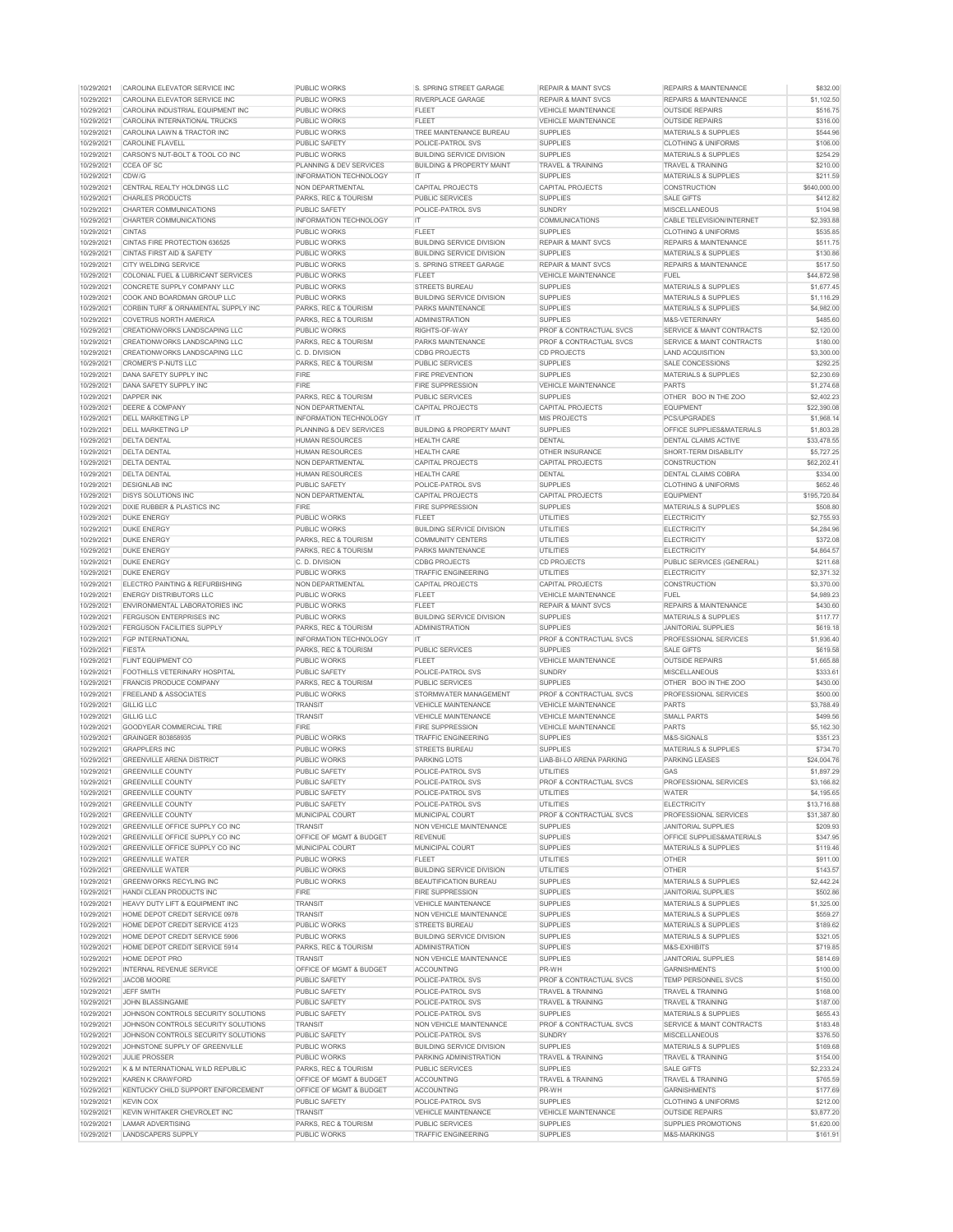| 10/29/2021 | CAROLINA ELEVATOR SERVICE INC              | <b>PUBLIC WORKS</b>                | <b>S. SPRING STREET GARAGE</b>       | <b>REPAIR &amp; MAINT SVCS</b>     | <b>REPAIRS &amp; MAINTENANCE</b>     | \$832.00     |
|------------|--------------------------------------------|------------------------------------|--------------------------------------|------------------------------------|--------------------------------------|--------------|
| 10/29/2021 | CAROLINA ELEVATOR SERVICE INC              | <b>PUBLIC WORKS</b>                | <b>RIVERPLACE GARAGE</b>             | <b>REPAIR &amp; MAINT SVCS</b>     | <b>REPAIRS &amp; MAINTENANCE</b>     | \$1,102.50   |
| 10/29/2021 | CAROLINA INDUSTRIAL EQUIPMENT INC          | <b>PUBLIC WORKS</b>                | <b>FLEET</b>                         | <b>VEHICLE MAINTENANCE</b>         | <b>OUTSIDE REPAIRS</b>               | \$516.75     |
| 10/29/2021 |                                            | <b>PUBLIC WORKS</b>                | <b>FLEET</b>                         |                                    |                                      | \$316.00     |
|            | CAROLINA INTERNATIONAL TRUCKS              |                                    |                                      | <b>VEHICLE MAINTENANCE</b>         | <b>OUTSIDE REPAIRS</b>               |              |
| 10/29/2021 | CAROLINA LAWN & TRACTOR INC                | <b>PUBLIC WORKS</b>                | TREE MAINTENANCE BUREAU              | <b>SUPPLIES</b>                    | <b>MATERIALS &amp; SUPPLIES</b>      | \$544.96     |
| 10/29/2021 | <b>CAROLINE FLAVELL</b>                    | <b>PUBLIC SAFETY</b>               | <b>POLICE-PATROL SVS</b>             | <b>SUPPLIES</b>                    | <b>CLOTHING &amp; UNIFORMS</b>       | \$106.00     |
| 10/29/2021 | CARSON'S NUT-BOLT & TOOL CO INC            | <b>PUBLIC WORKS</b>                | <b>BUILDING SERVICE DIVISION</b>     | <b>SUPPLIES</b>                    | <b>MATERIALS &amp; SUPPLIES</b>      | \$254.29     |
| 10/29/2021 | <b>CCEA OF SC</b>                          | PLANNING & DEV SERVICES            | <b>BUILDING &amp; PROPERTY MAINT</b> | <b>TRAVEL &amp; TRAINING</b>       | <b>TRAVEL &amp; TRAINING</b>         | \$210.00     |
| 10/29/2021 | CDW/G                                      | <b>INFORMATION TECHNOLOGY</b>      | IT.                                  | <b>SUPPLIES</b>                    | <b>MATERIALS &amp; SUPPLIES</b>      | \$211.59     |
| 10/29/2021 | <b>CENTRAL REALTY HOLDINGS LLC</b>         | NON DEPARTMENTAL                   | <b>CAPITAL PROJECTS</b>              | <b>CAPITAL PROJECTS</b>            | <b>CONSTRUCTION</b>                  | \$640,000.00 |
| 10/29/2021 | <b>CHARLES PRODUCTS</b>                    | <b>PARKS, REC &amp; TOURISM</b>    | <b>PUBLIC SERVICES</b>               | <b>SUPPLIES</b>                    | <b>SALE GIFTS</b>                    | \$412.82     |
| 10/29/2021 | CHARTER COMMUNICATIONS                     | <b>PUBLIC SAFETY</b>               | <b>POLICE-PATROL SVS</b>             | <b>SUNDRY</b>                      | <b>MISCELLANEOUS</b>                 | \$104.98     |
|            |                                            |                                    |                                      |                                    |                                      |              |
| 10/29/2021 | CHARTER COMMUNICATIONS                     | <b>INFORMATION TECHNOLOGY</b>      | IT.                                  | <b>COMMUNICATIONS</b>              | <b>CABLE TELEVISION/INTERNET</b>     | \$2,393.88   |
| 10/29/2021 | <b>CINTAS</b>                              | <b>PUBLIC WORKS</b>                | <b>FLEET</b>                         | <b>SUPPLIES</b>                    | <b>CLOTHING &amp; UNIFORMS</b>       | \$535.85     |
| 10/29/2021 | <b>CINTAS FIRE PROTECTION 636525</b>       | <b>PUBLIC WORKS</b>                | <b>BUILDING SERVICE DIVISION</b>     | <b>REPAIR &amp; MAINT SVCS</b>     | <b>REPAIRS &amp; MAINTENANCE</b>     | \$511.75     |
| 10/29/2021 | <b>CINTAS FIRST AID &amp; SAFETY</b>       | <b>PUBLIC WORKS</b>                | <b>BUILDING SERVICE DIVISION</b>     | <b>SUPPLIES</b>                    | <b>MATERIALS &amp; SUPPLIES</b>      | \$130.86     |
| 10/29/2021 | <b>CITY WELDING SERVICE</b>                | <b>PUBLIC WORKS</b>                | <b>S. SPRING STREET GARAGE</b>       | <b>REPAIR &amp; MAINT SVCS</b>     | <b>REPAIRS &amp; MAINTENANCE</b>     | \$517.50     |
| 10/29/2021 | COLONIAL FUEL & LUBRICANT SERVICES         | <b>PUBLIC WORKS</b>                | <b>FLEET</b>                         | <b>VEHICLE MAINTENANCE</b>         | <b>FUEL</b>                          | \$44,872.98  |
| 10/29/2021 | CONCRETE SUPPLY COMPANY LLC                | <b>PUBLIC WORKS</b>                | <b>STREETS BUREAU</b>                | <b>SUPPLIES</b>                    | <b>MATERIALS &amp; SUPPLIES</b>      | \$1,677.45   |
| 10/29/2021 | COOK AND BOARDMAN GROUP LLC                | <b>PUBLIC WORKS</b>                | <b>BUILDING SERVICE DIVISION</b>     | <b>SUPPLIES</b>                    | <b>MATERIALS &amp; SUPPLIES</b>      | \$1,116.29   |
|            |                                            |                                    |                                      |                                    |                                      |              |
| 10/29/2021 | CORBIN TURF & ORNAMENTAL SUPPLY INC        | <b>PARKS, REC &amp; TOURISM</b>    | <b>PARKS MAINTENANCE</b>             | <b>SUPPLIES</b>                    | <b>MATERIALS &amp; SUPPLIES</b>      | \$4,982.00   |
| 10/29/2021 | <b>COVETRUS NORTH AMERICA</b>              | PARKS, REC & TOURISM               | <b>ADMINISTRATION</b>                | <b>SUPPLIES</b>                    | M&S-VETERINARY                       | \$485.60     |
| 10/29/2021 | <b>CREATIONWORKS LANDSCAPING LLC</b>       | <b>PUBLIC WORKS</b>                | RIGHTS-OF-WAY                        | <b>PROF &amp; CONTRACTUAL SVCS</b> | SERVICE & MAINT CONTRACTS            | \$2,120.00   |
| 10/29/2021 | CREATIONWORKS LANDSCAPING LLC              | <b>PARKS, REC &amp; TOURISM</b>    | <b>PARKS MAINTENANCE</b>             | <b>PROF &amp; CONTRACTUAL SVCS</b> | SERVICE & MAINT CONTRACTS            | \$180.00     |
| 10/29/2021 | CREATIONWORKS LANDSCAPING LLC              | C. D. DIVISION                     | <b>CDBG PROJECTS</b>                 | <b>CD PROJECTS</b>                 | <b>LAND ACQUISITION</b>              | \$3,300.00   |
| 10/29/2021 | <b>CROMER'S P-NUTS LLC</b>                 | <b>PARKS, REC &amp; TOURISM</b>    | <b>PUBLIC SERVICES</b>               | <b>SUPPLIES</b>                    | <b>SALE CONCESSIONS</b>              | \$292.25     |
| 10/29/2021 | DANA SAFETY SUPPLY INC                     | <b>FIRE</b>                        | <b>FIRE PREVENTION</b>               | <b>SUPPLIES</b>                    | <b>MATERIALS &amp; SUPPLIES</b>      | \$2,230.69   |
| 10/29/2021 | DANA SAFETY SUPPLY INC                     | <b>FIRE</b>                        | <b>FIRE SUPPRESSION</b>              | <b>VEHICLE MAINTENANCE</b>         | <b>PARTS</b>                         | \$1,274.68   |
|            | <b>DAPPER INK</b>                          |                                    |                                      |                                    | OTHER BOO IN THE ZOO                 |              |
| 10/29/2021 |                                            | <b>PARKS, REC &amp; TOURISM</b>    | <b>PUBLIC SERVICES</b>               | <b>SUPPLIES</b>                    |                                      | \$2,402.23   |
| 10/29/2021 | DEERE & COMPANY                            | NON DEPARTMENTAL                   | <b>CAPITAL PROJECTS</b>              | <b>CAPITAL PROJECTS</b>            | <b>EQUIPMENT</b>                     | \$22,390.08  |
| 10/29/2021 | <b>DELL MARKETING LP</b>                   | <b>INFORMATION TECHNOLOGY</b>      | IT.                                  | <b>MIS PROJECTS</b>                | PCS/UPGRADES                         | \$1,968.14   |
| 10/29/2021 | <b>DELL MARKETING LP</b>                   | <b>PLANNING &amp; DEV SERVICES</b> | <b>BUILDING &amp; PROPERTY MAINT</b> | <b>SUPPLIES</b>                    | <b>OFFICE SUPPLIES&amp;MATERIALS</b> | \$1,803.28   |
| 10/29/2021 | <b>DELTA DENTAL</b>                        | <b>HUMAN RESOURCES</b>             | <b>HEALTH CARE</b>                   | <b>DENTAL</b>                      | <b>DENTAL CLAIMS ACTIVE</b>          | \$33,478.55  |
| 10/29/2021 | <b>DELTA DENTAL</b>                        | <b>HUMAN RESOURCES</b>             | <b>HEALTH CARE</b>                   | <b>OTHER INSURANCE</b>             | <b>SHORT-TERM DISABILITY</b>         | \$5,727.25   |
| 10/29/2021 | <b>DELTA DENTAL</b>                        | NON DEPARTMENTAL                   | <b>CAPITAL PROJECTS</b>              | <b>CAPITAL PROJECTS</b>            | <b>CONSTRUCTION</b>                  | \$62,202.41  |
| 10/29/2021 | <b>DELTA DENTAL</b>                        | <b>HUMAN RESOURCES</b>             | <b>HEALTH CARE</b>                   | <b>DENTAL</b>                      | <b>DENTAL CLAIMS COBRA</b>           | \$334.00     |
| 10/29/2021 | <b>DESIGNLAB INC</b>                       | <b>PUBLIC SAFETY</b>               | POLICE-PATROL SVS                    | <b>SUPPLIES</b>                    | <b>CLOTHING &amp; UNIFORMS</b>       | \$652.46     |
| 10/29/2021 | <b>DISYS SOLUTIONS INC</b>                 |                                    | <b>CAPITAL PROJECTS</b>              | <b>CAPITAL PROJECTS</b>            | <b>EQUIPMENT</b>                     | \$195,720.84 |
|            |                                            | NON DEPARTMENTAL                   |                                      |                                    |                                      |              |
| 10/29/2021 | <b>DIXIE RUBBER &amp; PLASTICS INC</b>     | <b>FIRE</b>                        | <b>FIRE SUPPRESSION</b>              | <b>SUPPLIES</b>                    | <b>MATERIALS &amp; SUPPLIES</b>      | \$508.80     |
| 10/29/2021 | <b>DUKE ENERGY</b>                         | <b>PUBLIC WORKS</b>                | <b>FLEET</b>                         | <b>UTILITIES</b>                   | <b>ELECTRICITY</b>                   | \$2,755.93   |
| 10/29/2021 | <b>DUKE ENERGY</b>                         | <b>PUBLIC WORKS</b>                | <b>BUILDING SERVICE DIVISION</b>     | <b>UTILITIES</b>                   | <b>ELECTRICITY</b>                   | \$4,284.96   |
| 10/29/2021 | <b>DUKE ENERGY</b>                         | <b>PARKS, REC &amp; TOURISM</b>    | <b>COMMUNITY CENTERS</b>             | <b>UTILITIES</b>                   | <b>ELECTRICITY</b>                   | \$372.08     |
| 10/29/2021 | <b>DUKE ENERGY</b>                         | <b>PARKS, REC &amp; TOURISM</b>    | <b>PARKS MAINTENANCE</b>             | <b>UTILITIES</b>                   | <b>ELECTRICITY</b>                   | \$4,864.57   |
| 10/29/2021 | <b>DUKE ENERGY</b>                         | C. D. DIVISION                     | <b>CDBG PROJECTS</b>                 | <b>CD PROJECTS</b>                 | PUBLIC SERVICES (GENERAL)            | \$211.68     |
| 10/29/2021 | <b>DUKE ENERGY</b>                         | <b>PUBLIC WORKS</b>                | <b>TRAFFIC ENGINEERING</b>           | <b>UTILITIES</b>                   | <b>ELECTRICITY</b>                   | \$2,371.32   |
| 10/29/2021 | ELECTRO PAINTING & REFURBISHING            | NON DEPARTMENTAL                   | <b>CAPITAL PROJECTS</b>              | <b>CAPITAL PROJECTS</b>            | <b>CONSTRUCTION</b>                  | \$3,370.00   |
|            |                                            |                                    |                                      |                                    |                                      |              |
| 10/29/2021 | <b>ENERGY DISTRIBUTORS LLC</b>             | <b>PUBLIC WORKS</b>                | <b>FLEET</b>                         | <b>VEHICLE MAINTENANCE</b>         | <b>FUEL</b>                          | \$4,989.23   |
| 10/29/2021 | ENVIRONMENTAL LABORATORIES INC             | <b>PUBLIC WORKS</b>                | <b>FLEET</b>                         | <b>REPAIR &amp; MAINT SVCS</b>     | <b>REPAIRS &amp; MAINTENANCE</b>     | \$430.60     |
| 10/29/2021 | <b>FERGUSON ENTERPRISES INC</b>            | <b>PUBLIC WORKS</b>                | <b>BUILDING SERVICE DIVISION</b>     | <b>SUPPLIES</b>                    | <b>MATERIALS &amp; SUPPLIES</b>      | \$117.77     |
| 10/29/2021 | <b>FERGUSON FACILITIES SUPPLY</b>          | PARKS, REC & TOURISM               | <b>ADMINISTRATION</b>                | <b>SUPPLIES</b>                    | <b>JANITORIAL SUPPLIES</b>           | \$619.18     |
| 10/29/2021 | <b>FGP INTERNATIONAL</b>                   | <b>INFORMATION TECHNOLOGY</b>      | IT.                                  | <b>PROF &amp; CONTRACTUAL SVCS</b> | <b>PROFESSIONAL SERVICES</b>         | \$1,936.40   |
| 10/29/2021 | <b>FIESTA</b>                              | <b>PARKS, REC &amp; TOURISM</b>    | <b>PUBLIC SERVICES</b>               | <b>SUPPLIES</b>                    | <b>SALE GIFTS</b>                    | \$619.58     |
| 10/29/2021 | <b>FLINT EQUIPMENT CO</b>                  | <b>PUBLIC WORKS</b>                | <b>FLEET</b>                         | <b>VEHICLE MAINTENANCE</b>         | <b>OUTSIDE REPAIRS</b>               | \$1,665.88   |
| 10/29/2021 | <b>FOOTHILLS VETERINARY HOSPITAL</b>       | <b>PUBLIC SAFETY</b>               | POLICE-PATROL SVS                    | SUNDRY                             | <b>MISCELLANEOUS</b>                 | \$333.61     |
| 10/29/2021 |                                            |                                    |                                      | <b>SUPPLIES</b>                    | OTHER BOO IN THE ZOO                 |              |
|            | <b>FRANCIS PRODUCE COMPANY</b>             | <b>PARKS, REC &amp; TOURISM</b>    | <b>PUBLIC SERVICES</b>               |                                    |                                      | \$430.00     |
| 10/29/2021 | <b>FREELAND &amp; ASSOCIATES</b>           | <b>PUBLIC WORKS</b>                | <b>STORMWATER MANAGEMENT</b>         | <b>PROF &amp; CONTRACTUAL SVCS</b> | PROFESSIONAL SERVICES                | \$500.00     |
| 10/29/2021 | <b>GILLIG LLC</b>                          | <b>TRANSIT</b>                     | <b>VEHICLE MAINTENANCE</b>           | <b>VEHICLE MAINTENANCE</b>         | <b>PARTS</b>                         | \$3,788.49   |
| 10/29/2021 | <b>GILLIG LLC</b>                          | <b>TRANSIT</b>                     | <b>VEHICLE MAINTENANCE</b>           | <b>VEHICLE MAINTENANCE</b>         | <b>SMALL PARTS</b>                   | \$499.56     |
| 10/29/2021 | <b>GOODYEAR COMMERCIAL TIRE</b>            | <b>FIRE</b>                        | <b>FIRE SUPPRESSION</b>              | <b>VEHICLE MAINTENANCE</b>         | <b>PARTS</b>                         | \$5,162.30   |
| 10/29/2021 | <b>GRAINGER 803858935</b>                  | <b>PUBLIC WORKS</b>                | <b>TRAFFIC ENGINEERING</b>           | <b>SUPPLIES</b>                    | M&S-SIGNALS                          | \$351.23     |
| 10/29/2021 | <b>GRAPPLERS INC</b>                       | <b>PUBLIC WORKS</b>                | <b>STREETS BUREAU</b>                | <b>SUPPLIES</b>                    | <b>MATERIALS &amp; SUPPLIES</b>      | \$734.70     |
| 10/29/2021 | <b>GREENVILLE ARENA DISTRICT</b>           | <b>PUBLIC WORKS</b>                | <b>PARKING LOTS</b>                  | LIAB-BI-LO ARENA PARKING           | <b>PARKING LEASES</b>                | \$24,004.76  |
| 10/29/2021 | <b>GREENVILLE COUNTY</b>                   | <b>PUBLIC SAFETY</b>               | <b>POLICE-PATROL SVS</b>             | <b>UTILITIES</b>                   | <b>GAS</b>                           | \$1,897.29   |
| 10/29/2021 | <b>GREENVILLE COUNTY</b>                   | <b>PUBLIC SAFETY</b>               | <b>POLICE-PATROL SVS</b>             | <b>PROF &amp; CONTRACTUAL SVCS</b> | <b>PROFESSIONAL SERVICES</b>         | \$3,166.82   |
|            |                                            |                                    |                                      |                                    |                                      |              |
| 10/29/2021 | <b>GREENVILLE COUNTY</b>                   | PUBLIC SAFETY                      | <b>POLICE-PATROL SVS</b>             | <b>UTILITIES</b>                   | <b>WATER</b>                         | \$4,195.65   |
| 10/29/2021 | <b>GREENVILLE COUNTY</b>                   | <b>PUBLIC SAFETY</b>               | <b>POLICE-PATROL SVS</b>             | <b>UTILITIES</b>                   | <b>ELECTRICITY</b>                   | \$13,716.88  |
| 10/29/2021 | <b>GREENVILLE COUNTY</b>                   | <b>MUNICIPAL COURT</b>             | <b>MUNICIPAL COURT</b>               | <b>PROF &amp; CONTRACTUAL SVCS</b> | <b>PROFESSIONAL SERVICES</b>         | \$31,387.80  |
| 10/29/2021 | <b>GREENVILLE OFFICE SUPPLY CO INC</b>     | <b>TRANSIT</b>                     | NON VEHICLE MAINTENANCE              | <b>SUPPLIES</b>                    | <b>JANITORIAL SUPPLIES</b>           | \$209.93     |
| 10/29/2021 | <b>GREENVILLE OFFICE SUPPLY CO INC</b>     | <b>OFFICE OF MGMT &amp; BUDGET</b> | <b>REVENUE</b>                       | <b>SUPPLIES</b>                    | <b>OFFICE SUPPLIES&amp;MATERIALS</b> | \$347.95     |
| 10/29/2021 | <b>GREENVILLE OFFICE SUPPLY CO INC</b>     | <b>MUNICIPAL COURT</b>             | <b>MUNICIPAL COURT</b>               | <b>SUPPLIES</b>                    | <b>MATERIALS &amp; SUPPLIES</b>      | \$119.46     |
| 10/29/2021 | <b>GREENVILLE WATER</b>                    | <b>PUBLIC WORKS</b>                | <b>FLEET</b>                         | <b>UTILITIES</b>                   | <b>OTHER</b>                         | \$911.00     |
| 10/29/2021 | <b>GREENVILLE WATER</b>                    | <b>PUBLIC WORKS</b>                | <b>BUILDING SERVICE DIVISION</b>     | <b>UTILITIES</b>                   | <b>OTHER</b>                         | \$143.57     |
| 10/29/2021 | <b>GREENWORKS RECYLING INC</b>             | <b>PUBLIC WORKS</b>                | <b>BEAUTIFICATION BUREAU</b>         | <b>SUPPLIES</b>                    | <b>MATERIALS &amp; SUPPLIES</b>      | \$2,442.24   |
| 10/29/2021 | <b>HANDI CLEAN PRODUCTS INC</b>            | <b>FIRE</b>                        | <b>FIRE SUPPRESSION</b>              | <b>SUPPLIES</b>                    | <b>JANITORIAL SUPPLIES</b>           | \$502.86     |
| 10/29/2021 | <b>HEAVY DUTY LIFT &amp; EQUIPMENT INC</b> | <b>TRANSIT</b>                     | <b>VEHICLE MAINTENANCE</b>           | <b>SUPPLIES</b>                    | <b>MATERIALS &amp; SUPPLIES</b>      | \$1,325.00   |
| 10/29/2021 | HOME DEPOT CREDIT SERVICE 0978             | <b>TRANSIT</b>                     | <b>NON VEHICLE MAINTENANCE</b>       | <b>SUPPLIES</b>                    | <b>MATERIALS &amp; SUPPLIES</b>      | \$559.27     |
| 10/29/2021 | <b>HOME DEPOT CREDIT SERVICE 4123</b>      | <b>PUBLIC WORKS</b>                | <b>STREETS BUREAU</b>                | <b>SUPPLIES</b>                    | <b>MATERIALS &amp; SUPPLIES</b>      | \$189.62     |
|            |                                            |                                    |                                      |                                    |                                      |              |
| 10/29/2021 | <b>HOME DEPOT CREDIT SERVICE 5906</b>      | <b>PUBLIC WORKS</b>                | <b>BUILDING SERVICE DIVISION</b>     | <b>SUPPLIES</b>                    | <b>MATERIALS &amp; SUPPLIES</b>      | \$321.05     |
| 10/29/2021 | <b>HOME DEPOT CREDIT SERVICE 5914</b>      | <b>PARKS, REC &amp; TOURISM</b>    | <b>ADMINISTRATION</b>                | <b>SUPPLIES</b>                    | M&S-EXHIBITS                         | \$719.85     |
| 10/29/2021 | <b>HOME DEPOT PRO</b>                      | <b>TRANSIT</b>                     | NON VEHICLE MAINTENANCE              | <b>SUPPLIES</b>                    | <b>JANITORIAL SUPPLIES</b>           | \$814.69     |
| 10/29/2021 | <b>INTERNAL REVENUE SERVICE</b>            | <b>OFFICE OF MGMT &amp; BUDGET</b> | <b>ACCOUNTING</b>                    | PR-WH                              | <b>GARNISHMENTS</b>                  | \$100.00     |
| 10/29/2021 | <b>JACOB MOORE</b>                         | <b>PUBLIC SAFETY</b>               | <b>POLICE-PATROL SVS</b>             | <b>PROF &amp; CONTRACTUAL SVCS</b> | <b>TEMP PERSONNEL SVCS</b>           | \$150.00     |
| 10/29/2021 | <b>JEFF SMITH</b>                          | <b>PUBLIC SAFETY</b>               | POLICE-PATROL SVS                    | <b>TRAVEL &amp; TRAINING</b>       | <b>TRAVEL &amp; TRAINING</b>         | \$168.00     |
| 10/29/2021 | <b>JOHN BLASSINGAME</b>                    | <b>PUBLIC SAFETY</b>               | <b>POLICE-PATROL SVS</b>             | <b>TRAVEL &amp; TRAINING</b>       | <b>TRAVEL &amp; TRAINING</b>         | \$187.00     |
| 10/29/2021 | JOHNSON CONTROLS SECURITY SOLUTIONS        | <b>PUBLIC SAFETY</b>               | POLICE-PATROL SVS                    | <b>SUPPLIES</b>                    | <b>MATERIALS &amp; SUPPLIES</b>      | \$655.43     |
| 10/29/2021 | JOHNSON CONTROLS SECURITY SOLUTIONS        | <b>TRANSIT</b>                     | NON VEHICLE MAINTENANCE              | <b>PROF &amp; CONTRACTUAL SVCS</b> | SERVICE & MAINT CONTRACTS            | \$183.48     |
| 10/29/2021 | JOHNSON CONTROLS SECURITY SOLUTIONS        |                                    | <b>POLICE-PATROL SVS</b>             | <b>SUNDRY</b>                      | <b>MISCELLANEOUS</b>                 | \$376.50     |
|            |                                            | <b>PUBLIC SAFETY</b>               |                                      |                                    |                                      |              |
| 10/29/2021 | JOHNSTONE SUPPLY OF GREENVILLE             | <b>PUBLIC WORKS</b>                | <b>BUILDING SERVICE DIVISION</b>     | <b>SUPPLIES</b>                    | <b>MATERIALS &amp; SUPPLIES</b>      | \$169.68     |
| 10/29/2021 | <b>JULIE PROSSER</b>                       | <b>PUBLIC WORKS</b>                | <b>PARKING ADMINISTRATION</b>        | <b>TRAVEL &amp; TRAINING</b>       | <b>TRAVEL &amp; TRAINING</b>         | \$154.00     |
| 10/29/2021 | K & M INTERNATIONAL WILD REPUBLIC          | <b>PARKS, REC &amp; TOURISM</b>    | <b>PUBLIC SERVICES</b>               | <b>SUPPLIES</b>                    | <b>SALE GIFTS</b>                    | \$2,233.24   |
| 10/29/2021 | <b>KAREN K CRAWFORD</b>                    | <b>OFFICE OF MGMT &amp; BUDGET</b> | <b>ACCOUNTING</b>                    | <b>TRAVEL &amp; TRAINING</b>       | <b>TRAVEL &amp; TRAINING</b>         | \$765.59     |
| 10/29/2021 | KENTUCKY CHILD SUPPORT ENFORCEMENT         | <b>OFFICE OF MGMT &amp; BUDGET</b> | <b>ACCOUNTING</b>                    | PR-WH                              | <b>GARNISHMENTS</b>                  | \$177.69     |
| 10/29/2021 | <b>KEVIN COX</b>                           | <b>PUBLIC SAFETY</b>               | POLICE-PATROL SVS                    | <b>SUPPLIES</b>                    | <b>CLOTHING &amp; UNIFORMS</b>       | \$212.00     |
| 10/29/2021 | KEVIN WHITAKER CHEVROLET INC               | <b>TRANSIT</b>                     | <b>VEHICLE MAINTENANCE</b>           | <b>VEHICLE MAINTENANCE</b>         | <b>OUTSIDE REPAIRS</b>               | \$3,877.20   |
| 10/29/2021 | <b>LAMAR ADVERTISING</b>                   | <b>PARKS, REC &amp; TOURISM</b>    | <b>PUBLIC SERVICES</b>               | <b>SUPPLIES</b>                    | <b>SUPPLIES PROMOTIONS</b>           | \$1,620.00   |
| 10/29/2021 | <b>LANDSCAPERS SUPPLY</b>                  | <b>PUBLIC WORKS</b>                | <b>TRAFFIC ENGINEERING</b>           | <b>SUPPLIES</b>                    | M&S-MARKINGS                         |              |
|            |                                            |                                    |                                      |                                    |                                      | \$161.91     |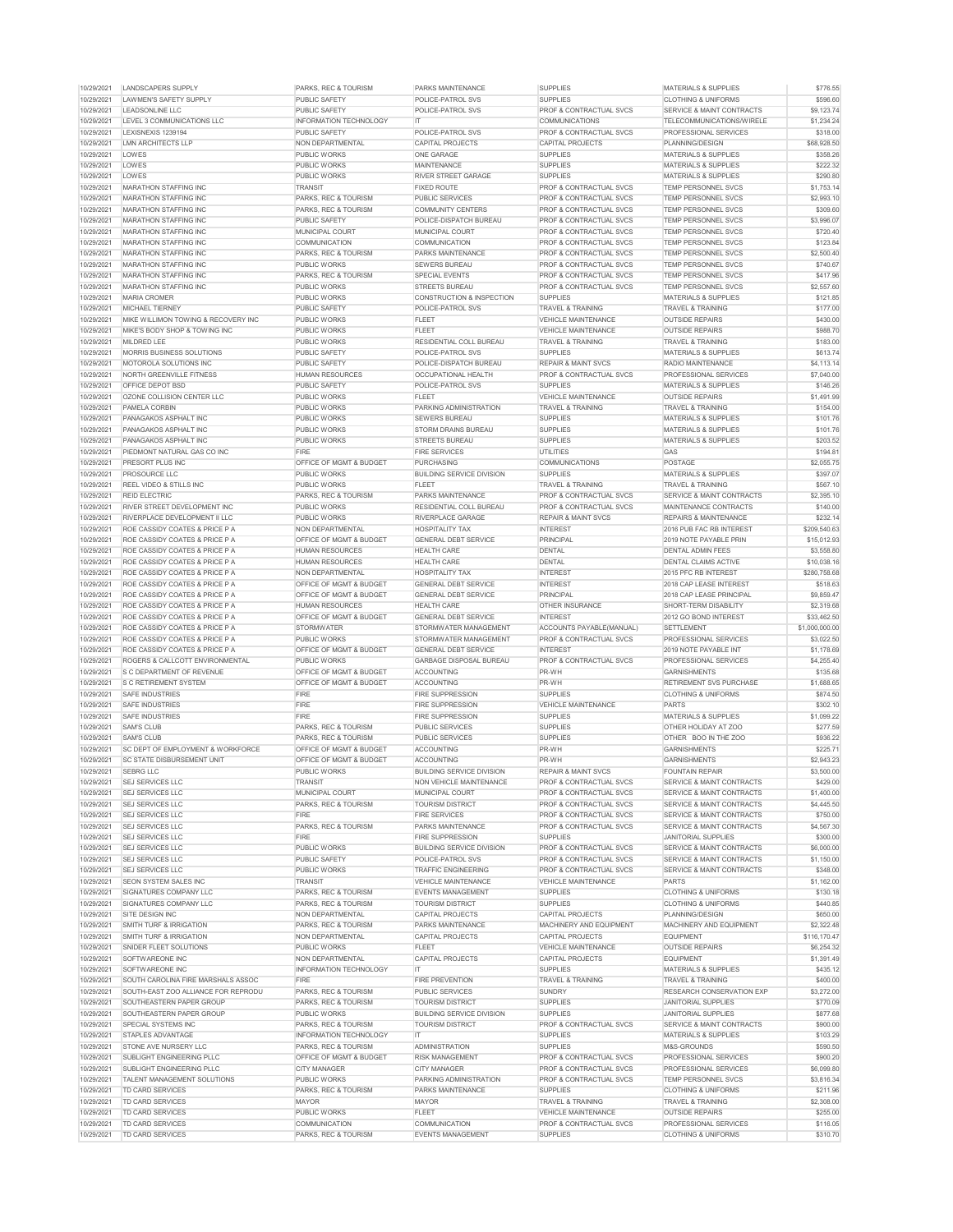| 10/29/2021<br><b>SUPPLIES</b><br>LAWMEN'S SAFETY SUPPLY<br><b>PUBLIC SAFETY</b><br>POLICE-PATROL SVS<br><b>CLOTHING &amp; UNIFORMS</b><br>10/29/2021<br><b>LEADSONLINE LLC</b><br><b>PROF &amp; CONTRACTUAL SVCS</b><br><b>PUBLIC SAFETY</b><br><b>POLICE-PATROL SVS</b><br>SERVICE & MAINT CONTRACTS<br>10/29/2021<br><b>LEVEL 3 COMMUNICATIONS LLC</b><br><b>IT</b><br><b>COMMUNICATIONS</b><br><b>TELECOMMUNICATIONS/WIRELE</b><br><b>INFORMATION TECHNOLOGY</b><br>\$1,234.24<br>10/29/2021<br>LEXISNEXIS 1239194<br><b>PUBLIC SAFETY</b><br><b>POLICE-PATROL SVS</b><br><b>PROF &amp; CONTRACTUAL SVCS</b><br><b>PROFESSIONAL SERVICES</b><br>\$318.00<br>10/29/2021<br><b>NON DEPARTMENTAL</b><br>PLANNING/DESIGN<br>\$68,928.50<br>LMN ARCHITECTS LLP<br><b>CAPITAL PROJECTS</b><br><b>CAPITAL PROJECTS</b><br>10/29/2021<br><b>LOWES</b><br>\$358.26<br><b>PUBLIC WORKS</b><br><b>ONE GARAGE</b><br><b>SUPPLIES</b><br><b>MATERIALS &amp; SUPPLIES</b><br>10/29/2021<br><b>LOWES</b><br>\$222.32<br><b>PUBLIC WORKS</b><br><b>MAINTENANCE</b><br><b>SUPPLIES</b><br><b>MATERIALS &amp; SUPPLIES</b><br>10/29/2021<br>LOWES<br><b>PUBLIC WORKS</b><br><b>RIVER STREET GARAGE</b><br><b>SUPPLIES</b><br><b>MATERIALS &amp; SUPPLIES</b><br>\$290.80<br>10/29/2021<br><b>MARATHON STAFFING INC.</b><br><b>PROF &amp; CONTRACTUAL SVCS</b><br><b>TEMP PERSONNEL SVCS</b><br>\$1,753.14<br><b>TRANSIT</b><br><b>FIXED ROUTE</b><br>10/29/2021<br><b>PARKS, REC &amp; TOURISM</b><br>\$2,993.10<br><b>MARATHON STAFFING INC</b><br><b>PUBLIC SERVICES</b><br><b>PROF &amp; CONTRACTUAL SVCS</b><br><b>TEMP PERSONNEL SVCS</b><br>10/29/2021<br>\$309.60<br><b>MARATHON STAFFING INC</b><br>PARKS, REC & TOURISM<br><b>COMMUNITY CENTERS</b><br><b>PROF &amp; CONTRACTUAL SVCS</b><br><b>TEMP PERSONNEL SVCS</b><br>10/29/2021<br>\$3,996.07<br><b>MARATHON STAFFING INC</b><br><b>PUBLIC SAFETY</b><br><b>POLICE-DISPATCH BUREAU</b><br><b>PROF &amp; CONTRACTUAL SVCS</b><br><b>TEMP PERSONNEL SVCS</b><br>10/29/2021<br>\$720.40<br><b>MARATHON STAFFING INC</b><br><b>MUNICIPAL COURT</b><br><b>MUNICIPAL COURT</b><br><b>PROF &amp; CONTRACTUAL SVCS</b><br><b>TEMP PERSONNEL SVCS</b><br>10/29/2021<br><b>MARATHON STAFFING INC</b><br><b>COMMUNICATION</b><br><b>COMMUNICATION</b><br><b>PROF &amp; CONTRACTUAL SVCS</b><br><b>TEMP PERSONNEL SVCS</b><br>10/29/2021<br><b>PARKS, REC &amp; TOURISM</b><br><b>PARKS MAINTENANCE</b><br><b>PROF &amp; CONTRACTUAL SVCS</b><br><b>TEMP PERSONNEL SVCS</b><br><b>MARATHON STAFFING INC</b><br>10/29/2021<br><b>MARATHON STAFFING INC</b><br><b>PUBLIC WORKS</b><br><b>SEWERS BUREAU</b><br><b>PROF &amp; CONTRACTUAL SVCS</b><br><b>TEMP PERSONNEL SVCS</b><br>10/29/2021<br><b>MARATHON STAFFING INC</b><br><b>PARKS, REC &amp; TOURISM</b><br><b>SPECIAL EVENTS</b><br><b>PROF &amp; CONTRACTUAL SVCS</b><br><b>TEMP PERSONNEL SVCS</b><br>10/29/2021<br>MARATHON STAFFING INC<br><b>PUBLIC WORKS</b><br><b>STREETS BUREAU</b><br><b>PROF &amp; CONTRACTUAL SVCS</b><br><b>TEMP PERSONNEL SVCS</b><br>10/29/2021<br><b>MARIA CROMER</b><br><b>PUBLIC WORKS</b><br><b>CONSTRUCTION &amp; INSPECTION</b><br><b>SUPPLIES</b><br><b>MATERIALS &amp; SUPPLIES</b><br>10/29/2021<br><b>PUBLIC SAFETY</b><br><b>TRAVEL &amp; TRAINING</b><br><b>MICHAEL TIERNEY</b><br><b>POLICE-PATROL SVS</b><br><b>TRAVEL &amp; TRAINING</b><br>10/29/2021<br>MIKE WILLIMON TOWING & RECOVERY INC<br><b>PUBLIC WORKS</b><br><b>FLEET</b><br><b>VEHICLE MAINTENANCE</b><br><b>OUTSIDE REPAIRS</b><br>10/29/2021<br><b>MIKE'S BODY SHOP &amp; TOWING INC</b><br><b>PUBLIC WORKS</b><br><b>FLEET</b><br><b>VEHICLE MAINTENANCE</b><br><b>OUTSIDE REPAIRS</b><br>10/29/2021<br><b>MILDRED LEE</b><br><b>PUBLIC WORKS</b><br><b>RESIDENTIAL COLL BUREAU</b><br><b>TRAVEL &amp; TRAINING</b><br><b>TRAVEL &amp; TRAINING</b><br>\$183.00<br>10/29/2021<br><b>MORRIS BUSINESS SOLUTIONS</b><br><b>POLICE-PATROL SVS</b><br><b>SUPPLIES</b><br><b>MATERIALS &amp; SUPPLIES</b><br>\$613.74<br><b>PUBLIC SAFETY</b><br>10/29/2021<br>MOTOROLA SOLUTIONS INC<br><b>PUBLIC SAFETY</b><br>POLICE-DISPATCH BUREAU<br><b>REPAIR &amp; MAINT SVCS</b><br><b>RADIO MAINTENANCE</b><br>\$4,113.14<br>10/29/2021<br>NORTH GREENVILLE FITNESS<br><b>HUMAN RESOURCES</b><br>OCCUPATIONAL HEALTH<br><b>PROF &amp; CONTRACTUAL SVCS</b><br>PROFESSIONAL SERVICES<br>\$7,040.00<br>10/29/2021<br>OFFICE DEPOT BSD<br><b>PUBLIC SAFETY</b><br>POLICE-PATROL SVS<br><b>SUPPLIES</b><br><b>MATERIALS &amp; SUPPLIES</b><br>\$146.26<br>10/29/2021<br><b>PUBLIC WORKS</b><br><b>VEHICLE MAINTENANCE</b><br>\$1.491.99<br>OZONE COLLISION CENTER LLC<br><b>FLEET</b><br><b>OUTSIDE REPAIRS</b><br>10/29/2021<br>PAMELA CORBIN<br><b>PUBLIC WORKS</b><br>PARKING ADMINISTRATION<br>\$154.00<br><b>TRAVEL &amp; TRAINING</b><br><b>TRAVEL &amp; TRAINING</b><br>10/29/2021<br>\$101.76<br>PANAGAKOS ASPHALT INC<br><b>PUBLIC WORKS</b><br><b>SUPPLIES</b><br><b>MATERIALS &amp; SUPPLIES</b><br><b>SEWERS BUREAU</b><br>10/29/2021<br><b>SUPPLIES</b><br>PANAGAKOS ASPHALT INC<br><b>PUBLIC WORKS</b><br><b>STORM DRAINS BUREAU</b><br><b>MATERIALS &amp; SUPPLIES</b><br>10/29/2021<br>PUBLIC WORKS<br><b>SUPPLIES</b><br>PANAGAKOS ASPHALT INC<br><b>STREETS BUREAU</b><br><b>MATERIALS &amp; SUPPLIES</b><br><b>FIRE SERVICES</b><br>10/29/2021<br>PIEDMONT NATURAL GAS CO INC<br><b>FIRE</b><br><b>UTILITIES</b><br><b>GAS</b><br><b>POSTAGE</b><br>10/29/2021<br><b>PRESORT PLUS INC</b><br><b>OFFICE OF MGMT &amp; BUDGET</b><br><b>PURCHASING</b><br><b>COMMUNICATIONS</b><br>10/29/2021<br><b>PUBLIC WORKS</b><br><b>SUPPLIES</b><br><b>MATERIALS &amp; SUPPLIES</b><br><b>PROSOURCE LLC</b><br><b>BUILDING SERVICE DIVISION</b><br><b>FLEET</b><br><b>TRAVEL &amp; TRAINING</b><br>10/29/2021<br><b>REEL VIDEO &amp; STILLS INC</b><br><b>PUBLIC WORKS</b><br><b>TRAVEL &amp; TRAINING</b><br>10/29/2021<br><b>REID ELECTRIC</b><br>PARKS, REC & TOURISM<br><b>PARKS MAINTENANCE</b><br><b>PROF &amp; CONTRACTUAL SVCS</b><br><b>SERVICE &amp; MAINT CONTRACTS</b><br>10/29/2021<br>RIVER STREET DEVELOPMENT INC<br><b>PUBLIC WORKS</b><br><b>RESIDENTIAL COLL BUREAU</b><br><b>PROF &amp; CONTRACTUAL SVCS</b><br>MAINTENANCE CONTRACTS<br>10/29/2021<br><b>PUBLIC WORKS</b><br>RIVERPLACE DEVELOPMENT II LLC<br><b>RIVERPLACE GARAGE</b><br><b>REPAIR &amp; MAINT SVCS</b><br><b>REPAIRS &amp; MAINTENANCE</b><br>10/29/2021<br><b>INTEREST</b><br>\$209,540.63<br>ROE CASSIDY COATES & PRICE P A<br><b>NON DEPARTMENTAL</b><br><b>HOSPITALITY TAX</b><br>2016 PUB FAC RB INTEREST<br>10/29/2021<br>ROE CASSIDY COATES & PRICE P A<br><b>OFFICE OF MGMT &amp; BUDGET</b><br><b>GENERAL DEBT SERVICE</b><br><b>PRINCIPAL</b><br>2019 NOTE PAYABLE PRIN<br>\$15,012.93<br>10/29/2021<br><b>DENTAL</b><br>\$3,558.80<br>ROE CASSIDY COATES & PRICE P A<br><b>HUMAN RESOURCES</b><br><b>HEALTH CARE</b><br><b>DENTAL ADMIN FEES</b><br>10/29/2021<br><b>DENTAL</b><br>\$10,038.16<br>ROE CASSIDY COATES & PRICE P A<br><b>HUMAN RESOURCES</b><br><b>HEALTH CARE</b><br><b>DENTAL CLAIMS ACTIVE</b><br>10/29/2021<br><b>NON DEPARTMENTAL</b><br><b>INTEREST</b><br>ROE CASSIDY COATES & PRICE P A<br><b>HOSPITALITY TAX</b><br>2015 PFC RB INTEREST<br>\$280,758.68<br>10/29/2021<br>ROE CASSIDY COATES & PRICE P A<br><b>OFFICE OF MGMT &amp; BUDGET</b><br><b>GENERAL DEBT SERVICE</b><br><b>INTEREST</b><br>2018 CAP LEASE INTEREST<br>\$518.63<br>10/29/2021<br><b>PRINCIPAL</b><br>2018 CAP LEASE PRINCIPAL<br>\$9,859.47<br>ROE CASSIDY COATES & PRICE P A<br><b>OFFICE OF MGMT &amp; BUDGET</b><br><b>GENERAL DEBT SERVICE</b><br>\$2,319.68<br>10/29/2021<br>ROE CASSIDY COATES & PRICE P A<br><b>HUMAN RESOURCES</b><br><b>HEALTH CARE</b><br><b>OTHER INSURANCE</b><br>SHORT-TERM DISABILITY<br>10/29/2021<br>\$33,462.50<br>ROE CASSIDY COATES & PRICE P A<br><b>OFFICE OF MGMT &amp; BUDGET</b><br><b>GENERAL DEBT SERVICE</b><br><b>INTEREST</b><br>2012 GO BOND INTEREST<br>10/29/2021<br>ROE CASSIDY COATES & PRICE P A<br><b>STORMWATER</b><br>STORMWATER MANAGEMENT<br>ACCOUNTS PAYABLE(MANUAL)<br><b>SETTLEMENT</b><br>10/29/2021<br>ROE CASSIDY COATES & PRICE P A<br><b>PUBLIC WORKS</b><br>STORMWATER MANAGEMENT<br><b>PROF &amp; CONTRACTUAL SVCS</b><br><b>PROFESSIONAL SERVICES</b><br>10/29/2021<br><b>OFFICE OF MGMT &amp; BUDGET</b><br><b>GENERAL DEBT SERVICE</b><br><b>INTEREST</b><br>ROE CASSIDY COATES & PRICE P A<br>2019 NOTE PAYABLE INT<br>10/29/2021<br>ROGERS & CALLCOTT ENVIRONMENTAL<br><b>PUBLIC WORKS</b><br><b>GARBAGE DISPOSAL BUREAU</b><br><b>PROF &amp; CONTRACTUAL SVCS</b><br>PROFESSIONAL SERVICES<br>10/29/2021<br><b>S C DEPARTMENT OF REVENUE</b><br><b>OFFICE OF MGMT &amp; BUDGET</b><br><b>ACCOUNTING</b><br>PR-WH<br><b>GARNISHMENTS</b><br>10/29/2021<br>PR-WH<br><b>RETIREMENT SVS PURCHASE</b><br><b>S C RETIREMENT SYSTEM</b><br><b>OFFICE OF MGMT &amp; BUDGET</b><br><b>ACCOUNTING</b><br><b>SUPPLIES</b><br><b>SAFE INDUSTRIES</b><br><b>FIRE</b><br><b>FIRE SUPPRESSION</b><br><b>CLOTHING &amp; UNIFORMS</b><br>10/29/2021<br>10/29/2021<br><b>SAFE INDUSTRIES</b><br><b>FIRE</b><br><b>FIRE SUPPRESSION</b><br><b>VEHICLE MAINTENANCE</b><br><b>PARTS</b><br>10/29/2021<br><b>SUPPLIES</b><br><b>SAFE INDUSTRIES</b><br><b>FIRE</b><br><b>FIRE SUPPRESSION</b><br><b>MATERIALS &amp; SUPPLIES</b><br><b>SUPPLIES</b><br>10/29/2021<br><b>SAM'S CLUB</b><br><b>PARKS, REC &amp; TOURISM</b><br><b>PUBLIC SERVICES</b><br>OTHER HOLIDAY AT ZOO<br>10/29/2021<br><b>SUPPLIES</b><br><b>SAM'S CLUB</b><br>PARKS, REC & TOURISM<br><b>PUBLIC SERVICES</b><br>OTHER BOO IN THE ZOO<br>PR-WH<br>10/29/2021<br><b>SC DEPT OF EMPLOYMENT &amp; WORKFORCE</b><br><b>OFFICE OF MGMT &amp; BUDGET</b><br><b>ACCOUNTING</b><br><b>GARNISHMENTS</b><br>10/29/2021<br>PR-WH<br><b>SC STATE DISBURSEMENT UNIT</b><br><b>OFFICE OF MGMT &amp; BUDGET</b><br><b>ACCOUNTING</b><br><b>GARNISHMENTS</b><br>10/29/2021<br><b>SEBRG LLC</b><br><b>PUBLIC WORKS</b><br><b>BUILDING SERVICE DIVISION</b><br><b>REPAIR &amp; MAINT SVCS</b><br><b>FOUNTAIN REPAIR</b><br>10/29/2021<br><b>SEJ SERVICES LLC</b><br><b>TRANSIT</b><br>NON VEHICLE MAINTENANCE<br><b>PROF &amp; CONTRACTUAL SVCS</b><br><b>SERVICE &amp; MAINT CONTRACTS</b><br>10/29/2021<br><b>SEJ SERVICES LLC</b><br>MUNICIPAL COURT<br><b>MUNICIPAL COURT</b><br><b>PROF &amp; CONTRACTUAL SVCS</b><br><b>SERVICE &amp; MAINT CONTRACTS</b><br><b>PROF &amp; CONTRACTUAL SVCS</b><br>10/29/2021<br><b>SEJ SERVICES LLC</b><br>PARKS, REC & TOURISM<br><b>TOURISM DISTRICT</b><br><b>SERVICE &amp; MAINT CONTRACTS</b><br><b>FIRE</b><br><b>FIRE SERVICES</b><br>10/29/2021<br><b>SEJ SERVICES LLC</b><br><b>PROF &amp; CONTRACTUAL SVCS</b><br><b>SERVICE &amp; MAINT CONTRACTS</b><br>10/29/2021<br><b>SEJ SERVICES LLC</b><br><b>PARKS, REC &amp; TOURISM</b><br><b>PARKS MAINTENANCE</b><br><b>PROF &amp; CONTRACTUAL SVCS</b><br><b>SERVICE &amp; MAINT CONTRACTS</b><br>10/29/2021<br><b>FIRE</b><br><b>SEJ SERVICES LLC</b><br><b>FIRE SUPPRESSION</b><br><b>SUPPLIES</b><br><b>JANITORIAL SUPPLIES</b><br>10/29/2021<br><b>PUBLIC WORKS</b><br><b>PROF &amp; CONTRACTUAL SVCS</b><br><b>SEJ SERVICES LLC</b><br><b>BUILDING SERVICE DIVISION</b><br><b>SERVICE &amp; MAINT CONTRACTS</b><br>10/29/2021<br><b>POLICE-PATROL SVS</b><br><b>SEJ SERVICES LLC</b><br><b>PUBLIC SAFETY</b><br><b>PROF &amp; CONTRACTUAL SVCS</b><br><b>SERVICE &amp; MAINT CONTRACTS</b><br>10/29/2021<br><b>SEJ SERVICES LLC</b><br><b>PUBLIC WORKS</b><br><b>TRAFFIC ENGINEERING</b><br><b>PROF &amp; CONTRACTUAL SVCS</b><br>SERVICE & MAINT CONTRACTS<br>10/29/2021<br><b>VEHICLE MAINTENANCE</b><br><b>PARTS</b><br><b>SEON SYSTEM SALES INC</b><br><b>TRANSIT</b><br><b>VEHICLE MAINTENANCE</b><br>10/29/2021<br><b>PARKS, REC &amp; TOURISM</b><br><b>SUPPLIES</b><br><b>CLOTHING &amp; UNIFORMS</b><br><b>SIGNATURES COMPANY LLC</b><br><b>EVENTS MANAGEMENT</b><br>10/29/2021<br>SIGNATURES COMPANY LLC<br><b>PARKS, REC &amp; TOURISM</b><br><b>TOURISM DISTRICT</b><br><b>SUPPLIES</b><br><b>CLOTHING &amp; UNIFORMS</b><br>10/29/2021<br>SITE DESIGN INC<br><b>NON DEPARTMENTAL</b><br><b>CAPITAL PROJECTS</b><br><b>CAPITAL PROJECTS</b><br>PLANNING/DESIGN<br>10/29/2021<br><b>SMITH TURF &amp; IRRIGATION</b><br><b>PARKS, REC &amp; TOURISM</b><br><b>PARKS MAINTENANCE</b><br>MACHINERY AND EQUIPMENT<br>MACHINERY AND EQUIPMENT<br>10/29/2021<br><b>SMITH TURF &amp; IRRIGATION</b><br>NON DEPARTMENTAL<br><b>CAPITAL PROJECTS</b><br>CAPITAL PROJECTS<br><b>EQUIPMENT</b><br>10/29/2021<br>SNIDER FLEET SOLUTIONS<br><b>PUBLIC WORKS</b><br><b>FLEET</b><br>VEHICLE MAINTENANCE<br><b>OUTSIDE REPAIRS</b><br>10/29/2021<br>SOFTWAREONE INC<br>NON DEPARTMENTAL<br><b>CAPITAL PROJECTS</b><br><b>CAPITAL PROJECTS</b><br><b>EQUIPMENT</b><br>10/29/2021<br><b>MATERIALS &amp; SUPPLIES</b><br>SOFTWAREONE INC<br><b>INFORMATION TECHNOLOGY</b><br><b>SUPPLIES</b><br>IT.<br>10/29/2021<br><b>FIRE</b><br>SOUTH CAROLINA FIRE MARSHALS ASSOC<br><b>FIRE PREVENTION</b><br><b>TRAVEL &amp; TRAINING</b><br><b>TRAVEL &amp; TRAINING</b><br>10/29/2021<br>SOUTH-EAST ZOO ALLIANCE FOR REPRODU<br><b>PARKS, REC &amp; TOURISM</b><br><b>PUBLIC SERVICES</b><br><b>SUNDRY</b><br><b>RESEARCH CONSERVATION EXP</b><br>10/29/2021<br><b>SUPPLIES</b><br>SOUTHEASTERN PAPER GROUP<br>PARKS, REC & TOURISM<br><b>TOURISM DISTRICT</b><br><b>JANITORIAL SUPPLIES</b><br>10/29/2021<br>SOUTHEASTERN PAPER GROUP<br><b>PUBLIC WORKS</b><br><b>BUILDING SERVICE DIVISION</b><br><b>SUPPLIES</b><br><b>JANITORIAL SUPPLIES</b><br>10/29/2021<br>SPECIAL SYSTEMS INC<br>PARKS, REC & TOURISM<br><b>TOURISM DISTRICT</b><br><b>PROF &amp; CONTRACTUAL SVCS</b><br>SERVICE & MAINT CONTRACTS<br>10/29/2021<br>STAPLES ADVANTAGE<br><b>INFORMATION TECHNOLOGY</b><br>IT.<br><b>SUPPLIES</b><br><b>MATERIALS &amp; SUPPLIES</b><br>10/29/2021<br><b>ADMINISTRATION</b><br><b>STONE AVE NURSERY LLC</b><br>PARKS, REC & TOURISM<br><b>SUPPLIES</b><br>M&S-GROUNDS<br>10/29/2021<br><b>PROF &amp; CONTRACTUAL SVCS</b><br>SUBLIGHT ENGINEERING PLLC<br><b>OFFICE OF MGMT &amp; BUDGET</b><br><b>RISK MANAGEMENT</b><br><b>PROFESSIONAL SERVICES</b><br>10/29/2021<br><b>SUBLIGHT ENGINEERING PLLC</b><br><b>CITY MANAGER</b><br><b>CITY MANAGER</b><br><b>PROF &amp; CONTRACTUAL SVCS</b><br><b>PROFESSIONAL SERVICES</b><br>10/29/2021<br><b>TALENT MANAGEMENT SOLUTIONS</b><br><b>PUBLIC WORKS</b><br>PARKING ADMINISTRATION<br><b>PROF &amp; CONTRACTUAL SVCS</b><br><b>TEMP PERSONNEL SVCS</b><br>10/29/2021<br><b>TD CARD SERVICES</b><br><b>PARKS, REC &amp; TOURISM</b><br><b>PARKS MAINTENANCE</b><br><b>SUPPLIES</b><br><b>CLOTHING &amp; UNIFORMS</b><br>10/29/2021<br><b>MAYOR</b><br><b>MAYOR</b><br><b>TRAVEL &amp; TRAINING</b><br><b>TD CARD SERVICES</b><br><b>TRAVEL &amp; TRAINING</b><br>10/29/2021<br><b>TD CARD SERVICES</b><br><b>PUBLIC WORKS</b><br><b>FLEET</b><br>VEHICLE MAINTENANCE<br><b>OUTSIDE REPAIRS</b><br>10/29/2021<br><b>TD CARD SERVICES</b><br><b>COMMUNICATION</b><br><b>COMMUNICATION</b><br><b>PROF &amp; CONTRACTUAL SVCS</b><br><b>PROFESSIONAL SERVICES</b><br>10/29/2021<br><b>TD CARD SERVICES</b><br>PARKS, REC & TOURISM<br><b>EVENTS MANAGEMENT</b><br><b>SUPPLIES</b><br><b>CLOTHING &amp; UNIFORMS</b><br>\$310.70 | 10/29/2021 | LANDSCAPERS SUPPLY | <b>PARKS, REC &amp; TOURISM</b> | <b>PARKS MAINTENANCE</b> | <b>SUPPLIES</b> | <b>MATERIALS &amp; SUPPLIES</b> | \$776.55       |
|-------------------------------------------------------------------------------------------------------------------------------------------------------------------------------------------------------------------------------------------------------------------------------------------------------------------------------------------------------------------------------------------------------------------------------------------------------------------------------------------------------------------------------------------------------------------------------------------------------------------------------------------------------------------------------------------------------------------------------------------------------------------------------------------------------------------------------------------------------------------------------------------------------------------------------------------------------------------------------------------------------------------------------------------------------------------------------------------------------------------------------------------------------------------------------------------------------------------------------------------------------------------------------------------------------------------------------------------------------------------------------------------------------------------------------------------------------------------------------------------------------------------------------------------------------------------------------------------------------------------------------------------------------------------------------------------------------------------------------------------------------------------------------------------------------------------------------------------------------------------------------------------------------------------------------------------------------------------------------------------------------------------------------------------------------------------------------------------------------------------------------------------------------------------------------------------------------------------------------------------------------------------------------------------------------------------------------------------------------------------------------------------------------------------------------------------------------------------------------------------------------------------------------------------------------------------------------------------------------------------------------------------------------------------------------------------------------------------------------------------------------------------------------------------------------------------------------------------------------------------------------------------------------------------------------------------------------------------------------------------------------------------------------------------------------------------------------------------------------------------------------------------------------------------------------------------------------------------------------------------------------------------------------------------------------------------------------------------------------------------------------------------------------------------------------------------------------------------------------------------------------------------------------------------------------------------------------------------------------------------------------------------------------------------------------------------------------------------------------------------------------------------------------------------------------------------------------------------------------------------------------------------------------------------------------------------------------------------------------------------------------------------------------------------------------------------------------------------------------------------------------------------------------------------------------------------------------------------------------------------------------------------------------------------------------------------------------------------------------------------------------------------------------------------------------------------------------------------------------------------------------------------------------------------------------------------------------------------------------------------------------------------------------------------------------------------------------------------------------------------------------------------------------------------------------------------------------------------------------------------------------------------------------------------------------------------------------------------------------------------------------------------------------------------------------------------------------------------------------------------------------------------------------------------------------------------------------------------------------------------------------------------------------------------------------------------------------------------------------------------------------------------------------------------------------------------------------------------------------------------------------------------------------------------------------------------------------------------------------------------------------------------------------------------------------------------------------------------------------------------------------------------------------------------------------------------------------------------------------------------------------------------------------------------------------------------------------------------------------------------------------------------------------------------------------------------------------------------------------------------------------------------------------------------------------------------------------------------------------------------------------------------------------------------------------------------------------------------------------------------------------------------------------------------------------------------------------------------------------------------------------------------------------------------------------------------------------------------------------------------------------------------------------------------------------------------------------------------------------------------------------------------------------------------------------------------------------------------------------------------------------------------------------------------------------------------------------------------------------------------------------------------------------------------------------------------------------------------------------------------------------------------------------------------------------------------------------------------------------------------------------------------------------------------------------------------------------------------------------------------------------------------------------------------------------------------------------------------------------------------------------------------------------------------------------------------------------------------------------------------------------------------------------------------------------------------------------------------------------------------------------------------------------------------------------------------------------------------------------------------------------------------------------------------------------------------------------------------------------------------------------------------------------------------------------------------------------------------------------------------------------------------------------------------------------------------------------------------------------------------------------------------------------------------------------------------------------------------------------------------------------------------------------------------------------------------------------------------------------------------------------------------------------------------------------------------------------------------------------------------------------------------------------------------------------------------------------------------------------------------------------------------------------------------------------------------------------------------------------------------------------------------------------------------------------------------------------------------------------------------------------------------------------------------------------------------------------------------------------------------------------------------------------------------------------------------------------------------------------------------------------------------------------------------------------------------------------------------------------------------------------------------------------------------------------------------------------------------------------------------------------------------------------------------------------------------------------------------------------------------------------------------------------------------------------------------------------------------------------------------------------------------------------------------------------------------------------------------------------------------------------------------------------------------------------------------------------------------------------------------------------------------------------------------------------------------------------------------------------------------------------------------------------------------------------------------------------------------------------------------------------------------------------------------------------------------------------------------------------------------------------------------------------------------------------------------------------------------------------------------------------------------------------------------------------------------------------------------------------------------------------------------------------------------------------------------------------------------------------------------------------------------------------------------------------------------------------------------------------------------------------------------------------------------------------------------------------------------------------------------------------------------------------------------------------------------------------------------------------------------------------------------------------------------------------------------------------------------------------------------------------------------------------------------------------------------------------------------------------------------------------------------------------------------------------------------------------------------------------------------------------------------------------------------------------------------------------------------------------------------------------------------------------------------------------------------------------------------------------------------------------------------------------------------------------------------------------------------------------------------------------------------------------------------------------------------------------------------------------------------------------------------------------------------------------------------------------------------------------------------------------------------------------------------------------------------------------------------------------------------------------------------------------------------------------------------------------------------------------------------------------------------------------------------------------------------------------------------------------------------------------------------------------------------------------------------------------------------------------------------------------------------------------------------------------------------------------------------------------------------------------------------------------------------------------------------------------------------------------------------------------------------------------------------------------------------------------------------------------------------------------------------------------------------------------------------------------------------------------------------------------------------------------------------------------------------------------------------------------------------------------------------------------------------------------------------------------------------------------------------------------------------------------------------------------------------------------------------------------------------------------------------------------------------------------------------------------------------------------------------------------------------------------------------------------------------------------------------------------------------------------------------------------------------------------------------------------------------------------------------------------------------------------------------------------------------------------------------------------------------------------------------------------------------------------------------------------------------------------------------------------------------------------------------------------------------------------------------------------------------------------------------------------------------------------------------------------------------------------------------------------------------------------------------------------------------------------------------------------------------------------------------------------------------------------------------------------------------------------------------------------------------------------------------------------------------------------------------------------------------------------------------------------------------------------------------------------------------------------------------------------------------------------------------------------------------------------------------------------------------------------------------------------------------------------------------------------------------------------------------------------------------------------------------------------------------------------------------------------------------------------------------------------------------------------------------------------------------------------------------------------|------------|--------------------|---------------------------------|--------------------------|-----------------|---------------------------------|----------------|
|                                                                                                                                                                                                                                                                                                                                                                                                                                                                                                                                                                                                                                                                                                                                                                                                                                                                                                                                                                                                                                                                                                                                                                                                                                                                                                                                                                                                                                                                                                                                                                                                                                                                                                                                                                                                                                                                                                                                                                                                                                                                                                                                                                                                                                                                                                                                                                                                                                                                                                                                                                                                                                                                                                                                                                                                                                                                                                                                                                                                                                                                                                                                                                                                                                                                                                                                                                                                                                                                                                                                                                                                                                                                                                                                                                                                                                                                                                                                                                                                                                                                                                                                                                                                                                                                                                                                                                                                                                                                                                                                                                                                                                                                                                                                                                                                                                                                                                                                                                                                                                                                                                                                                                                                                                                                                                                                                                                                                                                                                                                                                                                                                                                                                                                                                                                                                                                                                                                                                                                                                                                                                                                                                                                                                                                                                                                                                                                                                                                                                                                                                                                                                                                                                                                                                                                                                                                                                                                                                                                                                                                                                                                                                                                                                                                                                                                                                                                                                                                                                                                                                                                                                                                                                                                                                                                                                                                                                                                                                                                                                                                                                                                                                                                                                                                                                                                                                                                                                                                                                                                                                                                                                                                                                                                                                                                                                                                                                                                                                                                                                                                                                                                                                                                                                                                                                                                                                                                                                                                                                                                                                                                                                                                                                                                                                                                                                                                                                                                                                                                                                                                                                                                                                                                                                                                                                                                                                                                                                                                                                                                                                                                                                                                                                                                                                                                                                                                                                                                                                                                                                                                                                                                                                                                                                                                                                                                                                                                                                                                                                                                                                                                                                                                                                                                                                                                                                                                                                                                                                                                                                                                                                                                                                                                                                                                                                                                                                                                                                                                                                                                                                                                                                                                                                                                                                                                                                                                                                                                                                                                                                                                                                                                                                                                                                                                                                                                                                                                                                                                                                                                                                                                                                                                                                                                                                                                                                                                                                                                                                                                                                                                                                                                                                                                                                                                                                                                                                                                                                                                                                                                                                                                                                                                                                                                                                                                                                                                                                                                                                                                                                                                                                                                                                                                                                                                                                                                                                                               |            |                    |                                 |                          |                 |                                 | \$596.60       |
|                                                                                                                                                                                                                                                                                                                                                                                                                                                                                                                                                                                                                                                                                                                                                                                                                                                                                                                                                                                                                                                                                                                                                                                                                                                                                                                                                                                                                                                                                                                                                                                                                                                                                                                                                                                                                                                                                                                                                                                                                                                                                                                                                                                                                                                                                                                                                                                                                                                                                                                                                                                                                                                                                                                                                                                                                                                                                                                                                                                                                                                                                                                                                                                                                                                                                                                                                                                                                                                                                                                                                                                                                                                                                                                                                                                                                                                                                                                                                                                                                                                                                                                                                                                                                                                                                                                                                                                                                                                                                                                                                                                                                                                                                                                                                                                                                                                                                                                                                                                                                                                                                                                                                                                                                                                                                                                                                                                                                                                                                                                                                                                                                                                                                                                                                                                                                                                                                                                                                                                                                                                                                                                                                                                                                                                                                                                                                                                                                                                                                                                                                                                                                                                                                                                                                                                                                                                                                                                                                                                                                                                                                                                                                                                                                                                                                                                                                                                                                                                                                                                                                                                                                                                                                                                                                                                                                                                                                                                                                                                                                                                                                                                                                                                                                                                                                                                                                                                                                                                                                                                                                                                                                                                                                                                                                                                                                                                                                                                                                                                                                                                                                                                                                                                                                                                                                                                                                                                                                                                                                                                                                                                                                                                                                                                                                                                                                                                                                                                                                                                                                                                                                                                                                                                                                                                                                                                                                                                                                                                                                                                                                                                                                                                                                                                                                                                                                                                                                                                                                                                                                                                                                                                                                                                                                                                                                                                                                                                                                                                                                                                                                                                                                                                                                                                                                                                                                                                                                                                                                                                                                                                                                                                                                                                                                                                                                                                                                                                                                                                                                                                                                                                                                                                                                                                                                                                                                                                                                                                                                                                                                                                                                                                                                                                                                                                                                                                                                                                                                                                                                                                                                                                                                                                                                                                                                                                                                                                                                                                                                                                                                                                                                                                                                                                                                                                                                                                                                                                                                                                                                                                                                                                                                                                                                                                                                                                                                                                                                                                                                                                                                                                                                                                                                                                                                                                                                                                                                                               |            |                    |                                 |                          |                 |                                 | \$9,123.74     |
|                                                                                                                                                                                                                                                                                                                                                                                                                                                                                                                                                                                                                                                                                                                                                                                                                                                                                                                                                                                                                                                                                                                                                                                                                                                                                                                                                                                                                                                                                                                                                                                                                                                                                                                                                                                                                                                                                                                                                                                                                                                                                                                                                                                                                                                                                                                                                                                                                                                                                                                                                                                                                                                                                                                                                                                                                                                                                                                                                                                                                                                                                                                                                                                                                                                                                                                                                                                                                                                                                                                                                                                                                                                                                                                                                                                                                                                                                                                                                                                                                                                                                                                                                                                                                                                                                                                                                                                                                                                                                                                                                                                                                                                                                                                                                                                                                                                                                                                                                                                                                                                                                                                                                                                                                                                                                                                                                                                                                                                                                                                                                                                                                                                                                                                                                                                                                                                                                                                                                                                                                                                                                                                                                                                                                                                                                                                                                                                                                                                                                                                                                                                                                                                                                                                                                                                                                                                                                                                                                                                                                                                                                                                                                                                                                                                                                                                                                                                                                                                                                                                                                                                                                                                                                                                                                                                                                                                                                                                                                                                                                                                                                                                                                                                                                                                                                                                                                                                                                                                                                                                                                                                                                                                                                                                                                                                                                                                                                                                                                                                                                                                                                                                                                                                                                                                                                                                                                                                                                                                                                                                                                                                                                                                                                                                                                                                                                                                                                                                                                                                                                                                                                                                                                                                                                                                                                                                                                                                                                                                                                                                                                                                                                                                                                                                                                                                                                                                                                                                                                                                                                                                                                                                                                                                                                                                                                                                                                                                                                                                                                                                                                                                                                                                                                                                                                                                                                                                                                                                                                                                                                                                                                                                                                                                                                                                                                                                                                                                                                                                                                                                                                                                                                                                                                                                                                                                                                                                                                                                                                                                                                                                                                                                                                                                                                                                                                                                                                                                                                                                                                                                                                                                                                                                                                                                                                                                                                                                                                                                                                                                                                                                                                                                                                                                                                                                                                                                                                                                                                                                                                                                                                                                                                                                                                                                                                                                                                                                                                                                                                                                                                                                                                                                                                                                                                                                                                                                                                                               |            |                    |                                 |                          |                 |                                 |                |
|                                                                                                                                                                                                                                                                                                                                                                                                                                                                                                                                                                                                                                                                                                                                                                                                                                                                                                                                                                                                                                                                                                                                                                                                                                                                                                                                                                                                                                                                                                                                                                                                                                                                                                                                                                                                                                                                                                                                                                                                                                                                                                                                                                                                                                                                                                                                                                                                                                                                                                                                                                                                                                                                                                                                                                                                                                                                                                                                                                                                                                                                                                                                                                                                                                                                                                                                                                                                                                                                                                                                                                                                                                                                                                                                                                                                                                                                                                                                                                                                                                                                                                                                                                                                                                                                                                                                                                                                                                                                                                                                                                                                                                                                                                                                                                                                                                                                                                                                                                                                                                                                                                                                                                                                                                                                                                                                                                                                                                                                                                                                                                                                                                                                                                                                                                                                                                                                                                                                                                                                                                                                                                                                                                                                                                                                                                                                                                                                                                                                                                                                                                                                                                                                                                                                                                                                                                                                                                                                                                                                                                                                                                                                                                                                                                                                                                                                                                                                                                                                                                                                                                                                                                                                                                                                                                                                                                                                                                                                                                                                                                                                                                                                                                                                                                                                                                                                                                                                                                                                                                                                                                                                                                                                                                                                                                                                                                                                                                                                                                                                                                                                                                                                                                                                                                                                                                                                                                                                                                                                                                                                                                                                                                                                                                                                                                                                                                                                                                                                                                                                                                                                                                                                                                                                                                                                                                                                                                                                                                                                                                                                                                                                                                                                                                                                                                                                                                                                                                                                                                                                                                                                                                                                                                                                                                                                                                                                                                                                                                                                                                                                                                                                                                                                                                                                                                                                                                                                                                                                                                                                                                                                                                                                                                                                                                                                                                                                                                                                                                                                                                                                                                                                                                                                                                                                                                                                                                                                                                                                                                                                                                                                                                                                                                                                                                                                                                                                                                                                                                                                                                                                                                                                                                                                                                                                                                                                                                                                                                                                                                                                                                                                                                                                                                                                                                                                                                                                                                                                                                                                                                                                                                                                                                                                                                                                                                                                                                                                                                                                                                                                                                                                                                                                                                                                                                                                                                                                                                               |            |                    |                                 |                          |                 |                                 |                |
|                                                                                                                                                                                                                                                                                                                                                                                                                                                                                                                                                                                                                                                                                                                                                                                                                                                                                                                                                                                                                                                                                                                                                                                                                                                                                                                                                                                                                                                                                                                                                                                                                                                                                                                                                                                                                                                                                                                                                                                                                                                                                                                                                                                                                                                                                                                                                                                                                                                                                                                                                                                                                                                                                                                                                                                                                                                                                                                                                                                                                                                                                                                                                                                                                                                                                                                                                                                                                                                                                                                                                                                                                                                                                                                                                                                                                                                                                                                                                                                                                                                                                                                                                                                                                                                                                                                                                                                                                                                                                                                                                                                                                                                                                                                                                                                                                                                                                                                                                                                                                                                                                                                                                                                                                                                                                                                                                                                                                                                                                                                                                                                                                                                                                                                                                                                                                                                                                                                                                                                                                                                                                                                                                                                                                                                                                                                                                                                                                                                                                                                                                                                                                                                                                                                                                                                                                                                                                                                                                                                                                                                                                                                                                                                                                                                                                                                                                                                                                                                                                                                                                                                                                                                                                                                                                                                                                                                                                                                                                                                                                                                                                                                                                                                                                                                                                                                                                                                                                                                                                                                                                                                                                                                                                                                                                                                                                                                                                                                                                                                                                                                                                                                                                                                                                                                                                                                                                                                                                                                                                                                                                                                                                                                                                                                                                                                                                                                                                                                                                                                                                                                                                                                                                                                                                                                                                                                                                                                                                                                                                                                                                                                                                                                                                                                                                                                                                                                                                                                                                                                                                                                                                                                                                                                                                                                                                                                                                                                                                                                                                                                                                                                                                                                                                                                                                                                                                                                                                                                                                                                                                                                                                                                                                                                                                                                                                                                                                                                                                                                                                                                                                                                                                                                                                                                                                                                                                                                                                                                                                                                                                                                                                                                                                                                                                                                                                                                                                                                                                                                                                                                                                                                                                                                                                                                                                                                                                                                                                                                                                                                                                                                                                                                                                                                                                                                                                                                                                                                                                                                                                                                                                                                                                                                                                                                                                                                                                                                                                                                                                                                                                                                                                                                                                                                                                                                                                                                                                                               |            |                    |                                 |                          |                 |                                 |                |
|                                                                                                                                                                                                                                                                                                                                                                                                                                                                                                                                                                                                                                                                                                                                                                                                                                                                                                                                                                                                                                                                                                                                                                                                                                                                                                                                                                                                                                                                                                                                                                                                                                                                                                                                                                                                                                                                                                                                                                                                                                                                                                                                                                                                                                                                                                                                                                                                                                                                                                                                                                                                                                                                                                                                                                                                                                                                                                                                                                                                                                                                                                                                                                                                                                                                                                                                                                                                                                                                                                                                                                                                                                                                                                                                                                                                                                                                                                                                                                                                                                                                                                                                                                                                                                                                                                                                                                                                                                                                                                                                                                                                                                                                                                                                                                                                                                                                                                                                                                                                                                                                                                                                                                                                                                                                                                                                                                                                                                                                                                                                                                                                                                                                                                                                                                                                                                                                                                                                                                                                                                                                                                                                                                                                                                                                                                                                                                                                                                                                                                                                                                                                                                                                                                                                                                                                                                                                                                                                                                                                                                                                                                                                                                                                                                                                                                                                                                                                                                                                                                                                                                                                                                                                                                                                                                                                                                                                                                                                                                                                                                                                                                                                                                                                                                                                                                                                                                                                                                                                                                                                                                                                                                                                                                                                                                                                                                                                                                                                                                                                                                                                                                                                                                                                                                                                                                                                                                                                                                                                                                                                                                                                                                                                                                                                                                                                                                                                                                                                                                                                                                                                                                                                                                                                                                                                                                                                                                                                                                                                                                                                                                                                                                                                                                                                                                                                                                                                                                                                                                                                                                                                                                                                                                                                                                                                                                                                                                                                                                                                                                                                                                                                                                                                                                                                                                                                                                                                                                                                                                                                                                                                                                                                                                                                                                                                                                                                                                                                                                                                                                                                                                                                                                                                                                                                                                                                                                                                                                                                                                                                                                                                                                                                                                                                                                                                                                                                                                                                                                                                                                                                                                                                                                                                                                                                                                                                                                                                                                                                                                                                                                                                                                                                                                                                                                                                                                                                                                                                                                                                                                                                                                                                                                                                                                                                                                                                                                                                                                                                                                                                                                                                                                                                                                                                                                                                                                                                                                               |            |                    |                                 |                          |                 |                                 |                |
|                                                                                                                                                                                                                                                                                                                                                                                                                                                                                                                                                                                                                                                                                                                                                                                                                                                                                                                                                                                                                                                                                                                                                                                                                                                                                                                                                                                                                                                                                                                                                                                                                                                                                                                                                                                                                                                                                                                                                                                                                                                                                                                                                                                                                                                                                                                                                                                                                                                                                                                                                                                                                                                                                                                                                                                                                                                                                                                                                                                                                                                                                                                                                                                                                                                                                                                                                                                                                                                                                                                                                                                                                                                                                                                                                                                                                                                                                                                                                                                                                                                                                                                                                                                                                                                                                                                                                                                                                                                                                                                                                                                                                                                                                                                                                                                                                                                                                                                                                                                                                                                                                                                                                                                                                                                                                                                                                                                                                                                                                                                                                                                                                                                                                                                                                                                                                                                                                                                                                                                                                                                                                                                                                                                                                                                                                                                                                                                                                                                                                                                                                                                                                                                                                                                                                                                                                                                                                                                                                                                                                                                                                                                                                                                                                                                                                                                                                                                                                                                                                                                                                                                                                                                                                                                                                                                                                                                                                                                                                                                                                                                                                                                                                                                                                                                                                                                                                                                                                                                                                                                                                                                                                                                                                                                                                                                                                                                                                                                                                                                                                                                                                                                                                                                                                                                                                                                                                                                                                                                                                                                                                                                                                                                                                                                                                                                                                                                                                                                                                                                                                                                                                                                                                                                                                                                                                                                                                                                                                                                                                                                                                                                                                                                                                                                                                                                                                                                                                                                                                                                                                                                                                                                                                                                                                                                                                                                                                                                                                                                                                                                                                                                                                                                                                                                                                                                                                                                                                                                                                                                                                                                                                                                                                                                                                                                                                                                                                                                                                                                                                                                                                                                                                                                                                                                                                                                                                                                                                                                                                                                                                                                                                                                                                                                                                                                                                                                                                                                                                                                                                                                                                                                                                                                                                                                                                                                                                                                                                                                                                                                                                                                                                                                                                                                                                                                                                                                                                                                                                                                                                                                                                                                                                                                                                                                                                                                                                                                                                                                                                                                                                                                                                                                                                                                                                                                                                                                                                                               |            |                    |                                 |                          |                 |                                 |                |
|                                                                                                                                                                                                                                                                                                                                                                                                                                                                                                                                                                                                                                                                                                                                                                                                                                                                                                                                                                                                                                                                                                                                                                                                                                                                                                                                                                                                                                                                                                                                                                                                                                                                                                                                                                                                                                                                                                                                                                                                                                                                                                                                                                                                                                                                                                                                                                                                                                                                                                                                                                                                                                                                                                                                                                                                                                                                                                                                                                                                                                                                                                                                                                                                                                                                                                                                                                                                                                                                                                                                                                                                                                                                                                                                                                                                                                                                                                                                                                                                                                                                                                                                                                                                                                                                                                                                                                                                                                                                                                                                                                                                                                                                                                                                                                                                                                                                                                                                                                                                                                                                                                                                                                                                                                                                                                                                                                                                                                                                                                                                                                                                                                                                                                                                                                                                                                                                                                                                                                                                                                                                                                                                                                                                                                                                                                                                                                                                                                                                                                                                                                                                                                                                                                                                                                                                                                                                                                                                                                                                                                                                                                                                                                                                                                                                                                                                                                                                                                                                                                                                                                                                                                                                                                                                                                                                                                                                                                                                                                                                                                                                                                                                                                                                                                                                                                                                                                                                                                                                                                                                                                                                                                                                                                                                                                                                                                                                                                                                                                                                                                                                                                                                                                                                                                                                                                                                                                                                                                                                                                                                                                                                                                                                                                                                                                                                                                                                                                                                                                                                                                                                                                                                                                                                                                                                                                                                                                                                                                                                                                                                                                                                                                                                                                                                                                                                                                                                                                                                                                                                                                                                                                                                                                                                                                                                                                                                                                                                                                                                                                                                                                                                                                                                                                                                                                                                                                                                                                                                                                                                                                                                                                                                                                                                                                                                                                                                                                                                                                                                                                                                                                                                                                                                                                                                                                                                                                                                                                                                                                                                                                                                                                                                                                                                                                                                                                                                                                                                                                                                                                                                                                                                                                                                                                                                                                                                                                                                                                                                                                                                                                                                                                                                                                                                                                                                                                                                                                                                                                                                                                                                                                                                                                                                                                                                                                                                                                                                                                                                                                                                                                                                                                                                                                                                                                                                                                                                                                               |            |                    |                                 |                          |                 |                                 |                |
|                                                                                                                                                                                                                                                                                                                                                                                                                                                                                                                                                                                                                                                                                                                                                                                                                                                                                                                                                                                                                                                                                                                                                                                                                                                                                                                                                                                                                                                                                                                                                                                                                                                                                                                                                                                                                                                                                                                                                                                                                                                                                                                                                                                                                                                                                                                                                                                                                                                                                                                                                                                                                                                                                                                                                                                                                                                                                                                                                                                                                                                                                                                                                                                                                                                                                                                                                                                                                                                                                                                                                                                                                                                                                                                                                                                                                                                                                                                                                                                                                                                                                                                                                                                                                                                                                                                                                                                                                                                                                                                                                                                                                                                                                                                                                                                                                                                                                                                                                                                                                                                                                                                                                                                                                                                                                                                                                                                                                                                                                                                                                                                                                                                                                                                                                                                                                                                                                                                                                                                                                                                                                                                                                                                                                                                                                                                                                                                                                                                                                                                                                                                                                                                                                                                                                                                                                                                                                                                                                                                                                                                                                                                                                                                                                                                                                                                                                                                                                                                                                                                                                                                                                                                                                                                                                                                                                                                                                                                                                                                                                                                                                                                                                                                                                                                                                                                                                                                                                                                                                                                                                                                                                                                                                                                                                                                                                                                                                                                                                                                                                                                                                                                                                                                                                                                                                                                                                                                                                                                                                                                                                                                                                                                                                                                                                                                                                                                                                                                                                                                                                                                                                                                                                                                                                                                                                                                                                                                                                                                                                                                                                                                                                                                                                                                                                                                                                                                                                                                                                                                                                                                                                                                                                                                                                                                                                                                                                                                                                                                                                                                                                                                                                                                                                                                                                                                                                                                                                                                                                                                                                                                                                                                                                                                                                                                                                                                                                                                                                                                                                                                                                                                                                                                                                                                                                                                                                                                                                                                                                                                                                                                                                                                                                                                                                                                                                                                                                                                                                                                                                                                                                                                                                                                                                                                                                                                                                                                                                                                                                                                                                                                                                                                                                                                                                                                                                                                                                                                                                                                                                                                                                                                                                                                                                                                                                                                                                                                                                                                                                                                                                                                                                                                                                                                                                                                                                                                                                                               |            |                    |                                 |                          |                 |                                 |                |
|                                                                                                                                                                                                                                                                                                                                                                                                                                                                                                                                                                                                                                                                                                                                                                                                                                                                                                                                                                                                                                                                                                                                                                                                                                                                                                                                                                                                                                                                                                                                                                                                                                                                                                                                                                                                                                                                                                                                                                                                                                                                                                                                                                                                                                                                                                                                                                                                                                                                                                                                                                                                                                                                                                                                                                                                                                                                                                                                                                                                                                                                                                                                                                                                                                                                                                                                                                                                                                                                                                                                                                                                                                                                                                                                                                                                                                                                                                                                                                                                                                                                                                                                                                                                                                                                                                                                                                                                                                                                                                                                                                                                                                                                                                                                                                                                                                                                                                                                                                                                                                                                                                                                                                                                                                                                                                                                                                                                                                                                                                                                                                                                                                                                                                                                                                                                                                                                                                                                                                                                                                                                                                                                                                                                                                                                                                                                                                                                                                                                                                                                                                                                                                                                                                                                                                                                                                                                                                                                                                                                                                                                                                                                                                                                                                                                                                                                                                                                                                                                                                                                                                                                                                                                                                                                                                                                                                                                                                                                                                                                                                                                                                                                                                                                                                                                                                                                                                                                                                                                                                                                                                                                                                                                                                                                                                                                                                                                                                                                                                                                                                                                                                                                                                                                                                                                                                                                                                                                                                                                                                                                                                                                                                                                                                                                                                                                                                                                                                                                                                                                                                                                                                                                                                                                                                                                                                                                                                                                                                                                                                                                                                                                                                                                                                                                                                                                                                                                                                                                                                                                                                                                                                                                                                                                                                                                                                                                                                                                                                                                                                                                                                                                                                                                                                                                                                                                                                                                                                                                                                                                                                                                                                                                                                                                                                                                                                                                                                                                                                                                                                                                                                                                                                                                                                                                                                                                                                                                                                                                                                                                                                                                                                                                                                                                                                                                                                                                                                                                                                                                                                                                                                                                                                                                                                                                                                                                                                                                                                                                                                                                                                                                                                                                                                                                                                                                                                                                                                                                                                                                                                                                                                                                                                                                                                                                                                                                                                                                                                                                                                                                                                                                                                                                                                                                                                                                                                                                                                               |            |                    |                                 |                          |                 |                                 |                |
|                                                                                                                                                                                                                                                                                                                                                                                                                                                                                                                                                                                                                                                                                                                                                                                                                                                                                                                                                                                                                                                                                                                                                                                                                                                                                                                                                                                                                                                                                                                                                                                                                                                                                                                                                                                                                                                                                                                                                                                                                                                                                                                                                                                                                                                                                                                                                                                                                                                                                                                                                                                                                                                                                                                                                                                                                                                                                                                                                                                                                                                                                                                                                                                                                                                                                                                                                                                                                                                                                                                                                                                                                                                                                                                                                                                                                                                                                                                                                                                                                                                                                                                                                                                                                                                                                                                                                                                                                                                                                                                                                                                                                                                                                                                                                                                                                                                                                                                                                                                                                                                                                                                                                                                                                                                                                                                                                                                                                                                                                                                                                                                                                                                                                                                                                                                                                                                                                                                                                                                                                                                                                                                                                                                                                                                                                                                                                                                                                                                                                                                                                                                                                                                                                                                                                                                                                                                                                                                                                                                                                                                                                                                                                                                                                                                                                                                                                                                                                                                                                                                                                                                                                                                                                                                                                                                                                                                                                                                                                                                                                                                                                                                                                                                                                                                                                                                                                                                                                                                                                                                                                                                                                                                                                                                                                                                                                                                                                                                                                                                                                                                                                                                                                                                                                                                                                                                                                                                                                                                                                                                                                                                                                                                                                                                                                                                                                                                                                                                                                                                                                                                                                                                                                                                                                                                                                                                                                                                                                                                                                                                                                                                                                                                                                                                                                                                                                                                                                                                                                                                                                                                                                                                                                                                                                                                                                                                                                                                                                                                                                                                                                                                                                                                                                                                                                                                                                                                                                                                                                                                                                                                                                                                                                                                                                                                                                                                                                                                                                                                                                                                                                                                                                                                                                                                                                                                                                                                                                                                                                                                                                                                                                                                                                                                                                                                                                                                                                                                                                                                                                                                                                                                                                                                                                                                                                                                                                                                                                                                                                                                                                                                                                                                                                                                                                                                                                                                                                                                                                                                                                                                                                                                                                                                                                                                                                                                                                                                                                                                                                                                                                                                                                                                                                                                                                                                                                                                                                                               |            |                    |                                 |                          |                 |                                 |                |
|                                                                                                                                                                                                                                                                                                                                                                                                                                                                                                                                                                                                                                                                                                                                                                                                                                                                                                                                                                                                                                                                                                                                                                                                                                                                                                                                                                                                                                                                                                                                                                                                                                                                                                                                                                                                                                                                                                                                                                                                                                                                                                                                                                                                                                                                                                                                                                                                                                                                                                                                                                                                                                                                                                                                                                                                                                                                                                                                                                                                                                                                                                                                                                                                                                                                                                                                                                                                                                                                                                                                                                                                                                                                                                                                                                                                                                                                                                                                                                                                                                                                                                                                                                                                                                                                                                                                                                                                                                                                                                                                                                                                                                                                                                                                                                                                                                                                                                                                                                                                                                                                                                                                                                                                                                                                                                                                                                                                                                                                                                                                                                                                                                                                                                                                                                                                                                                                                                                                                                                                                                                                                                                                                                                                                                                                                                                                                                                                                                                                                                                                                                                                                                                                                                                                                                                                                                                                                                                                                                                                                                                                                                                                                                                                                                                                                                                                                                                                                                                                                                                                                                                                                                                                                                                                                                                                                                                                                                                                                                                                                                                                                                                                                                                                                                                                                                                                                                                                                                                                                                                                                                                                                                                                                                                                                                                                                                                                                                                                                                                                                                                                                                                                                                                                                                                                                                                                                                                                                                                                                                                                                                                                                                                                                                                                                                                                                                                                                                                                                                                                                                                                                                                                                                                                                                                                                                                                                                                                                                                                                                                                                                                                                                                                                                                                                                                                                                                                                                                                                                                                                                                                                                                                                                                                                                                                                                                                                                                                                                                                                                                                                                                                                                                                                                                                                                                                                                                                                                                                                                                                                                                                                                                                                                                                                                                                                                                                                                                                                                                                                                                                                                                                                                                                                                                                                                                                                                                                                                                                                                                                                                                                                                                                                                                                                                                                                                                                                                                                                                                                                                                                                                                                                                                                                                                                                                                                                                                                                                                                                                                                                                                                                                                                                                                                                                                                                                                                                                                                                                                                                                                                                                                                                                                                                                                                                                                                                                                                                                                                                                                                                                                                                                                                                                                                                                                                                                                                                                               |            |                    |                                 |                          |                 |                                 |                |
|                                                                                                                                                                                                                                                                                                                                                                                                                                                                                                                                                                                                                                                                                                                                                                                                                                                                                                                                                                                                                                                                                                                                                                                                                                                                                                                                                                                                                                                                                                                                                                                                                                                                                                                                                                                                                                                                                                                                                                                                                                                                                                                                                                                                                                                                                                                                                                                                                                                                                                                                                                                                                                                                                                                                                                                                                                                                                                                                                                                                                                                                                                                                                                                                                                                                                                                                                                                                                                                                                                                                                                                                                                                                                                                                                                                                                                                                                                                                                                                                                                                                                                                                                                                                                                                                                                                                                                                                                                                                                                                                                                                                                                                                                                                                                                                                                                                                                                                                                                                                                                                                                                                                                                                                                                                                                                                                                                                                                                                                                                                                                                                                                                                                                                                                                                                                                                                                                                                                                                                                                                                                                                                                                                                                                                                                                                                                                                                                                                                                                                                                                                                                                                                                                                                                                                                                                                                                                                                                                                                                                                                                                                                                                                                                                                                                                                                                                                                                                                                                                                                                                                                                                                                                                                                                                                                                                                                                                                                                                                                                                                                                                                                                                                                                                                                                                                                                                                                                                                                                                                                                                                                                                                                                                                                                                                                                                                                                                                                                                                                                                                                                                                                                                                                                                                                                                                                                                                                                                                                                                                                                                                                                                                                                                                                                                                                                                                                                                                                                                                                                                                                                                                                                                                                                                                                                                                                                                                                                                                                                                                                                                                                                                                                                                                                                                                                                                                                                                                                                                                                                                                                                                                                                                                                                                                                                                                                                                                                                                                                                                                                                                                                                                                                                                                                                                                                                                                                                                                                                                                                                                                                                                                                                                                                                                                                                                                                                                                                                                                                                                                                                                                                                                                                                                                                                                                                                                                                                                                                                                                                                                                                                                                                                                                                                                                                                                                                                                                                                                                                                                                                                                                                                                                                                                                                                                                                                                                                                                                                                                                                                                                                                                                                                                                                                                                                                                                                                                                                                                                                                                                                                                                                                                                                                                                                                                                                                                                                                                                                                                                                                                                                                                                                                                                                                                                                                                                                                                                               |            |                    |                                 |                          |                 |                                 |                |
|                                                                                                                                                                                                                                                                                                                                                                                                                                                                                                                                                                                                                                                                                                                                                                                                                                                                                                                                                                                                                                                                                                                                                                                                                                                                                                                                                                                                                                                                                                                                                                                                                                                                                                                                                                                                                                                                                                                                                                                                                                                                                                                                                                                                                                                                                                                                                                                                                                                                                                                                                                                                                                                                                                                                                                                                                                                                                                                                                                                                                                                                                                                                                                                                                                                                                                                                                                                                                                                                                                                                                                                                                                                                                                                                                                                                                                                                                                                                                                                                                                                                                                                                                                                                                                                                                                                                                                                                                                                                                                                                                                                                                                                                                                                                                                                                                                                                                                                                                                                                                                                                                                                                                                                                                                                                                                                                                                                                                                                                                                                                                                                                                                                                                                                                                                                                                                                                                                                                                                                                                                                                                                                                                                                                                                                                                                                                                                                                                                                                                                                                                                                                                                                                                                                                                                                                                                                                                                                                                                                                                                                                                                                                                                                                                                                                                                                                                                                                                                                                                                                                                                                                                                                                                                                                                                                                                                                                                                                                                                                                                                                                                                                                                                                                                                                                                                                                                                                                                                                                                                                                                                                                                                                                                                                                                                                                                                                                                                                                                                                                                                                                                                                                                                                                                                                                                                                                                                                                                                                                                                                                                                                                                                                                                                                                                                                                                                                                                                                                                                                                                                                                                                                                                                                                                                                                                                                                                                                                                                                                                                                                                                                                                                                                                                                                                                                                                                                                                                                                                                                                                                                                                                                                                                                                                                                                                                                                                                                                                                                                                                                                                                                                                                                                                                                                                                                                                                                                                                                                                                                                                                                                                                                                                                                                                                                                                                                                                                                                                                                                                                                                                                                                                                                                                                                                                                                                                                                                                                                                                                                                                                                                                                                                                                                                                                                                                                                                                                                                                                                                                                                                                                                                                                                                                                                                                                                                                                                                                                                                                                                                                                                                                                                                                                                                                                                                                                                                                                                                                                                                                                                                                                                                                                                                                                                                                                                                                                                                                                                                                                                                                                                                                                                                                                                                                                                                                                                                                                               |            |                    |                                 |                          |                 |                                 |                |
|                                                                                                                                                                                                                                                                                                                                                                                                                                                                                                                                                                                                                                                                                                                                                                                                                                                                                                                                                                                                                                                                                                                                                                                                                                                                                                                                                                                                                                                                                                                                                                                                                                                                                                                                                                                                                                                                                                                                                                                                                                                                                                                                                                                                                                                                                                                                                                                                                                                                                                                                                                                                                                                                                                                                                                                                                                                                                                                                                                                                                                                                                                                                                                                                                                                                                                                                                                                                                                                                                                                                                                                                                                                                                                                                                                                                                                                                                                                                                                                                                                                                                                                                                                                                                                                                                                                                                                                                                                                                                                                                                                                                                                                                                                                                                                                                                                                                                                                                                                                                                                                                                                                                                                                                                                                                                                                                                                                                                                                                                                                                                                                                                                                                                                                                                                                                                                                                                                                                                                                                                                                                                                                                                                                                                                                                                                                                                                                                                                                                                                                                                                                                                                                                                                                                                                                                                                                                                                                                                                                                                                                                                                                                                                                                                                                                                                                                                                                                                                                                                                                                                                                                                                                                                                                                                                                                                                                                                                                                                                                                                                                                                                                                                                                                                                                                                                                                                                                                                                                                                                                                                                                                                                                                                                                                                                                                                                                                                                                                                                                                                                                                                                                                                                                                                                                                                                                                                                                                                                                                                                                                                                                                                                                                                                                                                                                                                                                                                                                                                                                                                                                                                                                                                                                                                                                                                                                                                                                                                                                                                                                                                                                                                                                                                                                                                                                                                                                                                                                                                                                                                                                                                                                                                                                                                                                                                                                                                                                                                                                                                                                                                                                                                                                                                                                                                                                                                                                                                                                                                                                                                                                                                                                                                                                                                                                                                                                                                                                                                                                                                                                                                                                                                                                                                                                                                                                                                                                                                                                                                                                                                                                                                                                                                                                                                                                                                                                                                                                                                                                                                                                                                                                                                                                                                                                                                                                                                                                                                                                                                                                                                                                                                                                                                                                                                                                                                                                                                                                                                                                                                                                                                                                                                                                                                                                                                                                                                                                                                                                                                                                                                                                                                                                                                                                                                                                                                                                                                                               |            |                    |                                 |                          |                 |                                 | \$123.84       |
|                                                                                                                                                                                                                                                                                                                                                                                                                                                                                                                                                                                                                                                                                                                                                                                                                                                                                                                                                                                                                                                                                                                                                                                                                                                                                                                                                                                                                                                                                                                                                                                                                                                                                                                                                                                                                                                                                                                                                                                                                                                                                                                                                                                                                                                                                                                                                                                                                                                                                                                                                                                                                                                                                                                                                                                                                                                                                                                                                                                                                                                                                                                                                                                                                                                                                                                                                                                                                                                                                                                                                                                                                                                                                                                                                                                                                                                                                                                                                                                                                                                                                                                                                                                                                                                                                                                                                                                                                                                                                                                                                                                                                                                                                                                                                                                                                                                                                                                                                                                                                                                                                                                                                                                                                                                                                                                                                                                                                                                                                                                                                                                                                                                                                                                                                                                                                                                                                                                                                                                                                                                                                                                                                                                                                                                                                                                                                                                                                                                                                                                                                                                                                                                                                                                                                                                                                                                                                                                                                                                                                                                                                                                                                                                                                                                                                                                                                                                                                                                                                                                                                                                                                                                                                                                                                                                                                                                                                                                                                                                                                                                                                                                                                                                                                                                                                                                                                                                                                                                                                                                                                                                                                                                                                                                                                                                                                                                                                                                                                                                                                                                                                                                                                                                                                                                                                                                                                                                                                                                                                                                                                                                                                                                                                                                                                                                                                                                                                                                                                                                                                                                                                                                                                                                                                                                                                                                                                                                                                                                                                                                                                                                                                                                                                                                                                                                                                                                                                                                                                                                                                                                                                                                                                                                                                                                                                                                                                                                                                                                                                                                                                                                                                                                                                                                                                                                                                                                                                                                                                                                                                                                                                                                                                                                                                                                                                                                                                                                                                                                                                                                                                                                                                                                                                                                                                                                                                                                                                                                                                                                                                                                                                                                                                                                                                                                                                                                                                                                                                                                                                                                                                                                                                                                                                                                                                                                                                                                                                                                                                                                                                                                                                                                                                                                                                                                                                                                                                                                                                                                                                                                                                                                                                                                                                                                                                                                                                                                                                                                                                                                                                                                                                                                                                                                                                                                                                                                                                                               |            |                    |                                 |                          |                 |                                 | \$2,500.40     |
|                                                                                                                                                                                                                                                                                                                                                                                                                                                                                                                                                                                                                                                                                                                                                                                                                                                                                                                                                                                                                                                                                                                                                                                                                                                                                                                                                                                                                                                                                                                                                                                                                                                                                                                                                                                                                                                                                                                                                                                                                                                                                                                                                                                                                                                                                                                                                                                                                                                                                                                                                                                                                                                                                                                                                                                                                                                                                                                                                                                                                                                                                                                                                                                                                                                                                                                                                                                                                                                                                                                                                                                                                                                                                                                                                                                                                                                                                                                                                                                                                                                                                                                                                                                                                                                                                                                                                                                                                                                                                                                                                                                                                                                                                                                                                                                                                                                                                                                                                                                                                                                                                                                                                                                                                                                                                                                                                                                                                                                                                                                                                                                                                                                                                                                                                                                                                                                                                                                                                                                                                                                                                                                                                                                                                                                                                                                                                                                                                                                                                                                                                                                                                                                                                                                                                                                                                                                                                                                                                                                                                                                                                                                                                                                                                                                                                                                                                                                                                                                                                                                                                                                                                                                                                                                                                                                                                                                                                                                                                                                                                                                                                                                                                                                                                                                                                                                                                                                                                                                                                                                                                                                                                                                                                                                                                                                                                                                                                                                                                                                                                                                                                                                                                                                                                                                                                                                                                                                                                                                                                                                                                                                                                                                                                                                                                                                                                                                                                                                                                                                                                                                                                                                                                                                                                                                                                                                                                                                                                                                                                                                                                                                                                                                                                                                                                                                                                                                                                                                                                                                                                                                                                                                                                                                                                                                                                                                                                                                                                                                                                                                                                                                                                                                                                                                                                                                                                                                                                                                                                                                                                                                                                                                                                                                                                                                                                                                                                                                                                                                                                                                                                                                                                                                                                                                                                                                                                                                                                                                                                                                                                                                                                                                                                                                                                                                                                                                                                                                                                                                                                                                                                                                                                                                                                                                                                                                                                                                                                                                                                                                                                                                                                                                                                                                                                                                                                                                                                                                                                                                                                                                                                                                                                                                                                                                                                                                                                                                                                                                                                                                                                                                                                                                                                                                                                                                                                                                                                                               |            |                    |                                 |                          |                 |                                 | \$740.67       |
|                                                                                                                                                                                                                                                                                                                                                                                                                                                                                                                                                                                                                                                                                                                                                                                                                                                                                                                                                                                                                                                                                                                                                                                                                                                                                                                                                                                                                                                                                                                                                                                                                                                                                                                                                                                                                                                                                                                                                                                                                                                                                                                                                                                                                                                                                                                                                                                                                                                                                                                                                                                                                                                                                                                                                                                                                                                                                                                                                                                                                                                                                                                                                                                                                                                                                                                                                                                                                                                                                                                                                                                                                                                                                                                                                                                                                                                                                                                                                                                                                                                                                                                                                                                                                                                                                                                                                                                                                                                                                                                                                                                                                                                                                                                                                                                                                                                                                                                                                                                                                                                                                                                                                                                                                                                                                                                                                                                                                                                                                                                                                                                                                                                                                                                                                                                                                                                                                                                                                                                                                                                                                                                                                                                                                                                                                                                                                                                                                                                                                                                                                                                                                                                                                                                                                                                                                                                                                                                                                                                                                                                                                                                                                                                                                                                                                                                                                                                                                                                                                                                                                                                                                                                                                                                                                                                                                                                                                                                                                                                                                                                                                                                                                                                                                                                                                                                                                                                                                                                                                                                                                                                                                                                                                                                                                                                                                                                                                                                                                                                                                                                                                                                                                                                                                                                                                                                                                                                                                                                                                                                                                                                                                                                                                                                                                                                                                                                                                                                                                                                                                                                                                                                                                                                                                                                                                                                                                                                                                                                                                                                                                                                                                                                                                                                                                                                                                                                                                                                                                                                                                                                                                                                                                                                                                                                                                                                                                                                                                                                                                                                                                                                                                                                                                                                                                                                                                                                                                                                                                                                                                                                                                                                                                                                                                                                                                                                                                                                                                                                                                                                                                                                                                                                                                                                                                                                                                                                                                                                                                                                                                                                                                                                                                                                                                                                                                                                                                                                                                                                                                                                                                                                                                                                                                                                                                                                                                                                                                                                                                                                                                                                                                                                                                                                                                                                                                                                                                                                                                                                                                                                                                                                                                                                                                                                                                                                                                                                                                                                                                                                                                                                                                                                                                                                                                                                                                                                                                                               |            |                    |                                 |                          |                 |                                 | \$417.96       |
|                                                                                                                                                                                                                                                                                                                                                                                                                                                                                                                                                                                                                                                                                                                                                                                                                                                                                                                                                                                                                                                                                                                                                                                                                                                                                                                                                                                                                                                                                                                                                                                                                                                                                                                                                                                                                                                                                                                                                                                                                                                                                                                                                                                                                                                                                                                                                                                                                                                                                                                                                                                                                                                                                                                                                                                                                                                                                                                                                                                                                                                                                                                                                                                                                                                                                                                                                                                                                                                                                                                                                                                                                                                                                                                                                                                                                                                                                                                                                                                                                                                                                                                                                                                                                                                                                                                                                                                                                                                                                                                                                                                                                                                                                                                                                                                                                                                                                                                                                                                                                                                                                                                                                                                                                                                                                                                                                                                                                                                                                                                                                                                                                                                                                                                                                                                                                                                                                                                                                                                                                                                                                                                                                                                                                                                                                                                                                                                                                                                                                                                                                                                                                                                                                                                                                                                                                                                                                                                                                                                                                                                                                                                                                                                                                                                                                                                                                                                                                                                                                                                                                                                                                                                                                                                                                                                                                                                                                                                                                                                                                                                                                                                                                                                                                                                                                                                                                                                                                                                                                                                                                                                                                                                                                                                                                                                                                                                                                                                                                                                                                                                                                                                                                                                                                                                                                                                                                                                                                                                                                                                                                                                                                                                                                                                                                                                                                                                                                                                                                                                                                                                                                                                                                                                                                                                                                                                                                                                                                                                                                                                                                                                                                                                                                                                                                                                                                                                                                                                                                                                                                                                                                                                                                                                                                                                                                                                                                                                                                                                                                                                                                                                                                                                                                                                                                                                                                                                                                                                                                                                                                                                                                                                                                                                                                                                                                                                                                                                                                                                                                                                                                                                                                                                                                                                                                                                                                                                                                                                                                                                                                                                                                                                                                                                                                                                                                                                                                                                                                                                                                                                                                                                                                                                                                                                                                                                                                                                                                                                                                                                                                                                                                                                                                                                                                                                                                                                                                                                                                                                                                                                                                                                                                                                                                                                                                                                                                                                                                                                                                                                                                                                                                                                                                                                                                                                                                                                                                                               |            |                    |                                 |                          |                 |                                 | \$2,557.60     |
|                                                                                                                                                                                                                                                                                                                                                                                                                                                                                                                                                                                                                                                                                                                                                                                                                                                                                                                                                                                                                                                                                                                                                                                                                                                                                                                                                                                                                                                                                                                                                                                                                                                                                                                                                                                                                                                                                                                                                                                                                                                                                                                                                                                                                                                                                                                                                                                                                                                                                                                                                                                                                                                                                                                                                                                                                                                                                                                                                                                                                                                                                                                                                                                                                                                                                                                                                                                                                                                                                                                                                                                                                                                                                                                                                                                                                                                                                                                                                                                                                                                                                                                                                                                                                                                                                                                                                                                                                                                                                                                                                                                                                                                                                                                                                                                                                                                                                                                                                                                                                                                                                                                                                                                                                                                                                                                                                                                                                                                                                                                                                                                                                                                                                                                                                                                                                                                                                                                                                                                                                                                                                                                                                                                                                                                                                                                                                                                                                                                                                                                                                                                                                                                                                                                                                                                                                                                                                                                                                                                                                                                                                                                                                                                                                                                                                                                                                                                                                                                                                                                                                                                                                                                                                                                                                                                                                                                                                                                                                                                                                                                                                                                                                                                                                                                                                                                                                                                                                                                                                                                                                                                                                                                                                                                                                                                                                                                                                                                                                                                                                                                                                                                                                                                                                                                                                                                                                                                                                                                                                                                                                                                                                                                                                                                                                                                                                                                                                                                                                                                                                                                                                                                                                                                                                                                                                                                                                                                                                                                                                                                                                                                                                                                                                                                                                                                                                                                                                                                                                                                                                                                                                                                                                                                                                                                                                                                                                                                                                                                                                                                                                                                                                                                                                                                                                                                                                                                                                                                                                                                                                                                                                                                                                                                                                                                                                                                                                                                                                                                                                                                                                                                                                                                                                                                                                                                                                                                                                                                                                                                                                                                                                                                                                                                                                                                                                                                                                                                                                                                                                                                                                                                                                                                                                                                                                                                                                                                                                                                                                                                                                                                                                                                                                                                                                                                                                                                                                                                                                                                                                                                                                                                                                                                                                                                                                                                                                                                                                                                                                                                                                                                                                                                                                                                                                                                                                                                                                                               |            |                    |                                 |                          |                 |                                 | \$121.85       |
|                                                                                                                                                                                                                                                                                                                                                                                                                                                                                                                                                                                                                                                                                                                                                                                                                                                                                                                                                                                                                                                                                                                                                                                                                                                                                                                                                                                                                                                                                                                                                                                                                                                                                                                                                                                                                                                                                                                                                                                                                                                                                                                                                                                                                                                                                                                                                                                                                                                                                                                                                                                                                                                                                                                                                                                                                                                                                                                                                                                                                                                                                                                                                                                                                                                                                                                                                                                                                                                                                                                                                                                                                                                                                                                                                                                                                                                                                                                                                                                                                                                                                                                                                                                                                                                                                                                                                                                                                                                                                                                                                                                                                                                                                                                                                                                                                                                                                                                                                                                                                                                                                                                                                                                                                                                                                                                                                                                                                                                                                                                                                                                                                                                                                                                                                                                                                                                                                                                                                                                                                                                                                                                                                                                                                                                                                                                                                                                                                                                                                                                                                                                                                                                                                                                                                                                                                                                                                                                                                                                                                                                                                                                                                                                                                                                                                                                                                                                                                                                                                                                                                                                                                                                                                                                                                                                                                                                                                                                                                                                                                                                                                                                                                                                                                                                                                                                                                                                                                                                                                                                                                                                                                                                                                                                                                                                                                                                                                                                                                                                                                                                                                                                                                                                                                                                                                                                                                                                                                                                                                                                                                                                                                                                                                                                                                                                                                                                                                                                                                                                                                                                                                                                                                                                                                                                                                                                                                                                                                                                                                                                                                                                                                                                                                                                                                                                                                                                                                                                                                                                                                                                                                                                                                                                                                                                                                                                                                                                                                                                                                                                                                                                                                                                                                                                                                                                                                                                                                                                                                                                                                                                                                                                                                                                                                                                                                                                                                                                                                                                                                                                                                                                                                                                                                                                                                                                                                                                                                                                                                                                                                                                                                                                                                                                                                                                                                                                                                                                                                                                                                                                                                                                                                                                                                                                                                                                                                                                                                                                                                                                                                                                                                                                                                                                                                                                                                                                                                                                                                                                                                                                                                                                                                                                                                                                                                                                                                                                                                                                                                                                                                                                                                                                                                                                                                                                                                                                                                                               |            |                    |                                 |                          |                 |                                 | \$177.00       |
|                                                                                                                                                                                                                                                                                                                                                                                                                                                                                                                                                                                                                                                                                                                                                                                                                                                                                                                                                                                                                                                                                                                                                                                                                                                                                                                                                                                                                                                                                                                                                                                                                                                                                                                                                                                                                                                                                                                                                                                                                                                                                                                                                                                                                                                                                                                                                                                                                                                                                                                                                                                                                                                                                                                                                                                                                                                                                                                                                                                                                                                                                                                                                                                                                                                                                                                                                                                                                                                                                                                                                                                                                                                                                                                                                                                                                                                                                                                                                                                                                                                                                                                                                                                                                                                                                                                                                                                                                                                                                                                                                                                                                                                                                                                                                                                                                                                                                                                                                                                                                                                                                                                                                                                                                                                                                                                                                                                                                                                                                                                                                                                                                                                                                                                                                                                                                                                                                                                                                                                                                                                                                                                                                                                                                                                                                                                                                                                                                                                                                                                                                                                                                                                                                                                                                                                                                                                                                                                                                                                                                                                                                                                                                                                                                                                                                                                                                                                                                                                                                                                                                                                                                                                                                                                                                                                                                                                                                                                                                                                                                                                                                                                                                                                                                                                                                                                                                                                                                                                                                                                                                                                                                                                                                                                                                                                                                                                                                                                                                                                                                                                                                                                                                                                                                                                                                                                                                                                                                                                                                                                                                                                                                                                                                                                                                                                                                                                                                                                                                                                                                                                                                                                                                                                                                                                                                                                                                                                                                                                                                                                                                                                                                                                                                                                                                                                                                                                                                                                                                                                                                                                                                                                                                                                                                                                                                                                                                                                                                                                                                                                                                                                                                                                                                                                                                                                                                                                                                                                                                                                                                                                                                                                                                                                                                                                                                                                                                                                                                                                                                                                                                                                                                                                                                                                                                                                                                                                                                                                                                                                                                                                                                                                                                                                                                                                                                                                                                                                                                                                                                                                                                                                                                                                                                                                                                                                                                                                                                                                                                                                                                                                                                                                                                                                                                                                                                                                                                                                                                                                                                                                                                                                                                                                                                                                                                                                                                                                                                                                                                                                                                                                                                                                                                                                                                                                                                                                                                                               |            |                    |                                 |                          |                 |                                 | \$430.00       |
|                                                                                                                                                                                                                                                                                                                                                                                                                                                                                                                                                                                                                                                                                                                                                                                                                                                                                                                                                                                                                                                                                                                                                                                                                                                                                                                                                                                                                                                                                                                                                                                                                                                                                                                                                                                                                                                                                                                                                                                                                                                                                                                                                                                                                                                                                                                                                                                                                                                                                                                                                                                                                                                                                                                                                                                                                                                                                                                                                                                                                                                                                                                                                                                                                                                                                                                                                                                                                                                                                                                                                                                                                                                                                                                                                                                                                                                                                                                                                                                                                                                                                                                                                                                                                                                                                                                                                                                                                                                                                                                                                                                                                                                                                                                                                                                                                                                                                                                                                                                                                                                                                                                                                                                                                                                                                                                                                                                                                                                                                                                                                                                                                                                                                                                                                                                                                                                                                                                                                                                                                                                                                                                                                                                                                                                                                                                                                                                                                                                                                                                                                                                                                                                                                                                                                                                                                                                                                                                                                                                                                                                                                                                                                                                                                                                                                                                                                                                                                                                                                                                                                                                                                                                                                                                                                                                                                                                                                                                                                                                                                                                                                                                                                                                                                                                                                                                                                                                                                                                                                                                                                                                                                                                                                                                                                                                                                                                                                                                                                                                                                                                                                                                                                                                                                                                                                                                                                                                                                                                                                                                                                                                                                                                                                                                                                                                                                                                                                                                                                                                                                                                                                                                                                                                                                                                                                                                                                                                                                                                                                                                                                                                                                                                                                                                                                                                                                                                                                                                                                                                                                                                                                                                                                                                                                                                                                                                                                                                                                                                                                                                                                                                                                                                                                                                                                                                                                                                                                                                                                                                                                                                                                                                                                                                                                                                                                                                                                                                                                                                                                                                                                                                                                                                                                                                                                                                                                                                                                                                                                                                                                                                                                                                                                                                                                                                                                                                                                                                                                                                                                                                                                                                                                                                                                                                                                                                                                                                                                                                                                                                                                                                                                                                                                                                                                                                                                                                                                                                                                                                                                                                                                                                                                                                                                                                                                                                                                                                                                                                                                                                                                                                                                                                                                                                                                                                                                                                                                                               |            |                    |                                 |                          |                 |                                 | \$988.70       |
|                                                                                                                                                                                                                                                                                                                                                                                                                                                                                                                                                                                                                                                                                                                                                                                                                                                                                                                                                                                                                                                                                                                                                                                                                                                                                                                                                                                                                                                                                                                                                                                                                                                                                                                                                                                                                                                                                                                                                                                                                                                                                                                                                                                                                                                                                                                                                                                                                                                                                                                                                                                                                                                                                                                                                                                                                                                                                                                                                                                                                                                                                                                                                                                                                                                                                                                                                                                                                                                                                                                                                                                                                                                                                                                                                                                                                                                                                                                                                                                                                                                                                                                                                                                                                                                                                                                                                                                                                                                                                                                                                                                                                                                                                                                                                                                                                                                                                                                                                                                                                                                                                                                                                                                                                                                                                                                                                                                                                                                                                                                                                                                                                                                                                                                                                                                                                                                                                                                                                                                                                                                                                                                                                                                                                                                                                                                                                                                                                                                                                                                                                                                                                                                                                                                                                                                                                                                                                                                                                                                                                                                                                                                                                                                                                                                                                                                                                                                                                                                                                                                                                                                                                                                                                                                                                                                                                                                                                                                                                                                                                                                                                                                                                                                                                                                                                                                                                                                                                                                                                                                                                                                                                                                                                                                                                                                                                                                                                                                                                                                                                                                                                                                                                                                                                                                                                                                                                                                                                                                                                                                                                                                                                                                                                                                                                                                                                                                                                                                                                                                                                                                                                                                                                                                                                                                                                                                                                                                                                                                                                                                                                                                                                                                                                                                                                                                                                                                                                                                                                                                                                                                                                                                                                                                                                                                                                                                                                                                                                                                                                                                                                                                                                                                                                                                                                                                                                                                                                                                                                                                                                                                                                                                                                                                                                                                                                                                                                                                                                                                                                                                                                                                                                                                                                                                                                                                                                                                                                                                                                                                                                                                                                                                                                                                                                                                                                                                                                                                                                                                                                                                                                                                                                                                                                                                                                                                                                                                                                                                                                                                                                                                                                                                                                                                                                                                                                                                                                                                                                                                                                                                                                                                                                                                                                                                                                                                                                                                                                                                                                                                                                                                                                                                                                                                                                                                                                                                                                                               |            |                    |                                 |                          |                 |                                 |                |
|                                                                                                                                                                                                                                                                                                                                                                                                                                                                                                                                                                                                                                                                                                                                                                                                                                                                                                                                                                                                                                                                                                                                                                                                                                                                                                                                                                                                                                                                                                                                                                                                                                                                                                                                                                                                                                                                                                                                                                                                                                                                                                                                                                                                                                                                                                                                                                                                                                                                                                                                                                                                                                                                                                                                                                                                                                                                                                                                                                                                                                                                                                                                                                                                                                                                                                                                                                                                                                                                                                                                                                                                                                                                                                                                                                                                                                                                                                                                                                                                                                                                                                                                                                                                                                                                                                                                                                                                                                                                                                                                                                                                                                                                                                                                                                                                                                                                                                                                                                                                                                                                                                                                                                                                                                                                                                                                                                                                                                                                                                                                                                                                                                                                                                                                                                                                                                                                                                                                                                                                                                                                                                                                                                                                                                                                                                                                                                                                                                                                                                                                                                                                                                                                                                                                                                                                                                                                                                                                                                                                                                                                                                                                                                                                                                                                                                                                                                                                                                                                                                                                                                                                                                                                                                                                                                                                                                                                                                                                                                                                                                                                                                                                                                                                                                                                                                                                                                                                                                                                                                                                                                                                                                                                                                                                                                                                                                                                                                                                                                                                                                                                                                                                                                                                                                                                                                                                                                                                                                                                                                                                                                                                                                                                                                                                                                                                                                                                                                                                                                                                                                                                                                                                                                                                                                                                                                                                                                                                                                                                                                                                                                                                                                                                                                                                                                                                                                                                                                                                                                                                                                                                                                                                                                                                                                                                                                                                                                                                                                                                                                                                                                                                                                                                                                                                                                                                                                                                                                                                                                                                                                                                                                                                                                                                                                                                                                                                                                                                                                                                                                                                                                                                                                                                                                                                                                                                                                                                                                                                                                                                                                                                                                                                                                                                                                                                                                                                                                                                                                                                                                                                                                                                                                                                                                                                                                                                                                                                                                                                                                                                                                                                                                                                                                                                                                                                                                                                                                                                                                                                                                                                                                                                                                                                                                                                                                                                                                                                                                                                                                                                                                                                                                                                                                                                                                                                                                                                                                               |            |                    |                                 |                          |                 |                                 |                |
|                                                                                                                                                                                                                                                                                                                                                                                                                                                                                                                                                                                                                                                                                                                                                                                                                                                                                                                                                                                                                                                                                                                                                                                                                                                                                                                                                                                                                                                                                                                                                                                                                                                                                                                                                                                                                                                                                                                                                                                                                                                                                                                                                                                                                                                                                                                                                                                                                                                                                                                                                                                                                                                                                                                                                                                                                                                                                                                                                                                                                                                                                                                                                                                                                                                                                                                                                                                                                                                                                                                                                                                                                                                                                                                                                                                                                                                                                                                                                                                                                                                                                                                                                                                                                                                                                                                                                                                                                                                                                                                                                                                                                                                                                                                                                                                                                                                                                                                                                                                                                                                                                                                                                                                                                                                                                                                                                                                                                                                                                                                                                                                                                                                                                                                                                                                                                                                                                                                                                                                                                                                                                                                                                                                                                                                                                                                                                                                                                                                                                                                                                                                                                                                                                                                                                                                                                                                                                                                                                                                                                                                                                                                                                                                                                                                                                                                                                                                                                                                                                                                                                                                                                                                                                                                                                                                                                                                                                                                                                                                                                                                                                                                                                                                                                                                                                                                                                                                                                                                                                                                                                                                                                                                                                                                                                                                                                                                                                                                                                                                                                                                                                                                                                                                                                                                                                                                                                                                                                                                                                                                                                                                                                                                                                                                                                                                                                                                                                                                                                                                                                                                                                                                                                                                                                                                                                                                                                                                                                                                                                                                                                                                                                                                                                                                                                                                                                                                                                                                                                                                                                                                                                                                                                                                                                                                                                                                                                                                                                                                                                                                                                                                                                                                                                                                                                                                                                                                                                                                                                                                                                                                                                                                                                                                                                                                                                                                                                                                                                                                                                                                                                                                                                                                                                                                                                                                                                                                                                                                                                                                                                                                                                                                                                                                                                                                                                                                                                                                                                                                                                                                                                                                                                                                                                                                                                                                                                                                                                                                                                                                                                                                                                                                                                                                                                                                                                                                                                                                                                                                                                                                                                                                                                                                                                                                                                                                                                                                                                                                                                                                                                                                                                                                                                                                                                                                                                                                                                                               |            |                    |                                 |                          |                 |                                 |                |
|                                                                                                                                                                                                                                                                                                                                                                                                                                                                                                                                                                                                                                                                                                                                                                                                                                                                                                                                                                                                                                                                                                                                                                                                                                                                                                                                                                                                                                                                                                                                                                                                                                                                                                                                                                                                                                                                                                                                                                                                                                                                                                                                                                                                                                                                                                                                                                                                                                                                                                                                                                                                                                                                                                                                                                                                                                                                                                                                                                                                                                                                                                                                                                                                                                                                                                                                                                                                                                                                                                                                                                                                                                                                                                                                                                                                                                                                                                                                                                                                                                                                                                                                                                                                                                                                                                                                                                                                                                                                                                                                                                                                                                                                                                                                                                                                                                                                                                                                                                                                                                                                                                                                                                                                                                                                                                                                                                                                                                                                                                                                                                                                                                                                                                                                                                                                                                                                                                                                                                                                                                                                                                                                                                                                                                                                                                                                                                                                                                                                                                                                                                                                                                                                                                                                                                                                                                                                                                                                                                                                                                                                                                                                                                                                                                                                                                                                                                                                                                                                                                                                                                                                                                                                                                                                                                                                                                                                                                                                                                                                                                                                                                                                                                                                                                                                                                                                                                                                                                                                                                                                                                                                                                                                                                                                                                                                                                                                                                                                                                                                                                                                                                                                                                                                                                                                                                                                                                                                                                                                                                                                                                                                                                                                                                                                                                                                                                                                                                                                                                                                                                                                                                                                                                                                                                                                                                                                                                                                                                                                                                                                                                                                                                                                                                                                                                                                                                                                                                                                                                                                                                                                                                                                                                                                                                                                                                                                                                                                                                                                                                                                                                                                                                                                                                                                                                                                                                                                                                                                                                                                                                                                                                                                                                                                                                                                                                                                                                                                                                                                                                                                                                                                                                                                                                                                                                                                                                                                                                                                                                                                                                                                                                                                                                                                                                                                                                                                                                                                                                                                                                                                                                                                                                                                                                                                                                                                                                                                                                                                                                                                                                                                                                                                                                                                                                                                                                                                                                                                                                                                                                                                                                                                                                                                                                                                                                                                                                                                                                                                                                                                                                                                                                                                                                                                                                                                                                                                                                               |            |                    |                                 |                          |                 |                                 |                |
|                                                                                                                                                                                                                                                                                                                                                                                                                                                                                                                                                                                                                                                                                                                                                                                                                                                                                                                                                                                                                                                                                                                                                                                                                                                                                                                                                                                                                                                                                                                                                                                                                                                                                                                                                                                                                                                                                                                                                                                                                                                                                                                                                                                                                                                                                                                                                                                                                                                                                                                                                                                                                                                                                                                                                                                                                                                                                                                                                                                                                                                                                                                                                                                                                                                                                                                                                                                                                                                                                                                                                                                                                                                                                                                                                                                                                                                                                                                                                                                                                                                                                                                                                                                                                                                                                                                                                                                                                                                                                                                                                                                                                                                                                                                                                                                                                                                                                                                                                                                                                                                                                                                                                                                                                                                                                                                                                                                                                                                                                                                                                                                                                                                                                                                                                                                                                                                                                                                                                                                                                                                                                                                                                                                                                                                                                                                                                                                                                                                                                                                                                                                                                                                                                                                                                                                                                                                                                                                                                                                                                                                                                                                                                                                                                                                                                                                                                                                                                                                                                                                                                                                                                                                                                                                                                                                                                                                                                                                                                                                                                                                                                                                                                                                                                                                                                                                                                                                                                                                                                                                                                                                                                                                                                                                                                                                                                                                                                                                                                                                                                                                                                                                                                                                                                                                                                                                                                                                                                                                                                                                                                                                                                                                                                                                                                                                                                                                                                                                                                                                                                                                                                                                                                                                                                                                                                                                                                                                                                                                                                                                                                                                                                                                                                                                                                                                                                                                                                                                                                                                                                                                                                                                                                                                                                                                                                                                                                                                                                                                                                                                                                                                                                                                                                                                                                                                                                                                                                                                                                                                                                                                                                                                                                                                                                                                                                                                                                                                                                                                                                                                                                                                                                                                                                                                                                                                                                                                                                                                                                                                                                                                                                                                                                                                                                                                                                                                                                                                                                                                                                                                                                                                                                                                                                                                                                                                                                                                                                                                                                                                                                                                                                                                                                                                                                                                                                                                                                                                                                                                                                                                                                                                                                                                                                                                                                                                                                                                                                                                                                                                                                                                                                                                                                                                                                                                                                                                                                                               |            |                    |                                 |                          |                 |                                 |                |
|                                                                                                                                                                                                                                                                                                                                                                                                                                                                                                                                                                                                                                                                                                                                                                                                                                                                                                                                                                                                                                                                                                                                                                                                                                                                                                                                                                                                                                                                                                                                                                                                                                                                                                                                                                                                                                                                                                                                                                                                                                                                                                                                                                                                                                                                                                                                                                                                                                                                                                                                                                                                                                                                                                                                                                                                                                                                                                                                                                                                                                                                                                                                                                                                                                                                                                                                                                                                                                                                                                                                                                                                                                                                                                                                                                                                                                                                                                                                                                                                                                                                                                                                                                                                                                                                                                                                                                                                                                                                                                                                                                                                                                                                                                                                                                                                                                                                                                                                                                                                                                                                                                                                                                                                                                                                                                                                                                                                                                                                                                                                                                                                                                                                                                                                                                                                                                                                                                                                                                                                                                                                                                                                                                                                                                                                                                                                                                                                                                                                                                                                                                                                                                                                                                                                                                                                                                                                                                                                                                                                                                                                                                                                                                                                                                                                                                                                                                                                                                                                                                                                                                                                                                                                                                                                                                                                                                                                                                                                                                                                                                                                                                                                                                                                                                                                                                                                                                                                                                                                                                                                                                                                                                                                                                                                                                                                                                                                                                                                                                                                                                                                                                                                                                                                                                                                                                                                                                                                                                                                                                                                                                                                                                                                                                                                                                                                                                                                                                                                                                                                                                                                                                                                                                                                                                                                                                                                                                                                                                                                                                                                                                                                                                                                                                                                                                                                                                                                                                                                                                                                                                                                                                                                                                                                                                                                                                                                                                                                                                                                                                                                                                                                                                                                                                                                                                                                                                                                                                                                                                                                                                                                                                                                                                                                                                                                                                                                                                                                                                                                                                                                                                                                                                                                                                                                                                                                                                                                                                                                                                                                                                                                                                                                                                                                                                                                                                                                                                                                                                                                                                                                                                                                                                                                                                                                                                                                                                                                                                                                                                                                                                                                                                                                                                                                                                                                                                                                                                                                                                                                                                                                                                                                                                                                                                                                                                                                                                                                                                                                                                                                                                                                                                                                                                                                                                                                                                                                                                               |            |                    |                                 |                          |                 |                                 |                |
|                                                                                                                                                                                                                                                                                                                                                                                                                                                                                                                                                                                                                                                                                                                                                                                                                                                                                                                                                                                                                                                                                                                                                                                                                                                                                                                                                                                                                                                                                                                                                                                                                                                                                                                                                                                                                                                                                                                                                                                                                                                                                                                                                                                                                                                                                                                                                                                                                                                                                                                                                                                                                                                                                                                                                                                                                                                                                                                                                                                                                                                                                                                                                                                                                                                                                                                                                                                                                                                                                                                                                                                                                                                                                                                                                                                                                                                                                                                                                                                                                                                                                                                                                                                                                                                                                                                                                                                                                                                                                                                                                                                                                                                                                                                                                                                                                                                                                                                                                                                                                                                                                                                                                                                                                                                                                                                                                                                                                                                                                                                                                                                                                                                                                                                                                                                                                                                                                                                                                                                                                                                                                                                                                                                                                                                                                                                                                                                                                                                                                                                                                                                                                                                                                                                                                                                                                                                                                                                                                                                                                                                                                                                                                                                                                                                                                                                                                                                                                                                                                                                                                                                                                                                                                                                                                                                                                                                                                                                                                                                                                                                                                                                                                                                                                                                                                                                                                                                                                                                                                                                                                                                                                                                                                                                                                                                                                                                                                                                                                                                                                                                                                                                                                                                                                                                                                                                                                                                                                                                                                                                                                                                                                                                                                                                                                                                                                                                                                                                                                                                                                                                                                                                                                                                                                                                                                                                                                                                                                                                                                                                                                                                                                                                                                                                                                                                                                                                                                                                                                                                                                                                                                                                                                                                                                                                                                                                                                                                                                                                                                                                                                                                                                                                                                                                                                                                                                                                                                                                                                                                                                                                                                                                                                                                                                                                                                                                                                                                                                                                                                                                                                                                                                                                                                                                                                                                                                                                                                                                                                                                                                                                                                                                                                                                                                                                                                                                                                                                                                                                                                                                                                                                                                                                                                                                                                                                                                                                                                                                                                                                                                                                                                                                                                                                                                                                                                                                                                                                                                                                                                                                                                                                                                                                                                                                                                                                                                                                                                                                                                                                                                                                                                                                                                                                                                                                                                                                                                                               |            |                    |                                 |                          |                 |                                 |                |
|                                                                                                                                                                                                                                                                                                                                                                                                                                                                                                                                                                                                                                                                                                                                                                                                                                                                                                                                                                                                                                                                                                                                                                                                                                                                                                                                                                                                                                                                                                                                                                                                                                                                                                                                                                                                                                                                                                                                                                                                                                                                                                                                                                                                                                                                                                                                                                                                                                                                                                                                                                                                                                                                                                                                                                                                                                                                                                                                                                                                                                                                                                                                                                                                                                                                                                                                                                                                                                                                                                                                                                                                                                                                                                                                                                                                                                                                                                                                                                                                                                                                                                                                                                                                                                                                                                                                                                                                                                                                                                                                                                                                                                                                                                                                                                                                                                                                                                                                                                                                                                                                                                                                                                                                                                                                                                                                                                                                                                                                                                                                                                                                                                                                                                                                                                                                                                                                                                                                                                                                                                                                                                                                                                                                                                                                                                                                                                                                                                                                                                                                                                                                                                                                                                                                                                                                                                                                                                                                                                                                                                                                                                                                                                                                                                                                                                                                                                                                                                                                                                                                                                                                                                                                                                                                                                                                                                                                                                                                                                                                                                                                                                                                                                                                                                                                                                                                                                                                                                                                                                                                                                                                                                                                                                                                                                                                                                                                                                                                                                                                                                                                                                                                                                                                                                                                                                                                                                                                                                                                                                                                                                                                                                                                                                                                                                                                                                                                                                                                                                                                                                                                                                                                                                                                                                                                                                                                                                                                                                                                                                                                                                                                                                                                                                                                                                                                                                                                                                                                                                                                                                                                                                                                                                                                                                                                                                                                                                                                                                                                                                                                                                                                                                                                                                                                                                                                                                                                                                                                                                                                                                                                                                                                                                                                                                                                                                                                                                                                                                                                                                                                                                                                                                                                                                                                                                                                                                                                                                                                                                                                                                                                                                                                                                                                                                                                                                                                                                                                                                                                                                                                                                                                                                                                                                                                                                                                                                                                                                                                                                                                                                                                                                                                                                                                                                                                                                                                                                                                                                                                                                                                                                                                                                                                                                                                                                                                                                                                                                                                                                                                                                                                                                                                                                                                                                                                                                                                                                               |            |                    |                                 |                          |                 |                                 |                |
|                                                                                                                                                                                                                                                                                                                                                                                                                                                                                                                                                                                                                                                                                                                                                                                                                                                                                                                                                                                                                                                                                                                                                                                                                                                                                                                                                                                                                                                                                                                                                                                                                                                                                                                                                                                                                                                                                                                                                                                                                                                                                                                                                                                                                                                                                                                                                                                                                                                                                                                                                                                                                                                                                                                                                                                                                                                                                                                                                                                                                                                                                                                                                                                                                                                                                                                                                                                                                                                                                                                                                                                                                                                                                                                                                                                                                                                                                                                                                                                                                                                                                                                                                                                                                                                                                                                                                                                                                                                                                                                                                                                                                                                                                                                                                                                                                                                                                                                                                                                                                                                                                                                                                                                                                                                                                                                                                                                                                                                                                                                                                                                                                                                                                                                                                                                                                                                                                                                                                                                                                                                                                                                                                                                                                                                                                                                                                                                                                                                                                                                                                                                                                                                                                                                                                                                                                                                                                                                                                                                                                                                                                                                                                                                                                                                                                                                                                                                                                                                                                                                                                                                                                                                                                                                                                                                                                                                                                                                                                                                                                                                                                                                                                                                                                                                                                                                                                                                                                                                                                                                                                                                                                                                                                                                                                                                                                                                                                                                                                                                                                                                                                                                                                                                                                                                                                                                                                                                                                                                                                                                                                                                                                                                                                                                                                                                                                                                                                                                                                                                                                                                                                                                                                                                                                                                                                                                                                                                                                                                                                                                                                                                                                                                                                                                                                                                                                                                                                                                                                                                                                                                                                                                                                                                                                                                                                                                                                                                                                                                                                                                                                                                                                                                                                                                                                                                                                                                                                                                                                                                                                                                                                                                                                                                                                                                                                                                                                                                                                                                                                                                                                                                                                                                                                                                                                                                                                                                                                                                                                                                                                                                                                                                                                                                                                                                                                                                                                                                                                                                                                                                                                                                                                                                                                                                                                                                                                                                                                                                                                                                                                                                                                                                                                                                                                                                                                                                                                                                                                                                                                                                                                                                                                                                                                                                                                                                                                                                                                                                                                                                                                                                                                                                                                                                                                                                                                                                                                                               |            |                    |                                 |                          |                 |                                 |                |
|                                                                                                                                                                                                                                                                                                                                                                                                                                                                                                                                                                                                                                                                                                                                                                                                                                                                                                                                                                                                                                                                                                                                                                                                                                                                                                                                                                                                                                                                                                                                                                                                                                                                                                                                                                                                                                                                                                                                                                                                                                                                                                                                                                                                                                                                                                                                                                                                                                                                                                                                                                                                                                                                                                                                                                                                                                                                                                                                                                                                                                                                                                                                                                                                                                                                                                                                                                                                                                                                                                                                                                                                                                                                                                                                                                                                                                                                                                                                                                                                                                                                                                                                                                                                                                                                                                                                                                                                                                                                                                                                                                                                                                                                                                                                                                                                                                                                                                                                                                                                                                                                                                                                                                                                                                                                                                                                                                                                                                                                                                                                                                                                                                                                                                                                                                                                                                                                                                                                                                                                                                                                                                                                                                                                                                                                                                                                                                                                                                                                                                                                                                                                                                                                                                                                                                                                                                                                                                                                                                                                                                                                                                                                                                                                                                                                                                                                                                                                                                                                                                                                                                                                                                                                                                                                                                                                                                                                                                                                                                                                                                                                                                                                                                                                                                                                                                                                                                                                                                                                                                                                                                                                                                                                                                                                                                                                                                                                                                                                                                                                                                                                                                                                                                                                                                                                                                                                                                                                                                                                                                                                                                                                                                                                                                                                                                                                                                                                                                                                                                                                                                                                                                                                                                                                                                                                                                                                                                                                                                                                                                                                                                                                                                                                                                                                                                                                                                                                                                                                                                                                                                                                                                                                                                                                                                                                                                                                                                                                                                                                                                                                                                                                                                                                                                                                                                                                                                                                                                                                                                                                                                                                                                                                                                                                                                                                                                                                                                                                                                                                                                                                                                                                                                                                                                                                                                                                                                                                                                                                                                                                                                                                                                                                                                                                                                                                                                                                                                                                                                                                                                                                                                                                                                                                                                                                                                                                                                                                                                                                                                                                                                                                                                                                                                                                                                                                                                                                                                                                                                                                                                                                                                                                                                                                                                                                                                                                                                                                                                                                                                                                                                                                                                                                                                                                                                                                                                                                                                               |            |                    |                                 |                          |                 |                                 | \$101.76       |
|                                                                                                                                                                                                                                                                                                                                                                                                                                                                                                                                                                                                                                                                                                                                                                                                                                                                                                                                                                                                                                                                                                                                                                                                                                                                                                                                                                                                                                                                                                                                                                                                                                                                                                                                                                                                                                                                                                                                                                                                                                                                                                                                                                                                                                                                                                                                                                                                                                                                                                                                                                                                                                                                                                                                                                                                                                                                                                                                                                                                                                                                                                                                                                                                                                                                                                                                                                                                                                                                                                                                                                                                                                                                                                                                                                                                                                                                                                                                                                                                                                                                                                                                                                                                                                                                                                                                                                                                                                                                                                                                                                                                                                                                                                                                                                                                                                                                                                                                                                                                                                                                                                                                                                                                                                                                                                                                                                                                                                                                                                                                                                                                                                                                                                                                                                                                                                                                                                                                                                                                                                                                                                                                                                                                                                                                                                                                                                                                                                                                                                                                                                                                                                                                                                                                                                                                                                                                                                                                                                                                                                                                                                                                                                                                                                                                                                                                                                                                                                                                                                                                                                                                                                                                                                                                                                                                                                                                                                                                                                                                                                                                                                                                                                                                                                                                                                                                                                                                                                                                                                                                                                                                                                                                                                                                                                                                                                                                                                                                                                                                                                                                                                                                                                                                                                                                                                                                                                                                                                                                                                                                                                                                                                                                                                                                                                                                                                                                                                                                                                                                                                                                                                                                                                                                                                                                                                                                                                                                                                                                                                                                                                                                                                                                                                                                                                                                                                                                                                                                                                                                                                                                                                                                                                                                                                                                                                                                                                                                                                                                                                                                                                                                                                                                                                                                                                                                                                                                                                                                                                                                                                                                                                                                                                                                                                                                                                                                                                                                                                                                                                                                                                                                                                                                                                                                                                                                                                                                                                                                                                                                                                                                                                                                                                                                                                                                                                                                                                                                                                                                                                                                                                                                                                                                                                                                                                                                                                                                                                                                                                                                                                                                                                                                                                                                                                                                                                                                                                                                                                                                                                                                                                                                                                                                                                                                                                                                                                                                                                                                                                                                                                                                                                                                                                                                                                                                                                                                                                               |            |                    |                                 |                          |                 |                                 | \$203.52       |
|                                                                                                                                                                                                                                                                                                                                                                                                                                                                                                                                                                                                                                                                                                                                                                                                                                                                                                                                                                                                                                                                                                                                                                                                                                                                                                                                                                                                                                                                                                                                                                                                                                                                                                                                                                                                                                                                                                                                                                                                                                                                                                                                                                                                                                                                                                                                                                                                                                                                                                                                                                                                                                                                                                                                                                                                                                                                                                                                                                                                                                                                                                                                                                                                                                                                                                                                                                                                                                                                                                                                                                                                                                                                                                                                                                                                                                                                                                                                                                                                                                                                                                                                                                                                                                                                                                                                                                                                                                                                                                                                                                                                                                                                                                                                                                                                                                                                                                                                                                                                                                                                                                                                                                                                                                                                                                                                                                                                                                                                                                                                                                                                                                                                                                                                                                                                                                                                                                                                                                                                                                                                                                                                                                                                                                                                                                                                                                                                                                                                                                                                                                                                                                                                                                                                                                                                                                                                                                                                                                                                                                                                                                                                                                                                                                                                                                                                                                                                                                                                                                                                                                                                                                                                                                                                                                                                                                                                                                                                                                                                                                                                                                                                                                                                                                                                                                                                                                                                                                                                                                                                                                                                                                                                                                                                                                                                                                                                                                                                                                                                                                                                                                                                                                                                                                                                                                                                                                                                                                                                                                                                                                                                                                                                                                                                                                                                                                                                                                                                                                                                                                                                                                                                                                                                                                                                                                                                                                                                                                                                                                                                                                                                                                                                                                                                                                                                                                                                                                                                                                                                                                                                                                                                                                                                                                                                                                                                                                                                                                                                                                                                                                                                                                                                                                                                                                                                                                                                                                                                                                                                                                                                                                                                                                                                                                                                                                                                                                                                                                                                                                                                                                                                                                                                                                                                                                                                                                                                                                                                                                                                                                                                                                                                                                                                                                                                                                                                                                                                                                                                                                                                                                                                                                                                                                                                                                                                                                                                                                                                                                                                                                                                                                                                                                                                                                                                                                                                                                                                                                                                                                                                                                                                                                                                                                                                                                                                                                                                                                                                                                                                                                                                                                                                                                                                                                                                                                                                                                               |            |                    |                                 |                          |                 |                                 | \$194.81       |
|                                                                                                                                                                                                                                                                                                                                                                                                                                                                                                                                                                                                                                                                                                                                                                                                                                                                                                                                                                                                                                                                                                                                                                                                                                                                                                                                                                                                                                                                                                                                                                                                                                                                                                                                                                                                                                                                                                                                                                                                                                                                                                                                                                                                                                                                                                                                                                                                                                                                                                                                                                                                                                                                                                                                                                                                                                                                                                                                                                                                                                                                                                                                                                                                                                                                                                                                                                                                                                                                                                                                                                                                                                                                                                                                                                                                                                                                                                                                                                                                                                                                                                                                                                                                                                                                                                                                                                                                                                                                                                                                                                                                                                                                                                                                                                                                                                                                                                                                                                                                                                                                                                                                                                                                                                                                                                                                                                                                                                                                                                                                                                                                                                                                                                                                                                                                                                                                                                                                                                                                                                                                                                                                                                                                                                                                                                                                                                                                                                                                                                                                                                                                                                                                                                                                                                                                                                                                                                                                                                                                                                                                                                                                                                                                                                                                                                                                                                                                                                                                                                                                                                                                                                                                                                                                                                                                                                                                                                                                                                                                                                                                                                                                                                                                                                                                                                                                                                                                                                                                                                                                                                                                                                                                                                                                                                                                                                                                                                                                                                                                                                                                                                                                                                                                                                                                                                                                                                                                                                                                                                                                                                                                                                                                                                                                                                                                                                                                                                                                                                                                                                                                                                                                                                                                                                                                                                                                                                                                                                                                                                                                                                                                                                                                                                                                                                                                                                                                                                                                                                                                                                                                                                                                                                                                                                                                                                                                                                                                                                                                                                                                                                                                                                                                                                                                                                                                                                                                                                                                                                                                                                                                                                                                                                                                                                                                                                                                                                                                                                                                                                                                                                                                                                                                                                                                                                                                                                                                                                                                                                                                                                                                                                                                                                                                                                                                                                                                                                                                                                                                                                                                                                                                                                                                                                                                                                                                                                                                                                                                                                                                                                                                                                                                                                                                                                                                                                                                                                                                                                                                                                                                                                                                                                                                                                                                                                                                                                                                                                                                                                                                                                                                                                                                                                                                                                                                                                                                                                               |            |                    |                                 |                          |                 |                                 | \$2,055.75     |
|                                                                                                                                                                                                                                                                                                                                                                                                                                                                                                                                                                                                                                                                                                                                                                                                                                                                                                                                                                                                                                                                                                                                                                                                                                                                                                                                                                                                                                                                                                                                                                                                                                                                                                                                                                                                                                                                                                                                                                                                                                                                                                                                                                                                                                                                                                                                                                                                                                                                                                                                                                                                                                                                                                                                                                                                                                                                                                                                                                                                                                                                                                                                                                                                                                                                                                                                                                                                                                                                                                                                                                                                                                                                                                                                                                                                                                                                                                                                                                                                                                                                                                                                                                                                                                                                                                                                                                                                                                                                                                                                                                                                                                                                                                                                                                                                                                                                                                                                                                                                                                                                                                                                                                                                                                                                                                                                                                                                                                                                                                                                                                                                                                                                                                                                                                                                                                                                                                                                                                                                                                                                                                                                                                                                                                                                                                                                                                                                                                                                                                                                                                                                                                                                                                                                                                                                                                                                                                                                                                                                                                                                                                                                                                                                                                                                                                                                                                                                                                                                                                                                                                                                                                                                                                                                                                                                                                                                                                                                                                                                                                                                                                                                                                                                                                                                                                                                                                                                                                                                                                                                                                                                                                                                                                                                                                                                                                                                                                                                                                                                                                                                                                                                                                                                                                                                                                                                                                                                                                                                                                                                                                                                                                                                                                                                                                                                                                                                                                                                                                                                                                                                                                                                                                                                                                                                                                                                                                                                                                                                                                                                                                                                                                                                                                                                                                                                                                                                                                                                                                                                                                                                                                                                                                                                                                                                                                                                                                                                                                                                                                                                                                                                                                                                                                                                                                                                                                                                                                                                                                                                                                                                                                                                                                                                                                                                                                                                                                                                                                                                                                                                                                                                                                                                                                                                                                                                                                                                                                                                                                                                                                                                                                                                                                                                                                                                                                                                                                                                                                                                                                                                                                                                                                                                                                                                                                                                                                                                                                                                                                                                                                                                                                                                                                                                                                                                                                                                                                                                                                                                                                                                                                                                                                                                                                                                                                                                                                                                                                                                                                                                                                                                                                                                                                                                                                                                                                                                                                               |            |                    |                                 |                          |                 |                                 | \$397.07       |
|                                                                                                                                                                                                                                                                                                                                                                                                                                                                                                                                                                                                                                                                                                                                                                                                                                                                                                                                                                                                                                                                                                                                                                                                                                                                                                                                                                                                                                                                                                                                                                                                                                                                                                                                                                                                                                                                                                                                                                                                                                                                                                                                                                                                                                                                                                                                                                                                                                                                                                                                                                                                                                                                                                                                                                                                                                                                                                                                                                                                                                                                                                                                                                                                                                                                                                                                                                                                                                                                                                                                                                                                                                                                                                                                                                                                                                                                                                                                                                                                                                                                                                                                                                                                                                                                                                                                                                                                                                                                                                                                                                                                                                                                                                                                                                                                                                                                                                                                                                                                                                                                                                                                                                                                                                                                                                                                                                                                                                                                                                                                                                                                                                                                                                                                                                                                                                                                                                                                                                                                                                                                                                                                                                                                                                                                                                                                                                                                                                                                                                                                                                                                                                                                                                                                                                                                                                                                                                                                                                                                                                                                                                                                                                                                                                                                                                                                                                                                                                                                                                                                                                                                                                                                                                                                                                                                                                                                                                                                                                                                                                                                                                                                                                                                                                                                                                                                                                                                                                                                                                                                                                                                                                                                                                                                                                                                                                                                                                                                                                                                                                                                                                                                                                                                                                                                                                                                                                                                                                                                                                                                                                                                                                                                                                                                                                                                                                                                                                                                                                                                                                                                                                                                                                                                                                                                                                                                                                                                                                                                                                                                                                                                                                                                                                                                                                                                                                                                                                                                                                                                                                                                                                                                                                                                                                                                                                                                                                                                                                                                                                                                                                                                                                                                                                                                                                                                                                                                                                                                                                                                                                                                                                                                                                                                                                                                                                                                                                                                                                                                                                                                                                                                                                                                                                                                                                                                                                                                                                                                                                                                                                                                                                                                                                                                                                                                                                                                                                                                                                                                                                                                                                                                                                                                                                                                                                                                                                                                                                                                                                                                                                                                                                                                                                                                                                                                                                                                                                                                                                                                                                                                                                                                                                                                                                                                                                                                                                                                                                                                                                                                                                                                                                                                                                                                                                                                                                                                                                               |            |                    |                                 |                          |                 |                                 | \$567.10       |
|                                                                                                                                                                                                                                                                                                                                                                                                                                                                                                                                                                                                                                                                                                                                                                                                                                                                                                                                                                                                                                                                                                                                                                                                                                                                                                                                                                                                                                                                                                                                                                                                                                                                                                                                                                                                                                                                                                                                                                                                                                                                                                                                                                                                                                                                                                                                                                                                                                                                                                                                                                                                                                                                                                                                                                                                                                                                                                                                                                                                                                                                                                                                                                                                                                                                                                                                                                                                                                                                                                                                                                                                                                                                                                                                                                                                                                                                                                                                                                                                                                                                                                                                                                                                                                                                                                                                                                                                                                                                                                                                                                                                                                                                                                                                                                                                                                                                                                                                                                                                                                                                                                                                                                                                                                                                                                                                                                                                                                                                                                                                                                                                                                                                                                                                                                                                                                                                                                                                                                                                                                                                                                                                                                                                                                                                                                                                                                                                                                                                                                                                                                                                                                                                                                                                                                                                                                                                                                                                                                                                                                                                                                                                                                                                                                                                                                                                                                                                                                                                                                                                                                                                                                                                                                                                                                                                                                                                                                                                                                                                                                                                                                                                                                                                                                                                                                                                                                                                                                                                                                                                                                                                                                                                                                                                                                                                                                                                                                                                                                                                                                                                                                                                                                                                                                                                                                                                                                                                                                                                                                                                                                                                                                                                                                                                                                                                                                                                                                                                                                                                                                                                                                                                                                                                                                                                                                                                                                                                                                                                                                                                                                                                                                                                                                                                                                                                                                                                                                                                                                                                                                                                                                                                                                                                                                                                                                                                                                                                                                                                                                                                                                                                                                                                                                                                                                                                                                                                                                                                                                                                                                                                                                                                                                                                                                                                                                                                                                                                                                                                                                                                                                                                                                                                                                                                                                                                                                                                                                                                                                                                                                                                                                                                                                                                                                                                                                                                                                                                                                                                                                                                                                                                                                                                                                                                                                                                                                                                                                                                                                                                                                                                                                                                                                                                                                                                                                                                                                                                                                                                                                                                                                                                                                                                                                                                                                                                                                                                                                                                                                                                                                                                                                                                                                                                                                                                                                                                                                               |            |                    |                                 |                          |                 |                                 | \$2,395.10     |
|                                                                                                                                                                                                                                                                                                                                                                                                                                                                                                                                                                                                                                                                                                                                                                                                                                                                                                                                                                                                                                                                                                                                                                                                                                                                                                                                                                                                                                                                                                                                                                                                                                                                                                                                                                                                                                                                                                                                                                                                                                                                                                                                                                                                                                                                                                                                                                                                                                                                                                                                                                                                                                                                                                                                                                                                                                                                                                                                                                                                                                                                                                                                                                                                                                                                                                                                                                                                                                                                                                                                                                                                                                                                                                                                                                                                                                                                                                                                                                                                                                                                                                                                                                                                                                                                                                                                                                                                                                                                                                                                                                                                                                                                                                                                                                                                                                                                                                                                                                                                                                                                                                                                                                                                                                                                                                                                                                                                                                                                                                                                                                                                                                                                                                                                                                                                                                                                                                                                                                                                                                                                                                                                                                                                                                                                                                                                                                                                                                                                                                                                                                                                                                                                                                                                                                                                                                                                                                                                                                                                                                                                                                                                                                                                                                                                                                                                                                                                                                                                                                                                                                                                                                                                                                                                                                                                                                                                                                                                                                                                                                                                                                                                                                                                                                                                                                                                                                                                                                                                                                                                                                                                                                                                                                                                                                                                                                                                                                                                                                                                                                                                                                                                                                                                                                                                                                                                                                                                                                                                                                                                                                                                                                                                                                                                                                                                                                                                                                                                                                                                                                                                                                                                                                                                                                                                                                                                                                                                                                                                                                                                                                                                                                                                                                                                                                                                                                                                                                                                                                                                                                                                                                                                                                                                                                                                                                                                                                                                                                                                                                                                                                                                                                                                                                                                                                                                                                                                                                                                                                                                                                                                                                                                                                                                                                                                                                                                                                                                                                                                                                                                                                                                                                                                                                                                                                                                                                                                                                                                                                                                                                                                                                                                                                                                                                                                                                                                                                                                                                                                                                                                                                                                                                                                                                                                                                                                                                                                                                                                                                                                                                                                                                                                                                                                                                                                                                                                                                                                                                                                                                                                                                                                                                                                                                                                                                                                                                                                                                                                                                                                                                                                                                                                                                                                                                                                                                                                                                               |            |                    |                                 |                          |                 |                                 | \$140.00       |
|                                                                                                                                                                                                                                                                                                                                                                                                                                                                                                                                                                                                                                                                                                                                                                                                                                                                                                                                                                                                                                                                                                                                                                                                                                                                                                                                                                                                                                                                                                                                                                                                                                                                                                                                                                                                                                                                                                                                                                                                                                                                                                                                                                                                                                                                                                                                                                                                                                                                                                                                                                                                                                                                                                                                                                                                                                                                                                                                                                                                                                                                                                                                                                                                                                                                                                                                                                                                                                                                                                                                                                                                                                                                                                                                                                                                                                                                                                                                                                                                                                                                                                                                                                                                                                                                                                                                                                                                                                                                                                                                                                                                                                                                                                                                                                                                                                                                                                                                                                                                                                                                                                                                                                                                                                                                                                                                                                                                                                                                                                                                                                                                                                                                                                                                                                                                                                                                                                                                                                                                                                                                                                                                                                                                                                                                                                                                                                                                                                                                                                                                                                                                                                                                                                                                                                                                                                                                                                                                                                                                                                                                                                                                                                                                                                                                                                                                                                                                                                                                                                                                                                                                                                                                                                                                                                                                                                                                                                                                                                                                                                                                                                                                                                                                                                                                                                                                                                                                                                                                                                                                                                                                                                                                                                                                                                                                                                                                                                                                                                                                                                                                                                                                                                                                                                                                                                                                                                                                                                                                                                                                                                                                                                                                                                                                                                                                                                                                                                                                                                                                                                                                                                                                                                                                                                                                                                                                                                                                                                                                                                                                                                                                                                                                                                                                                                                                                                                                                                                                                                                                                                                                                                                                                                                                                                                                                                                                                                                                                                                                                                                                                                                                                                                                                                                                                                                                                                                                                                                                                                                                                                                                                                                                                                                                                                                                                                                                                                                                                                                                                                                                                                                                                                                                                                                                                                                                                                                                                                                                                                                                                                                                                                                                                                                                                                                                                                                                                                                                                                                                                                                                                                                                                                                                                                                                                                                                                                                                                                                                                                                                                                                                                                                                                                                                                                                                                                                                                                                                                                                                                                                                                                                                                                                                                                                                                                                                                                                                                                                                                                                                                                                                                                                                                                                                                                                                                                                                                                               |            |                    |                                 |                          |                 |                                 | \$232.14       |
|                                                                                                                                                                                                                                                                                                                                                                                                                                                                                                                                                                                                                                                                                                                                                                                                                                                                                                                                                                                                                                                                                                                                                                                                                                                                                                                                                                                                                                                                                                                                                                                                                                                                                                                                                                                                                                                                                                                                                                                                                                                                                                                                                                                                                                                                                                                                                                                                                                                                                                                                                                                                                                                                                                                                                                                                                                                                                                                                                                                                                                                                                                                                                                                                                                                                                                                                                                                                                                                                                                                                                                                                                                                                                                                                                                                                                                                                                                                                                                                                                                                                                                                                                                                                                                                                                                                                                                                                                                                                                                                                                                                                                                                                                                                                                                                                                                                                                                                                                                                                                                                                                                                                                                                                                                                                                                                                                                                                                                                                                                                                                                                                                                                                                                                                                                                                                                                                                                                                                                                                                                                                                                                                                                                                                                                                                                                                                                                                                                                                                                                                                                                                                                                                                                                                                                                                                                                                                                                                                                                                                                                                                                                                                                                                                                                                                                                                                                                                                                                                                                                                                                                                                                                                                                                                                                                                                                                                                                                                                                                                                                                                                                                                                                                                                                                                                                                                                                                                                                                                                                                                                                                                                                                                                                                                                                                                                                                                                                                                                                                                                                                                                                                                                                                                                                                                                                                                                                                                                                                                                                                                                                                                                                                                                                                                                                                                                                                                                                                                                                                                                                                                                                                                                                                                                                                                                                                                                                                                                                                                                                                                                                                                                                                                                                                                                                                                                                                                                                                                                                                                                                                                                                                                                                                                                                                                                                                                                                                                                                                                                                                                                                                                                                                                                                                                                                                                                                                                                                                                                                                                                                                                                                                                                                                                                                                                                                                                                                                                                                                                                                                                                                                                                                                                                                                                                                                                                                                                                                                                                                                                                                                                                                                                                                                                                                                                                                                                                                                                                                                                                                                                                                                                                                                                                                                                                                                                                                                                                                                                                                                                                                                                                                                                                                                                                                                                                                                                                                                                                                                                                                                                                                                                                                                                                                                                                                                                                                                                                                                                                                                                                                                                                                                                                                                                                                                                                                                                                                               |            |                    |                                 |                          |                 |                                 |                |
|                                                                                                                                                                                                                                                                                                                                                                                                                                                                                                                                                                                                                                                                                                                                                                                                                                                                                                                                                                                                                                                                                                                                                                                                                                                                                                                                                                                                                                                                                                                                                                                                                                                                                                                                                                                                                                                                                                                                                                                                                                                                                                                                                                                                                                                                                                                                                                                                                                                                                                                                                                                                                                                                                                                                                                                                                                                                                                                                                                                                                                                                                                                                                                                                                                                                                                                                                                                                                                                                                                                                                                                                                                                                                                                                                                                                                                                                                                                                                                                                                                                                                                                                                                                                                                                                                                                                                                                                                                                                                                                                                                                                                                                                                                                                                                                                                                                                                                                                                                                                                                                                                                                                                                                                                                                                                                                                                                                                                                                                                                                                                                                                                                                                                                                                                                                                                                                                                                                                                                                                                                                                                                                                                                                                                                                                                                                                                                                                                                                                                                                                                                                                                                                                                                                                                                                                                                                                                                                                                                                                                                                                                                                                                                                                                                                                                                                                                                                                                                                                                                                                                                                                                                                                                                                                                                                                                                                                                                                                                                                                                                                                                                                                                                                                                                                                                                                                                                                                                                                                                                                                                                                                                                                                                                                                                                                                                                                                                                                                                                                                                                                                                                                                                                                                                                                                                                                                                                                                                                                                                                                                                                                                                                                                                                                                                                                                                                                                                                                                                                                                                                                                                                                                                                                                                                                                                                                                                                                                                                                                                                                                                                                                                                                                                                                                                                                                                                                                                                                                                                                                                                                                                                                                                                                                                                                                                                                                                                                                                                                                                                                                                                                                                                                                                                                                                                                                                                                                                                                                                                                                                                                                                                                                                                                                                                                                                                                                                                                                                                                                                                                                                                                                                                                                                                                                                                                                                                                                                                                                                                                                                                                                                                                                                                                                                                                                                                                                                                                                                                                                                                                                                                                                                                                                                                                                                                                                                                                                                                                                                                                                                                                                                                                                                                                                                                                                                                                                                                                                                                                                                                                                                                                                                                                                                                                                                                                                                                                                                                                                                                                                                                                                                                                                                                                                                                                                                                                                                                               |            |                    |                                 |                          |                 |                                 |                |
|                                                                                                                                                                                                                                                                                                                                                                                                                                                                                                                                                                                                                                                                                                                                                                                                                                                                                                                                                                                                                                                                                                                                                                                                                                                                                                                                                                                                                                                                                                                                                                                                                                                                                                                                                                                                                                                                                                                                                                                                                                                                                                                                                                                                                                                                                                                                                                                                                                                                                                                                                                                                                                                                                                                                                                                                                                                                                                                                                                                                                                                                                                                                                                                                                                                                                                                                                                                                                                                                                                                                                                                                                                                                                                                                                                                                                                                                                                                                                                                                                                                                                                                                                                                                                                                                                                                                                                                                                                                                                                                                                                                                                                                                                                                                                                                                                                                                                                                                                                                                                                                                                                                                                                                                                                                                                                                                                                                                                                                                                                                                                                                                                                                                                                                                                                                                                                                                                                                                                                                                                                                                                                                                                                                                                                                                                                                                                                                                                                                                                                                                                                                                                                                                                                                                                                                                                                                                                                                                                                                                                                                                                                                                                                                                                                                                                                                                                                                                                                                                                                                                                                                                                                                                                                                                                                                                                                                                                                                                                                                                                                                                                                                                                                                                                                                                                                                                                                                                                                                                                                                                                                                                                                                                                                                                                                                                                                                                                                                                                                                                                                                                                                                                                                                                                                                                                                                                                                                                                                                                                                                                                                                                                                                                                                                                                                                                                                                                                                                                                                                                                                                                                                                                                                                                                                                                                                                                                                                                                                                                                                                                                                                                                                                                                                                                                                                                                                                                                                                                                                                                                                                                                                                                                                                                                                                                                                                                                                                                                                                                                                                                                                                                                                                                                                                                                                                                                                                                                                                                                                                                                                                                                                                                                                                                                                                                                                                                                                                                                                                                                                                                                                                                                                                                                                                                                                                                                                                                                                                                                                                                                                                                                                                                                                                                                                                                                                                                                                                                                                                                                                                                                                                                                                                                                                                                                                                                                                                                                                                                                                                                                                                                                                                                                                                                                                                                                                                                                                                                                                                                                                                                                                                                                                                                                                                                                                                                                                                                                                                                                                                                                                                                                                                                                                                                                                                                                                                                                                               |            |                    |                                 |                          |                 |                                 |                |
|                                                                                                                                                                                                                                                                                                                                                                                                                                                                                                                                                                                                                                                                                                                                                                                                                                                                                                                                                                                                                                                                                                                                                                                                                                                                                                                                                                                                                                                                                                                                                                                                                                                                                                                                                                                                                                                                                                                                                                                                                                                                                                                                                                                                                                                                                                                                                                                                                                                                                                                                                                                                                                                                                                                                                                                                                                                                                                                                                                                                                                                                                                                                                                                                                                                                                                                                                                                                                                                                                                                                                                                                                                                                                                                                                                                                                                                                                                                                                                                                                                                                                                                                                                                                                                                                                                                                                                                                                                                                                                                                                                                                                                                                                                                                                                                                                                                                                                                                                                                                                                                                                                                                                                                                                                                                                                                                                                                                                                                                                                                                                                                                                                                                                                                                                                                                                                                                                                                                                                                                                                                                                                                                                                                                                                                                                                                                                                                                                                                                                                                                                                                                                                                                                                                                                                                                                                                                                                                                                                                                                                                                                                                                                                                                                                                                                                                                                                                                                                                                                                                                                                                                                                                                                                                                                                                                                                                                                                                                                                                                                                                                                                                                                                                                                                                                                                                                                                                                                                                                                                                                                                                                                                                                                                                                                                                                                                                                                                                                                                                                                                                                                                                                                                                                                                                                                                                                                                                                                                                                                                                                                                                                                                                                                                                                                                                                                                                                                                                                                                                                                                                                                                                                                                                                                                                                                                                                                                                                                                                                                                                                                                                                                                                                                                                                                                                                                                                                                                                                                                                                                                                                                                                                                                                                                                                                                                                                                                                                                                                                                                                                                                                                                                                                                                                                                                                                                                                                                                                                                                                                                                                                                                                                                                                                                                                                                                                                                                                                                                                                                                                                                                                                                                                                                                                                                                                                                                                                                                                                                                                                                                                                                                                                                                                                                                                                                                                                                                                                                                                                                                                                                                                                                                                                                                                                                                                                                                                                                                                                                                                                                                                                                                                                                                                                                                                                                                                                                                                                                                                                                                                                                                                                                                                                                                                                                                                                                                                                                                                                                                                                                                                                                                                                                                                                                                                                                                                                                                               |            |                    |                                 |                          |                 |                                 |                |
|                                                                                                                                                                                                                                                                                                                                                                                                                                                                                                                                                                                                                                                                                                                                                                                                                                                                                                                                                                                                                                                                                                                                                                                                                                                                                                                                                                                                                                                                                                                                                                                                                                                                                                                                                                                                                                                                                                                                                                                                                                                                                                                                                                                                                                                                                                                                                                                                                                                                                                                                                                                                                                                                                                                                                                                                                                                                                                                                                                                                                                                                                                                                                                                                                                                                                                                                                                                                                                                                                                                                                                                                                                                                                                                                                                                                                                                                                                                                                                                                                                                                                                                                                                                                                                                                                                                                                                                                                                                                                                                                                                                                                                                                                                                                                                                                                                                                                                                                                                                                                                                                                                                                                                                                                                                                                                                                                                                                                                                                                                                                                                                                                                                                                                                                                                                                                                                                                                                                                                                                                                                                                                                                                                                                                                                                                                                                                                                                                                                                                                                                                                                                                                                                                                                                                                                                                                                                                                                                                                                                                                                                                                                                                                                                                                                                                                                                                                                                                                                                                                                                                                                                                                                                                                                                                                                                                                                                                                                                                                                                                                                                                                                                                                                                                                                                                                                                                                                                                                                                                                                                                                                                                                                                                                                                                                                                                                                                                                                                                                                                                                                                                                                                                                                                                                                                                                                                                                                                                                                                                                                                                                                                                                                                                                                                                                                                                                                                                                                                                                                                                                                                                                                                                                                                                                                                                                                                                                                                                                                                                                                                                                                                                                                                                                                                                                                                                                                                                                                                                                                                                                                                                                                                                                                                                                                                                                                                                                                                                                                                                                                                                                                                                                                                                                                                                                                                                                                                                                                                                                                                                                                                                                                                                                                                                                                                                                                                                                                                                                                                                                                                                                                                                                                                                                                                                                                                                                                                                                                                                                                                                                                                                                                                                                                                                                                                                                                                                                                                                                                                                                                                                                                                                                                                                                                                                                                                                                                                                                                                                                                                                                                                                                                                                                                                                                                                                                                                                                                                                                                                                                                                                                                                                                                                                                                                                                                                                                                                                                                                                                                                                                                                                                                                                                                                                                                                                                                                                                               |            |                    |                                 |                          |                 |                                 |                |
|                                                                                                                                                                                                                                                                                                                                                                                                                                                                                                                                                                                                                                                                                                                                                                                                                                                                                                                                                                                                                                                                                                                                                                                                                                                                                                                                                                                                                                                                                                                                                                                                                                                                                                                                                                                                                                                                                                                                                                                                                                                                                                                                                                                                                                                                                                                                                                                                                                                                                                                                                                                                                                                                                                                                                                                                                                                                                                                                                                                                                                                                                                                                                                                                                                                                                                                                                                                                                                                                                                                                                                                                                                                                                                                                                                                                                                                                                                                                                                                                                                                                                                                                                                                                                                                                                                                                                                                                                                                                                                                                                                                                                                                                                                                                                                                                                                                                                                                                                                                                                                                                                                                                                                                                                                                                                                                                                                                                                                                                                                                                                                                                                                                                                                                                                                                                                                                                                                                                                                                                                                                                                                                                                                                                                                                                                                                                                                                                                                                                                                                                                                                                                                                                                                                                                                                                                                                                                                                                                                                                                                                                                                                                                                                                                                                                                                                                                                                                                                                                                                                                                                                                                                                                                                                                                                                                                                                                                                                                                                                                                                                                                                                                                                                                                                                                                                                                                                                                                                                                                                                                                                                                                                                                                                                                                                                                                                                                                                                                                                                                                                                                                                                                                                                                                                                                                                                                                                                                                                                                                                                                                                                                                                                                                                                                                                                                                                                                                                                                                                                                                                                                                                                                                                                                                                                                                                                                                                                                                                                                                                                                                                                                                                                                                                                                                                                                                                                                                                                                                                                                                                                                                                                                                                                                                                                                                                                                                                                                                                                                                                                                                                                                                                                                                                                                                                                                                                                                                                                                                                                                                                                                                                                                                                                                                                                                                                                                                                                                                                                                                                                                                                                                                                                                                                                                                                                                                                                                                                                                                                                                                                                                                                                                                                                                                                                                                                                                                                                                                                                                                                                                                                                                                                                                                                                                                                                                                                                                                                                                                                                                                                                                                                                                                                                                                                                                                                                                                                                                                                                                                                                                                                                                                                                                                                                                                                                                                                                                                                                                                                                                                                                                                                                                                                                                                                                                                                                                                                               |            |                    |                                 |                          |                 |                                 |                |
|                                                                                                                                                                                                                                                                                                                                                                                                                                                                                                                                                                                                                                                                                                                                                                                                                                                                                                                                                                                                                                                                                                                                                                                                                                                                                                                                                                                                                                                                                                                                                                                                                                                                                                                                                                                                                                                                                                                                                                                                                                                                                                                                                                                                                                                                                                                                                                                                                                                                                                                                                                                                                                                                                                                                                                                                                                                                                                                                                                                                                                                                                                                                                                                                                                                                                                                                                                                                                                                                                                                                                                                                                                                                                                                                                                                                                                                                                                                                                                                                                                                                                                                                                                                                                                                                                                                                                                                                                                                                                                                                                                                                                                                                                                                                                                                                                                                                                                                                                                                                                                                                                                                                                                                                                                                                                                                                                                                                                                                                                                                                                                                                                                                                                                                                                                                                                                                                                                                                                                                                                                                                                                                                                                                                                                                                                                                                                                                                                                                                                                                                                                                                                                                                                                                                                                                                                                                                                                                                                                                                                                                                                                                                                                                                                                                                                                                                                                                                                                                                                                                                                                                                                                                                                                                                                                                                                                                                                                                                                                                                                                                                                                                                                                                                                                                                                                                                                                                                                                                                                                                                                                                                                                                                                                                                                                                                                                                                                                                                                                                                                                                                                                                                                                                                                                                                                                                                                                                                                                                                                                                                                                                                                                                                                                                                                                                                                                                                                                                                                                                                                                                                                                                                                                                                                                                                                                                                                                                                                                                                                                                                                                                                                                                                                                                                                                                                                                                                                                                                                                                                                                                                                                                                                                                                                                                                                                                                                                                                                                                                                                                                                                                                                                                                                                                                                                                                                                                                                                                                                                                                                                                                                                                                                                                                                                                                                                                                                                                                                                                                                                                                                                                                                                                                                                                                                                                                                                                                                                                                                                                                                                                                                                                                                                                                                                                                                                                                                                                                                                                                                                                                                                                                                                                                                                                                                                                                                                                                                                                                                                                                                                                                                                                                                                                                                                                                                                                                                                                                                                                                                                                                                                                                                                                                                                                                                                                                                                                                                                                                                                                                                                                                                                                                                                                                                                                                                                                                                                               |            |                    |                                 |                          |                 |                                 |                |
|                                                                                                                                                                                                                                                                                                                                                                                                                                                                                                                                                                                                                                                                                                                                                                                                                                                                                                                                                                                                                                                                                                                                                                                                                                                                                                                                                                                                                                                                                                                                                                                                                                                                                                                                                                                                                                                                                                                                                                                                                                                                                                                                                                                                                                                                                                                                                                                                                                                                                                                                                                                                                                                                                                                                                                                                                                                                                                                                                                                                                                                                                                                                                                                                                                                                                                                                                                                                                                                                                                                                                                                                                                                                                                                                                                                                                                                                                                                                                                                                                                                                                                                                                                                                                                                                                                                                                                                                                                                                                                                                                                                                                                                                                                                                                                                                                                                                                                                                                                                                                                                                                                                                                                                                                                                                                                                                                                                                                                                                                                                                                                                                                                                                                                                                                                                                                                                                                                                                                                                                                                                                                                                                                                                                                                                                                                                                                                                                                                                                                                                                                                                                                                                                                                                                                                                                                                                                                                                                                                                                                                                                                                                                                                                                                                                                                                                                                                                                                                                                                                                                                                                                                                                                                                                                                                                                                                                                                                                                                                                                                                                                                                                                                                                                                                                                                                                                                                                                                                                                                                                                                                                                                                                                                                                                                                                                                                                                                                                                                                                                                                                                                                                                                                                                                                                                                                                                                                                                                                                                                                                                                                                                                                                                                                                                                                                                                                                                                                                                                                                                                                                                                                                                                                                                                                                                                                                                                                                                                                                                                                                                                                                                                                                                                                                                                                                                                                                                                                                                                                                                                                                                                                                                                                                                                                                                                                                                                                                                                                                                                                                                                                                                                                                                                                                                                                                                                                                                                                                                                                                                                                                                                                                                                                                                                                                                                                                                                                                                                                                                                                                                                                                                                                                                                                                                                                                                                                                                                                                                                                                                                                                                                                                                                                                                                                                                                                                                                                                                                                                                                                                                                                                                                                                                                                                                                                                                                                                                                                                                                                                                                                                                                                                                                                                                                                                                                                                                                                                                                                                                                                                                                                                                                                                                                                                                                                                                                                                                                                                                                                                                                                                                                                                                                                                                                                                                                                                                                                               |            |                    |                                 |                          |                 |                                 |                |
|                                                                                                                                                                                                                                                                                                                                                                                                                                                                                                                                                                                                                                                                                                                                                                                                                                                                                                                                                                                                                                                                                                                                                                                                                                                                                                                                                                                                                                                                                                                                                                                                                                                                                                                                                                                                                                                                                                                                                                                                                                                                                                                                                                                                                                                                                                                                                                                                                                                                                                                                                                                                                                                                                                                                                                                                                                                                                                                                                                                                                                                                                                                                                                                                                                                                                                                                                                                                                                                                                                                                                                                                                                                                                                                                                                                                                                                                                                                                                                                                                                                                                                                                                                                                                                                                                                                                                                                                                                                                                                                                                                                                                                                                                                                                                                                                                                                                                                                                                                                                                                                                                                                                                                                                                                                                                                                                                                                                                                                                                                                                                                                                                                                                                                                                                                                                                                                                                                                                                                                                                                                                                                                                                                                                                                                                                                                                                                                                                                                                                                                                                                                                                                                                                                                                                                                                                                                                                                                                                                                                                                                                                                                                                                                                                                                                                                                                                                                                                                                                                                                                                                                                                                                                                                                                                                                                                                                                                                                                                                                                                                                                                                                                                                                                                                                                                                                                                                                                                                                                                                                                                                                                                                                                                                                                                                                                                                                                                                                                                                                                                                                                                                                                                                                                                                                                                                                                                                                                                                                                                                                                                                                                                                                                                                                                                                                                                                                                                                                                                                                                                                                                                                                                                                                                                                                                                                                                                                                                                                                                                                                                                                                                                                                                                                                                                                                                                                                                                                                                                                                                                                                                                                                                                                                                                                                                                                                                                                                                                                                                                                                                                                                                                                                                                                                                                                                                                                                                                                                                                                                                                                                                                                                                                                                                                                                                                                                                                                                                                                                                                                                                                                                                                                                                                                                                                                                                                                                                                                                                                                                                                                                                                                                                                                                                                                                                                                                                                                                                                                                                                                                                                                                                                                                                                                                                                                                                                                                                                                                                                                                                                                                                                                                                                                                                                                                                                                                                                                                                                                                                                                                                                                                                                                                                                                                                                                                                                                                                                                                                                                                                                                                                                                                                                                                                                                                                                                                                                                               |            |                    |                                 |                          |                 |                                 |                |
|                                                                                                                                                                                                                                                                                                                                                                                                                                                                                                                                                                                                                                                                                                                                                                                                                                                                                                                                                                                                                                                                                                                                                                                                                                                                                                                                                                                                                                                                                                                                                                                                                                                                                                                                                                                                                                                                                                                                                                                                                                                                                                                                                                                                                                                                                                                                                                                                                                                                                                                                                                                                                                                                                                                                                                                                                                                                                                                                                                                                                                                                                                                                                                                                                                                                                                                                                                                                                                                                                                                                                                                                                                                                                                                                                                                                                                                                                                                                                                                                                                                                                                                                                                                                                                                                                                                                                                                                                                                                                                                                                                                                                                                                                                                                                                                                                                                                                                                                                                                                                                                                                                                                                                                                                                                                                                                                                                                                                                                                                                                                                                                                                                                                                                                                                                                                                                                                                                                                                                                                                                                                                                                                                                                                                                                                                                                                                                                                                                                                                                                                                                                                                                                                                                                                                                                                                                                                                                                                                                                                                                                                                                                                                                                                                                                                                                                                                                                                                                                                                                                                                                                                                                                                                                                                                                                                                                                                                                                                                                                                                                                                                                                                                                                                                                                                                                                                                                                                                                                                                                                                                                                                                                                                                                                                                                                                                                                                                                                                                                                                                                                                                                                                                                                                                                                                                                                                                                                                                                                                                                                                                                                                                                                                                                                                                                                                                                                                                                                                                                                                                                                                                                                                                                                                                                                                                                                                                                                                                                                                                                                                                                                                                                                                                                                                                                                                                                                                                                                                                                                                                                                                                                                                                                                                                                                                                                                                                                                                                                                                                                                                                                                                                                                                                                                                                                                                                                                                                                                                                                                                                                                                                                                                                                                                                                                                                                                                                                                                                                                                                                                                                                                                                                                                                                                                                                                                                                                                                                                                                                                                                                                                                                                                                                                                                                                                                                                                                                                                                                                                                                                                                                                                                                                                                                                                                                                                                                                                                                                                                                                                                                                                                                                                                                                                                                                                                                                                                                                                                                                                                                                                                                                                                                                                                                                                                                                                                                                                                                                                                                                                                                                                                                                                                                                                                                                                                                                                                                               |            |                    |                                 |                          |                 |                                 |                |
|                                                                                                                                                                                                                                                                                                                                                                                                                                                                                                                                                                                                                                                                                                                                                                                                                                                                                                                                                                                                                                                                                                                                                                                                                                                                                                                                                                                                                                                                                                                                                                                                                                                                                                                                                                                                                                                                                                                                                                                                                                                                                                                                                                                                                                                                                                                                                                                                                                                                                                                                                                                                                                                                                                                                                                                                                                                                                                                                                                                                                                                                                                                                                                                                                                                                                                                                                                                                                                                                                                                                                                                                                                                                                                                                                                                                                                                                                                                                                                                                                                                                                                                                                                                                                                                                                                                                                                                                                                                                                                                                                                                                                                                                                                                                                                                                                                                                                                                                                                                                                                                                                                                                                                                                                                                                                                                                                                                                                                                                                                                                                                                                                                                                                                                                                                                                                                                                                                                                                                                                                                                                                                                                                                                                                                                                                                                                                                                                                                                                                                                                                                                                                                                                                                                                                                                                                                                                                                                                                                                                                                                                                                                                                                                                                                                                                                                                                                                                                                                                                                                                                                                                                                                                                                                                                                                                                                                                                                                                                                                                                                                                                                                                                                                                                                                                                                                                                                                                                                                                                                                                                                                                                                                                                                                                                                                                                                                                                                                                                                                                                                                                                                                                                                                                                                                                                                                                                                                                                                                                                                                                                                                                                                                                                                                                                                                                                                                                                                                                                                                                                                                                                                                                                                                                                                                                                                                                                                                                                                                                                                                                                                                                                                                                                                                                                                                                                                                                                                                                                                                                                                                                                                                                                                                                                                                                                                                                                                                                                                                                                                                                                                                                                                                                                                                                                                                                                                                                                                                                                                                                                                                                                                                                                                                                                                                                                                                                                                                                                                                                                                                                                                                                                                                                                                                                                                                                                                                                                                                                                                                                                                                                                                                                                                                                                                                                                                                                                                                                                                                                                                                                                                                                                                                                                                                                                                                                                                                                                                                                                                                                                                                                                                                                                                                                                                                                                                                                                                                                                                                                                                                                                                                                                                                                                                                                                                                                                                                                                                                                                                                                                                                                                                                                                                                                                                                                                                                                                                               |            |                    |                                 |                          |                 |                                 |                |
|                                                                                                                                                                                                                                                                                                                                                                                                                                                                                                                                                                                                                                                                                                                                                                                                                                                                                                                                                                                                                                                                                                                                                                                                                                                                                                                                                                                                                                                                                                                                                                                                                                                                                                                                                                                                                                                                                                                                                                                                                                                                                                                                                                                                                                                                                                                                                                                                                                                                                                                                                                                                                                                                                                                                                                                                                                                                                                                                                                                                                                                                                                                                                                                                                                                                                                                                                                                                                                                                                                                                                                                                                                                                                                                                                                                                                                                                                                                                                                                                                                                                                                                                                                                                                                                                                                                                                                                                                                                                                                                                                                                                                                                                                                                                                                                                                                                                                                                                                                                                                                                                                                                                                                                                                                                                                                                                                                                                                                                                                                                                                                                                                                                                                                                                                                                                                                                                                                                                                                                                                                                                                                                                                                                                                                                                                                                                                                                                                                                                                                                                                                                                                                                                                                                                                                                                                                                                                                                                                                                                                                                                                                                                                                                                                                                                                                                                                                                                                                                                                                                                                                                                                                                                                                                                                                                                                                                                                                                                                                                                                                                                                                                                                                                                                                                                                                                                                                                                                                                                                                                                                                                                                                                                                                                                                                                                                                                                                                                                                                                                                                                                                                                                                                                                                                                                                                                                                                                                                                                                                                                                                                                                                                                                                                                                                                                                                                                                                                                                                                                                                                                                                                                                                                                                                                                                                                                                                                                                                                                                                                                                                                                                                                                                                                                                                                                                                                                                                                                                                                                                                                                                                                                                                                                                                                                                                                                                                                                                                                                                                                                                                                                                                                                                                                                                                                                                                                                                                                                                                                                                                                                                                                                                                                                                                                                                                                                                                                                                                                                                                                                                                                                                                                                                                                                                                                                                                                                                                                                                                                                                                                                                                                                                                                                                                                                                                                                                                                                                                                                                                                                                                                                                                                                                                                                                                                                                                                                                                                                                                                                                                                                                                                                                                                                                                                                                                                                                                                                                                                                                                                                                                                                                                                                                                                                                                                                                                                                                                                                                                                                                                                                                                                                                                                                                                                                                                                                                                                               |            |                    |                                 |                          |                 |                                 | \$1,000,000.00 |
|                                                                                                                                                                                                                                                                                                                                                                                                                                                                                                                                                                                                                                                                                                                                                                                                                                                                                                                                                                                                                                                                                                                                                                                                                                                                                                                                                                                                                                                                                                                                                                                                                                                                                                                                                                                                                                                                                                                                                                                                                                                                                                                                                                                                                                                                                                                                                                                                                                                                                                                                                                                                                                                                                                                                                                                                                                                                                                                                                                                                                                                                                                                                                                                                                                                                                                                                                                                                                                                                                                                                                                                                                                                                                                                                                                                                                                                                                                                                                                                                                                                                                                                                                                                                                                                                                                                                                                                                                                                                                                                                                                                                                                                                                                                                                                                                                                                                                                                                                                                                                                                                                                                                                                                                                                                                                                                                                                                                                                                                                                                                                                                                                                                                                                                                                                                                                                                                                                                                                                                                                                                                                                                                                                                                                                                                                                                                                                                                                                                                                                                                                                                                                                                                                                                                                                                                                                                                                                                                                                                                                                                                                                                                                                                                                                                                                                                                                                                                                                                                                                                                                                                                                                                                                                                                                                                                                                                                                                                                                                                                                                                                                                                                                                                                                                                                                                                                                                                                                                                                                                                                                                                                                                                                                                                                                                                                                                                                                                                                                                                                                                                                                                                                                                                                                                                                                                                                                                                                                                                                                                                                                                                                                                                                                                                                                                                                                                                                                                                                                                                                                                                                                                                                                                                                                                                                                                                                                                                                                                                                                                                                                                                                                                                                                                                                                                                                                                                                                                                                                                                                                                                                                                                                                                                                                                                                                                                                                                                                                                                                                                                                                                                                                                                                                                                                                                                                                                                                                                                                                                                                                                                                                                                                                                                                                                                                                                                                                                                                                                                                                                                                                                                                                                                                                                                                                                                                                                                                                                                                                                                                                                                                                                                                                                                                                                                                                                                                                                                                                                                                                                                                                                                                                                                                                                                                                                                                                                                                                                                                                                                                                                                                                                                                                                                                                                                                                                                                                                                                                                                                                                                                                                                                                                                                                                                                                                                                                                                                                                                                                                                                                                                                                                                                                                                                                                                                                                                                                                               |            |                    |                                 |                          |                 |                                 | \$3,022.50     |
|                                                                                                                                                                                                                                                                                                                                                                                                                                                                                                                                                                                                                                                                                                                                                                                                                                                                                                                                                                                                                                                                                                                                                                                                                                                                                                                                                                                                                                                                                                                                                                                                                                                                                                                                                                                                                                                                                                                                                                                                                                                                                                                                                                                                                                                                                                                                                                                                                                                                                                                                                                                                                                                                                                                                                                                                                                                                                                                                                                                                                                                                                                                                                                                                                                                                                                                                                                                                                                                                                                                                                                                                                                                                                                                                                                                                                                                                                                                                                                                                                                                                                                                                                                                                                                                                                                                                                                                                                                                                                                                                                                                                                                                                                                                                                                                                                                                                                                                                                                                                                                                                                                                                                                                                                                                                                                                                                                                                                                                                                                                                                                                                                                                                                                                                                                                                                                                                                                                                                                                                                                                                                                                                                                                                                                                                                                                                                                                                                                                                                                                                                                                                                                                                                                                                                                                                                                                                                                                                                                                                                                                                                                                                                                                                                                                                                                                                                                                                                                                                                                                                                                                                                                                                                                                                                                                                                                                                                                                                                                                                                                                                                                                                                                                                                                                                                                                                                                                                                                                                                                                                                                                                                                                                                                                                                                                                                                                                                                                                                                                                                                                                                                                                                                                                                                                                                                                                                                                                                                                                                                                                                                                                                                                                                                                                                                                                                                                                                                                                                                                                                                                                                                                                                                                                                                                                                                                                                                                                                                                                                                                                                                                                                                                                                                                                                                                                                                                                                                                                                                                                                                                                                                                                                                                                                                                                                                                                                                                                                                                                                                                                                                                                                                                                                                                                                                                                                                                                                                                                                                                                                                                                                                                                                                                                                                                                                                                                                                                                                                                                                                                                                                                                                                                                                                                                                                                                                                                                                                                                                                                                                                                                                                                                                                                                                                                                                                                                                                                                                                                                                                                                                                                                                                                                                                                                                                                                                                                                                                                                                                                                                                                                                                                                                                                                                                                                                                                                                                                                                                                                                                                                                                                                                                                                                                                                                                                                                                                                                                                                                                                                                                                                                                                                                                                                                                                                                                                                                                               |            |                    |                                 |                          |                 |                                 | \$1,178.69     |
|                                                                                                                                                                                                                                                                                                                                                                                                                                                                                                                                                                                                                                                                                                                                                                                                                                                                                                                                                                                                                                                                                                                                                                                                                                                                                                                                                                                                                                                                                                                                                                                                                                                                                                                                                                                                                                                                                                                                                                                                                                                                                                                                                                                                                                                                                                                                                                                                                                                                                                                                                                                                                                                                                                                                                                                                                                                                                                                                                                                                                                                                                                                                                                                                                                                                                                                                                                                                                                                                                                                                                                                                                                                                                                                                                                                                                                                                                                                                                                                                                                                                                                                                                                                                                                                                                                                                                                                                                                                                                                                                                                                                                                                                                                                                                                                                                                                                                                                                                                                                                                                                                                                                                                                                                                                                                                                                                                                                                                                                                                                                                                                                                                                                                                                                                                                                                                                                                                                                                                                                                                                                                                                                                                                                                                                                                                                                                                                                                                                                                                                                                                                                                                                                                                                                                                                                                                                                                                                                                                                                                                                                                                                                                                                                                                                                                                                                                                                                                                                                                                                                                                                                                                                                                                                                                                                                                                                                                                                                                                                                                                                                                                                                                                                                                                                                                                                                                                                                                                                                                                                                                                                                                                                                                                                                                                                                                                                                                                                                                                                                                                                                                                                                                                                                                                                                                                                                                                                                                                                                                                                                                                                                                                                                                                                                                                                                                                                                                                                                                                                                                                                                                                                                                                                                                                                                                                                                                                                                                                                                                                                                                                                                                                                                                                                                                                                                                                                                                                                                                                                                                                                                                                                                                                                                                                                                                                                                                                                                                                                                                                                                                                                                                                                                                                                                                                                                                                                                                                                                                                                                                                                                                                                                                                                                                                                                                                                                                                                                                                                                                                                                                                                                                                                                                                                                                                                                                                                                                                                                                                                                                                                                                                                                                                                                                                                                                                                                                                                                                                                                                                                                                                                                                                                                                                                                                                                                                                                                                                                                                                                                                                                                                                                                                                                                                                                                                                                                                                                                                                                                                                                                                                                                                                                                                                                                                                                                                                                                                                                                                                                                                                                                                                                                                                                                                                                                                                                                                                               |            |                    |                                 |                          |                 |                                 | \$4,255.40     |
|                                                                                                                                                                                                                                                                                                                                                                                                                                                                                                                                                                                                                                                                                                                                                                                                                                                                                                                                                                                                                                                                                                                                                                                                                                                                                                                                                                                                                                                                                                                                                                                                                                                                                                                                                                                                                                                                                                                                                                                                                                                                                                                                                                                                                                                                                                                                                                                                                                                                                                                                                                                                                                                                                                                                                                                                                                                                                                                                                                                                                                                                                                                                                                                                                                                                                                                                                                                                                                                                                                                                                                                                                                                                                                                                                                                                                                                                                                                                                                                                                                                                                                                                                                                                                                                                                                                                                                                                                                                                                                                                                                                                                                                                                                                                                                                                                                                                                                                                                                                                                                                                                                                                                                                                                                                                                                                                                                                                                                                                                                                                                                                                                                                                                                                                                                                                                                                                                                                                                                                                                                                                                                                                                                                                                                                                                                                                                                                                                                                                                                                                                                                                                                                                                                                                                                                                                                                                                                                                                                                                                                                                                                                                                                                                                                                                                                                                                                                                                                                                                                                                                                                                                                                                                                                                                                                                                                                                                                                                                                                                                                                                                                                                                                                                                                                                                                                                                                                                                                                                                                                                                                                                                                                                                                                                                                                                                                                                                                                                                                                                                                                                                                                                                                                                                                                                                                                                                                                                                                                                                                                                                                                                                                                                                                                                                                                                                                                                                                                                                                                                                                                                                                                                                                                                                                                                                                                                                                                                                                                                                                                                                                                                                                                                                                                                                                                                                                                                                                                                                                                                                                                                                                                                                                                                                                                                                                                                                                                                                                                                                                                                                                                                                                                                                                                                                                                                                                                                                                                                                                                                                                                                                                                                                                                                                                                                                                                                                                                                                                                                                                                                                                                                                                                                                                                                                                                                                                                                                                                                                                                                                                                                                                                                                                                                                                                                                                                                                                                                                                                                                                                                                                                                                                                                                                                                                                                                                                                                                                                                                                                                                                                                                                                                                                                                                                                                                                                                                                                                                                                                                                                                                                                                                                                                                                                                                                                                                                                                                                                                                                                                                                                                                                                                                                                                                                                                                                                                                                               |            |                    |                                 |                          |                 |                                 | \$135.68       |
|                                                                                                                                                                                                                                                                                                                                                                                                                                                                                                                                                                                                                                                                                                                                                                                                                                                                                                                                                                                                                                                                                                                                                                                                                                                                                                                                                                                                                                                                                                                                                                                                                                                                                                                                                                                                                                                                                                                                                                                                                                                                                                                                                                                                                                                                                                                                                                                                                                                                                                                                                                                                                                                                                                                                                                                                                                                                                                                                                                                                                                                                                                                                                                                                                                                                                                                                                                                                                                                                                                                                                                                                                                                                                                                                                                                                                                                                                                                                                                                                                                                                                                                                                                                                                                                                                                                                                                                                                                                                                                                                                                                                                                                                                                                                                                                                                                                                                                                                                                                                                                                                                                                                                                                                                                                                                                                                                                                                                                                                                                                                                                                                                                                                                                                                                                                                                                                                                                                                                                                                                                                                                                                                                                                                                                                                                                                                                                                                                                                                                                                                                                                                                                                                                                                                                                                                                                                                                                                                                                                                                                                                                                                                                                                                                                                                                                                                                                                                                                                                                                                                                                                                                                                                                                                                                                                                                                                                                                                                                                                                                                                                                                                                                                                                                                                                                                                                                                                                                                                                                                                                                                                                                                                                                                                                                                                                                                                                                                                                                                                                                                                                                                                                                                                                                                                                                                                                                                                                                                                                                                                                                                                                                                                                                                                                                                                                                                                                                                                                                                                                                                                                                                                                                                                                                                                                                                                                                                                                                                                                                                                                                                                                                                                                                                                                                                                                                                                                                                                                                                                                                                                                                                                                                                                                                                                                                                                                                                                                                                                                                                                                                                                                                                                                                                                                                                                                                                                                                                                                                                                                                                                                                                                                                                                                                                                                                                                                                                                                                                                                                                                                                                                                                                                                                                                                                                                                                                                                                                                                                                                                                                                                                                                                                                                                                                                                                                                                                                                                                                                                                                                                                                                                                                                                                                                                                                                                                                                                                                                                                                                                                                                                                                                                                                                                                                                                                                                                                                                                                                                                                                                                                                                                                                                                                                                                                                                                                                                                                                                                                                                                                                                                                                                                                                                                                                                                                                                                                                               |            |                    |                                 |                          |                 |                                 | \$1,688.65     |
|                                                                                                                                                                                                                                                                                                                                                                                                                                                                                                                                                                                                                                                                                                                                                                                                                                                                                                                                                                                                                                                                                                                                                                                                                                                                                                                                                                                                                                                                                                                                                                                                                                                                                                                                                                                                                                                                                                                                                                                                                                                                                                                                                                                                                                                                                                                                                                                                                                                                                                                                                                                                                                                                                                                                                                                                                                                                                                                                                                                                                                                                                                                                                                                                                                                                                                                                                                                                                                                                                                                                                                                                                                                                                                                                                                                                                                                                                                                                                                                                                                                                                                                                                                                                                                                                                                                                                                                                                                                                                                                                                                                                                                                                                                                                                                                                                                                                                                                                                                                                                                                                                                                                                                                                                                                                                                                                                                                                                                                                                                                                                                                                                                                                                                                                                                                                                                                                                                                                                                                                                                                                                                                                                                                                                                                                                                                                                                                                                                                                                                                                                                                                                                                                                                                                                                                                                                                                                                                                                                                                                                                                                                                                                                                                                                                                                                                                                                                                                                                                                                                                                                                                                                                                                                                                                                                                                                                                                                                                                                                                                                                                                                                                                                                                                                                                                                                                                                                                                                                                                                                                                                                                                                                                                                                                                                                                                                                                                                                                                                                                                                                                                                                                                                                                                                                                                                                                                                                                                                                                                                                                                                                                                                                                                                                                                                                                                                                                                                                                                                                                                                                                                                                                                                                                                                                                                                                                                                                                                                                                                                                                                                                                                                                                                                                                                                                                                                                                                                                                                                                                                                                                                                                                                                                                                                                                                                                                                                                                                                                                                                                                                                                                                                                                                                                                                                                                                                                                                                                                                                                                                                                                                                                                                                                                                                                                                                                                                                                                                                                                                                                                                                                                                                                                                                                                                                                                                                                                                                                                                                                                                                                                                                                                                                                                                                                                                                                                                                                                                                                                                                                                                                                                                                                                                                                                                                                                                                                                                                                                                                                                                                                                                                                                                                                                                                                                                                                                                                                                                                                                                                                                                                                                                                                                                                                                                                                                                                                                                                                                                                                                                                                                                                                                                                                                                                                                                                                                                                               |            |                    |                                 |                          |                 |                                 | \$874.50       |
|                                                                                                                                                                                                                                                                                                                                                                                                                                                                                                                                                                                                                                                                                                                                                                                                                                                                                                                                                                                                                                                                                                                                                                                                                                                                                                                                                                                                                                                                                                                                                                                                                                                                                                                                                                                                                                                                                                                                                                                                                                                                                                                                                                                                                                                                                                                                                                                                                                                                                                                                                                                                                                                                                                                                                                                                                                                                                                                                                                                                                                                                                                                                                                                                                                                                                                                                                                                                                                                                                                                                                                                                                                                                                                                                                                                                                                                                                                                                                                                                                                                                                                                                                                                                                                                                                                                                                                                                                                                                                                                                                                                                                                                                                                                                                                                                                                                                                                                                                                                                                                                                                                                                                                                                                                                                                                                                                                                                                                                                                                                                                                                                                                                                                                                                                                                                                                                                                                                                                                                                                                                                                                                                                                                                                                                                                                                                                                                                                                                                                                                                                                                                                                                                                                                                                                                                                                                                                                                                                                                                                                                                                                                                                                                                                                                                                                                                                                                                                                                                                                                                                                                                                                                                                                                                                                                                                                                                                                                                                                                                                                                                                                                                                                                                                                                                                                                                                                                                                                                                                                                                                                                                                                                                                                                                                                                                                                                                                                                                                                                                                                                                                                                                                                                                                                                                                                                                                                                                                                                                                                                                                                                                                                                                                                                                                                                                                                                                                                                                                                                                                                                                                                                                                                                                                                                                                                                                                                                                                                                                                                                                                                                                                                                                                                                                                                                                                                                                                                                                                                                                                                                                                                                                                                                                                                                                                                                                                                                                                                                                                                                                                                                                                                                                                                                                                                                                                                                                                                                                                                                                                                                                                                                                                                                                                                                                                                                                                                                                                                                                                                                                                                                                                                                                                                                                                                                                                                                                                                                                                                                                                                                                                                                                                                                                                                                                                                                                                                                                                                                                                                                                                                                                                                                                                                                                                                                                                                                                                                                                                                                                                                                                                                                                                                                                                                                                                                                                                                                                                                                                                                                                                                                                                                                                                                                                                                                                                                                                                                                                                                                                                                                                                                                                                                                                                                                                                                                                                                               |            |                    |                                 |                          |                 |                                 | \$302.10       |
|                                                                                                                                                                                                                                                                                                                                                                                                                                                                                                                                                                                                                                                                                                                                                                                                                                                                                                                                                                                                                                                                                                                                                                                                                                                                                                                                                                                                                                                                                                                                                                                                                                                                                                                                                                                                                                                                                                                                                                                                                                                                                                                                                                                                                                                                                                                                                                                                                                                                                                                                                                                                                                                                                                                                                                                                                                                                                                                                                                                                                                                                                                                                                                                                                                                                                                                                                                                                                                                                                                                                                                                                                                                                                                                                                                                                                                                                                                                                                                                                                                                                                                                                                                                                                                                                                                                                                                                                                                                                                                                                                                                                                                                                                                                                                                                                                                                                                                                                                                                                                                                                                                                                                                                                                                                                                                                                                                                                                                                                                                                                                                                                                                                                                                                                                                                                                                                                                                                                                                                                                                                                                                                                                                                                                                                                                                                                                                                                                                                                                                                                                                                                                                                                                                                                                                                                                                                                                                                                                                                                                                                                                                                                                                                                                                                                                                                                                                                                                                                                                                                                                                                                                                                                                                                                                                                                                                                                                                                                                                                                                                                                                                                                                                                                                                                                                                                                                                                                                                                                                                                                                                                                                                                                                                                                                                                                                                                                                                                                                                                                                                                                                                                                                                                                                                                                                                                                                                                                                                                                                                                                                                                                                                                                                                                                                                                                                                                                                                                                                                                                                                                                                                                                                                                                                                                                                                                                                                                                                                                                                                                                                                                                                                                                                                                                                                                                                                                                                                                                                                                                                                                                                                                                                                                                                                                                                                                                                                                                                                                                                                                                                                                                                                                                                                                                                                                                                                                                                                                                                                                                                                                                                                                                                                                                                                                                                                                                                                                                                                                                                                                                                                                                                                                                                                                                                                                                                                                                                                                                                                                                                                                                                                                                                                                                                                                                                                                                                                                                                                                                                                                                                                                                                                                                                                                                                                                                                                                                                                                                                                                                                                                                                                                                                                                                                                                                                                                                                                                                                                                                                                                                                                                                                                                                                                                                                                                                                                                                                                                                                                                                                                                                                                                                                                                                                                                                                                                                                                               |            |                    |                                 |                          |                 |                                 | \$1,099.22     |
|                                                                                                                                                                                                                                                                                                                                                                                                                                                                                                                                                                                                                                                                                                                                                                                                                                                                                                                                                                                                                                                                                                                                                                                                                                                                                                                                                                                                                                                                                                                                                                                                                                                                                                                                                                                                                                                                                                                                                                                                                                                                                                                                                                                                                                                                                                                                                                                                                                                                                                                                                                                                                                                                                                                                                                                                                                                                                                                                                                                                                                                                                                                                                                                                                                                                                                                                                                                                                                                                                                                                                                                                                                                                                                                                                                                                                                                                                                                                                                                                                                                                                                                                                                                                                                                                                                                                                                                                                                                                                                                                                                                                                                                                                                                                                                                                                                                                                                                                                                                                                                                                                                                                                                                                                                                                                                                                                                                                                                                                                                                                                                                                                                                                                                                                                                                                                                                                                                                                                                                                                                                                                                                                                                                                                                                                                                                                                                                                                                                                                                                                                                                                                                                                                                                                                                                                                                                                                                                                                                                                                                                                                                                                                                                                                                                                                                                                                                                                                                                                                                                                                                                                                                                                                                                                                                                                                                                                                                                                                                                                                                                                                                                                                                                                                                                                                                                                                                                                                                                                                                                                                                                                                                                                                                                                                                                                                                                                                                                                                                                                                                                                                                                                                                                                                                                                                                                                                                                                                                                                                                                                                                                                                                                                                                                                                                                                                                                                                                                                                                                                                                                                                                                                                                                                                                                                                                                                                                                                                                                                                                                                                                                                                                                                                                                                                                                                                                                                                                                                                                                                                                                                                                                                                                                                                                                                                                                                                                                                                                                                                                                                                                                                                                                                                                                                                                                                                                                                                                                                                                                                                                                                                                                                                                                                                                                                                                                                                                                                                                                                                                                                                                                                                                                                                                                                                                                                                                                                                                                                                                                                                                                                                                                                                                                                                                                                                                                                                                                                                                                                                                                                                                                                                                                                                                                                                                                                                                                                                                                                                                                                                                                                                                                                                                                                                                                                                                                                                                                                                                                                                                                                                                                                                                                                                                                                                                                                                                                                                                                                                                                                                                                                                                                                                                                                                                                                                                                                                                               |            |                    |                                 |                          |                 |                                 | \$277.59       |
|                                                                                                                                                                                                                                                                                                                                                                                                                                                                                                                                                                                                                                                                                                                                                                                                                                                                                                                                                                                                                                                                                                                                                                                                                                                                                                                                                                                                                                                                                                                                                                                                                                                                                                                                                                                                                                                                                                                                                                                                                                                                                                                                                                                                                                                                                                                                                                                                                                                                                                                                                                                                                                                                                                                                                                                                                                                                                                                                                                                                                                                                                                                                                                                                                                                                                                                                                                                                                                                                                                                                                                                                                                                                                                                                                                                                                                                                                                                                                                                                                                                                                                                                                                                                                                                                                                                                                                                                                                                                                                                                                                                                                                                                                                                                                                                                                                                                                                                                                                                                                                                                                                                                                                                                                                                                                                                                                                                                                                                                                                                                                                                                                                                                                                                                                                                                                                                                                                                                                                                                                                                                                                                                                                                                                                                                                                                                                                                                                                                                                                                                                                                                                                                                                                                                                                                                                                                                                                                                                                                                                                                                                                                                                                                                                                                                                                                                                                                                                                                                                                                                                                                                                                                                                                                                                                                                                                                                                                                                                                                                                                                                                                                                                                                                                                                                                                                                                                                                                                                                                                                                                                                                                                                                                                                                                                                                                                                                                                                                                                                                                                                                                                                                                                                                                                                                                                                                                                                                                                                                                                                                                                                                                                                                                                                                                                                                                                                                                                                                                                                                                                                                                                                                                                                                                                                                                                                                                                                                                                                                                                                                                                                                                                                                                                                                                                                                                                                                                                                                                                                                                                                                                                                                                                                                                                                                                                                                                                                                                                                                                                                                                                                                                                                                                                                                                                                                                                                                                                                                                                                                                                                                                                                                                                                                                                                                                                                                                                                                                                                                                                                                                                                                                                                                                                                                                                                                                                                                                                                                                                                                                                                                                                                                                                                                                                                                                                                                                                                                                                                                                                                                                                                                                                                                                                                                                                                                                                                                                                                                                                                                                                                                                                                                                                                                                                                                                                                                                                                                                                                                                                                                                                                                                                                                                                                                                                                                                                                                                                                                                                                                                                                                                                                                                                                                                                                                                                                                                                               |            |                    |                                 |                          |                 |                                 | \$936.22       |
|                                                                                                                                                                                                                                                                                                                                                                                                                                                                                                                                                                                                                                                                                                                                                                                                                                                                                                                                                                                                                                                                                                                                                                                                                                                                                                                                                                                                                                                                                                                                                                                                                                                                                                                                                                                                                                                                                                                                                                                                                                                                                                                                                                                                                                                                                                                                                                                                                                                                                                                                                                                                                                                                                                                                                                                                                                                                                                                                                                                                                                                                                                                                                                                                                                                                                                                                                                                                                                                                                                                                                                                                                                                                                                                                                                                                                                                                                                                                                                                                                                                                                                                                                                                                                                                                                                                                                                                                                                                                                                                                                                                                                                                                                                                                                                                                                                                                                                                                                                                                                                                                                                                                                                                                                                                                                                                                                                                                                                                                                                                                                                                                                                                                                                                                                                                                                                                                                                                                                                                                                                                                                                                                                                                                                                                                                                                                                                                                                                                                                                                                                                                                                                                                                                                                                                                                                                                                                                                                                                                                                                                                                                                                                                                                                                                                                                                                                                                                                                                                                                                                                                                                                                                                                                                                                                                                                                                                                                                                                                                                                                                                                                                                                                                                                                                                                                                                                                                                                                                                                                                                                                                                                                                                                                                                                                                                                                                                                                                                                                                                                                                                                                                                                                                                                                                                                                                                                                                                                                                                                                                                                                                                                                                                                                                                                                                                                                                                                                                                                                                                                                                                                                                                                                                                                                                                                                                                                                                                                                                                                                                                                                                                                                                                                                                                                                                                                                                                                                                                                                                                                                                                                                                                                                                                                                                                                                                                                                                                                                                                                                                                                                                                                                                                                                                                                                                                                                                                                                                                                                                                                                                                                                                                                                                                                                                                                                                                                                                                                                                                                                                                                                                                                                                                                                                                                                                                                                                                                                                                                                                                                                                                                                                                                                                                                                                                                                                                                                                                                                                                                                                                                                                                                                                                                                                                                                                                                                                                                                                                                                                                                                                                                                                                                                                                                                                                                                                                                                                                                                                                                                                                                                                                                                                                                                                                                                                                                                                                                                                                                                                                                                                                                                                                                                                                                                                                                                                                                                               |            |                    |                                 |                          |                 |                                 | \$225.71       |
|                                                                                                                                                                                                                                                                                                                                                                                                                                                                                                                                                                                                                                                                                                                                                                                                                                                                                                                                                                                                                                                                                                                                                                                                                                                                                                                                                                                                                                                                                                                                                                                                                                                                                                                                                                                                                                                                                                                                                                                                                                                                                                                                                                                                                                                                                                                                                                                                                                                                                                                                                                                                                                                                                                                                                                                                                                                                                                                                                                                                                                                                                                                                                                                                                                                                                                                                                                                                                                                                                                                                                                                                                                                                                                                                                                                                                                                                                                                                                                                                                                                                                                                                                                                                                                                                                                                                                                                                                                                                                                                                                                                                                                                                                                                                                                                                                                                                                                                                                                                                                                                                                                                                                                                                                                                                                                                                                                                                                                                                                                                                                                                                                                                                                                                                                                                                                                                                                                                                                                                                                                                                                                                                                                                                                                                                                                                                                                                                                                                                                                                                                                                                                                                                                                                                                                                                                                                                                                                                                                                                                                                                                                                                                                                                                                                                                                                                                                                                                                                                                                                                                                                                                                                                                                                                                                                                                                                                                                                                                                                                                                                                                                                                                                                                                                                                                                                                                                                                                                                                                                                                                                                                                                                                                                                                                                                                                                                                                                                                                                                                                                                                                                                                                                                                                                                                                                                                                                                                                                                                                                                                                                                                                                                                                                                                                                                                                                                                                                                                                                                                                                                                                                                                                                                                                                                                                                                                                                                                                                                                                                                                                                                                                                                                                                                                                                                                                                                                                                                                                                                                                                                                                                                                                                                                                                                                                                                                                                                                                                                                                                                                                                                                                                                                                                                                                                                                                                                                                                                                                                                                                                                                                                                                                                                                                                                                                                                                                                                                                                                                                                                                                                                                                                                                                                                                                                                                                                                                                                                                                                                                                                                                                                                                                                                                                                                                                                                                                                                                                                                                                                                                                                                                                                                                                                                                                                                                                                                                                                                                                                                                                                                                                                                                                                                                                                                                                                                                                                                                                                                                                                                                                                                                                                                                                                                                                                                                                                                                                                                                                                                                                                                                                                                                                                                                                                                                                                                                                                               |            |                    |                                 |                          |                 |                                 |                |
|                                                                                                                                                                                                                                                                                                                                                                                                                                                                                                                                                                                                                                                                                                                                                                                                                                                                                                                                                                                                                                                                                                                                                                                                                                                                                                                                                                                                                                                                                                                                                                                                                                                                                                                                                                                                                                                                                                                                                                                                                                                                                                                                                                                                                                                                                                                                                                                                                                                                                                                                                                                                                                                                                                                                                                                                                                                                                                                                                                                                                                                                                                                                                                                                                                                                                                                                                                                                                                                                                                                                                                                                                                                                                                                                                                                                                                                                                                                                                                                                                                                                                                                                                                                                                                                                                                                                                                                                                                                                                                                                                                                                                                                                                                                                                                                                                                                                                                                                                                                                                                                                                                                                                                                                                                                                                                                                                                                                                                                                                                                                                                                                                                                                                                                                                                                                                                                                                                                                                                                                                                                                                                                                                                                                                                                                                                                                                                                                                                                                                                                                                                                                                                                                                                                                                                                                                                                                                                                                                                                                                                                                                                                                                                                                                                                                                                                                                                                                                                                                                                                                                                                                                                                                                                                                                                                                                                                                                                                                                                                                                                                                                                                                                                                                                                                                                                                                                                                                                                                                                                                                                                                                                                                                                                                                                                                                                                                                                                                                                                                                                                                                                                                                                                                                                                                                                                                                                                                                                                                                                                                                                                                                                                                                                                                                                                                                                                                                                                                                                                                                                                                                                                                                                                                                                                                                                                                                                                                                                                                                                                                                                                                                                                                                                                                                                                                                                                                                                                                                                                                                                                                                                                                                                                                                                                                                                                                                                                                                                                                                                                                                                                                                                                                                                                                                                                                                                                                                                                                                                                                                                                                                                                                                                                                                                                                                                                                                                                                                                                                                                                                                                                                                                                                                                                                                                                                                                                                                                                                                                                                                                                                                                                                                                                                                                                                                                                                                                                                                                                                                                                                                                                                                                                                                                                                                                                                                                                                                                                                                                                                                                                                                                                                                                                                                                                                                                                                                                                                                                                                                                                                                                                                                                                                                                                                                                                                                                                                                                                                                                                                                                                                                                                                                                                                                                                                                                                                                                                               |            |                    |                                 |                          |                 |                                 | \$2,943.23     |
|                                                                                                                                                                                                                                                                                                                                                                                                                                                                                                                                                                                                                                                                                                                                                                                                                                                                                                                                                                                                                                                                                                                                                                                                                                                                                                                                                                                                                                                                                                                                                                                                                                                                                                                                                                                                                                                                                                                                                                                                                                                                                                                                                                                                                                                                                                                                                                                                                                                                                                                                                                                                                                                                                                                                                                                                                                                                                                                                                                                                                                                                                                                                                                                                                                                                                                                                                                                                                                                                                                                                                                                                                                                                                                                                                                                                                                                                                                                                                                                                                                                                                                                                                                                                                                                                                                                                                                                                                                                                                                                                                                                                                                                                                                                                                                                                                                                                                                                                                                                                                                                                                                                                                                                                                                                                                                                                                                                                                                                                                                                                                                                                                                                                                                                                                                                                                                                                                                                                                                                                                                                                                                                                                                                                                                                                                                                                                                                                                                                                                                                                                                                                                                                                                                                                                                                                                                                                                                                                                                                                                                                                                                                                                                                                                                                                                                                                                                                                                                                                                                                                                                                                                                                                                                                                                                                                                                                                                                                                                                                                                                                                                                                                                                                                                                                                                                                                                                                                                                                                                                                                                                                                                                                                                                                                                                                                                                                                                                                                                                                                                                                                                                                                                                                                                                                                                                                                                                                                                                                                                                                                                                                                                                                                                                                                                                                                                                                                                                                                                                                                                                                                                                                                                                                                                                                                                                                                                                                                                                                                                                                                                                                                                                                                                                                                                                                                                                                                                                                                                                                                                                                                                                                                                                                                                                                                                                                                                                                                                                                                                                                                                                                                                                                                                                                                                                                                                                                                                                                                                                                                                                                                                                                                                                                                                                                                                                                                                                                                                                                                                                                                                                                                                                                                                                                                                                                                                                                                                                                                                                                                                                                                                                                                                                                                                                                                                                                                                                                                                                                                                                                                                                                                                                                                                                                                                                                                                                                                                                                                                                                                                                                                                                                                                                                                                                                                                                                                                                                                                                                                                                                                                                                                                                                                                                                                                                                                                                                                                                                                                                                                                                                                                                                                                                                                                                                                                                                                                                               |            |                    |                                 |                          |                 |                                 | \$3,500.00     |
|                                                                                                                                                                                                                                                                                                                                                                                                                                                                                                                                                                                                                                                                                                                                                                                                                                                                                                                                                                                                                                                                                                                                                                                                                                                                                                                                                                                                                                                                                                                                                                                                                                                                                                                                                                                                                                                                                                                                                                                                                                                                                                                                                                                                                                                                                                                                                                                                                                                                                                                                                                                                                                                                                                                                                                                                                                                                                                                                                                                                                                                                                                                                                                                                                                                                                                                                                                                                                                                                                                                                                                                                                                                                                                                                                                                                                                                                                                                                                                                                                                                                                                                                                                                                                                                                                                                                                                                                                                                                                                                                                                                                                                                                                                                                                                                                                                                                                                                                                                                                                                                                                                                                                                                                                                                                                                                                                                                                                                                                                                                                                                                                                                                                                                                                                                                                                                                                                                                                                                                                                                                                                                                                                                                                                                                                                                                                                                                                                                                                                                                                                                                                                                                                                                                                                                                                                                                                                                                                                                                                                                                                                                                                                                                                                                                                                                                                                                                                                                                                                                                                                                                                                                                                                                                                                                                                                                                                                                                                                                                                                                                                                                                                                                                                                                                                                                                                                                                                                                                                                                                                                                                                                                                                                                                                                                                                                                                                                                                                                                                                                                                                                                                                                                                                                                                                                                                                                                                                                                                                                                                                                                                                                                                                                                                                                                                                                                                                                                                                                                                                                                                                                                                                                                                                                                                                                                                                                                                                                                                                                                                                                                                                                                                                                                                                                                                                                                                                                                                                                                                                                                                                                                                                                                                                                                                                                                                                                                                                                                                                                                                                                                                                                                                                                                                                                                                                                                                                                                                                                                                                                                                                                                                                                                                                                                                                                                                                                                                                                                                                                                                                                                                                                                                                                                                                                                                                                                                                                                                                                                                                                                                                                                                                                                                                                                                                                                                                                                                                                                                                                                                                                                                                                                                                                                                                                                                                                                                                                                                                                                                                                                                                                                                                                                                                                                                                                                                                                                                                                                                                                                                                                                                                                                                                                                                                                                                                                                                                                                                                                                                                                                                                                                                                                                                                                                                                                                                                                                               |            |                    |                                 |                          |                 |                                 | \$429.00       |
|                                                                                                                                                                                                                                                                                                                                                                                                                                                                                                                                                                                                                                                                                                                                                                                                                                                                                                                                                                                                                                                                                                                                                                                                                                                                                                                                                                                                                                                                                                                                                                                                                                                                                                                                                                                                                                                                                                                                                                                                                                                                                                                                                                                                                                                                                                                                                                                                                                                                                                                                                                                                                                                                                                                                                                                                                                                                                                                                                                                                                                                                                                                                                                                                                                                                                                                                                                                                                                                                                                                                                                                                                                                                                                                                                                                                                                                                                                                                                                                                                                                                                                                                                                                                                                                                                                                                                                                                                                                                                                                                                                                                                                                                                                                                                                                                                                                                                                                                                                                                                                                                                                                                                                                                                                                                                                                                                                                                                                                                                                                                                                                                                                                                                                                                                                                                                                                                                                                                                                                                                                                                                                                                                                                                                                                                                                                                                                                                                                                                                                                                                                                                                                                                                                                                                                                                                                                                                                                                                                                                                                                                                                                                                                                                                                                                                                                                                                                                                                                                                                                                                                                                                                                                                                                                                                                                                                                                                                                                                                                                                                                                                                                                                                                                                                                                                                                                                                                                                                                                                                                                                                                                                                                                                                                                                                                                                                                                                                                                                                                                                                                                                                                                                                                                                                                                                                                                                                                                                                                                                                                                                                                                                                                                                                                                                                                                                                                                                                                                                                                                                                                                                                                                                                                                                                                                                                                                                                                                                                                                                                                                                                                                                                                                                                                                                                                                                                                                                                                                                                                                                                                                                                                                                                                                                                                                                                                                                                                                                                                                                                                                                                                                                                                                                                                                                                                                                                                                                                                                                                                                                                                                                                                                                                                                                                                                                                                                                                                                                                                                                                                                                                                                                                                                                                                                                                                                                                                                                                                                                                                                                                                                                                                                                                                                                                                                                                                                                                                                                                                                                                                                                                                                                                                                                                                                                                                                                                                                                                                                                                                                                                                                                                                                                                                                                                                                                                                                                                                                                                                                                                                                                                                                                                                                                                                                                                                                                                                                                                                                                                                                                                                                                                                                                                                                                                                                                                                                                                               |            |                    |                                 |                          |                 |                                 | \$1,400.00     |
|                                                                                                                                                                                                                                                                                                                                                                                                                                                                                                                                                                                                                                                                                                                                                                                                                                                                                                                                                                                                                                                                                                                                                                                                                                                                                                                                                                                                                                                                                                                                                                                                                                                                                                                                                                                                                                                                                                                                                                                                                                                                                                                                                                                                                                                                                                                                                                                                                                                                                                                                                                                                                                                                                                                                                                                                                                                                                                                                                                                                                                                                                                                                                                                                                                                                                                                                                                                                                                                                                                                                                                                                                                                                                                                                                                                                                                                                                                                                                                                                                                                                                                                                                                                                                                                                                                                                                                                                                                                                                                                                                                                                                                                                                                                                                                                                                                                                                                                                                                                                                                                                                                                                                                                                                                                                                                                                                                                                                                                                                                                                                                                                                                                                                                                                                                                                                                                                                                                                                                                                                                                                                                                                                                                                                                                                                                                                                                                                                                                                                                                                                                                                                                                                                                                                                                                                                                                                                                                                                                                                                                                                                                                                                                                                                                                                                                                                                                                                                                                                                                                                                                                                                                                                                                                                                                                                                                                                                                                                                                                                                                                                                                                                                                                                                                                                                                                                                                                                                                                                                                                                                                                                                                                                                                                                                                                                                                                                                                                                                                                                                                                                                                                                                                                                                                                                                                                                                                                                                                                                                                                                                                                                                                                                                                                                                                                                                                                                                                                                                                                                                                                                                                                                                                                                                                                                                                                                                                                                                                                                                                                                                                                                                                                                                                                                                                                                                                                                                                                                                                                                                                                                                                                                                                                                                                                                                                                                                                                                                                                                                                                                                                                                                                                                                                                                                                                                                                                                                                                                                                                                                                                                                                                                                                                                                                                                                                                                                                                                                                                                                                                                                                                                                                                                                                                                                                                                                                                                                                                                                                                                                                                                                                                                                                                                                                                                                                                                                                                                                                                                                                                                                                                                                                                                                                                                                                                                                                                                                                                                                                                                                                                                                                                                                                                                                                                                                                                                                                                                                                                                                                                                                                                                                                                                                                                                                                                                                                                                                                                                                                                                                                                                                                                                                                                                                                                                                                                                                                               |            |                    |                                 |                          |                 |                                 | \$4,445.50     |
|                                                                                                                                                                                                                                                                                                                                                                                                                                                                                                                                                                                                                                                                                                                                                                                                                                                                                                                                                                                                                                                                                                                                                                                                                                                                                                                                                                                                                                                                                                                                                                                                                                                                                                                                                                                                                                                                                                                                                                                                                                                                                                                                                                                                                                                                                                                                                                                                                                                                                                                                                                                                                                                                                                                                                                                                                                                                                                                                                                                                                                                                                                                                                                                                                                                                                                                                                                                                                                                                                                                                                                                                                                                                                                                                                                                                                                                                                                                                                                                                                                                                                                                                                                                                                                                                                                                                                                                                                                                                                                                                                                                                                                                                                                                                                                                                                                                                                                                                                                                                                                                                                                                                                                                                                                                                                                                                                                                                                                                                                                                                                                                                                                                                                                                                                                                                                                                                                                                                                                                                                                                                                                                                                                                                                                                                                                                                                                                                                                                                                                                                                                                                                                                                                                                                                                                                                                                                                                                                                                                                                                                                                                                                                                                                                                                                                                                                                                                                                                                                                                                                                                                                                                                                                                                                                                                                                                                                                                                                                                                                                                                                                                                                                                                                                                                                                                                                                                                                                                                                                                                                                                                                                                                                                                                                                                                                                                                                                                                                                                                                                                                                                                                                                                                                                                                                                                                                                                                                                                                                                                                                                                                                                                                                                                                                                                                                                                                                                                                                                                                                                                                                                                                                                                                                                                                                                                                                                                                                                                                                                                                                                                                                                                                                                                                                                                                                                                                                                                                                                                                                                                                                                                                                                                                                                                                                                                                                                                                                                                                                                                                                                                                                                                                                                                                                                                                                                                                                                                                                                                                                                                                                                                                                                                                                                                                                                                                                                                                                                                                                                                                                                                                                                                                                                                                                                                                                                                                                                                                                                                                                                                                                                                                                                                                                                                                                                                                                                                                                                                                                                                                                                                                                                                                                                                                                                                                                                                                                                                                                                                                                                                                                                                                                                                                                                                                                                                                                                                                                                                                                                                                                                                                                                                                                                                                                                                                                                                                                                                                                                                                                                                                                                                                                                                                                                                                                                                                                                                               |            |                    |                                 |                          |                 |                                 | \$750.00       |
|                                                                                                                                                                                                                                                                                                                                                                                                                                                                                                                                                                                                                                                                                                                                                                                                                                                                                                                                                                                                                                                                                                                                                                                                                                                                                                                                                                                                                                                                                                                                                                                                                                                                                                                                                                                                                                                                                                                                                                                                                                                                                                                                                                                                                                                                                                                                                                                                                                                                                                                                                                                                                                                                                                                                                                                                                                                                                                                                                                                                                                                                                                                                                                                                                                                                                                                                                                                                                                                                                                                                                                                                                                                                                                                                                                                                                                                                                                                                                                                                                                                                                                                                                                                                                                                                                                                                                                                                                                                                                                                                                                                                                                                                                                                                                                                                                                                                                                                                                                                                                                                                                                                                                                                                                                                                                                                                                                                                                                                                                                                                                                                                                                                                                                                                                                                                                                                                                                                                                                                                                                                                                                                                                                                                                                                                                                                                                                                                                                                                                                                                                                                                                                                                                                                                                                                                                                                                                                                                                                                                                                                                                                                                                                                                                                                                                                                                                                                                                                                                                                                                                                                                                                                                                                                                                                                                                                                                                                                                                                                                                                                                                                                                                                                                                                                                                                                                                                                                                                                                                                                                                                                                                                                                                                                                                                                                                                                                                                                                                                                                                                                                                                                                                                                                                                                                                                                                                                                                                                                                                                                                                                                                                                                                                                                                                                                                                                                                                                                                                                                                                                                                                                                                                                                                                                                                                                                                                                                                                                                                                                                                                                                                                                                                                                                                                                                                                                                                                                                                                                                                                                                                                                                                                                                                                                                                                                                                                                                                                                                                                                                                                                                                                                                                                                                                                                                                                                                                                                                                                                                                                                                                                                                                                                                                                                                                                                                                                                                                                                                                                                                                                                                                                                                                                                                                                                                                                                                                                                                                                                                                                                                                                                                                                                                                                                                                                                                                                                                                                                                                                                                                                                                                                                                                                                                                                                                                                                                                                                                                                                                                                                                                                                                                                                                                                                                                                                                                                                                                                                                                                                                                                                                                                                                                                                                                                                                                                                                                                                                                                                                                                                                                                                                                                                                                                                                                                                                                                                               |            |                    |                                 |                          |                 |                                 | \$4,567.30     |
|                                                                                                                                                                                                                                                                                                                                                                                                                                                                                                                                                                                                                                                                                                                                                                                                                                                                                                                                                                                                                                                                                                                                                                                                                                                                                                                                                                                                                                                                                                                                                                                                                                                                                                                                                                                                                                                                                                                                                                                                                                                                                                                                                                                                                                                                                                                                                                                                                                                                                                                                                                                                                                                                                                                                                                                                                                                                                                                                                                                                                                                                                                                                                                                                                                                                                                                                                                                                                                                                                                                                                                                                                                                                                                                                                                                                                                                                                                                                                                                                                                                                                                                                                                                                                                                                                                                                                                                                                                                                                                                                                                                                                                                                                                                                                                                                                                                                                                                                                                                                                                                                                                                                                                                                                                                                                                                                                                                                                                                                                                                                                                                                                                                                                                                                                                                                                                                                                                                                                                                                                                                                                                                                                                                                                                                                                                                                                                                                                                                                                                                                                                                                                                                                                                                                                                                                                                                                                                                                                                                                                                                                                                                                                                                                                                                                                                                                                                                                                                                                                                                                                                                                                                                                                                                                                                                                                                                                                                                                                                                                                                                                                                                                                                                                                                                                                                                                                                                                                                                                                                                                                                                                                                                                                                                                                                                                                                                                                                                                                                                                                                                                                                                                                                                                                                                                                                                                                                                                                                                                                                                                                                                                                                                                                                                                                                                                                                                                                                                                                                                                                                                                                                                                                                                                                                                                                                                                                                                                                                                                                                                                                                                                                                                                                                                                                                                                                                                                                                                                                                                                                                                                                                                                                                                                                                                                                                                                                                                                                                                                                                                                                                                                                                                                                                                                                                                                                                                                                                                                                                                                                                                                                                                                                                                                                                                                                                                                                                                                                                                                                                                                                                                                                                                                                                                                                                                                                                                                                                                                                                                                                                                                                                                                                                                                                                                                                                                                                                                                                                                                                                                                                                                                                                                                                                                                                                                                                                                                                                                                                                                                                                                                                                                                                                                                                                                                                                                                                                                                                                                                                                                                                                                                                                                                                                                                                                                                                                                                                                                                                                                                                                                                                                                                                                                                                                                                                                                                                                               |            |                    |                                 |                          |                 |                                 | \$300.00       |
|                                                                                                                                                                                                                                                                                                                                                                                                                                                                                                                                                                                                                                                                                                                                                                                                                                                                                                                                                                                                                                                                                                                                                                                                                                                                                                                                                                                                                                                                                                                                                                                                                                                                                                                                                                                                                                                                                                                                                                                                                                                                                                                                                                                                                                                                                                                                                                                                                                                                                                                                                                                                                                                                                                                                                                                                                                                                                                                                                                                                                                                                                                                                                                                                                                                                                                                                                                                                                                                                                                                                                                                                                                                                                                                                                                                                                                                                                                                                                                                                                                                                                                                                                                                                                                                                                                                                                                                                                                                                                                                                                                                                                                                                                                                                                                                                                                                                                                                                                                                                                                                                                                                                                                                                                                                                                                                                                                                                                                                                                                                                                                                                                                                                                                                                                                                                                                                                                                                                                                                                                                                                                                                                                                                                                                                                                                                                                                                                                                                                                                                                                                                                                                                                                                                                                                                                                                                                                                                                                                                                                                                                                                                                                                                                                                                                                                                                                                                                                                                                                                                                                                                                                                                                                                                                                                                                                                                                                                                                                                                                                                                                                                                                                                                                                                                                                                                                                                                                                                                                                                                                                                                                                                                                                                                                                                                                                                                                                                                                                                                                                                                                                                                                                                                                                                                                                                                                                                                                                                                                                                                                                                                                                                                                                                                                                                                                                                                                                                                                                                                                                                                                                                                                                                                                                                                                                                                                                                                                                                                                                                                                                                                                                                                                                                                                                                                                                                                                                                                                                                                                                                                                                                                                                                                                                                                                                                                                                                                                                                                                                                                                                                                                                                                                                                                                                                                                                                                                                                                                                                                                                                                                                                                                                                                                                                                                                                                                                                                                                                                                                                                                                                                                                                                                                                                                                                                                                                                                                                                                                                                                                                                                                                                                                                                                                                                                                                                                                                                                                                                                                                                                                                                                                                                                                                                                                                                                                                                                                                                                                                                                                                                                                                                                                                                                                                                                                                                                                                                                                                                                                                                                                                                                                                                                                                                                                                                                                                                                                                                                                                                                                                                                                                                                                                                                                                                                                                                                                                               |            |                    |                                 |                          |                 |                                 | \$6,000.00     |
|                                                                                                                                                                                                                                                                                                                                                                                                                                                                                                                                                                                                                                                                                                                                                                                                                                                                                                                                                                                                                                                                                                                                                                                                                                                                                                                                                                                                                                                                                                                                                                                                                                                                                                                                                                                                                                                                                                                                                                                                                                                                                                                                                                                                                                                                                                                                                                                                                                                                                                                                                                                                                                                                                                                                                                                                                                                                                                                                                                                                                                                                                                                                                                                                                                                                                                                                                                                                                                                                                                                                                                                                                                                                                                                                                                                                                                                                                                                                                                                                                                                                                                                                                                                                                                                                                                                                                                                                                                                                                                                                                                                                                                                                                                                                                                                                                                                                                                                                                                                                                                                                                                                                                                                                                                                                                                                                                                                                                                                                                                                                                                                                                                                                                                                                                                                                                                                                                                                                                                                                                                                                                                                                                                                                                                                                                                                                                                                                                                                                                                                                                                                                                                                                                                                                                                                                                                                                                                                                                                                                                                                                                                                                                                                                                                                                                                                                                                                                                                                                                                                                                                                                                                                                                                                                                                                                                                                                                                                                                                                                                                                                                                                                                                                                                                                                                                                                                                                                                                                                                                                                                                                                                                                                                                                                                                                                                                                                                                                                                                                                                                                                                                                                                                                                                                                                                                                                                                                                                                                                                                                                                                                                                                                                                                                                                                                                                                                                                                                                                                                                                                                                                                                                                                                                                                                                                                                                                                                                                                                                                                                                                                                                                                                                                                                                                                                                                                                                                                                                                                                                                                                                                                                                                                                                                                                                                                                                                                                                                                                                                                                                                                                                                                                                                                                                                                                                                                                                                                                                                                                                                                                                                                                                                                                                                                                                                                                                                                                                                                                                                                                                                                                                                                                                                                                                                                                                                                                                                                                                                                                                                                                                                                                                                                                                                                                                                                                                                                                                                                                                                                                                                                                                                                                                                                                                                                                                                                                                                                                                                                                                                                                                                                                                                                                                                                                                                                                                                                                                                                                                                                                                                                                                                                                                                                                                                                                                                                                                                                                                                                                                                                                                                                                                                                                                                                                                                                                                                                               |            |                    |                                 |                          |                 |                                 | \$1,150.00     |
|                                                                                                                                                                                                                                                                                                                                                                                                                                                                                                                                                                                                                                                                                                                                                                                                                                                                                                                                                                                                                                                                                                                                                                                                                                                                                                                                                                                                                                                                                                                                                                                                                                                                                                                                                                                                                                                                                                                                                                                                                                                                                                                                                                                                                                                                                                                                                                                                                                                                                                                                                                                                                                                                                                                                                                                                                                                                                                                                                                                                                                                                                                                                                                                                                                                                                                                                                                                                                                                                                                                                                                                                                                                                                                                                                                                                                                                                                                                                                                                                                                                                                                                                                                                                                                                                                                                                                                                                                                                                                                                                                                                                                                                                                                                                                                                                                                                                                                                                                                                                                                                                                                                                                                                                                                                                                                                                                                                                                                                                                                                                                                                                                                                                                                                                                                                                                                                                                                                                                                                                                                                                                                                                                                                                                                                                                                                                                                                                                                                                                                                                                                                                                                                                                                                                                                                                                                                                                                                                                                                                                                                                                                                                                                                                                                                                                                                                                                                                                                                                                                                                                                                                                                                                                                                                                                                                                                                                                                                                                                                                                                                                                                                                                                                                                                                                                                                                                                                                                                                                                                                                                                                                                                                                                                                                                                                                                                                                                                                                                                                                                                                                                                                                                                                                                                                                                                                                                                                                                                                                                                                                                                                                                                                                                                                                                                                                                                                                                                                                                                                                                                                                                                                                                                                                                                                                                                                                                                                                                                                                                                                                                                                                                                                                                                                                                                                                                                                                                                                                                                                                                                                                                                                                                                                                                                                                                                                                                                                                                                                                                                                                                                                                                                                                                                                                                                                                                                                                                                                                                                                                                                                                                                                                                                                                                                                                                                                                                                                                                                                                                                                                                                                                                                                                                                                                                                                                                                                                                                                                                                                                                                                                                                                                                                                                                                                                                                                                                                                                                                                                                                                                                                                                                                                                                                                                                                                                                                                                                                                                                                                                                                                                                                                                                                                                                                                                                                                                                                                                                                                                                                                                                                                                                                                                                                                                                                                                                                                                                                                                                                                                                                                                                                                                                                                                                                                                                                                                                                               |            |                    |                                 |                          |                 |                                 | \$348.00       |
|                                                                                                                                                                                                                                                                                                                                                                                                                                                                                                                                                                                                                                                                                                                                                                                                                                                                                                                                                                                                                                                                                                                                                                                                                                                                                                                                                                                                                                                                                                                                                                                                                                                                                                                                                                                                                                                                                                                                                                                                                                                                                                                                                                                                                                                                                                                                                                                                                                                                                                                                                                                                                                                                                                                                                                                                                                                                                                                                                                                                                                                                                                                                                                                                                                                                                                                                                                                                                                                                                                                                                                                                                                                                                                                                                                                                                                                                                                                                                                                                                                                                                                                                                                                                                                                                                                                                                                                                                                                                                                                                                                                                                                                                                                                                                                                                                                                                                                                                                                                                                                                                                                                                                                                                                                                                                                                                                                                                                                                                                                                                                                                                                                                                                                                                                                                                                                                                                                                                                                                                                                                                                                                                                                                                                                                                                                                                                                                                                                                                                                                                                                                                                                                                                                                                                                                                                                                                                                                                                                                                                                                                                                                                                                                                                                                                                                                                                                                                                                                                                                                                                                                                                                                                                                                                                                                                                                                                                                                                                                                                                                                                                                                                                                                                                                                                                                                                                                                                                                                                                                                                                                                                                                                                                                                                                                                                                                                                                                                                                                                                                                                                                                                                                                                                                                                                                                                                                                                                                                                                                                                                                                                                                                                                                                                                                                                                                                                                                                                                                                                                                                                                                                                                                                                                                                                                                                                                                                                                                                                                                                                                                                                                                                                                                                                                                                                                                                                                                                                                                                                                                                                                                                                                                                                                                                                                                                                                                                                                                                                                                                                                                                                                                                                                                                                                                                                                                                                                                                                                                                                                                                                                                                                                                                                                                                                                                                                                                                                                                                                                                                                                                                                                                                                                                                                                                                                                                                                                                                                                                                                                                                                                                                                                                                                                                                                                                                                                                                                                                                                                                                                                                                                                                                                                                                                                                                                                                                                                                                                                                                                                                                                                                                                                                                                                                                                                                                                                                                                                                                                                                                                                                                                                                                                                                                                                                                                                                                                                                                                                                                                                                                                                                                                                                                                                                                                                                                                                                                               |            |                    |                                 |                          |                 |                                 | \$1,162.00     |
|                                                                                                                                                                                                                                                                                                                                                                                                                                                                                                                                                                                                                                                                                                                                                                                                                                                                                                                                                                                                                                                                                                                                                                                                                                                                                                                                                                                                                                                                                                                                                                                                                                                                                                                                                                                                                                                                                                                                                                                                                                                                                                                                                                                                                                                                                                                                                                                                                                                                                                                                                                                                                                                                                                                                                                                                                                                                                                                                                                                                                                                                                                                                                                                                                                                                                                                                                                                                                                                                                                                                                                                                                                                                                                                                                                                                                                                                                                                                                                                                                                                                                                                                                                                                                                                                                                                                                                                                                                                                                                                                                                                                                                                                                                                                                                                                                                                                                                                                                                                                                                                                                                                                                                                                                                                                                                                                                                                                                                                                                                                                                                                                                                                                                                                                                                                                                                                                                                                                                                                                                                                                                                                                                                                                                                                                                                                                                                                                                                                                                                                                                                                                                                                                                                                                                                                                                                                                                                                                                                                                                                                                                                                                                                                                                                                                                                                                                                                                                                                                                                                                                                                                                                                                                                                                                                                                                                                                                                                                                                                                                                                                                                                                                                                                                                                                                                                                                                                                                                                                                                                                                                                                                                                                                                                                                                                                                                                                                                                                                                                                                                                                                                                                                                                                                                                                                                                                                                                                                                                                                                                                                                                                                                                                                                                                                                                                                                                                                                                                                                                                                                                                                                                                                                                                                                                                                                                                                                                                                                                                                                                                                                                                                                                                                                                                                                                                                                                                                                                                                                                                                                                                                                                                                                                                                                                                                                                                                                                                                                                                                                                                                                                                                                                                                                                                                                                                                                                                                                                                                                                                                                                                                                                                                                                                                                                                                                                                                                                                                                                                                                                                                                                                                                                                                                                                                                                                                                                                                                                                                                                                                                                                                                                                                                                                                                                                                                                                                                                                                                                                                                                                                                                                                                                                                                                                                                                                                                                                                                                                                                                                                                                                                                                                                                                                                                                                                                                                                                                                                                                                                                                                                                                                                                                                                                                                                                                                                                                                                                                                                                                                                                                                                                                                                                                                                                                                                                                                                                               |            |                    |                                 |                          |                 |                                 | \$130.18       |
|                                                                                                                                                                                                                                                                                                                                                                                                                                                                                                                                                                                                                                                                                                                                                                                                                                                                                                                                                                                                                                                                                                                                                                                                                                                                                                                                                                                                                                                                                                                                                                                                                                                                                                                                                                                                                                                                                                                                                                                                                                                                                                                                                                                                                                                                                                                                                                                                                                                                                                                                                                                                                                                                                                                                                                                                                                                                                                                                                                                                                                                                                                                                                                                                                                                                                                                                                                                                                                                                                                                                                                                                                                                                                                                                                                                                                                                                                                                                                                                                                                                                                                                                                                                                                                                                                                                                                                                                                                                                                                                                                                                                                                                                                                                                                                                                                                                                                                                                                                                                                                                                                                                                                                                                                                                                                                                                                                                                                                                                                                                                                                                                                                                                                                                                                                                                                                                                                                                                                                                                                                                                                                                                                                                                                                                                                                                                                                                                                                                                                                                                                                                                                                                                                                                                                                                                                                                                                                                                                                                                                                                                                                                                                                                                                                                                                                                                                                                                                                                                                                                                                                                                                                                                                                                                                                                                                                                                                                                                                                                                                                                                                                                                                                                                                                                                                                                                                                                                                                                                                                                                                                                                                                                                                                                                                                                                                                                                                                                                                                                                                                                                                                                                                                                                                                                                                                                                                                                                                                                                                                                                                                                                                                                                                                                                                                                                                                                                                                                                                                                                                                                                                                                                                                                                                                                                                                                                                                                                                                                                                                                                                                                                                                                                                                                                                                                                                                                                                                                                                                                                                                                                                                                                                                                                                                                                                                                                                                                                                                                                                                                                                                                                                                                                                                                                                                                                                                                                                                                                                                                                                                                                                                                                                                                                                                                                                                                                                                                                                                                                                                                                                                                                                                                                                                                                                                                                                                                                                                                                                                                                                                                                                                                                                                                                                                                                                                                                                                                                                                                                                                                                                                                                                                                                                                                                                                                                                                                                                                                                                                                                                                                                                                                                                                                                                                                                                                                                                                                                                                                                                                                                                                                                                                                                                                                                                                                                                                                                                                                                                                                                                                                                                                                                                                                                                                                                                                                                                                               |            |                    |                                 |                          |                 |                                 | \$440.85       |
|                                                                                                                                                                                                                                                                                                                                                                                                                                                                                                                                                                                                                                                                                                                                                                                                                                                                                                                                                                                                                                                                                                                                                                                                                                                                                                                                                                                                                                                                                                                                                                                                                                                                                                                                                                                                                                                                                                                                                                                                                                                                                                                                                                                                                                                                                                                                                                                                                                                                                                                                                                                                                                                                                                                                                                                                                                                                                                                                                                                                                                                                                                                                                                                                                                                                                                                                                                                                                                                                                                                                                                                                                                                                                                                                                                                                                                                                                                                                                                                                                                                                                                                                                                                                                                                                                                                                                                                                                                                                                                                                                                                                                                                                                                                                                                                                                                                                                                                                                                                                                                                                                                                                                                                                                                                                                                                                                                                                                                                                                                                                                                                                                                                                                                                                                                                                                                                                                                                                                                                                                                                                                                                                                                                                                                                                                                                                                                                                                                                                                                                                                                                                                                                                                                                                                                                                                                                                                                                                                                                                                                                                                                                                                                                                                                                                                                                                                                                                                                                                                                                                                                                                                                                                                                                                                                                                                                                                                                                                                                                                                                                                                                                                                                                                                                                                                                                                                                                                                                                                                                                                                                                                                                                                                                                                                                                                                                                                                                                                                                                                                                                                                                                                                                                                                                                                                                                                                                                                                                                                                                                                                                                                                                                                                                                                                                                                                                                                                                                                                                                                                                                                                                                                                                                                                                                                                                                                                                                                                                                                                                                                                                                                                                                                                                                                                                                                                                                                                                                                                                                                                                                                                                                                                                                                                                                                                                                                                                                                                                                                                                                                                                                                                                                                                                                                                                                                                                                                                                                                                                                                                                                                                                                                                                                                                                                                                                                                                                                                                                                                                                                                                                                                                                                                                                                                                                                                                                                                                                                                                                                                                                                                                                                                                                                                                                                                                                                                                                                                                                                                                                                                                                                                                                                                                                                                                                                                                                                                                                                                                                                                                                                                                                                                                                                                                                                                                                                                                                                                                                                                                                                                                                                                                                                                                                                                                                                                                                                                                                                                                                                                                                                                                                                                                                                                                                                                                                                                                                               |            |                    |                                 |                          |                 |                                 | \$650.00       |
|                                                                                                                                                                                                                                                                                                                                                                                                                                                                                                                                                                                                                                                                                                                                                                                                                                                                                                                                                                                                                                                                                                                                                                                                                                                                                                                                                                                                                                                                                                                                                                                                                                                                                                                                                                                                                                                                                                                                                                                                                                                                                                                                                                                                                                                                                                                                                                                                                                                                                                                                                                                                                                                                                                                                                                                                                                                                                                                                                                                                                                                                                                                                                                                                                                                                                                                                                                                                                                                                                                                                                                                                                                                                                                                                                                                                                                                                                                                                                                                                                                                                                                                                                                                                                                                                                                                                                                                                                                                                                                                                                                                                                                                                                                                                                                                                                                                                                                                                                                                                                                                                                                                                                                                                                                                                                                                                                                                                                                                                                                                                                                                                                                                                                                                                                                                                                                                                                                                                                                                                                                                                                                                                                                                                                                                                                                                                                                                                                                                                                                                                                                                                                                                                                                                                                                                                                                                                                                                                                                                                                                                                                                                                                                                                                                                                                                                                                                                                                                                                                                                                                                                                                                                                                                                                                                                                                                                                                                                                                                                                                                                                                                                                                                                                                                                                                                                                                                                                                                                                                                                                                                                                                                                                                                                                                                                                                                                                                                                                                                                                                                                                                                                                                                                                                                                                                                                                                                                                                                                                                                                                                                                                                                                                                                                                                                                                                                                                                                                                                                                                                                                                                                                                                                                                                                                                                                                                                                                                                                                                                                                                                                                                                                                                                                                                                                                                                                                                                                                                                                                                                                                                                                                                                                                                                                                                                                                                                                                                                                                                                                                                                                                                                                                                                                                                                                                                                                                                                                                                                                                                                                                                                                                                                                                                                                                                                                                                                                                                                                                                                                                                                                                                                                                                                                                                                                                                                                                                                                                                                                                                                                                                                                                                                                                                                                                                                                                                                                                                                                                                                                                                                                                                                                                                                                                                                                                                                                                                                                                                                                                                                                                                                                                                                                                                                                                                                                                                                                                                                                                                                                                                                                                                                                                                                                                                                                                                                                                                                                                                                                                                                                                                                                                                                                                                                                                                                                                                                                               |            |                    |                                 |                          |                 |                                 | \$2,322.48     |
|                                                                                                                                                                                                                                                                                                                                                                                                                                                                                                                                                                                                                                                                                                                                                                                                                                                                                                                                                                                                                                                                                                                                                                                                                                                                                                                                                                                                                                                                                                                                                                                                                                                                                                                                                                                                                                                                                                                                                                                                                                                                                                                                                                                                                                                                                                                                                                                                                                                                                                                                                                                                                                                                                                                                                                                                                                                                                                                                                                                                                                                                                                                                                                                                                                                                                                                                                                                                                                                                                                                                                                                                                                                                                                                                                                                                                                                                                                                                                                                                                                                                                                                                                                                                                                                                                                                                                                                                                                                                                                                                                                                                                                                                                                                                                                                                                                                                                                                                                                                                                                                                                                                                                                                                                                                                                                                                                                                                                                                                                                                                                                                                                                                                                                                                                                                                                                                                                                                                                                                                                                                                                                                                                                                                                                                                                                                                                                                                                                                                                                                                                                                                                                                                                                                                                                                                                                                                                                                                                                                                                                                                                                                                                                                                                                                                                                                                                                                                                                                                                                                                                                                                                                                                                                                                                                                                                                                                                                                                                                                                                                                                                                                                                                                                                                                                                                                                                                                                                                                                                                                                                                                                                                                                                                                                                                                                                                                                                                                                                                                                                                                                                                                                                                                                                                                                                                                                                                                                                                                                                                                                                                                                                                                                                                                                                                                                                                                                                                                                                                                                                                                                                                                                                                                                                                                                                                                                                                                                                                                                                                                                                                                                                                                                                                                                                                                                                                                                                                                                                                                                                                                                                                                                                                                                                                                                                                                                                                                                                                                                                                                                                                                                                                                                                                                                                                                                                                                                                                                                                                                                                                                                                                                                                                                                                                                                                                                                                                                                                                                                                                                                                                                                                                                                                                                                                                                                                                                                                                                                                                                                                                                                                                                                                                                                                                                                                                                                                                                                                                                                                                                                                                                                                                                                                                                                                                                                                                                                                                                                                                                                                                                                                                                                                                                                                                                                                                                                                                                                                                                                                                                                                                                                                                                                                                                                                                                                                                                                                                                                                                                                                                                                                                                                                                                                                                                                                                                                                                               |            |                    |                                 |                          |                 |                                 | \$116,170.47   |
|                                                                                                                                                                                                                                                                                                                                                                                                                                                                                                                                                                                                                                                                                                                                                                                                                                                                                                                                                                                                                                                                                                                                                                                                                                                                                                                                                                                                                                                                                                                                                                                                                                                                                                                                                                                                                                                                                                                                                                                                                                                                                                                                                                                                                                                                                                                                                                                                                                                                                                                                                                                                                                                                                                                                                                                                                                                                                                                                                                                                                                                                                                                                                                                                                                                                                                                                                                                                                                                                                                                                                                                                                                                                                                                                                                                                                                                                                                                                                                                                                                                                                                                                                                                                                                                                                                                                                                                                                                                                                                                                                                                                                                                                                                                                                                                                                                                                                                                                                                                                                                                                                                                                                                                                                                                                                                                                                                                                                                                                                                                                                                                                                                                                                                                                                                                                                                                                                                                                                                                                                                                                                                                                                                                                                                                                                                                                                                                                                                                                                                                                                                                                                                                                                                                                                                                                                                                                                                                                                                                                                                                                                                                                                                                                                                                                                                                                                                                                                                                                                                                                                                                                                                                                                                                                                                                                                                                                                                                                                                                                                                                                                                                                                                                                                                                                                                                                                                                                                                                                                                                                                                                                                                                                                                                                                                                                                                                                                                                                                                                                                                                                                                                                                                                                                                                                                                                                                                                                                                                                                                                                                                                                                                                                                                                                                                                                                                                                                                                                                                                                                                                                                                                                                                                                                                                                                                                                                                                                                                                                                                                                                                                                                                                                                                                                                                                                                                                                                                                                                                                                                                                                                                                                                                                                                                                                                                                                                                                                                                                                                                                                                                                                                                                                                                                                                                                                                                                                                                                                                                                                                                                                                                                                                                                                                                                                                                                                                                                                                                                                                                                                                                                                                                                                                                                                                                                                                                                                                                                                                                                                                                                                                                                                                                                                                                                                                                                                                                                                                                                                                                                                                                                                                                                                                                                                                                                                                                                                                                                                                                                                                                                                                                                                                                                                                                                                                                                                                                                                                                                                                                                                                                                                                                                                                                                                                                                                                                                                                                                                                                                                                                                                                                                                                                                                                                                                                                                                                                               |            |                    |                                 |                          |                 |                                 | \$6,254.32     |
|                                                                                                                                                                                                                                                                                                                                                                                                                                                                                                                                                                                                                                                                                                                                                                                                                                                                                                                                                                                                                                                                                                                                                                                                                                                                                                                                                                                                                                                                                                                                                                                                                                                                                                                                                                                                                                                                                                                                                                                                                                                                                                                                                                                                                                                                                                                                                                                                                                                                                                                                                                                                                                                                                                                                                                                                                                                                                                                                                                                                                                                                                                                                                                                                                                                                                                                                                                                                                                                                                                                                                                                                                                                                                                                                                                                                                                                                                                                                                                                                                                                                                                                                                                                                                                                                                                                                                                                                                                                                                                                                                                                                                                                                                                                                                                                                                                                                                                                                                                                                                                                                                                                                                                                                                                                                                                                                                                                                                                                                                                                                                                                                                                                                                                                                                                                                                                                                                                                                                                                                                                                                                                                                                                                                                                                                                                                                                                                                                                                                                                                                                                                                                                                                                                                                                                                                                                                                                                                                                                                                                                                                                                                                                                                                                                                                                                                                                                                                                                                                                                                                                                                                                                                                                                                                                                                                                                                                                                                                                                                                                                                                                                                                                                                                                                                                                                                                                                                                                                                                                                                                                                                                                                                                                                                                                                                                                                                                                                                                                                                                                                                                                                                                                                                                                                                                                                                                                                                                                                                                                                                                                                                                                                                                                                                                                                                                                                                                                                                                                                                                                                                                                                                                                                                                                                                                                                                                                                                                                                                                                                                                                                                                                                                                                                                                                                                                                                                                                                                                                                                                                                                                                                                                                                                                                                                                                                                                                                                                                                                                                                                                                                                                                                                                                                                                                                                                                                                                                                                                                                                                                                                                                                                                                                                                                                                                                                                                                                                                                                                                                                                                                                                                                                                                                                                                                                                                                                                                                                                                                                                                                                                                                                                                                                                                                                                                                                                                                                                                                                                                                                                                                                                                                                                                                                                                                                                                                                                                                                                                                                                                                                                                                                                                                                                                                                                                                                                                                                                                                                                                                                                                                                                                                                                                                                                                                                                                                                                                                                                                                                                                                                                                                                                                                                                                                                                                                                                                                                               |            |                    |                                 |                          |                 |                                 | \$1,391.49     |
|                                                                                                                                                                                                                                                                                                                                                                                                                                                                                                                                                                                                                                                                                                                                                                                                                                                                                                                                                                                                                                                                                                                                                                                                                                                                                                                                                                                                                                                                                                                                                                                                                                                                                                                                                                                                                                                                                                                                                                                                                                                                                                                                                                                                                                                                                                                                                                                                                                                                                                                                                                                                                                                                                                                                                                                                                                                                                                                                                                                                                                                                                                                                                                                                                                                                                                                                                                                                                                                                                                                                                                                                                                                                                                                                                                                                                                                                                                                                                                                                                                                                                                                                                                                                                                                                                                                                                                                                                                                                                                                                                                                                                                                                                                                                                                                                                                                                                                                                                                                                                                                                                                                                                                                                                                                                                                                                                                                                                                                                                                                                                                                                                                                                                                                                                                                                                                                                                                                                                                                                                                                                                                                                                                                                                                                                                                                                                                                                                                                                                                                                                                                                                                                                                                                                                                                                                                                                                                                                                                                                                                                                                                                                                                                                                                                                                                                                                                                                                                                                                                                                                                                                                                                                                                                                                                                                                                                                                                                                                                                                                                                                                                                                                                                                                                                                                                                                                                                                                                                                                                                                                                                                                                                                                                                                                                                                                                                                                                                                                                                                                                                                                                                                                                                                                                                                                                                                                                                                                                                                                                                                                                                                                                                                                                                                                                                                                                                                                                                                                                                                                                                                                                                                                                                                                                                                                                                                                                                                                                                                                                                                                                                                                                                                                                                                                                                                                                                                                                                                                                                                                                                                                                                                                                                                                                                                                                                                                                                                                                                                                                                                                                                                                                                                                                                                                                                                                                                                                                                                                                                                                                                                                                                                                                                                                                                                                                                                                                                                                                                                                                                                                                                                                                                                                                                                                                                                                                                                                                                                                                                                                                                                                                                                                                                                                                                                                                                                                                                                                                                                                                                                                                                                                                                                                                                                                                                                                                                                                                                                                                                                                                                                                                                                                                                                                                                                                                                                                                                                                                                                                                                                                                                                                                                                                                                                                                                                                                                                                                                                                                                                                                                                                                                                                                                                                                                                                                                                                                               |            |                    |                                 |                          |                 |                                 | \$435.12       |
|                                                                                                                                                                                                                                                                                                                                                                                                                                                                                                                                                                                                                                                                                                                                                                                                                                                                                                                                                                                                                                                                                                                                                                                                                                                                                                                                                                                                                                                                                                                                                                                                                                                                                                                                                                                                                                                                                                                                                                                                                                                                                                                                                                                                                                                                                                                                                                                                                                                                                                                                                                                                                                                                                                                                                                                                                                                                                                                                                                                                                                                                                                                                                                                                                                                                                                                                                                                                                                                                                                                                                                                                                                                                                                                                                                                                                                                                                                                                                                                                                                                                                                                                                                                                                                                                                                                                                                                                                                                                                                                                                                                                                                                                                                                                                                                                                                                                                                                                                                                                                                                                                                                                                                                                                                                                                                                                                                                                                                                                                                                                                                                                                                                                                                                                                                                                                                                                                                                                                                                                                                                                                                                                                                                                                                                                                                                                                                                                                                                                                                                                                                                                                                                                                                                                                                                                                                                                                                                                                                                                                                                                                                                                                                                                                                                                                                                                                                                                                                                                                                                                                                                                                                                                                                                                                                                                                                                                                                                                                                                                                                                                                                                                                                                                                                                                                                                                                                                                                                                                                                                                                                                                                                                                                                                                                                                                                                                                                                                                                                                                                                                                                                                                                                                                                                                                                                                                                                                                                                                                                                                                                                                                                                                                                                                                                                                                                                                                                                                                                                                                                                                                                                                                                                                                                                                                                                                                                                                                                                                                                                                                                                                                                                                                                                                                                                                                                                                                                                                                                                                                                                                                                                                                                                                                                                                                                                                                                                                                                                                                                                                                                                                                                                                                                                                                                                                                                                                                                                                                                                                                                                                                                                                                                                                                                                                                                                                                                                                                                                                                                                                                                                                                                                                                                                                                                                                                                                                                                                                                                                                                                                                                                                                                                                                                                                                                                                                                                                                                                                                                                                                                                                                                                                                                                                                                                                                                                                                                                                                                                                                                                                                                                                                                                                                                                                                                                                                                                                                                                                                                                                                                                                                                                                                                                                                                                                                                                                                                                                                                                                                                                                                                                                                                                                                                                                                                                                                                                                               |            |                    |                                 |                          |                 |                                 | \$400.00       |
|                                                                                                                                                                                                                                                                                                                                                                                                                                                                                                                                                                                                                                                                                                                                                                                                                                                                                                                                                                                                                                                                                                                                                                                                                                                                                                                                                                                                                                                                                                                                                                                                                                                                                                                                                                                                                                                                                                                                                                                                                                                                                                                                                                                                                                                                                                                                                                                                                                                                                                                                                                                                                                                                                                                                                                                                                                                                                                                                                                                                                                                                                                                                                                                                                                                                                                                                                                                                                                                                                                                                                                                                                                                                                                                                                                                                                                                                                                                                                                                                                                                                                                                                                                                                                                                                                                                                                                                                                                                                                                                                                                                                                                                                                                                                                                                                                                                                                                                                                                                                                                                                                                                                                                                                                                                                                                                                                                                                                                                                                                                                                                                                                                                                                                                                                                                                                                                                                                                                                                                                                                                                                                                                                                                                                                                                                                                                                                                                                                                                                                                                                                                                                                                                                                                                                                                                                                                                                                                                                                                                                                                                                                                                                                                                                                                                                                                                                                                                                                                                                                                                                                                                                                                                                                                                                                                                                                                                                                                                                                                                                                                                                                                                                                                                                                                                                                                                                                                                                                                                                                                                                                                                                                                                                                                                                                                                                                                                                                                                                                                                                                                                                                                                                                                                                                                                                                                                                                                                                                                                                                                                                                                                                                                                                                                                                                                                                                                                                                                                                                                                                                                                                                                                                                                                                                                                                                                                                                                                                                                                                                                                                                                                                                                                                                                                                                                                                                                                                                                                                                                                                                                                                                                                                                                                                                                                                                                                                                                                                                                                                                                                                                                                                                                                                                                                                                                                                                                                                                                                                                                                                                                                                                                                                                                                                                                                                                                                                                                                                                                                                                                                                                                                                                                                                                                                                                                                                                                                                                                                                                                                                                                                                                                                                                                                                                                                                                                                                                                                                                                                                                                                                                                                                                                                                                                                                                                                                                                                                                                                                                                                                                                                                                                                                                                                                                                                                                                                                                                                                                                                                                                                                                                                                                                                                                                                                                                                                                                                                                                                                                                                                                                                                                                                                                                                                                                                                                                                                                               |            |                    |                                 |                          |                 |                                 |                |
|                                                                                                                                                                                                                                                                                                                                                                                                                                                                                                                                                                                                                                                                                                                                                                                                                                                                                                                                                                                                                                                                                                                                                                                                                                                                                                                                                                                                                                                                                                                                                                                                                                                                                                                                                                                                                                                                                                                                                                                                                                                                                                                                                                                                                                                                                                                                                                                                                                                                                                                                                                                                                                                                                                                                                                                                                                                                                                                                                                                                                                                                                                                                                                                                                                                                                                                                                                                                                                                                                                                                                                                                                                                                                                                                                                                                                                                                                                                                                                                                                                                                                                                                                                                                                                                                                                                                                                                                                                                                                                                                                                                                                                                                                                                                                                                                                                                                                                                                                                                                                                                                                                                                                                                                                                                                                                                                                                                                                                                                                                                                                                                                                                                                                                                                                                                                                                                                                                                                                                                                                                                                                                                                                                                                                                                                                                                                                                                                                                                                                                                                                                                                                                                                                                                                                                                                                                                                                                                                                                                                                                                                                                                                                                                                                                                                                                                                                                                                                                                                                                                                                                                                                                                                                                                                                                                                                                                                                                                                                                                                                                                                                                                                                                                                                                                                                                                                                                                                                                                                                                                                                                                                                                                                                                                                                                                                                                                                                                                                                                                                                                                                                                                                                                                                                                                                                                                                                                                                                                                                                                                                                                                                                                                                                                                                                                                                                                                                                                                                                                                                                                                                                                                                                                                                                                                                                                                                                                                                                                                                                                                                                                                                                                                                                                                                                                                                                                                                                                                                                                                                                                                                                                                                                                                                                                                                                                                                                                                                                                                                                                                                                                                                                                                                                                                                                                                                                                                                                                                                                                                                                                                                                                                                                                                                                                                                                                                                                                                                                                                                                                                                                                                                                                                                                                                                                                                                                                                                                                                                                                                                                                                                                                                                                                                                                                                                                                                                                                                                                                                                                                                                                                                                                                                                                                                                                                                                                                                                                                                                                                                                                                                                                                                                                                                                                                                                                                                                                                                                                                                                                                                                                                                                                                                                                                                                                                                                                                                                                                                                                                                                                                                                                                                                                                                                                                                                                                                                                                               |            |                    |                                 |                          |                 |                                 | \$3,272.00     |
|                                                                                                                                                                                                                                                                                                                                                                                                                                                                                                                                                                                                                                                                                                                                                                                                                                                                                                                                                                                                                                                                                                                                                                                                                                                                                                                                                                                                                                                                                                                                                                                                                                                                                                                                                                                                                                                                                                                                                                                                                                                                                                                                                                                                                                                                                                                                                                                                                                                                                                                                                                                                                                                                                                                                                                                                                                                                                                                                                                                                                                                                                                                                                                                                                                                                                                                                                                                                                                                                                                                                                                                                                                                                                                                                                                                                                                                                                                                                                                                                                                                                                                                                                                                                                                                                                                                                                                                                                                                                                                                                                                                                                                                                                                                                                                                                                                                                                                                                                                                                                                                                                                                                                                                                                                                                                                                                                                                                                                                                                                                                                                                                                                                                                                                                                                                                                                                                                                                                                                                                                                                                                                                                                                                                                                                                                                                                                                                                                                                                                                                                                                                                                                                                                                                                                                                                                                                                                                                                                                                                                                                                                                                                                                                                                                                                                                                                                                                                                                                                                                                                                                                                                                                                                                                                                                                                                                                                                                                                                                                                                                                                                                                                                                                                                                                                                                                                                                                                                                                                                                                                                                                                                                                                                                                                                                                                                                                                                                                                                                                                                                                                                                                                                                                                                                                                                                                                                                                                                                                                                                                                                                                                                                                                                                                                                                                                                                                                                                                                                                                                                                                                                                                                                                                                                                                                                                                                                                                                                                                                                                                                                                                                                                                                                                                                                                                                                                                                                                                                                                                                                                                                                                                                                                                                                                                                                                                                                                                                                                                                                                                                                                                                                                                                                                                                                                                                                                                                                                                                                                                                                                                                                                                                                                                                                                                                                                                                                                                                                                                                                                                                                                                                                                                                                                                                                                                                                                                                                                                                                                                                                                                                                                                                                                                                                                                                                                                                                                                                                                                                                                                                                                                                                                                                                                                                                                                                                                                                                                                                                                                                                                                                                                                                                                                                                                                                                                                                                                                                                                                                                                                                                                                                                                                                                                                                                                                                                                                                                                                                                                                                                                                                                                                                                                                                                                                                                                                                                                               |            |                    |                                 |                          |                 |                                 | \$770.09       |
|                                                                                                                                                                                                                                                                                                                                                                                                                                                                                                                                                                                                                                                                                                                                                                                                                                                                                                                                                                                                                                                                                                                                                                                                                                                                                                                                                                                                                                                                                                                                                                                                                                                                                                                                                                                                                                                                                                                                                                                                                                                                                                                                                                                                                                                                                                                                                                                                                                                                                                                                                                                                                                                                                                                                                                                                                                                                                                                                                                                                                                                                                                                                                                                                                                                                                                                                                                                                                                                                                                                                                                                                                                                                                                                                                                                                                                                                                                                                                                                                                                                                                                                                                                                                                                                                                                                                                                                                                                                                                                                                                                                                                                                                                                                                                                                                                                                                                                                                                                                                                                                                                                                                                                                                                                                                                                                                                                                                                                                                                                                                                                                                                                                                                                                                                                                                                                                                                                                                                                                                                                                                                                                                                                                                                                                                                                                                                                                                                                                                                                                                                                                                                                                                                                                                                                                                                                                                                                                                                                                                                                                                                                                                                                                                                                                                                                                                                                                                                                                                                                                                                                                                                                                                                                                                                                                                                                                                                                                                                                                                                                                                                                                                                                                                                                                                                                                                                                                                                                                                                                                                                                                                                                                                                                                                                                                                                                                                                                                                                                                                                                                                                                                                                                                                                                                                                                                                                                                                                                                                                                                                                                                                                                                                                                                                                                                                                                                                                                                                                                                                                                                                                                                                                                                                                                                                                                                                                                                                                                                                                                                                                                                                                                                                                                                                                                                                                                                                                                                                                                                                                                                                                                                                                                                                                                                                                                                                                                                                                                                                                                                                                                                                                                                                                                                                                                                                                                                                                                                                                                                                                                                                                                                                                                                                                                                                                                                                                                                                                                                                                                                                                                                                                                                                                                                                                                                                                                                                                                                                                                                                                                                                                                                                                                                                                                                                                                                                                                                                                                                                                                                                                                                                                                                                                                                                                                                                                                                                                                                                                                                                                                                                                                                                                                                                                                                                                                                                                                                                                                                                                                                                                                                                                                                                                                                                                                                                                                                                                                                                                                                                                                                                                                                                                                                                                                                                                                                                                                               |            |                    |                                 |                          |                 |                                 | \$877.68       |
|                                                                                                                                                                                                                                                                                                                                                                                                                                                                                                                                                                                                                                                                                                                                                                                                                                                                                                                                                                                                                                                                                                                                                                                                                                                                                                                                                                                                                                                                                                                                                                                                                                                                                                                                                                                                                                                                                                                                                                                                                                                                                                                                                                                                                                                                                                                                                                                                                                                                                                                                                                                                                                                                                                                                                                                                                                                                                                                                                                                                                                                                                                                                                                                                                                                                                                                                                                                                                                                                                                                                                                                                                                                                                                                                                                                                                                                                                                                                                                                                                                                                                                                                                                                                                                                                                                                                                                                                                                                                                                                                                                                                                                                                                                                                                                                                                                                                                                                                                                                                                                                                                                                                                                                                                                                                                                                                                                                                                                                                                                                                                                                                                                                                                                                                                                                                                                                                                                                                                                                                                                                                                                                                                                                                                                                                                                                                                                                                                                                                                                                                                                                                                                                                                                                                                                                                                                                                                                                                                                                                                                                                                                                                                                                                                                                                                                                                                                                                                                                                                                                                                                                                                                                                                                                                                                                                                                                                                                                                                                                                                                                                                                                                                                                                                                                                                                                                                                                                                                                                                                                                                                                                                                                                                                                                                                                                                                                                                                                                                                                                                                                                                                                                                                                                                                                                                                                                                                                                                                                                                                                                                                                                                                                                                                                                                                                                                                                                                                                                                                                                                                                                                                                                                                                                                                                                                                                                                                                                                                                                                                                                                                                                                                                                                                                                                                                                                                                                                                                                                                                                                                                                                                                                                                                                                                                                                                                                                                                                                                                                                                                                                                                                                                                                                                                                                                                                                                                                                                                                                                                                                                                                                                                                                                                                                                                                                                                                                                                                                                                                                                                                                                                                                                                                                                                                                                                                                                                                                                                                                                                                                                                                                                                                                                                                                                                                                                                                                                                                                                                                                                                                                                                                                                                                                                                                                                                                                                                                                                                                                                                                                                                                                                                                                                                                                                                                                                                                                                                                                                                                                                                                                                                                                                                                                                                                                                                                                                                                                                                                                                                                                                                                                                                                                                                                                                                                                                                                                                               |            |                    |                                 |                          |                 |                                 | \$900.00       |
|                                                                                                                                                                                                                                                                                                                                                                                                                                                                                                                                                                                                                                                                                                                                                                                                                                                                                                                                                                                                                                                                                                                                                                                                                                                                                                                                                                                                                                                                                                                                                                                                                                                                                                                                                                                                                                                                                                                                                                                                                                                                                                                                                                                                                                                                                                                                                                                                                                                                                                                                                                                                                                                                                                                                                                                                                                                                                                                                                                                                                                                                                                                                                                                                                                                                                                                                                                                                                                                                                                                                                                                                                                                                                                                                                                                                                                                                                                                                                                                                                                                                                                                                                                                                                                                                                                                                                                                                                                                                                                                                                                                                                                                                                                                                                                                                                                                                                                                                                                                                                                                                                                                                                                                                                                                                                                                                                                                                                                                                                                                                                                                                                                                                                                                                                                                                                                                                                                                                                                                                                                                                                                                                                                                                                                                                                                                                                                                                                                                                                                                                                                                                                                                                                                                                                                                                                                                                                                                                                                                                                                                                                                                                                                                                                                                                                                                                                                                                                                                                                                                                                                                                                                                                                                                                                                                                                                                                                                                                                                                                                                                                                                                                                                                                                                                                                                                                                                                                                                                                                                                                                                                                                                                                                                                                                                                                                                                                                                                                                                                                                                                                                                                                                                                                                                                                                                                                                                                                                                                                                                                                                                                                                                                                                                                                                                                                                                                                                                                                                                                                                                                                                                                                                                                                                                                                                                                                                                                                                                                                                                                                                                                                                                                                                                                                                                                                                                                                                                                                                                                                                                                                                                                                                                                                                                                                                                                                                                                                                                                                                                                                                                                                                                                                                                                                                                                                                                                                                                                                                                                                                                                                                                                                                                                                                                                                                                                                                                                                                                                                                                                                                                                                                                                                                                                                                                                                                                                                                                                                                                                                                                                                                                                                                                                                                                                                                                                                                                                                                                                                                                                                                                                                                                                                                                                                                                                                                                                                                                                                                                                                                                                                                                                                                                                                                                                                                                                                                                                                                                                                                                                                                                                                                                                                                                                                                                                                                                                                                                                                                                                                                                                                                                                                                                                                                                                                                                                                                                               |            |                    |                                 |                          |                 |                                 | \$103.29       |
|                                                                                                                                                                                                                                                                                                                                                                                                                                                                                                                                                                                                                                                                                                                                                                                                                                                                                                                                                                                                                                                                                                                                                                                                                                                                                                                                                                                                                                                                                                                                                                                                                                                                                                                                                                                                                                                                                                                                                                                                                                                                                                                                                                                                                                                                                                                                                                                                                                                                                                                                                                                                                                                                                                                                                                                                                                                                                                                                                                                                                                                                                                                                                                                                                                                                                                                                                                                                                                                                                                                                                                                                                                                                                                                                                                                                                                                                                                                                                                                                                                                                                                                                                                                                                                                                                                                                                                                                                                                                                                                                                                                                                                                                                                                                                                                                                                                                                                                                                                                                                                                                                                                                                                                                                                                                                                                                                                                                                                                                                                                                                                                                                                                                                                                                                                                                                                                                                                                                                                                                                                                                                                                                                                                                                                                                                                                                                                                                                                                                                                                                                                                                                                                                                                                                                                                                                                                                                                                                                                                                                                                                                                                                                                                                                                                                                                                                                                                                                                                                                                                                                                                                                                                                                                                                                                                                                                                                                                                                                                                                                                                                                                                                                                                                                                                                                                                                                                                                                                                                                                                                                                                                                                                                                                                                                                                                                                                                                                                                                                                                                                                                                                                                                                                                                                                                                                                                                                                                                                                                                                                                                                                                                                                                                                                                                                                                                                                                                                                                                                                                                                                                                                                                                                                                                                                                                                                                                                                                                                                                                                                                                                                                                                                                                                                                                                                                                                                                                                                                                                                                                                                                                                                                                                                                                                                                                                                                                                                                                                                                                                                                                                                                                                                                                                                                                                                                                                                                                                                                                                                                                                                                                                                                                                                                                                                                                                                                                                                                                                                                                                                                                                                                                                                                                                                                                                                                                                                                                                                                                                                                                                                                                                                                                                                                                                                                                                                                                                                                                                                                                                                                                                                                                                                                                                                                                                                                                                                                                                                                                                                                                                                                                                                                                                                                                                                                                                                                                                                                                                                                                                                                                                                                                                                                                                                                                                                                                                                                                                                                                                                                                                                                                                                                                                                                                                                                                                                                                                               |            |                    |                                 |                          |                 |                                 | \$590.50       |
|                                                                                                                                                                                                                                                                                                                                                                                                                                                                                                                                                                                                                                                                                                                                                                                                                                                                                                                                                                                                                                                                                                                                                                                                                                                                                                                                                                                                                                                                                                                                                                                                                                                                                                                                                                                                                                                                                                                                                                                                                                                                                                                                                                                                                                                                                                                                                                                                                                                                                                                                                                                                                                                                                                                                                                                                                                                                                                                                                                                                                                                                                                                                                                                                                                                                                                                                                                                                                                                                                                                                                                                                                                                                                                                                                                                                                                                                                                                                                                                                                                                                                                                                                                                                                                                                                                                                                                                                                                                                                                                                                                                                                                                                                                                                                                                                                                                                                                                                                                                                                                                                                                                                                                                                                                                                                                                                                                                                                                                                                                                                                                                                                                                                                                                                                                                                                                                                                                                                                                                                                                                                                                                                                                                                                                                                                                                                                                                                                                                                                                                                                                                                                                                                                                                                                                                                                                                                                                                                                                                                                                                                                                                                                                                                                                                                                                                                                                                                                                                                                                                                                                                                                                                                                                                                                                                                                                                                                                                                                                                                                                                                                                                                                                                                                                                                                                                                                                                                                                                                                                                                                                                                                                                                                                                                                                                                                                                                                                                                                                                                                                                                                                                                                                                                                                                                                                                                                                                                                                                                                                                                                                                                                                                                                                                                                                                                                                                                                                                                                                                                                                                                                                                                                                                                                                                                                                                                                                                                                                                                                                                                                                                                                                                                                                                                                                                                                                                                                                                                                                                                                                                                                                                                                                                                                                                                                                                                                                                                                                                                                                                                                                                                                                                                                                                                                                                                                                                                                                                                                                                                                                                                                                                                                                                                                                                                                                                                                                                                                                                                                                                                                                                                                                                                                                                                                                                                                                                                                                                                                                                                                                                                                                                                                                                                                                                                                                                                                                                                                                                                                                                                                                                                                                                                                                                                                                                                                                                                                                                                                                                                                                                                                                                                                                                                                                                                                                                                                                                                                                                                                                                                                                                                                                                                                                                                                                                                                                                                                                                                                                                                                                                                                                                                                                                                                                                                                                                                                                               |            |                    |                                 |                          |                 |                                 | \$900.20       |
|                                                                                                                                                                                                                                                                                                                                                                                                                                                                                                                                                                                                                                                                                                                                                                                                                                                                                                                                                                                                                                                                                                                                                                                                                                                                                                                                                                                                                                                                                                                                                                                                                                                                                                                                                                                                                                                                                                                                                                                                                                                                                                                                                                                                                                                                                                                                                                                                                                                                                                                                                                                                                                                                                                                                                                                                                                                                                                                                                                                                                                                                                                                                                                                                                                                                                                                                                                                                                                                                                                                                                                                                                                                                                                                                                                                                                                                                                                                                                                                                                                                                                                                                                                                                                                                                                                                                                                                                                                                                                                                                                                                                                                                                                                                                                                                                                                                                                                                                                                                                                                                                                                                                                                                                                                                                                                                                                                                                                                                                                                                                                                                                                                                                                                                                                                                                                                                                                                                                                                                                                                                                                                                                                                                                                                                                                                                                                                                                                                                                                                                                                                                                                                                                                                                                                                                                                                                                                                                                                                                                                                                                                                                                                                                                                                                                                                                                                                                                                                                                                                                                                                                                                                                                                                                                                                                                                                                                                                                                                                                                                                                                                                                                                                                                                                                                                                                                                                                                                                                                                                                                                                                                                                                                                                                                                                                                                                                                                                                                                                                                                                                                                                                                                                                                                                                                                                                                                                                                                                                                                                                                                                                                                                                                                                                                                                                                                                                                                                                                                                                                                                                                                                                                                                                                                                                                                                                                                                                                                                                                                                                                                                                                                                                                                                                                                                                                                                                                                                                                                                                                                                                                                                                                                                                                                                                                                                                                                                                                                                                                                                                                                                                                                                                                                                                                                                                                                                                                                                                                                                                                                                                                                                                                                                                                                                                                                                                                                                                                                                                                                                                                                                                                                                                                                                                                                                                                                                                                                                                                                                                                                                                                                                                                                                                                                                                                                                                                                                                                                                                                                                                                                                                                                                                                                                                                                                                                                                                                                                                                                                                                                                                                                                                                                                                                                                                                                                                                                                                                                                                                                                                                                                                                                                                                                                                                                                                                                                                                                                                                                                                                                                                                                                                                                                                                                                                                                                                                                                               |            |                    |                                 |                          |                 |                                 | \$6,099.80     |
|                                                                                                                                                                                                                                                                                                                                                                                                                                                                                                                                                                                                                                                                                                                                                                                                                                                                                                                                                                                                                                                                                                                                                                                                                                                                                                                                                                                                                                                                                                                                                                                                                                                                                                                                                                                                                                                                                                                                                                                                                                                                                                                                                                                                                                                                                                                                                                                                                                                                                                                                                                                                                                                                                                                                                                                                                                                                                                                                                                                                                                                                                                                                                                                                                                                                                                                                                                                                                                                                                                                                                                                                                                                                                                                                                                                                                                                                                                                                                                                                                                                                                                                                                                                                                                                                                                                                                                                                                                                                                                                                                                                                                                                                                                                                                                                                                                                                                                                                                                                                                                                                                                                                                                                                                                                                                                                                                                                                                                                                                                                                                                                                                                                                                                                                                                                                                                                                                                                                                                                                                                                                                                                                                                                                                                                                                                                                                                                                                                                                                                                                                                                                                                                                                                                                                                                                                                                                                                                                                                                                                                                                                                                                                                                                                                                                                                                                                                                                                                                                                                                                                                                                                                                                                                                                                                                                                                                                                                                                                                                                                                                                                                                                                                                                                                                                                                                                                                                                                                                                                                                                                                                                                                                                                                                                                                                                                                                                                                                                                                                                                                                                                                                                                                                                                                                                                                                                                                                                                                                                                                                                                                                                                                                                                                                                                                                                                                                                                                                                                                                                                                                                                                                                                                                                                                                                                                                                                                                                                                                                                                                                                                                                                                                                                                                                                                                                                                                                                                                                                                                                                                                                                                                                                                                                                                                                                                                                                                                                                                                                                                                                                                                                                                                                                                                                                                                                                                                                                                                                                                                                                                                                                                                                                                                                                                                                                                                                                                                                                                                                                                                                                                                                                                                                                                                                                                                                                                                                                                                                                                                                                                                                                                                                                                                                                                                                                                                                                                                                                                                                                                                                                                                                                                                                                                                                                                                                                                                                                                                                                                                                                                                                                                                                                                                                                                                                                                                                                                                                                                                                                                                                                                                                                                                                                                                                                                                                                                                                                                                                                                                                                                                                                                                                                                                                                                                                                                                                                                               |            |                    |                                 |                          |                 |                                 | \$3,816.34     |
|                                                                                                                                                                                                                                                                                                                                                                                                                                                                                                                                                                                                                                                                                                                                                                                                                                                                                                                                                                                                                                                                                                                                                                                                                                                                                                                                                                                                                                                                                                                                                                                                                                                                                                                                                                                                                                                                                                                                                                                                                                                                                                                                                                                                                                                                                                                                                                                                                                                                                                                                                                                                                                                                                                                                                                                                                                                                                                                                                                                                                                                                                                                                                                                                                                                                                                                                                                                                                                                                                                                                                                                                                                                                                                                                                                                                                                                                                                                                                                                                                                                                                                                                                                                                                                                                                                                                                                                                                                                                                                                                                                                                                                                                                                                                                                                                                                                                                                                                                                                                                                                                                                                                                                                                                                                                                                                                                                                                                                                                                                                                                                                                                                                                                                                                                                                                                                                                                                                                                                                                                                                                                                                                                                                                                                                                                                                                                                                                                                                                                                                                                                                                                                                                                                                                                                                                                                                                                                                                                                                                                                                                                                                                                                                                                                                                                                                                                                                                                                                                                                                                                                                                                                                                                                                                                                                                                                                                                                                                                                                                                                                                                                                                                                                                                                                                                                                                                                                                                                                                                                                                                                                                                                                                                                                                                                                                                                                                                                                                                                                                                                                                                                                                                                                                                                                                                                                                                                                                                                                                                                                                                                                                                                                                                                                                                                                                                                                                                                                                                                                                                                                                                                                                                                                                                                                                                                                                                                                                                                                                                                                                                                                                                                                                                                                                                                                                                                                                                                                                                                                                                                                                                                                                                                                                                                                                                                                                                                                                                                                                                                                                                                                                                                                                                                                                                                                                                                                                                                                                                                                                                                                                                                                                                                                                                                                                                                                                                                                                                                                                                                                                                                                                                                                                                                                                                                                                                                                                                                                                                                                                                                                                                                                                                                                                                                                                                                                                                                                                                                                                                                                                                                                                                                                                                                                                                                                                                                                                                                                                                                                                                                                                                                                                                                                                                                                                                                                                                                                                                                                                                                                                                                                                                                                                                                                                                                                                                                                                                                                                                                                                                                                                                                                                                                                                                                                                                                                                                                               |            |                    |                                 |                          |                 |                                 | \$211.96       |
|                                                                                                                                                                                                                                                                                                                                                                                                                                                                                                                                                                                                                                                                                                                                                                                                                                                                                                                                                                                                                                                                                                                                                                                                                                                                                                                                                                                                                                                                                                                                                                                                                                                                                                                                                                                                                                                                                                                                                                                                                                                                                                                                                                                                                                                                                                                                                                                                                                                                                                                                                                                                                                                                                                                                                                                                                                                                                                                                                                                                                                                                                                                                                                                                                                                                                                                                                                                                                                                                                                                                                                                                                                                                                                                                                                                                                                                                                                                                                                                                                                                                                                                                                                                                                                                                                                                                                                                                                                                                                                                                                                                                                                                                                                                                                                                                                                                                                                                                                                                                                                                                                                                                                                                                                                                                                                                                                                                                                                                                                                                                                                                                                                                                                                                                                                                                                                                                                                                                                                                                                                                                                                                                                                                                                                                                                                                                                                                                                                                                                                                                                                                                                                                                                                                                                                                                                                                                                                                                                                                                                                                                                                                                                                                                                                                                                                                                                                                                                                                                                                                                                                                                                                                                                                                                                                                                                                                                                                                                                                                                                                                                                                                                                                                                                                                                                                                                                                                                                                                                                                                                                                                                                                                                                                                                                                                                                                                                                                                                                                                                                                                                                                                                                                                                                                                                                                                                                                                                                                                                                                                                                                                                                                                                                                                                                                                                                                                                                                                                                                                                                                                                                                                                                                                                                                                                                                                                                                                                                                                                                                                                                                                                                                                                                                                                                                                                                                                                                                                                                                                                                                                                                                                                                                                                                                                                                                                                                                                                                                                                                                                                                                                                                                                                                                                                                                                                                                                                                                                                                                                                                                                                                                                                                                                                                                                                                                                                                                                                                                                                                                                                                                                                                                                                                                                                                                                                                                                                                                                                                                                                                                                                                                                                                                                                                                                                                                                                                                                                                                                                                                                                                                                                                                                                                                                                                                                                                                                                                                                                                                                                                                                                                                                                                                                                                                                                                                                                                                                                                                                                                                                                                                                                                                                                                                                                                                                                                                                                                                                                                                                                                                                                                                                                                                                                                                                                                                                                                                               |            |                    |                                 |                          |                 |                                 | \$2,308.00     |
|                                                                                                                                                                                                                                                                                                                                                                                                                                                                                                                                                                                                                                                                                                                                                                                                                                                                                                                                                                                                                                                                                                                                                                                                                                                                                                                                                                                                                                                                                                                                                                                                                                                                                                                                                                                                                                                                                                                                                                                                                                                                                                                                                                                                                                                                                                                                                                                                                                                                                                                                                                                                                                                                                                                                                                                                                                                                                                                                                                                                                                                                                                                                                                                                                                                                                                                                                                                                                                                                                                                                                                                                                                                                                                                                                                                                                                                                                                                                                                                                                                                                                                                                                                                                                                                                                                                                                                                                                                                                                                                                                                                                                                                                                                                                                                                                                                                                                                                                                                                                                                                                                                                                                                                                                                                                                                                                                                                                                                                                                                                                                                                                                                                                                                                                                                                                                                                                                                                                                                                                                                                                                                                                                                                                                                                                                                                                                                                                                                                                                                                                                                                                                                                                                                                                                                                                                                                                                                                                                                                                                                                                                                                                                                                                                                                                                                                                                                                                                                                                                                                                                                                                                                                                                                                                                                                                                                                                                                                                                                                                                                                                                                                                                                                                                                                                                                                                                                                                                                                                                                                                                                                                                                                                                                                                                                                                                                                                                                                                                                                                                                                                                                                                                                                                                                                                                                                                                                                                                                                                                                                                                                                                                                                                                                                                                                                                                                                                                                                                                                                                                                                                                                                                                                                                                                                                                                                                                                                                                                                                                                                                                                                                                                                                                                                                                                                                                                                                                                                                                                                                                                                                                                                                                                                                                                                                                                                                                                                                                                                                                                                                                                                                                                                                                                                                                                                                                                                                                                                                                                                                                                                                                                                                                                                                                                                                                                                                                                                                                                                                                                                                                                                                                                                                                                                                                                                                                                                                                                                                                                                                                                                                                                                                                                                                                                                                                                                                                                                                                                                                                                                                                                                                                                                                                                                                                                                                                                                                                                                                                                                                                                                                                                                                                                                                                                                                                                                                                                                                                                                                                                                                                                                                                                                                                                                                                                                                                                                                                                                                                                                                                                                                                                                                                                                                                                                                                                                                                                               |            |                    |                                 |                          |                 |                                 | \$255.00       |
|                                                                                                                                                                                                                                                                                                                                                                                                                                                                                                                                                                                                                                                                                                                                                                                                                                                                                                                                                                                                                                                                                                                                                                                                                                                                                                                                                                                                                                                                                                                                                                                                                                                                                                                                                                                                                                                                                                                                                                                                                                                                                                                                                                                                                                                                                                                                                                                                                                                                                                                                                                                                                                                                                                                                                                                                                                                                                                                                                                                                                                                                                                                                                                                                                                                                                                                                                                                                                                                                                                                                                                                                                                                                                                                                                                                                                                                                                                                                                                                                                                                                                                                                                                                                                                                                                                                                                                                                                                                                                                                                                                                                                                                                                                                                                                                                                                                                                                                                                                                                                                                                                                                                                                                                                                                                                                                                                                                                                                                                                                                                                                                                                                                                                                                                                                                                                                                                                                                                                                                                                                                                                                                                                                                                                                                                                                                                                                                                                                                                                                                                                                                                                                                                                                                                                                                                                                                                                                                                                                                                                                                                                                                                                                                                                                                                                                                                                                                                                                                                                                                                                                                                                                                                                                                                                                                                                                                                                                                                                                                                                                                                                                                                                                                                                                                                                                                                                                                                                                                                                                                                                                                                                                                                                                                                                                                                                                                                                                                                                                                                                                                                                                                                                                                                                                                                                                                                                                                                                                                                                                                                                                                                                                                                                                                                                                                                                                                                                                                                                                                                                                                                                                                                                                                                                                                                                                                                                                                                                                                                                                                                                                                                                                                                                                                                                                                                                                                                                                                                                                                                                                                                                                                                                                                                                                                                                                                                                                                                                                                                                                                                                                                                                                                                                                                                                                                                                                                                                                                                                                                                                                                                                                                                                                                                                                                                                                                                                                                                                                                                                                                                                                                                                                                                                                                                                                                                                                                                                                                                                                                                                                                                                                                                                                                                                                                                                                                                                                                                                                                                                                                                                                                                                                                                                                                                                                                                                                                                                                                                                                                                                                                                                                                                                                                                                                                                                                                                                                                                                                                                                                                                                                                                                                                                                                                                                                                                                                                                                                                                                                                                                                                                                                                                                                                                                                                                                                                                                                               |            |                    |                                 |                          |                 |                                 | \$116.05       |